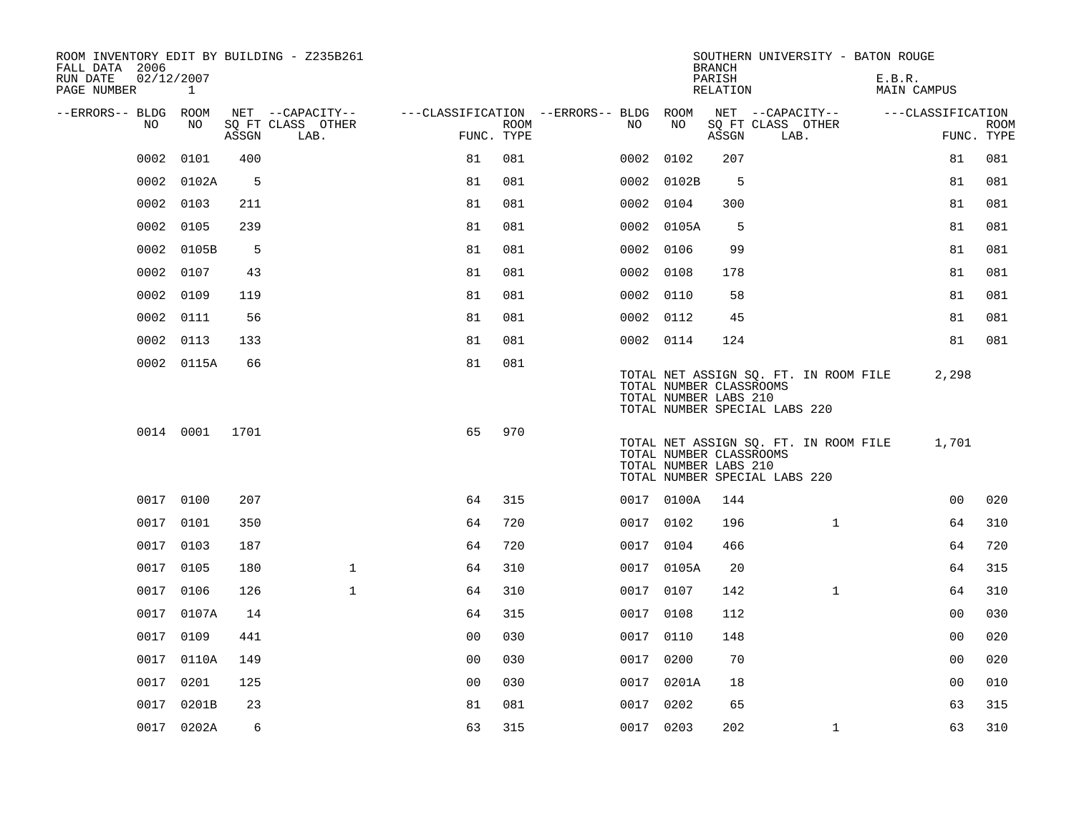| ROOM INVENTORY EDIT BY BUILDING - Z235B261<br>FALL DATA 2006 |                           |       |                           |                                        |             |           |            | <b>BRANCH</b>                                    | SOUTHERN UNIVERSITY - BATON ROUGE                                      |                       |                           |
|--------------------------------------------------------------|---------------------------|-------|---------------------------|----------------------------------------|-------------|-----------|------------|--------------------------------------------------|------------------------------------------------------------------------|-----------------------|---------------------------|
| RUN DATE<br>PAGE NUMBER                                      | 02/12/2007<br>$\mathbf 1$ |       |                           |                                        |             |           |            | PARISH<br>RELATION                               |                                                                        | E.B.R.<br>MAIN CAMPUS |                           |
| --ERRORS-- BLDG ROOM                                         |                           |       | NET --CAPACITY--          | ---CLASSIFICATION --ERRORS-- BLDG ROOM |             |           |            |                                                  | NET --CAPACITY--                                                       | ---CLASSIFICATION     |                           |
| NO                                                           | NO                        | ASSGN | SQ FT CLASS OTHER<br>LAB. | FUNC. TYPE                             | <b>ROOM</b> | NO        | NO         | ASSGN                                            | SQ FT CLASS OTHER<br>LAB.                                              |                       | <b>ROOM</b><br>FUNC. TYPE |
| 0002                                                         | 0101                      | 400   |                           | 81                                     | 081         | 0002      | 0102       | 207                                              |                                                                        | 81                    | 081                       |
| 0002                                                         | 0102A                     | 5     |                           | 81                                     | 081         |           | 0002 0102B | 5                                                |                                                                        | 81                    | 081                       |
| 0002                                                         | 0103                      | 211   |                           | 81                                     | 081         | 0002 0104 |            | 300                                              |                                                                        | 81                    | 081                       |
| 0002                                                         | 0105                      | 239   |                           | 81                                     | 081         |           | 0002 0105A | 5                                                |                                                                        | 81                    | 081                       |
| 0002                                                         | 0105B                     | 5     |                           | 81                                     | 081         | 0002 0106 |            | 99                                               |                                                                        | 81                    | 081                       |
| 0002                                                         | 0107                      | 43    |                           | 81                                     | 081         | 0002 0108 |            | 178                                              |                                                                        | 81                    | 081                       |
| 0002                                                         | 0109                      | 119   |                           | 81                                     | 081         | 0002 0110 |            | 58                                               |                                                                        | 81                    | 081                       |
| 0002                                                         | 0111                      | 56    |                           | 81                                     | 081         | 0002 0112 |            | 45                                               |                                                                        | 81                    | 081                       |
| 0002                                                         | 0113                      | 133   |                           | 81                                     | 081         | 0002 0114 |            | 124                                              |                                                                        | 81                    | 081                       |
|                                                              | 0002 0115A                | 66    |                           | 81                                     | 081         |           |            | TOTAL NUMBER CLASSROOMS<br>TOTAL NUMBER LABS 210 | TOTAL NET ASSIGN SQ. FT. IN ROOM FILE<br>TOTAL NUMBER SPECIAL LABS 220 | 2,298                 |                           |
|                                                              | 0014 0001                 | 1701  |                           | 65                                     | 970         |           |            | TOTAL NUMBER CLASSROOMS<br>TOTAL NUMBER LABS 210 | TOTAL NET ASSIGN SQ. FT. IN ROOM FILE<br>TOTAL NUMBER SPECIAL LABS 220 | 1,701                 |                           |
|                                                              | 0017 0100                 | 207   |                           | 64                                     | 315         |           | 0017 0100A | 144                                              |                                                                        | 00                    | 020                       |
|                                                              | 0017 0101                 | 350   |                           | 64                                     | 720         | 0017 0102 |            | 196                                              | $\mathbf{1}$                                                           | 64                    | 310                       |
| 0017                                                         | 0103                      | 187   |                           | 64                                     | 720         | 0017 0104 |            | 466                                              |                                                                        | 64                    | 720                       |
|                                                              | 0017 0105                 | 180   | $\mathbf{1}$              | 64                                     | 310         |           | 0017 0105A | 20                                               |                                                                        | 64                    | 315                       |
| 0017                                                         | 0106                      | 126   | $\mathbf{1}$              | 64                                     | 310         | 0017 0107 |            | 142                                              | $\mathbf{1}$                                                           | 64                    | 310                       |
|                                                              | 0017 0107A                | 14    |                           | 64                                     | 315         | 0017 0108 |            | 112                                              |                                                                        | 0 <sub>0</sub>        | 030                       |
| 0017                                                         | 0109                      | 441   |                           | 0 <sub>0</sub>                         | 030         | 0017      | 0110       | 148                                              |                                                                        | 00                    | 020                       |
| 0017                                                         | 0110A                     | 149   |                           | 0 <sub>0</sub>                         | 030         | 0017 0200 |            | 70                                               |                                                                        | 0 <sub>0</sub>        | 020                       |
| 0017                                                         | 0201                      | 125   |                           | 0 <sub>0</sub>                         | 030         |           | 0017 0201A | 18                                               |                                                                        | 0 <sub>0</sub>        | 010                       |
|                                                              | 0017 0201B                | 23    |                           | 81                                     | 081         | 0017 0202 |            | 65                                               |                                                                        | 63                    | 315                       |
|                                                              | 0017 0202A                | 6     |                           | 63                                     | 315         | 0017 0203 |            | 202                                              | $\mathbf{1}$                                                           | 63                    | 310                       |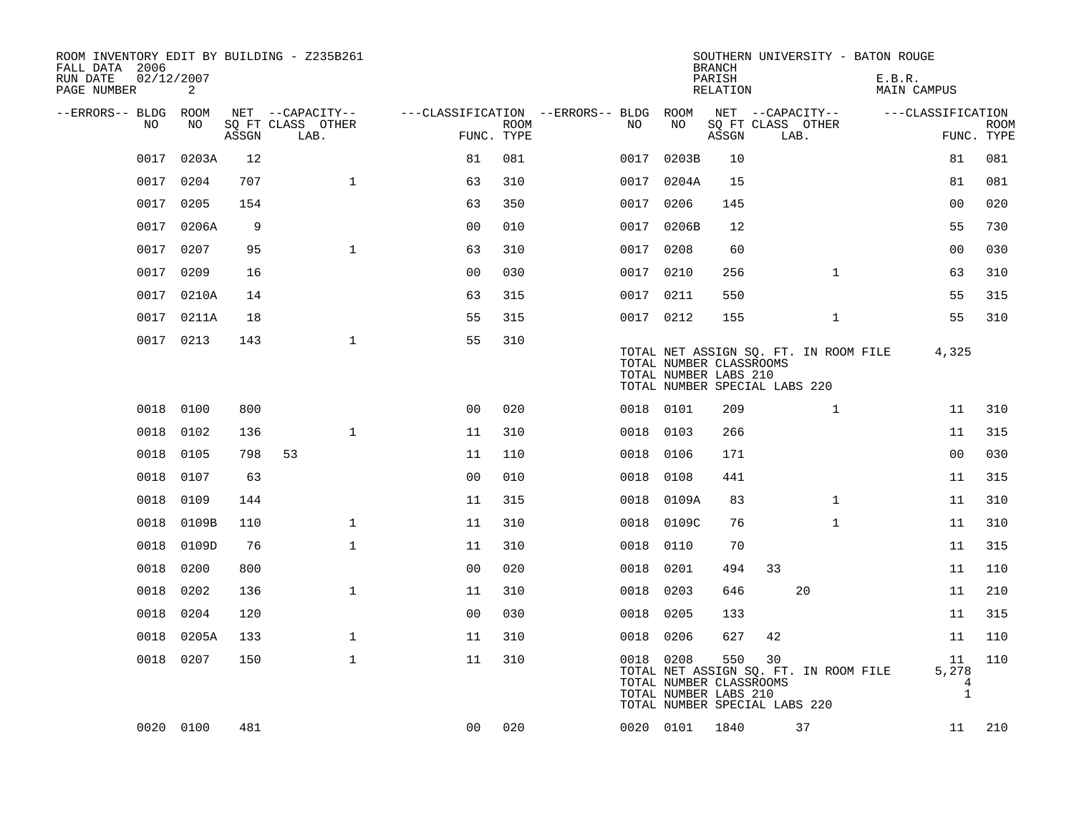| ROOM INVENTORY EDIT BY BUILDING - Z235B261<br>FALL DATA 2006 |            |       |                           |                                        |      |           |                                                  | <b>BRANCH</b>      | SOUTHERN UNIVERSITY - BATON ROUGE                                            |                                  |                           |
|--------------------------------------------------------------|------------|-------|---------------------------|----------------------------------------|------|-----------|--------------------------------------------------|--------------------|------------------------------------------------------------------------------|----------------------------------|---------------------------|
| 02/12/2007<br>RUN DATE<br>PAGE NUMBER                        | 2          |       |                           |                                        |      |           |                                                  | PARISH<br>RELATION |                                                                              | E.B.R.<br>MAIN CAMPUS            |                           |
| --ERRORS-- BLDG ROOM                                         |            |       | NET --CAPACITY--          | ---CLASSIFICATION --ERRORS-- BLDG ROOM |      |           |                                                  |                    | NET --CAPACITY--                                                             | ---CLASSIFICATION                |                           |
| NO                                                           | NO.        | ASSGN | SQ FT CLASS OTHER<br>LAB. | FUNC. TYPE                             | ROOM | NO.       | NO                                               | ASSGN              | SQ FT CLASS OTHER<br>LAB.                                                    |                                  | <b>ROOM</b><br>FUNC. TYPE |
| 0017                                                         | 0203A      | 12    |                           | 81                                     | 081  | 0017      | 0203B                                            | 10                 |                                                                              | 81                               | 081                       |
| 0017                                                         | 0204       | 707   | $\mathbf{1}$              | 63                                     | 310  |           | 0017 0204A                                       | 15                 |                                                                              | 81                               | 081                       |
| 0017                                                         | 0205       | 154   |                           | 63                                     | 350  | 0017 0206 |                                                  | 145                |                                                                              | 0 <sub>0</sub>                   | 020                       |
| 0017                                                         | 0206A      | 9     |                           | 00                                     | 010  |           | 0017 0206B                                       | 12                 |                                                                              | 55                               | 730                       |
| 0017                                                         | 0207       | 95    | $\mathbf{1}$              | 63                                     | 310  | 0017 0208 |                                                  | 60                 |                                                                              | 0 <sub>0</sub>                   | 030                       |
| 0017                                                         | 0209       | 16    |                           | 0 <sub>0</sub>                         | 030  | 0017 0210 |                                                  | 256                | $\mathbf{1}$                                                                 | 63                               | 310                       |
|                                                              | 0017 0210A | 14    |                           | 63                                     | 315  | 0017 0211 |                                                  | 550                |                                                                              | 55                               | 315                       |
|                                                              | 0017 0211A | 18    |                           | 55                                     | 315  | 0017 0212 |                                                  | 155                | $\mathbf{1}$                                                                 | 55                               | 310                       |
|                                                              | 0017 0213  | 143   | $\mathbf{1}$              | 55                                     | 310  |           | TOTAL NUMBER CLASSROOMS<br>TOTAL NUMBER LABS 210 |                    | TOTAL NET ASSIGN SQ. FT. IN ROOM FILE<br>TOTAL NUMBER SPECIAL LABS 220       | 4,325                            |                           |
|                                                              | 0018 0100  | 800   |                           | 0 <sub>0</sub>                         | 020  | 0018 0101 |                                                  | 209                | $\mathbf{1}$                                                                 | 11                               | 310                       |
| 0018                                                         | 0102       | 136   | $\mathbf{1}$              | 11                                     | 310  | 0018      | 0103                                             | 266                |                                                                              | 11                               | 315                       |
| 0018                                                         | 0105       | 798   | 53                        | 11                                     | 110  | 0018 0106 |                                                  | 171                |                                                                              | 00                               | 030                       |
| 0018                                                         | 0107       | 63    |                           | 0 <sub>0</sub>                         | 010  | 0018      | 0108                                             | 441                |                                                                              | 11                               | 315                       |
| 0018                                                         | 0109       | 144   |                           | 11                                     | 315  | 0018      | 0109A                                            | 83                 | $\mathbf{1}$                                                                 | 11                               | 310                       |
| 0018                                                         | 0109B      | 110   | $\mathbf 1$               | 11                                     | 310  | 0018      | 0109C                                            | 76                 | $\mathbf{1}$                                                                 | 11                               | 310                       |
| 0018                                                         | 0109D      | 76    | $\mathbf{1}$              | 11                                     | 310  | 0018      | 0110                                             | 70                 |                                                                              | 11                               | 315                       |
| 0018                                                         | 0200       | 800   |                           | 0 <sub>0</sub>                         | 020  | 0018      | 0201                                             | 494                | 33                                                                           | 11                               | 110                       |
| 0018                                                         | 0202       | 136   | $\mathbf{1}$              | 11                                     | 310  | 0018      | 0203                                             | 646                | 20                                                                           | 11                               | 210                       |
| 0018                                                         | 0204       | 120   |                           | 0 <sub>0</sub>                         | 030  | 0018      | 0205                                             | 133                |                                                                              | 11                               | 315                       |
| 0018                                                         | 0205A      | 133   | $\mathbf 1$               | 11                                     | 310  | 0018      | 0206                                             | 627                | 42                                                                           | 11                               | 110                       |
|                                                              | 0018 0207  | 150   | $\mathbf 1$               | 11                                     | 310  | 0018 0208 | TOTAL NUMBER CLASSROOMS<br>TOTAL NUMBER LABS 210 | 550                | 30<br>TOTAL NET ASSIGN SQ. FT. IN ROOM FILE<br>TOTAL NUMBER SPECIAL LABS 220 | 11<br>5,278<br>4<br>$\mathbf{1}$ | 110                       |
|                                                              | 0020 0100  | 481   |                           | 0 <sub>0</sub>                         | 020  |           | 0020 0101                                        | 1840               | 37                                                                           | 11                               | 210                       |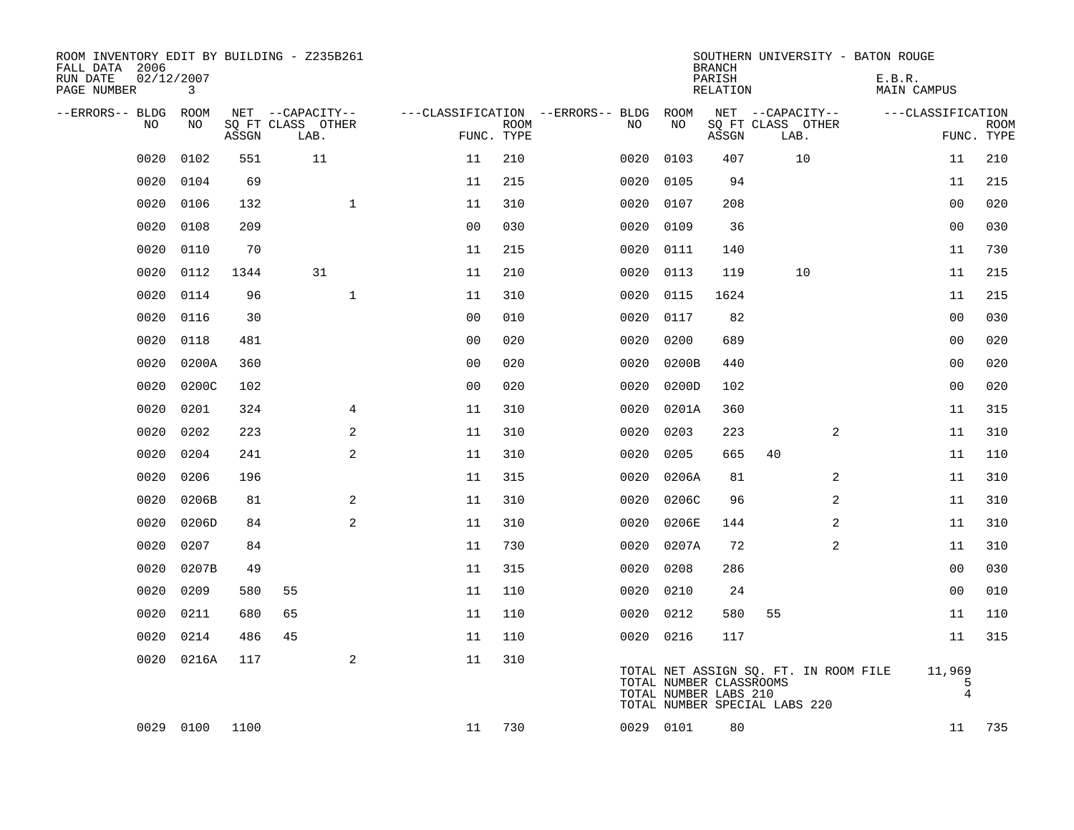| ROOM INVENTORY EDIT BY BUILDING - Z235B261<br>FALL DATA 2006<br>RUN DATE<br>PAGE NUMBER | 02/12/2007<br>3 |       |                           |                |                           |                                   |      |                                                  | <b>BRANCH</b><br>PARISH<br><b>RELATION</b> |                                                                        |   | SOUTHERN UNIVERSITY - BATON ROUGE<br>E.B.R.<br><b>MAIN CAMPUS</b> |                               |             |
|-----------------------------------------------------------------------------------------|-----------------|-------|---------------------------|----------------|---------------------------|-----------------------------------|------|--------------------------------------------------|--------------------------------------------|------------------------------------------------------------------------|---|-------------------------------------------------------------------|-------------------------------|-------------|
| --ERRORS-- BLDG                                                                         | ROOM            |       | NET --CAPACITY--          |                |                           | ---CLASSIFICATION --ERRORS-- BLDG |      | ROOM                                             |                                            | NET --CAPACITY--                                                       |   |                                                                   | ---CLASSIFICATION             |             |
| NO                                                                                      | NO              | ASSGN | SQ FT CLASS OTHER<br>LAB. |                | <b>ROOM</b><br>FUNC. TYPE |                                   | NO   | NO                                               | ASSGN                                      | SQ FT CLASS OTHER<br>LAB.                                              |   |                                                                   | FUNC. TYPE                    | <b>ROOM</b> |
| 0020                                                                                    | 0102            | 551   | 11                        | 11             | 210                       |                                   | 0020 | 0103                                             | 407                                        | 10                                                                     |   |                                                                   | 11                            | 210         |
| 0020                                                                                    | 0104            | 69    |                           | 11             | 215                       |                                   | 0020 | 0105                                             | 94                                         |                                                                        |   |                                                                   | 11                            | 215         |
| 0020                                                                                    | 0106            | 132   | $\mathbf{1}$              | 11             | 310                       |                                   | 0020 | 0107                                             | 208                                        |                                                                        |   |                                                                   | 0 <sub>0</sub>                | 020         |
| 0020                                                                                    | 0108            | 209   |                           | 0 <sub>0</sub> | 030                       |                                   | 0020 | 0109                                             | 36                                         |                                                                        |   |                                                                   | 0 <sub>0</sub>                | 030         |
| 0020                                                                                    | 0110            | 70    |                           | 11             | 215                       |                                   | 0020 | 0111                                             | 140                                        |                                                                        |   |                                                                   | 11                            | 730         |
| 0020                                                                                    | 0112            | 1344  | 31                        | 11             | 210                       |                                   | 0020 | 0113                                             | 119                                        | 10                                                                     |   |                                                                   | 11                            | 215         |
| 0020                                                                                    | 0114            | 96    | $\mathbf{1}$              | 11             | 310                       |                                   | 0020 | 0115                                             | 1624                                       |                                                                        |   |                                                                   | 11                            | 215         |
| 0020                                                                                    | 0116            | 30    |                           | 0 <sub>0</sub> | 010                       |                                   | 0020 | 0117                                             | 82                                         |                                                                        |   |                                                                   | 0 <sub>0</sub>                | 030         |
| 0020                                                                                    | 0118            | 481   |                           | 0 <sub>0</sub> | 020                       |                                   | 0020 | 0200                                             | 689                                        |                                                                        |   |                                                                   | 00                            | 020         |
| 0020                                                                                    | 0200A           | 360   |                           | 0 <sub>0</sub> | 020                       |                                   | 0020 | 0200B                                            | 440                                        |                                                                        |   |                                                                   | 00                            | 020         |
| 0020                                                                                    | 0200C           | 102   |                           | 0 <sub>0</sub> | 020                       |                                   | 0020 | 0200D                                            | 102                                        |                                                                        |   |                                                                   | 0 <sub>0</sub>                | 020         |
| 0020                                                                                    | 0201            | 324   | 4                         | 11             | 310                       |                                   | 0020 | 0201A                                            | 360                                        |                                                                        |   |                                                                   | 11                            | 315         |
| 0020                                                                                    | 0202            | 223   | 2                         | 11             | 310                       |                                   | 0020 | 0203                                             | 223                                        |                                                                        | 2 |                                                                   | 11                            | 310         |
| 0020                                                                                    | 0204            | 241   | 2                         | 11             | 310                       |                                   | 0020 | 0205                                             | 665                                        | 40                                                                     |   |                                                                   | 11                            | 110         |
| 0020                                                                                    | 0206            | 196   |                           | 11             | 315                       |                                   | 0020 | 0206A                                            | 81                                         |                                                                        | 2 |                                                                   | 11                            | 310         |
| 0020                                                                                    | 0206B           | 81    | 2                         | 11             | 310                       |                                   | 0020 | 0206C                                            | 96                                         |                                                                        | 2 |                                                                   | 11                            | 310         |
| 0020                                                                                    | 0206D           | 84    | 2                         | 11             | 310                       |                                   | 0020 | 0206E                                            | 144                                        |                                                                        | 2 |                                                                   | 11                            | 310         |
| 0020                                                                                    | 0207            | 84    |                           | 11             | 730                       |                                   | 0020 | 0207A                                            | 72                                         |                                                                        | 2 |                                                                   | 11                            | 310         |
| 0020                                                                                    | 0207B           | 49    |                           | 11             | 315                       |                                   | 0020 | 0208                                             | 286                                        |                                                                        |   |                                                                   | 00                            | 030         |
| 0020                                                                                    | 0209            | 580   | 55                        | 11             | 110                       |                                   | 0020 | 0210                                             | 24                                         |                                                                        |   |                                                                   | 0 <sub>0</sub>                | 010         |
| 0020                                                                                    | 0211            | 680   | 65                        | 11             | 110                       |                                   | 0020 | 0212                                             | 580                                        | 55                                                                     |   |                                                                   | 11                            | 110         |
| 0020                                                                                    | 0214            | 486   | 45                        | 11             | 110                       |                                   |      | 0020 0216                                        | 117                                        |                                                                        |   |                                                                   | 11                            | 315         |
| 0020                                                                                    | 0216A           | 117   | 2                         | 11             | 310                       |                                   |      | TOTAL NUMBER CLASSROOMS<br>TOTAL NUMBER LABS 210 |                                            | TOTAL NET ASSIGN SQ. FT. IN ROOM FILE<br>TOTAL NUMBER SPECIAL LABS 220 |   |                                                                   | 11,969<br>5<br>$\overline{4}$ |             |
|                                                                                         | 0029 0100       | 1100  |                           | 11             | 730                       |                                   |      | 0029 0101                                        | 80                                         |                                                                        |   |                                                                   | 11                            | 735         |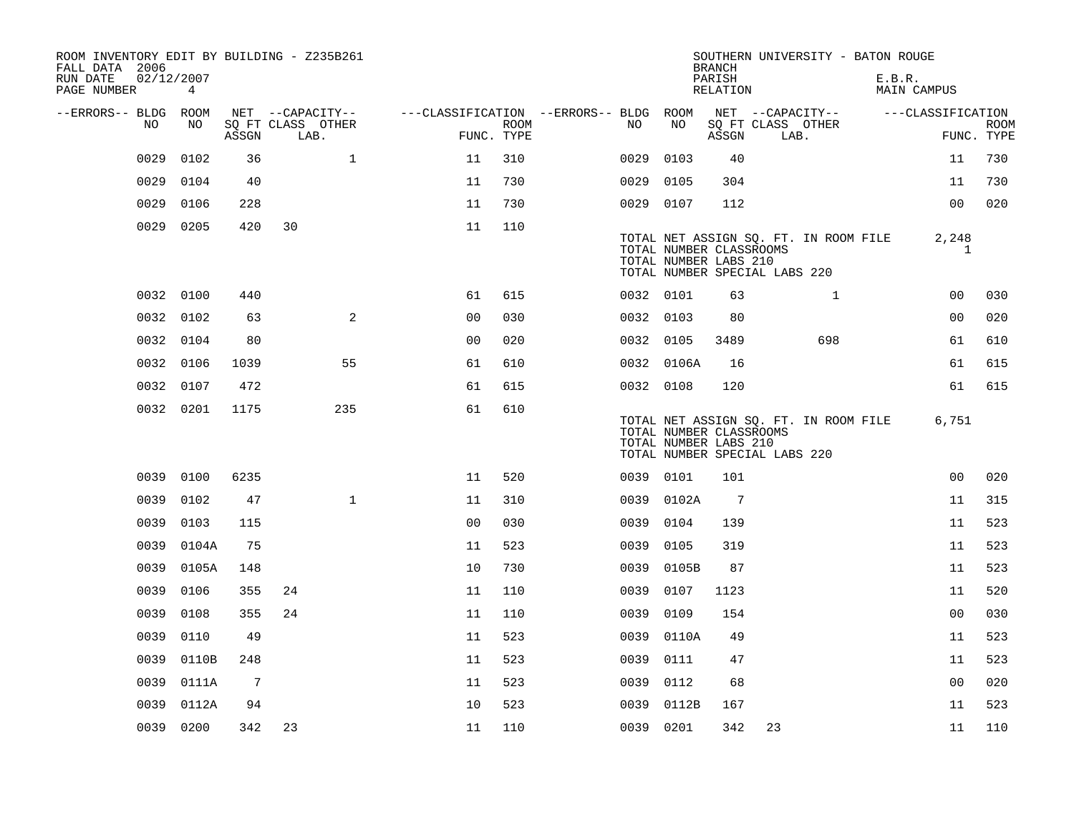| ROOM INVENTORY EDIT BY BUILDING - Z235B261<br>FALL DATA 2006 |                           |                 |                           |              |                                        |                    |           |                                                  | <b>BRANCH</b>      |                               | SOUTHERN UNIVERSITY - BATON ROUGE     |                              |                           |
|--------------------------------------------------------------|---------------------------|-----------------|---------------------------|--------------|----------------------------------------|--------------------|-----------|--------------------------------------------------|--------------------|-------------------------------|---------------------------------------|------------------------------|---------------------------|
| RUN DATE<br>PAGE NUMBER                                      | 02/12/2007<br>$4^{\circ}$ |                 |                           |              |                                        |                    |           |                                                  | PARISH<br>RELATION |                               |                                       | E.B.R.<br><b>MAIN CAMPUS</b> |                           |
| --ERRORS-- BLDG ROOM                                         |                           |                 | NET --CAPACITY--          |              | ---CLASSIFICATION --ERRORS-- BLDG ROOM |                    |           |                                                  |                    |                               | NET --CAPACITY--                      | ---CLASSIFICATION            |                           |
| NO                                                           | NO.                       | ASSGN           | SO FT CLASS OTHER<br>LAB. |              |                                        | ROOM<br>FUNC. TYPE | NO        | NO                                               | ASSGN              | SQ FT CLASS OTHER<br>LAB.     |                                       |                              | <b>ROOM</b><br>FUNC. TYPE |
| 0029                                                         | 0102                      | 36              |                           | $\mathbf{1}$ | 11                                     | 310                | 0029      | 0103                                             | 40                 |                               |                                       | 11                           | 730                       |
| 0029                                                         | 0104                      | 40              |                           |              | 11                                     | 730                | 0029      | 0105                                             | 304                |                               |                                       | 11                           | 730                       |
| 0029                                                         | 0106                      | 228             |                           |              | 11                                     | 730                | 0029 0107 |                                                  | 112                |                               |                                       | 0 <sub>0</sub>               | 020                       |
|                                                              | 0029 0205                 | 420             | 30                        |              | 11                                     | 110                |           | TOTAL NUMBER CLASSROOMS<br>TOTAL NUMBER LABS 210 |                    | TOTAL NUMBER SPECIAL LABS 220 | TOTAL NET ASSIGN SQ. FT. IN ROOM FILE | 2,248<br>1                   |                           |
| 0032                                                         | 0100                      | 440             |                           |              | 61                                     | 615                | 0032 0101 |                                                  | 63                 |                               | $\mathbf{1}$                          | 0 <sub>0</sub>               | 030                       |
|                                                              | 0032 0102                 | 63              |                           | 2            | 0 <sub>0</sub>                         | 030                | 0032 0103 |                                                  | 80                 |                               |                                       | 0 <sub>0</sub>               | 020                       |
|                                                              | 0032 0104                 | 80              |                           |              | 00                                     | 020                | 0032 0105 |                                                  | 3489               |                               | 698                                   | 61                           | 610                       |
|                                                              | 0032 0106                 | 1039            |                           | 55           | 61                                     | 610                |           | 0032 0106A                                       | 16                 |                               |                                       | 61                           | 615                       |
|                                                              | 0032 0107                 | 472             |                           |              | 61                                     | 615                | 0032 0108 |                                                  | 120                |                               |                                       | 61                           | 615                       |
|                                                              | 0032 0201                 | 1175            |                           | 235          | 61                                     | 610                |           | TOTAL NUMBER CLASSROOMS<br>TOTAL NUMBER LABS 210 |                    | TOTAL NUMBER SPECIAL LABS 220 | TOTAL NET ASSIGN SQ. FT. IN ROOM FILE | 6,751                        |                           |
|                                                              | 0039 0100                 | 6235            |                           |              | 11                                     | 520                | 0039 0101 |                                                  | 101                |                               |                                       | 0 <sub>0</sub>               | 020                       |
| 0039                                                         | 0102                      | 47              |                           | $\mathbf{1}$ | 11                                     | 310                |           | 0039 0102A                                       | $\overline{7}$     |                               |                                       | 11                           | 315                       |
| 0039                                                         | 0103                      | 115             |                           |              | 0 <sub>0</sub>                         | 030                | 0039      | 0104                                             | 139                |                               |                                       | 11                           | 523                       |
| 0039                                                         | 0104A                     | 75              |                           |              | 11                                     | 523                | 0039      | 0105                                             | 319                |                               |                                       | 11                           | 523                       |
| 0039                                                         | 0105A                     | 148             |                           |              | 10                                     | 730                |           | 0039 0105B                                       | 87                 |                               |                                       | 11                           | 523                       |
| 0039                                                         | 0106                      | 355             | 24                        |              | 11                                     | 110                | 0039      | 0107                                             | 1123               |                               |                                       | 11                           | 520                       |
| 0039                                                         | 0108                      | 355             | 24                        |              | 11                                     | 110                | 0039      | 0109                                             | 154                |                               |                                       | 0 <sub>0</sub>               | 030                       |
| 0039                                                         | 0110                      | 49              |                           |              | 11                                     | 523                | 0039      | 0110A                                            | 49                 |                               |                                       | 11                           | 523                       |
| 0039                                                         | 0110B                     | 248             |                           |              | 11                                     | 523                | 0039      | 0111                                             | 47                 |                               |                                       | 11                           | 523                       |
| 0039                                                         | 0111A                     | $7\phantom{.0}$ |                           |              | 11                                     | 523                | 0039      | 0112                                             | 68                 |                               |                                       | 0 <sub>0</sub>               | 020                       |
| 0039                                                         | 0112A                     | 94              |                           |              | 10                                     | 523                | 0039      | 0112B                                            | 167                |                               |                                       | 11                           | 523                       |
|                                                              | 0039 0200                 | 342             | 23                        |              | 11                                     | 110                | 0039 0201 |                                                  | 342                | 23                            |                                       | 11                           | 110                       |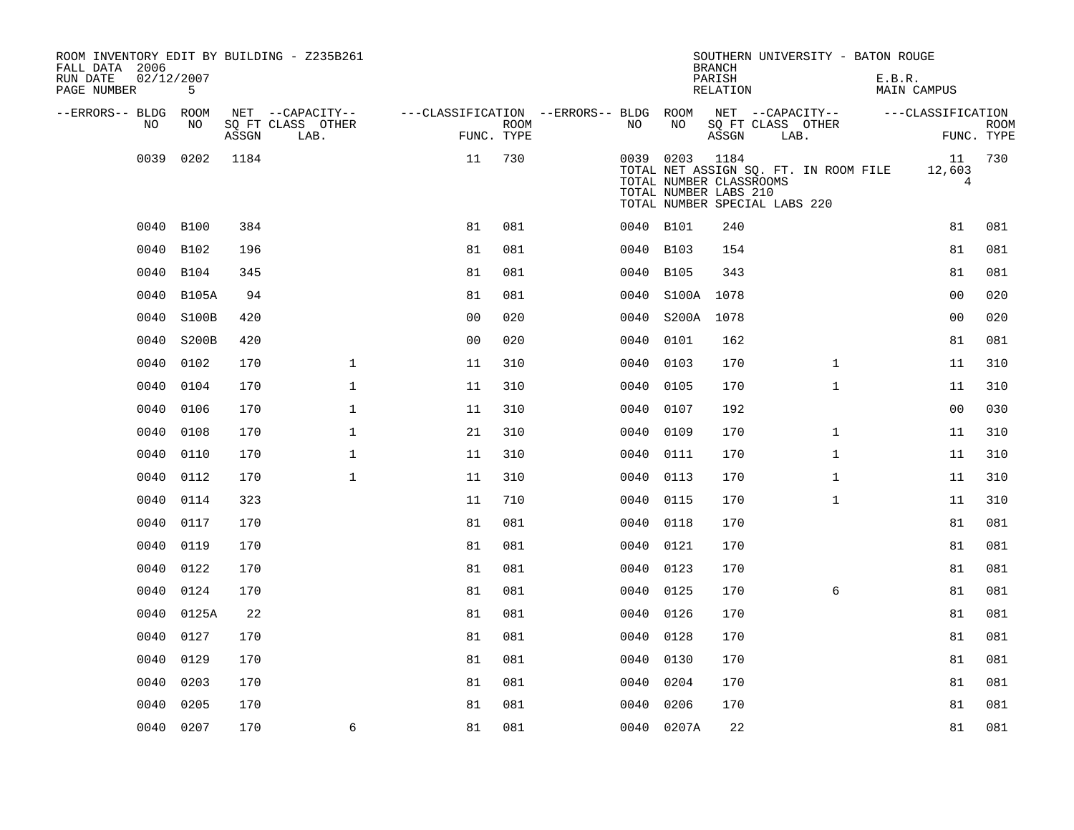| ROOM INVENTORY EDIT BY BUILDING - Z235B261<br>FALL DATA 2006<br>RUN DATE<br>PAGE NUMBER | 02/12/2007<br>5 |       |                           |                                        |      |           |                                                                                                | <b>BRANCH</b><br>PARISH<br>RELATION |      | SOUTHERN UNIVERSITY - BATON ROUGE     | E.B.R. | MAIN CAMPUS                    |                           |
|-----------------------------------------------------------------------------------------|-----------------|-------|---------------------------|----------------------------------------|------|-----------|------------------------------------------------------------------------------------------------|-------------------------------------|------|---------------------------------------|--------|--------------------------------|---------------------------|
| --ERRORS-- BLDG ROOM                                                                    |                 |       | NET --CAPACITY--          | ---CLASSIFICATION --ERRORS-- BLDG ROOM |      |           |                                                                                                |                                     |      | NET --CAPACITY--                      |        | ---CLASSIFICATION              |                           |
| NO.                                                                                     | NO.             | ASSGN | SO FT CLASS OTHER<br>LAB. | FUNC. TYPE                             | ROOM | NO.       | NO                                                                                             | ASSGN                               | LAB. | SQ FT CLASS OTHER                     |        |                                | <b>ROOM</b><br>FUNC. TYPE |
| 0039                                                                                    | 0202            | 1184  |                           | 11                                     | 730  |           | 0039 0203<br>TOTAL NUMBER CLASSROOMS<br>TOTAL NUMBER LABS 210<br>TOTAL NUMBER SPECIAL LABS 220 | 1184                                |      | TOTAL NET ASSIGN SQ. FT. IN ROOM FILE |        | 11<br>12,603<br>$\overline{4}$ | 730                       |
| 0040                                                                                    | B100            | 384   |                           | 81                                     | 081  | 0040 B101 |                                                                                                | 240                                 |      |                                       |        | 81                             | 081                       |
| 0040                                                                                    | B102            | 196   |                           | 81                                     | 081  | 0040      | B103                                                                                           | 154                                 |      |                                       |        | 81                             | 081                       |
| 0040                                                                                    | B104            | 345   |                           | 81                                     | 081  | 0040 B105 |                                                                                                | 343                                 |      |                                       |        | 81                             | 081                       |
| 0040                                                                                    | <b>B105A</b>    | 94    |                           | 81                                     | 081  | 0040      | S100A                                                                                          | 1078                                |      |                                       |        | 0 <sub>0</sub>                 | 020                       |
| 0040                                                                                    | S100B           | 420   |                           | 0 <sub>0</sub>                         | 020  | 0040      | S200A 1078                                                                                     |                                     |      |                                       |        | 0 <sub>0</sub>                 | 020                       |
| 0040                                                                                    | S200B           | 420   |                           | 0 <sub>0</sub>                         | 020  | 0040      | 0101                                                                                           | 162                                 |      |                                       |        | 81                             | 081                       |
| 0040                                                                                    | 0102            | 170   | $\mathbf{1}$              | 11                                     | 310  | 0040      | 0103                                                                                           | 170                                 |      | $\mathbf{1}$                          |        | 11                             | 310                       |
| 0040                                                                                    | 0104            | 170   | $\mathbf{1}$              | 11                                     | 310  | 0040      | 0105                                                                                           | 170                                 |      | $\mathbf{1}$                          |        | 11                             | 310                       |
| 0040                                                                                    | 0106            | 170   | $\mathbf{1}$              | 11                                     | 310  | 0040      | 0107                                                                                           | 192                                 |      |                                       |        | 0 <sub>0</sub>                 | 030                       |
| 0040                                                                                    | 0108            | 170   | $\mathbf 1$               | 21                                     | 310  | 0040      | 0109                                                                                           | 170                                 |      | $\mathbf{1}$                          |        | 11                             | 310                       |
| 0040                                                                                    | 0110            | 170   | $\mathbf 1$               | 11                                     | 310  | 0040      | 0111                                                                                           | 170                                 |      | $\mathbf{1}$                          |        | 11                             | 310                       |
| 0040                                                                                    | 0112            | 170   | $\mathbf 1$               | 11                                     | 310  | 0040      | 0113                                                                                           | 170                                 |      | $\mathbf{1}$                          |        | 11                             | 310                       |
| 0040                                                                                    | 0114            | 323   |                           | 11                                     | 710  | 0040      | 0115                                                                                           | 170                                 |      | $\mathbf{1}$                          |        | 11                             | 310                       |
| 0040                                                                                    | 0117            | 170   |                           | 81                                     | 081  | 0040      | 0118                                                                                           | 170                                 |      |                                       |        | 81                             | 081                       |
| 0040                                                                                    | 0119            | 170   |                           | 81                                     | 081  | 0040      | 0121                                                                                           | 170                                 |      |                                       |        | 81                             | 081                       |
| 0040                                                                                    | 0122            | 170   |                           | 81                                     | 081  | 0040 0123 |                                                                                                | 170                                 |      |                                       |        | 81                             | 081                       |
| 0040                                                                                    | 0124            | 170   |                           | 81                                     | 081  | 0040      | 0125                                                                                           | 170                                 |      | 6                                     |        | 81                             | 081                       |
| 0040                                                                                    | 0125A           | 22    |                           | 81                                     | 081  | 0040      | 0126                                                                                           | 170                                 |      |                                       |        | 81                             | 081                       |
| 0040                                                                                    | 0127            | 170   |                           | 81                                     | 081  | 0040      | 0128                                                                                           | 170                                 |      |                                       |        | 81                             | 081                       |
| 0040                                                                                    | 0129            | 170   |                           | 81                                     | 081  | 0040      | 0130                                                                                           | 170                                 |      |                                       |        | 81                             | 081                       |
| 0040                                                                                    | 0203            | 170   |                           | 81                                     | 081  | 0040      | 0204                                                                                           | 170                                 |      |                                       |        | 81                             | 081                       |
| 0040                                                                                    | 0205            | 170   |                           | 81                                     | 081  | 0040      | 0206                                                                                           | 170                                 |      |                                       |        | 81                             | 081                       |
|                                                                                         | 0040 0207       | 170   | 6                         | 81                                     | 081  |           | 0040 0207A                                                                                     | 22                                  |      |                                       |        | 81                             | 081                       |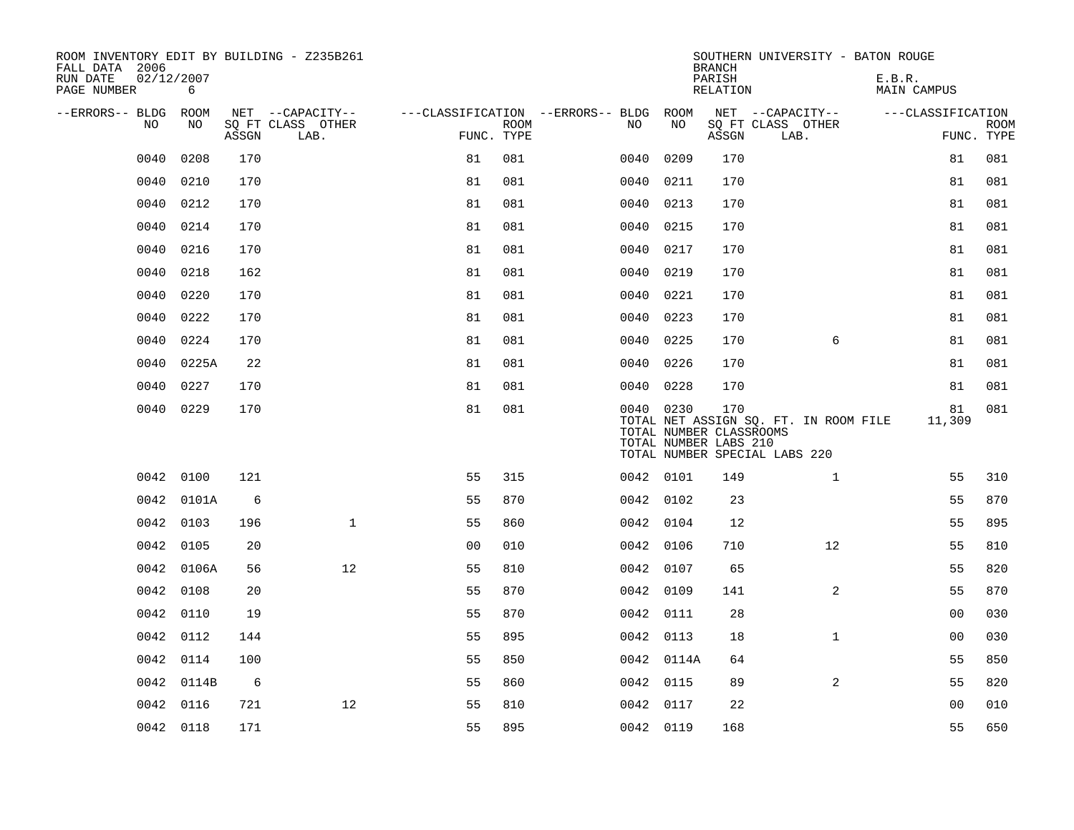| ROOM INVENTORY EDIT BY BUILDING - Z235B261<br>FALL DATA 2006 |            |       |                           |                                        |             |           |            | <b>BRANCH</b>                                           | SOUTHERN UNIVERSITY - BATON ROUGE                                      |                       |                           |
|--------------------------------------------------------------|------------|-------|---------------------------|----------------------------------------|-------------|-----------|------------|---------------------------------------------------------|------------------------------------------------------------------------|-----------------------|---------------------------|
| RUN DATE<br>02/12/2007<br>PAGE NUMBER                        | 6          |       |                           |                                        |             |           |            | PARISH<br>RELATION                                      |                                                                        | E.B.R.<br>MAIN CAMPUS |                           |
| --ERRORS-- BLDG ROOM                                         |            |       | NET --CAPACITY--          | ---CLASSIFICATION --ERRORS-- BLDG ROOM |             |           |            |                                                         | NET --CAPACITY--                                                       | ---CLASSIFICATION     |                           |
| NO                                                           | NO         | ASSGN | SQ FT CLASS OTHER<br>LAB. | FUNC. TYPE                             | <b>ROOM</b> | NO        | NO         | ASSGN                                                   | SQ FT CLASS OTHER<br>LAB.                                              |                       | <b>ROOM</b><br>FUNC. TYPE |
| 0040                                                         | 0208       | 170   |                           | 81                                     | 081         | 0040      | 0209       | 170                                                     |                                                                        | 81                    | 081                       |
| 0040                                                         | 0210       | 170   |                           | 81                                     | 081         | 0040      | 0211       | 170                                                     |                                                                        | 81                    | 081                       |
| 0040                                                         | 0212       | 170   |                           | 81                                     | 081         | 0040      | 0213       | 170                                                     |                                                                        | 81                    | 081                       |
| 0040                                                         | 0214       | 170   |                           | 81                                     | 081         | 0040      | 0215       | 170                                                     |                                                                        | 81                    | 081                       |
| 0040                                                         | 0216       | 170   |                           | 81                                     | 081         | 0040      | 0217       | 170                                                     |                                                                        | 81                    | 081                       |
| 0040                                                         | 0218       | 162   |                           | 81                                     | 081         | 0040      | 0219       | 170                                                     |                                                                        | 81                    | 081                       |
| 0040                                                         | 0220       | 170   |                           | 81                                     | 081         | 0040      | 0221       | 170                                                     |                                                                        | 81                    | 081                       |
| 0040                                                         | 0222       | 170   |                           | 81                                     | 081         | 0040      | 0223       | 170                                                     |                                                                        | 81                    | 081                       |
| 0040                                                         | 0224       | 170   |                           | 81                                     | 081         | 0040      | 0225       | 170                                                     | 6                                                                      | 81                    | 081                       |
| 0040                                                         | 0225A      | 22    |                           | 81                                     | 081         | 0040 0226 |            | 170                                                     |                                                                        | 81                    | 081                       |
| 0040                                                         | 0227       | 170   |                           | 81                                     | 081         | 0040 0228 |            | 170                                                     |                                                                        | 81                    | 081                       |
|                                                              | 0040 0229  | 170   |                           | 81                                     | 081         | 0040 0230 |            | 170<br>TOTAL NUMBER CLASSROOMS<br>TOTAL NUMBER LABS 210 | TOTAL NET ASSIGN SQ. FT. IN ROOM FILE<br>TOTAL NUMBER SPECIAL LABS 220 | 81<br>11,309          | 081                       |
|                                                              | 0042 0100  | 121   |                           | 55                                     | 315         | 0042 0101 |            | 149                                                     | $\mathbf{1}$                                                           | 55                    | 310                       |
|                                                              | 0042 0101A | 6     |                           | 55                                     | 870         | 0042 0102 |            | 23                                                      |                                                                        | 55                    | 870                       |
|                                                              | 0042 0103  | 196   | $\mathbf{1}$              | 55                                     | 860         | 0042 0104 |            | 12                                                      |                                                                        | 55                    | 895                       |
|                                                              | 0042 0105  | 20    |                           | 0 <sub>0</sub>                         | 010         | 0042 0106 |            | 710                                                     | 12                                                                     | 55                    | 810                       |
|                                                              | 0042 0106A | 56    | 12                        | 55                                     | 810         | 0042 0107 |            | 65                                                      |                                                                        | 55                    | 820                       |
|                                                              | 0042 0108  | 20    |                           | 55                                     | 870         | 0042 0109 |            | 141                                                     | $\overline{2}$                                                         | 55                    | 870                       |
|                                                              | 0042 0110  | 19    |                           | 55                                     | 870         | 0042 0111 |            | 28                                                      |                                                                        | 00                    | 030                       |
| 0042                                                         | 0112       | 144   |                           | 55                                     | 895         | 0042 0113 |            | 18                                                      | $\mathbf{1}$                                                           | 00                    | 030                       |
| 0042                                                         | 0114       | 100   |                           | 55                                     | 850         |           | 0042 0114A | 64                                                      |                                                                        | 55                    | 850                       |
| 0042                                                         | 0114B      | 6     |                           | 55                                     | 860         | 0042 0115 |            | 89                                                      | 2                                                                      | 55                    | 820                       |
|                                                              | 0042 0116  | 721   | 12                        | 55                                     | 810         | 0042 0117 |            | 22                                                      |                                                                        | 0 <sub>0</sub>        | 010                       |
|                                                              | 0042 0118  | 171   |                           | 55                                     | 895         | 0042 0119 |            | 168                                                     |                                                                        | 55                    | 650                       |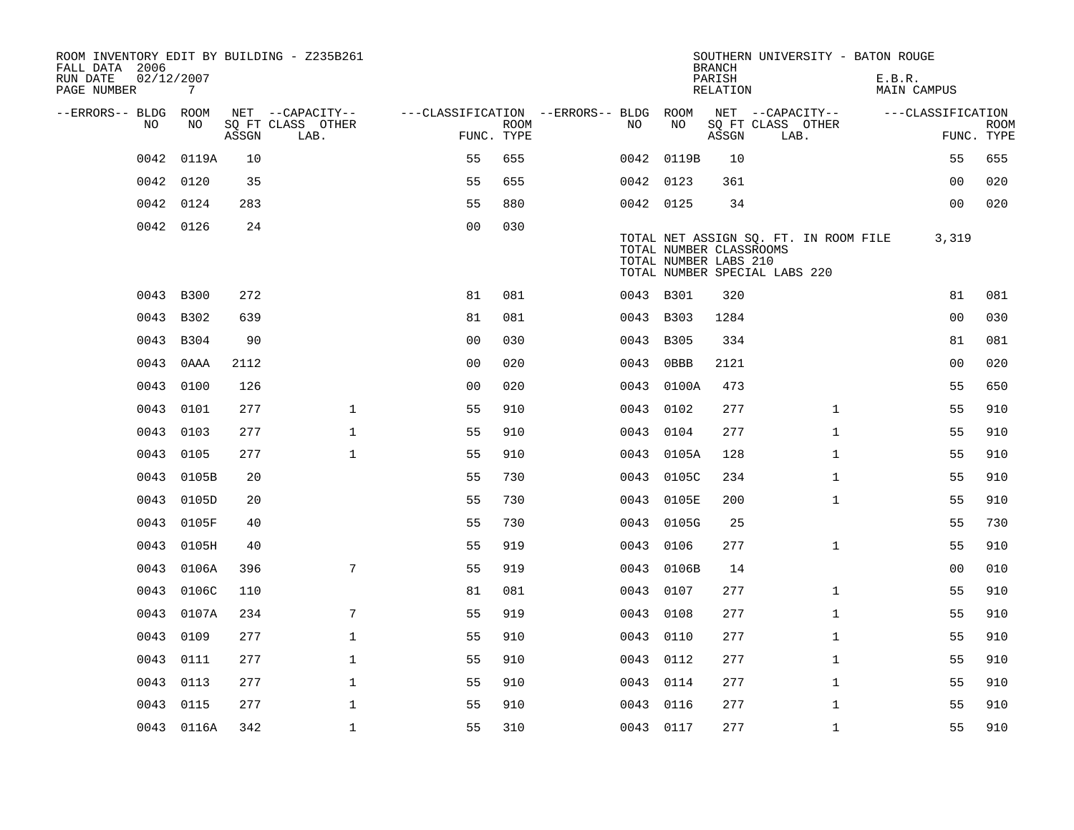| ROOM INVENTORY EDIT BY BUILDING - Z235B261<br>FALL DATA 2006 |                 |       |                           |                                        |             |           |                                                  | <b>BRANCH</b>      | SOUTHERN UNIVERSITY - BATON ROUGE                                      |        |                   |                           |
|--------------------------------------------------------------|-----------------|-------|---------------------------|----------------------------------------|-------------|-----------|--------------------------------------------------|--------------------|------------------------------------------------------------------------|--------|-------------------|---------------------------|
| RUN DATE<br>PAGE NUMBER                                      | 02/12/2007<br>7 |       |                           |                                        |             |           |                                                  | PARISH<br>RELATION |                                                                        | E.B.R. | MAIN CAMPUS       |                           |
| --ERRORS-- BLDG ROOM                                         |                 |       | NET --CAPACITY--          | ---CLASSIFICATION --ERRORS-- BLDG ROOM |             |           |                                                  |                    | NET --CAPACITY--                                                       |        | ---CLASSIFICATION |                           |
| NO.                                                          | NO              | ASSGN | SQ FT CLASS OTHER<br>LAB. | FUNC. TYPE                             | <b>ROOM</b> | NO.       | NO                                               | ASSGN              | SQ FT CLASS OTHER<br>LAB.                                              |        |                   | <b>ROOM</b><br>FUNC. TYPE |
| 0042                                                         | 0119A           | 10    |                           | 55                                     | 655         |           | 0042 0119B                                       | 10                 |                                                                        |        | 55                | 655                       |
|                                                              | 0042 0120       | 35    |                           | 55                                     | 655         | 0042 0123 |                                                  | 361                |                                                                        |        | 0 <sub>0</sub>    | 020                       |
|                                                              | 0042 0124       | 283   |                           | 55                                     | 880         | 0042 0125 |                                                  | 34                 |                                                                        |        | 0 <sub>0</sub>    | 020                       |
|                                                              | 0042 0126       | 24    |                           | 0 <sub>0</sub>                         | 030         |           | TOTAL NUMBER CLASSROOMS<br>TOTAL NUMBER LABS 210 |                    | TOTAL NET ASSIGN SQ. FT. IN ROOM FILE<br>TOTAL NUMBER SPECIAL LABS 220 |        | 3,319             |                           |
| 0043                                                         | <b>B300</b>     | 272   |                           | 81                                     | 081         | 0043 B301 |                                                  | 320                |                                                                        |        | 81                | 081                       |
|                                                              | 0043 B302       | 639   |                           | 81                                     | 081         | 0043 B303 |                                                  | 1284               |                                                                        |        | 0 <sub>0</sub>    | 030                       |
| 0043                                                         | B304            | 90    |                           | 0 <sub>0</sub>                         | 030         | 0043      | <b>B305</b>                                      | 334                |                                                                        |        | 81                | 081                       |
| 0043                                                         | 0AAA            | 2112  |                           | 0 <sub>0</sub>                         | 020         | 0043      | 0BBB                                             | 2121               |                                                                        |        | 0 <sub>0</sub>    | 020                       |
| 0043                                                         | 0100            | 126   |                           | 0 <sub>0</sub>                         | 020         |           | 0043 0100A                                       | 473                |                                                                        |        | 55                | 650                       |
|                                                              | 0043 0101       | 277   | $\mathbf{1}$              | 55                                     | 910         | 0043 0102 |                                                  | 277                | $\mathbf{1}$                                                           |        | 55                | 910                       |
| 0043                                                         | 0103            | 277   | $\mathbf{1}$              | 55                                     | 910         | 0043      | 0104                                             | 277                | $\mathbf{1}$                                                           |        | 55                | 910                       |
| 0043                                                         | 0105            | 277   | $\mathbf 1$               | 55                                     | 910         |           | 0043 0105A                                       | 128                | $\mathbf{1}$                                                           |        | 55                | 910                       |
| 0043                                                         | 0105B           | 20    |                           | 55                                     | 730         | 0043      | 0105C                                            | 234                | $\mathbf{1}$                                                           |        | 55                | 910                       |
| 0043                                                         | 0105D           | 20    |                           | 55                                     | 730         |           | 0043 0105E                                       | 200                | $\mathbf{1}$                                                           |        | 55                | 910                       |
| 0043                                                         | 0105F           | 40    |                           | 55                                     | 730         | 0043      | 0105G                                            | 25                 |                                                                        |        | 55                | 730                       |
| 0043                                                         | 0105H           | 40    |                           | 55                                     | 919         | 0043 0106 |                                                  | 277                | $\mathbf{1}$                                                           |        | 55                | 910                       |
|                                                              | 0043 0106A      | 396   | 7                         | 55                                     | 919         |           | 0043 0106B                                       | 14                 |                                                                        |        | 00                | 010                       |
|                                                              | 0043 0106C      | 110   |                           | 81                                     | 081         | 0043 0107 |                                                  | 277                | $\mathbf{1}$                                                           |        | 55                | 910                       |
|                                                              | 0043 0107A      | 234   | 7                         | 55                                     | 919         | 0043 0108 |                                                  | 277                | $\mathbf{1}$                                                           |        | 55                | 910                       |
| 0043                                                         | 0109            | 277   | $\mathbf 1$               | 55                                     | 910         | 0043 0110 |                                                  | 277                | $\mathbf{1}$                                                           |        | 55                | 910                       |
| 0043                                                         | 0111            | 277   | $\mathbf 1$               | 55                                     | 910         | 0043 0112 |                                                  | 277                | $\mathbf{1}$                                                           |        | 55                | 910                       |
| 0043                                                         | 0113            | 277   | $\mathbf 1$               | 55                                     | 910         | 0043 0114 |                                                  | 277                | $\mathbf{1}$                                                           |        | 55                | 910                       |
| 0043                                                         | 0115            | 277   | $\mathbf{1}$              | 55                                     | 910         | 0043 0116 |                                                  | 277                | $\mathbf{1}$                                                           |        | 55                | 910                       |
|                                                              | 0043 0116A      | 342   | $\mathbf{1}$              | 55                                     | 310         | 0043 0117 |                                                  | 277                | $\mathbf{1}$                                                           |        | 55                | 910                       |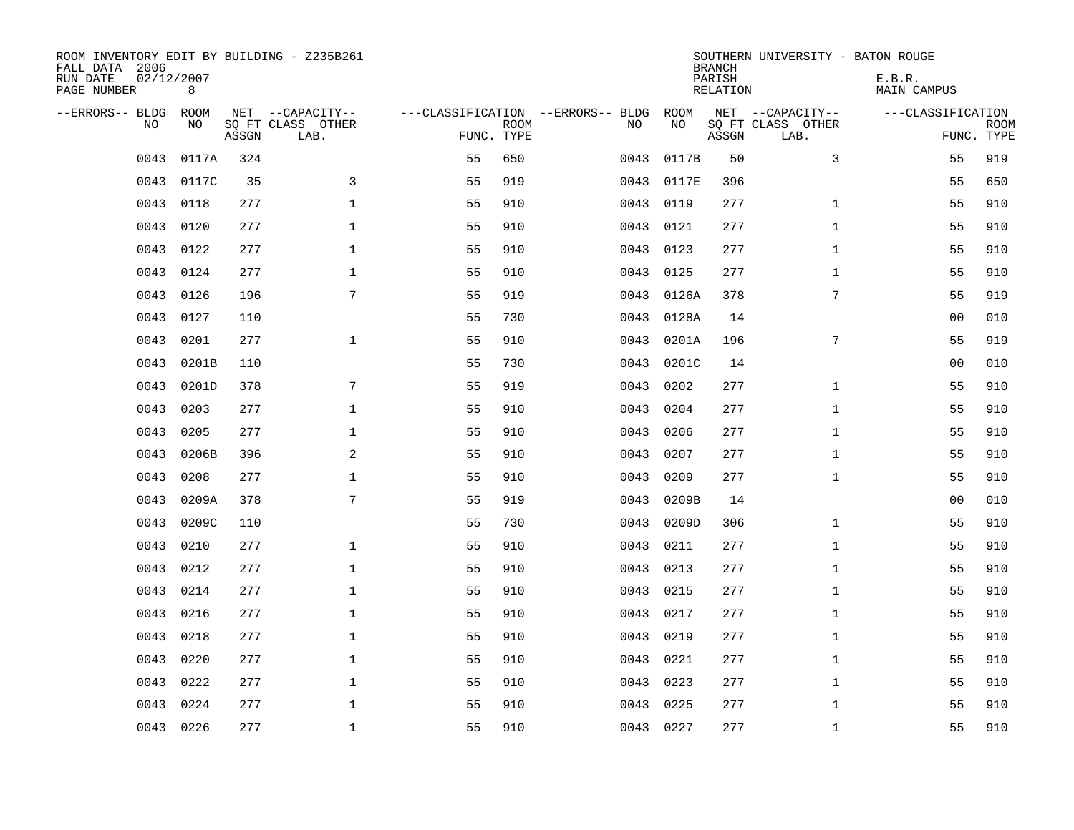| ROOM INVENTORY EDIT BY BUILDING - Z235B261<br>FALL DATA 2006<br>RUN DATE<br>PAGE NUMBER | 02/12/2007<br>8 |       |                                               |                                                 |             |           |            | <b>BRANCH</b><br>PARISH<br><b>RELATION</b> | SOUTHERN UNIVERSITY - BATON ROUGE             | E.B.R.<br><b>MAIN CAMPUS</b> |                           |
|-----------------------------------------------------------------------------------------|-----------------|-------|-----------------------------------------------|-------------------------------------------------|-------------|-----------|------------|--------------------------------------------|-----------------------------------------------|------------------------------|---------------------------|
| --ERRORS-- BLDG<br>NO                                                                   | ROOM<br>NO      | ASSGN | NET --CAPACITY--<br>SQ FT CLASS OTHER<br>LAB. | ---CLASSIFICATION --ERRORS-- BLDG<br>FUNC. TYPE | <b>ROOM</b> | NO        | ROOM<br>NO | ASSGN                                      | NET --CAPACITY--<br>SQ FT CLASS OTHER<br>LAB. | ---CLASSIFICATION            | <b>ROOM</b><br>FUNC. TYPE |
| 0043                                                                                    | 0117A           | 324   |                                               | 55                                              | 650         | 0043      | 0117B      | 50                                         | 3                                             | 55                           | 919                       |
| 0043                                                                                    | 0117C           | 35    | 3                                             | 55                                              | 919         | 0043      | 0117E      | 396                                        |                                               | 55                           | 650                       |
| 0043                                                                                    | 0118            | 277   | $\mathbf 1$                                   | 55                                              | 910         | 0043      | 0119       | 277                                        | $\mathbf{1}$                                  | 55                           | 910                       |
| 0043                                                                                    | 0120            | 277   | $\mathbf 1$                                   | 55                                              | 910         | 0043      | 0121       | 277                                        | $\mathbf{1}$                                  | 55                           | 910                       |
| 0043                                                                                    | 0122            | 277   | $\mathbf{1}$                                  | 55                                              | 910         | 0043      | 0123       | 277                                        | $\mathbf{1}$                                  | 55                           | 910                       |
| 0043                                                                                    | 0124            | 277   | $\mathbf{1}$                                  | 55                                              | 910         | 0043      | 0125       | 277                                        | $\mathbf{1}$                                  | 55                           | 910                       |
| 0043                                                                                    | 0126            | 196   | 7                                             | 55                                              | 919         | 0043      | 0126A      | 378                                        | 7                                             | 55                           | 919                       |
| 0043                                                                                    | 0127            | 110   |                                               | 55                                              | 730         | 0043      | 0128A      | 14                                         |                                               | 0 <sub>0</sub>               | 010                       |
| 0043                                                                                    | 0201            | 277   | $\mathbf{1}$                                  | 55                                              | 910         | 0043      | 0201A      | 196                                        | 7                                             | 55                           | 919                       |
| 0043                                                                                    | 0201B           | 110   |                                               | 55                                              | 730         | 0043      | 0201C      | 14                                         |                                               | 0 <sub>0</sub>               | 010                       |
| 0043                                                                                    | 0201D           | 378   | 7                                             | 55                                              | 919         | 0043      | 0202       | 277                                        | $\mathbf{1}$                                  | 55                           | 910                       |
| 0043                                                                                    | 0203            | 277   | $\mathbf{1}$                                  | 55                                              | 910         | 0043      | 0204       | 277                                        | $\mathbf{1}$                                  | 55                           | 910                       |
| 0043                                                                                    | 0205            | 277   | $\mathbf 1$                                   | 55                                              | 910         | 0043      | 0206       | 277                                        | $\mathbf{1}$                                  | 55                           | 910                       |
| 0043                                                                                    | 0206B           | 396   | $\overline{a}$                                | 55                                              | 910         | 0043      | 0207       | 277                                        | $\mathbf{1}$                                  | 55                           | 910                       |
| 0043                                                                                    | 0208            | 277   | $\mathbf 1$                                   | 55                                              | 910         | 0043      | 0209       | 277                                        | $\mathbf{1}$                                  | 55                           | 910                       |
| 0043                                                                                    | 0209A           | 378   | 7                                             | 55                                              | 919         | 0043      | 0209B      | 14                                         |                                               | 0 <sub>0</sub>               | 010                       |
| 0043                                                                                    | 0209C           | 110   |                                               | 55                                              | 730         | 0043      | 0209D      | 306                                        | $\mathbf{1}$                                  | 55                           | 910                       |
| 0043                                                                                    | 0210            | 277   | $\mathbf{1}$                                  | 55                                              | 910         | 0043      | 0211       | 277                                        | $\mathbf{1}$                                  | 55                           | 910                       |
| 0043                                                                                    | 0212            | 277   | $\mathbf{1}$                                  | 55                                              | 910         | 0043      | 0213       | 277                                        | $\mathbf{1}$                                  | 55                           | 910                       |
| 0043                                                                                    | 0214            | 277   | $\mathbf 1$                                   | 55                                              | 910         | 0043      | 0215       | 277                                        | $\mathbf{1}$                                  | 55                           | 910                       |
| 0043                                                                                    | 0216            | 277   | $\mathbf 1$                                   | 55                                              | 910         | 0043      | 0217       | 277                                        | $\mathbf{1}$                                  | 55                           | 910                       |
| 0043                                                                                    | 0218            | 277   | $\mathbf 1$                                   | 55                                              | 910         | 0043      | 0219       | 277                                        | $\mathbf{1}$                                  | 55                           | 910                       |
| 0043                                                                                    | 0220            | 277   | $\mathbf 1$                                   | 55                                              | 910         | 0043      | 0221       | 277                                        | $\mathbf{1}$                                  | 55                           | 910                       |
| 0043                                                                                    | 0222            | 277   | $\mathbf 1$                                   | 55                                              | 910         | 0043      | 0223       | 277                                        | $\mathbf{1}$                                  | 55                           | 910                       |
| 0043                                                                                    | 0224            | 277   | $\mathbf{1}$                                  | 55                                              | 910         | 0043      | 0225       | 277                                        | $\mathbf{1}$                                  | 55                           | 910                       |
|                                                                                         | 0043 0226       | 277   | $\mathbf{1}$                                  | 55                                              | 910         | 0043 0227 |            | 277                                        | $\mathbf{1}$                                  | 55                           | 910                       |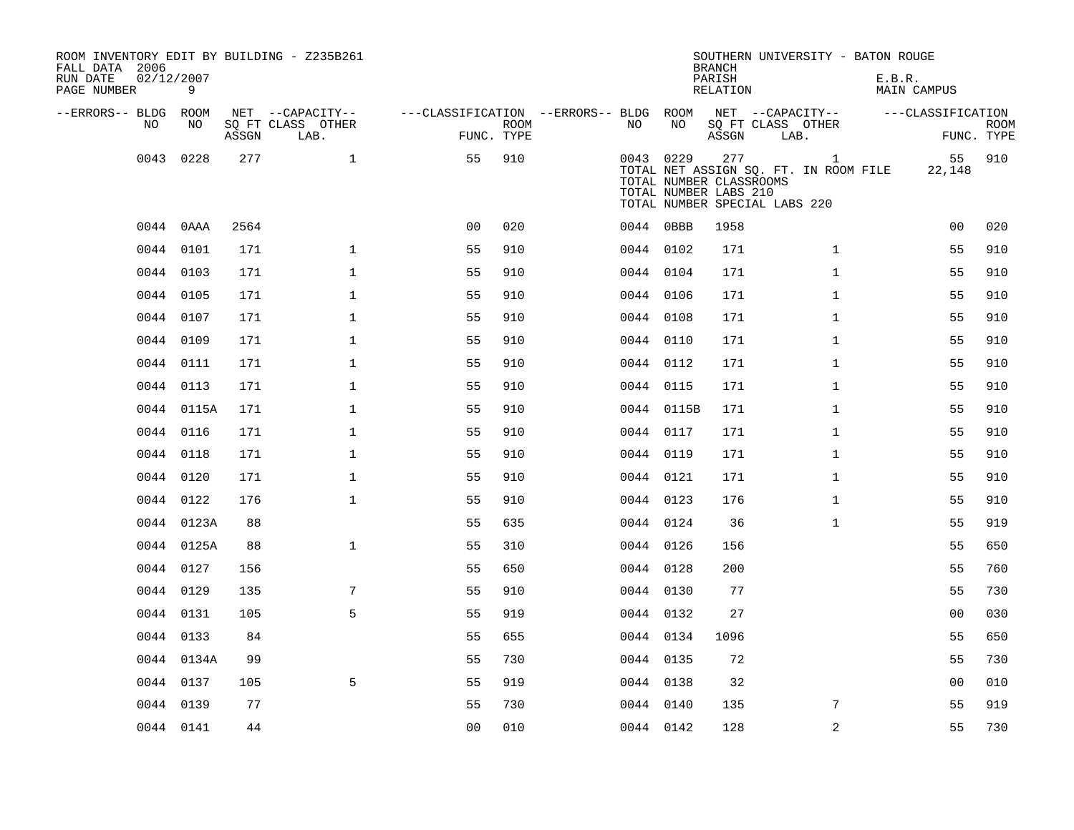| ROOM INVENTORY EDIT BY BUILDING - Z235B261<br>FALL DATA 2006<br>RUN DATE<br>PAGE NUMBER | 02/12/2007<br>9 |       |                           |                                        |             |           |            | <b>BRANCH</b><br>PARISH<br>RELATION                     | SOUTHERN UNIVERSITY - BATON ROUGE                                                      | E.B.R.<br><b>MAIN CAMPUS</b> |                           |
|-----------------------------------------------------------------------------------------|-----------------|-------|---------------------------|----------------------------------------|-------------|-----------|------------|---------------------------------------------------------|----------------------------------------------------------------------------------------|------------------------------|---------------------------|
| --ERRORS-- BLDG ROOM                                                                    |                 |       | NET --CAPACITY--          | ---CLASSIFICATION --ERRORS-- BLDG ROOM |             |           |            |                                                         | NET --CAPACITY--                                                                       | ---CLASSIFICATION            |                           |
| NO                                                                                      | NO              | ASSGN | SQ FT CLASS OTHER<br>LAB. | FUNC. TYPE                             | <b>ROOM</b> | NO.       | NO         | ASSGN                                                   | SQ FT CLASS OTHER<br>LAB.                                                              |                              | <b>ROOM</b><br>FUNC. TYPE |
| 0043                                                                                    | 0228            | 277   | $\mathbf 1$               | 55                                     | 910         |           | 0043 0229  | 277<br>TOTAL NUMBER CLASSROOMS<br>TOTAL NUMBER LABS 210 | $\mathbf{1}$<br>TOTAL NET ASSIGN SQ. FT. IN ROOM FILE<br>TOTAL NUMBER SPECIAL LABS 220 | 55<br>22,148                 | 910                       |
|                                                                                         | 0044 0AAA       | 2564  |                           | 0 <sub>0</sub>                         | 020         |           | 0044 0BBB  | 1958                                                    |                                                                                        | 0 <sub>0</sub>               | 020                       |
| 0044                                                                                    | 0101            | 171   | $\mathbf{1}$              | 55                                     | 910         |           | 0044 0102  | 171                                                     | $\mathbf{1}$                                                                           | 55                           | 910                       |
|                                                                                         | 0044 0103       | 171   | $\mathbf{1}$              | 55                                     | 910         |           | 0044 0104  | 171                                                     | $\mathbf{1}$                                                                           | 55                           | 910                       |
|                                                                                         | 0044 0105       | 171   | $\mathbf{1}$              | 55                                     | 910         |           | 0044 0106  | 171                                                     | $\mathbf{1}$                                                                           | 55                           | 910                       |
|                                                                                         | 0044 0107       | 171   | $\mathbf{1}$              | 55                                     | 910         |           | 0044 0108  | 171                                                     | $\mathbf{1}$                                                                           | 55                           | 910                       |
|                                                                                         | 0044 0109       | 171   | $\mathbf{1}$              | 55                                     | 910         |           | 0044 0110  | 171                                                     | $\mathbf{1}$                                                                           | 55                           | 910                       |
|                                                                                         | 0044 0111       | 171   | $\mathbf{1}$              | 55                                     | 910         |           | 0044 0112  | 171                                                     | $\mathbf{1}$                                                                           | 55                           | 910                       |
|                                                                                         | 0044 0113       | 171   | $\mathbf{1}$              | 55                                     | 910         |           | 0044 0115  | 171                                                     | $\mathbf{1}$                                                                           | 55                           | 910                       |
|                                                                                         | 0044 0115A      | 171   | $\mathbf{1}$              | 55                                     | 910         |           | 0044 0115B | 171                                                     | $\mathbf{1}$                                                                           | 55                           | 910                       |
|                                                                                         | 0044 0116       | 171   | $\mathbf 1$               | 55                                     | 910         |           | 0044 0117  | 171                                                     | $\mathbf{1}$                                                                           | 55                           | 910                       |
|                                                                                         | 0044 0118       | 171   | $\mathbf 1$               | 55                                     | 910         |           | 0044 0119  | 171                                                     | $\mathbf{1}$                                                                           | 55                           | 910                       |
|                                                                                         | 0044 0120       | 171   | $\mathbf 1$               | 55                                     | 910         |           | 0044 0121  | 171                                                     | $\mathbf{1}$                                                                           | 55                           | 910                       |
|                                                                                         | 0044 0122       | 176   | $\mathbf{1}$              | 55                                     | 910         |           | 0044 0123  | 176                                                     | $\mathbf{1}$                                                                           | 55                           | 910                       |
|                                                                                         | 0044 0123A      | 88    |                           | 55                                     | 635         | 0044 0124 |            | 36                                                      | $\mathbf{1}$                                                                           | 55                           | 919                       |
|                                                                                         | 0044 0125A      | 88    | $\mathbf{1}$              | 55                                     | 310         |           | 0044 0126  | 156                                                     |                                                                                        | 55                           | 650                       |
|                                                                                         | 0044 0127       | 156   |                           | 55                                     | 650         | 0044 0128 |            | 200                                                     |                                                                                        | 55                           | 760                       |
|                                                                                         | 0044 0129       | 135   | 7                         | 55                                     | 910         |           | 0044 0130  | 77                                                      |                                                                                        | 55                           | 730                       |
|                                                                                         | 0044 0131       | 105   | 5                         | 55                                     | 919         |           | 0044 0132  | 27                                                      |                                                                                        | 0 <sub>0</sub>               | 030                       |
|                                                                                         | 0044 0133       | 84    |                           | 55                                     | 655         |           | 0044 0134  | 1096                                                    |                                                                                        | 55                           | 650                       |
|                                                                                         | 0044 0134A      | 99    |                           | 55                                     | 730         |           | 0044 0135  | 72                                                      |                                                                                        | 55                           | 730                       |
|                                                                                         | 0044 0137       | 105   | 5                         | 55                                     | 919         |           | 0044 0138  | 32                                                      |                                                                                        | 0 <sub>0</sub>               | 010                       |
|                                                                                         | 0044 0139       | 77    |                           | 55                                     | 730         |           | 0044 0140  | 135                                                     | 7                                                                                      | 55                           | 919                       |
|                                                                                         | 0044 0141       | 44    |                           | 0 <sub>0</sub>                         | 010         |           | 0044 0142  | 128                                                     | 2                                                                                      | 55                           | 730                       |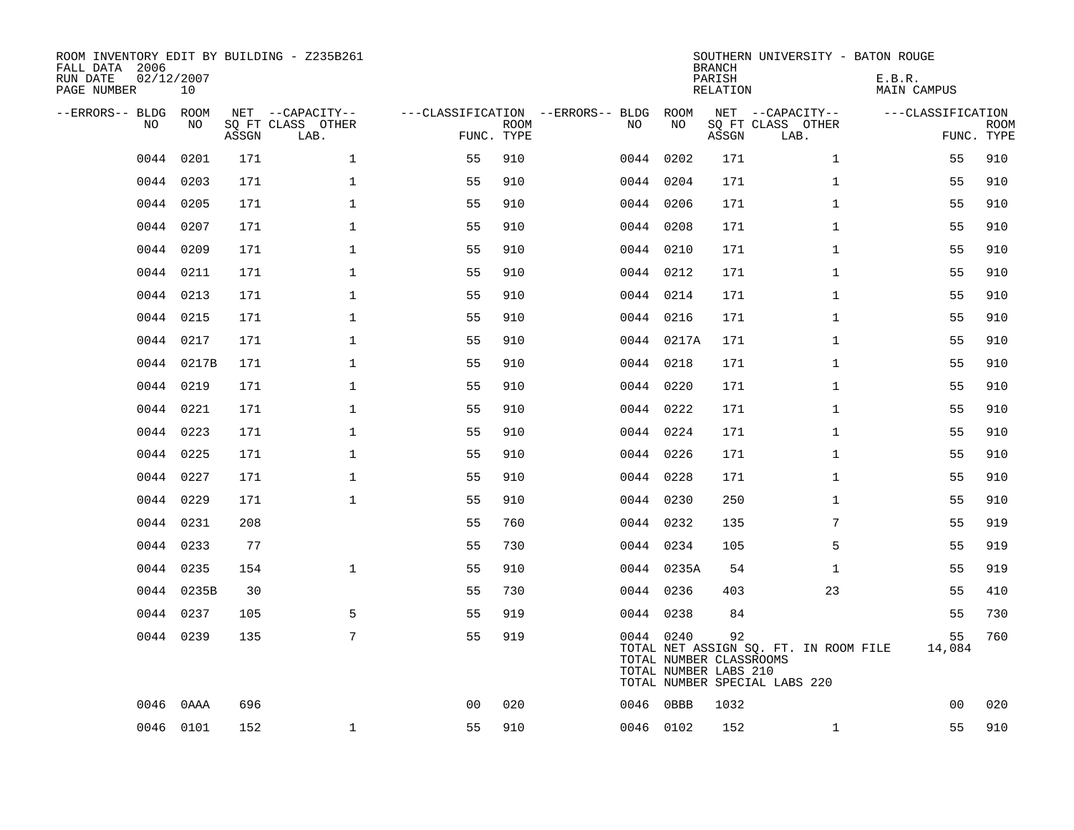| FALL DATA 2006<br>RUN DATE<br>PAGE NUMBER |      | 02/12/2007<br>10 |       | ROOM INVENTORY EDIT BY BUILDING - Z235B261    |                                                      |             |           |            | <b>BRANCH</b><br>PARISH<br>RELATION                    | SOUTHERN UNIVERSITY - BATON ROUGE                                      | E.B.R.<br><b>MAIN CAMPUS</b> |                           |
|-------------------------------------------|------|------------------|-------|-----------------------------------------------|------------------------------------------------------|-------------|-----------|------------|--------------------------------------------------------|------------------------------------------------------------------------|------------------------------|---------------------------|
| --ERRORS-- BLDG                           | NO.  | ROOM<br>NO.      | ASSGN | NET --CAPACITY--<br>SO FT CLASS OTHER<br>LAB. | ---CLASSIFICATION --ERRORS-- BLDG ROOM<br>FUNC. TYPE | <b>ROOM</b> | NO        | NO         | ASSGN                                                  | NET --CAPACITY--<br>SQ FT CLASS OTHER<br>LAB.                          | ---CLASSIFICATION            | <b>ROOM</b><br>FUNC. TYPE |
|                                           | 0044 | 0201             | 171   | $\mathbf{1}$                                  | 55                                                   | 910         | 0044      | 0202       | 171                                                    | $\mathbf{1}$                                                           | 55                           | 910                       |
|                                           | 0044 | 0203             | 171   | $\mathbf{1}$                                  | 55                                                   | 910         | 0044 0204 |            | 171                                                    | $\mathbf{1}$                                                           | 55                           | 910                       |
|                                           | 0044 | 0205             | 171   | $\mathbf{1}$                                  | 55                                                   | 910         | 0044 0206 |            | 171                                                    | $\mathbf{1}$                                                           | 55                           | 910                       |
|                                           |      | 0044 0207        | 171   | $\mathbf{1}$                                  | 55                                                   | 910         | 0044 0208 |            | 171                                                    | $\mathbf{1}$                                                           | 55                           | 910                       |
|                                           | 0044 | 0209             | 171   | $\mathbf{1}$                                  | 55                                                   | 910         | 0044 0210 |            | 171                                                    | $\mathbf{1}$                                                           | 55                           | 910                       |
|                                           |      | 0044 0211        | 171   | $\mathbf{1}$                                  | 55                                                   | 910         | 0044 0212 |            | 171                                                    | $\mathbf{1}$                                                           | 55                           | 910                       |
|                                           |      | 0044 0213        | 171   | $\mathbf{1}$                                  | 55                                                   | 910         | 0044 0214 |            | 171                                                    | $\mathbf{1}$                                                           | 55                           | 910                       |
|                                           |      | 0044 0215        | 171   | $\mathbf 1$                                   | 55                                                   | 910         | 0044 0216 |            | 171                                                    | $\mathbf{1}$                                                           | 55                           | 910                       |
|                                           | 0044 | 0217             | 171   | $\mathbf{1}$                                  | 55                                                   | 910         |           | 0044 0217A | 171                                                    | $\mathbf{1}$                                                           | 55                           | 910                       |
|                                           |      | 0044 0217B       | 171   | $\mathbf 1$                                   | 55                                                   | 910         | 0044 0218 |            | 171                                                    | $\mathbf{1}$                                                           | 55                           | 910                       |
|                                           |      | 0044 0219        | 171   | $\mathbf 1$                                   | 55                                                   | 910         | 0044 0220 |            | 171                                                    | $\mathbf{1}$                                                           | 55                           | 910                       |
|                                           |      | 0044 0221        | 171   | $\mathbf 1$                                   | 55                                                   | 910         |           | 0044 0222  | 171                                                    | $\mathbf{1}$                                                           | 55                           | 910                       |
|                                           | 0044 | 0223             | 171   | $\mathbf 1$                                   | 55                                                   | 910         | 0044 0224 |            | 171                                                    | $\mathbf{1}$                                                           | 55                           | 910                       |
|                                           |      | 0044 0225        | 171   | $\mathbf 1$                                   | 55                                                   | 910         |           | 0044 0226  | 171                                                    | $\mathbf{1}$                                                           | 55                           | 910                       |
|                                           | 0044 | 0227             | 171   | $\mathbf 1$                                   | 55                                                   | 910         | 0044 0228 |            | 171                                                    | $\mathbf{1}$                                                           | 55                           | 910                       |
|                                           | 0044 | 0229             | 171   | $\mathbf{1}$                                  | 55                                                   | 910         | 0044 0230 |            | 250                                                    | $\mathbf{1}$                                                           | 55                           | 910                       |
|                                           | 0044 | 0231             | 208   |                                               | 55                                                   | 760         | 0044 0232 |            | 135                                                    | 7                                                                      | 55                           | 919                       |
|                                           | 0044 | 0233             | 77    |                                               | 55                                                   | 730         |           | 0044 0234  | 105                                                    | 5                                                                      | 55                           | 919                       |
|                                           |      | 0044 0235        | 154   | $\mathbf{1}$                                  | 55                                                   | 910         |           | 0044 0235A | 54                                                     | $\mathbf{1}$                                                           | 55                           | 919                       |
|                                           |      | 0044 0235B       | 30    |                                               | 55                                                   | 730         | 0044 0236 |            | 403                                                    | 23                                                                     | 55                           | 410                       |
|                                           |      | 0044 0237        | 105   | 5                                             | 55                                                   | 919         | 0044 0238 |            | 84                                                     |                                                                        | 55                           | 730                       |
|                                           |      | 0044 0239        | 135   | 7                                             | 55                                                   | 919         |           | 0044 0240  | 92<br>TOTAL NUMBER CLASSROOMS<br>TOTAL NUMBER LABS 210 | TOTAL NET ASSIGN SQ. FT. IN ROOM FILE<br>TOTAL NUMBER SPECIAL LABS 220 | 55<br>14,084                 | 760                       |
|                                           | 0046 | 0AAA             | 696   |                                               | 0 <sub>0</sub>                                       | 020         | 0046      | $0$ BBB    | 1032                                                   |                                                                        | 00                           | 020                       |
|                                           |      | 0046 0101        | 152   | $\mathbf 1$                                   | 55                                                   | 910         | 0046 0102 |            | 152                                                    | $\mathbf{1}$                                                           | 55                           | 910                       |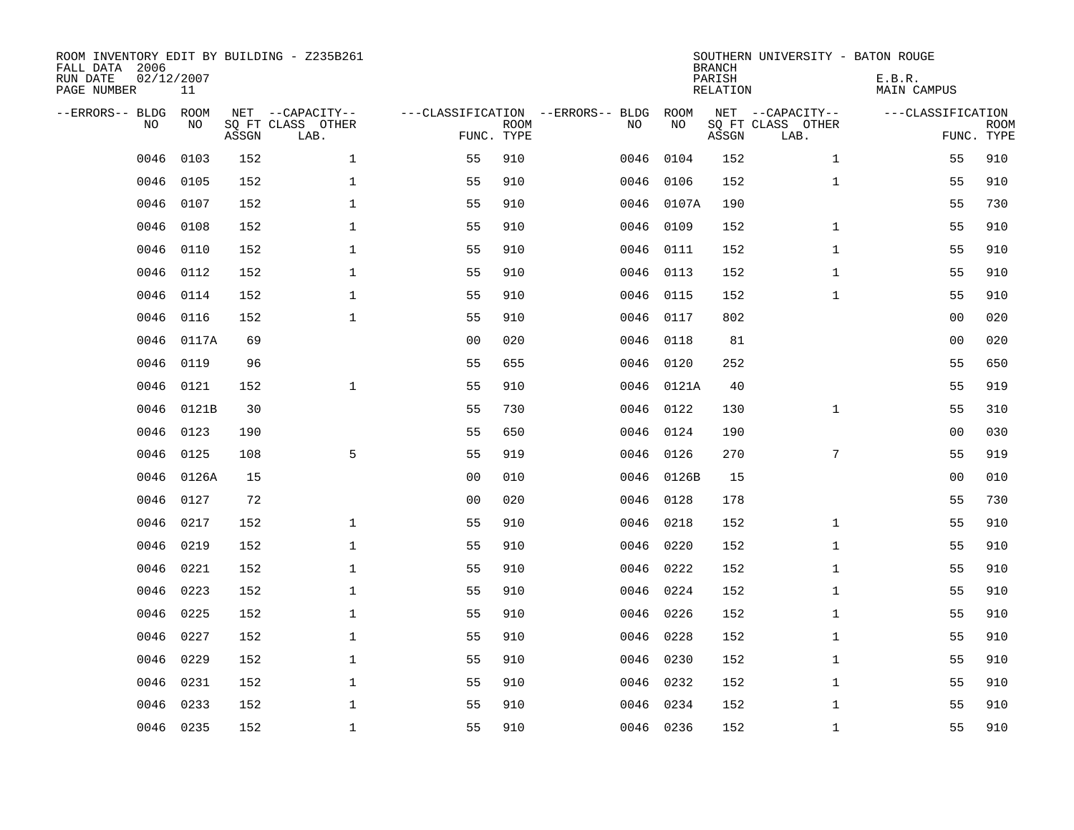| ROOM INVENTORY EDIT BY BUILDING - Z235B261<br>FALL DATA 2006<br>RUN DATE<br>PAGE NUMBER | 02/12/2007<br>11 |       |                                               |                                                 |             |           |            | <b>BRANCH</b><br>PARISH<br><b>RELATION</b> | SOUTHERN UNIVERSITY - BATON ROUGE             | E.B.R.<br><b>MAIN CAMPUS</b> |                           |
|-----------------------------------------------------------------------------------------|------------------|-------|-----------------------------------------------|-------------------------------------------------|-------------|-----------|------------|--------------------------------------------|-----------------------------------------------|------------------------------|---------------------------|
| --ERRORS-- BLDG<br>NO                                                                   | ROOM<br>NO       | ASSGN | NET --CAPACITY--<br>SQ FT CLASS OTHER<br>LAB. | ---CLASSIFICATION --ERRORS-- BLDG<br>FUNC. TYPE | <b>ROOM</b> | NO        | ROOM<br>NO | ASSGN                                      | NET --CAPACITY--<br>SQ FT CLASS OTHER<br>LAB. | ---CLASSIFICATION            | <b>ROOM</b><br>FUNC. TYPE |
| 0046                                                                                    | 0103             | 152   | $\mathbf{1}$                                  | 55                                              | 910         | 0046      | 0104       | 152                                        | $\mathbf{1}$                                  | 55                           | 910                       |
| 0046                                                                                    | 0105             | 152   | $\mathbf{1}$                                  | 55                                              | 910         | 0046      | 0106       | 152                                        | $\mathbf{1}$                                  | 55                           | 910                       |
| 0046                                                                                    | 0107             | 152   | $\mathbf{1}$                                  | 55                                              | 910         | 0046      | 0107A      | 190                                        |                                               | 55                           | 730                       |
| 0046                                                                                    | 0108             | 152   | $\mathbf 1$                                   | 55                                              | 910         |           | 0046 0109  | 152                                        | $\mathbf{1}$                                  | 55                           | 910                       |
| 0046                                                                                    | 0110             | 152   | $\mathbf{1}$                                  | 55                                              | 910         | 0046      | 0111       | 152                                        | $\mathbf{1}$                                  | 55                           | 910                       |
| 0046                                                                                    | 0112             | 152   | $\mathbf 1$                                   | 55                                              | 910         |           | 0046 0113  | 152                                        | $\mathbf{1}$                                  | 55                           | 910                       |
| 0046                                                                                    | 0114             | 152   | $\mathbf{1}$                                  | 55                                              | 910         | 0046      | 0115       | 152                                        | $\mathbf{1}$                                  | 55                           | 910                       |
| 0046                                                                                    | 0116             | 152   | $\mathbf{1}$                                  | 55                                              | 910         |           | 0046 0117  | 802                                        |                                               | 00                           | 020                       |
| 0046                                                                                    | 0117A            | 69    |                                               | 0 <sub>0</sub>                                  | 020         | 0046      | 0118       | 81                                         |                                               | 00                           | 020                       |
| 0046                                                                                    | 0119             | 96    |                                               | 55                                              | 655         | 0046      | 0120       | 252                                        |                                               | 55                           | 650                       |
| 0046                                                                                    | 0121             | 152   | $\mathbf{1}$                                  | 55                                              | 910         | 0046      | 0121A      | 40                                         |                                               | 55                           | 919                       |
| 0046                                                                                    | 0121B            | 30    |                                               | 55                                              | 730         |           | 0046 0122  | 130                                        | $\mathbf{1}$                                  | 55                           | 310                       |
| 0046                                                                                    | 0123             | 190   |                                               | 55                                              | 650         | 0046      | 0124       | 190                                        |                                               | 0 <sub>0</sub>               | 030                       |
| 0046                                                                                    | 0125             | 108   | 5                                             | 55                                              | 919         | 0046      | 0126       | 270                                        | $7\phantom{.0}$                               | 55                           | 919                       |
| 0046                                                                                    | 0126A            | 15    |                                               | 0 <sub>0</sub>                                  | 010         |           | 0046 0126B | 15                                         |                                               | 00                           | 010                       |
| 0046                                                                                    | 0127             | 72    |                                               | 0 <sub>0</sub>                                  | 020         | 0046 0128 |            | 178                                        |                                               | 55                           | 730                       |
| 0046                                                                                    | 0217             | 152   | $\mathbf{1}$                                  | 55                                              | 910         | 0046 0218 |            | 152                                        | $\mathbf{1}$                                  | 55                           | 910                       |
| 0046                                                                                    | 0219             | 152   | $\mathbf{1}$                                  | 55                                              | 910         | 0046      | 0220       | 152                                        | $\mathbf{1}$                                  | 55                           | 910                       |
| 0046                                                                                    | 0221             | 152   | $\mathbf{1}$                                  | 55                                              | 910         | 0046 0222 |            | 152                                        | $\mathbf{1}$                                  | 55                           | 910                       |
| 0046                                                                                    | 0223             | 152   | $\mathbf{1}$                                  | 55                                              | 910         | 0046      | 0224       | 152                                        | $\mathbf{1}$                                  | 55                           | 910                       |
| 0046                                                                                    | 0225             | 152   | $\mathbf 1$                                   | 55                                              | 910         |           | 0046 0226  | 152                                        | $\mathbf{1}$                                  | 55                           | 910                       |
| 0046                                                                                    | 0227             | 152   | $\mathbf 1$                                   | 55                                              | 910         | 0046      | 0228       | 152                                        | $\mathbf{1}$                                  | 55                           | 910                       |
| 0046                                                                                    | 0229             | 152   | 1                                             | 55                                              | 910         | 0046 0230 |            | 152                                        | $\mathbf{1}$                                  | 55                           | 910                       |
| 0046                                                                                    | 0231             | 152   | $\mathbf 1$                                   | 55                                              | 910         | 0046      | 0232       | 152                                        | $\mathbf{1}$                                  | 55                           | 910                       |
| 0046                                                                                    | 0233             | 152   | $\mathbf 1$                                   | 55                                              | 910         | 0046      | 0234       | 152                                        | $\mathbf{1}$                                  | 55                           | 910                       |
|                                                                                         | 0046 0235        | 152   | $\mathbf{1}$                                  | 55                                              | 910         | 0046 0236 |            | 152                                        | $\mathbf{1}$                                  | 55                           | 910                       |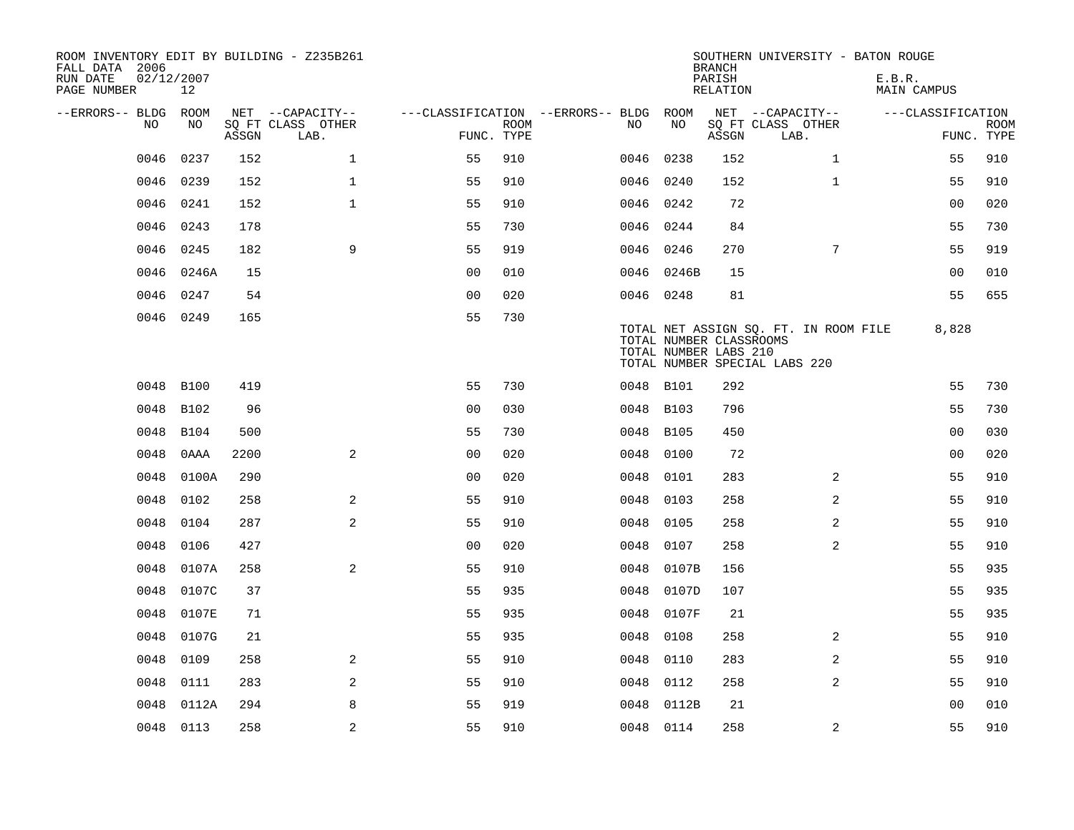| ROOM INVENTORY EDIT BY BUILDING - Z235B261<br>FALL DATA 2006<br>RUN DATE | 02/12/2007  |       |                           |                |             |                                        |           |             | <b>BRANCH</b><br>PARISH                          | SOUTHERN UNIVERSITY - BATON ROUGE                                      | E.B.R.            |                           |
|--------------------------------------------------------------------------|-------------|-------|---------------------------|----------------|-------------|----------------------------------------|-----------|-------------|--------------------------------------------------|------------------------------------------------------------------------|-------------------|---------------------------|
| PAGE NUMBER                                                              | 12          |       |                           |                |             |                                        |           |             | RELATION                                         |                                                                        | MAIN CAMPUS       |                           |
| --ERRORS-- BLDG ROOM                                                     |             |       | NET --CAPACITY--          |                |             | ---CLASSIFICATION --ERRORS-- BLDG ROOM |           |             |                                                  | NET --CAPACITY--                                                       | ---CLASSIFICATION |                           |
| NO                                                                       | NO          | ASSGN | SQ FT CLASS OTHER<br>LAB. | FUNC. TYPE     | <b>ROOM</b> |                                        | NO.       | NO          | ASSGN                                            | SQ FT CLASS OTHER<br>LAB.                                              |                   | <b>ROOM</b><br>FUNC. TYPE |
| 0046                                                                     | 0237        | 152   | $\mathbf 1$               | 55             | 910         |                                        | 0046      | 0238        | 152                                              | $\mathbf{1}$                                                           | 55                | 910                       |
| 0046                                                                     | 0239        | 152   | $\mathbf{1}$              | 55             | 910         |                                        | 0046 0240 |             | 152                                              | $\mathbf{1}$                                                           | 55                | 910                       |
| 0046                                                                     | 0241        | 152   | $\mathbf{1}$              | 55             | 910         |                                        | 0046 0242 |             | 72                                               |                                                                        | 0 <sub>0</sub>    | 020                       |
| 0046                                                                     | 0243        | 178   |                           | 55             | 730         |                                        | 0046 0244 |             | 84                                               |                                                                        | 55                | 730                       |
| 0046                                                                     | 0245        | 182   | 9                         | 55             | 919         |                                        | 0046      | 0246        | 270                                              | 7                                                                      | 55                | 919                       |
| 0046                                                                     | 0246A       | 15    |                           | 0 <sub>0</sub> | 010         |                                        |           | 0046 0246B  | 15                                               |                                                                        | 0 <sub>0</sub>    | 010                       |
| 0046                                                                     | 0247        | 54    |                           | 0 <sub>0</sub> | 020         |                                        | 0046 0248 |             | 81                                               |                                                                        | 55                | 655                       |
|                                                                          | 0046 0249   | 165   |                           | 55             | 730         |                                        |           |             | TOTAL NUMBER CLASSROOMS<br>TOTAL NUMBER LABS 210 | TOTAL NET ASSIGN SQ. FT. IN ROOM FILE<br>TOTAL NUMBER SPECIAL LABS 220 | 8,828             |                           |
| 0048                                                                     | <b>B100</b> | 419   |                           | 55             | 730         |                                        | 0048 B101 |             | 292                                              |                                                                        | 55                | 730                       |
|                                                                          | 0048 B102   | 96    |                           | 0 <sub>0</sub> | 030         |                                        | 0048 B103 |             | 796                                              |                                                                        | 55                | 730                       |
| 0048                                                                     | <b>B104</b> | 500   |                           | 55             | 730         |                                        | 0048      | <b>B105</b> | 450                                              |                                                                        | 0 <sub>0</sub>    | 030                       |
| 0048                                                                     | 0AAA        | 2200  | 2                         | 00             | 020         |                                        | 0048      | 0100        | 72                                               |                                                                        | 00                | 020                       |
| 0048                                                                     | 0100A       | 290   |                           | 0 <sub>0</sub> | 020         |                                        | 0048      | 0101        | 283                                              | 2                                                                      | 55                | 910                       |
| 0048                                                                     | 0102        | 258   | 2                         | 55             | 910         |                                        | 0048      | 0103        | 258                                              | 2                                                                      | 55                | 910                       |
| 0048                                                                     | 0104        | 287   | 2                         | 55             | 910         |                                        | 0048      | 0105        | 258                                              | $\overline{a}$                                                         | 55                | 910                       |
| 0048                                                                     | 0106        | 427   |                           | 0 <sub>0</sub> | 020         |                                        | 0048      | 0107        | 258                                              | 2                                                                      | 55                | 910                       |
| 0048                                                                     | 0107A       | 258   | 2                         | 55             | 910         |                                        | 0048      | 0107B       | 156                                              |                                                                        | 55                | 935                       |
| 0048                                                                     | 0107C       | 37    |                           | 55             | 935         |                                        | 0048      | 0107D       | 107                                              |                                                                        | 55                | 935                       |
| 0048                                                                     | 0107E       | 71    |                           | 55             | 935         |                                        | 0048      | 0107F       | 21                                               |                                                                        | 55                | 935                       |
| 0048                                                                     | 0107G       | 21    |                           | 55             | 935         |                                        | 0048      | 0108        | 258                                              | $\overline{2}$                                                         | 55                | 910                       |
| 0048                                                                     | 0109        | 258   | 2                         | 55             | 910         |                                        | 0048      | 0110        | 283                                              | $\overline{a}$                                                         | 55                | 910                       |
| 0048                                                                     | 0111        | 283   | 2                         | 55             | 910         |                                        | 0048      | 0112        | 258                                              | $\overline{a}$                                                         | 55                | 910                       |
| 0048                                                                     | 0112A       | 294   | 8                         | 55             | 919         |                                        | 0048      | 0112B       | 21                                               |                                                                        | 0 <sub>0</sub>    | 010                       |
|                                                                          | 0048 0113   | 258   | 2                         | 55             | 910         |                                        | 0048 0114 |             | 258                                              | 2                                                                      | 55                | 910                       |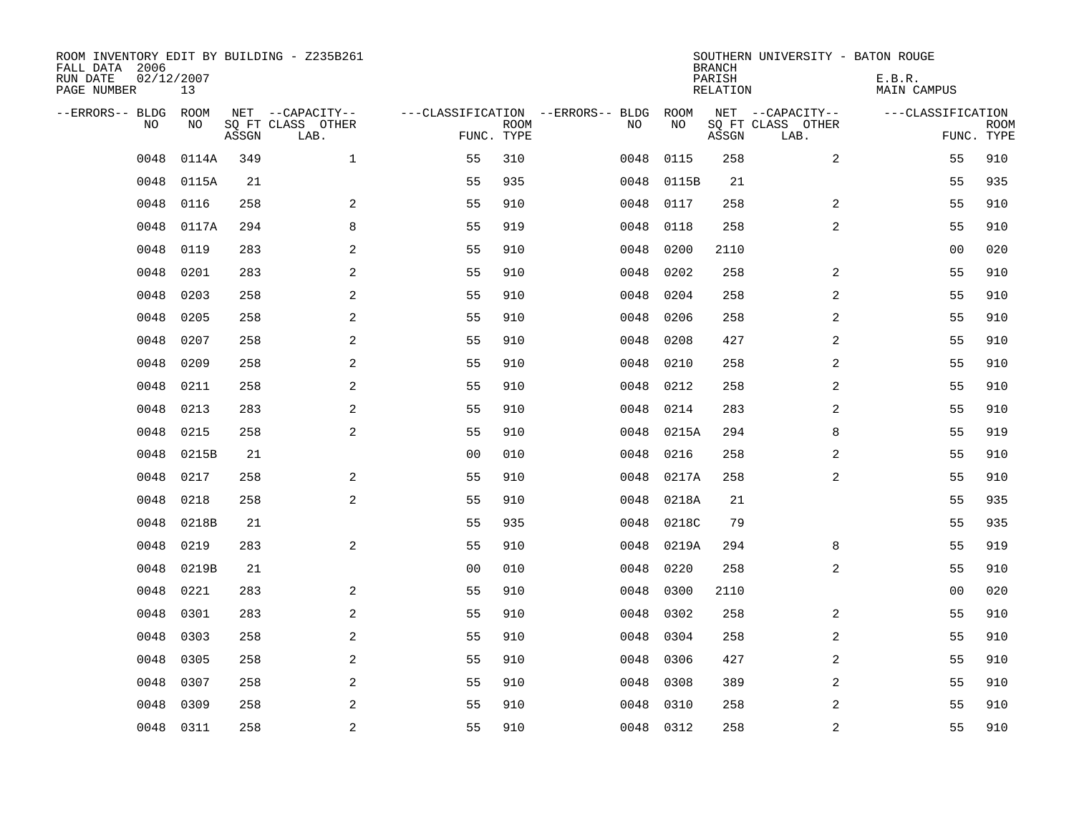| ROOM INVENTORY EDIT BY BUILDING - Z235B261<br>FALL DATA 2006<br>RUN DATE<br>PAGE NUMBER | 02/12/2007<br>13 |       |                           |                |             |                                   |           | <b>BRANCH</b><br>PARISH<br>RELATION | SOUTHERN UNIVERSITY - BATON ROUGE | E.B.R.<br><b>MAIN CAMPUS</b> |                           |
|-----------------------------------------------------------------------------------------|------------------|-------|---------------------------|----------------|-------------|-----------------------------------|-----------|-------------------------------------|-----------------------------------|------------------------------|---------------------------|
| --ERRORS-- BLDG                                                                         | ROOM             |       | NET --CAPACITY--          |                |             | ---CLASSIFICATION --ERRORS-- BLDG | ROOM      |                                     | NET --CAPACITY--                  | ---CLASSIFICATION            |                           |
| N <sub>O</sub>                                                                          | NO.              | ASSGN | SO FT CLASS OTHER<br>LAB. | FUNC. TYPE     | <b>ROOM</b> | NO.                               | NO        | ASSGN                               | SQ FT CLASS OTHER<br>LAB.         |                              | <b>ROOM</b><br>FUNC. TYPE |
| 0048                                                                                    | 0114A            | 349   | $\mathbf{1}$              | 55             | 310         | 0048                              | 0115      | 258                                 | $\overline{a}$                    | 55                           | 910                       |
| 0048                                                                                    | 0115A            | 21    |                           | 55             | 935         | 0048                              | 0115B     | 21                                  |                                   | 55                           | 935                       |
| 0048                                                                                    | 0116             | 258   | 2                         | 55             | 910         | 0048                              | 0117      | 258                                 | $\overline{2}$                    | 55                           | 910                       |
| 0048                                                                                    | 0117A            | 294   | 8                         | 55             | 919         | 0048                              | 0118      | 258                                 | $\overline{a}$                    | 55                           | 910                       |
| 0048                                                                                    | 0119             | 283   | 2                         | 55             | 910         | 0048                              | 0200      | 2110                                |                                   | 00                           | 020                       |
| 0048                                                                                    | 0201             | 283   | $\overline{a}$            | 55             | 910         | 0048                              | 0202      | 258                                 | 2                                 | 55                           | 910                       |
| 0048                                                                                    | 0203             | 258   | $\overline{a}$            | 55             | 910         | 0048                              | 0204      | 258                                 | $\overline{a}$                    | 55                           | 910                       |
| 0048                                                                                    | 0205             | 258   | 2                         | 55             | 910         | 0048                              | 0206      | 258                                 | $\overline{a}$                    | 55                           | 910                       |
| 0048                                                                                    | 0207             | 258   | 2                         | 55             | 910         | 0048                              | 0208      | 427                                 | $\overline{a}$                    | 55                           | 910                       |
| 0048                                                                                    | 0209             | 258   | 2                         | 55             | 910         | 0048                              | 0210      | 258                                 | 2                                 | 55                           | 910                       |
| 0048                                                                                    | 0211             | 258   | 2                         | 55             | 910         | 0048                              | 0212      | 258                                 | 2                                 | 55                           | 910                       |
| 0048                                                                                    | 0213             | 283   | 2                         | 55             | 910         | 0048                              | 0214      | 283                                 | 2                                 | 55                           | 910                       |
| 0048                                                                                    | 0215             | 258   | 2                         | 55             | 910         | 0048                              | 0215A     | 294                                 | 8                                 | 55                           | 919                       |
| 0048                                                                                    | 0215B            | 21    |                           | 0 <sub>0</sub> | 010         | 0048                              | 0216      | 258                                 | $\overline{a}$                    | 55                           | 910                       |
| 0048                                                                                    | 0217             | 258   | 2                         | 55             | 910         | 0048                              | 0217A     | 258                                 | 2                                 | 55                           | 910                       |
| 0048                                                                                    | 0218             | 258   | $\sqrt{2}$                | 55             | 910         | 0048                              | 0218A     | 21                                  |                                   | 55                           | 935                       |
| 0048                                                                                    | 0218B            | 21    |                           | 55             | 935         | 0048                              | 0218C     | 79                                  |                                   | 55                           | 935                       |
| 0048                                                                                    | 0219             | 283   | 2                         | 55             | 910         | 0048                              | 0219A     | 294                                 | 8                                 | 55                           | 919                       |
| 0048                                                                                    | 0219B            | 21    |                           | 0 <sub>0</sub> | 010         | 0048                              | 0220      | 258                                 | 2                                 | 55                           | 910                       |
| 0048                                                                                    | 0221             | 283   | 2                         | 55             | 910         | 0048                              | 0300      | 2110                                |                                   | 0 <sub>0</sub>               | 020                       |
| 0048                                                                                    | 0301             | 283   | $\overline{a}$            | 55             | 910         | 0048                              | 0302      | 258                                 | 2                                 | 55                           | 910                       |
| 0048                                                                                    | 0303             | 258   | 2                         | 55             | 910         | 0048                              | 0304      | 258                                 | 2                                 | 55                           | 910                       |
| 0048                                                                                    | 0305             | 258   | 2                         | 55             | 910         | 0048                              | 0306      | 427                                 | 2                                 | 55                           | 910                       |
| 0048                                                                                    | 0307             | 258   | 2                         | 55             | 910         | 0048                              | 0308      | 389                                 | $\overline{a}$                    | 55                           | 910                       |
| 0048                                                                                    | 0309             | 258   | 2                         | 55             | 910         | 0048                              | 0310      | 258                                 | 2                                 | 55                           | 910                       |
| 0048                                                                                    | 0311             | 258   | $\overline{c}$            | 55             | 910         |                                   | 0048 0312 | 258                                 | $\overline{\mathbf{c}}$           | 55                           | 910                       |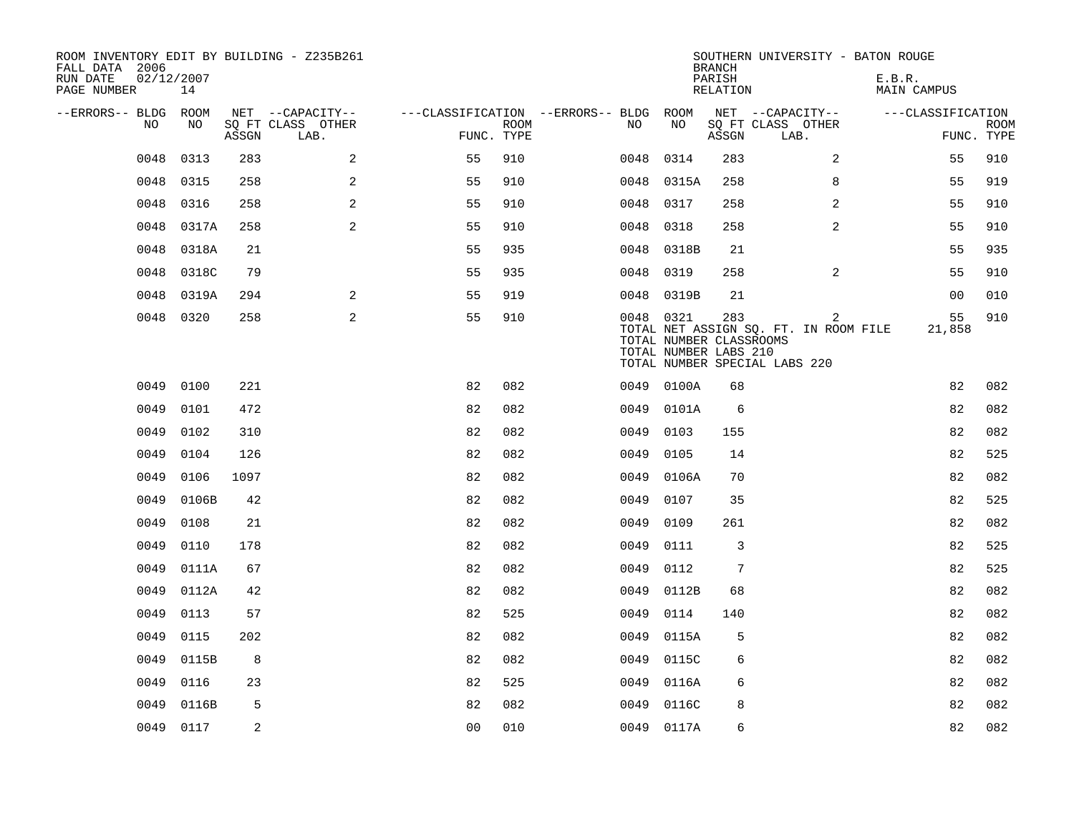| ROOM INVENTORY EDIT BY BUILDING - Z235B261<br>FALL DATA 2006<br>02/12/2007<br>RUN DATE |           |       |                           |                                        |      |           |            | <b>BRANCH</b><br>PARISH                                 | SOUTHERN UNIVERSITY - BATON ROUGE                                           | E.B.R.            |                           |
|----------------------------------------------------------------------------------------|-----------|-------|---------------------------|----------------------------------------|------|-----------|------------|---------------------------------------------------------|-----------------------------------------------------------------------------|-------------------|---------------------------|
| PAGE NUMBER                                                                            | 14        |       |                           |                                        |      |           |            | RELATION                                                |                                                                             | MAIN CAMPUS       |                           |
| --ERRORS-- BLDG ROOM                                                                   |           |       | NET --CAPACITY--          | ---CLASSIFICATION --ERRORS-- BLDG ROOM |      |           |            |                                                         | NET --CAPACITY--                                                            | ---CLASSIFICATION |                           |
| NO                                                                                     | NO        | ASSGN | SQ FT CLASS OTHER<br>LAB. | FUNC. TYPE                             | ROOM | NO.       | NO         | ASSGN                                                   | SQ FT CLASS OTHER<br>LAB.                                                   |                   | <b>ROOM</b><br>FUNC. TYPE |
| 0048                                                                                   | 0313      | 283   | 2                         | 55                                     | 910  | 0048      | 0314       | 283                                                     | 2                                                                           | 55                | 910                       |
| 0048                                                                                   | 0315      | 258   | 2                         | 55                                     | 910  |           | 0048 0315A | 258                                                     | 8                                                                           | 55                | 919                       |
| 0048                                                                                   | 0316      | 258   | 2                         | 55                                     | 910  | 0048      | 0317       | 258                                                     | $\overline{2}$                                                              | 55                | 910                       |
| 0048                                                                                   | 0317A     | 258   | 2                         | 55                                     | 910  | 0048 0318 |            | 258                                                     | $\overline{a}$                                                              | 55                | 910                       |
| 0048                                                                                   | 0318A     | 21    |                           | 55                                     | 935  | 0048      | 0318B      | 21                                                      |                                                                             | 55                | 935                       |
| 0048                                                                                   | 0318C     | 79    |                           | 55                                     | 935  | 0048 0319 |            | 258                                                     | 2                                                                           | 55                | 910                       |
| 0048                                                                                   | 0319A     | 294   | 2                         | 55                                     | 919  |           | 0048 0319B | 21                                                      |                                                                             | 0 <sub>0</sub>    | 010                       |
|                                                                                        | 0048 0320 | 258   | $\overline{a}$            | 55                                     | 910  | 0048 0321 |            | 283<br>TOTAL NUMBER CLASSROOMS<br>TOTAL NUMBER LABS 210 | 2<br>TOTAL NET ASSIGN SQ. FT. IN ROOM FILE<br>TOTAL NUMBER SPECIAL LABS 220 | 55<br>21,858      | 910                       |
| 0049                                                                                   | 0100      | 221   |                           | 82                                     | 082  |           | 0049 0100A | 68                                                      |                                                                             | 82                | 082                       |
| 0049                                                                                   | 0101      | 472   |                           | 82                                     | 082  |           | 0049 0101A | 6                                                       |                                                                             | 82                | 082                       |
| 0049                                                                                   | 0102      | 310   |                           | 82                                     | 082  | 0049      | 0103       | 155                                                     |                                                                             | 82                | 082                       |
| 0049                                                                                   | 0104      | 126   |                           | 82                                     | 082  | 0049      | 0105       | 14                                                      |                                                                             | 82                | 525                       |
| 0049                                                                                   | 0106      | 1097  |                           | 82                                     | 082  | 0049      | 0106A      | 70                                                      |                                                                             | 82                | 082                       |
| 0049                                                                                   | 0106B     | 42    |                           | 82                                     | 082  | 0049      | 0107       | 35                                                      |                                                                             | 82                | 525                       |
| 0049                                                                                   | 0108      | 21    |                           | 82                                     | 082  | 0049      | 0109       | 261                                                     |                                                                             | 82                | 082                       |
| 0049                                                                                   | 0110      | 178   |                           | 82                                     | 082  | 0049      | 0111       | 3                                                       |                                                                             | 82                | 525                       |
| 0049                                                                                   | 0111A     | 67    |                           | 82                                     | 082  | 0049 0112 |            | 7                                                       |                                                                             | 82                | 525                       |
| 0049                                                                                   | 0112A     | 42    |                           | 82                                     | 082  |           | 0049 0112B | 68                                                      |                                                                             | 82                | 082                       |
| 0049                                                                                   | 0113      | 57    |                           | 82                                     | 525  | 0049      | 0114       | 140                                                     |                                                                             | 82                | 082                       |
| 0049                                                                                   | 0115      | 202   |                           | 82                                     | 082  | 0049      | 0115A      | 5                                                       |                                                                             | 82                | 082                       |
| 0049                                                                                   | 0115B     | 8     |                           | 82                                     | 082  |           | 0049 0115C | 6                                                       |                                                                             | 82                | 082                       |
| 0049                                                                                   | 0116      | 23    |                           | 82                                     | 525  | 0049      | 0116A      | 6                                                       |                                                                             | 82                | 082                       |
| 0049                                                                                   | 0116B     | 5     |                           | 82                                     | 082  | 0049      | 0116C      | 8                                                       |                                                                             | 82                | 082                       |
|                                                                                        | 0049 0117 | 2     |                           | 0 <sub>0</sub>                         | 010  |           | 0049 0117A | 6                                                       |                                                                             | 82                | 082                       |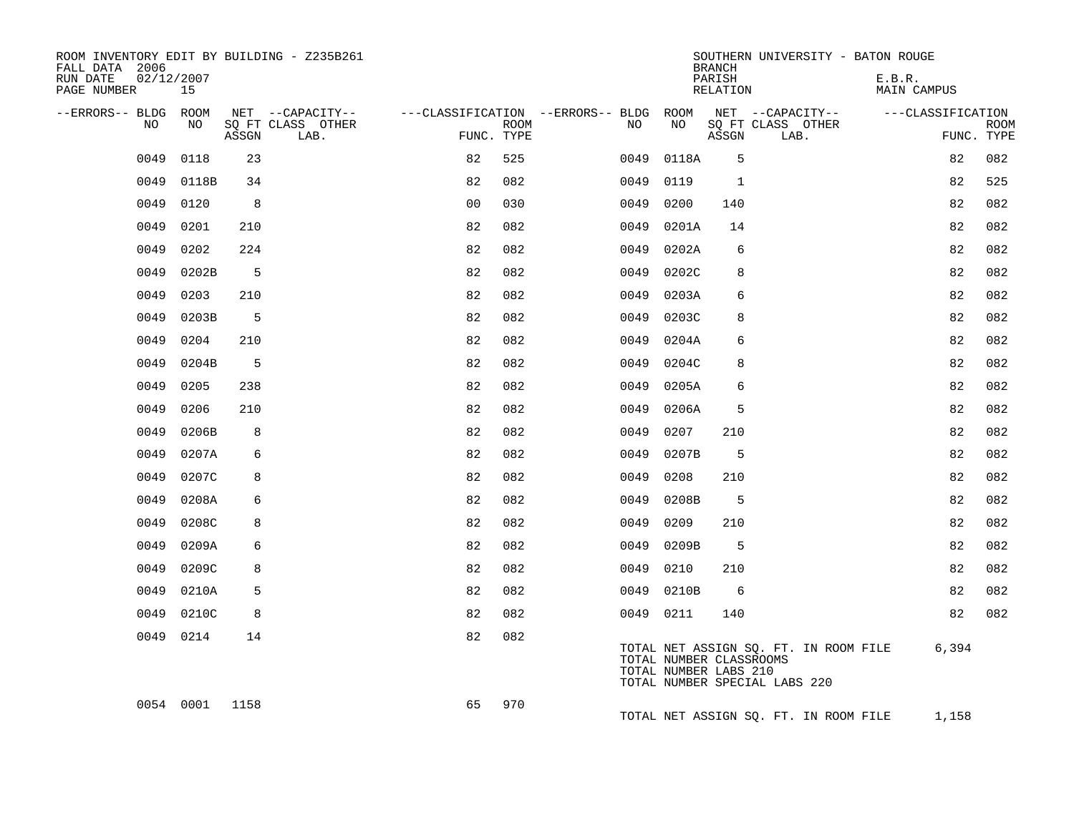| ROOM INVENTORY EDIT BY BUILDING - Z235B261<br>FALL DATA 2006 |                  |       |                           |                |      |                                                         |            | SOUTHERN UNIVERSITY - BATON ROUGE<br><b>BRANCH</b>                                                                         |      |                       |                           |
|--------------------------------------------------------------|------------------|-------|---------------------------|----------------|------|---------------------------------------------------------|------------|----------------------------------------------------------------------------------------------------------------------------|------|-----------------------|---------------------------|
| RUN DATE<br>PAGE NUMBER                                      | 02/12/2007<br>15 |       |                           |                |      |                                                         |            | PARISH<br>RELATION                                                                                                         |      | E.B.R.<br>MAIN CAMPUS |                           |
| --ERRORS-- BLDG ROOM                                         |                  |       | NET --CAPACITY--          |                |      | ---CLASSIFICATION --ERRORS-- BLDG ROOM NET --CAPACITY-- |            |                                                                                                                            |      | ---CLASSIFICATION     |                           |
| NO                                                           | NO               | ASSGN | SQ FT CLASS OTHER<br>LAB. | FUNC. TYPE     | ROOM | NO                                                      | NO         | SQ FT CLASS OTHER<br>ASSGN                                                                                                 | LAB. |                       | <b>ROOM</b><br>FUNC. TYPE |
| 0049                                                         | 0118             | 23    |                           | 82             | 525  | 0049                                                    | 0118A      | 5                                                                                                                          |      | 82                    | 082                       |
| 0049                                                         | 0118B            | 34    |                           | 82             | 082  | 0049                                                    | 0119       | 1                                                                                                                          |      | 82                    | 525                       |
| 0049                                                         | 0120             | 8     |                           | 0 <sub>0</sub> | 030  | 0049                                                    | 0200       | 140                                                                                                                        |      | 82                    | 082                       |
| 0049                                                         | 0201             | 210   |                           | 82             | 082  | 0049                                                    | 0201A      | 14                                                                                                                         |      | 82                    | 082                       |
| 0049                                                         | 0202             | 224   |                           | 82             | 082  | 0049                                                    | 0202A      | 6                                                                                                                          |      | 82                    | 082                       |
| 0049                                                         | 0202B            | 5     |                           | 82             | 082  | 0049                                                    | 0202C      | 8                                                                                                                          |      | 82                    | 082                       |
| 0049                                                         | 0203             | 210   |                           | 82             | 082  | 0049                                                    | 0203A      | 6                                                                                                                          |      | 82                    | 082                       |
| 0049                                                         | 0203B            | 5     |                           | 82             | 082  | 0049                                                    | 0203C      | 8                                                                                                                          |      | 82                    | 082                       |
| 0049                                                         | 0204             | 210   |                           | 82             | 082  | 0049                                                    | 0204A      | 6                                                                                                                          |      | 82                    | 082                       |
| 0049                                                         | 0204B            | 5     |                           | 82             | 082  | 0049                                                    | 0204C      | 8                                                                                                                          |      | 82                    | 082                       |
| 0049                                                         | 0205             | 238   |                           | 82             | 082  | 0049                                                    | 0205A      | 6                                                                                                                          |      | 82                    | 082                       |
| 0049                                                         | 0206             | 210   |                           | 82             | 082  | 0049                                                    | 0206A      | 5                                                                                                                          |      | 82                    | 082                       |
| 0049                                                         | 0206B            | 8     |                           | 82             | 082  | 0049                                                    | 0207       | 210                                                                                                                        |      | 82                    | 082                       |
| 0049                                                         | 0207A            | 6     |                           | 82             | 082  | 0049                                                    | 0207B      | 5                                                                                                                          |      | 82                    | 082                       |
| 0049                                                         | 0207C            | 8     |                           | 82             | 082  | 0049                                                    | 0208       | 210                                                                                                                        |      | 82                    | 082                       |
| 0049                                                         | 0208A            | 6     |                           | 82             | 082  | 0049                                                    | 0208B      | 5                                                                                                                          |      | 82                    | 082                       |
| 0049                                                         | 0208C            | 8     |                           | 82             | 082  | 0049                                                    | 0209       | 210                                                                                                                        |      | 82                    | 082                       |
| 0049                                                         | 0209A            | 6     |                           | 82             | 082  | 0049                                                    | 0209B      | 5                                                                                                                          |      | 82                    | 082                       |
| 0049                                                         | 0209C            | 8     |                           | 82             | 082  | 0049                                                    | 0210       | 210                                                                                                                        |      | 82                    | 082                       |
| 0049                                                         | 0210A            | 5     |                           | 82             | 082  |                                                         | 0049 0210B | 6                                                                                                                          |      | 82                    | 082                       |
| 0049                                                         | 0210C            | 8     |                           | 82             | 082  |                                                         | 0049 0211  | 140                                                                                                                        |      | 82                    | 082                       |
|                                                              | 0049 0214        | 14    |                           | 82             | 082  |                                                         |            | TOTAL NET ASSIGN SQ. FT. IN ROOM FILE<br>TOTAL NUMBER CLASSROOMS<br>TOTAL NUMBER LABS 210<br>TOTAL NUMBER SPECIAL LABS 220 |      | 6,394                 |                           |
|                                                              | 0054 0001 1158   |       |                           | 65             | 970  |                                                         |            | TOTAL NET ASSIGN SQ. FT. IN ROOM FILE                                                                                      |      | 1,158                 |                           |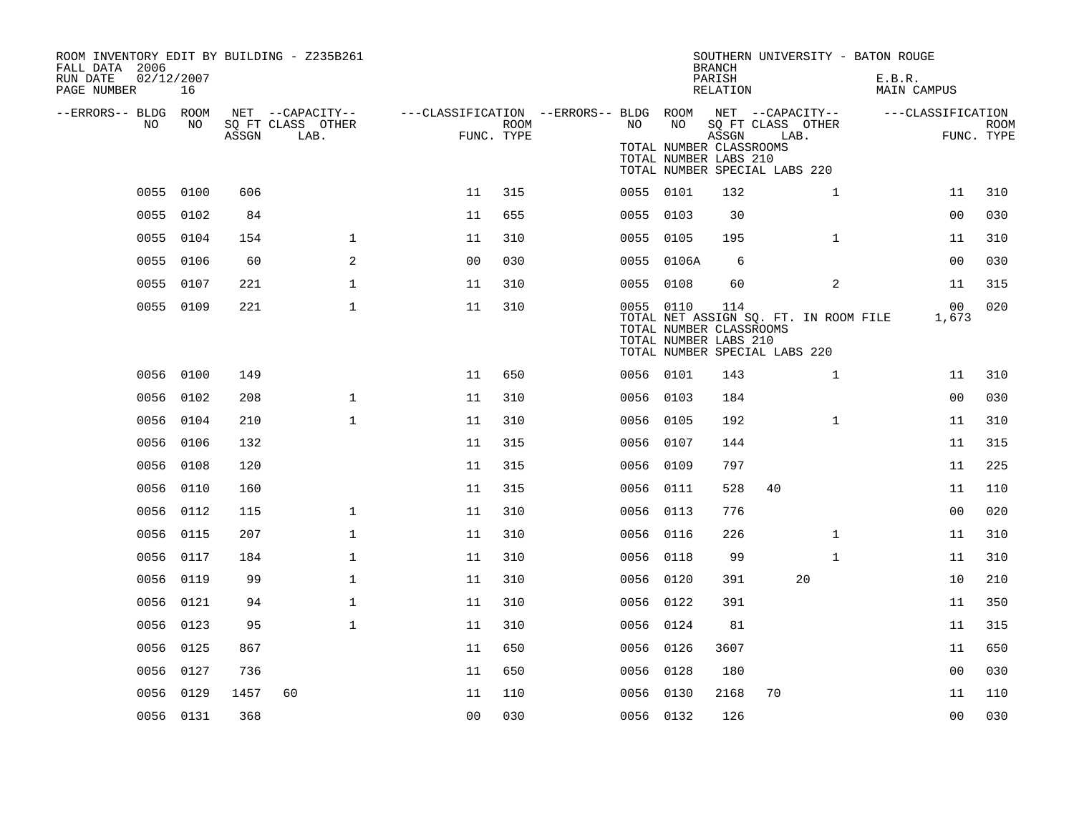| ROOM INVENTORY EDIT BY BUILDING - Z235B261<br>FALL DATA 2006<br>RUN DATE | 02/12/2007 |       |                                       |                                                         |      |           |                                                               | <b>BRANCH</b><br>PARISH |                                       |                                       | SOUTHERN UNIVERSITY - BATON ROUGE<br>E.B.R. |                |             |
|--------------------------------------------------------------------------|------------|-------|---------------------------------------|---------------------------------------------------------|------|-----------|---------------------------------------------------------------|-------------------------|---------------------------------------|---------------------------------------|---------------------------------------------|----------------|-------------|
| PAGE NUMBER                                                              | 16         |       |                                       |                                                         |      |           |                                                               | RELATION                |                                       |                                       | MAIN CAMPUS                                 |                |             |
| --ERRORS-- BLDG ROOM<br>NO                                               | NO         |       | NET --CAPACITY--<br>SQ FT CLASS OTHER | ---CLASSIFICATION --ERRORS-- BLDG ROOM NET --CAPACITY-- | ROOM | NO        | NO                                                            |                         | SQ FT CLASS OTHER                     |                                       | ---CLASSIFICATION                           |                | <b>ROOM</b> |
|                                                                          |            | ASSGN | LAB.                                  | FUNC. TYPE                                              |      |           | TOTAL NUMBER CLASSROOMS<br>TOTAL NUMBER LABS 210              | ASSGN                   | LAB.<br>TOTAL NUMBER SPECIAL LABS 220 |                                       |                                             |                | FUNC. TYPE  |
|                                                                          | 0055 0100  | 606   |                                       | 11                                                      | 315  |           | 0055 0101                                                     | 132                     |                                       | $\mathbf{1}$                          |                                             | 11             | 310         |
|                                                                          | 0055 0102  | 84    |                                       | 11                                                      | 655  | 0055 0103 |                                                               | 30                      |                                       |                                       |                                             | 0 <sub>0</sub> | 030         |
|                                                                          | 0055 0104  | 154   | $\mathbf 1$                           | 11                                                      | 310  | 0055 0105 |                                                               | 195                     |                                       | $\mathbf{1}$                          |                                             | 11             | 310         |
|                                                                          | 0055 0106  | 60    | 2                                     | 0 <sub>0</sub>                                          | 030  |           | 0055 0106A                                                    | 6                       |                                       |                                       |                                             | 0 <sub>0</sub> | 030         |
|                                                                          | 0055 0107  | 221   | $\mathbf 1$                           | 11                                                      | 310  |           | 0055 0108                                                     | 60                      |                                       | 2                                     |                                             | 11             | 315         |
|                                                                          | 0055 0109  | 221   | $\mathbf{1}$                          | 11                                                      | 310  |           | 0055 0110<br>TOTAL NUMBER CLASSROOMS<br>TOTAL NUMBER LABS 210 | 114                     | TOTAL NUMBER SPECIAL LABS 220         | TOTAL NET ASSIGN SQ. FT. IN ROOM FILE |                                             | 00<br>1,673    | 020         |
|                                                                          | 0056 0100  | 149   |                                       | 11                                                      | 650  | 0056 0101 |                                                               | 143                     |                                       | $\mathbf{1}$                          |                                             | 11             | 310         |
| 0056                                                                     | 0102       | 208   | $\mathbf 1$                           | 11                                                      | 310  | 0056 0103 |                                                               | 184                     |                                       |                                       |                                             | 00             | 030         |
|                                                                          | 0056 0104  | 210   | $\mathbf 1$                           | 11                                                      | 310  |           | 0056 0105                                                     | 192                     |                                       | $\mathbf{1}$                          |                                             | 11             | 310         |
| 0056                                                                     | 0106       | 132   |                                       | 11                                                      | 315  |           | 0056 0107                                                     | 144                     |                                       |                                       |                                             | 11             | 315         |
|                                                                          | 0056 0108  | 120   |                                       | 11                                                      | 315  | 0056 0109 |                                                               | 797                     |                                       |                                       |                                             | 11             | 225         |
| 0056                                                                     | 0110       | 160   |                                       | 11                                                      | 315  | 0056 0111 |                                                               | 528                     | 40                                    |                                       |                                             | 11             | 110         |
|                                                                          | 0056 0112  | 115   | $\mathbf 1$                           | 11                                                      | 310  | 0056 0113 |                                                               | 776                     |                                       |                                       |                                             | 0 <sub>0</sub> | 020         |
| 0056                                                                     | 0115       | 207   | $\mathbf{1}$                          | 11                                                      | 310  | 0056      | 0116                                                          | 226                     |                                       | $\mathbf{1}$                          |                                             | 11             | 310         |
|                                                                          | 0056 0117  | 184   | $\mathbf 1$                           | 11                                                      | 310  | 0056 0118 |                                                               | 99                      |                                       | $\mathbf{1}$                          |                                             | 11             | 310         |
|                                                                          | 0056 0119  | 99    | $\mathbf{1}$                          | 11                                                      | 310  | 0056 0120 |                                                               | 391                     |                                       | 20                                    |                                             | 10             | 210         |
|                                                                          | 0056 0121  | 94    | $\mathbf 1$                           | 11                                                      | 310  |           | 0056 0122                                                     | 391                     |                                       |                                       |                                             | 11             | 350         |
| 0056                                                                     | 0123       | 95    | $\mathbf{1}$                          | 11                                                      | 310  | 0056 0124 |                                                               | 81                      |                                       |                                       |                                             | 11             | 315         |
|                                                                          | 0056 0125  | 867   |                                       | 11                                                      | 650  | 0056 0126 |                                                               | 3607                    |                                       |                                       |                                             | 11             | 650         |
| 0056                                                                     | 0127       | 736   |                                       | 11                                                      | 650  | 0056 0128 |                                                               | 180                     |                                       |                                       |                                             | 0 <sub>0</sub> | 030         |
|                                                                          | 0056 0129  | 1457  | 60                                    | 11                                                      | 110  | 0056 0130 |                                                               | 2168                    | 70                                    |                                       |                                             | 11             | 110         |
|                                                                          | 0056 0131  | 368   |                                       | 0 <sub>0</sub>                                          | 030  | 0056 0132 |                                                               | 126                     |                                       |                                       |                                             | 0 <sub>0</sub> | 030         |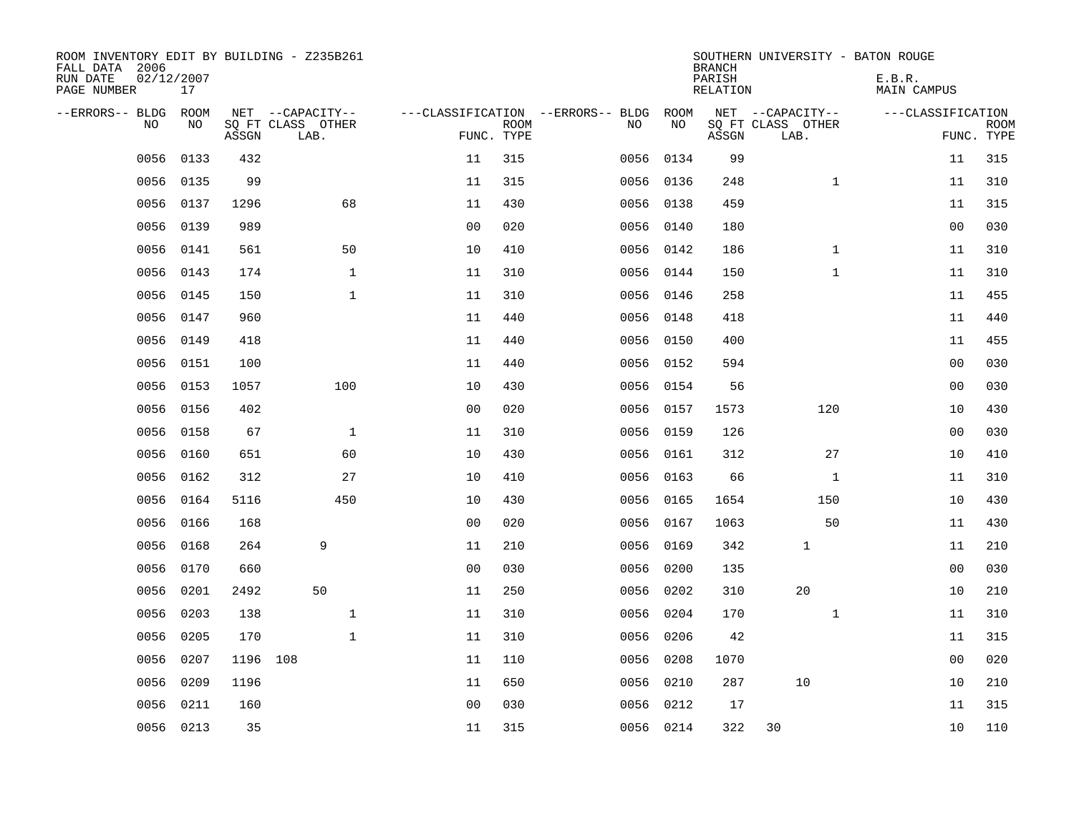| ROOM INVENTORY EDIT BY BUILDING - Z235B261<br>FALL DATA 2006<br>RUN DATE<br>PAGE NUMBER | 02/12/2007<br>17 |          |                                               |                |                           |                                         |            | <b>BRANCH</b><br>PARISH<br><b>RELATION</b> | SOUTHERN UNIVERSITY - BATON ROUGE             | E.B.R.<br><b>MAIN CAMPUS</b> |                           |
|-----------------------------------------------------------------------------------------|------------------|----------|-----------------------------------------------|----------------|---------------------------|-----------------------------------------|------------|--------------------------------------------|-----------------------------------------------|------------------------------|---------------------------|
| --ERRORS-- BLDG ROOM<br>NO                                                              | NO               | ASSGN    | NET --CAPACITY--<br>SQ FT CLASS OTHER<br>LAB. |                | <b>ROOM</b><br>FUNC. TYPE | ---CLASSIFICATION --ERRORS-- BLDG<br>NO | ROOM<br>NO | ASSGN                                      | NET --CAPACITY--<br>SQ FT CLASS OTHER<br>LAB. | ---CLASSIFICATION            | <b>ROOM</b><br>FUNC. TYPE |
| 0056                                                                                    | 0133             | 432      |                                               | 11             | 315                       | 0056                                    | 0134       | 99                                         |                                               | 11                           | 315                       |
| 0056                                                                                    | 0135             | 99       |                                               | 11             | 315                       |                                         | 0056 0136  | 248                                        | $\mathbf{1}$                                  | 11                           | 310                       |
| 0056                                                                                    | 0137             | 1296     | 68                                            | 11             | 430                       |                                         | 0056 0138  | 459                                        |                                               | 11                           | 315                       |
| 0056                                                                                    | 0139             | 989      |                                               | 0 <sub>0</sub> | 020                       |                                         | 0056 0140  | 180                                        |                                               | 0 <sub>0</sub>               | 030                       |
| 0056                                                                                    | 0141             | 561      | 50                                            | 10             | 410                       |                                         | 0056 0142  | 186                                        | $\mathbf{1}$                                  | 11                           | 310                       |
| 0056                                                                                    | 0143             | 174      | $\mathbf{1}$                                  | 11             | 310                       |                                         | 0056 0144  | 150                                        | $\mathbf{1}$                                  | 11                           | 310                       |
| 0056                                                                                    | 0145             | 150      | $\mathbf{1}$                                  | 11             | 310                       |                                         | 0056 0146  | 258                                        |                                               | 11                           | 455                       |
| 0056                                                                                    | 0147             | 960      |                                               | 11             | 440                       |                                         | 0056 0148  | 418                                        |                                               | 11                           | 440                       |
| 0056                                                                                    | 0149             | 418      |                                               | 11             | 440                       | 0056                                    | 0150       | 400                                        |                                               | 11                           | 455                       |
| 0056                                                                                    | 0151             | 100      |                                               | 11             | 440                       |                                         | 0056 0152  | 594                                        |                                               | 0 <sub>0</sub>               | 030                       |
| 0056                                                                                    | 0153             | 1057     | 100                                           | 10             | 430                       | 0056                                    | 0154       | 56                                         |                                               | 0 <sub>0</sub>               | 030                       |
| 0056                                                                                    | 0156             | 402      |                                               | 0 <sub>0</sub> | 020                       |                                         | 0056 0157  | 1573                                       | 120                                           | 10                           | 430                       |
| 0056                                                                                    | 0158             | 67       | $\mathbf 1$                                   | 11             | 310                       | 0056                                    | 0159       | 126                                        |                                               | 00                           | 030                       |
| 0056                                                                                    | 0160             | 651      | 60                                            | 10             | 430                       | 0056                                    | 0161       | 312                                        | 27                                            | 10                           | 410                       |
| 0056                                                                                    | 0162             | 312      | 27                                            | 10             | 410                       | 0056                                    | 0163       | 66                                         | $\mathbf{1}$                                  | 11                           | 310                       |
| 0056                                                                                    | 0164             | 5116     | 450                                           | 10             | 430                       | 0056                                    | 0165       | 1654                                       | 150                                           | 10                           | 430                       |
| 0056                                                                                    | 0166             | 168      |                                               | 0 <sub>0</sub> | 020                       | 0056                                    | 0167       | 1063                                       | 50                                            | 11                           | 430                       |
| 0056                                                                                    | 0168             | 264      | 9                                             | 11             | 210                       | 0056                                    | 0169       | 342                                        | 1                                             | 11                           | 210                       |
| 0056                                                                                    | 0170             | 660      |                                               | 0 <sub>0</sub> | 030                       | 0056                                    | 0200       | 135                                        |                                               | 0 <sub>0</sub>               | 030                       |
| 0056                                                                                    | 0201             | 2492     | 50                                            | 11             | 250                       | 0056                                    | 0202       | 310                                        | 20                                            | 10                           | 210                       |
| 0056                                                                                    | 0203             | 138      | $\mathbf{1}$                                  | 11             | 310                       | 0056                                    | 0204       | 170                                        | $\mathbf{1}$                                  | 11                           | 310                       |
| 0056                                                                                    | 0205             | 170      | $\mathbf 1$                                   | 11             | 310                       | 0056                                    | 0206       | 42                                         |                                               | 11                           | 315                       |
| 0056                                                                                    | 0207             | 1196 108 |                                               | 11             | 110                       | 0056                                    | 0208       | 1070                                       |                                               | 00                           | 020                       |
| 0056                                                                                    | 0209             | 1196     |                                               | 11             | 650                       | 0056                                    | 0210       | 287                                        | 10                                            | 10                           | 210                       |
| 0056                                                                                    | 0211             | 160      |                                               | 0 <sub>0</sub> | 030                       | 0056                                    | 0212       | 17                                         |                                               | 11                           | 315                       |
|                                                                                         | 0056 0213        | 35       |                                               | 11             | 315                       |                                         | 0056 0214  | 322                                        | 30                                            | 10                           | 110                       |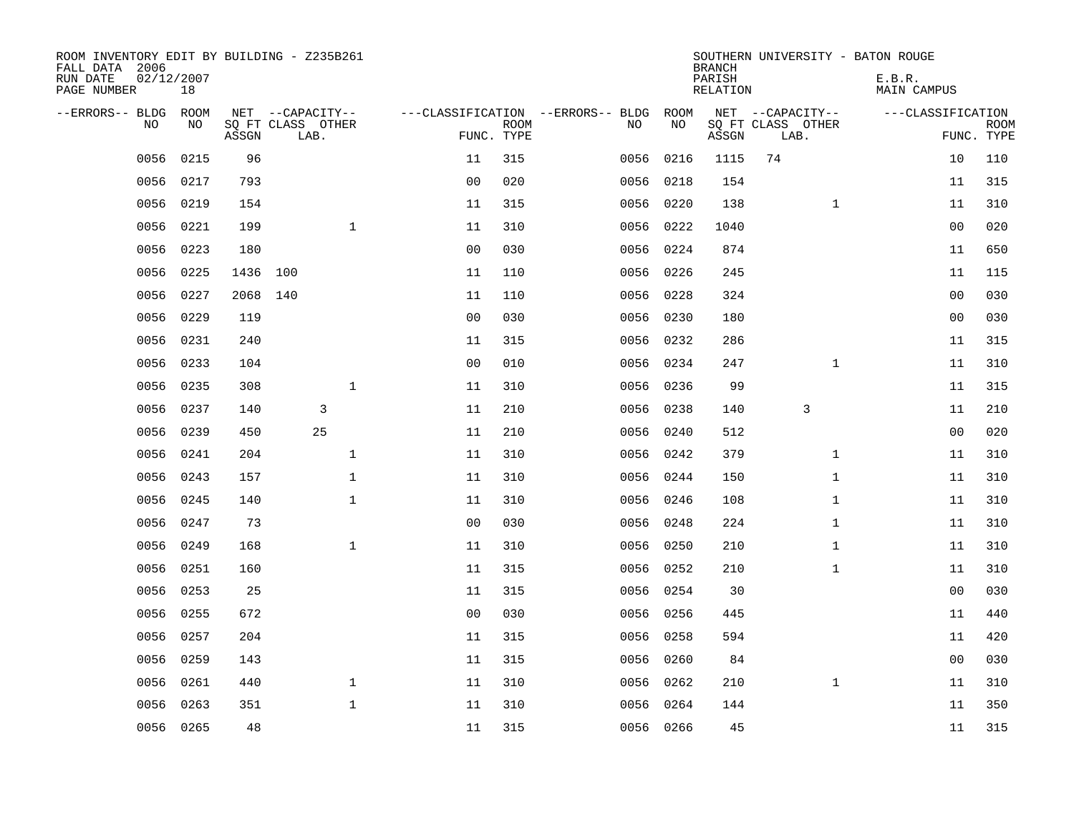| ROOM INVENTORY EDIT BY BUILDING - Z235B261<br>FALL DATA 2006<br>RUN DATE<br>PAGE NUMBER | 02/12/2007<br>18 |          |                   |                |             |                                        |           | <b>BRANCH</b><br>PARISH<br>RELATION | SOUTHERN UNIVERSITY - BATON ROUGE | E.B.R.<br>MAIN CAMPUS |             |
|-----------------------------------------------------------------------------------------|------------------|----------|-------------------|----------------|-------------|----------------------------------------|-----------|-------------------------------------|-----------------------------------|-----------------------|-------------|
| --ERRORS-- BLDG ROOM                                                                    |                  |          | NET --CAPACITY--  |                |             | ---CLASSIFICATION --ERRORS-- BLDG ROOM |           |                                     | NET --CAPACITY--                  | ---CLASSIFICATION     |             |
| NO                                                                                      | NO               |          | SQ FT CLASS OTHER |                | <b>ROOM</b> | NO                                     | NO        |                                     | SQ FT CLASS OTHER                 |                       | <b>ROOM</b> |
|                                                                                         |                  | ASSGN    | LAB.              | FUNC. TYPE     |             |                                        |           | ASSGN                               | LAB.                              |                       | FUNC. TYPE  |
| 0056                                                                                    | 0215             | 96       |                   | 11             | 315         | 0056                                   | 0216      | 1115                                | 74                                | 10                    | 110         |
| 0056                                                                                    | 0217             | 793      |                   | 0 <sub>0</sub> | 020         |                                        | 0056 0218 | 154                                 |                                   | 11                    | 315         |
| 0056                                                                                    | 0219             | 154      |                   | 11             | 315         | 0056                                   | 0220      | 138                                 | $\mathbf{1}$                      | 11                    | 310         |
| 0056                                                                                    | 0221             | 199      | $\mathbf{1}$      | 11             | 310         |                                        | 0056 0222 | 1040                                |                                   | 0 <sub>0</sub>        | 020         |
| 0056                                                                                    | 0223             | 180      |                   | 0 <sub>0</sub> | 030         | 0056                                   | 0224      | 874                                 |                                   | 11                    | 650         |
| 0056                                                                                    | 0225             | 1436 100 |                   | 11             | 110         |                                        | 0056 0226 | 245                                 |                                   | 11                    | 115         |
| 0056                                                                                    | 0227             | 2068 140 |                   | 11             | 110         |                                        | 0056 0228 | 324                                 |                                   | 0 <sub>0</sub>        | 030         |
| 0056                                                                                    | 0229             | 119      |                   | 0 <sub>0</sub> | 030         |                                        | 0056 0230 | 180                                 |                                   | 0 <sub>0</sub>        | 030         |
| 0056                                                                                    | 0231             | 240      |                   | 11             | 315         | 0056                                   | 0232      | 286                                 |                                   | 11                    | 315         |
| 0056                                                                                    | 0233             | 104      |                   | 0 <sub>0</sub> | 010         |                                        | 0056 0234 | 247                                 | $\mathbf{1}$                      | 11                    | 310         |
| 0056                                                                                    | 0235             | 308      | $\mathbf{1}$      | 11             | 310         | 0056                                   | 0236      | 99                                  |                                   | 11                    | 315         |
| 0056                                                                                    | 0237             | 140      | 3                 | 11             | 210         |                                        | 0056 0238 | 140                                 | 3                                 | 11                    | 210         |
| 0056                                                                                    | 0239             | 450      | 25                | 11             | 210         | 0056                                   | 0240      | 512                                 |                                   | 00                    | 020         |
| 0056                                                                                    | 0241             | 204      | $\mathbf 1$       | 11             | 310         |                                        | 0056 0242 | 379                                 | $\mathbf{1}$                      | 11                    | 310         |
| 0056                                                                                    | 0243             | 157      | $\mathbf{1}$      | 11             | 310         | 0056                                   | 0244      | 150                                 | $\mathbf{1}$                      | 11                    | 310         |
| 0056                                                                                    | 0245             | 140      | $\mathbf 1$       | 11             | 310         |                                        | 0056 0246 | 108                                 | $\mathbf{1}$                      | 11                    | 310         |
| 0056                                                                                    | 0247             | 73       |                   | 0 <sub>0</sub> | 030         |                                        | 0056 0248 | 224                                 | $\mathbf{1}$                      | 11                    | 310         |
| 0056                                                                                    | 0249             | 168      | $\mathbf{1}$      | 11             | 310         | 0056                                   | 0250      | 210                                 | $\mathbf{1}$                      | 11                    | 310         |
| 0056                                                                                    | 0251             | 160      |                   | 11             | 315         |                                        | 0056 0252 | 210                                 | $\mathbf{1}$                      | 11                    | 310         |
| 0056                                                                                    | 0253             | 25       |                   | 11             | 315         | 0056                                   | 0254      | 30                                  |                                   | 00                    | 030         |
| 0056                                                                                    | 0255             | 672      |                   | 0 <sub>0</sub> | 030         |                                        | 0056 0256 | 445                                 |                                   | 11                    | 440         |
| 0056                                                                                    | 0257             | 204      |                   | 11             | 315         | 0056                                   | 0258      | 594                                 |                                   | 11                    | 420         |
| 0056                                                                                    | 0259             | 143      |                   | 11             | 315         |                                        | 0056 0260 | 84                                  |                                   | 0 <sub>0</sub>        | 030         |
| 0056                                                                                    | 0261             | 440      | $\mathbf{1}$      | 11             | 310         | 0056                                   | 0262      | 210                                 | $\mathbf{1}$                      | 11                    | 310         |
| 0056                                                                                    | 0263             | 351      | $\mathbf{1}$      | 11             | 310         | 0056                                   | 0264      | 144                                 |                                   | 11                    | 350         |
|                                                                                         | 0056 0265        | 48       |                   | 11             | 315         |                                        | 0056 0266 | 45                                  |                                   | 11                    | 315         |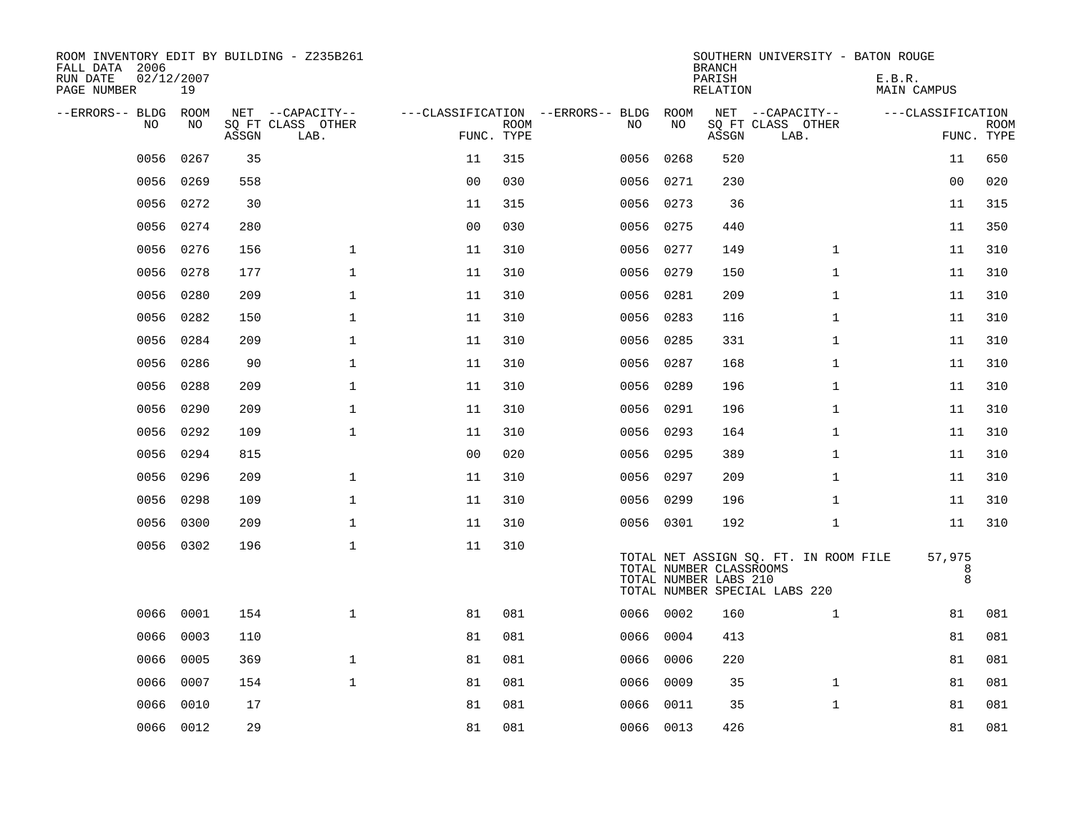| ROOM INVENTORY EDIT BY BUILDING - Z235B261<br>FALL DATA 2006<br>RUN DATE<br>PAGE NUMBER | 02/12/2007<br>19 |       |                                               |                |             |                                         |            | <b>BRANCH</b><br>PARISH<br><b>RELATION</b>       | SOUTHERN UNIVERSITY - BATON ROUGE                                      | E.B.R.<br><b>MAIN CAMPUS</b> |                           |
|-----------------------------------------------------------------------------------------|------------------|-------|-----------------------------------------------|----------------|-------------|-----------------------------------------|------------|--------------------------------------------------|------------------------------------------------------------------------|------------------------------|---------------------------|
| --ERRORS-- BLDG ROOM<br>NO                                                              | NO               | ASSGN | NET --CAPACITY--<br>SQ FT CLASS OTHER<br>LAB. | FUNC. TYPE     | <b>ROOM</b> | ---CLASSIFICATION --ERRORS-- BLDG<br>NO | ROOM<br>NO | ASSGN                                            | NET --CAPACITY--<br>SQ FT CLASS OTHER<br>LAB.                          | ---CLASSIFICATION            | <b>ROOM</b><br>FUNC. TYPE |
| 0056                                                                                    | 0267             | 35    |                                               | 11             | 315         | 0056                                    | 0268       | 520                                              |                                                                        | 11                           | 650                       |
| 0056                                                                                    | 0269             | 558   |                                               | 0 <sub>0</sub> | 030         | 0056                                    | 0271       | 230                                              |                                                                        | 00                           | 020                       |
| 0056                                                                                    | 0272             | 30    |                                               | 11             | 315         | 0056                                    | 0273       | 36                                               |                                                                        | 11                           | 315                       |
| 0056                                                                                    | 0274             | 280   |                                               | 0 <sub>0</sub> | 030         |                                         | 0056 0275  | 440                                              |                                                                        | 11                           | 350                       |
| 0056                                                                                    | 0276             | 156   | $\mathbf{1}$                                  | 11             | 310         |                                         | 0056 0277  | 149                                              | $\mathbf{1}$                                                           | 11                           | 310                       |
| 0056                                                                                    | 0278             | 177   | $\mathbf{1}$                                  | 11             | 310         |                                         | 0056 0279  | 150                                              | $\mathbf{1}$                                                           | 11                           | 310                       |
| 0056                                                                                    | 0280             | 209   | $\mathbf{1}$                                  | 11             | 310         |                                         | 0056 0281  | 209                                              | $\mathbf{1}$                                                           | 11                           | 310                       |
| 0056                                                                                    | 0282             | 150   | $\mathbf{1}$                                  | 11             | 310         |                                         | 0056 0283  | 116                                              | $\mathbf{1}$                                                           | 11                           | 310                       |
| 0056                                                                                    | 0284             | 209   | $\mathbf 1$                                   | 11             | 310         | 0056                                    | 0285       | 331                                              | $\mathbf{1}$                                                           | 11                           | 310                       |
| 0056                                                                                    | 0286             | 90    | $\mathbf 1$                                   | 11             | 310         |                                         | 0056 0287  | 168                                              | $\mathbf{1}$                                                           | 11                           | 310                       |
| 0056                                                                                    | 0288             | 209   | $\mathbf{1}$                                  | 11             | 310         | 0056                                    | 0289       | 196                                              | $\mathbf{1}$                                                           | 11                           | 310                       |
| 0056                                                                                    | 0290             | 209   | $\mathbf 1$                                   | 11             | 310         |                                         | 0056 0291  | 196                                              | $\mathbf{1}$                                                           | 11                           | 310                       |
| 0056                                                                                    | 0292             | 109   | $\mathbf 1$                                   | 11             | 310         | 0056                                    | 0293       | 164                                              | $\mathbf{1}$                                                           | 11                           | 310                       |
| 0056                                                                                    | 0294             | 815   |                                               | 0 <sub>0</sub> | 020         |                                         | 0056 0295  | 389                                              | $\mathbf{1}$                                                           | 11                           | 310                       |
| 0056                                                                                    | 0296             | 209   | $\mathbf{1}$                                  | 11             | 310         |                                         | 0056 0297  | 209                                              | $\mathbf{1}$                                                           | 11                           | 310                       |
| 0056                                                                                    | 0298             | 109   | $\mathbf{1}$                                  | 11             | 310         |                                         | 0056 0299  | 196                                              | $\mathbf{1}$                                                           | 11                           | 310                       |
| 0056                                                                                    | 0300             | 209   | $\mathbf{1}$                                  | 11             | 310         |                                         | 0056 0301  | 192                                              | $\mathbf{1}$                                                           | 11                           | 310                       |
|                                                                                         | 0056 0302        | 196   | $\mathbf 1$                                   | 11             | 310         |                                         |            | TOTAL NUMBER CLASSROOMS<br>TOTAL NUMBER LABS 210 | TOTAL NET ASSIGN SQ. FT. IN ROOM FILE<br>TOTAL NUMBER SPECIAL LABS 220 | 57,975<br>8<br>8             |                           |
| 0066                                                                                    | 0001             | 154   | $\mathbf{1}$                                  | 81             | 081         |                                         | 0066 0002  | 160                                              | $\mathbf{1}$                                                           | 81                           | 081                       |
| 0066                                                                                    | 0003             | 110   |                                               | 81             | 081         | 0066                                    | 0004       | 413                                              |                                                                        | 81                           | 081                       |
| 0066                                                                                    | 0005             | 369   | $\mathbf 1$                                   | 81             | 081         | 0066                                    | 0006       | 220                                              |                                                                        | 81                           | 081                       |
| 0066                                                                                    | 0007             | 154   | $\mathbf{1}$                                  | 81             | 081         | 0066                                    | 0009       | 35                                               | $\mathbf{1}$                                                           | 81                           | 081                       |
| 0066                                                                                    | 0010             | 17    |                                               | 81             | 081         | 0066                                    | 0011       | 35                                               | $\mathbf{1}$                                                           | 81                           | 081                       |
|                                                                                         | 0066 0012        | 29    |                                               | 81             | 081         |                                         | 0066 0013  | 426                                              |                                                                        | 81                           | 081                       |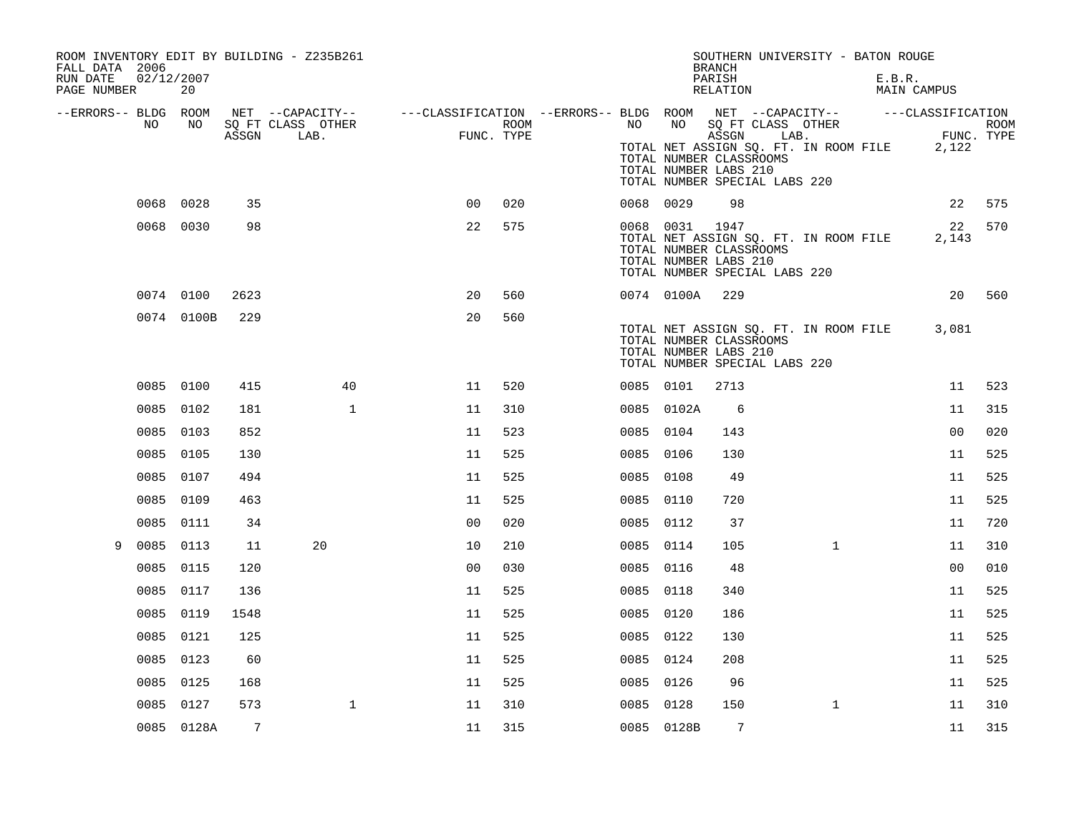| FALL DATA 2006<br>RUN DATE<br>PAGE NUMBER | 02/12/2007 | 20         |       | ROOM INVENTORY EDIT BY BUILDING - Z235B261 |                                                                                                |                |      |           |                | SOUTHERN UNIVERSITY - BATON ROUGE<br><b>BRANCH</b><br>PARISH<br>RELATION                                                                                            |              | E.B.R.<br>MAIN CAMPUS |                |        |
|-------------------------------------------|------------|------------|-------|--------------------------------------------|------------------------------------------------------------------------------------------------|----------------|------|-----------|----------------|---------------------------------------------------------------------------------------------------------------------------------------------------------------------|--------------|-----------------------|----------------|--------|
| --ERRORS-- BLDG ROOM                      | NO         | NO         | ASSGN | SQ FT CLASS OTHER<br>LAB.                  | NET --CAPACITY-- - ---CLASSIFICATION --ERRORS-- BLDG ROOM NET --CAPACITY-- - ---CLASSIFICATION | FUNC. TYPE     | ROOM | NO        | NO             | SQ FT CLASS OTHER<br>ASSGN LAB.<br>TOTAL NET ASSIGN SQ. FT. IN ROOM FILE 2,122<br>TOTAL NUMBER CLASSROOMS<br>TOTAL NUMBER LABS 210<br>TOTAL NUMBER SPECIAL LABS 220 |              | ER<br>FIIN            | FUNC. TYPE     | ROOM   |
|                                           | 0068 0028  |            | 35    |                                            |                                                                                                | 0 <sub>0</sub> | 020  | 0068 0029 |                | 98                                                                                                                                                                  |              |                       | 22             | 575    |
|                                           |            | 0068 0030  | 98    |                                            |                                                                                                | 22             | 575  |           | 0068 0031 1947 | TOTAL NET ASSIGN SQ. FT. IN ROOM FILE<br>TOTAL NUMBER CLASSROOMS<br>TOTAL NUMBER LABS 210<br>TOTAL NUMBER SPECIAL LABS 220                                          |              |                       | 22<br>2,143    | 570    |
|                                           |            | 0074 0100  | 2623  |                                            |                                                                                                | 20             | 560  |           | 0074 0100A     | 229                                                                                                                                                                 |              |                       |                | 20 560 |
|                                           |            | 0074 0100B | 229   |                                            |                                                                                                | 20             | 560  |           |                | TOTAL NET ASSIGN SQ. FT. IN ROOM FILE<br>TOTAL NUMBER CLASSROOMS<br>TOTAL NUMBER LABS 210<br>TOTAL NUMBER SPECIAL LABS 220                                          |              |                       | 3,081          |        |
|                                           | 0085 0100  |            | 415   |                                            | 40                                                                                             | 11             | 520  | 0085 0101 |                | 2713                                                                                                                                                                |              |                       | 11             | 523    |
|                                           | 0085 0102  |            | 181   |                                            | $\mathbf{1}$                                                                                   | 11             | 310  |           | 0085 0102A     | 6                                                                                                                                                                   |              |                       | 11             | 315    |
|                                           | 0085 0103  |            | 852   |                                            |                                                                                                | 11             | 523  | 0085 0104 |                | 143                                                                                                                                                                 |              |                       | 0 <sub>0</sub> | 020    |
|                                           | 0085 0105  |            | 130   |                                            |                                                                                                | 11             | 525  | 0085 0106 |                | 130                                                                                                                                                                 |              |                       | 11             | 525    |
|                                           | 0085 0107  |            | 494   |                                            |                                                                                                | 11             | 525  | 0085 0108 |                | 49                                                                                                                                                                  |              |                       | 11             | 525    |
|                                           | 0085 0109  |            | 463   |                                            |                                                                                                | 11             | 525  | 0085 0110 |                | 720                                                                                                                                                                 |              |                       | 11             | 525    |
|                                           | 0085       | 0111       | 34    |                                            |                                                                                                | 0 <sub>0</sub> | 020  | 0085 0112 |                | 37                                                                                                                                                                  |              |                       | 11             | 720    |
| 9                                         | 0085 0113  |            | 11    | 20                                         |                                                                                                | 10             | 210  | 0085 0114 |                | 105                                                                                                                                                                 | $\mathbf{1}$ |                       | 11             | 310    |
|                                           | 0085 0115  |            | 120   |                                            |                                                                                                | 0 <sup>0</sup> | 030  | 0085 0116 |                | 48                                                                                                                                                                  |              |                       | 0 <sub>0</sub> | 010    |
|                                           | 0085 0117  |            | 136   |                                            |                                                                                                | 11             | 525  | 0085 0118 |                | 340                                                                                                                                                                 |              |                       | 11             | 525    |
|                                           | 0085 0119  |            | 1548  |                                            |                                                                                                | 11             | 525  | 0085 0120 |                | 186                                                                                                                                                                 |              |                       | 11             | 525    |
|                                           | 0085       | 0121       | 125   |                                            |                                                                                                | 11             | 525  | 0085 0122 |                | 130                                                                                                                                                                 |              |                       | 11             | 525    |
|                                           | 0085 0123  |            | 60    |                                            |                                                                                                | 11             | 525  | 0085 0124 |                | 208                                                                                                                                                                 |              |                       | 11             | 525    |
|                                           | 0085 0125  |            | 168   |                                            |                                                                                                | 11             | 525  | 0085 0126 |                | 96                                                                                                                                                                  |              |                       | 11             | 525    |
|                                           |            | 0085 0127  | 573   |                                            | $\mathbf 1$                                                                                    | 11             | 310  | 0085 0128 |                | 150                                                                                                                                                                 | $\mathbf{1}$ |                       | 11             | 310    |
|                                           |            | 0085 0128A | 7     |                                            |                                                                                                | 11             | 315  |           | 0085 0128B     | $7\phantom{.0}$                                                                                                                                                     |              |                       | 11             | 315    |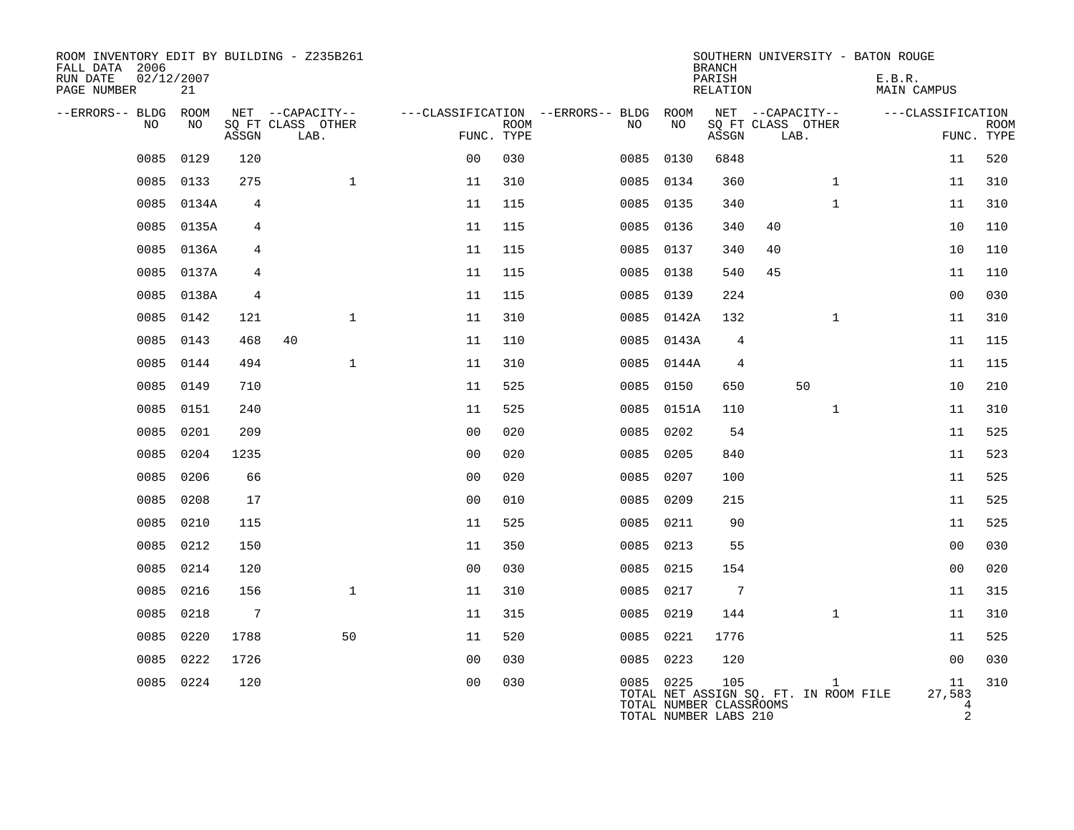| ROOM INVENTORY EDIT BY BUILDING - Z235B261<br>FALL DATA 2006<br>RUN DATE<br>PAGE NUMBER | 02/12/2007<br>21 |                 |                           |                |                           |                                        |                                                               | <b>BRANCH</b><br>PARISH<br>RELATION |                                       |              | SOUTHERN UNIVERSITY - BATON ROUGE<br>E.B.R.<br><b>MAIN CAMPUS</b> |                                     |             |
|-----------------------------------------------------------------------------------------|------------------|-----------------|---------------------------|----------------|---------------------------|----------------------------------------|---------------------------------------------------------------|-------------------------------------|---------------------------------------|--------------|-------------------------------------------------------------------|-------------------------------------|-------------|
| --ERRORS-- BLDG ROOM                                                                    |                  |                 | NET --CAPACITY--          |                |                           | ---CLASSIFICATION --ERRORS-- BLDG ROOM |                                                               |                                     | NET --CAPACITY--                      |              | ---CLASSIFICATION                                                 |                                     |             |
| NO                                                                                      | NO               | ASSGN           | SQ FT CLASS OTHER<br>LAB. |                | <b>ROOM</b><br>FUNC. TYPE | NO                                     | NO                                                            | ASSGN                               | SQ FT CLASS OTHER<br>LAB.             |              |                                                                   | FUNC. TYPE                          | <b>ROOM</b> |
| 0085                                                                                    | 0129             | 120             |                           | 0 <sub>0</sub> | 030                       |                                        | 0085 0130                                                     | 6848                                |                                       |              |                                                                   | 11                                  | 520         |
| 0085                                                                                    | 0133             | 275             | $\mathbf{1}$              | 11             | 310                       |                                        | 0085 0134                                                     | 360                                 |                                       | $\mathbf{1}$ |                                                                   | 11                                  | 310         |
| 0085                                                                                    | 0134A            | 4               |                           | 11             | 115                       |                                        | 0085 0135                                                     | 340                                 |                                       | $\mathbf{1}$ |                                                                   | 11                                  | 310         |
| 0085                                                                                    | 0135A            | 4               |                           | 11             | 115                       |                                        | 0085 0136                                                     | 340                                 | 40                                    |              |                                                                   | 10                                  | 110         |
|                                                                                         | 0085 0136A       | 4               |                           | 11             | 115                       |                                        | 0085 0137                                                     | 340                                 | 40                                    |              |                                                                   | 10                                  | 110         |
| 0085                                                                                    | 0137A            | 4               |                           | 11             | 115                       |                                        | 0085 0138                                                     | 540                                 | 45                                    |              |                                                                   | 11                                  | 110         |
|                                                                                         | 0085 0138A       | 4               |                           | 11             | 115                       |                                        | 0085 0139                                                     | 224                                 |                                       |              |                                                                   | 0 <sub>0</sub>                      | 030         |
| 0085                                                                                    | 0142             | 121             | $\mathbf{1}$              | 11             | 310                       |                                        | 0085 0142A                                                    | 132                                 |                                       | $\mathbf{1}$ |                                                                   | 11                                  | 310         |
|                                                                                         | 0085 0143        | 468             | 40                        | 11             | 110                       |                                        | 0085 0143A                                                    | 4                                   |                                       |              |                                                                   | 11                                  | 115         |
| 0085                                                                                    | 0144             | 494             | $\mathbf{1}$              | 11             | 310                       |                                        | 0085 0144A                                                    | $\overline{4}$                      |                                       |              |                                                                   | 11                                  | 115         |
| 0085                                                                                    | 0149             | 710             |                           | 11             | 525                       | 0085                                   | 0150                                                          | 650                                 |                                       | 50           |                                                                   | 10                                  | 210         |
| 0085                                                                                    | 0151             | 240             |                           | 11             | 525                       |                                        | 0085 0151A                                                    | 110                                 |                                       | $\mathbf{1}$ |                                                                   | 11                                  | 310         |
| 0085                                                                                    | 0201             | 209             |                           | 0 <sub>0</sub> | 020                       |                                        | 0085 0202                                                     | 54                                  |                                       |              |                                                                   | 11                                  | 525         |
| 0085                                                                                    | 0204             | 1235            |                           | 0 <sub>0</sub> | 020                       |                                        | 0085 0205                                                     | 840                                 |                                       |              |                                                                   | 11                                  | 523         |
| 0085                                                                                    | 0206             | 66              |                           | 0 <sub>0</sub> | 020                       | 0085                                   | 0207                                                          | 100                                 |                                       |              |                                                                   | 11                                  | 525         |
| 0085                                                                                    | 0208             | 17              |                           | 0 <sub>0</sub> | 010                       |                                        | 0085 0209                                                     | 215                                 |                                       |              |                                                                   | 11                                  | 525         |
| 0085                                                                                    | 0210             | 115             |                           | 11             | 525                       |                                        | 0085 0211                                                     | 90                                  |                                       |              |                                                                   | 11                                  | 525         |
| 0085                                                                                    | 0212             | 150             |                           | 11             | 350                       |                                        | 0085 0213                                                     | 55                                  |                                       |              |                                                                   | 0 <sub>0</sub>                      | 030         |
| 0085                                                                                    | 0214             | 120             |                           | 0 <sub>0</sub> | 030                       |                                        | 0085 0215                                                     | 154                                 |                                       |              |                                                                   | 0 <sub>0</sub>                      | 020         |
| 0085                                                                                    | 0216             | 156             | $\mathbf{1}$              | 11             | 310                       |                                        | 0085 0217                                                     | $7\phantom{.0}$                     |                                       |              |                                                                   | 11                                  | 315         |
| 0085                                                                                    | 0218             | $7\phantom{.0}$ |                           | 11             | 315                       |                                        | 0085 0219                                                     | 144                                 |                                       | $\mathbf{1}$ |                                                                   | 11                                  | 310         |
| 0085                                                                                    | 0220             | 1788            | 50                        | 11             | 520                       |                                        | 0085 0221                                                     | 1776                                |                                       |              |                                                                   | 11                                  | 525         |
| 0085                                                                                    | 0222             | 1726            |                           | 00             | 030                       |                                        | 0085 0223                                                     | 120                                 |                                       |              |                                                                   | 00                                  | 030         |
|                                                                                         | 0085 0224        | 120             |                           | 0 <sub>0</sub> | 030                       |                                        | 0085 0225<br>TOTAL NUMBER CLASSROOMS<br>TOTAL NUMBER LABS 210 | 105                                 | TOTAL NET ASSIGN SQ. FT. IN ROOM FILE | $\mathbf{1}$ |                                                                   | 11<br>27,583<br>4<br>$\mathfrak{D}$ | 310         |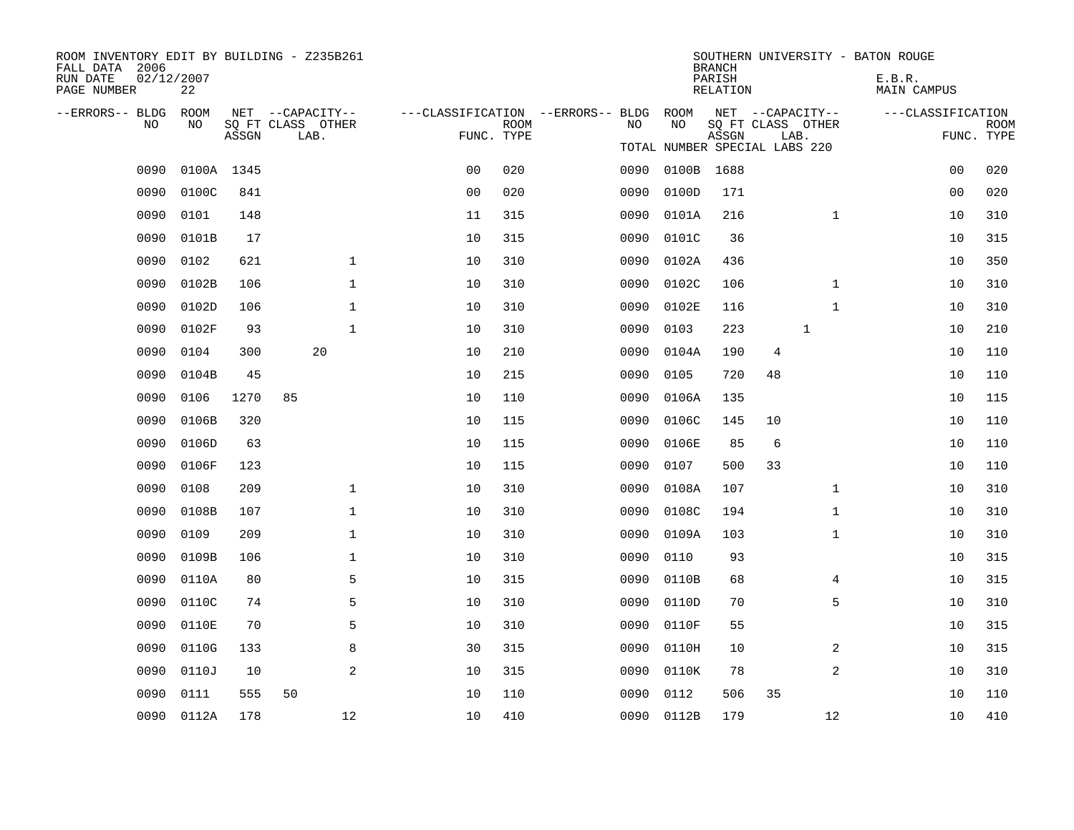| ROOM INVENTORY EDIT BY BUILDING - Z235B261<br>FALL DATA 2006<br>RUN DATE<br>PAGE NUMBER | 02/12/2007<br>22 |       |                                               |                |             |                                               |            | <b>BRANCH</b><br>PARISH<br><b>RELATION</b> | SOUTHERN UNIVERSITY - BATON ROUGE             | E.B.R.<br><b>MAIN CAMPUS</b> |                    |
|-----------------------------------------------------------------------------------------|------------------|-------|-----------------------------------------------|----------------|-------------|-----------------------------------------------|------------|--------------------------------------------|-----------------------------------------------|------------------------------|--------------------|
| --ERRORS-- BLDG<br>NO.                                                                  | ROOM<br>NO.      | ASSGN | NET --CAPACITY--<br>SQ FT CLASS OTHER<br>LAB. | FUNC. TYPE     | <b>ROOM</b> | ---CLASSIFICATION --ERRORS-- BLDG ROOM<br>NO. | NO         | ASSGN                                      | NET --CAPACITY--<br>SQ FT CLASS OTHER<br>LAB. | ---CLASSIFICATION            | ROOM<br>FUNC. TYPE |
|                                                                                         |                  |       |                                               |                |             |                                               |            |                                            | TOTAL NUMBER SPECIAL LABS 220                 |                              |                    |
| 0090                                                                                    | 0100A 1345       |       |                                               | 0 <sub>0</sub> | 020         | 0090                                          | 0100B 1688 |                                            |                                               | 0 <sub>0</sub>               | 020                |
| 0090                                                                                    | 0100C            | 841   |                                               | 0 <sub>0</sub> | 020         | 0090                                          | 0100D      | 171                                        |                                               | 0 <sub>0</sub>               | 020                |
| 0090                                                                                    | 0101             | 148   |                                               | 11             | 315         | 0090                                          | 0101A      | 216                                        | $\mathbf{1}$                                  | 10                           | 310                |
| 0090                                                                                    | 0101B            | 17    |                                               | 10             | 315         | 0090                                          | 0101C      | 36                                         |                                               | 10                           | 315                |
| 0090                                                                                    | 0102             | 621   | $\mathbf 1$                                   | 10             | 310         | 0090                                          | 0102A      | 436                                        |                                               | 10                           | 350                |
| 0090                                                                                    | 0102B            | 106   | $\mathbf{1}$                                  | 10             | 310         | 0090                                          | 0102C      | 106                                        | $\mathbf{1}$                                  | 10                           | 310                |
| 0090                                                                                    | 0102D            | 106   | $\mathbf 1$                                   | 10             | 310         | 0090                                          | 0102E      | 116                                        | $\mathbf{1}$                                  | 10                           | 310                |
| 0090                                                                                    | 0102F            | 93    | $\mathbf{1}$                                  | 10             | 310         | 0090                                          | 0103       | 223                                        | 1                                             | 10                           | 210                |
| 0090                                                                                    | 0104             | 300   | 20                                            | 10             | 210         | 0090                                          | 0104A      | 190                                        | $\overline{4}$                                | 10                           | 110                |
| 0090                                                                                    | 0104B            | 45    |                                               | 10             | 215         | 0090                                          | 0105       | 720                                        | 48                                            | 10                           | 110                |
| 0090                                                                                    | 0106             | 1270  | 85                                            | 10             | 110         | 0090                                          | 0106A      | 135                                        |                                               | 10                           | 115                |
| 0090                                                                                    | 0106B            | 320   |                                               | 10             | 115         | 0090                                          | 0106C      | 145                                        | 10                                            | 10                           | 110                |
| 0090                                                                                    | 0106D            | 63    |                                               | 10             | 115         | 0090                                          | 0106E      | 85                                         | 6                                             | 10                           | 110                |
| 0090                                                                                    | 0106F            | 123   |                                               | 10             | 115         | 0090                                          | 0107       | 500                                        | 33                                            | 10                           | 110                |
| 0090                                                                                    | 0108             | 209   | $\mathbf{1}$                                  | 10             | 310         | 0090                                          | 0108A      | 107                                        | $\mathbf{1}$                                  | 10                           | 310                |
| 0090                                                                                    | 0108B            | 107   | $\mathbf 1$                                   | 10             | 310         | 0090                                          | 0108C      | 194                                        | $\mathbf{1}$                                  | 10                           | 310                |
| 0090                                                                                    | 0109             | 209   | $\mathbf{1}$                                  | 10             | 310         | 0090                                          | 0109A      | 103                                        | $\mathbf{1}$                                  | 10                           | 310                |
| 0090                                                                                    | 0109B            | 106   | $\mathbf{1}$                                  | 10             | 310         | 0090                                          | 0110       | 93                                         |                                               | 10                           | 315                |
| 0090                                                                                    | 0110A            | 80    | 5                                             | 10             | 315         | 0090                                          | 0110B      | 68                                         | 4                                             | 10                           | 315                |
| 0090                                                                                    | 0110C            | 74    | 5                                             | 10             | 310         | 0090                                          | 0110D      | 70                                         | 5                                             | 10                           | 310                |
| 0090                                                                                    | 0110E            | 70    | 5                                             | 10             | 310         | 0090                                          | 0110F      | 55                                         |                                               | 10                           | 315                |
| 0090                                                                                    | 0110G            | 133   | 8                                             | 30             | 315         | 0090                                          | 0110H      | 10                                         | 2                                             | 10                           | 315                |
| 0090                                                                                    | 0110J            | 10    | 2                                             | 10             | 315         | 0090                                          | 0110K      | 78                                         | 2                                             | 10                           | 310                |
| 0090                                                                                    | 0111             | 555   | 50                                            | 10             | 110         | 0090                                          | 0112       | 506                                        | 35                                            | 10                           | 110                |
| 0090                                                                                    | 0112A            | 178   | 12                                            | 10             | 410         |                                               | 0090 0112B | 179                                        | 12                                            | 10                           | 410                |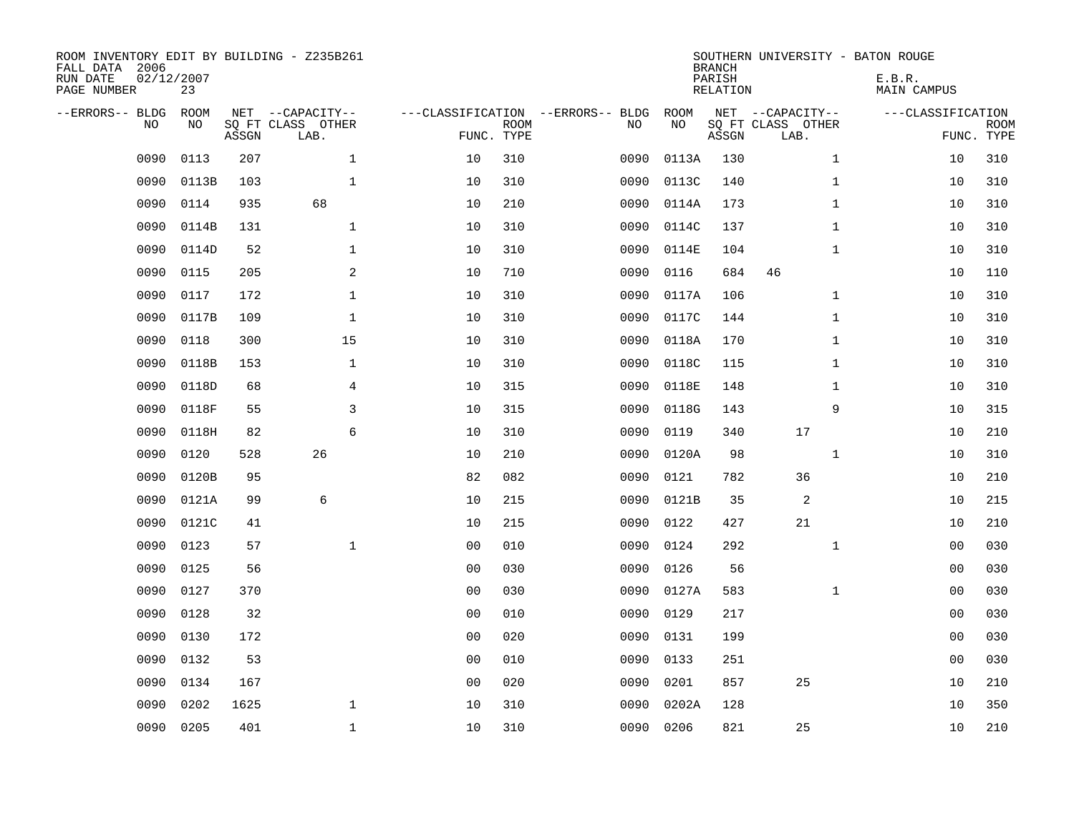| ROOM INVENTORY EDIT BY BUILDING - Z235B261<br>FALL DATA 2006<br>RUN DATE<br>PAGE NUMBER | 02/12/2007<br>23  |       |                                               |                |             |                                         |            | <b>BRANCH</b><br>PARISH<br><b>RELATION</b> | SOUTHERN UNIVERSITY - BATON ROUGE             | E.B.R.<br><b>MAIN CAMPUS</b> |                           |
|-----------------------------------------------------------------------------------------|-------------------|-------|-----------------------------------------------|----------------|-------------|-----------------------------------------|------------|--------------------------------------------|-----------------------------------------------|------------------------------|---------------------------|
| --ERRORS-- BLDG<br>NO                                                                   | <b>ROOM</b><br>NO | ASSGN | NET --CAPACITY--<br>SQ FT CLASS OTHER<br>LAB. | FUNC. TYPE     | <b>ROOM</b> | ---CLASSIFICATION --ERRORS-- BLDG<br>NO | ROOM<br>NO | ASSGN                                      | NET --CAPACITY--<br>SQ FT CLASS OTHER<br>LAB. | ---CLASSIFICATION            | <b>ROOM</b><br>FUNC. TYPE |
| 0090                                                                                    | 0113              | 207   | $\mathbf{1}$                                  | 10             | 310         | 0090                                    | 0113A      | 130                                        | $\mathbf{1}$                                  | 10                           | 310                       |
| 0090                                                                                    | 0113B             | 103   | $\mathbf 1$                                   | 10             | 310         | 0090                                    | 0113C      | 140                                        | $\mathbf{1}$                                  | 10                           | 310                       |
| 0090                                                                                    | 0114              | 935   | 68                                            | 10             | 210         | 0090                                    | 0114A      | 173                                        | $\mathbf{1}$                                  | 10                           | 310                       |
| 0090                                                                                    | 0114B             | 131   | $\mathbf 1$                                   | 10             | 310         | 0090                                    | 0114C      | 137                                        | $\mathbf{1}$                                  | 10                           | 310                       |
| 0090                                                                                    | 0114D             | 52    | $\mathbf 1$                                   | 10             | 310         | 0090                                    | 0114E      | 104                                        | $\mathbf{1}$                                  | 10                           | 310                       |
| 0090                                                                                    | 0115              | 205   | 2                                             | 10             | 710         | 0090                                    | 0116       | 684                                        | 46                                            | 10                           | 110                       |
| 0090                                                                                    | 0117              | 172   | $\mathbf{1}$                                  | 10             | 310         | 0090                                    | 0117A      | 106                                        | $\mathbf{1}$                                  | 10                           | 310                       |
| 0090                                                                                    | 0117B             | 109   | $\mathbf{1}$                                  | 10             | 310         | 0090                                    | 0117C      | 144                                        | $\mathbf{1}$                                  | 10                           | 310                       |
| 0090                                                                                    | 0118              | 300   | 15                                            | 10             | 310         | 0090                                    | 0118A      | 170                                        | $\mathbf{1}$                                  | 10                           | 310                       |
| 0090                                                                                    | 0118B             | 153   | $\mathbf 1$                                   | 10             | 310         | 0090                                    | 0118C      | 115                                        | $\mathbf{1}$                                  | 10                           | 310                       |
| 0090                                                                                    | 0118D             | 68    | 4                                             | 10             | 315         | 0090                                    | 0118E      | 148                                        | $\mathbf{1}$                                  | 10                           | 310                       |
| 0090                                                                                    | 0118F             | 55    | 3                                             | 10             | 315         | 0090                                    | 0118G      | 143                                        | 9                                             | 10                           | 315                       |
| 0090                                                                                    | 0118H             | 82    | 6                                             | 10             | 310         | 0090                                    | 0119       | 340                                        | 17                                            | 10                           | 210                       |
| 0090                                                                                    | 0120              | 528   | 26                                            | 10             | 210         | 0090                                    | 0120A      | 98                                         | $\mathbf{1}$                                  | 10                           | 310                       |
| 0090                                                                                    | 0120B             | 95    |                                               | 82             | 082         | 0090                                    | 0121       | 782                                        | 36                                            | 10                           | 210                       |
| 0090                                                                                    | 0121A             | 99    | 6                                             | 10             | 215         | 0090                                    | 0121B      | 35                                         | 2                                             | 10                           | 215                       |
| 0090                                                                                    | 0121C             | 41    |                                               | 10             | 215         | 0090                                    | 0122       | 427                                        | 21                                            | 10                           | 210                       |
| 0090                                                                                    | 0123              | 57    | $\mathbf 1$                                   | 0 <sub>0</sub> | 010         | 0090                                    | 0124       | 292                                        | $\mathbf{1}$                                  | 00                           | 030                       |
| 0090                                                                                    | 0125              | 56    |                                               | 0 <sub>0</sub> | 030         | 0090                                    | 0126       | 56                                         |                                               | 00                           | 030                       |
| 0090                                                                                    | 0127              | 370   |                                               | 00             | 030         | 0090                                    | 0127A      | 583                                        | $\mathbf{1}$                                  | 00                           | 030                       |
| 0090                                                                                    | 0128              | 32    |                                               | 0 <sub>0</sub> | 010         | 0090                                    | 0129       | 217                                        |                                               | 00                           | 030                       |
| 0090                                                                                    | 0130              | 172   |                                               | 00             | 020         | 0090                                    | 0131       | 199                                        |                                               | 0 <sub>0</sub>               | 030                       |
| 0090                                                                                    | 0132              | 53    |                                               | 0 <sub>0</sub> | 010         | 0090                                    | 0133       | 251                                        |                                               | 00                           | 030                       |
| 0090                                                                                    | 0134              | 167   |                                               | 0 <sub>0</sub> | 020         | 0090                                    | 0201       | 857                                        | 25                                            | 10                           | 210                       |
| 0090                                                                                    | 0202              | 1625  | $\mathbf{1}$                                  | 10             | 310         | 0090                                    | 0202A      | 128                                        |                                               | 10                           | 350                       |
| 0090                                                                                    | 0205              | 401   | $\mathbf{1}$                                  | 10             | 310         |                                         | 0090 0206  | 821                                        | 25                                            | 10                           | 210                       |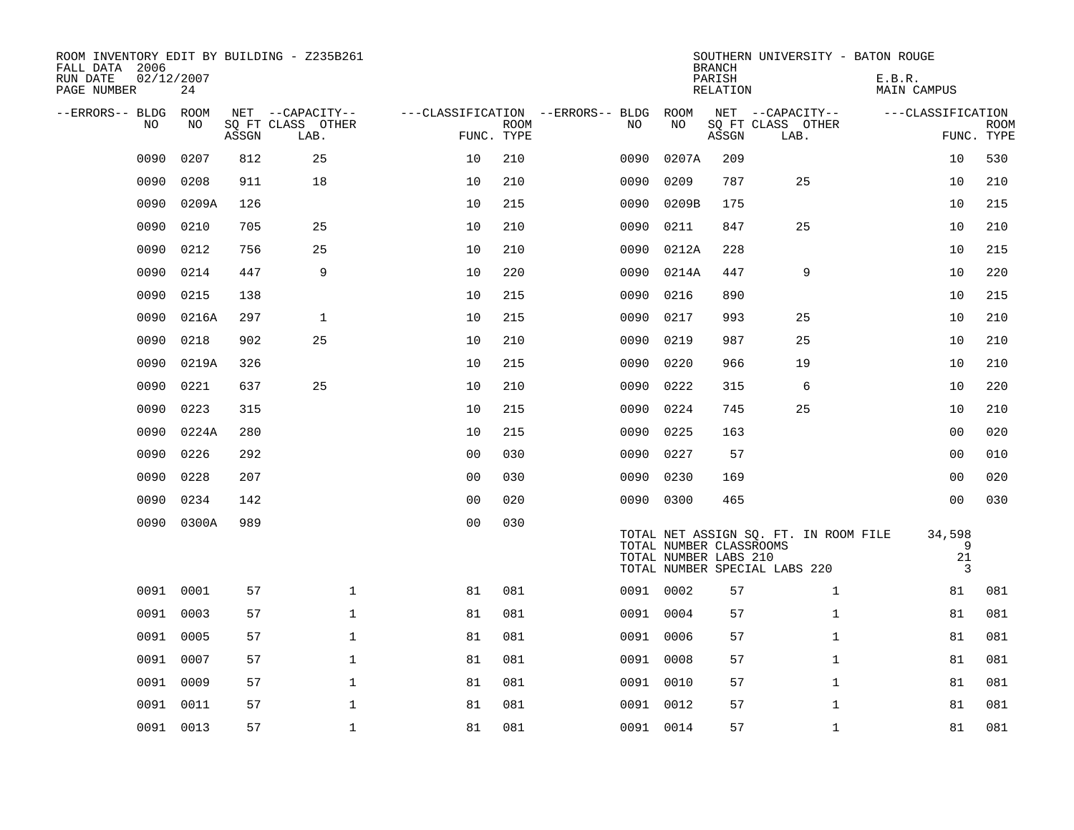| ROOM INVENTORY EDIT BY BUILDING - Z235B261<br>FALL DATA 2006<br>RUN DATE<br>PAGE NUMBER | 02/12/2007<br>24 |       |                                               |                                                 |             |      |            | <b>BRANCH</b><br>PARISH<br>RELATION              | SOUTHERN UNIVERSITY - BATON ROUGE                                      | E.B.R.<br>MAIN CAMPUS  |                           |
|-----------------------------------------------------------------------------------------|------------------|-------|-----------------------------------------------|-------------------------------------------------|-------------|------|------------|--------------------------------------------------|------------------------------------------------------------------------|------------------------|---------------------------|
| --ERRORS-- BLDG ROOM<br>NO                                                              | NO               | ASSGN | NET --CAPACITY--<br>SQ FT CLASS OTHER<br>LAB. | ---CLASSIFICATION --ERRORS-- BLDG<br>FUNC. TYPE | <b>ROOM</b> | NO   | ROOM<br>NO | ASSGN                                            | NET --CAPACITY--<br>SQ FT CLASS OTHER<br>LAB.                          | ---CLASSIFICATION      | <b>ROOM</b><br>FUNC. TYPE |
| 0090                                                                                    | 0207             | 812   | 25                                            | 10                                              | 210         | 0090 | 0207A      | 209                                              |                                                                        | 10                     | 530                       |
| 0090                                                                                    | 0208             | 911   | 18                                            | 10                                              | 210         | 0090 | 0209       | 787                                              | 25                                                                     | 10                     | 210                       |
| 0090                                                                                    | 0209A            | 126   |                                               | 10                                              | 215         | 0090 | 0209B      | 175                                              |                                                                        | 10                     | 215                       |
| 0090                                                                                    | 0210             | 705   | 25                                            | 10                                              | 210         | 0090 | 0211       | 847                                              | 25                                                                     | 10                     | 210                       |
| 0090                                                                                    | 0212             | 756   | 25                                            | 10                                              | 210         | 0090 | 0212A      | 228                                              |                                                                        | 10                     | 215                       |
| 0090                                                                                    | 0214             | 447   | 9                                             | 10                                              | 220         | 0090 | 0214A      | 447                                              | 9                                                                      | 10                     | 220                       |
| 0090                                                                                    | 0215             | 138   |                                               | 10                                              | 215         | 0090 | 0216       | 890                                              |                                                                        | 10                     | 215                       |
| 0090                                                                                    | 0216A            | 297   | $\mathbf{1}$                                  | 10                                              | 215         | 0090 | 0217       | 993                                              | 25                                                                     | 10                     | 210                       |
| 0090                                                                                    | 0218             | 902   | 25                                            | 10                                              | 210         | 0090 | 0219       | 987                                              | 25                                                                     | 10                     | 210                       |
| 0090                                                                                    | 0219A            | 326   |                                               | 10                                              | 215         | 0090 | 0220       | 966                                              | 19                                                                     | 10                     | 210                       |
| 0090                                                                                    | 0221             | 637   | 25                                            | 10                                              | 210         | 0090 | 0222       | 315                                              | 6                                                                      | 10                     | 220                       |
| 0090                                                                                    | 0223             | 315   |                                               | 10                                              | 215         | 0090 | 0224       | 745                                              | 25                                                                     | 10                     | 210                       |
| 0090                                                                                    | 0224A            | 280   |                                               | 10                                              | 215         | 0090 | 0225       | 163                                              |                                                                        | 00                     | 020                       |
| 0090                                                                                    | 0226             | 292   |                                               | 0 <sub>0</sub>                                  | 030         | 0090 | 0227       | 57                                               |                                                                        | 00                     | 010                       |
| 0090                                                                                    | 0228             | 207   |                                               | 0 <sub>0</sub>                                  | 030         | 0090 | 0230       | 169                                              |                                                                        | 0 <sub>0</sub>         | 020                       |
| 0090                                                                                    | 0234             | 142   |                                               | 0 <sub>0</sub>                                  | 020         |      | 0090 0300  | 465                                              |                                                                        | 00                     | 030                       |
|                                                                                         | 0090 0300A       | 989   |                                               | 0 <sub>0</sub>                                  | 030         |      |            | TOTAL NUMBER CLASSROOMS<br>TOTAL NUMBER LABS 210 | TOTAL NET ASSIGN SQ. FT. IN ROOM FILE<br>TOTAL NUMBER SPECIAL LABS 220 | 34,598<br>9<br>21<br>3 |                           |
| 0091                                                                                    | 0001             | 57    | $\mathbf{1}$                                  | 81                                              | 081         |      | 0091 0002  | 57                                               | $\mathbf{1}$                                                           | 81                     | 081                       |
| 0091                                                                                    | 0003             | 57    | $\mathbf{1}$                                  | 81                                              | 081         |      | 0091 0004  | 57                                               | $\mathbf{1}$                                                           | 81                     | 081                       |
| 0091                                                                                    | 0005             | 57    | $\mathbf{1}$                                  | 81                                              | 081         |      | 0091 0006  | 57                                               | $\mathbf{1}$                                                           | 81                     | 081                       |
|                                                                                         | 0091 0007        | 57    | $\mathbf 1$                                   | 81                                              | 081         |      | 0091 0008  | 57                                               | $\mathbf{1}$                                                           | 81                     | 081                       |
| 0091                                                                                    | 0009             | 57    | $\mathbf{1}$                                  | 81                                              | 081         |      | 0091 0010  | 57                                               | $\mathbf{1}$                                                           | 81                     | 081                       |
|                                                                                         | 0091 0011        | 57    | $\mathbf 1$                                   | 81                                              | 081         |      | 0091 0012  | 57                                               | $\mathbf{1}$                                                           | 81                     | 081                       |
|                                                                                         | 0091 0013        | 57    | $\mathbf 1$                                   | 81                                              | 081         |      | 0091 0014  | 57                                               | $\mathbf{1}$                                                           | 81                     | 081                       |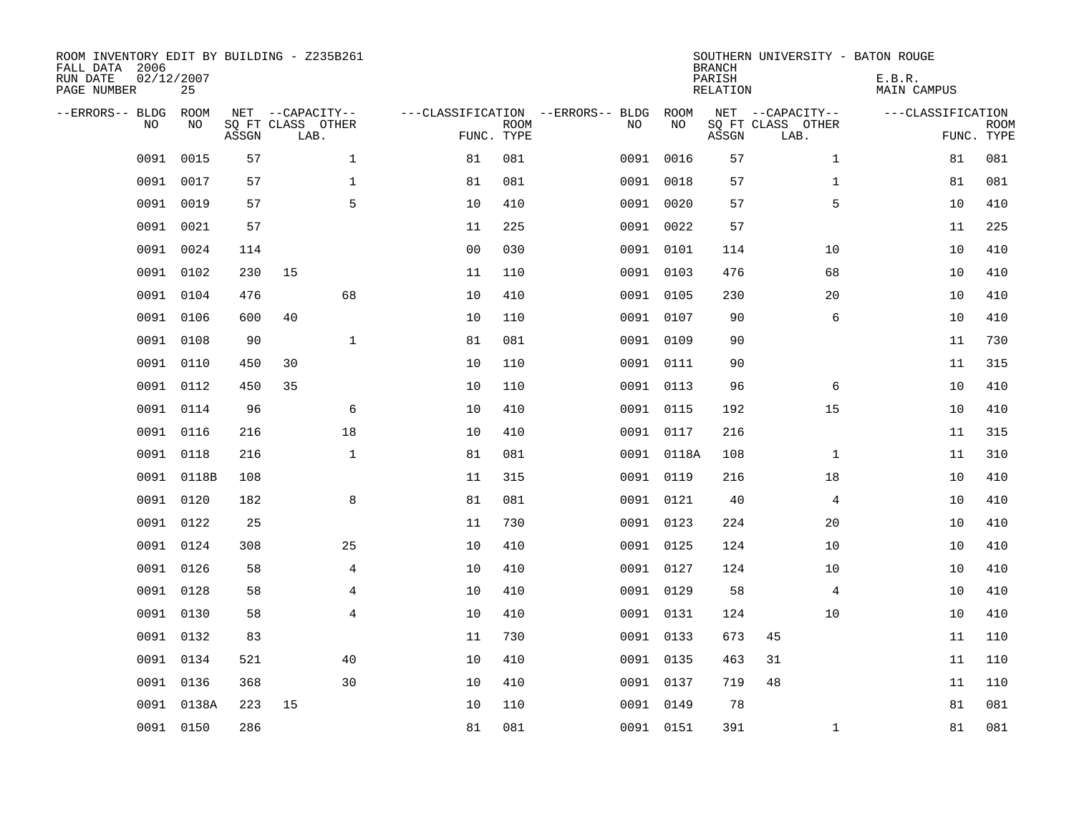| ROOM INVENTORY EDIT BY BUILDING - Z235B261<br>FALL DATA 2006<br>RUN DATE<br>PAGE NUMBER | 02/12/2007<br>25 |       |                                               |                |                                                 |             |      |            | <b>BRANCH</b><br>PARISH<br><b>RELATION</b> | SOUTHERN UNIVERSITY - BATON ROUGE             | E.B.R.<br><b>MAIN CAMPUS</b> |                           |
|-----------------------------------------------------------------------------------------|------------------|-------|-----------------------------------------------|----------------|-------------------------------------------------|-------------|------|------------|--------------------------------------------|-----------------------------------------------|------------------------------|---------------------------|
| --ERRORS-- BLDG<br>NO.                                                                  | ROOM<br>NO       | ASSGN | NET --CAPACITY--<br>SQ FT CLASS OTHER<br>LAB. |                | ---CLASSIFICATION --ERRORS-- BLDG<br>FUNC. TYPE | <b>ROOM</b> | NO   | ROOM<br>NO | ASSGN                                      | NET --CAPACITY--<br>SQ FT CLASS OTHER<br>LAB. | ---CLASSIFICATION            | <b>ROOM</b><br>FUNC. TYPE |
| 0091                                                                                    | 0015             | 57    |                                               | $\mathbf{1}$   | 81                                              | 081         | 0091 | 0016       | 57                                         | $\mathbf{1}$                                  | 81                           | 081                       |
| 0091                                                                                    | 0017             | 57    |                                               | 1              | 81                                              | 081         | 0091 | 0018       | 57                                         | $\mathbf{1}$                                  | 81                           | 081                       |
| 0091                                                                                    | 0019             | 57    |                                               | 5              | 10                                              | 410         | 0091 | 0020       | 57                                         | 5                                             | 10                           | 410                       |
| 0091                                                                                    | 0021             | 57    |                                               |                | 11                                              | 225         |      | 0091 0022  | 57                                         |                                               | 11                           | 225                       |
| 0091                                                                                    | 0024             | 114   |                                               |                | 0 <sub>0</sub>                                  | 030         |      | 0091 0101  | 114                                        | 10                                            | 10                           | 410                       |
| 0091                                                                                    | 0102             | 230   | 15                                            |                | 11                                              | 110         |      | 0091 0103  | 476                                        | 68                                            | 10                           | 410                       |
| 0091                                                                                    | 0104             | 476   |                                               | 68             | 10                                              | 410         |      | 0091 0105  | 230                                        | 20                                            | 10                           | 410                       |
| 0091                                                                                    | 0106             | 600   | 40                                            |                | 10                                              | 110         |      | 0091 0107  | 90                                         | 6                                             | 10                           | 410                       |
| 0091                                                                                    | 0108             | 90    |                                               | $\mathbf{1}$   | 81                                              | 081         | 0091 | 0109       | 90                                         |                                               | 11                           | 730                       |
| 0091                                                                                    | 0110             | 450   | 30                                            |                | 10                                              | 110         |      | 0091 0111  | 90                                         |                                               | 11                           | 315                       |
| 0091                                                                                    | 0112             | 450   | 35                                            |                | 10                                              | 110         |      | 0091 0113  | 96                                         | 6                                             | 10                           | 410                       |
|                                                                                         | 0091 0114        | 96    |                                               | 6              | 10                                              | 410         |      | 0091 0115  | 192                                        | 15                                            | 10                           | 410                       |
| 0091                                                                                    | 0116             | 216   |                                               | 18             | 10                                              | 410         |      | 0091 0117  | 216                                        |                                               | 11                           | 315                       |
| 0091                                                                                    | 0118             | 216   |                                               | $\mathbf 1$    | 81                                              | 081         |      | 0091 0118A | 108                                        | $\mathbf{1}$                                  | 11                           | 310                       |
| 0091                                                                                    | 0118B            | 108   |                                               |                | 11                                              | 315         |      | 0091 0119  | 216                                        | 18                                            | 10                           | 410                       |
| 0091                                                                                    | 0120             | 182   |                                               | 8              | 81                                              | 081         |      | 0091 0121  | 40                                         | $\overline{4}$                                | 10                           | 410                       |
| 0091                                                                                    | 0122             | 25    |                                               |                | 11                                              | 730         |      | 0091 0123  | 224                                        | 20                                            | 10                           | 410                       |
| 0091                                                                                    | 0124             | 308   |                                               | 25             | 10                                              | 410         |      | 0091 0125  | 124                                        | 10                                            | 10                           | 410                       |
| 0091                                                                                    | 0126             | 58    |                                               | 4              | 10                                              | 410         |      | 0091 0127  | 124                                        | 10                                            | 10                           | 410                       |
| 0091                                                                                    | 0128             | 58    |                                               | 4              | 10                                              | 410         |      | 0091 0129  | 58                                         | 4                                             | 10                           | 410                       |
| 0091                                                                                    | 0130             | 58    |                                               | $\overline{4}$ | 10                                              | 410         |      | 0091 0131  | 124                                        | 10                                            | 10                           | 410                       |
| 0091                                                                                    | 0132             | 83    |                                               |                | 11                                              | 730         |      | 0091 0133  | 673                                        | 45                                            | 11                           | 110                       |
| 0091                                                                                    | 0134             | 521   |                                               | 40             | 10                                              | 410         |      | 0091 0135  | 463                                        | 31                                            | 11                           | 110                       |
| 0091                                                                                    | 0136             | 368   |                                               | 30             | 10                                              | 410         |      | 0091 0137  | 719                                        | 48                                            | 11                           | 110                       |
| 0091                                                                                    | 0138A            | 223   | 15                                            |                | 10                                              | 110         |      | 0091 0149  | 78                                         |                                               | 81                           | 081                       |
|                                                                                         | 0091 0150        | 286   |                                               |                | 81                                              | 081         |      | 0091 0151  | 391                                        | $\mathbf{1}$                                  | 81                           | 081                       |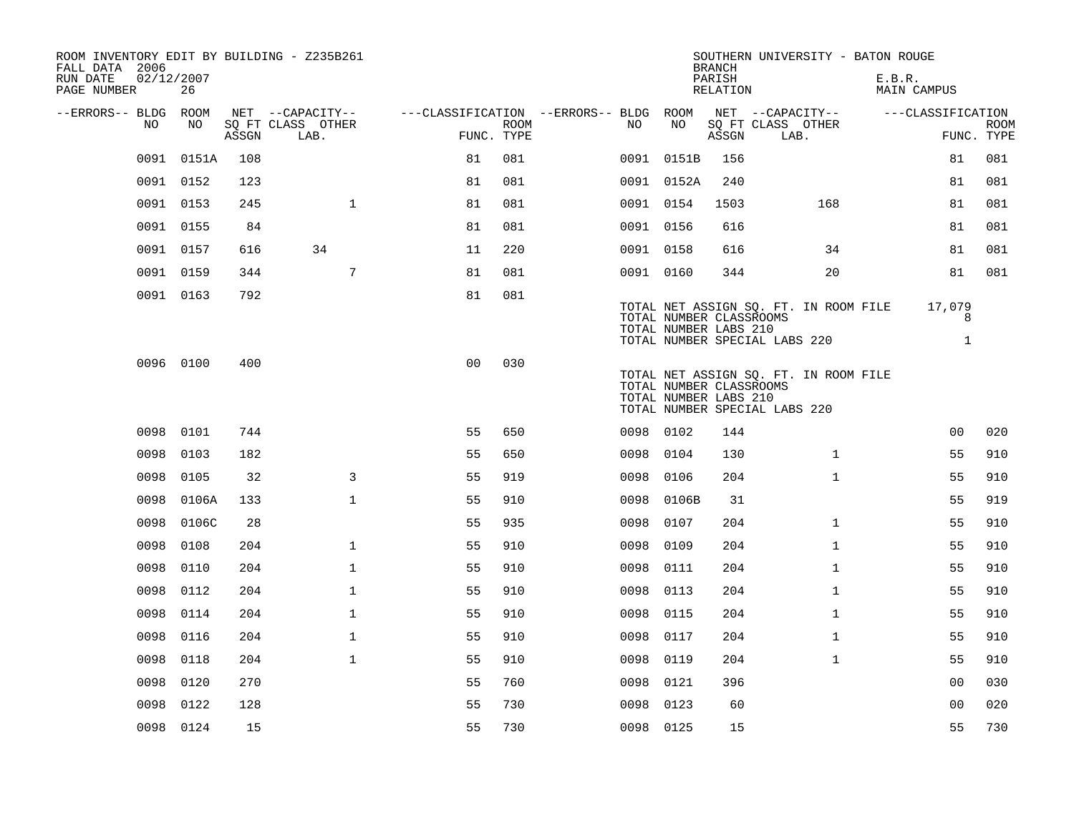| ROOM INVENTORY EDIT BY BUILDING - Z235B261<br>FALL DATA 2006<br>RUN DATE<br>PAGE NUMBER | 02/12/2007<br>26 |       |                                       |                                        |      |           |            | <b>BRANCH</b><br>PARISH                          | SOUTHERN UNIVERSITY - BATON ROUGE                                      | E.B.R.            |                   |
|-----------------------------------------------------------------------------------------|------------------|-------|---------------------------------------|----------------------------------------|------|-----------|------------|--------------------------------------------------|------------------------------------------------------------------------|-------------------|-------------------|
|                                                                                         |                  |       |                                       |                                        |      |           |            | RELATION                                         |                                                                        | MAIN CAMPUS       |                   |
| --ERRORS-- BLDG ROOM<br>NO.                                                             | NO.              |       | NET --CAPACITY--<br>SO FT CLASS OTHER | ---CLASSIFICATION --ERRORS-- BLDG ROOM | ROOM | NO.       | NO         |                                                  | NET --CAPACITY--<br>SQ FT CLASS OTHER                                  | ---CLASSIFICATION | <b>ROOM</b>       |
|                                                                                         |                  | ASSGN | LAB.                                  | FUNC. TYPE                             |      |           |            | ASSGN                                            | LAB.                                                                   |                   | FUNC. TYPE        |
| 0091                                                                                    | 0151A            | 108   |                                       | 81                                     | 081  |           | 0091 0151B | 156                                              |                                                                        | 81                | 081               |
|                                                                                         | 0091 0152        | 123   |                                       | 81                                     | 081  |           | 0091 0152A | 240                                              |                                                                        | 81                | 081               |
|                                                                                         | 0091 0153        | 245   | $\mathbf{1}$                          | 81                                     | 081  | 0091 0154 |            | 1503                                             | 168                                                                    | 81                | 081               |
|                                                                                         | 0091 0155        | 84    |                                       | 81                                     | 081  | 0091 0156 |            | 616                                              |                                                                        | 81                | 081               |
| 0091                                                                                    | 0157             | 616   | 34                                    | 11                                     | 220  | 0091 0158 |            | 616                                              | 34                                                                     | 81                | 081               |
| 0091                                                                                    | 0159             | 344   | 7                                     | 81                                     | 081  | 0091 0160 |            | 344                                              | 20                                                                     | 81                | 081               |
|                                                                                         | 0091 0163        | 792   |                                       | 81                                     | 081  |           |            | TOTAL NUMBER CLASSROOMS<br>TOTAL NUMBER LABS 210 | TOTAL NET ASSIGN SQ. FT. IN ROOM FILE<br>TOTAL NUMBER SPECIAL LABS 220 | 17,079            | 8<br>$\mathbf{1}$ |
|                                                                                         | 0096 0100        | 400   |                                       | 0 <sub>0</sub>                         | 030  |           |            | TOTAL NUMBER CLASSROOMS<br>TOTAL NUMBER LABS 210 | TOTAL NET ASSIGN SQ. FT. IN ROOM FILE<br>TOTAL NUMBER SPECIAL LABS 220 |                   |                   |
| 0098                                                                                    | 0101             | 744   |                                       | 55                                     | 650  | 0098 0102 |            | 144                                              |                                                                        | 0 <sub>0</sub>    | 020               |
| 0098                                                                                    | 0103             | 182   |                                       | 55                                     | 650  | 0098      | 0104       | 130                                              | $\mathbf{1}$                                                           | 55                | 910               |
| 0098                                                                                    | 0105             | 32    | 3                                     | 55                                     | 919  | 0098      | 0106       | 204                                              | $\mathbf{1}$                                                           | 55                | 910               |
| 0098                                                                                    | 0106A            | 133   | $\mathbf{1}$                          | 55                                     | 910  | 0098      | 0106B      | 31                                               |                                                                        | 55                | 919               |
| 0098                                                                                    | 0106C            | 28    |                                       | 55                                     | 935  | 0098      | 0107       | 204                                              | $\mathbf{1}$                                                           | 55                | 910               |
| 0098                                                                                    | 0108             | 204   | $\mathbf{1}$                          | 55                                     | 910  | 0098      | 0109       | 204                                              | $\mathbf{1}$                                                           | 55                | 910               |
| 0098                                                                                    | 0110             | 204   | $\mathbf{1}$                          | 55                                     | 910  | 0098      | 0111       | 204                                              | $\mathbf{1}$                                                           | 55                | 910               |
| 0098                                                                                    | 0112             | 204   | $\mathbf{1}$                          | 55                                     | 910  | 0098      | 0113       | 204                                              | $\mathbf{1}$                                                           | 55                | 910               |
| 0098                                                                                    | 0114             | 204   | $\mathbf 1$                           | 55                                     | 910  | 0098      | 0115       | 204                                              | $\mathbf{1}$                                                           | 55                | 910               |
| 0098                                                                                    | 0116             | 204   | $\mathbf{1}$                          | 55                                     | 910  | 0098      | 0117       | 204                                              | $\mathbf{1}$                                                           | 55                | 910               |
| 0098                                                                                    | 0118             | 204   | $\mathbf{1}$                          | 55                                     | 910  | 0098      | 0119       | 204                                              | $\mathbf{1}$                                                           | 55                | 910               |
| 0098                                                                                    | 0120             | 270   |                                       | 55                                     | 760  | 0098      | 0121       | 396                                              |                                                                        | 0 <sub>0</sub>    | 030               |
| 0098                                                                                    | 0122             | 128   |                                       | 55                                     | 730  | 0098      | 0123       | 60                                               |                                                                        | 0 <sub>0</sub>    | 020               |
|                                                                                         | 0098 0124        | 15    |                                       | 55                                     | 730  | 0098 0125 |            | 15                                               |                                                                        | 55                | 730               |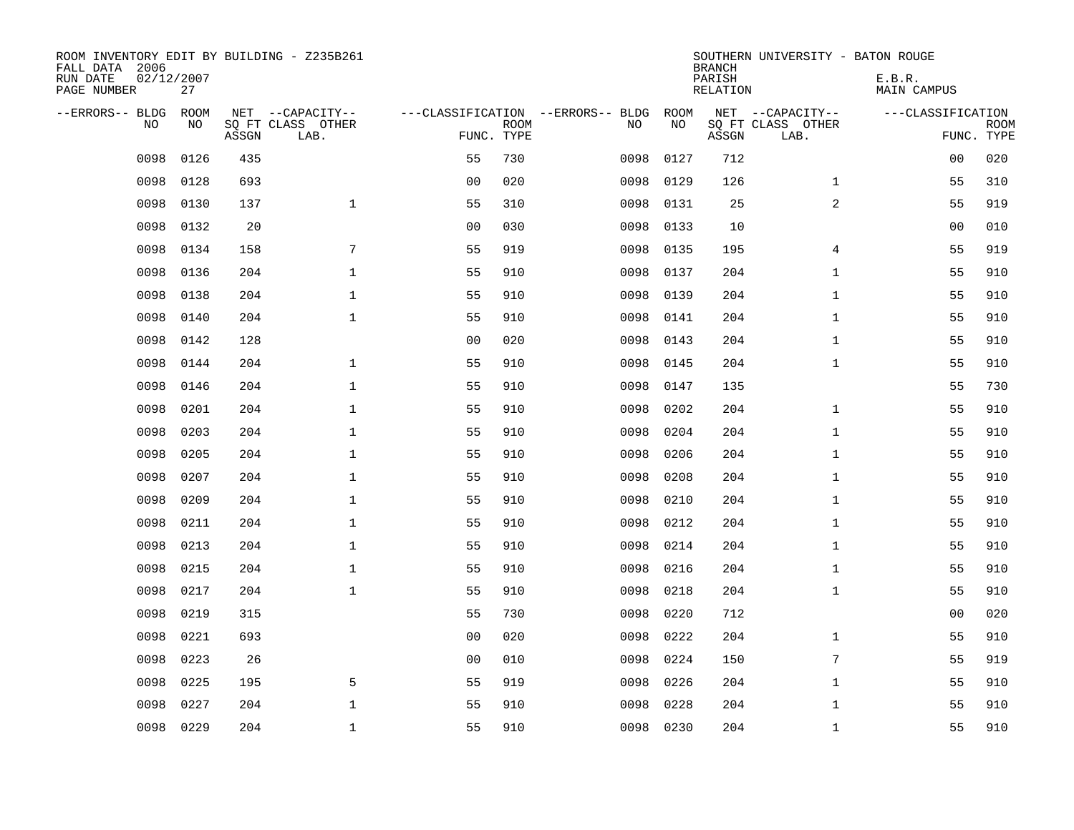| ROOM INVENTORY EDIT BY BUILDING - Z235B261<br>FALL DATA 2006<br>RUN DATE<br>PAGE NUMBER | 02/12/2007<br>27 |       |                           |                |             |                                   |           | <b>BRANCH</b><br>PARISH<br>RELATION | SOUTHERN UNIVERSITY - BATON ROUGE | E.B.R.<br>MAIN CAMPUS |                           |
|-----------------------------------------------------------------------------------------|------------------|-------|---------------------------|----------------|-------------|-----------------------------------|-----------|-------------------------------------|-----------------------------------|-----------------------|---------------------------|
| --ERRORS-- BLDG                                                                         | <b>ROOM</b>      |       | NET --CAPACITY--          |                |             | ---CLASSIFICATION --ERRORS-- BLDG | ROOM      |                                     | NET --CAPACITY--                  | ---CLASSIFICATION     |                           |
| N <sub>O</sub>                                                                          | NO.              | ASSGN | SO FT CLASS OTHER<br>LAB. | FUNC. TYPE     | <b>ROOM</b> | NO.                               | NO        | ASSGN                               | SQ FT CLASS OTHER<br>LAB.         |                       | <b>ROOM</b><br>FUNC. TYPE |
| 0098                                                                                    | 0126             | 435   |                           | 55             | 730         | 0098                              | 0127      | 712                                 |                                   | 00                    | 020                       |
| 0098                                                                                    | 0128             | 693   |                           | 0 <sub>0</sub> | 020         | 0098                              | 0129      | 126                                 | $\mathbf{1}$                      | 55                    | 310                       |
| 0098                                                                                    | 0130             | 137   | $\mathbf{1}$              | 55             | 310         | 0098                              | 0131      | 25                                  | 2                                 | 55                    | 919                       |
| 0098                                                                                    | 0132             | 20    |                           | 0 <sub>0</sub> | 030         | 0098                              | 0133      | 10                                  |                                   | 0 <sub>0</sub>        | 010                       |
| 0098                                                                                    | 0134             | 158   | $\sqrt{ }$                | 55             | 919         | 0098                              | 0135      | 195                                 | 4                                 | 55                    | 919                       |
| 0098                                                                                    | 0136             | 204   | $\mathbf 1$               | 55             | 910         | 0098                              | 0137      | 204                                 | $\mathbf{1}$                      | 55                    | 910                       |
| 0098                                                                                    | 0138             | 204   | $\mathbf{1}$              | 55             | 910         | 0098                              | 0139      | 204                                 | $\mathbf{1}$                      | 55                    | 910                       |
| 0098                                                                                    | 0140             | 204   | $\mathbf{1}$              | 55             | 910         | 0098                              | 0141      | 204                                 | $\mathbf{1}$                      | 55                    | 910                       |
| 0098                                                                                    | 0142             | 128   |                           | 0 <sub>0</sub> | 020         | 0098                              | 0143      | 204                                 | $\mathbf{1}$                      | 55                    | 910                       |
| 0098                                                                                    | 0144             | 204   | $\mathbf 1$               | 55             | 910         | 0098                              | 0145      | 204                                 | $\mathbf{1}$                      | 55                    | 910                       |
| 0098                                                                                    | 0146             | 204   | $\mathbf{1}$              | 55             | 910         | 0098                              | 0147      | 135                                 |                                   | 55                    | 730                       |
| 0098                                                                                    | 0201             | 204   | $\mathbf 1$               | 55             | 910         | 0098                              | 0202      | 204                                 | $\mathbf{1}$                      | 55                    | 910                       |
| 0098                                                                                    | 0203             | 204   | $\mathbf{1}$              | 55             | 910         | 0098                              | 0204      | 204                                 | $\mathbf{1}$                      | 55                    | 910                       |
| 0098                                                                                    | 0205             | 204   | $\mathbf{1}$              | 55             | 910         | 0098                              | 0206      | 204                                 | $\mathbf{1}$                      | 55                    | 910                       |
| 0098                                                                                    | 0207             | 204   | $\mathbf 1$               | 55             | 910         | 0098                              | 0208      | 204                                 | $\mathbf{1}$                      | 55                    | 910                       |
| 0098                                                                                    | 0209             | 204   | $\mathbf 1$               | 55             | 910         | 0098                              | 0210      | 204                                 | $\mathbf{1}$                      | 55                    | 910                       |
| 0098                                                                                    | 0211             | 204   | $\mathbf 1$               | 55             | 910         | 0098                              | 0212      | 204                                 | $\mathbf{1}$                      | 55                    | 910                       |
| 0098                                                                                    | 0213             | 204   | $\mathbf{1}$              | 55             | 910         | 0098                              | 0214      | 204                                 | $\mathbf{1}$                      | 55                    | 910                       |
| 0098                                                                                    | 0215             | 204   | $\mathbf{1}$              | 55             | 910         | 0098                              | 0216      | 204                                 | $\mathbf{1}$                      | 55                    | 910                       |
| 0098                                                                                    | 0217             | 204   | $\mathbf{1}$              | 55             | 910         | 0098                              | 0218      | 204                                 | $\mathbf{1}$                      | 55                    | 910                       |
| 0098                                                                                    | 0219             | 315   |                           | 55             | 730         | 0098                              | 0220      | 712                                 |                                   | 00                    | 020                       |
| 0098                                                                                    | 0221             | 693   |                           | 0 <sub>0</sub> | 020         | 0098                              | 0222      | 204                                 | $\mathbf{1}$                      | 55                    | 910                       |
| 0098                                                                                    | 0223             | 26    |                           | 0 <sub>0</sub> | 010         | 0098                              | 0224      | 150                                 | 7                                 | 55                    | 919                       |
| 0098                                                                                    | 0225             | 195   | 5                         | 55             | 919         | 0098                              | 0226      | 204                                 | $\mathbf{1}$                      | 55                    | 910                       |
| 0098                                                                                    | 0227             | 204   | $\mathbf{1}$              | 55             | 910         | 0098                              | 0228      | 204                                 | $\mathbf{1}$                      | 55                    | 910                       |
| 0098                                                                                    | 0229             | 204   | $\mathbf{1}$              | 55             | 910         |                                   | 0098 0230 | 204                                 | $\mathbf{1}$                      | 55                    | 910                       |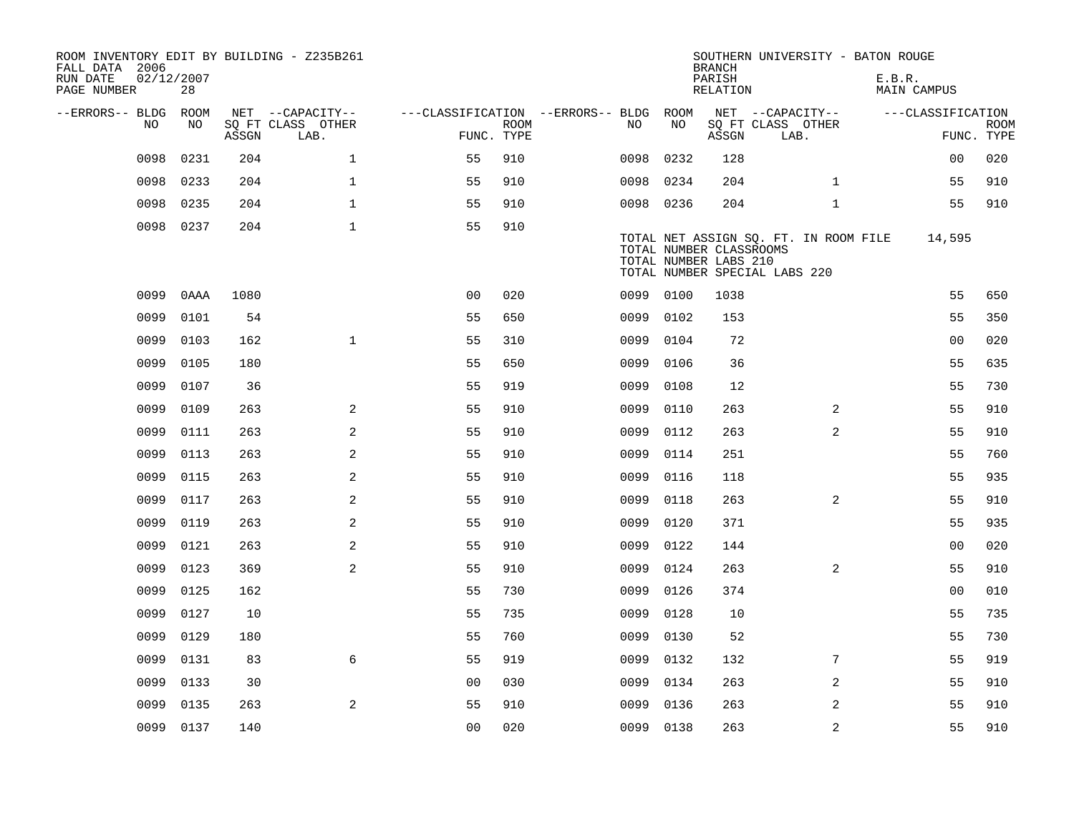| ROOM INVENTORY EDIT BY BUILDING - Z235B261<br>FALL DATA 2006<br>RUN DATE<br>PAGE NUMBER | 02/12/2007<br>28 |       |                                       |                                        |             |           |      | <b>BRANCH</b><br>PARISH<br>RELATION              | SOUTHERN UNIVERSITY - BATON ROUGE                                      |                | E.B.R. | MAIN CAMPUS       |             |
|-----------------------------------------------------------------------------------------|------------------|-------|---------------------------------------|----------------------------------------|-------------|-----------|------|--------------------------------------------------|------------------------------------------------------------------------|----------------|--------|-------------------|-------------|
|                                                                                         |                  |       |                                       |                                        |             |           |      |                                                  |                                                                        |                |        |                   |             |
| --ERRORS-- BLDG ROOM<br>NO                                                              | NO.              |       | NET --CAPACITY--<br>SQ FT CLASS OTHER | ---CLASSIFICATION --ERRORS-- BLDG ROOM | <b>ROOM</b> | NO.       | NO   |                                                  | NET --CAPACITY--<br>SQ FT CLASS OTHER                                  |                |        | ---CLASSIFICATION | <b>ROOM</b> |
|                                                                                         |                  | ASSGN | LAB.                                  | FUNC. TYPE                             |             |           |      | ASSGN                                            | LAB.                                                                   |                |        |                   | FUNC. TYPE  |
| 0098                                                                                    | 0231             | 204   | $\mathbf{1}$                          | 55                                     | 910         | 0098      | 0232 | 128                                              |                                                                        |                |        | 0 <sub>0</sub>    | 020         |
| 0098                                                                                    | 0233             | 204   | $\mathbf{1}$                          | 55                                     | 910         | 0098      | 0234 | 204                                              |                                                                        | $\mathbf{1}$   |        | 55                | 910         |
| 0098                                                                                    | 0235             | 204   | $\mathbf{1}$                          | 55                                     | 910         | 0098 0236 |      | 204                                              |                                                                        | $\mathbf{1}$   |        | 55                | 910         |
|                                                                                         | 0098 0237        | 204   | $\mathbf{1}$                          | 55                                     | 910         |           |      | TOTAL NUMBER CLASSROOMS<br>TOTAL NUMBER LABS 210 | TOTAL NET ASSIGN SQ. FT. IN ROOM FILE<br>TOTAL NUMBER SPECIAL LABS 220 |                |        | 14,595            |             |
| 0099                                                                                    | 0AAA             | 1080  |                                       | 0 <sub>0</sub>                         | 020         | 0099      | 0100 | 1038                                             |                                                                        |                |        | 55                | 650         |
| 0099                                                                                    | 0101             | 54    |                                       | 55                                     | 650         | 0099      | 0102 | 153                                              |                                                                        |                |        | 55                | 350         |
| 0099                                                                                    | 0103             | 162   | $\mathbf{1}$                          | 55                                     | 310         | 0099      | 0104 | 72                                               |                                                                        |                |        | 0 <sub>0</sub>    | 020         |
| 0099                                                                                    | 0105             | 180   |                                       | 55                                     | 650         | 0099      | 0106 | 36                                               |                                                                        |                |        | 55                | 635         |
| 0099                                                                                    | 0107             | 36    |                                       | 55                                     | 919         | 0099      | 0108 | 12                                               |                                                                        |                |        | 55                | 730         |
| 0099                                                                                    | 0109             | 263   | 2                                     | 55                                     | 910         | 0099      | 0110 | 263                                              |                                                                        | 2              |        | 55                | 910         |
| 0099                                                                                    | 0111             | 263   | 2                                     | 55                                     | 910         | 0099      | 0112 | 263                                              |                                                                        | 2              |        | 55                | 910         |
| 0099                                                                                    | 0113             | 263   | 2                                     | 55                                     | 910         | 0099      | 0114 | 251                                              |                                                                        |                |        | 55                | 760         |
| 0099                                                                                    | 0115             | 263   | 2                                     | 55                                     | 910         | 0099      | 0116 | 118                                              |                                                                        |                |        | 55                | 935         |
| 0099                                                                                    | 0117             | 263   | 2                                     | 55                                     | 910         | 0099      | 0118 | 263                                              |                                                                        | $\overline{2}$ |        | 55                | 910         |
| 0099                                                                                    | 0119             | 263   | 2                                     | 55                                     | 910         | 0099      | 0120 | 371                                              |                                                                        |                |        | 55                | 935         |
| 0099                                                                                    | 0121             | 263   | 2                                     | 55                                     | 910         | 0099      | 0122 | 144                                              |                                                                        |                |        | 00                | 020         |
| 0099                                                                                    | 0123             | 369   | 2                                     | 55                                     | 910         | 0099      | 0124 | 263                                              |                                                                        | 2              |        | 55                | 910         |
| 0099                                                                                    | 0125             | 162   |                                       | 55                                     | 730         | 0099      | 0126 | 374                                              |                                                                        |                |        | 0 <sub>0</sub>    | 010         |
| 0099                                                                                    | 0127             | 10    |                                       | 55                                     | 735         | 0099      | 0128 | 10                                               |                                                                        |                |        | 55                | 735         |
| 0099                                                                                    | 0129             | 180   |                                       | 55                                     | 760         | 0099      | 0130 | 52                                               |                                                                        |                |        | 55                | 730         |
| 0099                                                                                    | 0131             | 83    | 6                                     | 55                                     | 919         | 0099      | 0132 | 132                                              |                                                                        | 7              |        | 55                | 919         |
| 0099                                                                                    | 0133             | 30    |                                       | 0 <sub>0</sub>                         | 030         | 0099      | 0134 | 263                                              |                                                                        | 2              |        | 55                | 910         |
| 0099                                                                                    | 0135             | 263   | 2                                     | 55                                     | 910         | 0099      | 0136 | 263                                              |                                                                        | $\overline{2}$ |        | 55                | 910         |
|                                                                                         | 0099 0137        | 140   |                                       | 00                                     | 020         | 0099 0138 |      | 263                                              |                                                                        | $\overline{a}$ |        | 55                | 910         |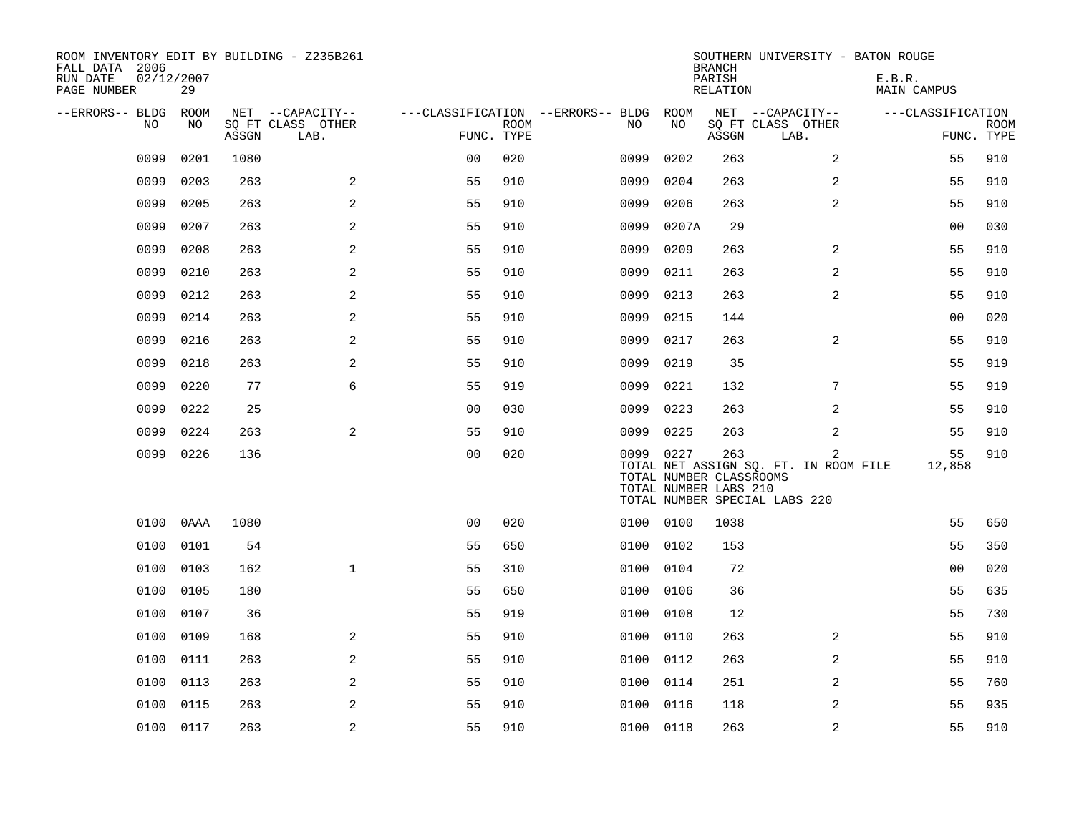| ROOM INVENTORY EDIT BY BUILDING - Z235B261<br>FALL DATA 2006<br>RUN DATE | 02/12/2007 |       |                           |                                   |             |           |       | <b>BRANCH</b><br>PARISH                                 | SOUTHERN UNIVERSITY - BATON ROUGE                                                        | E.B.R.            |                           |
|--------------------------------------------------------------------------|------------|-------|---------------------------|-----------------------------------|-------------|-----------|-------|---------------------------------------------------------|------------------------------------------------------------------------------------------|-------------------|---------------------------|
| PAGE NUMBER                                                              | 29         |       |                           |                                   |             |           |       | RELATION                                                |                                                                                          | MAIN CAMPUS       |                           |
| --ERRORS-- BLDG                                                          | ROOM       |       | NET --CAPACITY--          | ---CLASSIFICATION --ERRORS-- BLDG |             |           | ROOM  |                                                         | NET --CAPACITY--                                                                         | ---CLASSIFICATION |                           |
| NO                                                                       | NO         | ASSGN | SQ FT CLASS OTHER<br>LAB. | FUNC. TYPE                        | <b>ROOM</b> | NO        | NO    | ASSGN                                                   | SQ FT CLASS OTHER<br>LAB.                                                                |                   | <b>ROOM</b><br>FUNC. TYPE |
| 0099                                                                     | 0201       | 1080  |                           | 0 <sub>0</sub>                    | 020         | 0099      | 0202  | 263                                                     | $\overline{2}$                                                                           | 55                | 910                       |
| 0099                                                                     | 0203       | 263   | 2                         | 55                                | 910         | 0099      | 0204  | 263                                                     | 2                                                                                        | 55                | 910                       |
| 0099                                                                     | 0205       | 263   | 2                         | 55                                | 910         | 0099      | 0206  | 263                                                     | $\overline{a}$                                                                           | 55                | 910                       |
| 0099                                                                     | 0207       | 263   | 2                         | 55                                | 910         | 0099      | 0207A | 29                                                      |                                                                                          | 00                | 030                       |
| 0099                                                                     | 0208       | 263   | 2                         | 55                                | 910         | 0099      | 0209  | 263                                                     | 2                                                                                        | 55                | 910                       |
| 0099                                                                     | 0210       | 263   | 2                         | 55                                | 910         | 0099      | 0211  | 263                                                     | 2                                                                                        | 55                | 910                       |
| 0099                                                                     | 0212       | 263   | 2                         | 55                                | 910         | 0099      | 0213  | 263                                                     | 2                                                                                        | 55                | 910                       |
| 0099                                                                     | 0214       | 263   | 2                         | 55                                | 910         | 0099      | 0215  | 144                                                     |                                                                                          | 0 <sub>0</sub>    | 020                       |
| 0099                                                                     | 0216       | 263   | 2                         | 55                                | 910         | 0099      | 0217  | 263                                                     | $\overline{2}$                                                                           | 55                | 910                       |
| 0099                                                                     | 0218       | 263   | 2                         | 55                                | 910         | 0099      | 0219  | 35                                                      |                                                                                          | 55                | 919                       |
| 0099                                                                     | 0220       | 77    | 6                         | 55                                | 919         | 0099      | 0221  | 132                                                     | 7                                                                                        | 55                | 919                       |
| 0099                                                                     | 0222       | 25    |                           | 0 <sub>0</sub>                    | 030         | 0099      | 0223  | 263                                                     | 2                                                                                        | 55                | 910                       |
| 0099                                                                     | 0224       | 263   | 2                         | 55                                | 910         | 0099      | 0225  | 263                                                     | 2                                                                                        | 55                | 910                       |
| 0099                                                                     | 0226       | 136   |                           | 0 <sub>0</sub>                    | 020         | 0099 0227 |       | 263<br>TOTAL NUMBER CLASSROOMS<br>TOTAL NUMBER LABS 210 | $\overline{2}$<br>TOTAL NET ASSIGN SQ. FT. IN ROOM FILE<br>TOTAL NUMBER SPECIAL LABS 220 | 55<br>12,858      | 910                       |
| 0100                                                                     | 0AAA       | 1080  |                           | 0 <sub>0</sub>                    | 020         | 0100 0100 |       | 1038                                                    |                                                                                          | 55                | 650                       |
| 0100                                                                     | 0101       | 54    |                           | 55                                | 650         | 0100      | 0102  | 153                                                     |                                                                                          | 55                | 350                       |
| 0100                                                                     | 0103       | 162   | $\mathbf{1}$              | 55                                | 310         | 0100      | 0104  | 72                                                      |                                                                                          | 0 <sub>0</sub>    | 020                       |
| 0100                                                                     | 0105       | 180   |                           | 55                                | 650         | 0100      | 0106  | 36                                                      |                                                                                          | 55                | 635                       |
| 0100                                                                     | 0107       | 36    |                           | 55                                | 919         | 0100      | 0108  | 12                                                      |                                                                                          | 55                | 730                       |
| 0100                                                                     | 0109       | 168   | 2                         | 55                                | 910         | 0100      | 0110  | 263                                                     | 2                                                                                        | 55                | 910                       |
| 0100                                                                     | 0111       | 263   | 2                         | 55                                | 910         | 0100      | 0112  | 263                                                     | 2                                                                                        | 55                | 910                       |
| 0100                                                                     | 0113       | 263   | 2                         | 55                                | 910         | 0100      | 0114  | 251                                                     | 2                                                                                        | 55                | 760                       |
| 0100                                                                     | 0115       | 263   | 2                         | 55                                | 910         | 0100      | 0116  | 118                                                     | 2                                                                                        | 55                | 935                       |
|                                                                          | 0100 0117  | 263   | 2                         | 55                                | 910         | 0100 0118 |       | 263                                                     | 2                                                                                        | 55                | 910                       |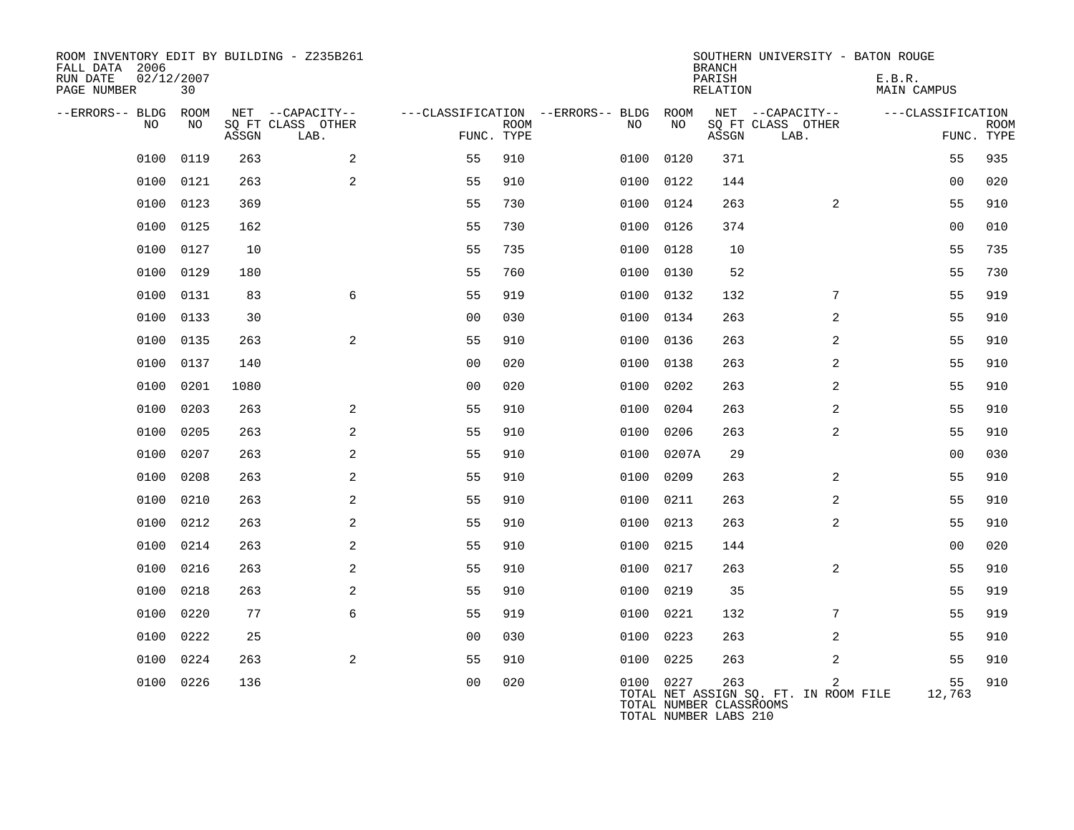| ROOM INVENTORY EDIT BY BUILDING - Z235B261<br>FALL DATA 2006<br>RUN DATE<br>PAGE NUMBER | 02/12/2007<br>30 |       |                           |                |             |                                   |           | <b>BRANCH</b><br>PARISH<br>RELATION                     | SOUTHERN UNIVERSITY - BATON ROUGE          | E.B.R.<br>MAIN CAMPUS |                           |
|-----------------------------------------------------------------------------------------|------------------|-------|---------------------------|----------------|-------------|-----------------------------------|-----------|---------------------------------------------------------|--------------------------------------------|-----------------------|---------------------------|
| --ERRORS-- BLDG ROOM                                                                    |                  |       | NET --CAPACITY--          |                |             | ---CLASSIFICATION --ERRORS-- BLDG | ROOM      |                                                         | NET --CAPACITY--                           | ---CLASSIFICATION     |                           |
| NO.                                                                                     | NO.              | ASSGN | SO FT CLASS OTHER<br>LAB. | FUNC. TYPE     | <b>ROOM</b> | NO.                               | NO        | ASSGN                                                   | SQ FT CLASS OTHER<br>LAB.                  |                       | <b>ROOM</b><br>FUNC. TYPE |
| 0100                                                                                    | 0119             | 263   | 2                         | 55             | 910         | 0100                              | 0120      | 371                                                     |                                            | 55                    | 935                       |
| 0100                                                                                    | 0121             | 263   | 2                         | 55             | 910         | 0100                              | 0122      | 144                                                     |                                            | 0 <sub>0</sub>        | 020                       |
| 0100                                                                                    | 0123             | 369   |                           | 55             | 730         |                                   | 0100 0124 | 263                                                     | 2                                          | 55                    | 910                       |
| 0100                                                                                    | 0125             | 162   |                           | 55             | 730         | 0100                              | 0126      | 374                                                     |                                            | 0 <sub>0</sub>        | 010                       |
| 0100                                                                                    | 0127             | 10    |                           | 55             | 735         |                                   | 0100 0128 | 10                                                      |                                            | 55                    | 735                       |
| 0100                                                                                    | 0129             | 180   |                           | 55             | 760         | 0100                              | 0130      | 52                                                      |                                            | 55                    | 730                       |
| 0100                                                                                    | 0131             | 83    | 6                         | 55             | 919         | 0100                              | 0132      | 132                                                     | 7                                          | 55                    | 919                       |
| 0100                                                                                    | 0133             | 30    |                           | 0 <sub>0</sub> | 030         | 0100                              | 0134      | 263                                                     | 2                                          | 55                    | 910                       |
| 0100                                                                                    | 0135             | 263   | 2                         | 55             | 910         | 0100                              | 0136      | 263                                                     | 2                                          | 55                    | 910                       |
| 0100                                                                                    | 0137             | 140   |                           | 0 <sub>0</sub> | 020         | 0100                              | 0138      | 263                                                     | $\overline{2}$                             | 55                    | 910                       |
| 0100                                                                                    | 0201             | 1080  |                           | 0 <sub>0</sub> | 020         | 0100                              | 0202      | 263                                                     | 2                                          | 55                    | 910                       |
| 0100                                                                                    | 0203             | 263   | 2                         | 55             | 910         | 0100                              | 0204      | 263                                                     | 2                                          | 55                    | 910                       |
| 0100                                                                                    | 0205             | 263   | 2                         | 55             | 910         | 0100                              | 0206      | 263                                                     | 2                                          | 55                    | 910                       |
| 0100                                                                                    | 0207             | 263   | 2                         | 55             | 910         | 0100                              | 0207A     | 29                                                      |                                            | 0 <sub>0</sub>        | 030                       |
| 0100                                                                                    | 0208             | 263   | 2                         | 55             | 910         | 0100                              | 0209      | 263                                                     | $\overline{2}$                             | 55                    | 910                       |
| 0100                                                                                    | 0210             | 263   | 2                         | 55             | 910         | 0100                              | 0211      | 263                                                     | 2                                          | 55                    | 910                       |
| 0100                                                                                    | 0212             | 263   | 2                         | 55             | 910         | 0100                              | 0213      | 263                                                     | 2                                          | 55                    | 910                       |
| 0100                                                                                    | 0214             | 263   | $\mathbf{2}$              | 55             | 910         | 0100                              | 0215      | 144                                                     |                                            | 0 <sub>0</sub>        | 020                       |
| 0100                                                                                    | 0216             | 263   | 2                         | 55             | 910         | 0100                              | 0217      | 263                                                     | $\overline{2}$                             | 55                    | 910                       |
| 0100                                                                                    | 0218             | 263   | 2                         | 55             | 910         | 0100                              | 0219      | 35                                                      |                                            | 55                    | 919                       |
| 0100                                                                                    | 0220             | 77    | 6                         | 55             | 919         | 0100                              | 0221      | 132                                                     | 7                                          | 55                    | 919                       |
| 0100                                                                                    | 0222             | 25    |                           | 0 <sub>0</sub> | 030         | 0100                              | 0223      | 263                                                     | 2                                          | 55                    | 910                       |
| 0100                                                                                    | 0224             | 263   | 2                         | 55             | 910         | 0100                              | 0225      | 263                                                     | 2                                          | 55                    | 910                       |
|                                                                                         | 0100 0226        | 136   |                           | 0 <sub>0</sub> | 020         |                                   | 0100 0227 | 263<br>TOTAL NUMBER CLASSROOMS<br>TOTAL NUMBER LABS 210 | 2<br>TOTAL NET ASSIGN SQ. FT. IN ROOM FILE | 55<br>12,763          | 910                       |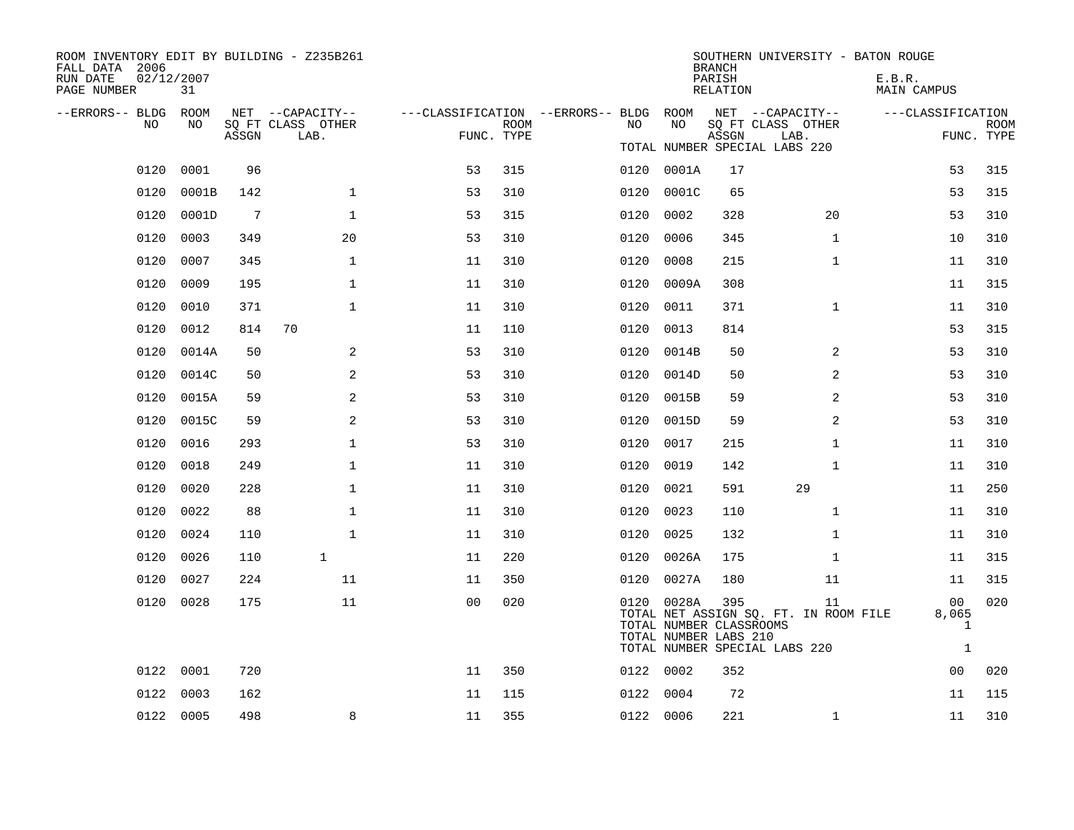| ROOM INVENTORY EDIT BY BUILDING - Z235B261<br>FALL DATA 2006<br>RUN DATE | 02/12/2007 |                 |                                       |                                                         |             |      |                                                                | <b>BRANCH</b><br>PARISH | SOUTHERN UNIVERSITY - BATON ROUGE                                            | E.B.R.                           |                           |
|--------------------------------------------------------------------------|------------|-----------------|---------------------------------------|---------------------------------------------------------|-------------|------|----------------------------------------------------------------|-------------------------|------------------------------------------------------------------------------|----------------------------------|---------------------------|
| PAGE NUMBER                                                              | 31         |                 |                                       |                                                         |             |      |                                                                | RELATION                |                                                                              | MAIN CAMPUS                      |                           |
| --ERRORS-- BLDG ROOM<br>NO                                               | NO         |                 | NET --CAPACITY--<br>SQ FT CLASS OTHER | ---CLASSIFICATION --ERRORS-- BLDG ROOM NET --CAPACITY-- | <b>ROOM</b> | NO   | NO                                                             |                         | SQ FT CLASS OTHER                                                            | ---CLASSIFICATION                |                           |
|                                                                          |            | ASSGN           | LAB.                                  | FUNC. TYPE                                              |             |      |                                                                | ASSGN                   | LAB.                                                                         |                                  | <b>ROOM</b><br>FUNC. TYPE |
|                                                                          |            |                 |                                       |                                                         |             |      |                                                                |                         | TOTAL NUMBER SPECIAL LABS 220                                                |                                  |                           |
| 0120                                                                     | 0001       | 96              |                                       | 53                                                      | 315         |      | 0120 0001A                                                     | 17                      |                                                                              | 53                               | 315                       |
| 0120                                                                     | 0001B      | 142             | $\mathbf 1$                           | 53                                                      | 310         | 0120 | 0001C                                                          | 65                      |                                                                              | 53                               | 315                       |
|                                                                          | 0120 0001D | $7\phantom{.0}$ | $\mathbf{1}$                          | 53                                                      | 315         | 0120 | 0002                                                           | 328                     | 20                                                                           | 53                               | 310                       |
| 0120                                                                     | 0003       | 349             | 20                                    | 53                                                      | 310         | 0120 | 0006                                                           | 345                     | $\mathbf{1}$                                                                 | 10                               | 310                       |
| 0120                                                                     | 0007       | 345             | $\mathbf{1}$                          | 11                                                      | 310         | 0120 | 0008                                                           | 215                     | $\mathbf{1}$                                                                 | 11                               | 310                       |
| 0120                                                                     | 0009       | 195             | $\mathbf 1$                           | 11                                                      | 310         | 0120 | 0009A                                                          | 308                     |                                                                              | 11                               | 315                       |
| 0120                                                                     | 0010       | 371             | $\mathbf{1}$                          | 11                                                      | 310         | 0120 | 0011                                                           | 371                     | $\mathbf{1}$                                                                 | 11                               | 310                       |
| 0120                                                                     | 0012       | 814             | 70                                    | 11                                                      | 110         | 0120 | 0013                                                           | 814                     |                                                                              | 53                               | 315                       |
| 0120                                                                     | 0014A      | 50              | 2                                     | 53                                                      | 310         | 0120 | 0014B                                                          | 50                      | 2                                                                            | 53                               | 310                       |
| 0120                                                                     | 0014C      | 50              | 2                                     | 53                                                      | 310         | 0120 | 0014D                                                          | 50                      | 2                                                                            | 53                               | 310                       |
| 0120                                                                     | 0015A      | 59              | 2                                     | 53                                                      | 310         | 0120 | 0015B                                                          | 59                      | 2                                                                            | 53                               | 310                       |
| 0120                                                                     | 0015C      | 59              | 2                                     | 53                                                      | 310         | 0120 | 0015D                                                          | 59                      | 2                                                                            | 53                               | 310                       |
| 0120                                                                     | 0016       | 293             | $\mathbf 1$                           | 53                                                      | 310         | 0120 | 0017                                                           | 215                     | $\mathbf{1}$                                                                 | 11                               | 310                       |
| 0120                                                                     | 0018       | 249             | $\mathbf 1$                           | 11                                                      | 310         | 0120 | 0019                                                           | 142                     | $\mathbf{1}$                                                                 | 11                               | 310                       |
| 0120                                                                     | 0020       | 228             | $\mathbf{1}$                          | 11                                                      | 310         | 0120 | 0021                                                           | 591                     | 29                                                                           | 11                               | 250                       |
| 0120                                                                     | 0022       | 88              | $\mathbf 1$                           | 11                                                      | 310         | 0120 | 0023                                                           | 110                     | $\mathbf{1}$                                                                 | 11                               | 310                       |
| 0120                                                                     | 0024       | 110             | $\mathbf{1}$                          | 11                                                      | 310         | 0120 | 0025                                                           | 132                     | $\mathbf{1}$                                                                 | 11                               | 310                       |
| 0120                                                                     | 0026       | 110             | $\mathbf{1}$                          | 11                                                      | 220         |      | 0120 0026A                                                     | 175                     | $\mathbf{1}$                                                                 | 11                               | 315                       |
| 0120                                                                     | 0027       | 224             | 11                                    | 11                                                      | 350         |      | 0120 0027A                                                     | 180                     | 11                                                                           | 11                               | 315                       |
|                                                                          | 0120 0028  | 175             | 11                                    | 0 <sub>0</sub>                                          | 020         |      | 0120 0028A<br>TOTAL NUMBER CLASSROOMS<br>TOTAL NUMBER LABS 210 | 395                     | 11<br>TOTAL NET ASSIGN SQ. FT. IN ROOM FILE<br>TOTAL NUMBER SPECIAL LABS 220 | 00<br>8,065<br>1<br>$\mathbf{1}$ | 020                       |
| 0122                                                                     | 0001       | 720             |                                       | 11                                                      | 350         |      | 0122 0002                                                      | 352                     |                                                                              | 00                               | 020                       |
| 0122                                                                     | 0003       | 162             |                                       | 11                                                      | 115         |      | 0122 0004                                                      | 72                      |                                                                              | 11                               | 115                       |
|                                                                          | 0122 0005  | 498             | 8                                     | 11                                                      | 355         |      | 0122 0006                                                      | 221                     | $\mathbf{1}$                                                                 | 11                               | 310                       |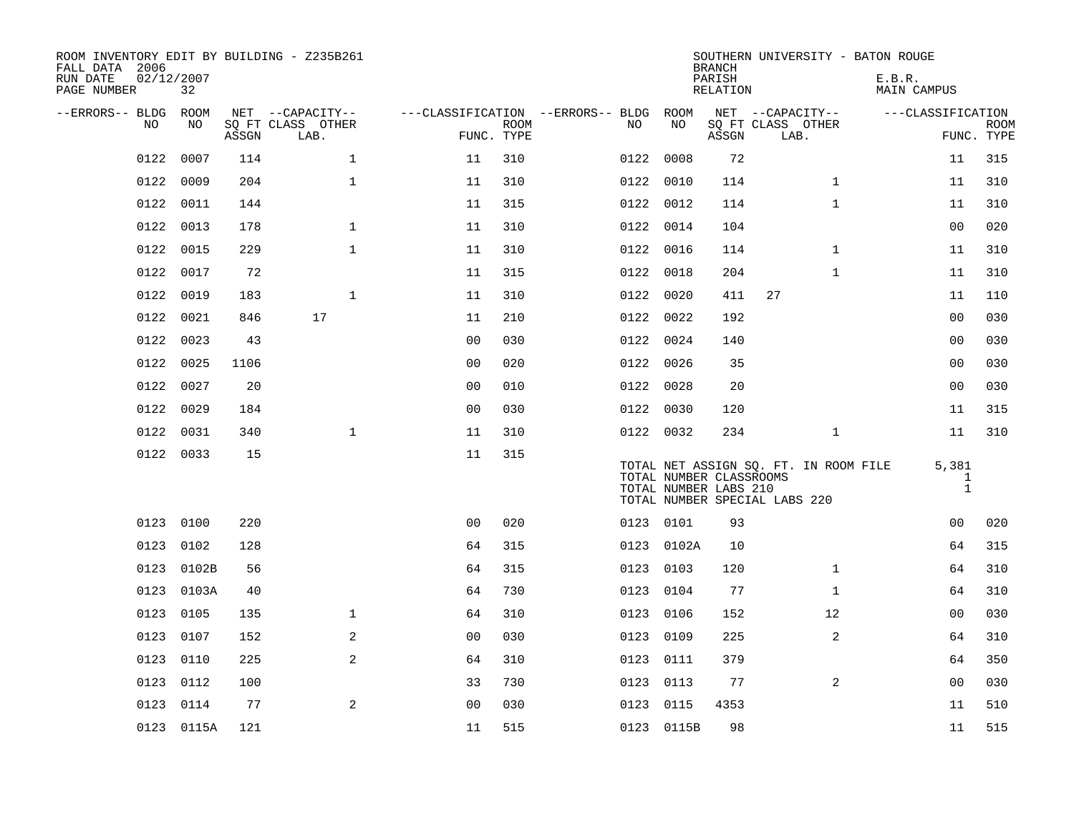| ROOM INVENTORY EDIT BY BUILDING - Z235B261<br>FALL DATA 2006<br>RUN DATE<br>PAGE NUMBER | 02/12/2007<br>32 |       |                           |                |             |                                   |      |                                                  | <b>BRANCH</b><br>PARISH<br>RELATION |                                                                        |              | SOUTHERN UNIVERSITY - BATON ROUGE<br>E.B.R.<br>MAIN CAMPUS |                                       |             |
|-----------------------------------------------------------------------------------------|------------------|-------|---------------------------|----------------|-------------|-----------------------------------|------|--------------------------------------------------|-------------------------------------|------------------------------------------------------------------------|--------------|------------------------------------------------------------|---------------------------------------|-------------|
| --ERRORS-- BLDG                                                                         | ROOM             |       | NET --CAPACITY--          |                |             | ---CLASSIFICATION --ERRORS-- BLDG |      | ROOM                                             |                                     | NET --CAPACITY--                                                       |              | ---CLASSIFICATION                                          |                                       |             |
| NO                                                                                      | NO               | ASSGN | SQ FT CLASS OTHER<br>LAB. | FUNC. TYPE     | <b>ROOM</b> |                                   | NO   | NO                                               | ASSGN                               | SQ FT CLASS OTHER<br>LAB.                                              |              |                                                            | FUNC. TYPE                            | <b>ROOM</b> |
| 0122                                                                                    | 0007             | 114   | $\mathbf 1$               | 11             | 310         |                                   | 0122 | 0008                                             | 72                                  |                                                                        |              |                                                            | 11                                    | 315         |
| 0122                                                                                    | 0009             | 204   | $\mathbf{1}$              | 11             | 310         |                                   |      | 0122 0010                                        | 114                                 |                                                                        | $\mathbf{1}$ |                                                            | 11                                    | 310         |
| 0122                                                                                    | 0011             | 144   |                           | 11             | 315         |                                   |      | 0122 0012                                        | 114                                 |                                                                        | $\mathbf{1}$ |                                                            | 11                                    | 310         |
| 0122                                                                                    | 0013             | 178   | $\mathbf 1$               | 11             | 310         |                                   |      | 0122 0014                                        | 104                                 |                                                                        |              |                                                            | 00                                    | 020         |
| 0122                                                                                    | 0015             | 229   | $\mathbf{1}$              | 11             | 310         |                                   | 0122 | 0016                                             | 114                                 |                                                                        | $\mathbf{1}$ |                                                            | 11                                    | 310         |
| 0122                                                                                    | 0017             | 72    |                           | 11             | 315         |                                   |      | 0122 0018                                        | 204                                 |                                                                        | $\mathbf{1}$ |                                                            | 11                                    | 310         |
| 0122                                                                                    | 0019             | 183   | $\mathbf 1$               | 11             | 310         |                                   | 0122 | 0020                                             | 411                                 | 27                                                                     |              |                                                            | 11                                    | 110         |
| 0122                                                                                    | 0021             | 846   | 17                        | 11             | 210         |                                   |      | 0122 0022                                        | 192                                 |                                                                        |              |                                                            | 0 <sub>0</sub>                        | 030         |
| 0122                                                                                    | 0023             | 43    |                           | 0 <sub>0</sub> | 030         |                                   | 0122 | 0024                                             | 140                                 |                                                                        |              |                                                            | 0 <sub>0</sub>                        | 030         |
| 0122                                                                                    | 0025             | 1106  |                           | 0 <sub>0</sub> | 020         |                                   |      | 0122 0026                                        | 35                                  |                                                                        |              |                                                            | 00                                    | 030         |
| 0122                                                                                    | 0027             | 20    |                           | 0 <sub>0</sub> | 010         |                                   |      | 0122 0028                                        | 20                                  |                                                                        |              |                                                            | 0 <sub>0</sub>                        | 030         |
| 0122                                                                                    | 0029             | 184   |                           | 0 <sub>0</sub> | 030         |                                   |      | 0122 0030                                        | 120                                 |                                                                        |              |                                                            | 11                                    | 315         |
| 0122                                                                                    | 0031             | 340   | $\mathbf{1}$              | 11             | 310         |                                   |      | 0122 0032                                        | 234                                 |                                                                        | $\mathbf{1}$ |                                                            | 11                                    | 310         |
|                                                                                         | 0122 0033        | 15    |                           | 11             | 315         |                                   |      | TOTAL NUMBER CLASSROOMS<br>TOTAL NUMBER LABS 210 |                                     | TOTAL NET ASSIGN SQ. FT. IN ROOM FILE<br>TOTAL NUMBER SPECIAL LABS 220 |              |                                                            | 5,381<br>$\mathbf{1}$<br>$\mathbf{1}$ |             |
|                                                                                         | 0123 0100        | 220   |                           | 0 <sub>0</sub> | 020         |                                   |      | 0123 0101                                        | 93                                  |                                                                        |              |                                                            | 00                                    | 020         |
| 0123                                                                                    | 0102             | 128   |                           | 64             | 315         |                                   | 0123 | 0102A                                            | 10                                  |                                                                        |              |                                                            | 64                                    | 315         |
| 0123                                                                                    | 0102B            | 56    |                           | 64             | 315         |                                   |      | 0123 0103                                        | 120                                 |                                                                        | $\mathbf{1}$ |                                                            | 64                                    | 310         |
| 0123                                                                                    | 0103A            | 40    |                           | 64             | 730         |                                   | 0123 | 0104                                             | 77                                  |                                                                        | $\mathbf{1}$ |                                                            | 64                                    | 310         |
| 0123                                                                                    | 0105             | 135   | $\mathbf{1}$              | 64             | 310         |                                   |      | 0123 0106                                        | 152                                 |                                                                        | 12           |                                                            | 0 <sub>0</sub>                        | 030         |
| 0123                                                                                    | 0107             | 152   | 2                         | 0 <sub>0</sub> | 030         |                                   | 0123 | 0109                                             | 225                                 |                                                                        | 2            |                                                            | 64                                    | 310         |
| 0123                                                                                    | 0110             | 225   | 2                         | 64             | 310         |                                   |      | 0123 0111                                        | 379                                 |                                                                        |              |                                                            | 64                                    | 350         |
| 0123                                                                                    | 0112             | 100   |                           | 33             | 730         |                                   | 0123 | 0113                                             | 77                                  |                                                                        | 2            |                                                            | 0 <sub>0</sub>                        | 030         |
| 0123                                                                                    | 0114             | 77    | $\mathbf{2}$              | 00             | 030         |                                   | 0123 | 0115                                             | 4353                                |                                                                        |              |                                                            | 11                                    | 510         |
|                                                                                         | 0123 0115A       | 121   |                           | 11             | 515         |                                   |      | 0123 0115B                                       | 98                                  |                                                                        |              |                                                            | 11                                    | 515         |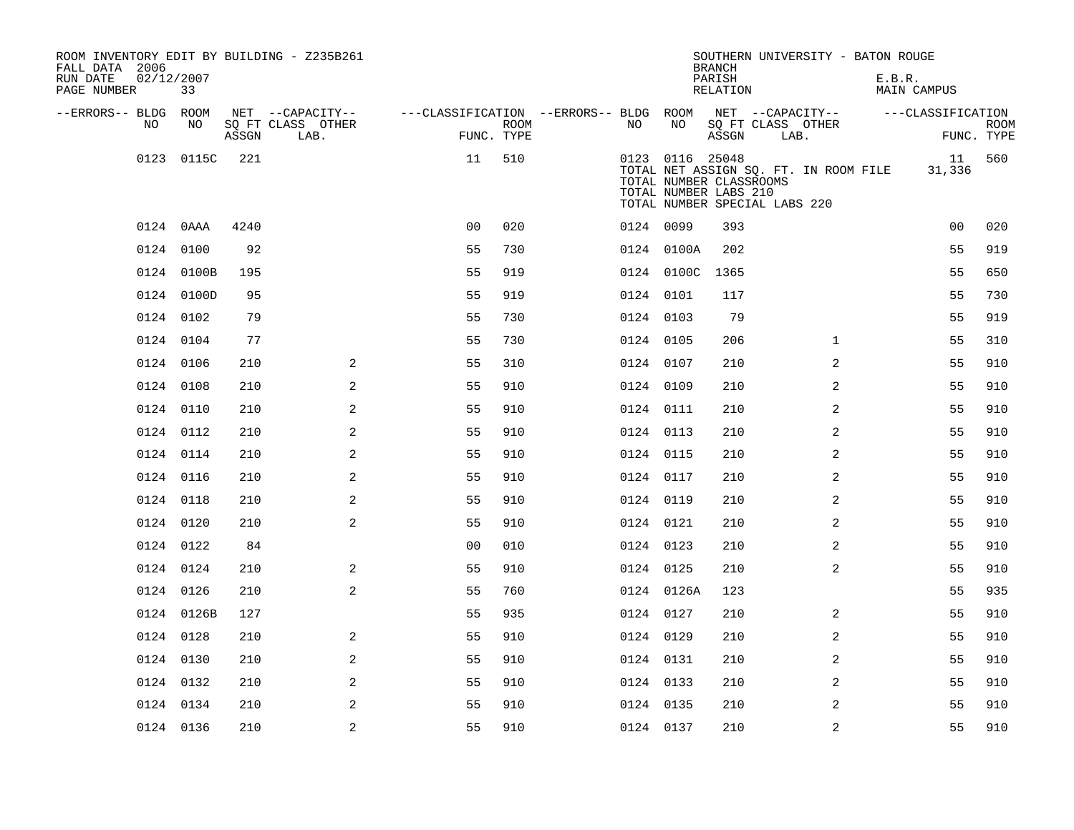| ROOM INVENTORY EDIT BY BUILDING - Z235B261<br>FALL DATA 2006<br>RUN DATE<br>PAGE NUMBER | 02/12/2007<br>33 |       |                           |                                        |             |           |                                                                     | <b>BRANCH</b><br>PARISH<br><b>RELATION</b> |                               | SOUTHERN UNIVERSITY - BATON ROUGE     | E.B.R. | <b>MAIN CAMPUS</b> |             |
|-----------------------------------------------------------------------------------------|------------------|-------|---------------------------|----------------------------------------|-------------|-----------|---------------------------------------------------------------------|--------------------------------------------|-------------------------------|---------------------------------------|--------|--------------------|-------------|
| --ERRORS-- BLDG ROOM                                                                    |                  |       | NET --CAPACITY--          | ---CLASSIFICATION --ERRORS-- BLDG ROOM |             |           |                                                                     |                                            | NET --CAPACITY--              |                                       |        | ---CLASSIFICATION  |             |
| NO                                                                                      | NO               | ASSGN | SQ FT CLASS OTHER<br>LAB. | FUNC. TYPE                             | <b>ROOM</b> | NO        | NO                                                                  | ASSGN                                      | SQ FT CLASS OTHER<br>LAB.     |                                       |        | FUNC. TYPE         | <b>ROOM</b> |
| 0123                                                                                    | 0115C            | 221   |                           | 11                                     | 510         |           | 0123 0116 25048<br>TOTAL NUMBER CLASSROOMS<br>TOTAL NUMBER LABS 210 |                                            | TOTAL NUMBER SPECIAL LABS 220 | TOTAL NET ASSIGN SQ. FT. IN ROOM FILE |        | 11<br>31,336       | 560         |
|                                                                                         | 0124 0AAA        | 4240  |                           | 0 <sub>0</sub>                         | 020         |           | 0124 0099                                                           | 393                                        |                               |                                       |        | 0 <sub>0</sub>     | 020         |
|                                                                                         | 0124 0100        | 92    |                           | 55                                     | 730         |           | 0124 0100A                                                          | 202                                        |                               |                                       |        | 55                 | 919         |
|                                                                                         | 0124 0100B       | 195   |                           | 55                                     | 919         |           | 0124 0100C                                                          | 1365                                       |                               |                                       |        | 55                 | 650         |
|                                                                                         | 0124 0100D       | 95    |                           | 55                                     | 919         | 0124 0101 |                                                                     | 117                                        |                               |                                       |        | 55                 | 730         |
|                                                                                         | 0124 0102        | 79    |                           | 55                                     | 730         |           | 0124 0103                                                           | 79                                         |                               |                                       |        | 55                 | 919         |
|                                                                                         | 0124 0104        | 77    |                           | 55                                     | 730         | 0124 0105 |                                                                     | 206                                        |                               | $\mathbf{1}$                          |        | 55                 | 310         |
|                                                                                         | 0124 0106        | 210   | 2                         | 55                                     | 310         |           | 0124 0107                                                           | 210                                        |                               | 2                                     |        | 55                 | 910         |
|                                                                                         | 0124 0108        | 210   | 2                         | 55                                     | 910         | 0124 0109 |                                                                     | 210                                        |                               | 2                                     |        | 55                 | 910         |
|                                                                                         | 0124 0110        | 210   | 2                         | 55                                     | 910         |           | 0124 0111                                                           | 210                                        |                               | 2                                     |        | 55                 | 910         |
|                                                                                         | 0124 0112        | 210   | $\mathbf{2}$              | 55                                     | 910         | 0124 0113 |                                                                     | 210                                        |                               | 2                                     |        | 55                 | 910         |
|                                                                                         | 0124 0114        | 210   | 2                         | 55                                     | 910         | 0124 0115 |                                                                     | 210                                        |                               | 2                                     |        | 55                 | 910         |
|                                                                                         | 0124 0116        | 210   | 2                         | 55                                     | 910         | 0124 0117 |                                                                     | 210                                        |                               | 2                                     |        | 55                 | 910         |
|                                                                                         | 0124 0118        | 210   | 2                         | 55                                     | 910         | 0124 0119 |                                                                     | 210                                        |                               | 2                                     |        | 55                 | 910         |
|                                                                                         | 0124 0120        | 210   | 2                         | 55                                     | 910         | 0124 0121 |                                                                     | 210                                        |                               | 2                                     |        | 55                 | 910         |
|                                                                                         | 0124 0122        | 84    |                           | 0 <sub>0</sub>                         | 010         | 0124 0123 |                                                                     | 210                                        |                               | $\overline{a}$                        |        | 55                 | 910         |
|                                                                                         | 0124 0124        | 210   | 2                         | 55                                     | 910         | 0124 0125 |                                                                     | 210                                        |                               | 2                                     |        | 55                 | 910         |
|                                                                                         | 0124 0126        | 210   | 2                         | 55                                     | 760         |           | 0124 0126A                                                          | 123                                        |                               |                                       |        | 55                 | 935         |
|                                                                                         | 0124 0126B       | 127   |                           | 55                                     | 935         | 0124 0127 |                                                                     | 210                                        |                               | 2                                     |        | 55                 | 910         |
|                                                                                         | 0124 0128        | 210   | $\mathbf{2}$              | 55                                     | 910         | 0124 0129 |                                                                     | 210                                        |                               | 2                                     |        | 55                 | 910         |
|                                                                                         | 0124 0130        | 210   | 2                         | 55                                     | 910         | 0124 0131 |                                                                     | 210                                        |                               | 2                                     |        | 55                 | 910         |
|                                                                                         | 0124 0132        | 210   | 2                         | 55                                     | 910         | 0124 0133 |                                                                     | 210                                        |                               | 2                                     |        | 55                 | 910         |
|                                                                                         | 0124 0134        | 210   | 2                         | 55                                     | 910         | 0124 0135 |                                                                     | 210                                        |                               | 2                                     |        | 55                 | 910         |
|                                                                                         | 0124 0136        | 210   | $\overline{a}$            | 55                                     | 910         | 0124 0137 |                                                                     | 210                                        |                               | 2                                     |        | 55                 | 910         |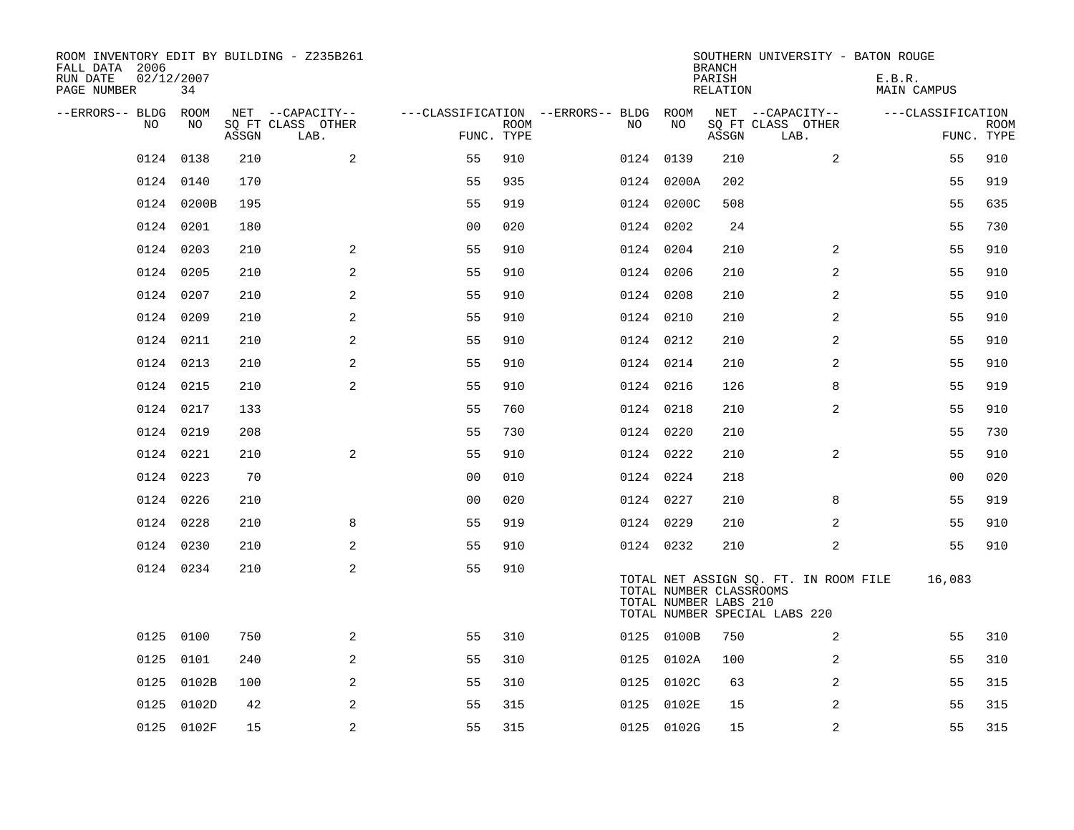| ROOM INVENTORY EDIT BY BUILDING - Z235B261<br>FALL DATA 2006<br>RUN DATE<br>PAGE NUMBER | 02/12/2007<br>34 |       |                           |                |             |                                        |            |       | <b>BRANCH</b><br>PARISH<br>RELATION              | SOUTHERN UNIVERSITY - BATON ROUGE                                      | E.B.R.<br>MAIN CAMPUS |    |                           |
|-----------------------------------------------------------------------------------------|------------------|-------|---------------------------|----------------|-------------|----------------------------------------|------------|-------|--------------------------------------------------|------------------------------------------------------------------------|-----------------------|----|---------------------------|
| --ERRORS-- BLDG ROOM                                                                    |                  |       | NET --CAPACITY--          |                |             | ---CLASSIFICATION --ERRORS-- BLDG ROOM |            |       |                                                  | NET --CAPACITY--                                                       | ---CLASSIFICATION     |    |                           |
| NO                                                                                      | NO               | ASSGN | SQ FT CLASS OTHER<br>LAB. | FUNC. TYPE     | <b>ROOM</b> | NO                                     |            | NO    | ASSGN                                            | SQ FT CLASS OTHER<br>LAB.                                              |                       |    | <b>ROOM</b><br>FUNC. TYPE |
| 0124                                                                                    | 0138             | 210   | 2                         | 55             | 910         |                                        | 0124 0139  |       | 210                                              | $\overline{a}$                                                         |                       | 55 | 910                       |
|                                                                                         | 0124 0140        | 170   |                           | 55             | 935         |                                        | 0124 0200A |       | 202                                              |                                                                        |                       | 55 | 919                       |
|                                                                                         | 0124 0200B       | 195   |                           | 55             | 919         |                                        | 0124 0200C |       | 508                                              |                                                                        |                       | 55 | 635                       |
|                                                                                         | 0124 0201        | 180   |                           | 0 <sub>0</sub> | 020         |                                        | 0124 0202  |       | 24                                               |                                                                        |                       | 55 | 730                       |
| 0124                                                                                    | 0203             | 210   | 2                         | 55             | 910         |                                        | 0124 0204  |       | 210                                              | 2                                                                      |                       | 55 | 910                       |
|                                                                                         | 0124 0205        | 210   | 2                         | 55             | 910         |                                        | 0124 0206  |       | 210                                              | 2                                                                      |                       | 55 | 910                       |
|                                                                                         | 0124 0207        | 210   | 2                         | 55             | 910         |                                        | 0124 0208  |       | 210                                              | 2                                                                      |                       | 55 | 910                       |
|                                                                                         | 0124 0209        | 210   | $\overline{a}$            | 55             | 910         |                                        | 0124 0210  |       | 210                                              | 2                                                                      |                       | 55 | 910                       |
|                                                                                         | 0124 0211        | 210   | 2                         | 55             | 910         |                                        | 0124 0212  |       | 210                                              | 2                                                                      |                       | 55 | 910                       |
|                                                                                         | 0124 0213        | 210   | 2                         | 55             | 910         |                                        | 0124 0214  |       | 210                                              | 2                                                                      |                       | 55 | 910                       |
| 0124                                                                                    | 0215             | 210   | $\mathbf{2}$              | 55             | 910         |                                        | 0124 0216  |       | 126                                              | 8                                                                      |                       | 55 | 919                       |
|                                                                                         | 0124 0217        | 133   |                           | 55             | 760         |                                        | 0124 0218  |       | 210                                              | 2                                                                      |                       | 55 | 910                       |
| 0124                                                                                    | 0219             | 208   |                           | 55             | 730         |                                        | 0124 0220  |       | 210                                              |                                                                        |                       | 55 | 730                       |
|                                                                                         | 0124 0221        | 210   | 2                         | 55             | 910         |                                        | 0124 0222  |       | 210                                              | $\overline{2}$                                                         |                       | 55 | 910                       |
|                                                                                         | 0124 0223        | 70    |                           | 0 <sub>0</sub> | 010         |                                        | 0124 0224  |       | 218                                              |                                                                        |                       | 00 | 020                       |
|                                                                                         | 0124 0226        | 210   |                           | 00             | 020         |                                        | 0124 0227  |       | 210                                              | 8                                                                      |                       | 55 | 919                       |
|                                                                                         | 0124 0228        | 210   | 8                         | 55             | 919         |                                        | 0124 0229  |       | 210                                              | 2                                                                      |                       | 55 | 910                       |
|                                                                                         | 0124 0230        | 210   | 2                         | 55             | 910         |                                        | 0124 0232  |       | 210                                              | 2                                                                      |                       | 55 | 910                       |
|                                                                                         | 0124 0234        | 210   | $\mathbf{2}$              | 55             | 910         |                                        |            |       | TOTAL NUMBER CLASSROOMS<br>TOTAL NUMBER LABS 210 | TOTAL NET ASSIGN SQ. FT. IN ROOM FILE<br>TOTAL NUMBER SPECIAL LABS 220 | 16,083                |    |                           |
| 0125                                                                                    | 0100             | 750   | 2                         | 55             | 310         |                                        | 0125 0100B |       | 750                                              | 2                                                                      |                       | 55 | 310                       |
| 0125                                                                                    | 0101             | 240   | 2                         | 55             | 310         |                                        | 0125 0102A |       | 100                                              | 2                                                                      |                       | 55 | 310                       |
| 0125                                                                                    | 0102B            | 100   | 2                         | 55             | 310         |                                        | 0125       | 0102C | 63                                               | 2                                                                      |                       | 55 | 315                       |
| 0125                                                                                    | 0102D            | 42    | 2                         | 55             | 315         |                                        | 0125       | 0102E | 15                                               | 2                                                                      |                       | 55 | 315                       |
|                                                                                         | 0125 0102F       | 15    | 2                         | 55             | 315         |                                        | 0125 0102G |       | 15                                               | 2                                                                      |                       | 55 | 315                       |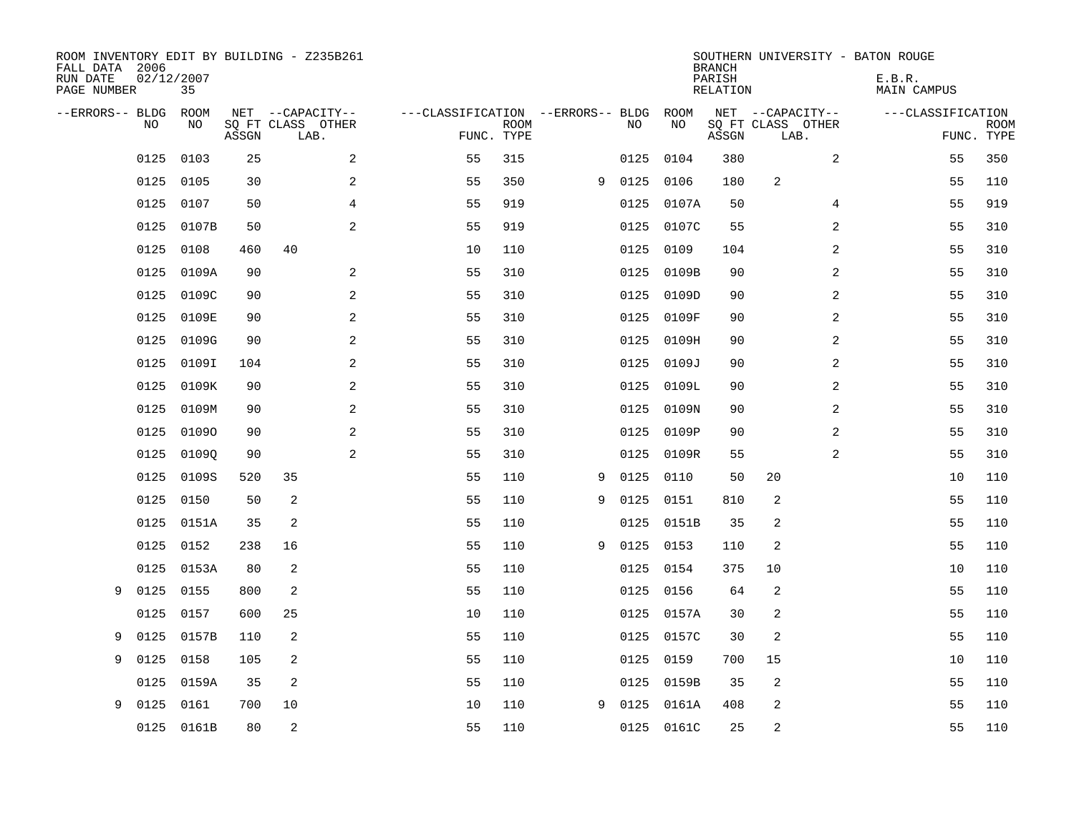| ROOM INVENTORY EDIT BY BUILDING - Z235B261<br>FALL DATA 2006<br>RUN DATE<br>PAGE NUMBER | 02/12/2007<br>35 |       |                                       |                                   |             |   |      |            | <b>BRANCH</b><br>PARISH<br>RELATION | SOUTHERN UNIVERSITY - BATON ROUGE     | E.B.R.<br><b>MAIN CAMPUS</b> |             |
|-----------------------------------------------------------------------------------------|------------------|-------|---------------------------------------|-----------------------------------|-------------|---|------|------------|-------------------------------------|---------------------------------------|------------------------------|-------------|
| --ERRORS-- BLDG<br>NO                                                                   | ROOM<br>NO.      |       | NET --CAPACITY--<br>SQ FT CLASS OTHER | ---CLASSIFICATION --ERRORS-- BLDG | <b>ROOM</b> |   | NO   | ROOM<br>NO |                                     | NET --CAPACITY--<br>SO FT CLASS OTHER | ---CLASSIFICATION            | <b>ROOM</b> |
|                                                                                         |                  | ASSGN | LAB.                                  |                                   | FUNC. TYPE  |   |      |            | ASSGN                               | LAB.                                  |                              | FUNC. TYPE  |
| 0125                                                                                    | 0103             | 25    | 2                                     | 55                                | 315         |   | 0125 | 0104       | 380                                 | 2                                     | 55                           | 350         |
| 0125                                                                                    | 0105             | 30    | $\sqrt{2}$                            | 55                                | 350         | 9 | 0125 | 0106       | 180                                 | $\overline{c}$                        | 55                           | 110         |
| 0125                                                                                    | 0107             | 50    | 4                                     | 55                                | 919         |   | 0125 | 0107A      | 50                                  | 4                                     | 55                           | 919         |
| 0125                                                                                    | 0107B            | 50    | 2                                     | 55                                | 919         |   | 0125 | 0107C      | 55                                  | 2                                     | 55                           | 310         |
| 0125                                                                                    | 0108             | 460   | 40                                    | 10                                | 110         |   | 0125 | 0109       | 104                                 | $\overline{2}$                        | 55                           | 310         |
| 0125                                                                                    | 0109A            | 90    | 2                                     | 55                                | 310         |   | 0125 | 0109B      | 90                                  | 2                                     | 55                           | 310         |
| 0125                                                                                    | 0109C            | 90    | 2                                     | 55                                | 310         |   | 0125 | 0109D      | 90                                  | 2                                     | 55                           | 310         |
| 0125                                                                                    | 0109E            | 90    | 2                                     | 55                                | 310         |   | 0125 | 0109F      | 90                                  | $\overline{2}$                        | 55                           | 310         |
| 0125                                                                                    | 0109G            | 90    | 2                                     | 55                                | 310         |   | 0125 | 0109H      | 90                                  | $\overline{a}$                        | 55                           | 310         |
| 0125                                                                                    | 0109I            | 104   | 2                                     | 55                                | 310         |   | 0125 | 0109J      | 90                                  | 2                                     | 55                           | 310         |
| 0125                                                                                    | 0109K            | 90    | 2                                     | 55                                | 310         |   | 0125 | 0109L      | 90                                  | 2                                     | 55                           | 310         |
| 0125                                                                                    | 0109M            | 90    | 2                                     | 55                                | 310         |   | 0125 | 0109N      | 90                                  | 2                                     | 55                           | 310         |
| 0125                                                                                    | 01090            | 90    | $\overline{a}$                        | 55                                | 310         |   | 0125 | 0109P      | 90                                  | $\overline{a}$                        | 55                           | 310         |
| 0125                                                                                    | 01090            | 90    | 2                                     | 55                                | 310         |   | 0125 | 0109R      | 55                                  | 2                                     | 55                           | 310         |
| 0125                                                                                    | 0109S            | 520   | 35                                    | 55                                | 110         | 9 | 0125 | 0110       | 50                                  | 20                                    | 10                           | 110         |
| 0125                                                                                    | 0150             | 50    | 2                                     | 55                                | 110         | 9 | 0125 | 0151       | 810                                 | 2                                     | 55                           | 110         |
| 0125                                                                                    | 0151A            | 35    | 2                                     | 55                                | 110         |   | 0125 | 0151B      | 35                                  | 2                                     | 55                           | 110         |
| 0125                                                                                    | 0152             | 238   | 16                                    | 55                                | 110         | 9 | 0125 | 0153       | 110                                 | 2                                     | 55                           | 110         |
| 0125                                                                                    | 0153A            | 80    | 2                                     | 55                                | 110         |   | 0125 | 0154       | 375                                 | 10                                    | 10                           | 110         |
| 0125<br>9                                                                               | 0155             | 800   | 2                                     | 55                                | 110         |   | 0125 | 0156       | 64                                  | $\overline{2}$                        | 55                           | 110         |
| 0125                                                                                    | 0157             | 600   | 25                                    | 10                                | 110         |   | 0125 | 0157A      | 30                                  | $\overline{c}$                        | 55                           | 110         |
| 0125<br>9                                                                               | 0157B            | 110   | 2                                     | 55                                | 110         |   | 0125 | 0157C      | 30                                  | 2                                     | 55                           | 110         |
| 0125<br>9                                                                               | 0158             | 105   | 2                                     | 55                                | 110         |   | 0125 | 0159       | 700                                 | 15                                    | 10                           | 110         |
| 0125                                                                                    | 0159A            | 35    | 2                                     | 55                                | 110         |   | 0125 | 0159B      | 35                                  | 2                                     | 55                           | 110         |
| 0125<br>9                                                                               | 0161             | 700   | 10                                    | 10                                | 110         | 9 | 0125 | 0161A      | 408                                 | 2                                     | 55                           | 110         |
|                                                                                         | 0125 0161B       | 80    | 2                                     | 55                                | 110         |   |      | 0125 0161C | 25                                  | 2                                     | 55                           | 110         |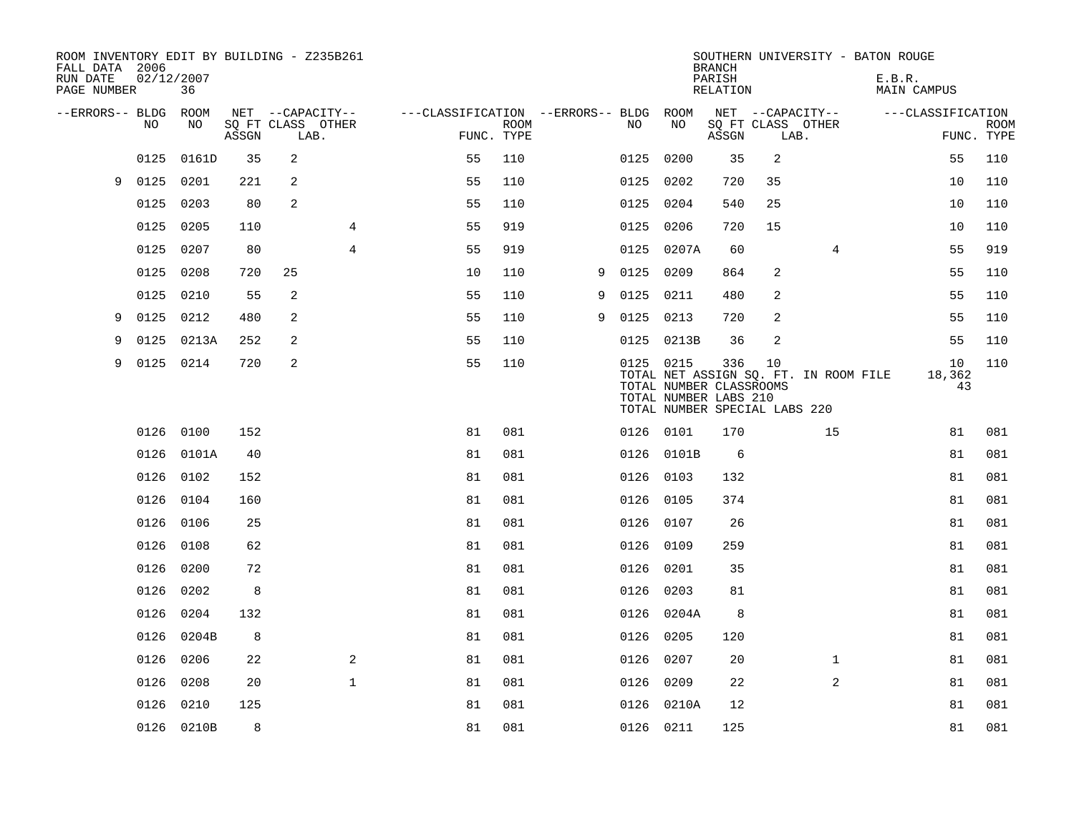| ROOM INVENTORY EDIT BY BUILDING - Z235B261<br>FALL DATA 2006<br>RUN DATE<br>PAGE NUMBER | 02/12/2007 | 36         |       |                |                           |                                        |                           |   |           |                                                               | <b>BRANCH</b><br>PARISH<br>RELATION |                                     |                                       | SOUTHERN UNIVERSITY - BATON ROUGE<br>E.B.R.<br>MAIN CAMPUS |                    |             |
|-----------------------------------------------------------------------------------------|------------|------------|-------|----------------|---------------------------|----------------------------------------|---------------------------|---|-----------|---------------------------------------------------------------|-------------------------------------|-------------------------------------|---------------------------------------|------------------------------------------------------------|--------------------|-------------|
| --ERRORS-- BLDG ROOM                                                                    |            |            |       |                | NET --CAPACITY--          | ---CLASSIFICATION --ERRORS-- BLDG ROOM |                           |   |           |                                                               |                                     | NET --CAPACITY--                    |                                       | ---CLASSIFICATION                                          |                    |             |
|                                                                                         | NO         | NO         | ASSGN |                | SQ FT CLASS OTHER<br>LAB. |                                        | <b>ROOM</b><br>FUNC. TYPE |   | NO.       | NO                                                            | ASSGN                               | LAB.                                | SQ FT CLASS OTHER                     |                                                            | FUNC. TYPE         | <b>ROOM</b> |
|                                                                                         | 0125       | 0161D      | 35    | $\overline{2}$ |                           | 55                                     | 110                       |   | 0125      | 0200                                                          | 35                                  | 2                                   |                                       |                                                            | 55                 | 110         |
| 9                                                                                       | 0125       | 0201       | 221   | 2              |                           | 55                                     | 110                       |   |           | 0125 0202                                                     | 720                                 | 35                                  |                                       |                                                            | 10                 | 110         |
|                                                                                         | 0125       | 0203       | 80    | $\overline{2}$ |                           | 55                                     | 110                       |   |           | 0125 0204                                                     | 540                                 | 25                                  |                                       |                                                            | 10                 | 110         |
|                                                                                         | 0125       | 0205       | 110   |                | 4                         | 55                                     | 919                       |   | 0125      | 0206                                                          | 720                                 | 15                                  |                                       |                                                            | 10                 | 110         |
|                                                                                         | 0125       | 0207       | 80    |                | $\overline{4}$            | 55                                     | 919                       |   | 0125      | 0207A                                                         | 60                                  |                                     | 4                                     |                                                            | 55                 | 919         |
|                                                                                         | 0125       | 0208       | 720   | 25             |                           | 10                                     | 110                       | 9 | 0125      | 0209                                                          | 864                                 | 2                                   |                                       |                                                            | 55                 | 110         |
|                                                                                         | 0125       | 0210       | 55    | 2              |                           | 55                                     | 110                       | 9 | 0125      | 0211                                                          | 480                                 | 2                                   |                                       |                                                            | 55                 | 110         |
| 9                                                                                       | 0125       | 0212       | 480   | 2              |                           | 55                                     | 110                       | 9 | 0125      | 0213                                                          | 720                                 | $\overline{c}$                      |                                       |                                                            | 55                 | 110         |
| 9                                                                                       | 0125       | 0213A      | 252   | 2              |                           | 55                                     | 110                       |   | 0125      | 0213B                                                         | 36                                  | 2                                   |                                       |                                                            | 55                 | 110         |
| 9                                                                                       | 0125 0214  |            | 720   | 2              |                           | 55                                     | 110                       |   |           | 0125 0215<br>TOTAL NUMBER CLASSROOMS<br>TOTAL NUMBER LABS 210 | 336                                 | 10<br>TOTAL NUMBER SPECIAL LABS 220 | TOTAL NET ASSIGN SQ. FT. IN ROOM FILE |                                                            | 10<br>18,362<br>43 | 110         |
|                                                                                         |            | 0126 0100  | 152   |                |                           | 81                                     | 081                       |   |           | 0126 0101                                                     | 170                                 |                                     | 15                                    |                                                            | 81                 | 081         |
|                                                                                         | 0126       | 0101A      | 40    |                |                           | 81                                     | 081                       |   |           | 0126 0101B                                                    | 6                                   |                                     |                                       |                                                            | 81                 | 081         |
|                                                                                         |            | 0126 0102  | 152   |                |                           | 81                                     | 081                       |   |           | 0126 0103                                                     | 132                                 |                                     |                                       |                                                            | 81                 | 081         |
|                                                                                         | 0126       | 0104       | 160   |                |                           | 81                                     | 081                       |   |           | 0126 0105                                                     | 374                                 |                                     |                                       |                                                            | 81                 | 081         |
|                                                                                         |            | 0126 0106  | 25    |                |                           | 81                                     | 081                       |   | 0126 0107 |                                                               | 26                                  |                                     |                                       |                                                            | 81                 | 081         |
|                                                                                         | 0126       | 0108       | 62    |                |                           | 81                                     | 081                       |   | 0126 0109 |                                                               | 259                                 |                                     |                                       |                                                            | 81                 | 081         |
|                                                                                         | 0126       | 0200       | 72    |                |                           | 81                                     | 081                       |   | 0126 0201 |                                                               | 35                                  |                                     |                                       |                                                            | 81                 | 081         |
|                                                                                         | 0126       | 0202       | 8     |                |                           | 81                                     | 081                       |   |           | 0126 0203                                                     | 81                                  |                                     |                                       |                                                            | 81                 | 081         |
|                                                                                         | 0126       | 0204       | 132   |                |                           | 81                                     | 081                       |   |           | 0126 0204A                                                    | 8                                   |                                     |                                       |                                                            | 81                 | 081         |
|                                                                                         | 0126       | 0204B      | 8     |                |                           | 81                                     | 081                       |   | 0126      | 0205                                                          | 120                                 |                                     |                                       |                                                            | 81                 | 081         |
|                                                                                         | 0126       | 0206       | 22    |                | 2                         | 81                                     | 081                       |   | 0126      | 0207                                                          | 20                                  |                                     | $\mathbf{1}$                          |                                                            | 81                 | 081         |
|                                                                                         | 0126       | 0208       | 20    |                | $\mathbf{1}$              | 81                                     | 081                       |   | 0126      | 0209                                                          | 22                                  |                                     | 2                                     |                                                            | 81                 | 081         |
|                                                                                         | 0126       | 0210       | 125   |                |                           | 81                                     | 081                       |   |           | 0126 0210A                                                    | 12                                  |                                     |                                       |                                                            | 81                 | 081         |
|                                                                                         |            | 0126 0210B | 8     |                |                           | 81                                     | 081                       |   |           | 0126 0211                                                     | 125                                 |                                     |                                       |                                                            | 81                 | 081         |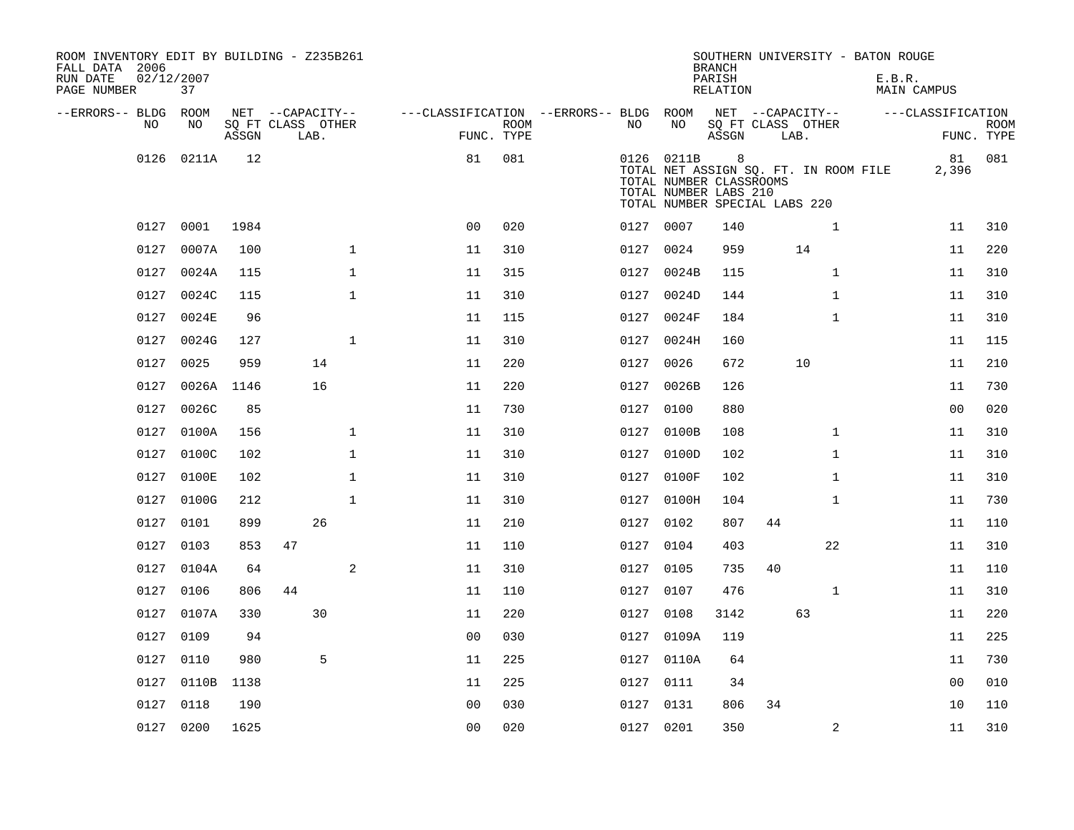| ROOM INVENTORY EDIT BY BUILDING - Z235B261<br>FALL DATA 2006<br>RUN DATE<br>PAGE NUMBER | 02/12/2007<br>37 |                   |                  |      |              |                                        |             |           |            | <b>BRANCH</b><br>PARISH<br><b>RELATION</b>                                             |    |                                       | SOUTHERN UNIVERSITY - BATON ROUGE<br>E.B.R.<br><b>MAIN CAMPUS</b> |             |
|-----------------------------------------------------------------------------------------|------------------|-------------------|------------------|------|--------------|----------------------------------------|-------------|-----------|------------|----------------------------------------------------------------------------------------|----|---------------------------------------|-------------------------------------------------------------------|-------------|
| --ERRORS-- BLDG ROOM<br>NO                                                              | NO               | SQ FT CLASS OTHER | NET --CAPACITY-- |      |              | ---CLASSIFICATION --ERRORS-- BLDG ROOM | <b>ROOM</b> | NO.       | NO         |                                                                                        |    | NET --CAPACITY--<br>SQ FT CLASS OTHER | ---CLASSIFICATION                                                 | <b>ROOM</b> |
|                                                                                         |                  | ASSGN             |                  | LAB. |              |                                        | FUNC. TYPE  |           |            | ASSGN                                                                                  |    | LAB.                                  |                                                                   | FUNC. TYPE  |
| 0126                                                                                    | 0211A            | 12                |                  |      |              | 81                                     | 081         |           | 0126 0211B | 8<br>TOTAL NUMBER CLASSROOMS<br>TOTAL NUMBER LABS 210<br>TOTAL NUMBER SPECIAL LABS 220 |    | TOTAL NET ASSIGN SQ. FT. IN ROOM FILE | 81<br>2,396                                                       | 081         |
| 0127                                                                                    | 0001             | 1984              |                  |      |              | 0 <sub>0</sub>                         | 020         |           | 0127 0007  | 140                                                                                    |    | $\mathbf{1}$                          | 11                                                                | 310         |
| 0127                                                                                    | 0007A            | 100               |                  |      | $\mathbf{1}$ | 11                                     | 310         | 0127      | 0024       | 959                                                                                    |    | 14                                    | 11                                                                | 220         |
| 0127                                                                                    | 0024A            | 115               |                  |      | $\mathbf{1}$ | 11                                     | 315         | 0127      | 0024B      | 115                                                                                    |    | $\mathbf{1}$                          | 11                                                                | 310         |
| 0127                                                                                    | 0024C            | 115               |                  |      | $\mathbf{1}$ | 11                                     | 310         | 0127      | 0024D      | 144                                                                                    |    | $\mathbf{1}$                          | 11                                                                | 310         |
| 0127                                                                                    | 0024E            | 96                |                  |      |              | 11                                     | 115         | 0127      | 0024F      | 184                                                                                    |    | $\mathbf{1}$                          | 11                                                                | 310         |
| 0127                                                                                    | 0024G            | 127               |                  |      | $\mathbf{1}$ | 11                                     | 310         | 0127      | 0024H      | 160                                                                                    |    |                                       | 11                                                                | 115         |
| 0127                                                                                    | 0025             | 959               |                  | 14   |              | 11                                     | 220         | 0127      | 0026       | 672                                                                                    |    | 10                                    | 11                                                                | 210         |
| 0127                                                                                    | 0026A            | 1146              |                  | 16   |              | 11                                     | 220         | 0127      | 0026B      | 126                                                                                    |    |                                       | 11                                                                | 730         |
|                                                                                         | 0127 0026C       | 85                |                  |      |              | 11                                     | 730         | 0127      | 0100       | 880                                                                                    |    |                                       | 0 <sub>0</sub>                                                    | 020         |
| 0127                                                                                    | 0100A            | 156               |                  |      | $\mathbf 1$  | 11                                     | 310         | 0127      | 0100B      | 108                                                                                    |    | $\mathbf{1}$                          | 11                                                                | 310         |
| 0127                                                                                    | 0100C            | 102               |                  |      | $\mathbf 1$  | 11                                     | 310         |           | 0127 0100D | 102                                                                                    |    | $\mathbf{1}$                          | 11                                                                | 310         |
| 0127                                                                                    | 0100E            | 102               |                  |      | 1            | 11                                     | 310         | 0127      | 0100F      | 102                                                                                    |    | $\mathbf{1}$                          | 11                                                                | 310         |
| 0127                                                                                    | 0100G            | 212               |                  |      | $\mathbf{1}$ | 11                                     | 310         |           | 0127 0100H | 104                                                                                    |    | $\mathbf{1}$                          | 11                                                                | 730         |
| 0127                                                                                    | 0101             | 899               |                  | 26   |              | 11                                     | 210         | 0127      | 0102       | 807                                                                                    | 44 |                                       | 11                                                                | 110         |
| 0127                                                                                    | 0103             | 853               | 47               |      |              | 11                                     | 110         | 0127      | 0104       | 403                                                                                    |    | 22                                    | 11                                                                | 310         |
|                                                                                         | 0127 0104A       | 64                |                  |      | 2            | 11                                     | 310         | 0127 0105 |            | 735                                                                                    | 40 |                                       | 11                                                                | 110         |
| 0127                                                                                    | 0106             | 806               | 44               |      |              | 11                                     | 110         | 0127      | 0107       | 476                                                                                    |    | $\mathbf{1}$                          | 11                                                                | 310         |
|                                                                                         | 0127 0107A       | 330               |                  | 30   |              | 11                                     | 220         | 0127 0108 |            | 3142                                                                                   |    | 63                                    | 11                                                                | 220         |
| 0127                                                                                    | 0109             | 94                |                  |      |              | 0 <sub>0</sub>                         | 030         |           | 0127 0109A | 119                                                                                    |    |                                       | 11                                                                | 225         |
| 0127                                                                                    | 0110             | 980               |                  | 5    |              | 11                                     | 225         |           | 0127 0110A | 64                                                                                     |    |                                       | 11                                                                | 730         |
| 0127                                                                                    | 0110B            | 1138              |                  |      |              | 11                                     | 225         | 0127      | 0111       | 34                                                                                     |    |                                       | 0 <sub>0</sub>                                                    | 010         |
|                                                                                         | 0127 0118        | 190               |                  |      |              | 0 <sub>0</sub>                         | 030         |           | 0127 0131  | 806                                                                                    | 34 |                                       | 10                                                                | 110         |
|                                                                                         | 0127 0200        | 1625              |                  |      |              | 0 <sub>0</sub>                         | 020         | 0127 0201 |            | 350                                                                                    |    | 2                                     | 11                                                                | 310         |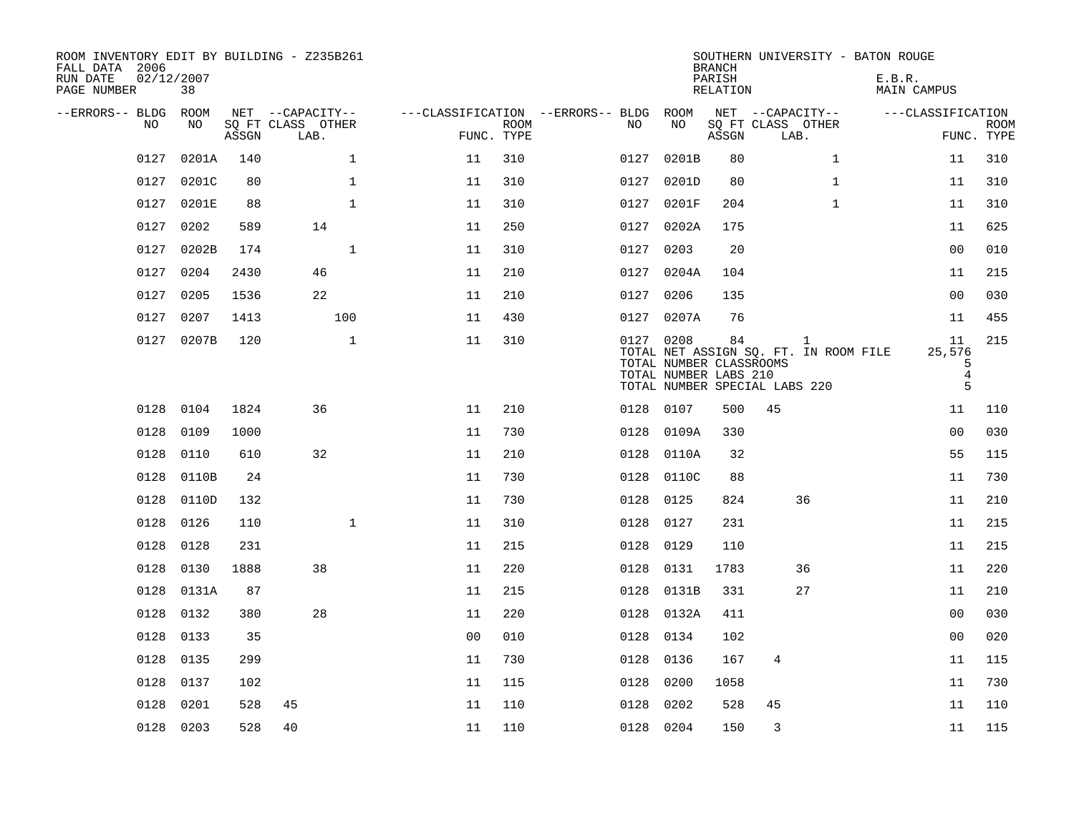| ROOM INVENTORY EDIT BY BUILDING - Z235B261<br>FALL DATA 2006<br>RUN DATE<br>PAGE NUMBER | 02/12/2007<br>38 |       |                           |                                        |                    |      |                                                               | <b>BRANCH</b><br>PARISH<br>RELATION | SOUTHERN UNIVERSITY - BATON ROUGE                                                      | E.B.R.<br>MAIN CAMPUS                    |                           |
|-----------------------------------------------------------------------------------------|------------------|-------|---------------------------|----------------------------------------|--------------------|------|---------------------------------------------------------------|-------------------------------------|----------------------------------------------------------------------------------------|------------------------------------------|---------------------------|
| --ERRORS-- BLDG ROOM                                                                    |                  |       | NET --CAPACITY--          | ---CLASSIFICATION --ERRORS-- BLDG ROOM |                    |      |                                                               |                                     | NET --CAPACITY--                                                                       | ---CLASSIFICATION                        |                           |
| NO.                                                                                     | NO.              | ASSGN | SO FT CLASS OTHER<br>LAB. |                                        | ROOM<br>FUNC. TYPE | NO.  | NO                                                            | ASSGN                               | SQ FT CLASS OTHER<br>LAB.                                                              |                                          | <b>ROOM</b><br>FUNC. TYPE |
| 0127                                                                                    | 0201A            | 140   | $\mathbf{1}$              | 11                                     | 310                | 0127 | 0201B                                                         | 80                                  | $\mathbf{1}$                                                                           | 11                                       | 310                       |
| 0127                                                                                    | 0201C            | 80    | $\mathbf{1}$              | 11                                     | 310                | 0127 | 0201D                                                         | 80                                  | $\mathbf{1}$                                                                           | 11                                       | 310                       |
| 0127                                                                                    | 0201E            | 88    | $\mathbf 1$               | 11                                     | 310                | 0127 | 0201F                                                         | 204                                 | $\mathbf{1}$                                                                           | 11                                       | 310                       |
| 0127                                                                                    | 0202             | 589   | 14                        | 11                                     | 250                | 0127 | 0202A                                                         | 175                                 |                                                                                        | 11                                       | 625                       |
| 0127                                                                                    | 0202B            | 174   | $\mathbf{1}$              | 11                                     | 310                | 0127 | 0203                                                          | 20                                  |                                                                                        | 0 <sub>0</sub>                           | 010                       |
| 0127                                                                                    | 0204             | 2430  | 46                        | 11                                     | 210                |      | 0127 0204A                                                    | 104                                 |                                                                                        | 11                                       | 215                       |
| 0127                                                                                    | 0205             | 1536  | 22                        | 11                                     | 210                |      | 0127 0206                                                     | 135                                 |                                                                                        | 0 <sub>0</sub>                           | 030                       |
|                                                                                         | 0127 0207        | 1413  | 100                       | 11                                     | 430                |      | 0127 0207A                                                    | 76                                  |                                                                                        | 11                                       | 455                       |
|                                                                                         | 0127 0207B       | 120   | $\mathbf{1}$              | 11                                     | 310                |      | 0127 0208<br>TOTAL NUMBER CLASSROOMS<br>TOTAL NUMBER LABS 210 | 84                                  | $\mathbf{1}$<br>TOTAL NET ASSIGN SQ. FT. IN ROOM FILE<br>TOTAL NUMBER SPECIAL LABS 220 | 11<br>25,576<br>5<br>$\overline{4}$<br>5 | 215                       |
|                                                                                         | 0128 0104        | 1824  | 36                        | 11                                     | 210                |      | 0128 0107                                                     | 500                                 | 45                                                                                     | 11                                       | 110                       |
| 0128                                                                                    | 0109             | 1000  |                           | 11                                     | 730                | 0128 | 0109A                                                         | 330                                 |                                                                                        | 0 <sub>0</sub>                           | 030                       |
| 0128                                                                                    | 0110             | 610   | 32                        | 11                                     | 210                |      | 0128 0110A                                                    | 32                                  |                                                                                        | 55                                       | 115                       |
| 0128                                                                                    | 0110B            | 24    |                           | 11                                     | 730                | 0128 | 0110C                                                         | 88                                  |                                                                                        | 11                                       | 730                       |
| 0128                                                                                    | 0110D            | 132   |                           | 11                                     | 730                | 0128 | 0125                                                          | 824                                 | 36                                                                                     | 11                                       | 210                       |
|                                                                                         | 0128 0126        | 110   | $\mathbf{1}$              | 11                                     | 310                |      | 0128 0127                                                     | 231                                 |                                                                                        | 11                                       | 215                       |
| 0128                                                                                    | 0128             | 231   |                           | 11                                     | 215                | 0128 | 0129                                                          | 110                                 |                                                                                        | 11                                       | 215                       |
| 0128                                                                                    | 0130             | 1888  | 38                        | 11                                     | 220                |      | 0128 0131                                                     | 1783                                | 36                                                                                     | 11                                       | 220                       |
| 0128                                                                                    | 0131A            | 87    |                           | 11                                     | 215                | 0128 | 0131B                                                         | 331                                 | 27                                                                                     | 11                                       | 210                       |
| 0128                                                                                    | 0132             | 380   | 28                        | 11                                     | 220                |      | 0128 0132A                                                    | 411                                 |                                                                                        | 00                                       | 030                       |
| 0128                                                                                    | 0133             | 35    |                           | 0 <sub>0</sub>                         | 010                | 0128 | 0134                                                          | 102                                 |                                                                                        | 0 <sub>0</sub>                           | 020                       |
| 0128                                                                                    | 0135             | 299   |                           | 11                                     | 730                | 0128 | 0136                                                          | 167                                 | 4                                                                                      | 11                                       | 115                       |
| 0128                                                                                    | 0137             | 102   |                           | 11                                     | 115                | 0128 | 0200                                                          | 1058                                |                                                                                        | 11                                       | 730                       |
| 0128                                                                                    | 0201             | 528   | 45                        | 11                                     | 110                | 0128 | 0202                                                          | 528                                 | 45                                                                                     | 11                                       | 110                       |
|                                                                                         | 0128 0203        | 528   | 40                        | 11                                     | 110                |      | 0128 0204                                                     | 150                                 | 3                                                                                      | 11                                       | 115                       |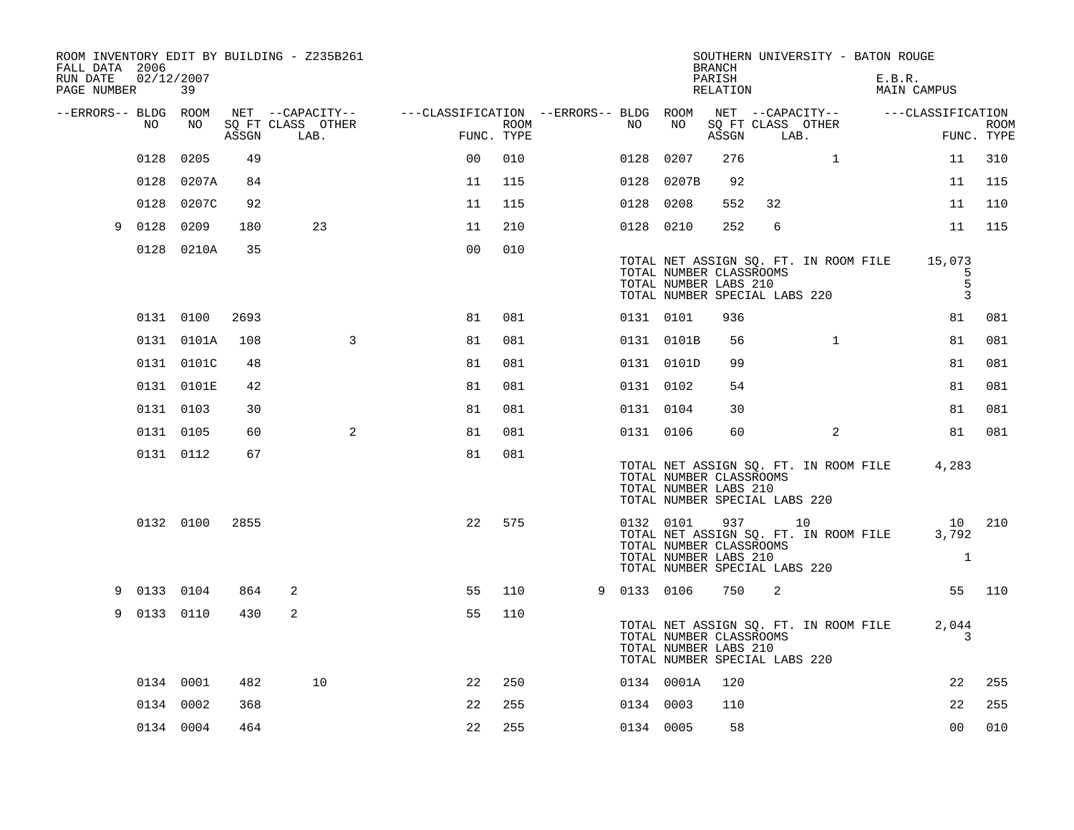| FALL DATA 2006<br>RUN DATE<br>PAGE NUMBER | 02/12/2007  | 39         |       | ROOM INVENTORY EDIT BY BUILDING - Z235B261 |                                        |                    |             |                                                                                                | <b>BRANCH</b><br>PARISH<br>RELATION |      | SOUTHERN UNIVERSITY - BATON ROUGE           | E.B.R. | MAIN CAMPUS                     |                           |
|-------------------------------------------|-------------|------------|-------|--------------------------------------------|----------------------------------------|--------------------|-------------|------------------------------------------------------------------------------------------------|-------------------------------------|------|---------------------------------------------|--------|---------------------------------|---------------------------|
| --ERRORS-- BLDG ROOM                      |             |            |       | NET --CAPACITY--                           | ---CLASSIFICATION --ERRORS-- BLDG ROOM |                    |             |                                                                                                |                                     |      | NET --CAPACITY--                            |        | ---CLASSIFICATION               |                           |
|                                           | NO.         | NO         | ASSGN | SO FT CLASS OTHER<br>LAB.                  |                                        | ROOM<br>FUNC. TYPE | NO.         | NO                                                                                             | ASSGN                               | LAB. | SQ FT CLASS OTHER                           |        |                                 | <b>ROOM</b><br>FUNC. TYPE |
|                                           | 0128        | 0205       | 49    |                                            | 0 <sub>0</sub>                         | 010                | 0128        | 0207                                                                                           | 276                                 |      | $\mathbf{1}$                                |        | 11                              | 310                       |
|                                           | 0128        | 0207A      | 84    |                                            | 11                                     | 115                |             | 0128 0207B                                                                                     | 92                                  |      |                                             |        | 11                              | 115                       |
|                                           | 0128        | 0207C      | 92    |                                            | 11                                     | 115                | 0128 0208   |                                                                                                | 552                                 | 32   |                                             |        | 11                              | 110                       |
| 9                                         | 0128        | 0209       | 180   | 23                                         | 11                                     | 210                | 0128 0210   |                                                                                                | 252                                 | 6    |                                             |        | 11                              | 115                       |
|                                           |             | 0128 0210A | 35    |                                            | 0 <sub>0</sub>                         | 010                |             | TOTAL NUMBER CLASSROOMS<br>TOTAL NUMBER LABS 210<br>TOTAL NUMBER SPECIAL LABS 220              |                                     |      | TOTAL NET ASSIGN SQ. FT. IN ROOM FILE       |        | 15,073<br>5<br>5<br>3           |                           |
|                                           |             | 0131 0100  | 2693  |                                            | 81                                     | 081                | 0131 0101   |                                                                                                | 936                                 |      |                                             |        | 81                              | 081                       |
|                                           |             | 0131 0101A | 108   | 3                                          | 81                                     | 081                |             | 0131 0101B                                                                                     | 56                                  |      | $\mathbf{1}$                                |        | 81                              | 081                       |
|                                           |             | 0131 0101C | 48    |                                            | 81                                     | 081                |             | 0131 0101D                                                                                     | 99                                  |      |                                             |        | 81                              | 081                       |
|                                           |             | 0131 0101E | 42    |                                            | 81                                     | 081                | 0131 0102   |                                                                                                | 54                                  |      |                                             |        | 81                              | 081                       |
|                                           | 0131 0103   |            | 30    |                                            | 81                                     | 081                | 0131 0104   |                                                                                                | 30                                  |      |                                             |        | 81                              | 081                       |
|                                           | 0131 0105   |            | 60    | 2                                          | 81                                     | 081                | 0131 0106   |                                                                                                | 60                                  |      | 2                                           |        | 81                              | 081                       |
|                                           |             | 0131 0112  | 67    |                                            | 81                                     | 081                |             | TOTAL NUMBER CLASSROOMS<br>TOTAL NUMBER LABS 210<br>TOTAL NUMBER SPECIAL LABS 220              |                                     |      | TOTAL NET ASSIGN SQ. FT. IN ROOM FILE       |        | 4,283                           |                           |
|                                           |             | 0132 0100  | 2855  |                                            | 22                                     | 575                |             | 0132 0101<br>TOTAL NUMBER CLASSROOMS<br>TOTAL NUMBER LABS 210<br>TOTAL NUMBER SPECIAL LABS 220 | 937                                 |      | 10<br>TOTAL NET ASSIGN SQ. FT. IN ROOM FILE |        | 10 210<br>3,792<br>$\mathbf{1}$ |                           |
| 9                                         | 0133 0104   |            | 864   | 2                                          | 55                                     | 110                | 9 0133 0106 |                                                                                                | 750                                 | 2    |                                             |        |                                 | 55 110                    |
|                                           | 9 0133 0110 |            | 430   | 2                                          | 55                                     | 110                |             | TOTAL NUMBER CLASSROOMS<br>TOTAL NUMBER LABS 210<br>TOTAL NUMBER SPECIAL LABS 220              |                                     |      | TOTAL NET ASSIGN SQ. FT. IN ROOM FILE       |        | 2,044<br>3                      |                           |
|                                           |             | 0134 0001  | 482   | 10                                         | 22                                     | 250                |             | 0134 0001A                                                                                     | 120                                 |      |                                             |        | 22                              | 255                       |
|                                           | 0134 0002   |            | 368   |                                            | 22                                     | 255                | 0134 0003   |                                                                                                | 110                                 |      |                                             |        | 22                              | 255                       |
|                                           | 0134 0004   |            | 464   |                                            | 22                                     | 255                | 0134 0005   |                                                                                                | 58                                  |      |                                             |        | 0 <sub>0</sub>                  | 010                       |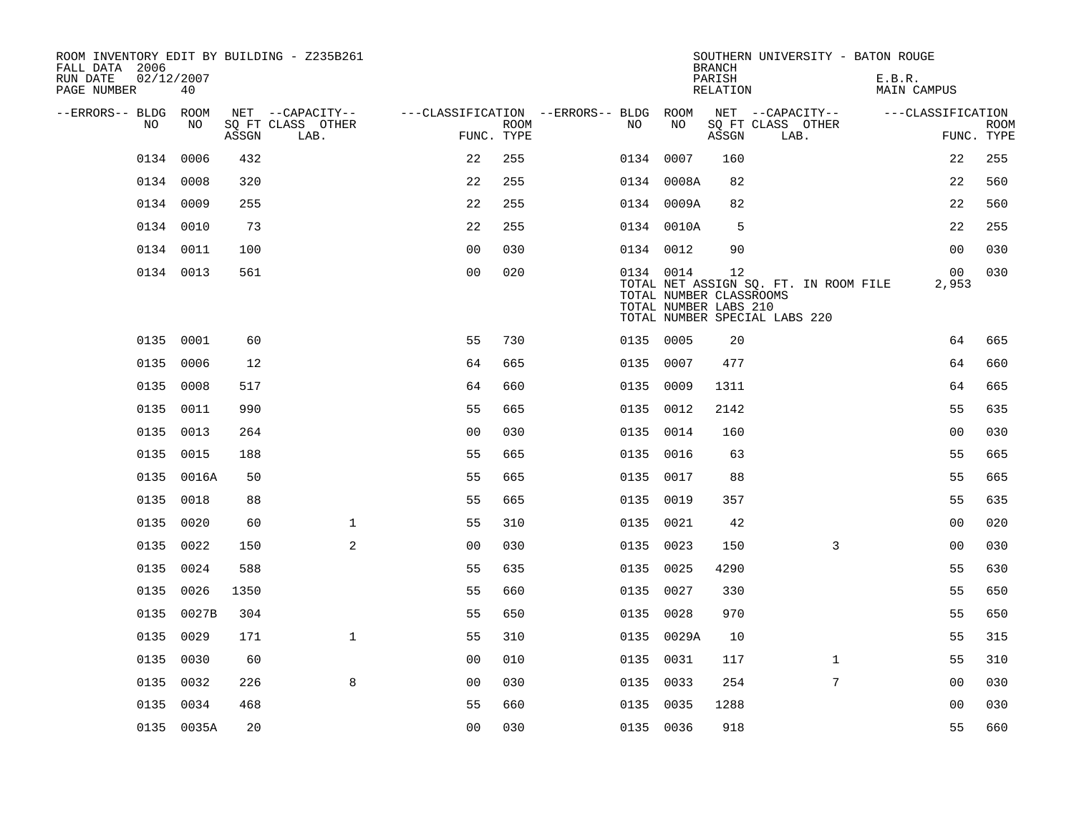| ROOM INVENTORY EDIT BY BUILDING - Z235B261<br>FALL DATA 2006 |                  |       |                           |                                        |             |           |            | <b>BRANCH</b>                                          | SOUTHERN UNIVERSITY - BATON ROUGE                                      |                              |                           |
|--------------------------------------------------------------|------------------|-------|---------------------------|----------------------------------------|-------------|-----------|------------|--------------------------------------------------------|------------------------------------------------------------------------|------------------------------|---------------------------|
| RUN DATE<br>PAGE NUMBER                                      | 02/12/2007<br>40 |       |                           |                                        |             |           |            | PARISH<br><b>RELATION</b>                              |                                                                        | E.B.R.<br><b>MAIN CAMPUS</b> |                           |
| --ERRORS-- BLDG ROOM                                         |                  |       | NET --CAPACITY--          | ---CLASSIFICATION --ERRORS-- BLDG ROOM |             |           |            |                                                        | NET --CAPACITY--                                                       | ---CLASSIFICATION            |                           |
| NO                                                           | NO               | ASSGN | SQ FT CLASS OTHER<br>LAB. | FUNC. TYPE                             | <b>ROOM</b> | NO        | NO         | ASSGN                                                  | SQ FT CLASS OTHER<br>LAB.                                              |                              | <b>ROOM</b><br>FUNC. TYPE |
| 0134                                                         | 0006             | 432   |                           | 22                                     | 255         | 0134 0007 |            | 160                                                    |                                                                        | 22                           | 255                       |
|                                                              | 0134 0008        | 320   |                           | 22                                     | 255         |           | 0134 0008A | 82                                                     |                                                                        | 22                           | 560                       |
|                                                              | 0134 0009        | 255   |                           | 22                                     | 255         |           | 0134 0009A | 82                                                     |                                                                        | 22                           | 560                       |
|                                                              | 0134 0010        | 73    |                           | 22                                     | 255         |           | 0134 0010A | 5                                                      |                                                                        | 22                           | 255                       |
|                                                              | 0134 0011        | 100   |                           | 0 <sub>0</sub>                         | 030         | 0134 0012 |            | 90                                                     |                                                                        | 0 <sub>0</sub>               | 030                       |
|                                                              | 0134 0013        | 561   |                           | 0 <sub>0</sub>                         | 020         | 0134 0014 |            | 12<br>TOTAL NUMBER CLASSROOMS<br>TOTAL NUMBER LABS 210 | TOTAL NET ASSIGN SQ. FT. IN ROOM FILE<br>TOTAL NUMBER SPECIAL LABS 220 | 00<br>2,953                  | 030                       |
|                                                              | 0135 0001        | 60    |                           | 55                                     | 730         | 0135 0005 |            | 20                                                     |                                                                        | 64                           | 665                       |
|                                                              | 0135 0006        | 12    |                           | 64                                     | 665         | 0135 0007 |            | 477                                                    |                                                                        | 64                           | 660                       |
|                                                              | 0135 0008        | 517   |                           | 64                                     | 660         | 0135 0009 |            | 1311                                                   |                                                                        | 64                           | 665                       |
|                                                              | 0135 0011        | 990   |                           | 55                                     | 665         | 0135 0012 |            | 2142                                                   |                                                                        | 55                           | 635                       |
| 0135                                                         | 0013             | 264   |                           | 0 <sub>0</sub>                         | 030         | 0135      | 0014       | 160                                                    |                                                                        | 00                           | 030                       |
|                                                              | 0135 0015        | 188   |                           | 55                                     | 665         | 0135 0016 |            | 63                                                     |                                                                        | 55                           | 665                       |
|                                                              | 0135 0016A       | 50    |                           | 55                                     | 665         | 0135      | 0017       | 88                                                     |                                                                        | 55                           | 665                       |
|                                                              | 0135 0018        | 88    |                           | 55                                     | 665         | 0135 0019 |            | 357                                                    |                                                                        | 55                           | 635                       |
| 0135                                                         | 0020             | 60    | $\mathbf{1}$              | 55                                     | 310         | 0135      | 0021       | 42                                                     |                                                                        | 0 <sub>0</sub>               | 020                       |
| 0135                                                         | 0022             | 150   | 2                         | 0 <sub>0</sub>                         | 030         | 0135 0023 |            | 150                                                    | 3                                                                      | 0 <sub>0</sub>               | 030                       |
|                                                              | 0135 0024        | 588   |                           | 55                                     | 635         | 0135 0025 |            | 4290                                                   |                                                                        | 55                           | 630                       |
|                                                              | 0135 0026        | 1350  |                           | 55                                     | 660         | 0135 0027 |            | 330                                                    |                                                                        | 55                           | 650                       |
|                                                              | 0135 0027B       | 304   |                           | 55                                     | 650         | 0135 0028 |            | 970                                                    |                                                                        | 55                           | 650                       |
|                                                              | 0135 0029        | 171   | $\mathbf{1}$              | 55                                     | 310         |           | 0135 0029A | 10                                                     |                                                                        | 55                           | 315                       |
|                                                              | 0135 0030        | 60    |                           | 0 <sub>0</sub>                         | 010         | 0135 0031 |            | 117                                                    | $\mathbf{1}$                                                           | 55                           | 310                       |
| 0135                                                         | 0032             | 226   | 8                         | 0 <sub>0</sub>                         | 030         | 0135 0033 |            | 254                                                    | 7                                                                      | 0 <sub>0</sub>               | 030                       |
|                                                              | 0135 0034        | 468   |                           | 55                                     | 660         | 0135 0035 |            | 1288                                                   |                                                                        | 0 <sub>0</sub>               | 030                       |
|                                                              | 0135 0035A       | 20    |                           | 0 <sub>0</sub>                         | 030         | 0135 0036 |            | 918                                                    |                                                                        | 55                           | 660                       |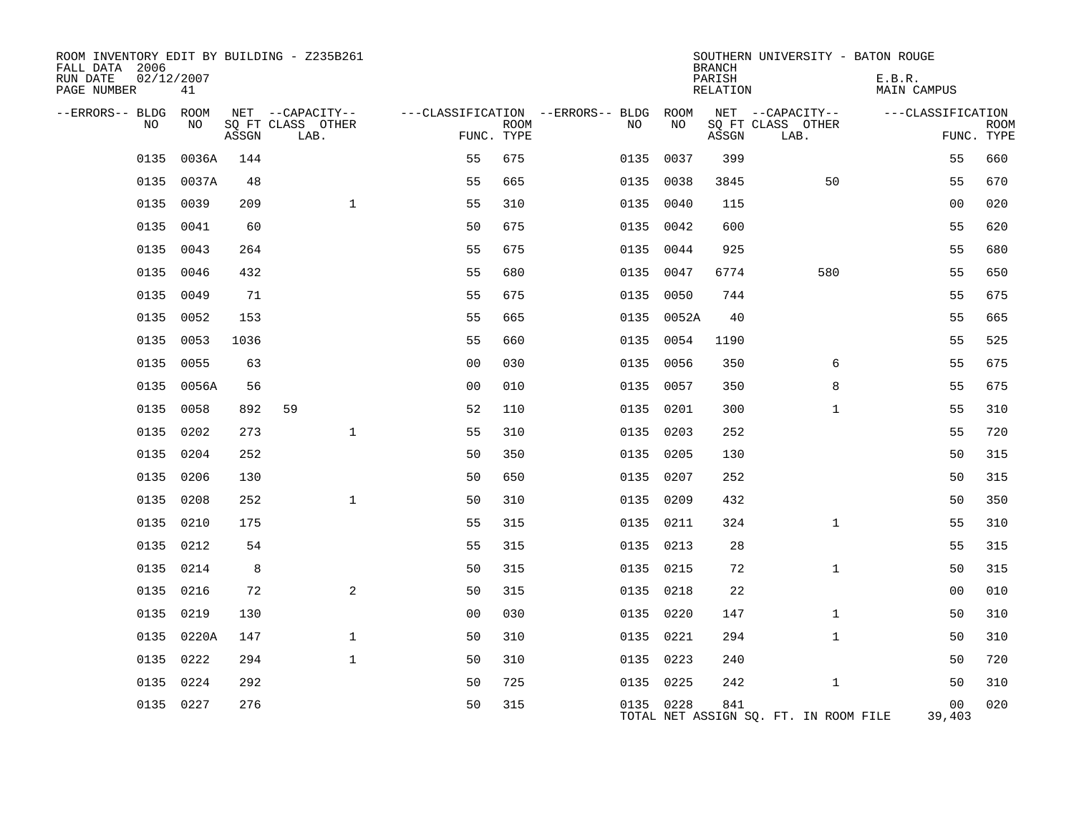| ROOM INVENTORY EDIT BY BUILDING - Z235B261<br>FALL DATA 2006 |            |            |       |    |                                       |                |             |                                              |            | <b>BRANCH</b>      | SOUTHERN UNIVERSITY - BATON ROUGE     |                              |             |
|--------------------------------------------------------------|------------|------------|-------|----|---------------------------------------|----------------|-------------|----------------------------------------------|------------|--------------------|---------------------------------------|------------------------------|-------------|
| RUN DATE<br>PAGE NUMBER                                      | 02/12/2007 | 41         |       |    |                                       |                |             |                                              |            | PARISH<br>RELATION |                                       | E.B.R.<br><b>MAIN CAMPUS</b> |             |
| --ERRORS-- BLDG ROOM                                         | NO         | NO         |       |    | NET --CAPACITY--<br>SQ FT CLASS OTHER |                | <b>ROOM</b> | ---CLASSIFICATION --ERRORS-- BLDG ROOM<br>NO | NO         |                    | NET --CAPACITY--<br>SQ FT CLASS OTHER | ---CLASSIFICATION            | <b>ROOM</b> |
|                                                              |            |            | ASSGN |    | LAB.                                  |                | FUNC. TYPE  |                                              |            | ASSGN              | LAB.                                  |                              | FUNC. TYPE  |
|                                                              | 0135       | 0036A      | 144   |    |                                       | 55             | 675         |                                              | 0135 0037  | 399                |                                       | 55                           | 660         |
|                                                              | 0135       | 0037A      | 48    |    |                                       | 55             | 665         |                                              | 0135 0038  | 3845               | 50                                    | 55                           | 670         |
|                                                              | 0135       | 0039       | 209   |    | $\mathbf{1}$                          | 55             | 310         |                                              | 0135 0040  | 115                |                                       | 0 <sub>0</sub>               | 020         |
|                                                              | 0135       | 0041       | 60    |    |                                       | 50             | 675         |                                              | 0135 0042  | 600                |                                       | 55                           | 620         |
|                                                              | 0135       | 0043       | 264   |    |                                       | 55             | 675         |                                              | 0135 0044  | 925                |                                       | 55                           | 680         |
|                                                              | 0135       | 0046       | 432   |    |                                       | 55             | 680         |                                              | 0135 0047  | 6774               | 580                                   | 55                           | 650         |
|                                                              | 0135       | 0049       | 71    |    |                                       | 55             | 675         |                                              | 0135 0050  | 744                |                                       | 55                           | 675         |
|                                                              | 0135       | 0052       | 153   |    |                                       | 55             | 665         |                                              | 0135 0052A | 40                 |                                       | 55                           | 665         |
|                                                              | 0135       | 0053       | 1036  |    |                                       | 55             | 660         |                                              | 0135 0054  | 1190               |                                       | 55                           | 525         |
|                                                              | 0135 0055  |            | 63    |    |                                       | 0 <sub>0</sub> | 030         |                                              | 0135 0056  | 350                | 6                                     | 55                           | 675         |
|                                                              |            | 0135 0056A | 56    |    |                                       | 0 <sub>0</sub> | 010         |                                              | 0135 0057  | 350                | 8                                     | 55                           | 675         |
|                                                              | 0135 0058  |            | 892   | 59 |                                       | 52             | 110         |                                              | 0135 0201  | 300                | $\mathbf{1}$                          | 55                           | 310         |
|                                                              | 0135 0202  |            | 273   |    | $\mathbf{1}$                          | 55             | 310         |                                              | 0135 0203  | 252                |                                       | 55                           | 720         |
|                                                              | 0135 0204  |            | 252   |    |                                       | 50             | 350         |                                              | 0135 0205  | 130                |                                       | 50                           | 315         |
|                                                              | 0135 0206  |            | 130   |    |                                       | 50             | 650         |                                              | 0135 0207  | 252                |                                       | 50                           | 315         |
|                                                              | 0135 0208  |            | 252   |    | $\mathbf{1}$                          | 50             | 310         |                                              | 0135 0209  | 432                |                                       | 50                           | 350         |
|                                                              | 0135       | 0210       | 175   |    |                                       | 55             | 315         |                                              | 0135 0211  | 324                | $\mathbf{1}$                          | 55                           | 310         |
|                                                              | 0135 0212  |            | 54    |    |                                       | 55             | 315         |                                              | 0135 0213  | 28                 |                                       | 55                           | 315         |
|                                                              | 0135       | 0214       | 8     |    |                                       | 50             | 315         |                                              | 0135 0215  | 72                 | $\mathbf{1}$                          | 50                           | 315         |
|                                                              | 0135 0216  |            | 72    |    | 2                                     | 50             | 315         |                                              | 0135 0218  | 22                 |                                       | 00                           | 010         |
|                                                              | 0135       | 0219       | 130   |    |                                       | 0 <sub>0</sub> | 030         |                                              | 0135 0220  | 147                | $\mathbf{1}$                          | 50                           | 310         |
|                                                              | 0135       | 0220A      | 147   |    | $\mathbf{1}$                          | 50             | 310         |                                              | 0135 0221  | 294                | $\mathbf{1}$                          | 50                           | 310         |
|                                                              | 0135       | 0222       | 294   |    | $\mathbf{1}$                          | 50             | 310         |                                              | 0135 0223  | 240                |                                       | 50                           | 720         |
|                                                              | 0135       | 0224       | 292   |    |                                       | 50             | 725         |                                              | 0135 0225  | 242                | $\mathbf{1}$                          | 50                           | 310         |
|                                                              | 0135 0227  |            | 276   |    |                                       | 50             | 315         |                                              | 0135 0228  | 841                | TOTAL NET ASSIGN SQ. FT. IN ROOM FILE | 00<br>39,403                 | 020         |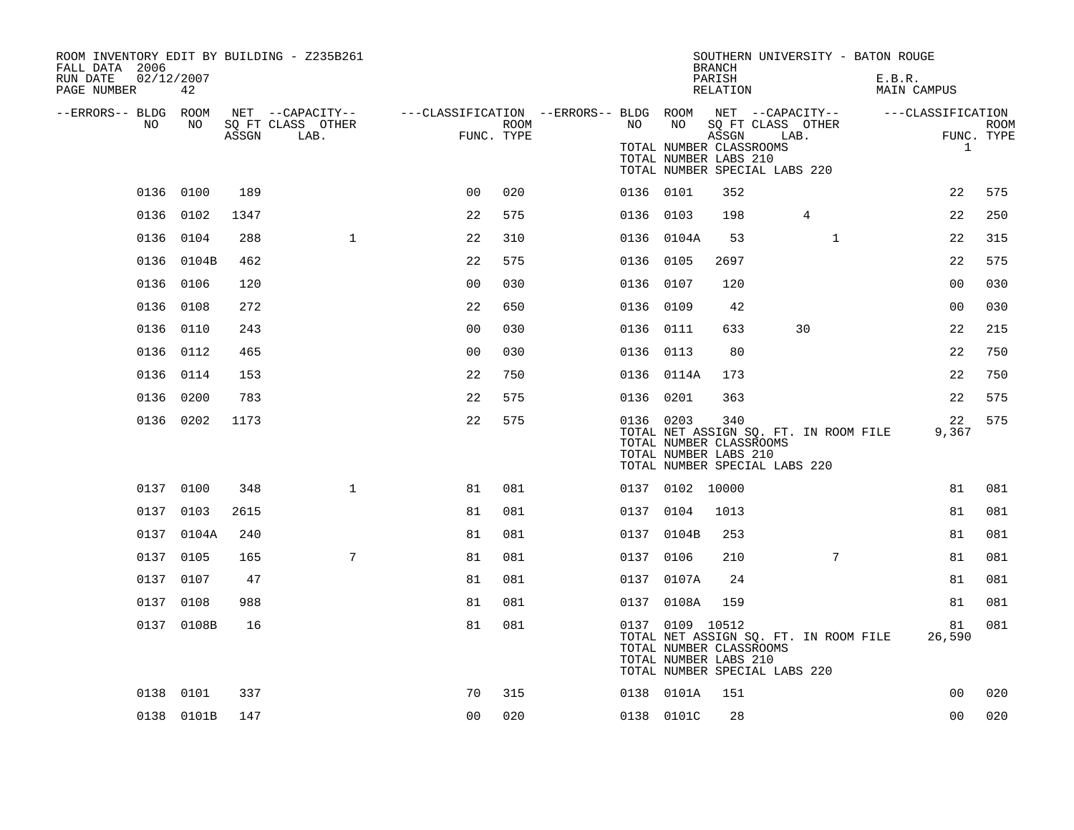| ROOM INVENTORY EDIT BY BUILDING - Z235B261<br>FALL DATA 2006 |                  |       |                           |                |      |    |                 | <b>BRANCH</b>                                             | SOUTHERN UNIVERSITY - BATON ROUGE                                      |                       |                           |
|--------------------------------------------------------------|------------------|-------|---------------------------|----------------|------|----|-----------------|-----------------------------------------------------------|------------------------------------------------------------------------|-----------------------|---------------------------|
| RUN DATE<br>PAGE NUMBER                                      | 02/12/2007<br>42 |       |                           |                |      |    |                 | PARISH<br>RELATION                                        |                                                                        | E.B.R.<br>MAIN CAMPUS |                           |
| --ERRORS-- BLDG ROOM                                         |                  |       | NET --CAPACITY--          |                |      |    |                 |                                                           | ---CLASSIFICATION --ERRORS-- BLDG ROOM NET --CAPACITY--                | ---CLASSIFICATION     |                           |
| NO                                                           | NO               | ASSGN | SQ FT CLASS OTHER<br>LAB. | FUNC. TYPE     | ROOM | NO | NO              | ASSGN<br>TOTAL NUMBER CLASSROOMS<br>TOTAL NUMBER LABS 210 | SQ FT CLASS OTHER<br>LAB.<br>TOTAL NUMBER SPECIAL LABS 220             | $\mathbf{1}$          | <b>ROOM</b><br>FUNC. TYPE |
|                                                              | 0136 0100        | 189   |                           | 0 <sub>0</sub> | 020  |    | 0136 0101       | 352                                                       |                                                                        | 22                    | 575                       |
|                                                              | 0136 0102        | 1347  |                           | 22             | 575  |    | 0136 0103       | 198                                                       | $\overline{4}$                                                         | 22                    | 250                       |
|                                                              | 0136 0104        | 288   | $\mathbf{1}$              | 22             | 310  |    | 0136 0104A      | 53                                                        | $\mathbf{1}$                                                           | 22                    | 315                       |
|                                                              | 0136 0104B       | 462   |                           | 22             | 575  |    | 0136 0105       | 2697                                                      |                                                                        | 22                    | 575                       |
|                                                              | 0136 0106        | 120   |                           | 0 <sub>0</sub> | 030  |    | 0136 0107       | 120                                                       |                                                                        | 00                    | 030                       |
|                                                              | 0136 0108        | 272   |                           | 22             | 650  |    | 0136 0109       | 42                                                        |                                                                        | 0 <sub>0</sub>        | 030                       |
|                                                              | 0136 0110        | 243   |                           | 0 <sub>0</sub> | 030  |    | 0136 0111       | 633                                                       | 30                                                                     | 22                    | 215                       |
|                                                              | 0136 0112        | 465   |                           | 0 <sub>0</sub> | 030  |    | 0136 0113       | 80                                                        |                                                                        | 22                    | 750                       |
|                                                              | 0136 0114        | 153   |                           | 22             | 750  |    | 0136 0114A      | 173                                                       |                                                                        | 22                    | 750                       |
|                                                              | 0136 0200        | 783   |                           | 22             | 575  |    | 0136 0201       | 363                                                       |                                                                        | 22                    | 575                       |
|                                                              | 0136 0202        | 1173  |                           | 22             | 575  |    | 0136 0203       | 340<br>TOTAL NUMBER CLASSROOMS<br>TOTAL NUMBER LABS 210   | TOTAL NET ASSIGN SQ. FT. IN ROOM FILE<br>TOTAL NUMBER SPECIAL LABS 220 | 22<br>9,367           | 575                       |
|                                                              | 0137 0100        | 348   | $\mathbf{1}$              | 81             | 081  |    | 0137 0102 10000 |                                                           |                                                                        | 81                    | 081                       |
|                                                              | 0137 0103        | 2615  |                           | 81             | 081  |    | 0137 0104       | 1013                                                      |                                                                        | 81                    | 081                       |
|                                                              | 0137 0104A       | 240   |                           | 81             | 081  |    | 0137 0104B      | 253                                                       |                                                                        | 81                    | 081                       |
|                                                              | 0137 0105        | 165   | 7                         | 81             | 081  |    | 0137 0106       | 210                                                       | $7\phantom{.}$                                                         | 81                    | 081                       |
|                                                              | 0137 0107        | 47    |                           | 81             | 081  |    | 0137 0107A      | 24                                                        |                                                                        | 81                    | 081                       |
|                                                              | 0137 0108        | 988   |                           | 81             | 081  |    | 0137 0108A      | 159                                                       |                                                                        | 81                    | 081                       |
|                                                              | 0137 0108B       | 16    |                           | 81             | 081  |    | 0137 0109 10512 | TOTAL NUMBER CLASSROOMS<br>TOTAL NUMBER LABS 210          | TOTAL NET ASSIGN SQ. FT. IN ROOM FILE<br>TOTAL NUMBER SPECIAL LABS 220 | 81<br>26,590          | 081                       |
|                                                              | 0138 0101        | 337   |                           | 70             | 315  |    | 0138 0101A      | 151                                                       |                                                                        | 0 <sub>0</sub>        | 020                       |
|                                                              | 0138 0101B       | 147   |                           | 0 <sub>0</sub> | 020  |    | 0138 0101C      | 28                                                        |                                                                        | 0 <sub>0</sub>        | 020                       |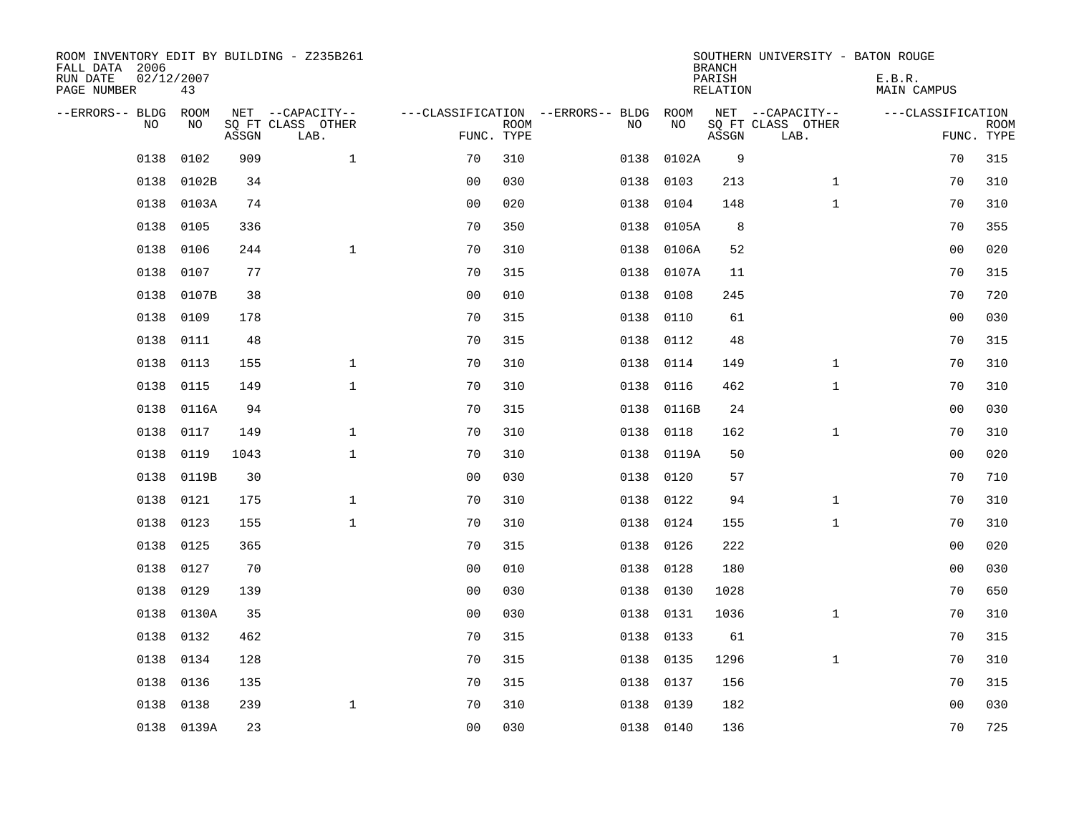| ROOM INVENTORY EDIT BY BUILDING - Z235B261<br>FALL DATA 2006<br>RUN DATE<br>PAGE NUMBER | 02/12/2007<br>43 |       |                                               |                |             |                                              |            | <b>BRANCH</b><br>PARISH<br><b>RELATION</b> | SOUTHERN UNIVERSITY - BATON ROUGE             | E.B.R.<br><b>MAIN CAMPUS</b> |                           |
|-----------------------------------------------------------------------------------------|------------------|-------|-----------------------------------------------|----------------|-------------|----------------------------------------------|------------|--------------------------------------------|-----------------------------------------------|------------------------------|---------------------------|
| --ERRORS-- BLDG<br>NO                                                                   | ROOM<br>NO       | ASSGN | NET --CAPACITY--<br>SQ FT CLASS OTHER<br>LAB. | FUNC. TYPE     | <b>ROOM</b> | ---CLASSIFICATION --ERRORS-- BLDG ROOM<br>NO | NO         | ASSGN                                      | NET --CAPACITY--<br>SQ FT CLASS OTHER<br>LAB. | ---CLASSIFICATION            | <b>ROOM</b><br>FUNC. TYPE |
| 0138                                                                                    | 0102             | 909   | $\mathbf{1}$                                  | 70             | 310         | 0138                                         | 0102A      | 9                                          |                                               | 70                           | 315                       |
| 0138                                                                                    | 0102B            | 34    |                                               | 0 <sub>0</sub> | 030         | 0138                                         | 0103       | 213                                        | $\mathbf{1}$                                  | 70                           | 310                       |
| 0138                                                                                    | 0103A            | 74    |                                               | 0 <sub>0</sub> | 020         | 0138                                         | 0104       | 148                                        | $\mathbf{1}$                                  | 70                           | 310                       |
| 0138                                                                                    | 0105             | 336   |                                               | 70             | 350         | 0138                                         | 0105A      | 8                                          |                                               | 70                           | 355                       |
| 0138                                                                                    | 0106             | 244   | $\mathbf{1}$                                  | 70             | 310         | 0138                                         | 0106A      | 52                                         |                                               | 0 <sub>0</sub>               | 020                       |
| 0138                                                                                    | 0107             | 77    |                                               | 70             | 315         |                                              | 0138 0107A | 11                                         |                                               | 70                           | 315                       |
| 0138                                                                                    | 0107B            | 38    |                                               | 0 <sub>0</sub> | 010         | 0138                                         | 0108       | 245                                        |                                               | 70                           | 720                       |
| 0138                                                                                    | 0109             | 178   |                                               | 70             | 315         | 0138                                         | 0110       | 61                                         |                                               | 0 <sub>0</sub>               | 030                       |
| 0138                                                                                    | 0111             | 48    |                                               | 70             | 315         | 0138                                         | 0112       | 48                                         |                                               | 70                           | 315                       |
| 0138                                                                                    | 0113             | 155   | $\mathbf{1}$                                  | 70             | 310         | 0138                                         | 0114       | 149                                        | $\mathbf{1}$                                  | 70                           | 310                       |
| 0138                                                                                    | 0115             | 149   | $\mathbf{1}$                                  | 70             | 310         | 0138                                         | 0116       | 462                                        | $\mathbf{1}$                                  | 70                           | 310                       |
| 0138                                                                                    | 0116A            | 94    |                                               | 70             | 315         | 0138                                         | 0116B      | 24                                         |                                               | 0 <sub>0</sub>               | 030                       |
| 0138                                                                                    | 0117             | 149   | $\mathbf 1$                                   | 70             | 310         | 0138                                         | 0118       | 162                                        | $\mathbf{1}$                                  | 70                           | 310                       |
| 0138                                                                                    | 0119             | 1043  | $\mathbf{1}$                                  | 70             | 310         | 0138                                         | 0119A      | 50                                         |                                               | 00                           | 020                       |
| 0138                                                                                    | 0119B            | 30    |                                               | 0 <sub>0</sub> | 030         | 0138                                         | 0120       | 57                                         |                                               | 70                           | 710                       |
| 0138                                                                                    | 0121             | 175   | $\mathbf 1$                                   | 70             | 310         | 0138                                         | 0122       | 94                                         | $\mathbf{1}$                                  | 70                           | 310                       |
| 0138                                                                                    | 0123             | 155   | $\mathbf{1}$                                  | 70             | 310         | 0138                                         | 0124       | 155                                        | $\mathbf{1}$                                  | 70                           | 310                       |
| 0138                                                                                    | 0125             | 365   |                                               | 70             | 315         | 0138                                         | 0126       | 222                                        |                                               | 0 <sub>0</sub>               | 020                       |
| 0138                                                                                    | 0127             | 70    |                                               | 0 <sub>0</sub> | 010         |                                              | 0138 0128  | 180                                        |                                               | 0 <sub>0</sub>               | 030                       |
| 0138                                                                                    | 0129             | 139   |                                               | 0 <sub>0</sub> | 030         | 0138                                         | 0130       | 1028                                       |                                               | 70                           | 650                       |
| 0138                                                                                    | 0130A            | 35    |                                               | 0 <sub>0</sub> | 030         | 0138                                         | 0131       | 1036                                       | $\mathbf{1}$                                  | 70                           | 310                       |
| 0138                                                                                    | 0132             | 462   |                                               | 70             | 315         | 0138                                         | 0133       | 61                                         |                                               | 70                           | 315                       |
| 0138                                                                                    | 0134             | 128   |                                               | 70             | 315         |                                              | 0138 0135  | 1296                                       | $\mathbf{1}$                                  | 70                           | 310                       |
| 0138                                                                                    | 0136             | 135   |                                               | 70             | 315         | 0138                                         | 0137       | 156                                        |                                               | 70                           | 315                       |
| 0138                                                                                    | 0138             | 239   | $\mathbf 1$                                   | 70             | 310         | 0138                                         | 0139       | 182                                        |                                               | 0 <sub>0</sub>               | 030                       |
|                                                                                         | 0138 0139A       | 23    |                                               | 0 <sub>0</sub> | 030         |                                              | 0138 0140  | 136                                        |                                               | 70                           | 725                       |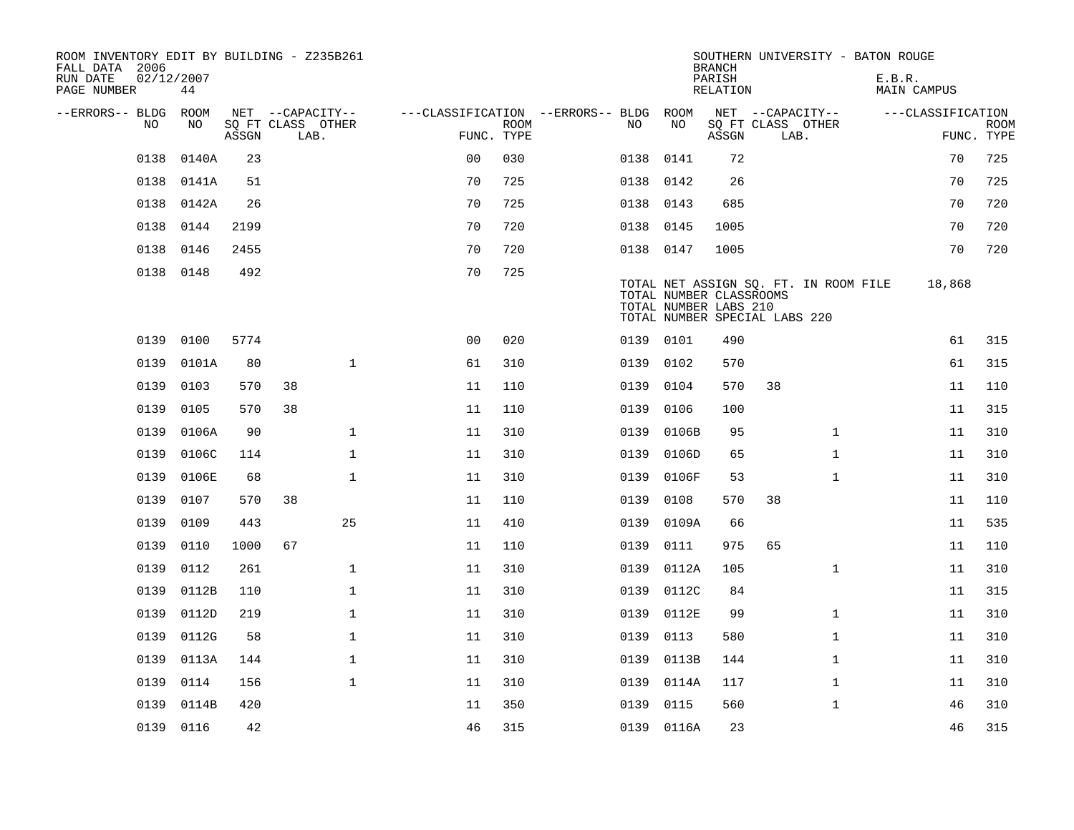| ROOM INVENTORY EDIT BY BUILDING - Z235B261<br>FALL DATA 2006 |                  |       |    |                           |                                        |             |           |                                                                                   | <b>BRANCH</b>              |      | SOUTHERN UNIVERSITY - BATON ROUGE     |        |                   |                           |
|--------------------------------------------------------------|------------------|-------|----|---------------------------|----------------------------------------|-------------|-----------|-----------------------------------------------------------------------------------|----------------------------|------|---------------------------------------|--------|-------------------|---------------------------|
| RUN DATE<br>PAGE NUMBER                                      | 02/12/2007<br>44 |       |    |                           |                                        |             |           |                                                                                   | PARISH<br>RELATION         |      |                                       | E.B.R. | MAIN CAMPUS       |                           |
| --ERRORS-- BLDG ROOM                                         |                  |       |    | NET --CAPACITY--          | ---CLASSIFICATION --ERRORS-- BLDG ROOM |             |           |                                                                                   | NET --CAPACITY--           |      |                                       |        | ---CLASSIFICATION |                           |
| NO.                                                          | NO.              | ASSGN |    | SQ FT CLASS OTHER<br>LAB. | FUNC. TYPE                             | <b>ROOM</b> | NO.       | NO                                                                                | SQ FT CLASS OTHER<br>ASSGN | LAB. |                                       |        |                   | <b>ROOM</b><br>FUNC. TYPE |
| 0138                                                         | 0140A            | 23    |    |                           | 0 <sub>0</sub>                         | 030         | 0138      | 0141                                                                              | 72                         |      |                                       |        | 70                | 725                       |
| 0138                                                         | 0141A            | 51    |    |                           | 70                                     | 725         | 0138 0142 |                                                                                   | 26                         |      |                                       |        | 70                | 725                       |
|                                                              | 0138 0142A       | 26    |    |                           | 70                                     | 725         | 0138 0143 |                                                                                   | 685                        |      |                                       |        | 70                | 720                       |
| 0138                                                         | 0144             | 2199  |    |                           | 70                                     | 720         | 0138 0145 |                                                                                   | 1005                       |      |                                       |        | 70                | 720                       |
| 0138                                                         | 0146             | 2455  |    |                           | 70                                     | 720         | 0138 0147 |                                                                                   | 1005                       |      |                                       |        | 70                | 720                       |
|                                                              | 0138 0148        | 492   |    |                           | 70                                     | 725         |           | TOTAL NUMBER CLASSROOMS<br>TOTAL NUMBER LABS 210<br>TOTAL NUMBER SPECIAL LABS 220 |                            |      | TOTAL NET ASSIGN SQ. FT. IN ROOM FILE |        | 18,868            |                           |
| 0139                                                         | 0100             | 5774  |    |                           | 0 <sub>0</sub>                         | 020         | 0139 0101 |                                                                                   | 490                        |      |                                       |        | 61                | 315                       |
| 0139                                                         | 0101A            | 80    |    | $\mathbf{1}$              | 61                                     | 310         | 0139      | 0102                                                                              | 570                        |      |                                       |        | 61                | 315                       |
| 0139                                                         | 0103             | 570   | 38 |                           | 11                                     | 110         | 0139      | 0104                                                                              | 570                        | 38   |                                       |        | 11                | 110                       |
| 0139                                                         | 0105             | 570   | 38 |                           | 11                                     | 110         | 0139      | 0106                                                                              | 100                        |      |                                       |        | 11                | 315                       |
| 0139                                                         | 0106A            | 90    |    | $\mathbf{1}$              | 11                                     | 310         | 0139      | 0106B                                                                             | 95                         |      | $\mathbf{1}$                          |        | 11                | 310                       |
| 0139                                                         | 0106C            | 114   |    | $\mathbf 1$               | 11                                     | 310         | 0139      | 0106D                                                                             | 65                         |      | $\mathbf{1}$                          |        | 11                | 310                       |
| 0139                                                         | 0106E            | 68    |    | $\mathbf{1}$              | 11                                     | 310         | 0139      | 0106F                                                                             | 53                         |      | $\mathbf{1}$                          |        | 11                | 310                       |
| 0139                                                         | 0107             | 570   | 38 |                           | 11                                     | 110         | 0139      | 0108                                                                              | 570                        | 38   |                                       |        | 11                | 110                       |
| 0139                                                         | 0109             | 443   |    | 25                        | 11                                     | 410         | 0139      | 0109A                                                                             | 66                         |      |                                       |        | 11                | 535                       |
| 0139                                                         | 0110             | 1000  | 67 |                           | 11                                     | 110         | 0139      | 0111                                                                              | 975                        | 65   |                                       |        | 11                | 110                       |
| 0139                                                         | 0112             | 261   |    | $\mathbf 1$               | 11                                     | 310         | 0139      | 0112A                                                                             | 105                        |      | $\mathbf{1}$                          |        | 11                | 310                       |
| 0139                                                         | 0112B            | 110   |    | $\mathbf{1}$              | 11                                     | 310         | 0139      | 0112C                                                                             | 84                         |      |                                       |        | 11                | 315                       |
| 0139                                                         | 0112D            | 219   |    | $\mathbf{1}$              | 11                                     | 310         | 0139      | 0112E                                                                             | 99                         |      | $\mathbf{1}$                          |        | 11                | 310                       |
| 0139                                                         | 0112G            | 58    |    | $\mathbf 1$               | 11                                     | 310         | 0139      | 0113                                                                              | 580                        |      | $\mathbf{1}$                          |        | 11                | 310                       |
| 0139                                                         | 0113A            | 144   |    | $\mathbf 1$               | 11                                     | 310         | 0139      | 0113B                                                                             | 144                        |      | $\mathbf{1}$                          |        | 11                | 310                       |
| 0139                                                         | 0114             | 156   |    | $\mathbf{1}$              | 11                                     | 310         | 0139      | 0114A                                                                             | 117                        |      | $\mathbf{1}$                          |        | 11                | 310                       |
| 0139                                                         | 0114B            | 420   |    |                           | 11                                     | 350         | 0139      | 0115                                                                              | 560                        |      | $\mathbf{1}$                          |        | 46                | 310                       |
|                                                              | 0139 0116        | 42    |    |                           | 46                                     | 315         |           | 0139 0116A                                                                        | 23                         |      |                                       |        | 46                | 315                       |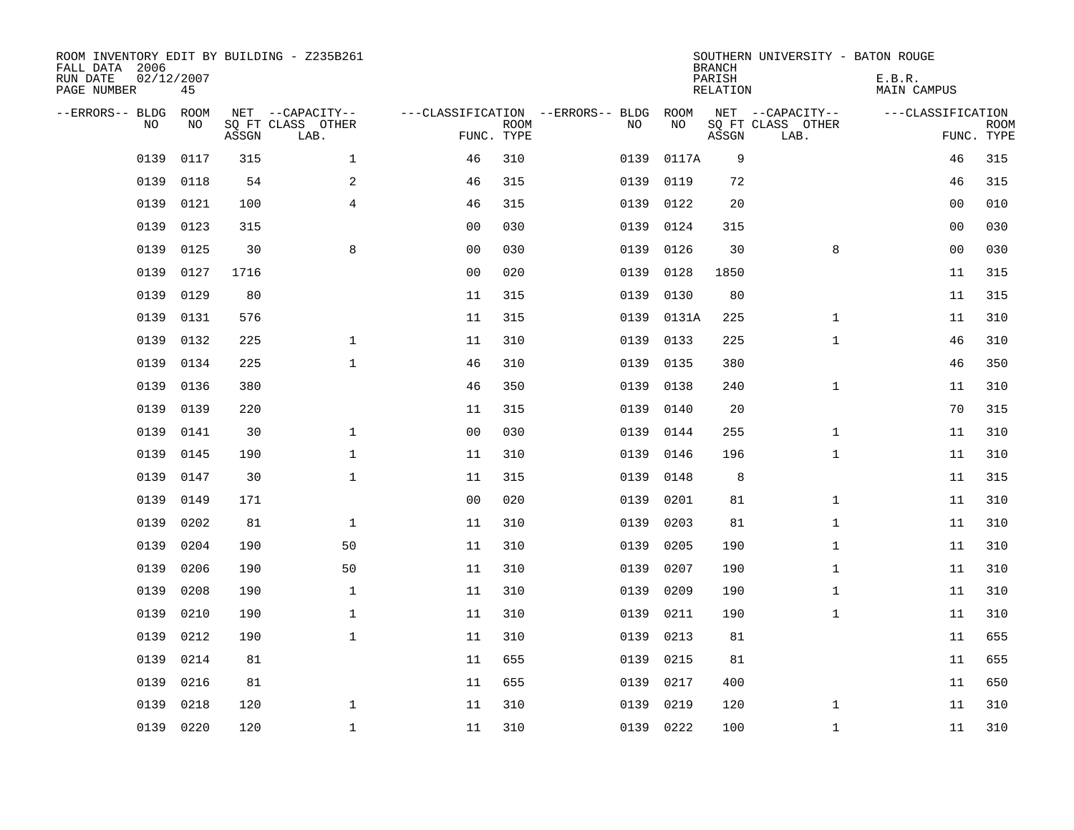| FALL DATA 2006<br>RUN DATE<br>PAGE NUMBER | 02/12/2007 | 45          |       | ROOM INVENTORY EDIT BY BUILDING - Z235B261    |                                                 |             |           |            | <b>BRANCH</b><br>PARISH<br>RELATION | SOUTHERN UNIVERSITY - BATON ROUGE             | E.B.R.<br><b>MAIN CAMPUS</b> |                           |
|-------------------------------------------|------------|-------------|-------|-----------------------------------------------|-------------------------------------------------|-------------|-----------|------------|-------------------------------------|-----------------------------------------------|------------------------------|---------------------------|
| --ERRORS-- BLDG                           | <b>NO</b>  | ROOM<br>NO. | ASSGN | NET --CAPACITY--<br>SO FT CLASS OTHER<br>LAB. | ---CLASSIFICATION --ERRORS-- BLDG<br>FUNC. TYPE | <b>ROOM</b> | NO        | ROOM<br>NO | ASSGN                               | NET --CAPACITY--<br>SQ FT CLASS OTHER<br>LAB. | ---CLASSIFICATION            | <b>ROOM</b><br>FUNC. TYPE |
|                                           | 0139       | 0117        | 315   | $\mathbf{1}$                                  | 46                                              | 310         | 0139      | 0117A      | 9                                   |                                               | 46                           | 315                       |
|                                           | 0139       | 0118        | 54    | 2                                             | 46                                              | 315         | 0139      | 0119       | 72                                  |                                               | 46                           | 315                       |
|                                           | 0139       | 0121        | 100   | $\overline{4}$                                | 46                                              | 315         | 0139      | 0122       | 20                                  |                                               | 0 <sub>0</sub>               | 010                       |
|                                           | 0139       | 0123        | 315   |                                               | 0 <sub>0</sub>                                  | 030         | 0139      | 0124       | 315                                 |                                               | 0 <sub>0</sub>               | 030                       |
|                                           | 0139       | 0125        | 30    | 8                                             | 0 <sub>0</sub>                                  | 030         | 0139      | 0126       | 30                                  | 8                                             | 0 <sub>0</sub>               | 030                       |
|                                           | 0139       | 0127        | 1716  |                                               | 0 <sub>0</sub>                                  | 020         | 0139      | 0128       | 1850                                |                                               | 11                           | 315                       |
|                                           | 0139       | 0129        | 80    |                                               | 11                                              | 315         | 0139      | 0130       | 80                                  |                                               | 11                           | 315                       |
|                                           | 0139       | 0131        | 576   |                                               | 11                                              | 315         | 0139      | 0131A      | 225                                 | $\mathbf{1}$                                  | 11                           | 310                       |
|                                           | 0139       | 0132        | 225   | $\mathbf 1$                                   | 11                                              | 310         | 0139      | 0133       | 225                                 | $\mathbf{1}$                                  | 46                           | 310                       |
|                                           | 0139       | 0134        | 225   | $\mathbf{1}$                                  | 46                                              | 310         | 0139      | 0135       | 380                                 |                                               | 46                           | 350                       |
|                                           | 0139       | 0136        | 380   |                                               | 46                                              | 350         | 0139      | 0138       | 240                                 | $\mathbf{1}$                                  | 11                           | 310                       |
|                                           | 0139       | 0139        | 220   |                                               | 11                                              | 315         | 0139      | 0140       | 20                                  |                                               | 70                           | 315                       |
|                                           | 0139       | 0141        | 30    | $\mathbf 1$                                   | 0 <sub>0</sub>                                  | 030         | 0139      | 0144       | 255                                 | $\mathbf{1}$                                  | 11                           | 310                       |
|                                           | 0139       | 0145        | 190   | $\mathbf 1$                                   | 11                                              | 310         | 0139      | 0146       | 196                                 | $\mathbf{1}$                                  | 11                           | 310                       |
|                                           | 0139       | 0147        | 30    | $\mathbf 1$                                   | 11                                              | 315         | 0139      | 0148       | 8                                   |                                               | 11                           | 315                       |
|                                           | 0139       | 0149        | 171   |                                               | 0 <sub>0</sub>                                  | 020         | 0139      | 0201       | 81                                  | $\mathbf{1}$                                  | 11                           | 310                       |
|                                           | 0139       | 0202        | 81    | $\mathbf{1}$                                  | 11                                              | 310         | 0139      | 0203       | 81                                  | $\mathbf{1}$                                  | 11                           | 310                       |
|                                           | 0139       | 0204        | 190   | 50                                            | 11                                              | 310         | 0139      | 0205       | 190                                 | $\mathbf{1}$                                  | 11                           | 310                       |
|                                           | 0139       | 0206        | 190   | 50                                            | 11                                              | 310         | 0139      | 0207       | 190                                 | $\mathbf{1}$                                  | 11                           | 310                       |
|                                           | 0139       | 0208        | 190   | $\mathbf{1}$                                  | 11                                              | 310         | 0139      | 0209       | 190                                 | $\mathbf{1}$                                  | 11                           | 310                       |
|                                           | 0139       | 0210        | 190   | $\mathbf{1}$                                  | 11                                              | 310         | 0139      | 0211       | 190                                 | $\mathbf{1}$                                  | 11                           | 310                       |
|                                           | 0139       | 0212        | 190   | $\mathbf{1}$                                  | 11                                              | 310         | 0139      | 0213       | 81                                  |                                               | 11                           | 655                       |
|                                           | 0139       | 0214        | 81    |                                               | 11                                              | 655         | 0139      | 0215       | 81                                  |                                               | 11                           | 655                       |
|                                           | 0139       | 0216        | 81    |                                               | 11                                              | 655         | 0139      | 0217       | 400                                 |                                               | 11                           | 650                       |
|                                           | 0139       | 0218        | 120   | 1                                             | 11                                              | 310         | 0139      | 0219       | 120                                 | $\mathbf{1}$                                  | 11                           | 310                       |
|                                           | 0139 0220  |             | 120   | $\mathbf 1$                                   | 11                                              | 310         | 0139 0222 |            | 100                                 | $\mathbf{1}$                                  | 11                           | 310                       |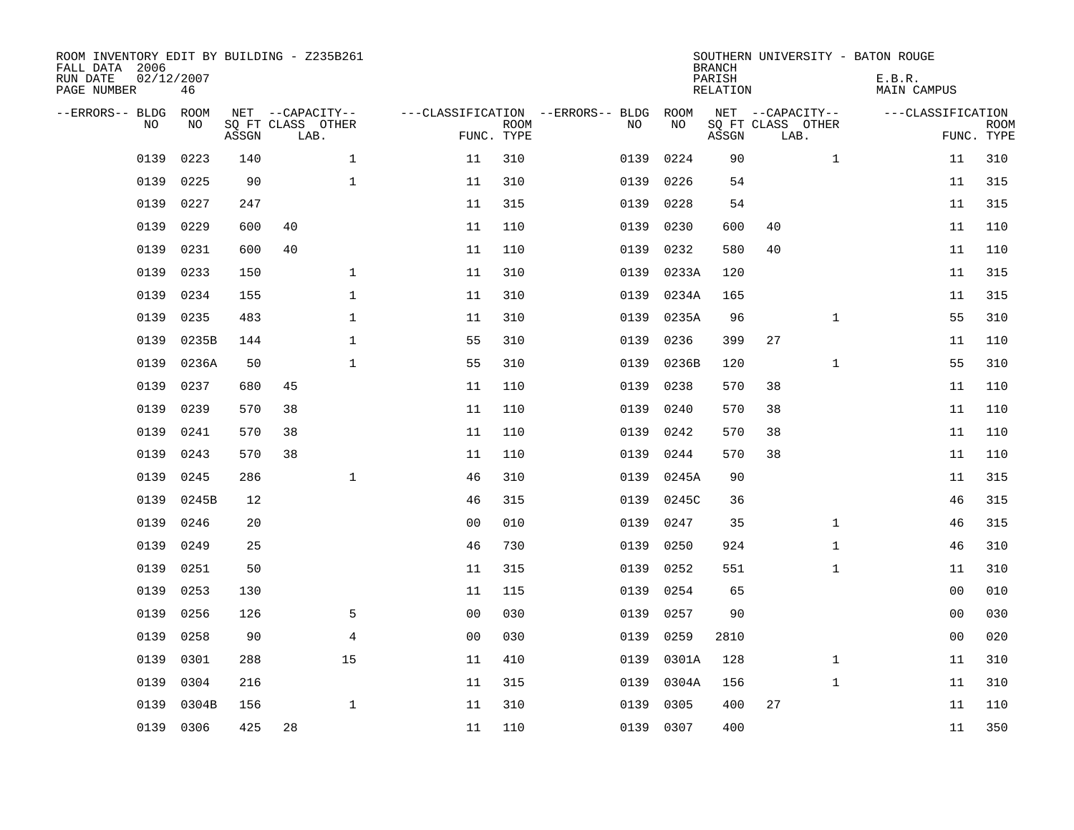| ROOM INVENTORY EDIT BY BUILDING - Z235B261<br>FALL DATA 2006<br>RUN DATE<br>PAGE NUMBER | 02/12/2007<br>46 |       |                           |              |                |                           |                                   |           | <b>BRANCH</b><br>PARISH<br><b>RELATION</b> |                           |              | SOUTHERN UNIVERSITY - BATON ROUGE<br>E.B.R.<br><b>MAIN CAMPUS</b> |                           |
|-----------------------------------------------------------------------------------------|------------------|-------|---------------------------|--------------|----------------|---------------------------|-----------------------------------|-----------|--------------------------------------------|---------------------------|--------------|-------------------------------------------------------------------|---------------------------|
| --ERRORS-- BLDG                                                                         | ROOM             |       | NET --CAPACITY--          |              |                |                           | ---CLASSIFICATION --ERRORS-- BLDG | ROOM      |                                            | NET --CAPACITY--          |              | ---CLASSIFICATION                                                 |                           |
| NO.                                                                                     | NO               | ASSGN | SQ FT CLASS OTHER<br>LAB. |              |                | <b>ROOM</b><br>FUNC. TYPE | NO                                | NO        | ASSGN                                      | SQ FT CLASS OTHER<br>LAB. |              |                                                                   | <b>ROOM</b><br>FUNC. TYPE |
| 0139                                                                                    | 0223             | 140   |                           | $\mathbf 1$  | 11             | 310                       | 0139                              | 0224      | 90                                         |                           | $\mathbf{1}$ | 11                                                                | 310                       |
| 0139                                                                                    | 0225             | 90    |                           | $\mathbf 1$  | 11             | 310                       | 0139                              | 0226      | 54                                         |                           |              | 11                                                                | 315                       |
| 0139                                                                                    | 0227             | 247   |                           |              | 11             | 315                       | 0139                              | 0228      | 54                                         |                           |              | 11                                                                | 315                       |
| 0139                                                                                    | 0229             | 600   | 40                        |              | 11             | 110                       | 0139                              | 0230      | 600                                        | 40                        |              | 11                                                                | 110                       |
| 0139                                                                                    | 0231             | 600   | 40                        |              | 11             | 110                       | 0139                              | 0232      | 580                                        | 40                        |              | 11                                                                | 110                       |
| 0139                                                                                    | 0233             | 150   |                           | $\mathbf 1$  | 11             | 310                       | 0139                              | 0233A     | 120                                        |                           |              | 11                                                                | 315                       |
| 0139                                                                                    | 0234             | 155   |                           | $\mathbf 1$  | 11             | 310                       | 0139                              | 0234A     | 165                                        |                           |              | 11                                                                | 315                       |
| 0139                                                                                    | 0235             | 483   |                           | $\mathbf 1$  | 11             | 310                       | 0139                              | 0235A     | 96                                         |                           | $\mathbf{1}$ | 55                                                                | 310                       |
| 0139                                                                                    | 0235B            | 144   |                           | $\mathbf 1$  | 55             | 310                       | 0139                              | 0236      | 399                                        | 27                        |              | 11                                                                | 110                       |
| 0139                                                                                    | 0236A            | 50    |                           | $\mathbf{1}$ | 55             | 310                       | 0139                              | 0236B     | 120                                        |                           | $\mathbf{1}$ | 55                                                                | 310                       |
| 0139                                                                                    | 0237             | 680   | 45                        |              | 11             | 110                       | 0139                              | 0238      | 570                                        | 38                        |              | 11                                                                | 110                       |
| 0139                                                                                    | 0239             | 570   | 38                        |              | 11             | 110                       | 0139                              | 0240      | 570                                        | 38                        |              | 11                                                                | 110                       |
| 0139                                                                                    | 0241             | 570   | 38                        |              | 11             | 110                       | 0139                              | 0242      | 570                                        | 38                        |              | 11                                                                | 110                       |
| 0139                                                                                    | 0243             | 570   | 38                        |              | 11             | 110                       | 0139                              | 0244      | 570                                        | 38                        |              | 11                                                                | 110                       |
| 0139                                                                                    | 0245             | 286   |                           | $\mathbf{1}$ | 46             | 310                       | 0139                              | 0245A     | 90                                         |                           |              | 11                                                                | 315                       |
| 0139                                                                                    | 0245B            | 12    |                           |              | 46             | 315                       | 0139                              | 0245C     | 36                                         |                           |              | 46                                                                | 315                       |
| 0139                                                                                    | 0246             | 20    |                           |              | 0 <sub>0</sub> | 010                       | 0139                              | 0247      | 35                                         |                           | $\mathbf{1}$ | 46                                                                | 315                       |
| 0139                                                                                    | 0249             | 25    |                           |              | 46             | 730                       | 0139                              | 0250      | 924                                        |                           | $\mathbf{1}$ | 46                                                                | 310                       |
| 0139                                                                                    | 0251             | 50    |                           |              | 11             | 315                       | 0139                              | 0252      | 551                                        |                           | $\mathbf{1}$ | 11                                                                | 310                       |
| 0139                                                                                    | 0253             | 130   |                           |              | 11             | 115                       | 0139                              | 0254      | 65                                         |                           |              | 00                                                                | 010                       |
| 0139                                                                                    | 0256             | 126   |                           | 5            | 0 <sub>0</sub> | 030                       | 0139                              | 0257      | 90                                         |                           |              | 0 <sub>0</sub>                                                    | 030                       |
| 0139                                                                                    | 0258             | 90    |                           | 4            | 00             | 030                       | 0139                              | 0259      | 2810                                       |                           |              | 00                                                                | 020                       |
| 0139                                                                                    | 0301             | 288   |                           | 15           | 11             | 410                       | 0139                              | 0301A     | 128                                        |                           | $\mathbf{1}$ | 11                                                                | 310                       |
| 0139                                                                                    | 0304             | 216   |                           |              | 11             | 315                       | 0139                              | 0304A     | 156                                        |                           | $\mathbf{1}$ | 11                                                                | 310                       |
| 0139                                                                                    | 0304B            | 156   |                           | $\mathbf{1}$ | 11             | 310                       | 0139                              | 0305      | 400                                        | 27                        |              | 11                                                                | 110                       |
| 0139                                                                                    | 0306             | 425   | 28                        |              | 11             | 110                       |                                   | 0139 0307 | 400                                        |                           |              | 11                                                                | 350                       |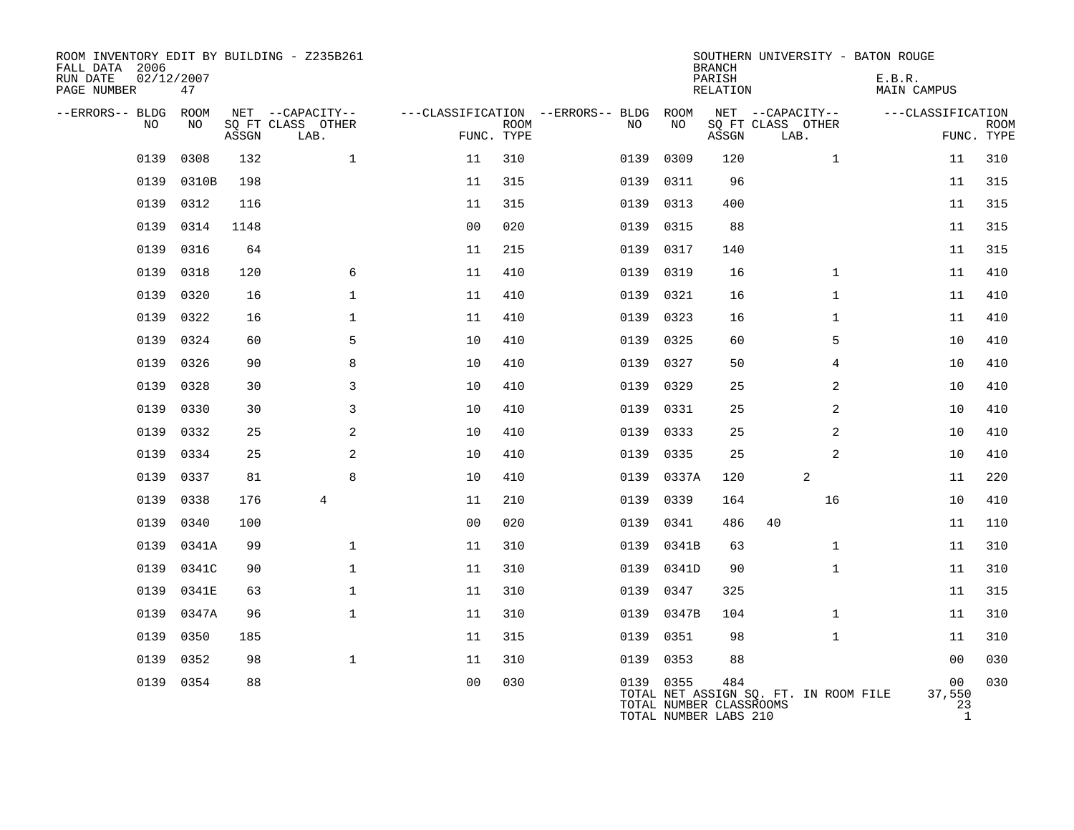| ROOM INVENTORY EDIT BY BUILDING - Z235B261<br>FALL DATA 2006<br>RUN DATE<br>PAGE NUMBER | 02/12/2007<br>47 |       |                           |                |             |                                   |           | <b>BRANCH</b><br>PARISH<br><b>RELATION</b>              | SOUTHERN UNIVERSITY - BATON ROUGE     | E.B.R.<br>MAIN CAMPUS              |                           |
|-----------------------------------------------------------------------------------------|------------------|-------|---------------------------|----------------|-------------|-----------------------------------|-----------|---------------------------------------------------------|---------------------------------------|------------------------------------|---------------------------|
| --ERRORS-- BLDG                                                                         | ROOM             |       | NET --CAPACITY--          |                |             | ---CLASSIFICATION --ERRORS-- BLDG | ROOM      |                                                         | NET --CAPACITY--                      | ---CLASSIFICATION                  |                           |
| <b>NO</b>                                                                               | NO.              | ASSGN | SQ FT CLASS OTHER<br>LAB. | FUNC. TYPE     | <b>ROOM</b> | NO.                               | NO        | ASSGN                                                   | SQ FT CLASS OTHER<br>LAB.             |                                    | <b>ROOM</b><br>FUNC. TYPE |
| 0139                                                                                    | 0308             | 132   | $\mathbf 1$               | 11             | 310         | 0139                              | 0309      | 120                                                     | $\mathbf{1}$                          | 11                                 | 310                       |
| 0139                                                                                    | 0310B            | 198   |                           | 11             | 315         | 0139                              | 0311      | 96                                                      |                                       | 11                                 | 315                       |
| 0139                                                                                    | 0312             | 116   |                           | 11             | 315         | 0139                              | 0313      | 400                                                     |                                       | 11                                 | 315                       |
| 0139                                                                                    | 0314             | 1148  |                           | 0 <sub>0</sub> | 020         | 0139                              | 0315      | 88                                                      |                                       | 11                                 | 315                       |
| 0139                                                                                    | 0316             | 64    |                           | 11             | 215         | 0139                              | 0317      | 140                                                     |                                       | 11                                 | 315                       |
| 0139                                                                                    | 0318             | 120   | 6                         | 11             | 410         | 0139                              | 0319      | 16                                                      | $\mathbf{1}$                          | 11                                 | 410                       |
| 0139                                                                                    | 0320             | 16    | $\mathbf 1$               | 11             | 410         | 0139                              | 0321      | 16                                                      | $\mathbf{1}$                          | 11                                 | 410                       |
| 0139                                                                                    | 0322             | 16    | $\mathbf 1$               | 11             | 410         | 0139                              | 0323      | 16                                                      | $\mathbf{1}$                          | 11                                 | 410                       |
| 0139                                                                                    | 0324             | 60    | 5                         | 10             | 410         | 0139                              | 0325      | 60                                                      | 5                                     | 10                                 | 410                       |
| 0139                                                                                    | 0326             | 90    | 8                         | 10             | 410         | 0139                              | 0327      | 50                                                      | 4                                     | 10                                 | 410                       |
| 0139                                                                                    | 0328             | 30    | 3                         | 10             | 410         | 0139                              | 0329      | 25                                                      | 2                                     | 10                                 | 410                       |
| 0139                                                                                    | 0330             | 30    | 3                         | 10             | 410         | 0139                              | 0331      | 25                                                      | 2                                     | 10                                 | 410                       |
| 0139                                                                                    | 0332             | 25    | 2                         | 10             | 410         | 0139                              | 0333      | 25                                                      | $\overline{a}$                        | 10                                 | 410                       |
| 0139                                                                                    | 0334             | 25    | 2                         | 10             | 410         | 0139                              | 0335      | 25                                                      | 2                                     | 10                                 | 410                       |
| 0139                                                                                    | 0337             | 81    | 8                         | 10             | 410         | 0139                              | 0337A     | 120                                                     | 2                                     | 11                                 | 220                       |
| 0139                                                                                    | 0338             | 176   | 4                         | 11             | 210         | 0139                              | 0339      | 164                                                     | 16                                    | 10                                 | 410                       |
| 0139                                                                                    | 0340             | 100   |                           | 0 <sub>0</sub> | 020         | 0139                              | 0341      | 486                                                     | 40                                    | 11                                 | 110                       |
| 0139                                                                                    | 0341A            | 99    | $\mathbf 1$               | 11             | 310         | 0139                              | 0341B     | 63                                                      | $\mathbf{1}$                          | 11                                 | 310                       |
| 0139                                                                                    | 0341C            | 90    | $\mathbf{1}$              | 11             | 310         | 0139                              | 0341D     | 90                                                      | $\mathbf{1}$                          | 11                                 | 310                       |
| 0139                                                                                    | 0341E            | 63    | $\mathbf 1$               | 11             | 310         | 0139                              | 0347      | 325                                                     |                                       | 11                                 | 315                       |
| 0139                                                                                    | 0347A            | 96    | $\mathbf{1}$              | 11             | 310         | 0139                              | 0347B     | 104                                                     | $\mathbf{1}$                          | 11                                 | 310                       |
| 0139                                                                                    | 0350             | 185   |                           | 11             | 315         | 0139                              | 0351      | 98                                                      | $\mathbf{1}$                          | 11                                 | 310                       |
| 0139                                                                                    | 0352             | 98    | $\mathbf{1}$              | 11             | 310         | 0139                              | 0353      | 88                                                      |                                       | 00                                 | 030                       |
|                                                                                         | 0139 0354        | 88    |                           | 0 <sub>0</sub> | 030         |                                   | 0139 0355 | 484<br>TOTAL NUMBER CLASSROOMS<br>TOTAL NUMBER LABS 210 | TOTAL NET ASSIGN SQ. FT. IN ROOM FILE | 00<br>37,550<br>23<br>$\mathbf{1}$ | 030                       |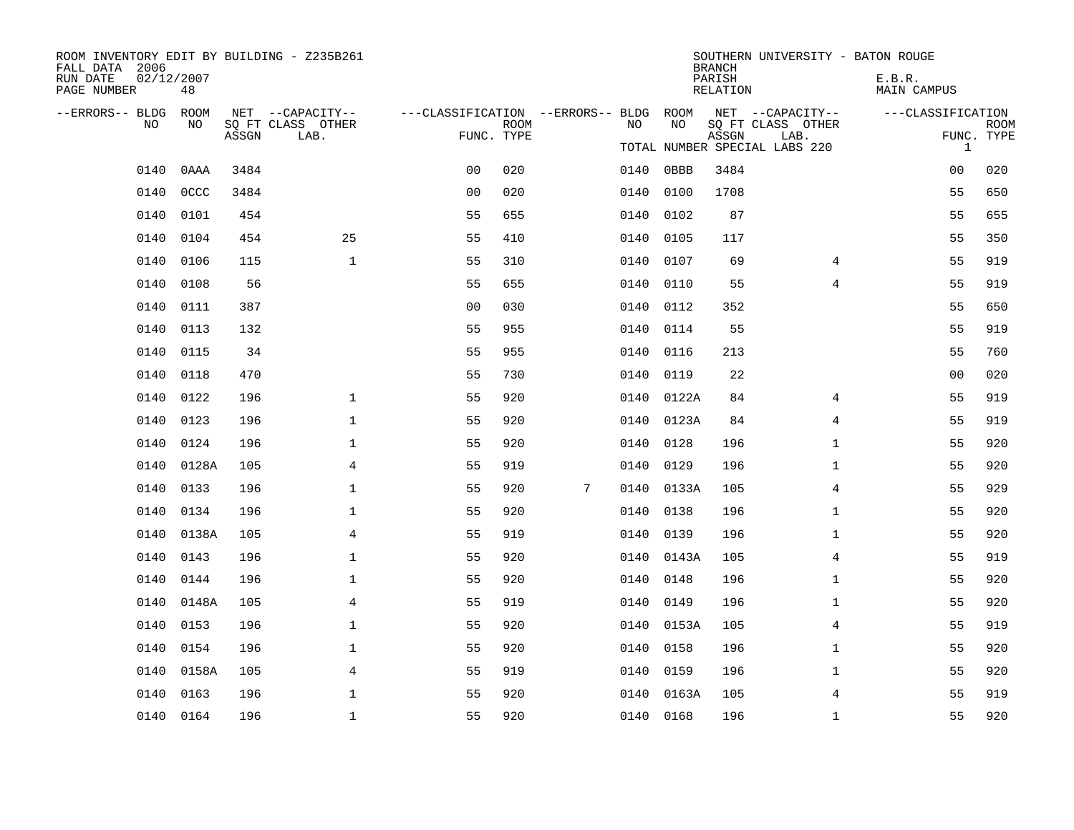| ROOM INVENTORY EDIT BY BUILDING - Z235B261<br>FALL DATA 2006 |                  |       |                           |                                        |             |   |      |            | <b>BRANCH</b>      | SOUTHERN UNIVERSITY - BATON ROUGE                          |                       |                           |
|--------------------------------------------------------------|------------------|-------|---------------------------|----------------------------------------|-------------|---|------|------------|--------------------|------------------------------------------------------------|-----------------------|---------------------------|
| RUN DATE<br>PAGE NUMBER                                      | 02/12/2007<br>48 |       |                           |                                        |             |   |      |            | PARISH<br>RELATION |                                                            | E.B.R.<br>MAIN CAMPUS |                           |
| --ERRORS-- BLDG ROOM                                         |                  |       | NET --CAPACITY--          | ---CLASSIFICATION --ERRORS-- BLDG ROOM |             |   |      |            |                    | NET --CAPACITY--                                           | ---CLASSIFICATION     |                           |
| NO                                                           | NO               | ASSGN | SQ FT CLASS OTHER<br>LAB. | FUNC. TYPE                             | <b>ROOM</b> |   | NO   | NO         | ASSGN              | SQ FT CLASS OTHER<br>LAB.<br>TOTAL NUMBER SPECIAL LABS 220 | $\mathbf{1}$          | <b>ROOM</b><br>FUNC. TYPE |
| 0140                                                         | 0AAA             | 3484  |                           | 0 <sub>0</sub>                         | 020         |   | 0140 | 0BBB       | 3484               |                                                            | 0 <sub>0</sub>        | 020                       |
| 0140                                                         | 0CCC             | 3484  |                           | 0 <sub>0</sub>                         | 020         |   | 0140 | 0100       | 1708               |                                                            | 55                    | 650                       |
| 0140                                                         | 0101             | 454   |                           | 55                                     | 655         |   | 0140 | 0102       | 87                 |                                                            | 55                    | 655                       |
| 0140                                                         | 0104             | 454   | 25                        | 55                                     | 410         |   | 0140 | 0105       | 117                |                                                            | 55                    | 350                       |
| 0140                                                         | 0106             | 115   | $\mathbf{1}$              | 55                                     | 310         |   | 0140 | 0107       | 69                 | 4                                                          | 55                    | 919                       |
| 0140                                                         | 0108             | 56    |                           | 55                                     | 655         |   | 0140 | 0110       | 55                 | $\overline{4}$                                             | 55                    | 919                       |
| 0140                                                         | 0111             | 387   |                           | 0 <sub>0</sub>                         | 030         |   | 0140 | 0112       | 352                |                                                            | 55                    | 650                       |
| 0140                                                         | 0113             | 132   |                           | 55                                     | 955         |   | 0140 | 0114       | 55                 |                                                            | 55                    | 919                       |
| 0140                                                         | 0115             | 34    |                           | 55                                     | 955         |   | 0140 | 0116       | 213                |                                                            | 55                    | 760                       |
| 0140                                                         | 0118             | 470   |                           | 55                                     | 730         |   | 0140 | 0119       | 22                 |                                                            | 0 <sub>0</sub>        | 020                       |
| 0140                                                         | 0122             | 196   | $\mathbf 1$               | 55                                     | 920         |   | 0140 | 0122A      | 84                 | 4                                                          | 55                    | 919                       |
| 0140                                                         | 0123             | 196   | 1                         | 55                                     | 920         |   | 0140 | 0123A      | 84                 | 4                                                          | 55                    | 919                       |
| 0140                                                         | 0124             | 196   | $\mathbf 1$               | 55                                     | 920         |   | 0140 | 0128       | 196                | $\mathbf{1}$                                               | 55                    | 920                       |
| 0140                                                         | 0128A            | 105   | 4                         | 55                                     | 919         |   | 0140 | 0129       | 196                | $\mathbf{1}$                                               | 55                    | 920                       |
| 0140                                                         | 0133             | 196   | $\mathbf 1$               | 55                                     | 920         | 7 | 0140 | 0133A      | 105                | 4                                                          | 55                    | 929                       |
| 0140                                                         | 0134             | 196   | $\mathbf 1$               | 55                                     | 920         |   | 0140 | 0138       | 196                | $\mathbf{1}$                                               | 55                    | 920                       |
| 0140                                                         | 0138A            | 105   | $\overline{4}$            | 55                                     | 919         |   | 0140 | 0139       | 196                | $\mathbf{1}$                                               | 55                    | 920                       |
| 0140                                                         | 0143             | 196   | $\mathbf 1$               | 55                                     | 920         |   |      | 0140 0143A | 105                | 4                                                          | 55                    | 919                       |
| 0140                                                         | 0144             | 196   | $\mathbf{1}$              | 55                                     | 920         |   | 0140 | 0148       | 196                | $\mathbf{1}$                                               | 55                    | 920                       |
| 0140                                                         | 0148A            | 105   | 4                         | 55                                     | 919         |   |      | 0140 0149  | 196                | $\mathbf{1}$                                               | 55                    | 920                       |
| 0140                                                         | 0153             | 196   | $\mathbf{1}$              | 55                                     | 920         |   | 0140 | 0153A      | 105                | 4                                                          | 55                    | 919                       |
| 0140                                                         | 0154             | 196   | $\mathbf 1$               | 55                                     | 920         |   |      | 0140 0158  | 196                | $\mathbf{1}$                                               | 55                    | 920                       |
| 0140                                                         | 0158A            | 105   | 4                         | 55                                     | 919         |   | 0140 | 0159       | 196                | $\mathbf{1}$                                               | 55                    | 920                       |
| 0140                                                         | 0163             | 196   | $\mathbf 1$               | 55                                     | 920         |   |      | 0140 0163A | 105                | 4                                                          | 55                    | 919                       |
|                                                              | 0140 0164        | 196   | $\mathbf 1$               | 55                                     | 920         |   |      | 0140 0168  | 196                | $\mathbf{1}$                                               | 55                    | 920                       |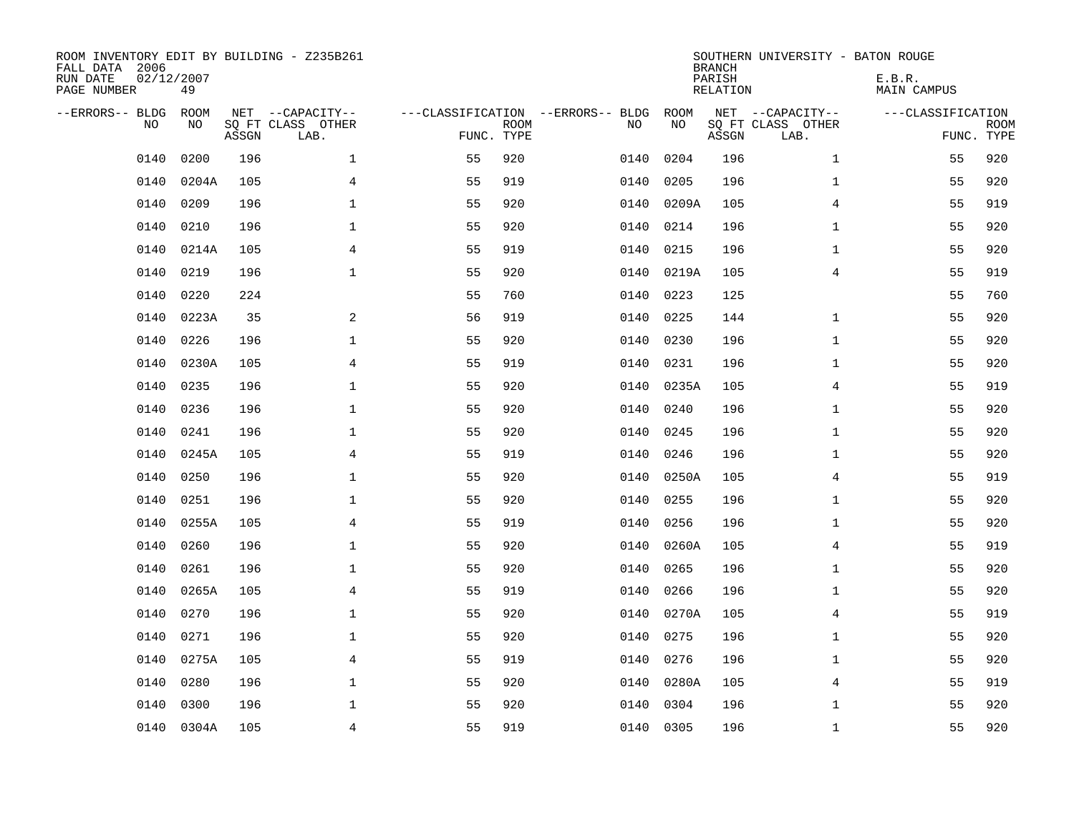| ROOM INVENTORY EDIT BY BUILDING - Z235B261<br>FALL DATA 2006<br>RUN DATE<br>PAGE NUMBER | 02/12/2007<br>49 |       |                           |                                   |             |           |       | <b>BRANCH</b><br>PARISH<br>RELATION | SOUTHERN UNIVERSITY - BATON ROUGE | E.B.R.<br><b>MAIN CAMPUS</b> |                           |
|-----------------------------------------------------------------------------------------|------------------|-------|---------------------------|-----------------------------------|-------------|-----------|-------|-------------------------------------|-----------------------------------|------------------------------|---------------------------|
| --ERRORS-- BLDG                                                                         | ROOM             |       | NET --CAPACITY--          | ---CLASSIFICATION --ERRORS-- BLDG |             |           | ROOM  |                                     | NET --CAPACITY--                  | ---CLASSIFICATION            |                           |
| N <sub>O</sub>                                                                          | NO.              | ASSGN | SO FT CLASS OTHER<br>LAB. | FUNC. TYPE                        | <b>ROOM</b> | NO.       | NO    | ASSGN                               | SQ FT CLASS OTHER<br>LAB.         |                              | <b>ROOM</b><br>FUNC. TYPE |
| 0140                                                                                    | 0200             | 196   | $\mathbf 1$               | 55                                | 920         | 0140      | 0204  | 196                                 | $\mathbf{1}$                      | 55                           | 920                       |
| 0140                                                                                    | 0204A            | 105   | $\overline{4}$            | 55                                | 919         | 0140      | 0205  | 196                                 | $\mathbf{1}$                      | 55                           | 920                       |
| 0140                                                                                    | 0209             | 196   | $\mathbf 1$               | 55                                | 920         | 0140      | 0209A | 105                                 | 4                                 | 55                           | 919                       |
| 0140                                                                                    | 0210             | 196   | $\mathbf 1$               | 55                                | 920         | 0140      | 0214  | 196                                 | $\mathbf{1}$                      | 55                           | 920                       |
| 0140                                                                                    | 0214A            | 105   | $\overline{4}$            | 55                                | 919         | 0140      | 0215  | 196                                 | $\mathbf{1}$                      | 55                           | 920                       |
| 0140                                                                                    | 0219             | 196   | $\mathbf 1$               | 55                                | 920         | 0140      | 0219A | 105                                 | $\overline{4}$                    | 55                           | 919                       |
| 0140                                                                                    | 0220             | 224   |                           | 55                                | 760         | 0140      | 0223  | 125                                 |                                   | 55                           | 760                       |
| 0140                                                                                    | 0223A            | 35    | 2                         | 56                                | 919         | 0140      | 0225  | 144                                 | $\mathbf{1}$                      | 55                           | 920                       |
| 0140                                                                                    | 0226             | 196   | $\mathbf 1$               | 55                                | 920         | 0140      | 0230  | 196                                 | $\mathbf{1}$                      | 55                           | 920                       |
| 0140                                                                                    | 0230A            | 105   | $\overline{4}$            | 55                                | 919         | 0140      | 0231  | 196                                 | $\mathbf{1}$                      | 55                           | 920                       |
| 0140                                                                                    | 0235             | 196   | $\mathbf 1$               | 55                                | 920         | 0140      | 0235A | 105                                 | 4                                 | 55                           | 919                       |
| 0140                                                                                    | 0236             | 196   | $\mathbf 1$               | 55                                | 920         | 0140      | 0240  | 196                                 | $\mathbf{1}$                      | 55                           | 920                       |
| 0140                                                                                    | 0241             | 196   | $\mathbf{1}$              | 55                                | 920         | 0140      | 0245  | 196                                 | $\mathbf{1}$                      | 55                           | 920                       |
| 0140                                                                                    | 0245A            | 105   | $\overline{4}$            | 55                                | 919         | 0140      | 0246  | 196                                 | $\mathbf{1}$                      | 55                           | 920                       |
| 0140                                                                                    | 0250             | 196   | $\mathbf 1$               | 55                                | 920         | 0140      | 0250A | 105                                 | 4                                 | 55                           | 919                       |
| 0140                                                                                    | 0251             | 196   | $\mathbf 1$               | 55                                | 920         | 0140      | 0255  | 196                                 | $\mathbf{1}$                      | 55                           | 920                       |
| 0140                                                                                    | 0255A            | 105   | $\overline{4}$            | 55                                | 919         | 0140      | 0256  | 196                                 | $\mathbf{1}$                      | 55                           | 920                       |
| 0140                                                                                    | 0260             | 196   | $\mathbf{1}$              | 55                                | 920         | 0140      | 0260A | 105                                 | $\overline{4}$                    | 55                           | 919                       |
| 0140                                                                                    | 0261             | 196   | $\mathbf{1}$              | 55                                | 920         | 0140      | 0265  | 196                                 | $\mathbf{1}$                      | 55                           | 920                       |
| 0140                                                                                    | 0265A            | 105   | 4                         | 55                                | 919         | 0140      | 0266  | 196                                 | $\mathbf{1}$                      | 55                           | 920                       |
| 0140                                                                                    | 0270             | 196   | $\mathbf 1$               | 55                                | 920         | 0140      | 0270A | 105                                 | 4                                 | 55                           | 919                       |
| 0140                                                                                    | 0271             | 196   | $\mathbf 1$               | 55                                | 920         | 0140      | 0275  | 196                                 | $\mathbf{1}$                      | 55                           | 920                       |
| 0140                                                                                    | 0275A            | 105   | 4                         | 55                                | 919         | 0140      | 0276  | 196                                 | $\mathbf{1}$                      | 55                           | 920                       |
| 0140                                                                                    | 0280             | 196   | $\mathbf 1$               | 55                                | 920         | 0140      | 0280A | 105                                 | 4                                 | 55                           | 919                       |
| 0140                                                                                    | 0300             | 196   | $\mathbf{1}$              | 55                                | 920         | 0140      | 0304  | 196                                 | $\mathbf{1}$                      | 55                           | 920                       |
|                                                                                         | 0140 0304A       | 105   | $\overline{4}$            | 55                                | 919         | 0140 0305 |       | 196                                 | $\mathbf{1}$                      | 55                           | 920                       |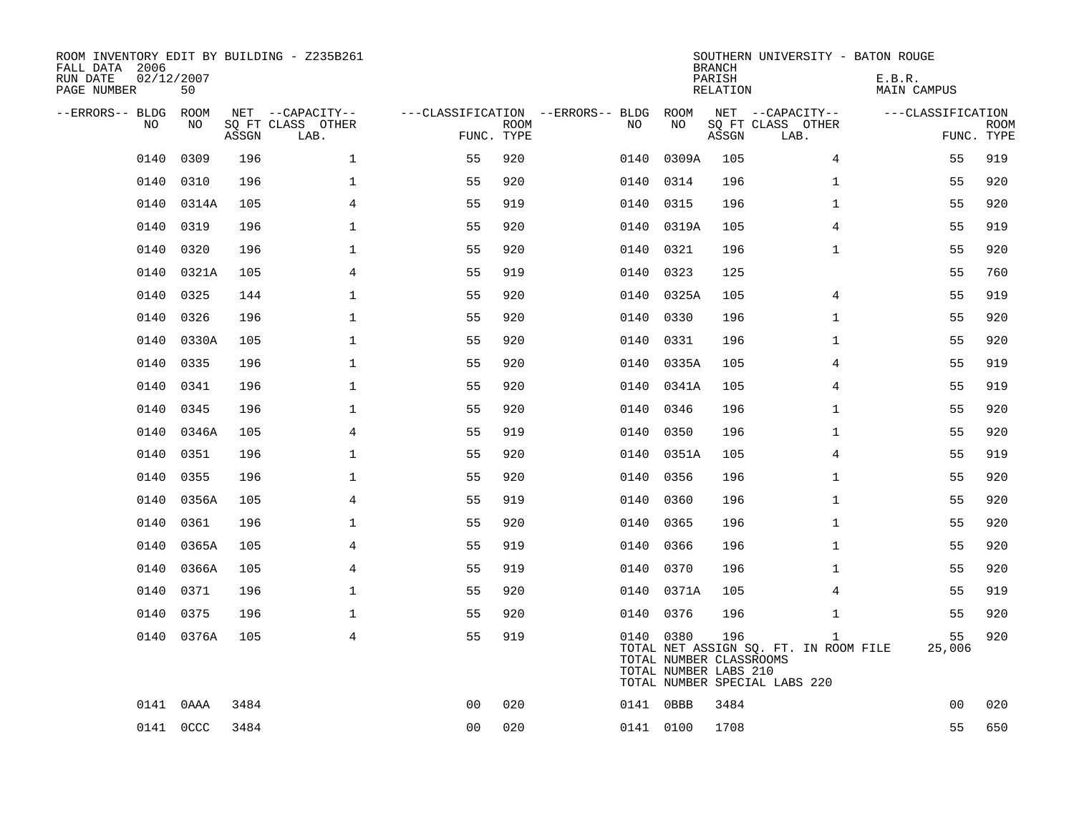| ROOM INVENTORY EDIT BY BUILDING - Z235B261<br>FALL DATA 2006<br>RUN DATE<br>PAGE NUMBER | 02/12/2007<br>50 |       |                                               |                |             |                                   |      |                                                               | <b>BRANCH</b><br>PARISH<br>RELATION | SOUTHERN UNIVERSITY - BATON ROUGE                                                      | E.B.R.<br><b>MAIN CAMPUS</b> |                           |
|-----------------------------------------------------------------------------------------|------------------|-------|-----------------------------------------------|----------------|-------------|-----------------------------------|------|---------------------------------------------------------------|-------------------------------------|----------------------------------------------------------------------------------------|------------------------------|---------------------------|
| --ERRORS-- BLDG<br>NO                                                                   | ROOM<br>NO       | ASSGN | NET --CAPACITY--<br>SQ FT CLASS OTHER<br>LAB. | FUNC. TYPE     | <b>ROOM</b> | ---CLASSIFICATION --ERRORS-- BLDG | NO   | ROOM<br>NO                                                    | ASSGN                               | NET --CAPACITY--<br>SQ FT CLASS OTHER<br>LAB.                                          | ---CLASSIFICATION            | <b>ROOM</b><br>FUNC. TYPE |
| 0140                                                                                    | 0309             | 196   | $\mathbf{1}$                                  | 55             | 920         |                                   | 0140 | 0309A                                                         | 105                                 | $\overline{4}$                                                                         | 55                           | 919                       |
| 0140                                                                                    | 0310             | 196   | 1                                             | 55             | 920         |                                   | 0140 | 0314                                                          | 196                                 | $\mathbf{1}$                                                                           | 55                           | 920                       |
| 0140                                                                                    | 0314A            | 105   | 4                                             | 55             | 919         |                                   | 0140 | 0315                                                          | 196                                 | $\mathbf{1}$                                                                           | 55                           | 920                       |
| 0140                                                                                    | 0319             | 196   | $\mathbf 1$                                   | 55             | 920         |                                   |      | 0140 0319A                                                    | 105                                 | 4                                                                                      | 55                           | 919                       |
| 0140                                                                                    | 0320             | 196   | $\mathbf{1}$                                  | 55             | 920         |                                   | 0140 | 0321                                                          | 196                                 | $\mathbf{1}$                                                                           | 55                           | 920                       |
| 0140                                                                                    | 0321A            | 105   | $\overline{4}$                                | 55             | 919         |                                   |      | 0140 0323                                                     | 125                                 |                                                                                        | 55                           | 760                       |
| 0140                                                                                    | 0325             | 144   | $\mathbf{1}$                                  | 55             | 920         |                                   | 0140 | 0325A                                                         | 105                                 | 4                                                                                      | 55                           | 919                       |
| 0140                                                                                    | 0326             | 196   | $\mathbf{1}$                                  | 55             | 920         |                                   |      | 0140 0330                                                     | 196                                 | $\mathbf{1}$                                                                           | 55                           | 920                       |
| 0140                                                                                    | 0330A            | 105   | $\mathbf{1}$                                  | 55             | 920         |                                   | 0140 | 0331                                                          | 196                                 | $\mathbf{1}$                                                                           | 55                           | 920                       |
| 0140                                                                                    | 0335             | 196   | $\mathbf 1$                                   | 55             | 920         |                                   | 0140 | 0335A                                                         | 105                                 | 4                                                                                      | 55                           | 919                       |
| 0140                                                                                    | 0341             | 196   | $\mathbf 1$                                   | 55             | 920         |                                   | 0140 | 0341A                                                         | 105                                 | 4                                                                                      | 55                           | 919                       |
| 0140                                                                                    | 0345             | 196   | $\mathbf 1$                                   | 55             | 920         |                                   | 0140 | 0346                                                          | 196                                 | $\mathbf{1}$                                                                           | 55                           | 920                       |
| 0140                                                                                    | 0346A            | 105   | 4                                             | 55             | 919         |                                   | 0140 | 0350                                                          | 196                                 | $\mathbf{1}$                                                                           | 55                           | 920                       |
| 0140                                                                                    | 0351             | 196   | $\mathbf 1$                                   | 55             | 920         |                                   | 0140 | 0351A                                                         | 105                                 | 4                                                                                      | 55                           | 919                       |
| 0140                                                                                    | 0355             | 196   | $\mathbf 1$                                   | 55             | 920         |                                   | 0140 | 0356                                                          | 196                                 | $\mathbf{1}$                                                                           | 55                           | 920                       |
| 0140                                                                                    | 0356A            | 105   | $\overline{4}$                                | 55             | 919         |                                   | 0140 | 0360                                                          | 196                                 | $\mathbf{1}$                                                                           | 55                           | 920                       |
| 0140                                                                                    | 0361             | 196   | 1                                             | 55             | 920         |                                   | 0140 | 0365                                                          | 196                                 | $\mathbf{1}$                                                                           | 55                           | 920                       |
| 0140                                                                                    | 0365A            | 105   | 4                                             | 55             | 919         |                                   | 0140 | 0366                                                          | 196                                 | $\mathbf{1}$                                                                           | 55                           | 920                       |
| 0140                                                                                    | 0366A            | 105   | 4                                             | 55             | 919         |                                   | 0140 | 0370                                                          | 196                                 | $\mathbf{1}$                                                                           | 55                           | 920                       |
| 0140                                                                                    | 0371             | 196   | 1                                             | 55             | 920         |                                   | 0140 | 0371A                                                         | 105                                 | 4                                                                                      | 55                           | 919                       |
| 0140                                                                                    | 0375             | 196   | $\mathbf 1$                                   | 55             | 920         |                                   | 0140 | 0376                                                          | 196                                 | $\mathbf{1}$                                                                           | 55                           | 920                       |
| 0140                                                                                    | 0376A            | 105   | $\overline{4}$                                | 55             | 919         |                                   |      | 0140 0380<br>TOTAL NUMBER CLASSROOMS<br>TOTAL NUMBER LABS 210 | 196                                 | $\mathbf{1}$<br>TOTAL NET ASSIGN SQ. FT. IN ROOM FILE<br>TOTAL NUMBER SPECIAL LABS 220 | 55<br>25,006                 | 920                       |
| 0141                                                                                    | 0AAA             | 3484  |                                               | 0 <sub>0</sub> | 020         |                                   |      | 0141 0BBB                                                     | 3484                                |                                                                                        | 0 <sub>0</sub>               | 020                       |
|                                                                                         | 0141 0CCC        | 3484  |                                               | 0 <sub>0</sub> | 020         |                                   |      | 0141 0100                                                     | 1708                                |                                                                                        | 55                           | 650                       |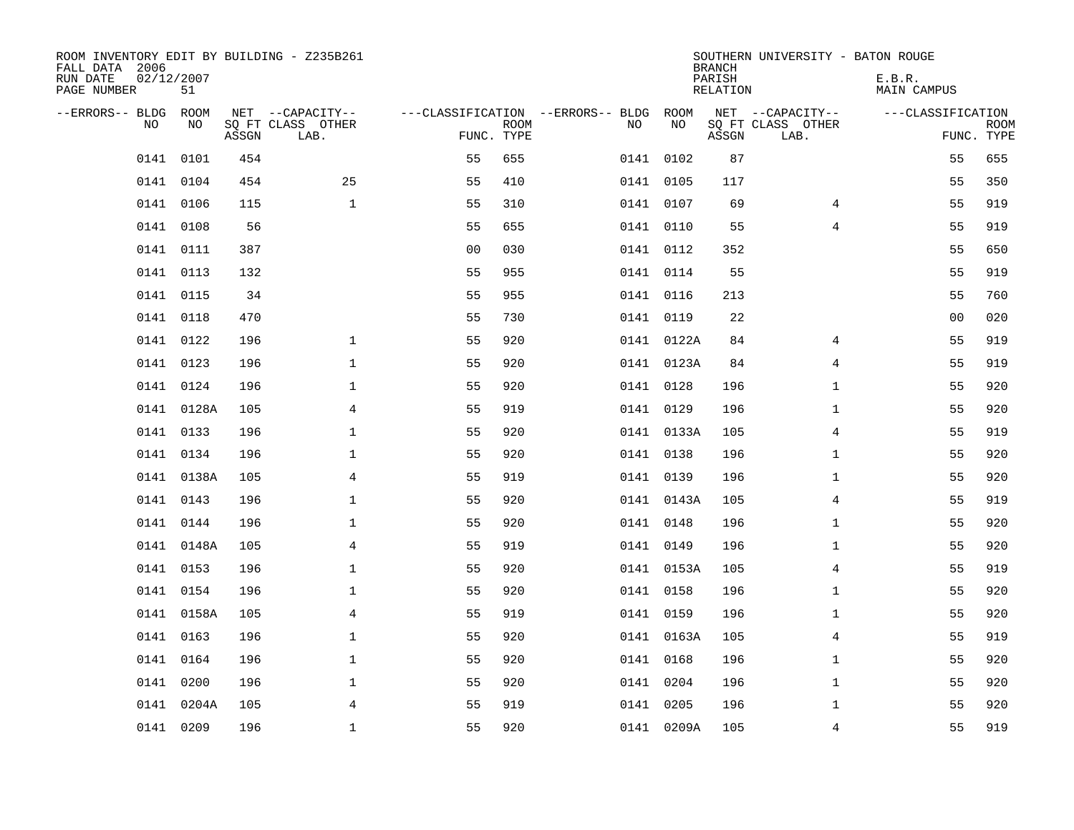| ROOM INVENTORY EDIT BY BUILDING - Z235B261<br>FALL DATA 2006<br>RUN DATE<br>PAGE NUMBER | 02/12/2007<br>51 |       |                                               |                |             |                                         |            | <b>BRANCH</b><br>PARISH<br>RELATION | SOUTHERN UNIVERSITY - BATON ROUGE             | E.B.R.<br><b>MAIN CAMPUS</b> |                           |
|-----------------------------------------------------------------------------------------|------------------|-------|-----------------------------------------------|----------------|-------------|-----------------------------------------|------------|-------------------------------------|-----------------------------------------------|------------------------------|---------------------------|
| --ERRORS-- BLDG<br>NO                                                                   | ROOM<br>NO       | ASSGN | NET --CAPACITY--<br>SQ FT CLASS OTHER<br>LAB. | FUNC. TYPE     | <b>ROOM</b> | ---CLASSIFICATION --ERRORS-- BLDG<br>NO | ROOM<br>NO | ASSGN                               | NET --CAPACITY--<br>SQ FT CLASS OTHER<br>LAB. | ---CLASSIFICATION            | <b>ROOM</b><br>FUNC. TYPE |
| 0141                                                                                    | 0101             | 454   |                                               | 55             | 655         |                                         | 0141 0102  | 87                                  |                                               | 55                           | 655                       |
| 0141                                                                                    | 0104             | 454   | 25                                            | 55             | 410         |                                         | 0141 0105  | 117                                 |                                               | 55                           | 350                       |
| 0141                                                                                    | 0106             | 115   | $\mathbf{1}$                                  | 55             | 310         |                                         | 0141 0107  | 69                                  | 4                                             | 55                           | 919                       |
|                                                                                         | 0141 0108        | 56    |                                               | 55             | 655         |                                         | 0141 0110  | 55                                  | 4                                             | 55                           | 919                       |
|                                                                                         | 0141 0111        | 387   |                                               | 0 <sub>0</sub> | 030         |                                         | 0141 0112  | 352                                 |                                               | 55                           | 650                       |
|                                                                                         | 0141 0113        | 132   |                                               | 55             | 955         |                                         | 0141 0114  | 55                                  |                                               | 55                           | 919                       |
|                                                                                         | 0141 0115        | 34    |                                               | 55             | 955         |                                         | 0141 0116  | 213                                 |                                               | 55                           | 760                       |
|                                                                                         | 0141 0118        | 470   |                                               | 55             | 730         |                                         | 0141 0119  | 22                                  |                                               | 0 <sub>0</sub>               | 020                       |
| 0141                                                                                    | 0122             | 196   | $\mathbf{1}$                                  | 55             | 920         |                                         | 0141 0122A | 84                                  | 4                                             | 55                           | 919                       |
|                                                                                         | 0141 0123        | 196   | $\mathbf{1}$                                  | 55             | 920         |                                         | 0141 0123A | 84                                  | 4                                             | 55                           | 919                       |
|                                                                                         | 0141 0124        | 196   | $\mathbf 1$                                   | 55             | 920         |                                         | 0141 0128  | 196                                 | $\mathbf{1}$                                  | 55                           | 920                       |
|                                                                                         | 0141 0128A       | 105   | 4                                             | 55             | 919         |                                         | 0141 0129  | 196                                 | $\mathbf{1}$                                  | 55                           | 920                       |
|                                                                                         | 0141 0133        | 196   | $\mathbf 1$                                   | 55             | 920         |                                         | 0141 0133A | 105                                 | 4                                             | 55                           | 919                       |
|                                                                                         | 0141 0134        | 196   | $\mathbf 1$                                   | 55             | 920         |                                         | 0141 0138  | 196                                 | $\mathbf{1}$                                  | 55                           | 920                       |
|                                                                                         | 0141 0138A       | 105   | 4                                             | 55             | 919         |                                         | 0141 0139  | 196                                 | $\mathbf{1}$                                  | 55                           | 920                       |
|                                                                                         | 0141 0143        | 196   | $\mathbf{1}$                                  | 55             | 920         |                                         | 0141 0143A | 105                                 | 4                                             | 55                           | 919                       |
|                                                                                         | 0141 0144        | 196   | 1                                             | 55             | 920         |                                         | 0141 0148  | 196                                 | $\mathbf{1}$                                  | 55                           | 920                       |
|                                                                                         | 0141 0148A       | 105   | 4                                             | 55             | 919         |                                         | 0141 0149  | 196                                 | $\mathbf{1}$                                  | 55                           | 920                       |
|                                                                                         | 0141 0153        | 196   | 1                                             | 55             | 920         |                                         | 0141 0153A | 105                                 | 4                                             | 55                           | 919                       |
|                                                                                         | 0141 0154        | 196   | 1                                             | 55             | 920         |                                         | 0141 0158  | 196                                 | $\mathbf{1}$                                  | 55                           | 920                       |
|                                                                                         | 0141 0158A       | 105   | 4                                             | 55             | 919         |                                         | 0141 0159  | 196                                 | $\mathbf{1}$                                  | 55                           | 920                       |
|                                                                                         | 0141 0163        | 196   | $\mathbf 1$                                   | 55             | 920         |                                         | 0141 0163A | 105                                 | $\overline{4}$                                | 55                           | 919                       |
|                                                                                         | 0141 0164        | 196   | $\mathbf{1}$                                  | 55             | 920         |                                         | 0141 0168  | 196                                 | $\mathbf{1}$                                  | 55                           | 920                       |
|                                                                                         | 0141 0200        | 196   | $\mathbf{1}$                                  | 55             | 920         |                                         | 0141 0204  | 196                                 | $\mathbf{1}$                                  | 55                           | 920                       |
| 0141                                                                                    | 0204A            | 105   | 4                                             | 55             | 919         |                                         | 0141 0205  | 196                                 | $\mathbf{1}$                                  | 55                           | 920                       |
|                                                                                         | 0141 0209        | 196   | $\mathbf{1}$                                  | 55             | 920         |                                         | 0141 0209A | 105                                 | 4                                             | 55                           | 919                       |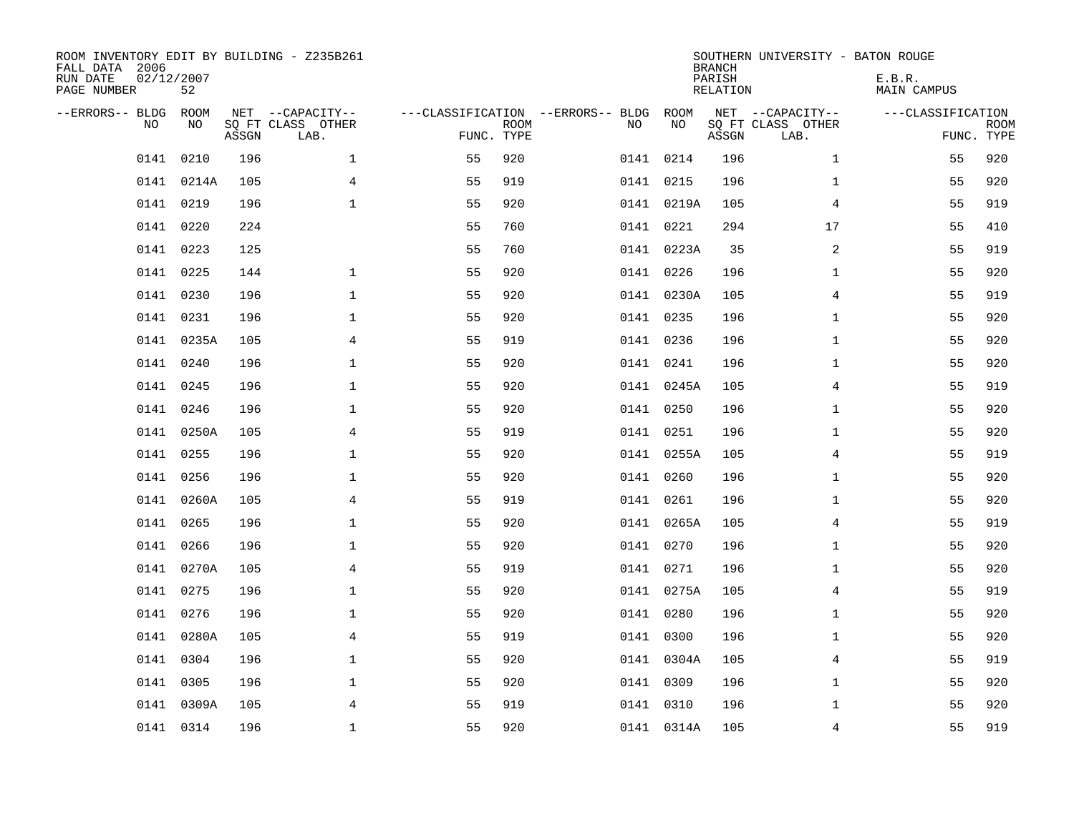| ROOM INVENTORY EDIT BY BUILDING - Z235B261<br>FALL DATA 2006<br>RUN DATE<br>PAGE NUMBER | 02/12/2007<br>52 |       |                                               |                                                      |             |           |            | <b>BRANCH</b><br>PARISH<br><b>RELATION</b> | SOUTHERN UNIVERSITY - BATON ROUGE             | E.B.R.<br><b>MAIN CAMPUS</b>    |             |
|-----------------------------------------------------------------------------------------|------------------|-------|-----------------------------------------------|------------------------------------------------------|-------------|-----------|------------|--------------------------------------------|-----------------------------------------------|---------------------------------|-------------|
| --ERRORS-- BLDG ROOM<br>NO                                                              | NO               | ASSGN | NET --CAPACITY--<br>SQ FT CLASS OTHER<br>LAB. | ---CLASSIFICATION --ERRORS-- BLDG ROOM<br>FUNC. TYPE | <b>ROOM</b> | NO        | NO         | ASSGN                                      | NET --CAPACITY--<br>SQ FT CLASS OTHER<br>LAB. | ---CLASSIFICATION<br>FUNC. TYPE | <b>ROOM</b> |
| 0141                                                                                    | 0210             | 196   | $\mathbf 1$                                   | 55                                                   | 920         | 0141 0214 |            | 196                                        | $\mathbf{1}$                                  | 55                              | 920         |
|                                                                                         | 0141 0214A       | 105   | 4                                             | 55                                                   | 919         | 0141 0215 |            | 196                                        | $\mathbf{1}$                                  | 55                              | 920         |
|                                                                                         | 0141 0219        | 196   | $\mathbf{1}$                                  | 55                                                   | 920         |           | 0141 0219A | 105                                        | 4                                             | 55                              | 919         |
|                                                                                         | 0141 0220        | 224   |                                               | 55                                                   | 760         |           | 0141 0221  | 294                                        | 17                                            | 55                              | 410         |
| 0141                                                                                    | 0223             | 125   |                                               | 55                                                   | 760         |           | 0141 0223A | 35                                         | $\overline{a}$                                | 55                              | 919         |
|                                                                                         | 0141 0225        | 144   | $\mathbf{1}$                                  | 55                                                   | 920         | 0141 0226 |            | 196                                        | $\mathbf{1}$                                  | 55                              | 920         |
| 0141                                                                                    | 0230             | 196   | $\mathbf{1}$                                  | 55                                                   | 920         |           | 0141 0230A | 105                                        | 4                                             | 55                              | 919         |
|                                                                                         | 0141 0231        | 196   | $\mathbf{1}$                                  | 55                                                   | 920         | 0141 0235 |            | 196                                        | $\mathbf{1}$                                  | 55                              | 920         |
|                                                                                         | 0141 0235A       | 105   | 4                                             | 55                                                   | 919         | 0141 0236 |            | 196                                        | $\mathbf{1}$                                  | 55                              | 920         |
|                                                                                         | 0141 0240        | 196   | $\mathbf{1}$                                  | 55                                                   | 920         |           | 0141 0241  | 196                                        | $\mathbf{1}$                                  | 55                              | 920         |
| 0141                                                                                    | 0245             | 196   | $\mathbf{1}$                                  | 55                                                   | 920         |           | 0141 0245A | 105                                        | 4                                             | 55                              | 919         |
|                                                                                         | 0141 0246        | 196   | $\mathbf{1}$                                  | 55                                                   | 920         |           | 0141 0250  | 196                                        | $\mathbf{1}$                                  | 55                              | 920         |
| 0141                                                                                    | 0250A            | 105   | 4                                             | 55                                                   | 919         | 0141 0251 |            | 196                                        | $\mathbf{1}$                                  | 55                              | 920         |
|                                                                                         | 0141 0255        | 196   | $\mathbf 1$                                   | 55                                                   | 920         |           | 0141 0255A | 105                                        | 4                                             | 55                              | 919         |
| 0141                                                                                    | 0256             | 196   | $\mathbf 1$                                   | 55                                                   | 920         | 0141 0260 |            | 196                                        | $\mathbf{1}$                                  | 55                              | 920         |
|                                                                                         | 0141 0260A       | 105   | 4                                             | 55                                                   | 919         | 0141 0261 |            | 196                                        | $\mathbf{1}$                                  | 55                              | 920         |
| 0141                                                                                    | 0265             | 196   | $\mathbf 1$                                   | 55                                                   | 920         |           | 0141 0265A | 105                                        | 4                                             | 55                              | 919         |
| 0141                                                                                    | 0266             | 196   | $\mathbf{1}$                                  | 55                                                   | 920         |           | 0141 0270  | 196                                        | $\mathbf{1}$                                  | 55                              | 920         |
|                                                                                         | 0141 0270A       | 105   | $\overline{4}$                                | 55                                                   | 919         | 0141 0271 |            | 196                                        | $\mathbf{1}$                                  | 55                              | 920         |
|                                                                                         | 0141 0275        | 196   | $\mathbf 1$                                   | 55                                                   | 920         |           | 0141 0275A | 105                                        | 4                                             | 55                              | 919         |
|                                                                                         | 0141 0276        | 196   | $\mathbf 1$                                   | 55                                                   | 920         | 0141 0280 |            | 196                                        | $\mathbf{1}$                                  | 55                              | 920         |
|                                                                                         | 0141 0280A       | 105   | $\overline{4}$                                | 55                                                   | 919         | 0141 0300 |            | 196                                        | $\mathbf{1}$                                  | 55                              | 920         |
|                                                                                         | 0141 0304        | 196   | 1                                             | 55                                                   | 920         |           | 0141 0304A | 105                                        | 4                                             | 55                              | 919         |
|                                                                                         | 0141 0305        | 196   | $\mathbf 1$                                   | 55                                                   | 920         | 0141 0309 |            | 196                                        | $\mathbf{1}$                                  | 55                              | 920         |
|                                                                                         | 0141 0309A       | 105   | 4                                             | 55                                                   | 919         | 0141 0310 |            | 196                                        | $\mathbf{1}$                                  | 55                              | 920         |
|                                                                                         | 0141 0314        | 196   | $\mathbf{1}$                                  | 55                                                   | 920         |           | 0141 0314A | 105                                        | 4                                             | 55                              | 919         |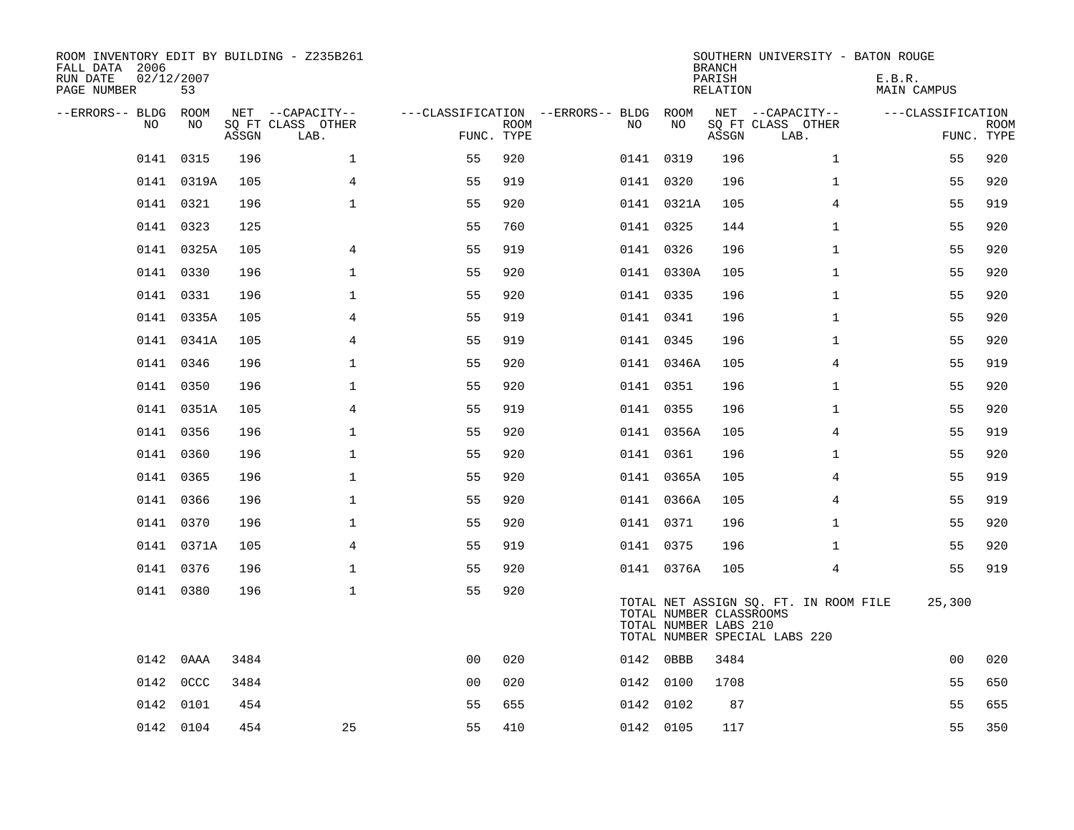| ROOM INVENTORY EDIT BY BUILDING - Z235B261<br>FALL DATA 2006<br>RUN DATE<br>PAGE NUMBER | 02/12/2007<br>53 |       |                                               |                                                      |             |           |                                                  | <b>BRANCH</b><br>PARISH<br><b>RELATION</b> | SOUTHERN UNIVERSITY - BATON ROUGE                                      | E.B.R.<br><b>MAIN CAMPUS</b> |                           |
|-----------------------------------------------------------------------------------------|------------------|-------|-----------------------------------------------|------------------------------------------------------|-------------|-----------|--------------------------------------------------|--------------------------------------------|------------------------------------------------------------------------|------------------------------|---------------------------|
| --ERRORS-- BLDG ROOM<br>NO                                                              | NO               | ASSGN | NET --CAPACITY--<br>SQ FT CLASS OTHER<br>LAB. | ---CLASSIFICATION --ERRORS-- BLDG ROOM<br>FUNC. TYPE | <b>ROOM</b> | NO        | NO                                               | ASSGN                                      | NET --CAPACITY--<br>SQ FT CLASS OTHER<br>LAB.                          | ---CLASSIFICATION            | <b>ROOM</b><br>FUNC. TYPE |
| 0141                                                                                    | 0315             | 196   | $\mathbf 1$                                   | 55                                                   | 920         | 0141 0319 |                                                  | 196                                        | $\mathbf{1}$                                                           | 55                           | 920                       |
|                                                                                         | 0141 0319A       | 105   | 4                                             | 55                                                   | 919         | 0141 0320 |                                                  | 196                                        | $\mathbf{1}$                                                           | 55                           | 920                       |
|                                                                                         | 0141 0321        | 196   | $\mathbf 1$                                   | 55                                                   | 920         |           | 0141 0321A                                       | 105                                        | 4                                                                      | 55                           | 919                       |
|                                                                                         | 0141 0323        | 125   |                                               | 55                                                   | 760         | 0141 0325 |                                                  | 144                                        | $\mathbf{1}$                                                           | 55                           | 920                       |
|                                                                                         | 0141 0325A       | 105   | $\overline{4}$                                | 55                                                   | 919         | 0141 0326 |                                                  | 196                                        | $\mathbf{1}$                                                           | 55                           | 920                       |
|                                                                                         | 0141 0330        | 196   | $\mathbf{1}$                                  | 55                                                   | 920         |           | 0141 0330A                                       | 105                                        | $\mathbf{1}$                                                           | 55                           | 920                       |
|                                                                                         | 0141 0331        | 196   | $\mathbf{1}$                                  | 55                                                   | 920         | 0141 0335 |                                                  | 196                                        | $\mathbf{1}$                                                           | 55                           | 920                       |
|                                                                                         | 0141 0335A       | 105   | 4                                             | 55                                                   | 919         | 0141 0341 |                                                  | 196                                        | $\mathbf{1}$                                                           | 55                           | 920                       |
|                                                                                         | 0141 0341A       | 105   | 4                                             | 55                                                   | 919         | 0141 0345 |                                                  | 196                                        | $\mathbf{1}$                                                           | 55                           | 920                       |
|                                                                                         | 0141 0346        | 196   | $\mathbf{1}$                                  | 55                                                   | 920         |           | 0141 0346A                                       | 105                                        | 4                                                                      | 55                           | 919                       |
|                                                                                         | 0141 0350        | 196   | $\mathbf{1}$                                  | 55                                                   | 920         | 0141 0351 |                                                  | 196                                        | $\mathbf{1}$                                                           | 55                           | 920                       |
|                                                                                         | 0141 0351A       | 105   | $\overline{4}$                                | 55                                                   | 919         | 0141 0355 |                                                  | 196                                        | $\mathbf{1}$                                                           | 55                           | 920                       |
|                                                                                         | 0141 0356        | 196   | $\mathbf 1$                                   | 55                                                   | 920         |           | 0141 0356A                                       | 105                                        | 4                                                                      | 55                           | 919                       |
|                                                                                         | 0141 0360        | 196   | $\mathbf 1$                                   | 55                                                   | 920         | 0141 0361 |                                                  | 196                                        | $\mathbf{1}$                                                           | 55                           | 920                       |
| 0141                                                                                    | 0365             | 196   | $\mathbf 1$                                   | 55                                                   | 920         |           | 0141 0365A                                       | 105                                        | 4                                                                      | 55                           | 919                       |
|                                                                                         | 0141 0366        | 196   | $\mathbf{1}$                                  | 55                                                   | 920         |           | 0141 0366A                                       | 105                                        | 4                                                                      | 55                           | 919                       |
|                                                                                         | 0141 0370        | 196   | $\mathbf 1$                                   | 55                                                   | 920         | 0141 0371 |                                                  | 196                                        | $\mathbf{1}$                                                           | 55                           | 920                       |
|                                                                                         | 0141 0371A       | 105   | $\overline{4}$                                | 55                                                   | 919         | 0141 0375 |                                                  | 196                                        | $\mathbf{1}$                                                           | 55                           | 920                       |
|                                                                                         | 0141 0376        | 196   | $\mathbf{1}$                                  | 55                                                   | 920         |           | 0141 0376A                                       | 105                                        | $\overline{4}$                                                         | 55                           | 919                       |
|                                                                                         | 0141 0380        | 196   | $\mathbf 1$                                   | 55                                                   | 920         |           | TOTAL NUMBER CLASSROOMS<br>TOTAL NUMBER LABS 210 |                                            | TOTAL NET ASSIGN SQ. FT. IN ROOM FILE<br>TOTAL NUMBER SPECIAL LABS 220 | 25,300                       |                           |
|                                                                                         | 0142 0AAA        | 3484  |                                               | 0 <sub>0</sub>                                       | 020         | 0142 0BBB |                                                  | 3484                                       |                                                                        | 0 <sub>0</sub>               | 020                       |
|                                                                                         | 0142 0CCC        | 3484  |                                               | 0 <sub>0</sub>                                       | 020         | 0142 0100 |                                                  | 1708                                       |                                                                        | 55                           | 650                       |
| 0142                                                                                    | 0101             | 454   |                                               | 55                                                   | 655         | 0142 0102 |                                                  | 87                                         |                                                                        | 55                           | 655                       |
|                                                                                         | 0142 0104        | 454   | 25                                            | 55                                                   | 410         | 0142 0105 |                                                  | 117                                        |                                                                        | 55                           | 350                       |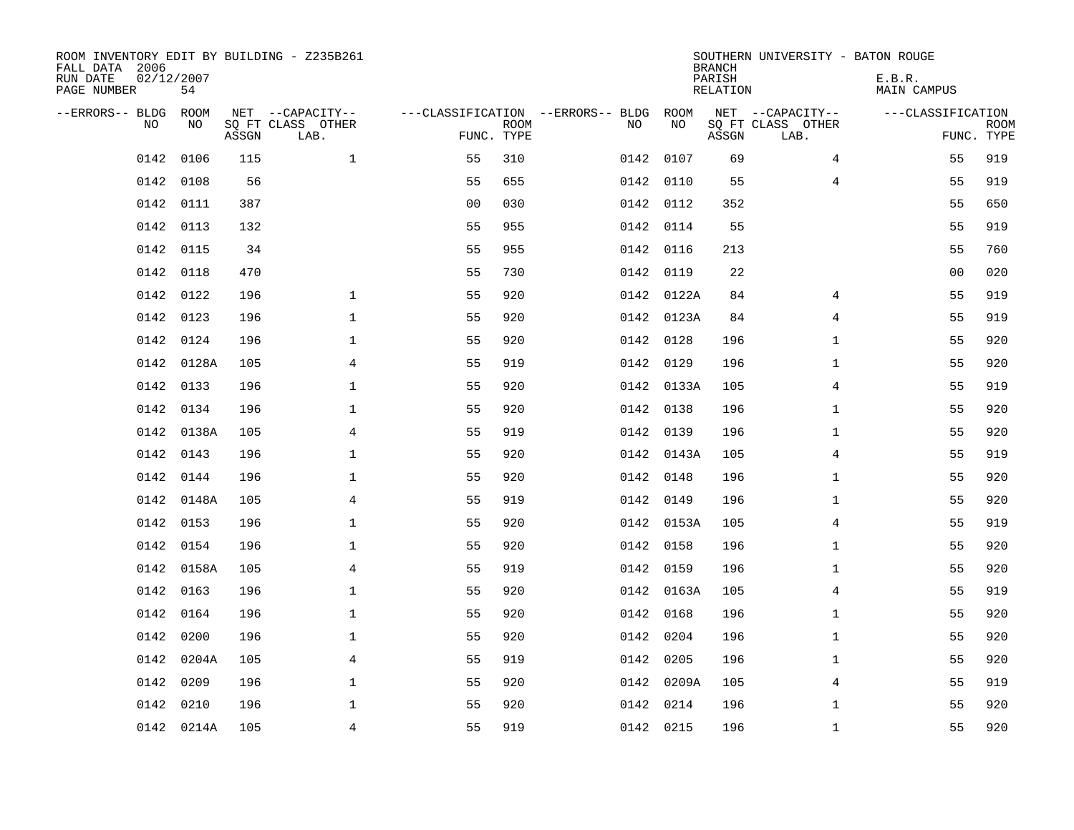| ROOM INVENTORY EDIT BY BUILDING - Z235B261<br>FALL DATA 2006<br>RUN DATE<br>PAGE NUMBER | 02/12/2007<br>54 |       |                                               |                |             |                                              |            | <b>BRANCH</b><br>PARISH<br><b>RELATION</b> | SOUTHERN UNIVERSITY - BATON ROUGE             | E.B.R.<br><b>MAIN CAMPUS</b> |                           |
|-----------------------------------------------------------------------------------------|------------------|-------|-----------------------------------------------|----------------|-------------|----------------------------------------------|------------|--------------------------------------------|-----------------------------------------------|------------------------------|---------------------------|
| --ERRORS-- BLDG ROOM<br>NO                                                              | NO               | ASSGN | NET --CAPACITY--<br>SQ FT CLASS OTHER<br>LAB. | FUNC. TYPE     | <b>ROOM</b> | ---CLASSIFICATION --ERRORS-- BLDG ROOM<br>NO | NO         | ASSGN                                      | NET --CAPACITY--<br>SQ FT CLASS OTHER<br>LAB. | ---CLASSIFICATION            | <b>ROOM</b><br>FUNC. TYPE |
| 0142                                                                                    | 0106             | 115   | $\mathbf{1}$                                  | 55             | 310         |                                              | 0142 0107  | 69                                         | 4                                             | 55                           | 919                       |
| 0142                                                                                    | 0108             | 56    |                                               | 55             | 655         |                                              | 0142 0110  | 55                                         | 4                                             | 55                           | 919                       |
| 0142                                                                                    | 0111             | 387   |                                               | 0 <sub>0</sub> | 030         |                                              | 0142 0112  | 352                                        |                                               | 55                           | 650                       |
| 0142                                                                                    | 0113             | 132   |                                               | 55             | 955         |                                              | 0142 0114  | 55                                         |                                               | 55                           | 919                       |
| 0142                                                                                    | 0115             | 34    |                                               | 55             | 955         |                                              | 0142 0116  | 213                                        |                                               | 55                           | 760                       |
| 0142                                                                                    | 0118             | 470   |                                               | 55             | 730         |                                              | 0142 0119  | 22                                         |                                               | 0 <sub>0</sub>               | 020                       |
| 0142                                                                                    | 0122             | 196   | $\mathbf{1}$                                  | 55             | 920         |                                              | 0142 0122A | 84                                         | 4                                             | 55                           | 919                       |
| 0142                                                                                    | 0123             | 196   | $\mathbf{1}$                                  | 55             | 920         |                                              | 0142 0123A | 84                                         | $\overline{4}$                                | 55                           | 919                       |
| 0142                                                                                    | 0124             | 196   | $\mathbf 1$                                   | 55             | 920         |                                              | 0142 0128  | 196                                        | $\mathbf{1}$                                  | 55                           | 920                       |
|                                                                                         | 0142 0128A       | 105   | 4                                             | 55             | 919         |                                              | 0142 0129  | 196                                        | $\mathbf{1}$                                  | 55                           | 920                       |
|                                                                                         | 0142 0133        | 196   | $\mathbf 1$                                   | 55             | 920         |                                              | 0142 0133A | 105                                        | 4                                             | 55                           | 919                       |
|                                                                                         | 0142 0134        | 196   | $\mathbf 1$                                   | 55             | 920         |                                              | 0142 0138  | 196                                        | $\mathbf{1}$                                  | 55                           | 920                       |
| 0142                                                                                    | 0138A            | 105   | 4                                             | 55             | 919         |                                              | 0142 0139  | 196                                        | $\mathbf{1}$                                  | 55                           | 920                       |
|                                                                                         | 0142 0143        | 196   | $\mathbf 1$                                   | 55             | 920         |                                              | 0142 0143A | 105                                        | 4                                             | 55                           | 919                       |
|                                                                                         | 0142 0144        | 196   | $\mathbf{1}$                                  | 55             | 920         |                                              | 0142 0148  | 196                                        | $\mathbf{1}$                                  | 55                           | 920                       |
|                                                                                         | 0142 0148A       | 105   | $\overline{4}$                                | 55             | 919         |                                              | 0142 0149  | 196                                        | $\mathbf{1}$                                  | 55                           | 920                       |
|                                                                                         | 0142 0153        | 196   | $\mathbf{1}$                                  | 55             | 920         |                                              | 0142 0153A | 105                                        | $\overline{4}$                                | 55                           | 919                       |
| 0142                                                                                    | 0154             | 196   | $\mathbf 1$                                   | 55             | 920         |                                              | 0142 0158  | 196                                        | $\mathbf{1}$                                  | 55                           | 920                       |
|                                                                                         | 0142 0158A       | 105   | 4                                             | 55             | 919         |                                              | 0142 0159  | 196                                        | $\mathbf{1}$                                  | 55                           | 920                       |
| 0142                                                                                    | 0163             | 196   | 1                                             | 55             | 920         |                                              | 0142 0163A | 105                                        | 4                                             | 55                           | 919                       |
| 0142                                                                                    | 0164             | 196   | $\mathbf{1}$                                  | 55             | 920         |                                              | 0142 0168  | 196                                        | $\mathbf{1}$                                  | 55                           | 920                       |
| 0142                                                                                    | 0200             | 196   | $\mathbf{1}$                                  | 55             | 920         | 0142                                         | 0204       | 196                                        | $\mathbf{1}$                                  | 55                           | 920                       |
| 0142                                                                                    | 0204A            | 105   | 4                                             | 55             | 919         |                                              | 0142 0205  | 196                                        | $\mathbf{1}$                                  | 55                           | 920                       |
| 0142                                                                                    | 0209             | 196   | $\mathbf{1}$                                  | 55             | 920         |                                              | 0142 0209A | 105                                        | 4                                             | 55                           | 919                       |
| 0142                                                                                    | 0210             | 196   | $\mathbf{1}$                                  | 55             | 920         |                                              | 0142 0214  | 196                                        | $\mathbf{1}$                                  | 55                           | 920                       |
|                                                                                         | 0142 0214A       | 105   | $\overline{4}$                                | 55             | 919         |                                              | 0142 0215  | 196                                        | $\mathbf{1}$                                  | 55                           | 920                       |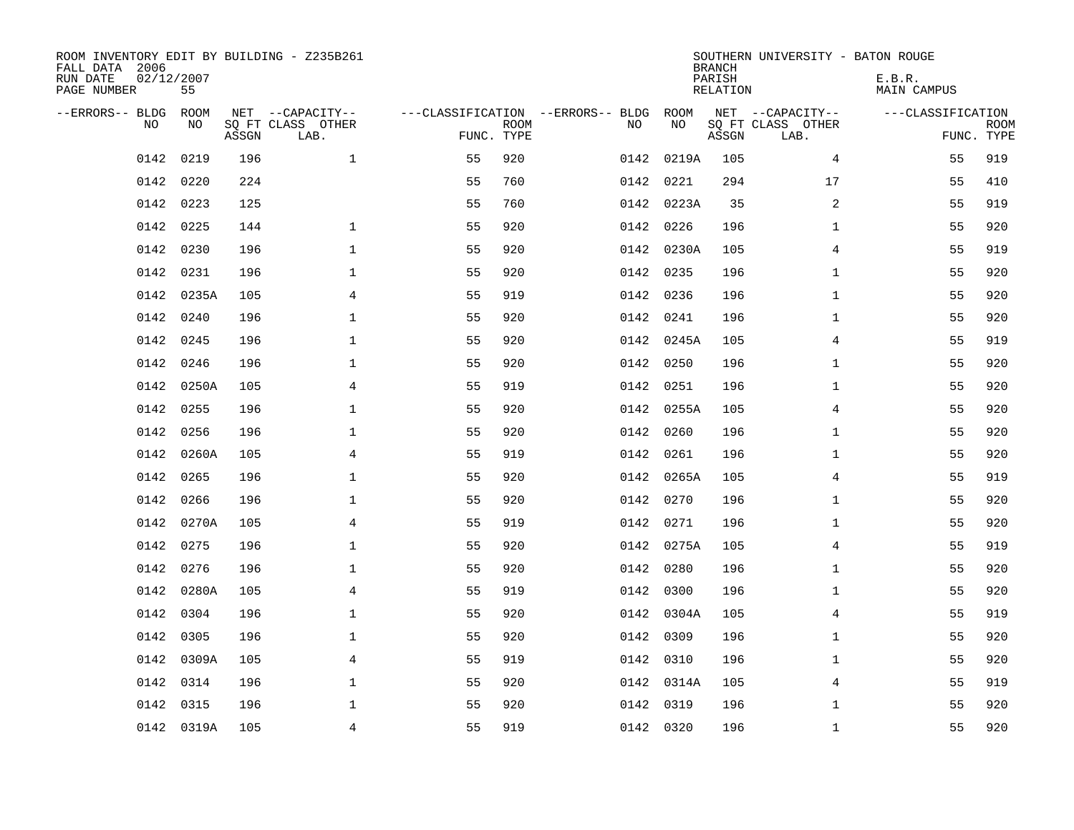| ROOM INVENTORY EDIT BY BUILDING - Z235B261<br>FALL DATA 2006<br>RUN DATE<br>PAGE NUMBER | 02/12/2007<br>55 |       |                                               |                                                      |             |           |            | <b>BRANCH</b><br>PARISH<br><b>RELATION</b> | SOUTHERN UNIVERSITY - BATON ROUGE             | E.B.R.<br><b>MAIN CAMPUS</b> |                           |
|-----------------------------------------------------------------------------------------|------------------|-------|-----------------------------------------------|------------------------------------------------------|-------------|-----------|------------|--------------------------------------------|-----------------------------------------------|------------------------------|---------------------------|
| --ERRORS-- BLDG<br>NO                                                                   | ROOM<br>NO       | ASSGN | NET --CAPACITY--<br>SQ FT CLASS OTHER<br>LAB. | ---CLASSIFICATION --ERRORS-- BLDG ROOM<br>FUNC. TYPE | <b>ROOM</b> | NO        | NO         | ASSGN                                      | NET --CAPACITY--<br>SQ FT CLASS OTHER<br>LAB. | ---CLASSIFICATION            | <b>ROOM</b><br>FUNC. TYPE |
| 0142                                                                                    | 0219             | 196   | $\mathbf{1}$                                  | 55                                                   | 920         |           | 0142 0219A | 105                                        | 4                                             | 55                           | 919                       |
| 0142                                                                                    | 0220             | 224   |                                               | 55                                                   | 760         | 0142      | 0221       | 294                                        | 17                                            | 55                           | 410                       |
| 0142                                                                                    | 0223             | 125   |                                               | 55                                                   | 760         |           | 0142 0223A | 35                                         | $\overline{a}$                                | 55                           | 919                       |
| 0142                                                                                    | 0225             | 144   | $\mathbf 1$                                   | 55                                                   | 920         |           | 0142 0226  | 196                                        | $\mathbf{1}$                                  | 55                           | 920                       |
| 0142                                                                                    | 0230             | 196   | $\mathbf{1}$                                  | 55                                                   | 920         |           | 0142 0230A | 105                                        | 4                                             | 55                           | 919                       |
| 0142                                                                                    | 0231             | 196   | $\mathbf{1}$                                  | 55                                                   | 920         |           | 0142 0235  | 196                                        | $\mathbf{1}$                                  | 55                           | 920                       |
| 0142                                                                                    | 0235A            | 105   | $\overline{4}$                                | 55                                                   | 919         |           | 0142 0236  | 196                                        | $\mathbf{1}$                                  | 55                           | 920                       |
| 0142                                                                                    | 0240             | 196   | $\mathbf{1}$                                  | 55                                                   | 920         |           | 0142 0241  | 196                                        | $\mathbf{1}$                                  | 55                           | 920                       |
| 0142                                                                                    | 0245             | 196   | $\mathbf 1$                                   | 55                                                   | 920         |           | 0142 0245A | 105                                        | 4                                             | 55                           | 919                       |
| 0142                                                                                    | 0246             | 196   | $\mathbf 1$                                   | 55                                                   | 920         |           | 0142 0250  | 196                                        | $\mathbf{1}$                                  | 55                           | 920                       |
| 0142                                                                                    | 0250A            | 105   | 4                                             | 55                                                   | 919         |           | 0142 0251  | 196                                        | $\mathbf{1}$                                  | 55                           | 920                       |
|                                                                                         | 0142 0255        | 196   | $\mathbf 1$                                   | 55                                                   | 920         |           | 0142 0255A | 105                                        | 4                                             | 55                           | 920                       |
| 0142                                                                                    | 0256             | 196   | $\mathbf 1$                                   | 55                                                   | 920         | 0142      | 0260       | 196                                        | $\mathbf{1}$                                  | 55                           | 920                       |
| 0142                                                                                    | 0260A            | 105   | 4                                             | 55                                                   | 919         |           | 0142 0261  | 196                                        | $\mathbf{1}$                                  | 55                           | 920                       |
|                                                                                         | 0142 0265        | 196   | $\mathbf{1}$                                  | 55                                                   | 920         |           | 0142 0265A | 105                                        | 4                                             | 55                           | 919                       |
| 0142                                                                                    | 0266             | 196   | $\mathbf 1$                                   | 55                                                   | 920         |           | 0142 0270  | 196                                        | $\mathbf{1}$                                  | 55                           | 920                       |
|                                                                                         | 0142 0270A       | 105   | $\overline{4}$                                | 55                                                   | 919         |           | 0142 0271  | 196                                        | $\mathbf{1}$                                  | 55                           | 920                       |
| 0142                                                                                    | 0275             | 196   | $\mathbf 1$                                   | 55                                                   | 920         |           | 0142 0275A | 105                                        | 4                                             | 55                           | 919                       |
|                                                                                         | 0142 0276        | 196   | 1                                             | 55                                                   | 920         |           | 0142 0280  | 196                                        | $\mathbf{1}$                                  | 55                           | 920                       |
| 0142                                                                                    | 0280A            | 105   | 4                                             | 55                                                   | 919         |           | 0142 0300  | 196                                        | $\mathbf{1}$                                  | 55                           | 920                       |
| 0142                                                                                    | 0304             | 196   | $\mathbf{1}$                                  | 55                                                   | 920         |           | 0142 0304A | 105                                        | 4                                             | 55                           | 919                       |
| 0142                                                                                    | 0305             | 196   | $\mathbf 1$                                   | 55                                                   | 920         | 0142      | 0309       | 196                                        | $\mathbf{1}$                                  | 55                           | 920                       |
| 0142                                                                                    | 0309A            | 105   | 4                                             | 55                                                   | 919         |           | 0142 0310  | 196                                        | $\mathbf{1}$                                  | 55                           | 920                       |
| 0142                                                                                    | 0314             | 196   | $\mathbf{1}$                                  | 55                                                   | 920         |           | 0142 0314A | 105                                        | 4                                             | 55                           | 919                       |
| 0142                                                                                    | 0315             | 196   | $\mathbf{1}$                                  | 55                                                   | 920         | 0142 0319 |            | 196                                        | $\mathbf{1}$                                  | 55                           | 920                       |
|                                                                                         | 0142 0319A       | 105   | $\overline{4}$                                | 55                                                   | 919         |           | 0142 0320  | 196                                        | $\mathbf{1}$                                  | 55                           | 920                       |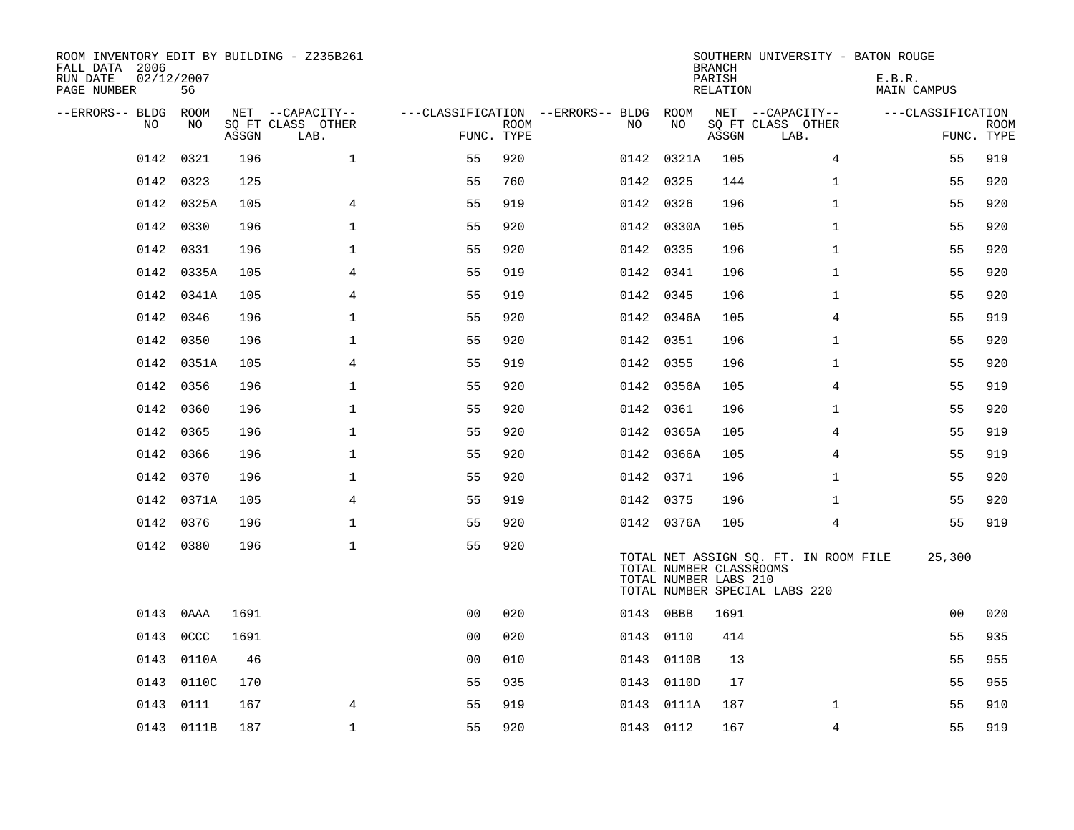| ROOM INVENTORY EDIT BY BUILDING - Z235B261<br>FALL DATA 2006<br>RUN DATE<br>PAGE NUMBER | 02/12/2007<br>56 |       |                           |                                        |      |           |                                                  | <b>BRANCH</b><br>PARISH<br>RELATION | SOUTHERN UNIVERSITY - BATON ROUGE                                      | E.B.R.<br><b>MAIN CAMPUS</b> |                           |
|-----------------------------------------------------------------------------------------|------------------|-------|---------------------------|----------------------------------------|------|-----------|--------------------------------------------------|-------------------------------------|------------------------------------------------------------------------|------------------------------|---------------------------|
| --ERRORS-- BLDG ROOM                                                                    |                  |       | NET --CAPACITY--          | ---CLASSIFICATION --ERRORS-- BLDG ROOM |      |           |                                                  |                                     | NET --CAPACITY--                                                       | ---CLASSIFICATION            |                           |
| NO.                                                                                     | NO.              | ASSGN | SO FT CLASS OTHER<br>LAB. | FUNC. TYPE                             | ROOM | NO.       | NO                                               | ASSGN                               | SQ FT CLASS OTHER<br>LAB.                                              |                              | <b>ROOM</b><br>FUNC. TYPE |
| 0142                                                                                    | 0321             | 196   | $\mathbf{1}$              | 55                                     | 920  |           | 0142 0321A                                       | 105                                 | $\overline{4}$                                                         | 55                           | 919                       |
| 0142                                                                                    | 0323             | 125   |                           | 55                                     | 760  | 0142 0325 |                                                  | 144                                 | $\mathbf{1}$                                                           | 55                           | 920                       |
|                                                                                         | 0142 0325A       | 105   | 4                         | 55                                     | 919  | 0142 0326 |                                                  | 196                                 | $\mathbf{1}$                                                           | 55                           | 920                       |
| 0142                                                                                    | 0330             | 196   | $\mathbf{1}$              | 55                                     | 920  |           | 0142 0330A                                       | 105                                 | $\mathbf{1}$                                                           | 55                           | 920                       |
| 0142                                                                                    | 0331             | 196   | $\mathbf{1}$              | 55                                     | 920  | 0142 0335 |                                                  | 196                                 | $\mathbf{1}$                                                           | 55                           | 920                       |
| 0142                                                                                    | 0335A            | 105   | $\overline{4}$            | 55                                     | 919  | 0142 0341 |                                                  | 196                                 | $\mathbf{1}$                                                           | 55                           | 920                       |
| 0142                                                                                    | 0341A            | 105   | 4                         | 55                                     | 919  | 0142 0345 |                                                  | 196                                 | $\mathbf{1}$                                                           | 55                           | 920                       |
|                                                                                         | 0142 0346        | 196   | $\mathbf{1}$              | 55                                     | 920  |           | 0142 0346A                                       | 105                                 | 4                                                                      | 55                           | 919                       |
| 0142                                                                                    | 0350             | 196   | $\mathbf{1}$              | 55                                     | 920  | 0142 0351 |                                                  | 196                                 | $\mathbf{1}$                                                           | 55                           | 920                       |
|                                                                                         | 0142 0351A       | 105   | $\overline{4}$            | 55                                     | 919  | 0142 0355 |                                                  | 196                                 | $\mathbf{1}$                                                           | 55                           | 920                       |
|                                                                                         | 0142 0356        | 196   | $\mathbf 1$               | 55                                     | 920  |           | 0142 0356A                                       | 105                                 | 4                                                                      | 55                           | 919                       |
|                                                                                         | 0142 0360        | 196   | $\mathbf 1$               | 55                                     | 920  | 0142 0361 |                                                  | 196                                 | $\mathbf{1}$                                                           | 55                           | 920                       |
| 0142                                                                                    | 0365             | 196   | $\mathbf{1}$              | 55                                     | 920  |           | 0142 0365A                                       | 105                                 | 4                                                                      | 55                           | 919                       |
|                                                                                         | 0142 0366        | 196   | $\mathbf{1}$              | 55                                     | 920  |           | 0142 0366A                                       | 105                                 | $\overline{4}$                                                         | 55                           | 919                       |
|                                                                                         | 0142 0370        | 196   | 1                         | 55                                     | 920  | 0142 0371 |                                                  | 196                                 | $\mathbf{1}$                                                           | 55                           | 920                       |
|                                                                                         | 0142 0371A       | 105   | 4                         | 55                                     | 919  | 0142 0375 |                                                  | 196                                 | $\mathbf{1}$                                                           | 55                           | 920                       |
|                                                                                         | 0142 0376        | 196   | $\mathbf{1}$              | 55                                     | 920  |           | 0142 0376A                                       | 105                                 | $\overline{4}$                                                         | 55                           | 919                       |
|                                                                                         | 0142 0380        | 196   | $\mathbf{1}$              | 55                                     | 920  |           | TOTAL NUMBER CLASSROOMS<br>TOTAL NUMBER LABS 210 |                                     | TOTAL NET ASSIGN SQ. FT. IN ROOM FILE<br>TOTAL NUMBER SPECIAL LABS 220 | 25,300                       |                           |
| 0143                                                                                    | 0AAA             | 1691  |                           | 0 <sub>0</sub>                         | 020  | 0143 0BBB |                                                  | 1691                                |                                                                        | 0 <sub>0</sub>               | 020                       |
| 0143                                                                                    | 0CCC             | 1691  |                           | 0 <sub>0</sub>                         | 020  | 0143      | 0110                                             | 414                                 |                                                                        | 55                           | 935                       |
| 0143                                                                                    | 0110A            | 46    |                           | 0 <sub>0</sub>                         | 010  |           | 0143 0110B                                       | 13                                  |                                                                        | 55                           | 955                       |
| 0143                                                                                    | 0110C            | 170   |                           | 55                                     | 935  |           | 0143 0110D                                       | 17                                  |                                                                        | 55                           | 955                       |
| 0143                                                                                    | 0111             | 167   | 4                         | 55                                     | 919  |           | 0143 0111A                                       | 187                                 | $\mathbf{1}$                                                           | 55                           | 910                       |
|                                                                                         | 0143 0111B       | 187   | $\mathbf{1}$              | 55                                     | 920  | 0143 0112 |                                                  | 167                                 | $\overline{4}$                                                         | 55                           | 919                       |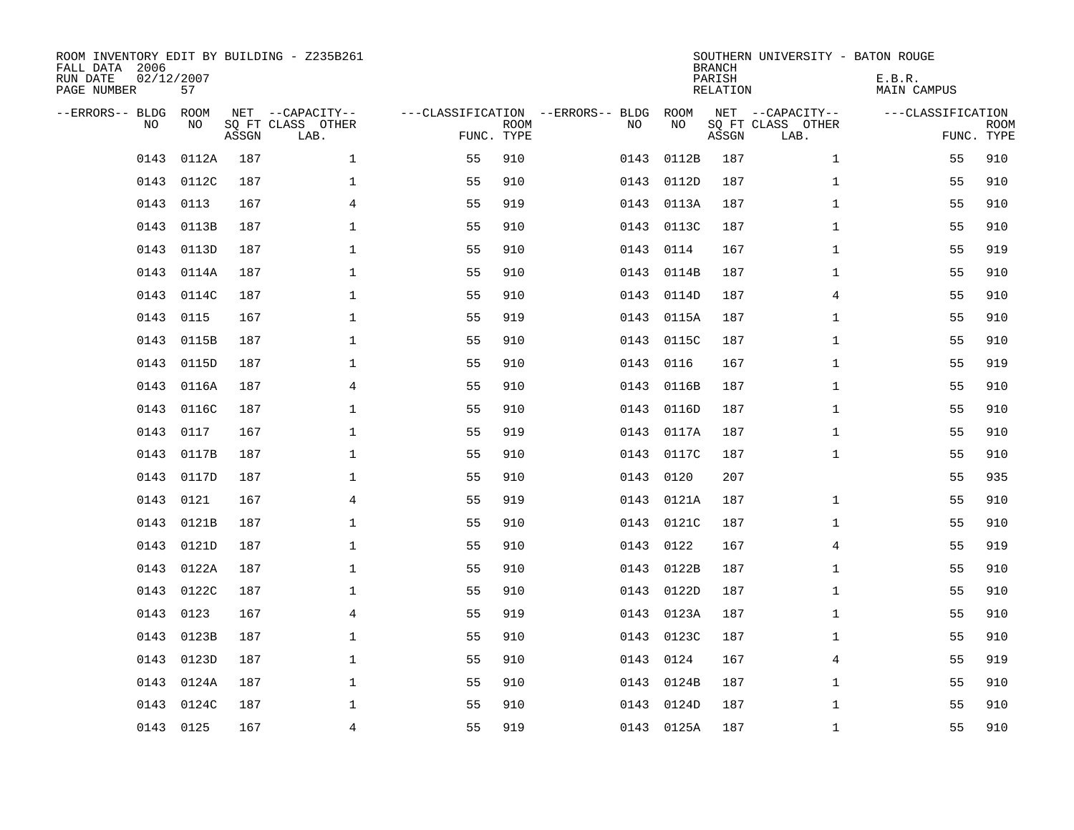| ROOM INVENTORY EDIT BY BUILDING - Z235B261<br>FALL DATA 2006<br>RUN DATE<br>PAGE NUMBER | 02/12/2007<br>57 |       |                                               |                                                 |             |      |            | <b>BRANCH</b><br>PARISH<br><b>RELATION</b> | SOUTHERN UNIVERSITY - BATON ROUGE             | E.B.R.<br><b>MAIN CAMPUS</b> |                           |
|-----------------------------------------------------------------------------------------|------------------|-------|-----------------------------------------------|-------------------------------------------------|-------------|------|------------|--------------------------------------------|-----------------------------------------------|------------------------------|---------------------------|
| --ERRORS-- BLDG<br>NO                                                                   | ROOM<br>NO       | ASSGN | NET --CAPACITY--<br>SQ FT CLASS OTHER<br>LAB. | ---CLASSIFICATION --ERRORS-- BLDG<br>FUNC. TYPE | <b>ROOM</b> | NO   | ROOM<br>NO | ASSGN                                      | NET --CAPACITY--<br>SQ FT CLASS OTHER<br>LAB. | ---CLASSIFICATION            | <b>ROOM</b><br>FUNC. TYPE |
| 0143                                                                                    | 0112A            | 187   | $\mathbf 1$                                   | 55                                              | 910         | 0143 | 0112B      | 187                                        | $\mathbf{1}$                                  | 55                           | 910                       |
| 0143                                                                                    | 0112C            | 187   | 1                                             | 55                                              | 910         | 0143 | 0112D      | 187                                        | $\mathbf{1}$                                  | 55                           | 910                       |
| 0143                                                                                    | 0113             | 167   | 4                                             | 55                                              | 919         | 0143 | 0113A      | 187                                        | $\mathbf{1}$                                  | 55                           | 910                       |
| 0143                                                                                    | 0113B            | 187   | $\mathbf 1$                                   | 55                                              | 910         |      | 0143 0113C | 187                                        | $\mathbf{1}$                                  | 55                           | 910                       |
| 0143                                                                                    | 0113D            | 187   | $\mathbf{1}$                                  | 55                                              | 910         | 0143 | 0114       | 167                                        | $\mathbf{1}$                                  | 55                           | 919                       |
| 0143                                                                                    | 0114A            | 187   | $\mathbf{1}$                                  | 55                                              | 910         |      | 0143 0114B | 187                                        | $\mathbf{1}$                                  | 55                           | 910                       |
| 0143                                                                                    | 0114C            | 187   | $\mathbf{1}$                                  | 55                                              | 910         | 0143 | 0114D      | 187                                        | 4                                             | 55                           | 910                       |
| 0143                                                                                    | 0115             | 167   | $\mathbf{1}$                                  | 55                                              | 919         |      | 0143 0115A | 187                                        | $\mathbf{1}$                                  | 55                           | 910                       |
| 0143                                                                                    | 0115B            | 187   | $\mathbf 1$                                   | 55                                              | 910         | 0143 | 0115C      | 187                                        | $\mathbf{1}$                                  | 55                           | 910                       |
| 0143                                                                                    | 0115D            | 187   | $\mathbf{1}$                                  | 55                                              | 910         | 0143 | 0116       | 167                                        | $\mathbf{1}$                                  | 55                           | 919                       |
| 0143                                                                                    | 0116A            | 187   | 4                                             | 55                                              | 910         | 0143 | 0116B      | 187                                        | $\mathbf{1}$                                  | 55                           | 910                       |
| 0143                                                                                    | 0116C            | 187   | $\mathbf{1}$                                  | 55                                              | 910         | 0143 | 0116D      | 187                                        | $\mathbf{1}$                                  | 55                           | 910                       |
| 0143                                                                                    | 0117             | 167   | $\mathbf 1$                                   | 55                                              | 919         | 0143 | 0117A      | 187                                        | $\mathbf{1}$                                  | 55                           | 910                       |
| 0143                                                                                    | 0117B            | 187   | $\mathbf 1$                                   | 55                                              | 910         | 0143 | 0117C      | 187                                        | $\mathbf{1}$                                  | 55                           | 910                       |
| 0143                                                                                    | 0117D            | 187   | 1                                             | 55                                              | 910         | 0143 | 0120       | 207                                        |                                               | 55                           | 935                       |
| 0143                                                                                    | 0121             | 167   | 4                                             | 55                                              | 919         | 0143 | 0121A      | 187                                        | $\mathbf{1}$                                  | 55                           | 910                       |
| 0143                                                                                    | 0121B            | 187   | $\mathbf 1$                                   | 55                                              | 910         | 0143 | 0121C      | 187                                        | $\mathbf{1}$                                  | 55                           | 910                       |
| 0143                                                                                    | 0121D            | 187   | $\mathbf{1}$                                  | 55                                              | 910         | 0143 | 0122       | 167                                        | $\overline{4}$                                | 55                           | 919                       |
|                                                                                         | 0143 0122A       | 187   | $\mathbf{1}$                                  | 55                                              | 910         | 0143 | 0122B      | 187                                        | $\mathbf{1}$                                  | 55                           | 910                       |
| 0143                                                                                    | 0122C            | 187   | $\mathbf 1$                                   | 55                                              | 910         | 0143 | 0122D      | 187                                        | $\mathbf{1}$                                  | 55                           | 910                       |
| 0143                                                                                    | 0123             | 167   | 4                                             | 55                                              | 919         |      | 0143 0123A | 187                                        | $\mathbf{1}$                                  | 55                           | 910                       |
| 0143                                                                                    | 0123B            | 187   | $\mathbf 1$                                   | 55                                              | 910         | 0143 | 0123C      | 187                                        | $\mathbf{1}$                                  | 55                           | 910                       |
| 0143                                                                                    | 0123D            | 187   | 1                                             | 55                                              | 910         | 0143 | 0124       | 167                                        | 4                                             | 55                           | 919                       |
| 0143                                                                                    | 0124A            | 187   | $\mathbf 1$                                   | 55                                              | 910         | 0143 | 0124B      | 187                                        | $\mathbf{1}$                                  | 55                           | 910                       |
| 0143                                                                                    | 0124C            | 187   | 1                                             | 55                                              | 910         |      | 0143 0124D | 187                                        | $\mathbf{1}$                                  | 55                           | 910                       |
|                                                                                         | 0143 0125        | 167   | 4                                             | 55                                              | 919         |      | 0143 0125A | 187                                        | $\mathbf{1}$                                  | 55                           | 910                       |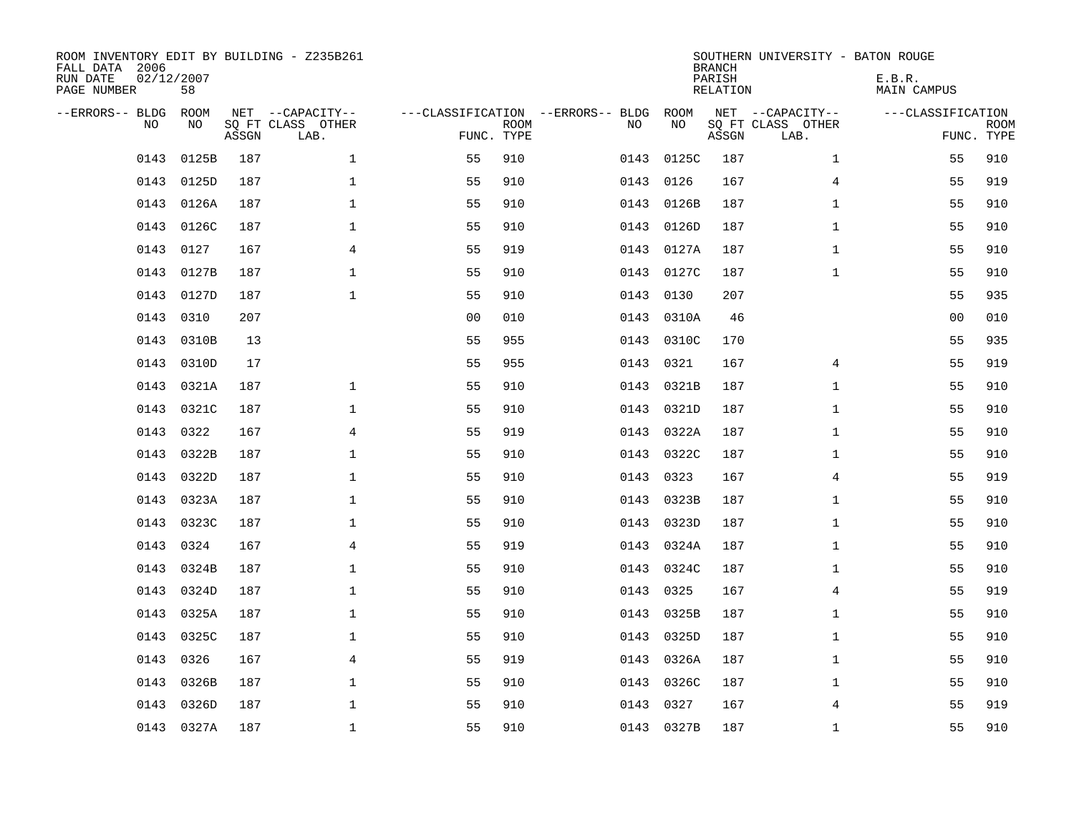| ROOM INVENTORY EDIT BY BUILDING - Z235B261<br>FALL DATA 2006<br>RUN DATE<br>PAGE NUMBER | 02/12/2007<br>58 |       |                                               |                |             |                                         |      |            | <b>BRANCH</b><br>PARISH<br><b>RELATION</b> | SOUTHERN UNIVERSITY - BATON ROUGE             | E.B.R.<br><b>MAIN CAMPUS</b> |                           |
|-----------------------------------------------------------------------------------------|------------------|-------|-----------------------------------------------|----------------|-------------|-----------------------------------------|------|------------|--------------------------------------------|-----------------------------------------------|------------------------------|---------------------------|
| --ERRORS-- BLDG<br>NO                                                                   | ROOM<br>NO       | ASSGN | NET --CAPACITY--<br>SQ FT CLASS OTHER<br>LAB. | FUNC. TYPE     | <b>ROOM</b> | ---CLASSIFICATION --ERRORS-- BLDG<br>NO |      | ROOM<br>NO | ASSGN                                      | NET --CAPACITY--<br>SQ FT CLASS OTHER<br>LAB. | ---CLASSIFICATION            | <b>ROOM</b><br>FUNC. TYPE |
| 0143                                                                                    | 0125B            | 187   | $\mathbf 1$                                   | 55             | 910         | 0143                                    |      | 0125C      | 187                                        | $\mathbf{1}$                                  | 55                           | 910                       |
| 0143                                                                                    | 0125D            | 187   | 1                                             | 55             | 910         |                                         | 0143 | 0126       | 167                                        | 4                                             | 55                           | 919                       |
| 0143                                                                                    | 0126A            | 187   | 1                                             | 55             | 910         |                                         | 0143 | 0126B      | 187                                        | $\mathbf{1}$                                  | 55                           | 910                       |
| 0143                                                                                    | 0126C            | 187   | $\mathbf 1$                                   | 55             | 910         |                                         | 0143 | 0126D      | 187                                        | $\mathbf{1}$                                  | 55                           | 910                       |
| 0143                                                                                    | 0127             | 167   | $\overline{4}$                                | 55             | 919         |                                         | 0143 | 0127A      | 187                                        | $\mathbf{1}$                                  | 55                           | 910                       |
| 0143                                                                                    | 0127B            | 187   | $\mathbf{1}$                                  | 55             | 910         |                                         |      | 0143 0127C | 187                                        | $\mathbf{1}$                                  | 55                           | 910                       |
| 0143                                                                                    | 0127D            | 187   | $\mathbf{1}$                                  | 55             | 910         |                                         | 0143 | 0130       | 207                                        |                                               | 55                           | 935                       |
| 0143                                                                                    | 0310             | 207   |                                               | 0 <sub>0</sub> | 010         |                                         |      | 0143 0310A | 46                                         |                                               | 0 <sub>0</sub>               | 010                       |
| 0143                                                                                    | 0310B            | 13    |                                               | 55             | 955         |                                         | 0143 | 0310C      | 170                                        |                                               | 55                           | 935                       |
| 0143                                                                                    | 0310D            | 17    |                                               | 55             | 955         |                                         | 0143 | 0321       | 167                                        | 4                                             | 55                           | 919                       |
| 0143                                                                                    | 0321A            | 187   | $\mathbf{1}$                                  | 55             | 910         |                                         | 0143 | 0321B      | 187                                        | $\mathbf{1}$                                  | 55                           | 910                       |
| 0143                                                                                    | 0321C            | 187   | $\mathbf{1}$                                  | 55             | 910         |                                         | 0143 | 0321D      | 187                                        | $\mathbf{1}$                                  | 55                           | 910                       |
| 0143                                                                                    | 0322             | 167   | 4                                             | 55             | 919         |                                         | 0143 | 0322A      | 187                                        | $\mathbf{1}$                                  | 55                           | 910                       |
| 0143                                                                                    | 0322B            | 187   | $\mathbf 1$                                   | 55             | 910         |                                         | 0143 | 0322C      | 187                                        | $\mathbf{1}$                                  | 55                           | 910                       |
| 0143                                                                                    | 0322D            | 187   | 1                                             | 55             | 910         |                                         | 0143 | 0323       | 167                                        | 4                                             | 55                           | 919                       |
| 0143                                                                                    | 0323A            | 187   | $\mathbf 1$                                   | 55             | 910         |                                         | 0143 | 0323B      | 187                                        | $\mathbf{1}$                                  | 55                           | 910                       |
| 0143                                                                                    | 0323C            | 187   | $\mathbf 1$                                   | 55             | 910         |                                         | 0143 | 0323D      | 187                                        | $\mathbf{1}$                                  | 55                           | 910                       |
| 0143                                                                                    | 0324             | 167   | $\overline{4}$                                | 55             | 919         |                                         | 0143 | 0324A      | 187                                        | $\mathbf{1}$                                  | 55                           | 910                       |
|                                                                                         | 0143 0324B       | 187   | $\mathbf{1}$                                  | 55             | 910         |                                         |      | 0143 0324C | 187                                        | $\mathbf{1}$                                  | 55                           | 910                       |
| 0143                                                                                    | 0324D            | 187   | $\mathbf 1$                                   | 55             | 910         |                                         | 0143 | 0325       | 167                                        | 4                                             | 55                           | 919                       |
| 0143                                                                                    | 0325A            | 187   | 1                                             | 55             | 910         |                                         | 0143 | 0325B      | 187                                        | $\mathbf{1}$                                  | 55                           | 910                       |
| 0143                                                                                    | 0325C            | 187   | 1                                             | 55             | 910         |                                         | 0143 | 0325D      | 187                                        | $\mathbf{1}$                                  | 55                           | 910                       |
| 0143                                                                                    | 0326             | 167   | 4                                             | 55             | 919         |                                         | 0143 | 0326A      | 187                                        | $\mathbf{1}$                                  | 55                           | 910                       |
| 0143                                                                                    | 0326B            | 187   | $\mathbf 1$                                   | 55             | 910         |                                         | 0143 | 0326C      | 187                                        | $\mathbf{1}$                                  | 55                           | 910                       |
| 0143                                                                                    | 0326D            | 187   | $\mathbf{1}$                                  | 55             | 910         |                                         | 0143 | 0327       | 167                                        | 4                                             | 55                           | 919                       |
|                                                                                         | 0143 0327A       | 187   | $\mathbf{1}$                                  | 55             | 910         |                                         |      | 0143 0327B | 187                                        | $\mathbf{1}$                                  | 55                           | 910                       |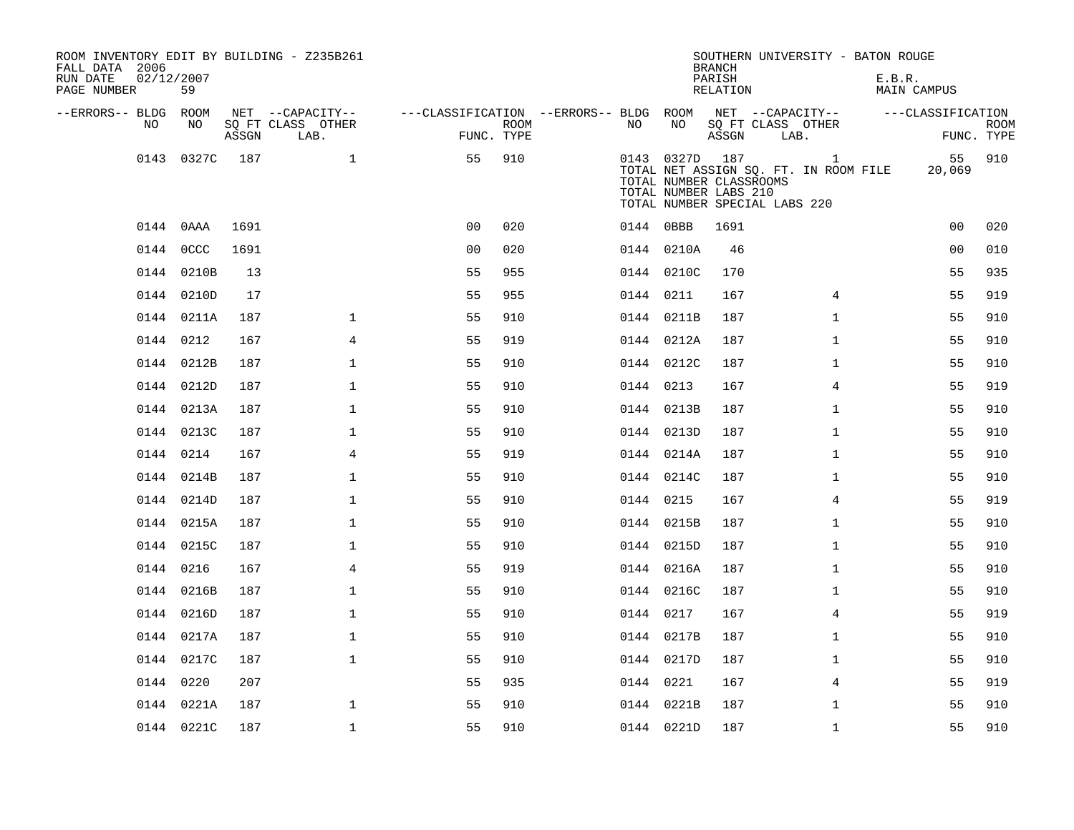| ROOM INVENTORY EDIT BY BUILDING - Z235B261<br>FALL DATA 2006<br>RUN DATE<br>PAGE NUMBER | 02/12/2007<br>59 |       |                                               |                                                      |             |           |                | <b>BRANCH</b><br>PARISH<br><b>RELATION</b>                                        |      | SOUTHERN UNIVERSITY - BATON ROUGE                     | E.B.R. | <b>MAIN CAMPUS</b> |                           |
|-----------------------------------------------------------------------------------------|------------------|-------|-----------------------------------------------|------------------------------------------------------|-------------|-----------|----------------|-----------------------------------------------------------------------------------|------|-------------------------------------------------------|--------|--------------------|---------------------------|
| --ERRORS-- BLDG ROOM<br>NO                                                              | NO               | ASSGN | NET --CAPACITY--<br>SQ FT CLASS OTHER<br>LAB. | ---CLASSIFICATION --ERRORS-- BLDG ROOM<br>FUNC. TYPE | <b>ROOM</b> | NO.       | NO             | NET --CAPACITY--<br>SQ FT CLASS OTHER<br>ASSGN                                    | LAB. |                                                       |        | ---CLASSIFICATION  | <b>ROOM</b><br>FUNC. TYPE |
|                                                                                         | 0143 0327C       | 187   | $\mathbf{1}$                                  | 55                                                   | 910         |           | 0143 0327D 187 | TOTAL NUMBER CLASSROOMS<br>TOTAL NUMBER LABS 210<br>TOTAL NUMBER SPECIAL LABS 220 |      | $\mathbf{1}$<br>TOTAL NET ASSIGN SQ. FT. IN ROOM FILE |        | 55<br>20,069       | 910                       |
|                                                                                         | 0144 0AAA        | 1691  |                                               | 0 <sub>0</sub>                                       | 020         |           | 0144 0BBB      | 1691                                                                              |      |                                                       |        | 0 <sub>0</sub>     | 020                       |
|                                                                                         | 0144 0CCC        | 1691  |                                               | 0 <sub>0</sub>                                       | 020         |           | 0144 0210A     | 46                                                                                |      |                                                       |        | 0 <sub>0</sub>     | 010                       |
|                                                                                         | 0144 0210B       | 13    |                                               | 55                                                   | 955         |           | 0144 0210C     | 170                                                                               |      |                                                       |        | 55                 | 935                       |
|                                                                                         | 0144 0210D       | 17    |                                               | 55                                                   | 955         | 0144 0211 |                | 167                                                                               |      | $\overline{4}$                                        |        | 55                 | 919                       |
|                                                                                         | 0144 0211A       | 187   | $\mathbf{1}$                                  | 55                                                   | 910         |           | 0144 0211B     | 187                                                                               |      | $\mathbf{1}$                                          |        | 55                 | 910                       |
|                                                                                         | 0144 0212        | 167   | 4                                             | 55                                                   | 919         |           | 0144 0212A     | 187                                                                               |      | $\mathbf{1}$                                          |        | 55                 | 910                       |
|                                                                                         | 0144 0212B       | 187   | $\mathbf 1$                                   | 55                                                   | 910         |           | 0144 0212C     | 187                                                                               |      | $\mathbf{1}$                                          |        | 55                 | 910                       |
|                                                                                         | 0144 0212D       | 187   | $\mathbf{1}$                                  | 55                                                   | 910         | 0144 0213 |                | 167                                                                               |      | 4                                                     |        | 55                 | 919                       |
|                                                                                         | 0144 0213A       | 187   | $\mathbf 1$                                   | 55                                                   | 910         |           | 0144 0213B     | 187                                                                               |      | $\mathbf{1}$                                          |        | 55                 | 910                       |
|                                                                                         | 0144 0213C       | 187   | 1                                             | 55                                                   | 910         |           | 0144 0213D     | 187                                                                               |      | $\mathbf{1}$                                          |        | 55                 | 910                       |
|                                                                                         | 0144 0214        | 167   | 4                                             | 55                                                   | 919         |           | 0144 0214A     | 187                                                                               |      | $\mathbf{1}$                                          |        | 55                 | 910                       |
|                                                                                         | 0144 0214B       | 187   | $\mathbf{1}$                                  | 55                                                   | 910         |           | 0144 0214C     | 187                                                                               |      | $\mathbf{1}$                                          |        | 55                 | 910                       |
|                                                                                         | 0144 0214D       | 187   | $\mathbf{1}$                                  | 55                                                   | 910         | 0144 0215 |                | 167                                                                               |      | $\overline{4}$                                        |        | 55                 | 919                       |
|                                                                                         | 0144 0215A       | 187   | $\mathbf{1}$                                  | 55                                                   | 910         |           | 0144 0215B     | 187                                                                               |      | $\mathbf{1}$                                          |        | 55                 | 910                       |
|                                                                                         | 0144 0215C       | 187   | $\mathbf 1$                                   | 55                                                   | 910         |           | 0144 0215D     | 187                                                                               |      | $\mathbf{1}$                                          |        | 55                 | 910                       |
|                                                                                         | 0144 0216        | 167   | 4                                             | 55                                                   | 919         |           | 0144 0216A     | 187                                                                               |      | $\mathbf{1}$                                          |        | 55                 | 910                       |
|                                                                                         | 0144 0216B       | 187   | $\mathbf 1$                                   | 55                                                   | 910         |           | 0144 0216C     | 187                                                                               |      | $\mathbf{1}$                                          |        | 55                 | 910                       |
|                                                                                         | 0144 0216D       | 187   | $\mathbf{1}$                                  | 55                                                   | 910         |           | 0144 0217      | 167                                                                               |      | 4                                                     |        | 55                 | 919                       |
|                                                                                         | 0144 0217A       | 187   | $\mathbf{1}$                                  | 55                                                   | 910         |           | 0144 0217B     | 187                                                                               |      | $\mathbf{1}$                                          |        | 55                 | 910                       |
|                                                                                         | 0144 0217C       | 187   | $\mathbf 1$                                   | 55                                                   | 910         |           | 0144 0217D     | 187                                                                               |      | $\mathbf{1}$                                          |        | 55                 | 910                       |
|                                                                                         | 0144 0220        | 207   |                                               | 55                                                   | 935         | 0144 0221 |                | 167                                                                               |      | 4                                                     |        | 55                 | 919                       |
|                                                                                         | 0144 0221A       | 187   | $\mathbf{1}$                                  | 55                                                   | 910         |           | 0144 0221B     | 187                                                                               |      | $\mathbf{1}$                                          |        | 55                 | 910                       |
|                                                                                         | 0144 0221C       | 187   | $\mathbf{1}$                                  | 55                                                   | 910         |           | 0144 0221D     | 187                                                                               |      | $\mathbf{1}$                                          |        | 55                 | 910                       |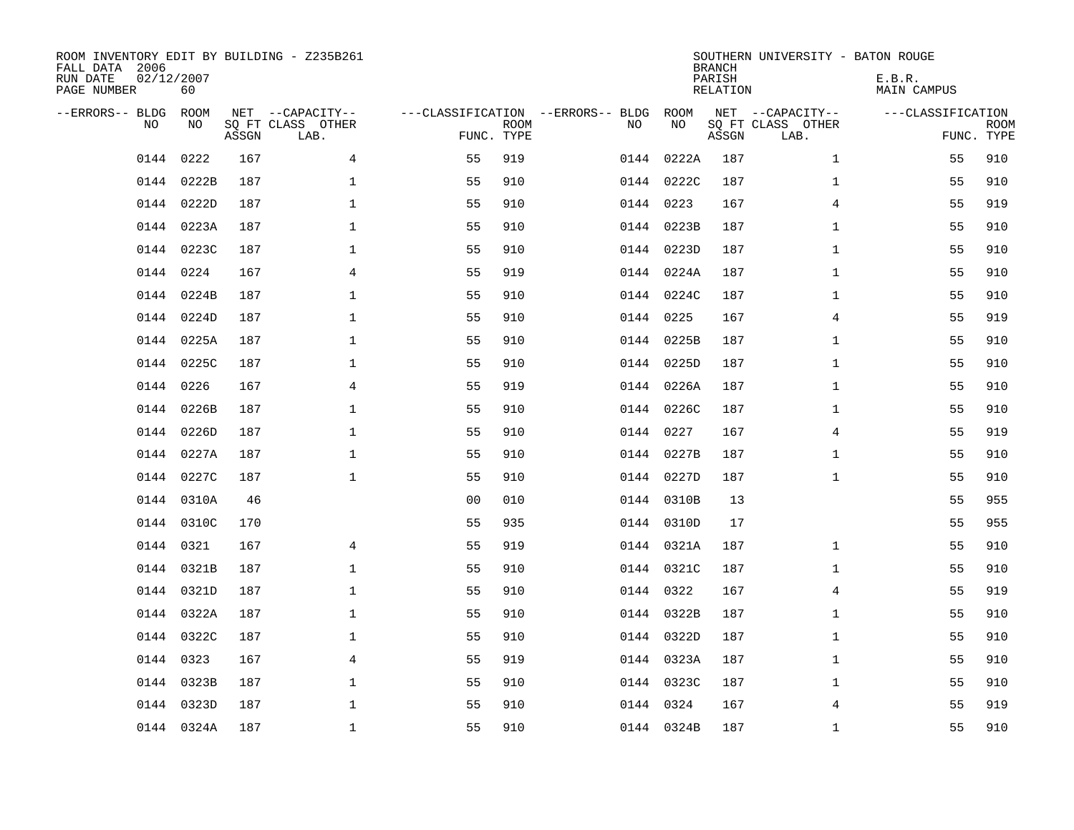| ROOM INVENTORY EDIT BY BUILDING - Z235B261<br>FALL DATA 2006<br>RUN DATE<br>PAGE NUMBER | 02/12/2007<br>60 |       |                                               |                                                      |             |    |            | <b>BRANCH</b><br>PARISH<br><b>RELATION</b> | SOUTHERN UNIVERSITY - BATON ROUGE             | E.B.R.<br><b>MAIN CAMPUS</b>    |             |
|-----------------------------------------------------------------------------------------|------------------|-------|-----------------------------------------------|------------------------------------------------------|-------------|----|------------|--------------------------------------------|-----------------------------------------------|---------------------------------|-------------|
| --ERRORS-- BLDG<br>NO                                                                   | ROOM<br>NO       | ASSGN | NET --CAPACITY--<br>SQ FT CLASS OTHER<br>LAB. | ---CLASSIFICATION --ERRORS-- BLDG ROOM<br>FUNC. TYPE | <b>ROOM</b> | NO | NO         | ASSGN                                      | NET --CAPACITY--<br>SQ FT CLASS OTHER<br>LAB. | ---CLASSIFICATION<br>FUNC. TYPE | <b>ROOM</b> |
| 0144                                                                                    | 0222             | 167   | 4                                             | 55                                                   | 919         |    | 0144 0222A | 187                                        | $\mathbf{1}$                                  | 55                              | 910         |
|                                                                                         | 0144 0222B       | 187   | 1                                             | 55                                                   | 910         |    | 0144 0222C | 187                                        | $\mathbf{1}$                                  | 55                              | 910         |
|                                                                                         | 0144 0222D       | 187   | $\mathbf 1$                                   | 55                                                   | 910         |    | 0144 0223  | 167                                        | 4                                             | 55                              | 919         |
|                                                                                         | 0144 0223A       | 187   | $\mathbf{1}$                                  | 55                                                   | 910         |    | 0144 0223B | 187                                        | $\mathbf{1}$                                  | 55                              | 910         |
| 0144                                                                                    | 0223C            | 187   | $\mathbf 1$                                   | 55                                                   | 910         |    | 0144 0223D | 187                                        | $\mathbf{1}$                                  | 55                              | 910         |
|                                                                                         | 0144 0224        | 167   | 4                                             | 55                                                   | 919         |    | 0144 0224A | 187                                        | $\mathbf{1}$                                  | 55                              | 910         |
|                                                                                         | 0144 0224B       | 187   | $\mathbf 1$                                   | 55                                                   | 910         |    | 0144 0224C | 187                                        | $\mathbf{1}$                                  | 55                              | 910         |
|                                                                                         | 0144 0224D       | 187   | $\mathbf{1}$                                  | 55                                                   | 910         |    | 0144 0225  | 167                                        | 4                                             | 55                              | 919         |
|                                                                                         | 0144 0225A       | 187   | $\mathbf{1}$                                  | 55                                                   | 910         |    | 0144 0225B | 187                                        | $\mathbf{1}$                                  | 55                              | 910         |
|                                                                                         | 0144 0225C       | 187   | $\mathbf{1}$                                  | 55                                                   | 910         |    | 0144 0225D | 187                                        | $\mathbf{1}$                                  | 55                              | 910         |
| 0144                                                                                    | 0226             | 167   | 4                                             | 55                                                   | 919         |    | 0144 0226A | 187                                        | $\mathbf{1}$                                  | 55                              | 910         |
|                                                                                         | 0144 0226B       | 187   | $\mathbf 1$                                   | 55                                                   | 910         |    | 0144 0226C | 187                                        | $\mathbf{1}$                                  | 55                              | 910         |
| 0144                                                                                    | 0226D            | 187   | $\mathbf 1$                                   | 55                                                   | 910         |    | 0144 0227  | 167                                        | 4                                             | 55                              | 919         |
|                                                                                         | 0144 0227A       | 187   | $\mathbf 1$                                   | 55                                                   | 910         |    | 0144 0227B | 187                                        | $\mathbf{1}$                                  | 55                              | 910         |
|                                                                                         | 0144 0227C       | 187   | $\mathbf{1}$                                  | 55                                                   | 910         |    | 0144 0227D | 187                                        | $\mathbf{1}$                                  | 55                              | 910         |
|                                                                                         | 0144 0310A       | 46    |                                               | 0 <sub>0</sub>                                       | 010         |    | 0144 0310B | 13                                         |                                               | 55                              | 955         |
|                                                                                         | 0144 0310C       | 170   |                                               | 55                                                   | 935         |    | 0144 0310D | 17                                         |                                               | 55                              | 955         |
|                                                                                         | 0144 0321        | 167   | $\overline{4}$                                | 55                                                   | 919         |    | 0144 0321A | 187                                        | $\mathbf{1}$                                  | 55                              | 910         |
|                                                                                         | 0144 0321B       | 187   | $\mathbf{1}$                                  | 55                                                   | 910         |    | 0144 0321C | 187                                        | $\mathbf{1}$                                  | 55                              | 910         |
|                                                                                         | 0144 0321D       | 187   | $\mathbf{1}$                                  | 55                                                   | 910         |    | 0144 0322  | 167                                        | 4                                             | 55                              | 919         |
|                                                                                         | 0144 0322A       | 187   | $\mathbf{1}$                                  | 55                                                   | 910         |    | 0144 0322B | 187                                        | $\mathbf{1}$                                  | 55                              | 910         |
|                                                                                         | 0144 0322C       | 187   | $\mathbf 1$                                   | 55                                                   | 910         |    | 0144 0322D | 187                                        | $\mathbf{1}$                                  | 55                              | 910         |
|                                                                                         | 0144 0323        | 167   | 4                                             | 55                                                   | 919         |    | 0144 0323A | 187                                        | $\mathbf{1}$                                  | 55                              | 910         |
| 0144                                                                                    | 0323B            | 187   | $\mathbf 1$                                   | 55                                                   | 910         |    | 0144 0323C | 187                                        | $\mathbf{1}$                                  | 55                              | 910         |
|                                                                                         | 0144 0323D       | 187   | $\mathbf{1}$                                  | 55                                                   | 910         |    | 0144 0324  | 167                                        | 4                                             | 55                              | 919         |
|                                                                                         | 0144 0324A       | 187   | $\mathbf{1}$                                  | 55                                                   | 910         |    | 0144 0324B | 187                                        | $\mathbf{1}$                                  | 55                              | 910         |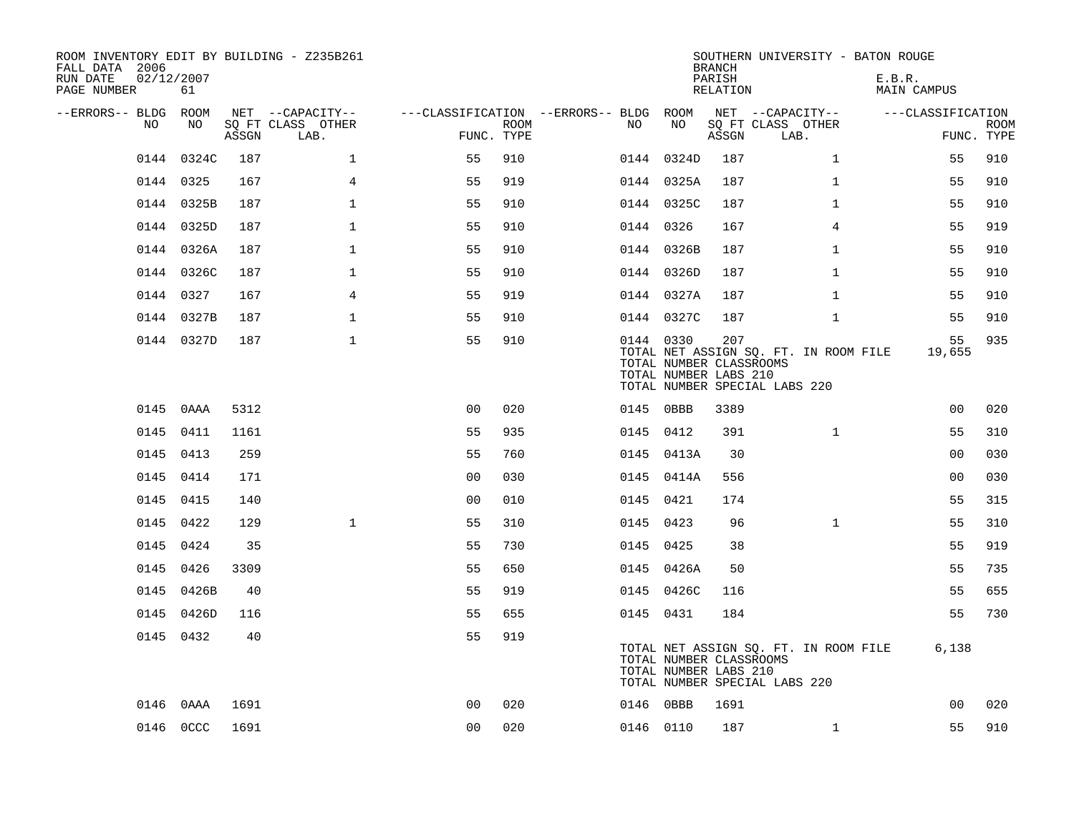| ROOM INVENTORY EDIT BY BUILDING - Z235B261<br>FALL DATA 2006<br>RUN DATE<br>PAGE NUMBER | 02/12/2007<br>61 |       |                           |                                        |                    |           |            | <b>BRANCH</b><br>PARISH<br>RELATION                     | SOUTHERN UNIVERSITY - BATON ROUGE                                      | E.B.R.<br><b>MAIN CAMPUS</b> |             |
|-----------------------------------------------------------------------------------------|------------------|-------|---------------------------|----------------------------------------|--------------------|-----------|------------|---------------------------------------------------------|------------------------------------------------------------------------|------------------------------|-------------|
| --ERRORS-- BLDG ROOM                                                                    |                  |       | NET --CAPACITY--          | ---CLASSIFICATION --ERRORS-- BLDG ROOM |                    |           |            |                                                         | NET --CAPACITY--                                                       | ---CLASSIFICATION            |             |
| NO.                                                                                     | NO.              | ASSGN | SQ FT CLASS OTHER<br>LAB. |                                        | ROOM<br>FUNC. TYPE | NO.       | NO         | ASSGN                                                   | SQ FT CLASS OTHER<br>LAB.                                              | FUNC. TYPE                   | <b>ROOM</b> |
|                                                                                         | 0144 0324C       | 187   | $\mathbf 1$               | 55                                     | 910                |           | 0144 0324D | 187                                                     | $\mathbf{1}$                                                           | 55                           | 910         |
|                                                                                         | 0144 0325        | 167   | $\overline{4}$            | 55                                     | 919                |           | 0144 0325A | 187                                                     | $\mathbf{1}$                                                           | 55                           | 910         |
|                                                                                         | 0144 0325B       | 187   | $\mathbf{1}$              | 55                                     | 910                |           | 0144 0325C | 187                                                     | $\mathbf{1}$                                                           | 55                           | 910         |
|                                                                                         | 0144 0325D       | 187   | $\mathbf{1}$              | 55                                     | 910                | 0144 0326 |            | 167                                                     | $\overline{4}$                                                         | 55                           | 919         |
|                                                                                         | 0144 0326A       | 187   | $\mathbf{1}$              | 55                                     | 910                |           | 0144 0326B | 187                                                     | $\mathbf{1}$                                                           | 55                           | 910         |
|                                                                                         | 0144 0326C       | 187   | $\mathbf 1$               | 55                                     | 910                |           | 0144 0326D | 187                                                     | $\mathbf{1}$                                                           | 55                           | 910         |
|                                                                                         | 0144 0327        | 167   | $\overline{4}$            | 55                                     | 919                |           | 0144 0327A | 187                                                     | $\mathbf{1}$                                                           | 55                           | 910         |
|                                                                                         | 0144 0327B       | 187   | $\mathbf{1}$              | 55                                     | 910                |           | 0144 0327C | 187                                                     | $\mathbf{1}$                                                           | 55                           | 910         |
|                                                                                         | 0144 0327D       | 187   | $\mathbf{1}$              | 55                                     | 910                | 0144 0330 |            | 207<br>TOTAL NUMBER CLASSROOMS<br>TOTAL NUMBER LABS 210 | TOTAL NET ASSIGN SQ. FT. IN ROOM FILE<br>TOTAL NUMBER SPECIAL LABS 220 | 55<br>19,655                 | 935         |
|                                                                                         | 0145 0AAA        | 5312  |                           | 0 <sup>0</sup>                         | 020                | 0145 0BBB |            | 3389                                                    |                                                                        | 0 <sub>0</sub>               | 020         |
|                                                                                         | 0145 0411        | 1161  |                           | 55                                     | 935                | 0145 0412 |            | 391                                                     | $\mathbf{1}$                                                           | 55                           | 310         |
|                                                                                         | 0145 0413        | 259   |                           | 55                                     | 760                |           | 0145 0413A | 30                                                      |                                                                        | 0 <sub>0</sub>               | 030         |
|                                                                                         | 0145 0414        | 171   |                           | 00                                     | 030                |           | 0145 0414A | 556                                                     |                                                                        | 00                           | 030         |
|                                                                                         | 0145 0415        | 140   |                           | 0 <sub>0</sub>                         | 010                | 0145 0421 |            | 174                                                     |                                                                        | 55                           | 315         |
|                                                                                         | 0145 0422        | 129   | $\mathbf{1}$              | 55                                     | 310                | 0145 0423 |            | 96                                                      | $\mathbf{1}$                                                           | 55                           | 310         |
|                                                                                         | 0145 0424        | 35    |                           | 55                                     | 730                | 0145 0425 |            | 38                                                      |                                                                        | 55                           | 919         |
|                                                                                         | 0145 0426        | 3309  |                           | 55                                     | 650                |           | 0145 0426A | 50                                                      |                                                                        | 55                           | 735         |
|                                                                                         | 0145 0426B       | 40    |                           | 55                                     | 919                |           | 0145 0426C | 116                                                     |                                                                        | 55                           | 655         |
|                                                                                         | 0145 0426D       | 116   |                           | 55                                     | 655                | 0145 0431 |            | 184                                                     |                                                                        | 55                           | 730         |
|                                                                                         | 0145 0432        | 40    |                           | 55                                     | 919                |           |            | TOTAL NUMBER CLASSROOMS<br>TOTAL NUMBER LABS 210        | TOTAL NET ASSIGN SQ. FT. IN ROOM FILE<br>TOTAL NUMBER SPECIAL LABS 220 | 6,138                        |             |
| 0146                                                                                    | 0 A A A          | 1691  |                           | 0 <sub>0</sub>                         | 020                | 0146 0BBB |            | 1691                                                    |                                                                        | 0 <sub>0</sub>               | 020         |
|                                                                                         | 0146 0CCC        | 1691  |                           | 0 <sub>0</sub>                         | 020                | 0146 0110 |            | 187                                                     | $\mathbf{1}$                                                           | 55                           | 910         |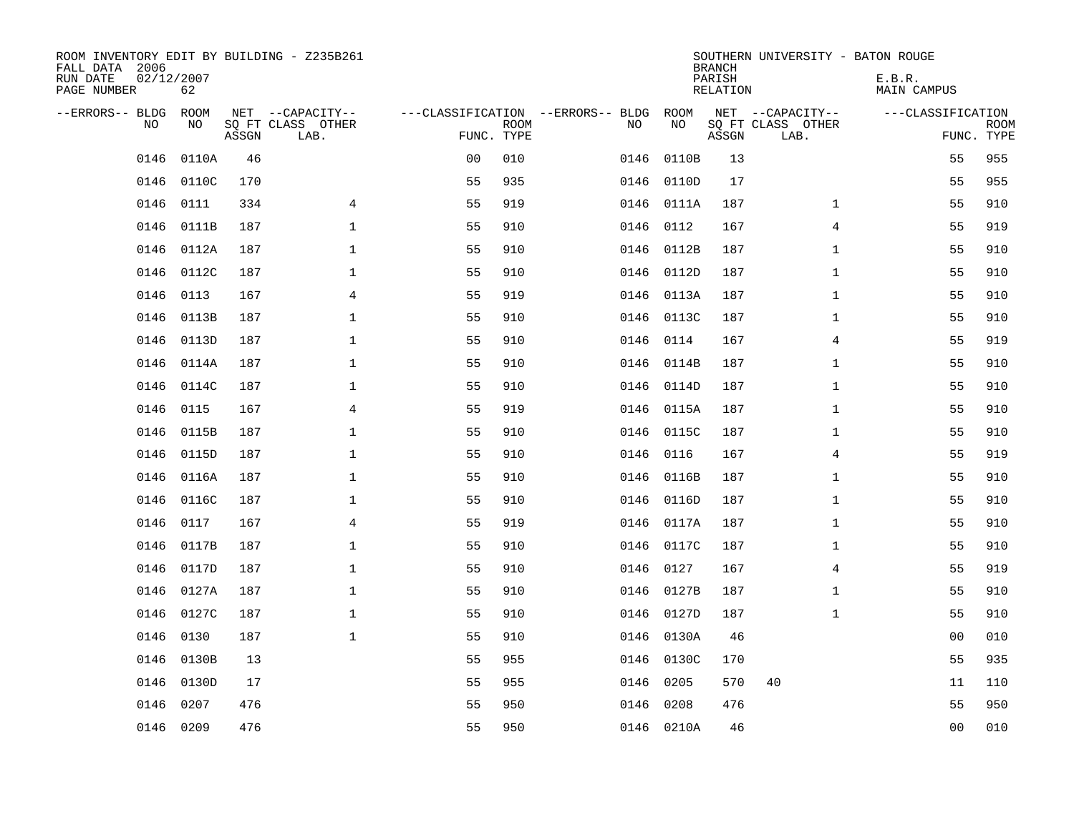| ROOM INVENTORY EDIT BY BUILDING - Z235B261<br>FALL DATA 2006<br>RUN DATE<br>PAGE NUMBER | 02/12/2007<br>62 |       |                                               |                                                      |             |      |            | <b>BRANCH</b><br>PARISH<br><b>RELATION</b> | SOUTHERN UNIVERSITY - BATON ROUGE             | E.B.R.<br><b>MAIN CAMPUS</b> |                           |
|-----------------------------------------------------------------------------------------|------------------|-------|-----------------------------------------------|------------------------------------------------------|-------------|------|------------|--------------------------------------------|-----------------------------------------------|------------------------------|---------------------------|
| --ERRORS-- BLDG ROOM<br>NO                                                              | NO               | ASSGN | NET --CAPACITY--<br>SQ FT CLASS OTHER<br>LAB. | ---CLASSIFICATION --ERRORS-- BLDG ROOM<br>FUNC. TYPE | <b>ROOM</b> | NO   | NO         | ASSGN                                      | NET --CAPACITY--<br>SQ FT CLASS OTHER<br>LAB. | ---CLASSIFICATION            | <b>ROOM</b><br>FUNC. TYPE |
| 0146                                                                                    | 0110A            | 46    |                                               | 0 <sub>0</sub>                                       | 010         | 0146 | 0110B      | 13                                         |                                               | 55                           | 955                       |
| 0146                                                                                    | 0110C            | 170   |                                               | 55                                                   | 935         |      | 0146 0110D | 17                                         |                                               | 55                           | 955                       |
| 0146                                                                                    | 0111             | 334   | 4                                             | 55                                                   | 919         |      | 0146 0111A | 187                                        | $\mathbf{1}$                                  | 55                           | 910                       |
| 0146                                                                                    | 0111B            | 187   | $\mathbf 1$                                   | 55                                                   | 910         |      | 0146 0112  | 167                                        | $\overline{4}$                                | 55                           | 919                       |
| 0146                                                                                    | 0112A            | 187   | $\mathbf{1}$                                  | 55                                                   | 910         |      | 0146 0112B | 187                                        | $\mathbf{1}$                                  | 55                           | 910                       |
| 0146                                                                                    | 0112C            | 187   | $\mathbf{1}$                                  | 55                                                   | 910         |      | 0146 0112D | 187                                        | $\mathbf{1}$                                  | 55                           | 910                       |
| 0146                                                                                    | 0113             | 167   | 4                                             | 55                                                   | 919         |      | 0146 0113A | 187                                        | $\mathbf{1}$                                  | 55                           | 910                       |
| 0146                                                                                    | 0113B            | 187   | $\mathbf 1$                                   | 55                                                   | 910         |      | 0146 0113C | 187                                        | $\mathbf{1}$                                  | 55                           | 910                       |
| 0146                                                                                    | 0113D            | 187   | $\mathbf{1}$                                  | 55                                                   | 910         | 0146 | 0114       | 167                                        | 4                                             | 55                           | 919                       |
| 0146                                                                                    | 0114A            | 187   | $\mathbf 1$                                   | 55                                                   | 910         |      | 0146 0114B | 187                                        | $\mathbf{1}$                                  | 55                           | 910                       |
| 0146                                                                                    | 0114C            | 187   | $\mathbf 1$                                   | 55                                                   | 910         | 0146 | 0114D      | 187                                        | $\mathbf{1}$                                  | 55                           | 910                       |
| 0146                                                                                    | 0115             | 167   | $\overline{4}$                                | 55                                                   | 919         |      | 0146 0115A | 187                                        | $\mathbf{1}$                                  | 55                           | 910                       |
| 0146                                                                                    | 0115B            | 187   | $\mathbf 1$                                   | 55                                                   | 910         | 0146 | 0115C      | 187                                        | $\mathbf{1}$                                  | 55                           | 910                       |
| 0146                                                                                    | 0115D            | 187   | $\mathbf 1$                                   | 55                                                   | 910         | 0146 | 0116       | 167                                        | 4                                             | 55                           | 919                       |
| 0146                                                                                    | 0116A            | 187   | $\mathbf 1$                                   | 55                                                   | 910         | 0146 | 0116B      | 187                                        | $\mathbf{1}$                                  | 55                           | 910                       |
| 0146                                                                                    | 0116C            | 187   | $\mathbf 1$                                   | 55                                                   | 910         |      | 0146 0116D | 187                                        | $\mathbf{1}$                                  | 55                           | 910                       |
| 0146                                                                                    | 0117             | 167   | $\overline{4}$                                | 55                                                   | 919         | 0146 | 0117A      | 187                                        | $\mathbf{1}$                                  | 55                           | 910                       |
| 0146                                                                                    | 0117B            | 187   | $\mathbf{1}$                                  | 55                                                   | 910         |      | 0146 0117C | 187                                        | $\mathbf{1}$                                  | 55                           | 910                       |
|                                                                                         | 0146 0117D       | 187   | $\mathbf{1}$                                  | 55                                                   | 910         |      | 0146 0127  | 167                                        | $\overline{4}$                                | 55                           | 919                       |
| 0146                                                                                    | 0127A            | 187   | $\mathbf 1$                                   | 55                                                   | 910         |      | 0146 0127B | 187                                        | $\mathbf{1}$                                  | 55                           | 910                       |
|                                                                                         | 0146 0127C       | 187   | $\mathbf 1$                                   | 55                                                   | 910         |      | 0146 0127D | 187                                        | $\mathbf{1}$                                  | 55                           | 910                       |
| 0146                                                                                    | 0130             | 187   | $\mathbf{1}$                                  | 55                                                   | 910         | 0146 | 0130A      | 46                                         |                                               | 00                           | 010                       |
| 0146                                                                                    | 0130B            | 13    |                                               | 55                                                   | 955         |      | 0146 0130C | 170                                        |                                               | 55                           | 935                       |
| 0146                                                                                    | 0130D            | 17    |                                               | 55                                                   | 955         | 0146 | 0205       | 570                                        | 40                                            | 11                           | 110                       |
| 0146                                                                                    | 0207             | 476   |                                               | 55                                                   | 950         | 0146 | 0208       | 476                                        |                                               | 55                           | 950                       |
|                                                                                         | 0146 0209        | 476   |                                               | 55                                                   | 950         |      | 0146 0210A | 46                                         |                                               | 0 <sub>0</sub>               | 010                       |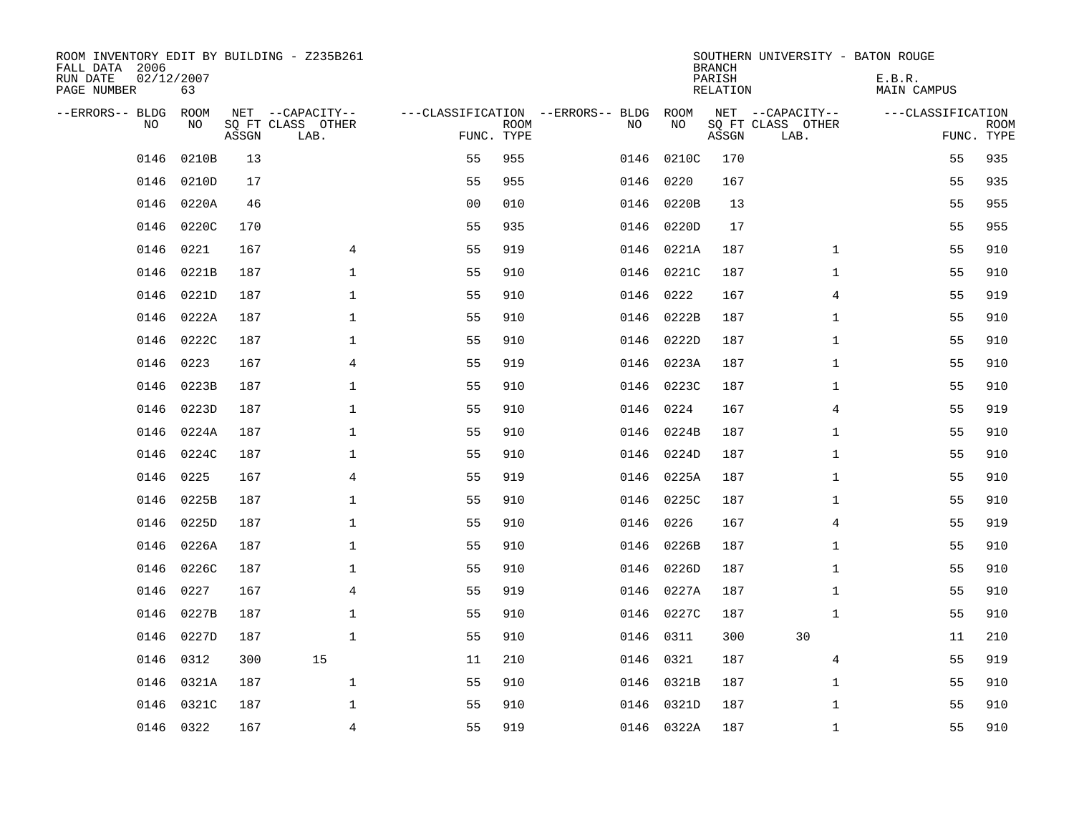| ROOM INVENTORY EDIT BY BUILDING - Z235B261<br>FALL DATA 2006<br>RUN DATE<br>PAGE NUMBER | 02/12/2007<br>63 |       |                           |                |             |                                   |            | <b>BRANCH</b><br>PARISH<br>RELATION | SOUTHERN UNIVERSITY - BATON ROUGE | E.B.R.<br><b>MAIN CAMPUS</b> |                           |
|-----------------------------------------------------------------------------------------|------------------|-------|---------------------------|----------------|-------------|-----------------------------------|------------|-------------------------------------|-----------------------------------|------------------------------|---------------------------|
| --ERRORS-- BLDG                                                                         | ROOM             |       | NET --CAPACITY--          |                |             | ---CLASSIFICATION --ERRORS-- BLDG | ROOM       |                                     | NET --CAPACITY--                  | ---CLASSIFICATION            |                           |
| N <sub>O</sub>                                                                          | NO.              | ASSGN | SO FT CLASS OTHER<br>LAB. | FUNC. TYPE     | <b>ROOM</b> | NO.                               | NO         | ASSGN                               | SQ FT CLASS OTHER<br>LAB.         |                              | <b>ROOM</b><br>FUNC. TYPE |
| 0146                                                                                    | 0210B            | 13    |                           | 55             | 955         | 0146                              | 0210C      | 170                                 |                                   | 55                           | 935                       |
| 0146                                                                                    | 0210D            | 17    |                           | 55             | 955         | 0146                              | 0220       | 167                                 |                                   | 55                           | 935                       |
| 0146                                                                                    | 0220A            | 46    |                           | 0 <sub>0</sub> | 010         | 0146                              | 0220B      | 13                                  |                                   | 55                           | 955                       |
| 0146                                                                                    | 0220C            | 170   |                           | 55             | 935         | 0146                              | 0220D      | 17                                  |                                   | 55                           | 955                       |
| 0146                                                                                    | 0221             | 167   | 4                         | 55             | 919         | 0146                              | 0221A      | 187                                 | $\mathbf{1}$                      | 55                           | 910                       |
| 0146                                                                                    | 0221B            | 187   | $\mathbf 1$               | 55             | 910         | 0146                              | 0221C      | 187                                 | $\mathbf{1}$                      | 55                           | 910                       |
| 0146                                                                                    | 0221D            | 187   | $\mathbf{1}$              | 55             | 910         | 0146                              | 0222       | 167                                 | 4                                 | 55                           | 919                       |
| 0146                                                                                    | 0222A            | 187   | $\mathbf{1}$              | 55             | 910         | 0146                              | 0222B      | 187                                 | $\mathbf{1}$                      | 55                           | 910                       |
| 0146                                                                                    | 0222C            | 187   | $\mathbf{1}$              | 55             | 910         | 0146                              | 0222D      | 187                                 | $\mathbf{1}$                      | 55                           | 910                       |
| 0146                                                                                    | 0223             | 167   | 4                         | 55             | 919         |                                   | 0146 0223A | 187                                 | $\mathbf{1}$                      | 55                           | 910                       |
| 0146                                                                                    | 0223B            | 187   | 1                         | 55             | 910         | 0146                              | 0223C      | 187                                 | $\mathbf{1}$                      | 55                           | 910                       |
| 0146                                                                                    | 0223D            | 187   | $\mathbf 1$               | 55             | 910         | 0146                              | 0224       | 167                                 | 4                                 | 55                           | 919                       |
| 0146                                                                                    | 0224A            | 187   | $\mathbf{1}$              | 55             | 910         | 0146                              | 0224B      | 187                                 | $\mathbf{1}$                      | 55                           | 910                       |
| 0146                                                                                    | 0224C            | 187   | $\mathbf 1$               | 55             | 910         | 0146                              | 0224D      | 187                                 | $\mathbf{1}$                      | 55                           | 910                       |
| 0146                                                                                    | 0225             | 167   | 4                         | 55             | 919         | 0146                              | 0225A      | 187                                 | $\mathbf{1}$                      | 55                           | 910                       |
| 0146                                                                                    | 0225B            | 187   | 1                         | 55             | 910         | 0146                              | 0225C      | 187                                 | $\mathbf{1}$                      | 55                           | 910                       |
| 0146                                                                                    | 0225D            | 187   | $\mathbf 1$               | 55             | 910         | 0146                              | 0226       | 167                                 | 4                                 | 55                           | 919                       |
| 0146                                                                                    | 0226A            | 187   | $\mathbf 1$               | 55             | 910         | 0146                              | 0226B      | 187                                 | $\mathbf{1}$                      | 55                           | 910                       |
| 0146                                                                                    | 0226C            | 187   | $\mathbf 1$               | 55             | 910         | 0146                              | 0226D      | 187                                 | $\mathbf{1}$                      | 55                           | 910                       |
| 0146                                                                                    | 0227             | 167   | $\overline{4}$            | 55             | 919         | 0146                              | 0227A      | 187                                 | $\mathbf{1}$                      | 55                           | 910                       |
| 0146                                                                                    | 0227B            | 187   | 1                         | 55             | 910         |                                   | 0146 0227C | 187                                 | $\mathbf{1}$                      | 55                           | 910                       |
| 0146                                                                                    | 0227D            | 187   | $\mathbf 1$               | 55             | 910         | 0146                              | 0311       | 300                                 | 30                                | 11                           | 210                       |
| 0146                                                                                    | 0312             | 300   | 15                        | 11             | 210         | 0146                              | 0321       | 187                                 | 4                                 | 55                           | 919                       |
| 0146                                                                                    | 0321A            | 187   | $\mathbf{1}$              | 55             | 910         |                                   | 0146 0321B | 187                                 | $\mathbf{1}$                      | 55                           | 910                       |
| 0146                                                                                    | 0321C            | 187   | $\mathbf 1$               | 55             | 910         |                                   | 0146 0321D | 187                                 | $\mathbf{1}$                      | 55                           | 910                       |
|                                                                                         | 0146 0322        | 167   | $\overline{4}$            | 55             | 919         |                                   | 0146 0322A | 187                                 | $\mathbf{1}$                      | 55                           | 910                       |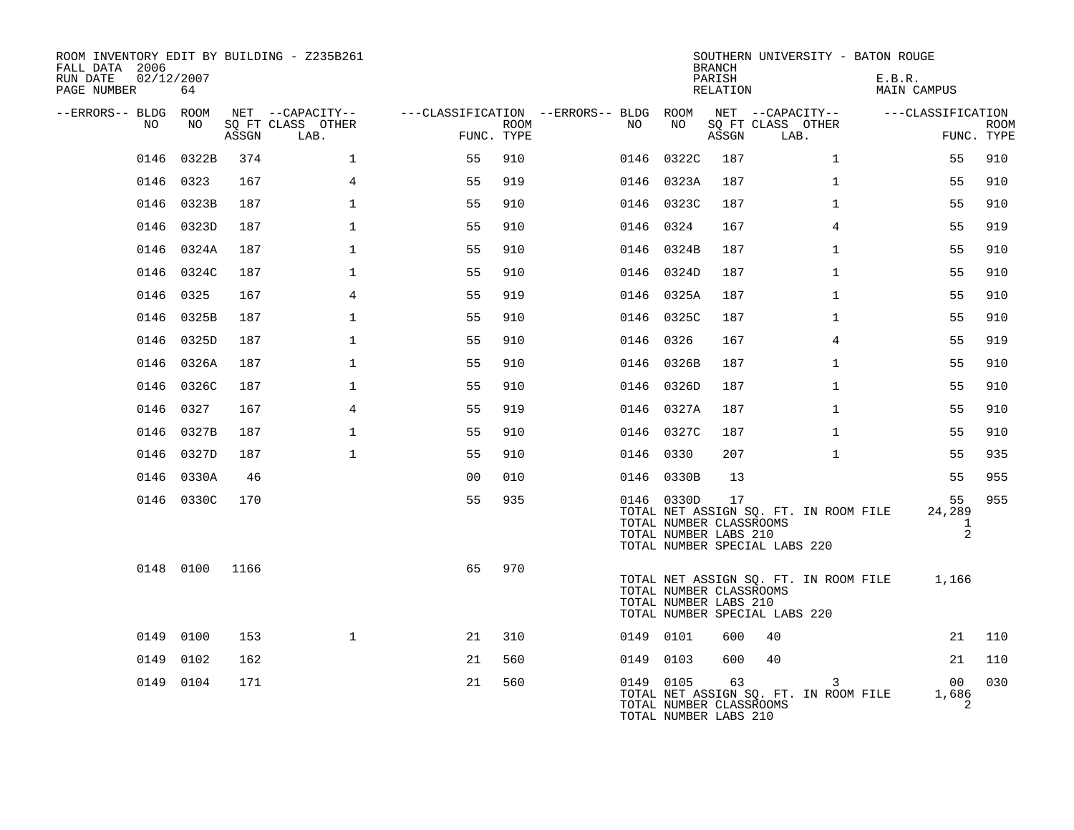| ROOM INVENTORY EDIT BY BUILDING - Z235B261<br>FALL DATA 2006<br>02/12/2007<br>RUN DATE<br>PAGE NUMBER | 64         |       |                           |                |      |                                        |                                                                | <b>BRANCH</b><br>PARISH<br>RELATION | SOUTHERN UNIVERSITY - BATON ROUGE                                      | E.B.R.<br>MAIN CAMPUS  |                           |
|-------------------------------------------------------------------------------------------------------|------------|-------|---------------------------|----------------|------|----------------------------------------|----------------------------------------------------------------|-------------------------------------|------------------------------------------------------------------------|------------------------|---------------------------|
| --ERRORS-- BLDG ROOM                                                                                  |            |       | NET --CAPACITY--          |                |      | ---CLASSIFICATION --ERRORS-- BLDG ROOM |                                                                |                                     | NET --CAPACITY--                                                       | ---CLASSIFICATION      |                           |
| NO.                                                                                                   | NO         | ASSGN | SO FT CLASS OTHER<br>LAB. | FUNC. TYPE     | ROOM | NO                                     | NO                                                             | ASSGN                               | SQ FT CLASS OTHER<br>LAB.                                              |                        | <b>ROOM</b><br>FUNC. TYPE |
|                                                                                                       | 0146 0322B | 374   | $\mathbf 1$               | 55             | 910  |                                        | 0146 0322C                                                     | 187                                 | $\mathbf{1}$                                                           | 55                     | 910                       |
|                                                                                                       | 0146 0323  | 167   | 4                         | 55             | 919  |                                        | 0146 0323A                                                     | 187                                 | $\mathbf{1}$                                                           | 55                     | 910                       |
|                                                                                                       | 0146 0323B | 187   | $\mathbf 1$               | 55             | 910  |                                        | 0146 0323C                                                     | 187                                 | $\mathbf{1}$                                                           | 55                     | 910                       |
|                                                                                                       | 0146 0323D | 187   | $\mathbf{1}$              | 55             | 910  |                                        | 0146 0324                                                      | 167                                 | $\overline{4}$                                                         | 55                     | 919                       |
|                                                                                                       | 0146 0324A | 187   | $\mathbf{1}$              | 55             | 910  |                                        | 0146 0324B                                                     | 187                                 | $\mathbf{1}$                                                           | 55                     | 910                       |
|                                                                                                       | 0146 0324C | 187   | $\mathbf{1}$              | 55             | 910  |                                        | 0146 0324D                                                     | 187                                 | $\mathbf{1}$                                                           | 55                     | 910                       |
|                                                                                                       | 0146 0325  | 167   | 4                         | 55             | 919  |                                        | 0146 0325A                                                     | 187                                 | $\mathbf{1}$                                                           | 55                     | 910                       |
|                                                                                                       | 0146 0325B | 187   | $\mathbf{1}$              | 55             | 910  |                                        | 0146 0325C                                                     | 187                                 | $\mathbf{1}$                                                           | 55                     | 910                       |
|                                                                                                       | 0146 0325D | 187   | $\mathbf{1}$              | 55             | 910  |                                        | 0146 0326                                                      | 167                                 | $\overline{4}$                                                         | 55                     | 919                       |
|                                                                                                       | 0146 0326A | 187   | $\mathbf{1}$              | 55             | 910  |                                        | 0146 0326B                                                     | 187                                 | $\mathbf{1}$                                                           | 55                     | 910                       |
|                                                                                                       | 0146 0326C | 187   | $\mathbf{1}$              | 55             | 910  |                                        | 0146 0326D                                                     | 187                                 | $\mathbf{1}$                                                           | 55                     | 910                       |
|                                                                                                       | 0146 0327  | 167   | 4                         | 55             | 919  |                                        | 0146 0327A                                                     | 187                                 | $\mathbf{1}$                                                           | 55                     | 910                       |
|                                                                                                       | 0146 0327B | 187   | $\mathbf{1}$              | 55             | 910  |                                        | 0146 0327C                                                     | 187                                 | $\mathbf{1}$                                                           | 55                     | 910                       |
|                                                                                                       | 0146 0327D | 187   | $\mathbf{1}$              | 55             | 910  |                                        | 0146 0330                                                      | 207                                 | $\mathbf{1}$                                                           | 55                     | 935                       |
|                                                                                                       | 0146 0330A | 46    |                           | 0 <sub>0</sub> | 010  |                                        | 0146 0330B                                                     | 13                                  |                                                                        | 55                     | 955                       |
|                                                                                                       | 0146 0330C | 170   |                           | 55             | 935  |                                        | 0146 0330D<br>TOTAL NUMBER CLASSROOMS<br>TOTAL NUMBER LABS 210 | 17                                  | TOTAL NET ASSIGN SQ. FT. IN ROOM FILE<br>TOTAL NUMBER SPECIAL LABS 220 | 55<br>24,289<br>1<br>2 | 955                       |
|                                                                                                       | 0148 0100  | 1166  |                           | 65             | 970  |                                        | TOTAL NUMBER CLASSROOMS<br>TOTAL NUMBER LABS 210               |                                     | TOTAL NET ASSIGN SQ. FT. IN ROOM FILE<br>TOTAL NUMBER SPECIAL LABS 220 | 1,166                  |                           |
|                                                                                                       | 0149 0100  | 153   | $\mathbf{1}$              | 21             | 310  |                                        | 0149 0101                                                      | 600                                 | 40                                                                     | 21                     | 110                       |
| 0149                                                                                                  | 0102       | 162   |                           | 21             | 560  |                                        | 0149 0103                                                      | 600                                 | 40                                                                     | 21                     | 110                       |
|                                                                                                       | 0149 0104  | 171   |                           | 21             | 560  |                                        | 0149 0105<br>TOTAL NUMBER CLASSROOMS<br>TOTAL NUMBER LABS 210  | 63                                  | 3<br>TOTAL NET ASSIGN SQ. FT. IN ROOM FILE                             | 00<br>1,686<br>2       | 030                       |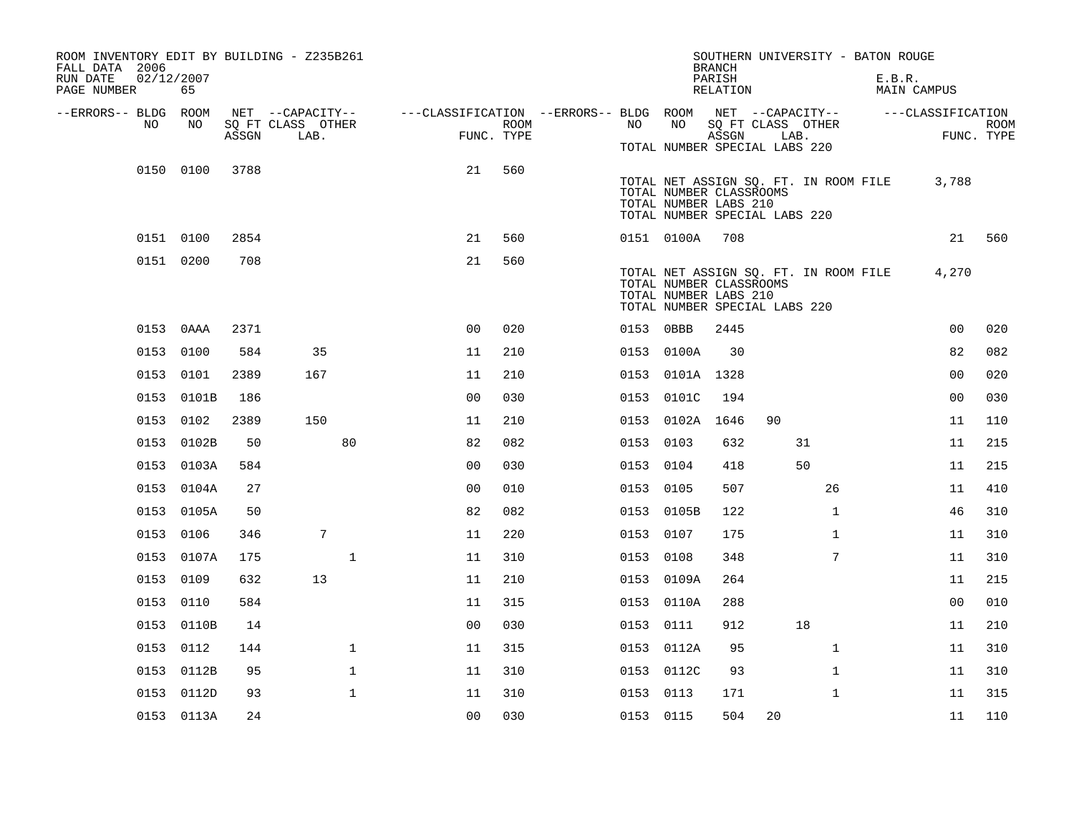| ROOM INVENTORY EDIT BY BUILDING - Z235B261<br>FALL DATA 2006 |                  |       |                                       |                                                                             |      |           |                 | <b>BRANCH</b>                                                                     |    | SOUTHERN UNIVERSITY - BATON ROUGE     |                       |            |
|--------------------------------------------------------------|------------------|-------|---------------------------------------|-----------------------------------------------------------------------------|------|-----------|-----------------|-----------------------------------------------------------------------------------|----|---------------------------------------|-----------------------|------------|
| RUN DATE<br>PAGE NUMBER                                      | 02/12/2007<br>65 |       |                                       |                                                                             |      |           |                 | PARISH<br>RELATION                                                                |    |                                       | E.B.R.<br>MAIN CAMPUS |            |
| --ERRORS-- BLDG ROOM<br>NO                                   | NO               |       | NET --CAPACITY--<br>SQ FT CLASS OTHER | ---CLASSIFICATION --ERRORS-- BLDG ROOM NET --CAPACITY-- -----CLASSIFICATION | ROOM | NO        | NO              | SQ FT CLASS OTHER                                                                 |    |                                       |                       | ROOM       |
|                                                              |                  | ASSGN | LAB.                                  | FUNC. TYPE                                                                  |      |           |                 | ASSGN<br>TOTAL NUMBER SPECIAL LABS 220                                            |    | LAB.                                  |                       | FUNC. TYPE |
|                                                              | 0150 0100        | 3788  |                                       | 21                                                                          | 560  |           |                 | TOTAL NUMBER CLASSROOMS<br>TOTAL NUMBER LABS 210<br>TOTAL NUMBER SPECIAL LABS 220 |    | TOTAL NET ASSIGN SQ. FT. IN ROOM FILE | 3,788                 |            |
|                                                              | 0151 0100        | 2854  |                                       | 21                                                                          | 560  |           | 0151 0100A      | 708                                                                               |    |                                       |                       | 21 560     |
|                                                              | 0151 0200        | 708   |                                       | 21                                                                          | 560  |           |                 | TOTAL NUMBER CLASSROOMS<br>TOTAL NUMBER LABS 210<br>TOTAL NUMBER SPECIAL LABS 220 |    | TOTAL NET ASSIGN SQ. FT. IN ROOM FILE | 4,270                 |            |
|                                                              | 0153 0AAA        | 2371  |                                       | 0 <sub>0</sub>                                                              | 020  | 0153 0BBB |                 | 2445                                                                              |    |                                       | 0 <sub>0</sub>        | 020        |
|                                                              | 0153 0100        | 584   | 35                                    | 11                                                                          | 210  |           | 0153 0100A      | 30                                                                                |    |                                       | 82                    | 082        |
|                                                              | 0153 0101        | 2389  | 167                                   | 11                                                                          | 210  |           | 0153 0101A 1328 |                                                                                   |    |                                       | 0 <sub>0</sub>        | 020        |
|                                                              | 0153 0101B       | 186   |                                       | 0 <sub>0</sub>                                                              | 030  |           | 0153 0101C      | 194                                                                               |    |                                       | 0 <sub>0</sub>        | 030        |
|                                                              | 0153 0102        | 2389  | 150                                   | 11                                                                          | 210  |           | 0153 0102A 1646 |                                                                                   | 90 |                                       | 11                    | 110        |
|                                                              | 0153 0102B       | 50    | 80                                    | 82                                                                          | 082  | 0153 0103 |                 | 632                                                                               |    | 31                                    | 11                    | 215        |
|                                                              | 0153 0103A       | 584   |                                       | 0 <sub>0</sub>                                                              | 030  | 0153 0104 |                 | 418                                                                               |    | 50                                    | 11                    | 215        |
|                                                              | 0153 0104A       | 27    |                                       | 0 <sub>0</sub>                                                              | 010  | 0153 0105 |                 | 507                                                                               |    | 26                                    | 11                    | 410        |
|                                                              | 0153 0105A       | 50    |                                       | 82                                                                          | 082  |           | 0153 0105B      | 122                                                                               |    | $\mathbf{1}$                          | 46                    | 310        |
|                                                              | 0153 0106        | 346   | $7\phantom{.0}$                       | 11                                                                          | 220  | 0153 0107 |                 | 175                                                                               |    | $\mathbf{1}$                          | 11                    | 310        |
|                                                              | 0153 0107A       | 175   | $\mathbf 1$                           | 11                                                                          | 310  | 0153 0108 |                 | 348                                                                               |    | 7                                     | 11                    | 310        |
|                                                              | 0153 0109        | 632   | 13                                    | 11                                                                          | 210  |           | 0153 0109A      | 264                                                                               |    |                                       | 11                    | 215        |
|                                                              | 0153 0110        | 584   |                                       | 11                                                                          | 315  |           | 0153 0110A      | 288                                                                               |    |                                       | 0 <sub>0</sub>        | 010        |
|                                                              | 0153 0110B       | 14    |                                       | 00                                                                          | 030  | 0153 0111 |                 | 912                                                                               |    | 18                                    | 11                    | 210        |
|                                                              | 0153 0112        | 144   | $\mathbf 1$                           | 11                                                                          | 315  |           | 0153 0112A      | 95                                                                                |    | $\mathbf{1}$                          | 11                    | 310        |
|                                                              | 0153 0112B       | 95    | $\mathbf 1$                           | 11                                                                          | 310  |           | 0153 0112C      | 93                                                                                |    | $\mathbf{1}$                          | 11                    | 310        |
|                                                              | 0153 0112D       | 93    | $\mathbf 1$                           | 11                                                                          | 310  | 0153 0113 |                 | 171                                                                               |    | $\mathbf{1}$                          | 11                    | 315        |
|                                                              | 0153 0113A       | 24    |                                       | 0 <sub>0</sub>                                                              | 030  | 0153 0115 |                 | 504                                                                               | 20 |                                       | 11                    | 110        |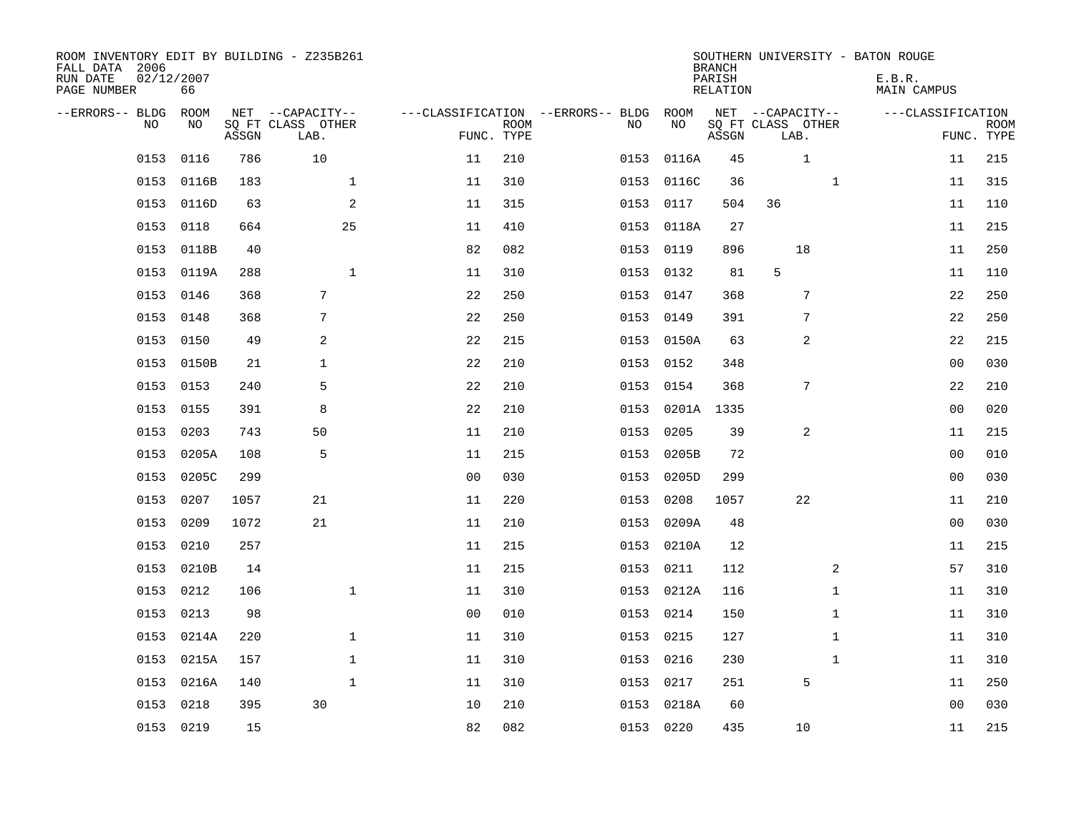| ROOM INVENTORY EDIT BY BUILDING - Z235B261<br>FALL DATA 2006<br>RUN DATE<br>PAGE NUMBER | 02/12/2007<br>66 |       |                                               |                |                           |                                              |            | <b>BRANCH</b><br>PARISH<br><b>RELATION</b> |                                               | SOUTHERN UNIVERSITY - BATON ROUGE<br>E.B.R.<br><b>MAIN CAMPUS</b> |                           |
|-----------------------------------------------------------------------------------------|------------------|-------|-----------------------------------------------|----------------|---------------------------|----------------------------------------------|------------|--------------------------------------------|-----------------------------------------------|-------------------------------------------------------------------|---------------------------|
| --ERRORS-- BLDG<br>NO                                                                   | ROOM<br>NO       | ASSGN | NET --CAPACITY--<br>SQ FT CLASS OTHER<br>LAB. |                | <b>ROOM</b><br>FUNC. TYPE | ---CLASSIFICATION --ERRORS-- BLDG ROOM<br>NO | NO         | ASSGN                                      | NET --CAPACITY--<br>SQ FT CLASS OTHER<br>LAB. | ---CLASSIFICATION                                                 | <b>ROOM</b><br>FUNC. TYPE |
| 0153                                                                                    | 0116             | 786   | 10                                            | 11             | 210                       | 0153                                         | 0116A      | 45                                         | 1                                             | 11                                                                | 215                       |
| 0153                                                                                    | 0116B            | 183   | $\mathbf 1$                                   | 11             | 310                       | 0153                                         | 0116C      | 36                                         | $\mathbf{1}$                                  | 11                                                                | 315                       |
| 0153                                                                                    | 0116D            | 63    | 2                                             | 11             | 315                       | 0153                                         | 0117       | 504                                        | 36                                            | 11                                                                | 110                       |
| 0153                                                                                    | 0118             | 664   | 25                                            | 11             | 410                       |                                              | 0153 0118A | 27                                         |                                               | 11                                                                | 215                       |
| 0153                                                                                    | 0118B            | 40    |                                               | 82             | 082                       | 0153                                         | 0119       | 896                                        | 18                                            | 11                                                                | 250                       |
|                                                                                         | 0153 0119A       | 288   | $\mathbf{1}$                                  | 11             | 310                       |                                              | 0153 0132  | 81                                         | 5                                             | 11                                                                | 110                       |
| 0153                                                                                    | 0146             | 368   | $7\phantom{.0}$                               | 22             | 250                       | 0153                                         | 0147       | 368                                        | $\overline{7}$                                | 22                                                                | 250                       |
|                                                                                         | 0153 0148        | 368   | 7                                             | 22             | 250                       |                                              | 0153 0149  | 391                                        | 7                                             | 22                                                                | 250                       |
| 0153                                                                                    | 0150             | 49    | 2                                             | 22             | 215                       | 0153                                         | 0150A      | 63                                         | 2                                             | 22                                                                | 215                       |
|                                                                                         | 0153 0150B       | 21    | $\mathbf{1}$                                  | 22             | 210                       |                                              | 0153 0152  | 348                                        |                                               | 0 <sub>0</sub>                                                    | 030                       |
| 0153                                                                                    | 0153             | 240   | 5                                             | 22             | 210                       | 0153                                         | 0154       | 368                                        | 7                                             | 22                                                                | 210                       |
| 0153                                                                                    | 0155             | 391   | 8                                             | 22             | 210                       | 0153                                         | 0201A 1335 |                                            |                                               | 0 <sub>0</sub>                                                    | 020                       |
| 0153                                                                                    | 0203             | 743   | 50                                            | 11             | 210                       | 0153                                         | 0205       | 39                                         | 2                                             | 11                                                                | 215                       |
| 0153                                                                                    | 0205A            | 108   | 5                                             | 11             | 215                       | 0153                                         | 0205B      | 72                                         |                                               | 00                                                                | 010                       |
| 0153                                                                                    | 0205C            | 299   |                                               | 0 <sub>0</sub> | 030                       | 0153                                         | 0205D      | 299                                        |                                               | 0 <sub>0</sub>                                                    | 030                       |
| 0153                                                                                    | 0207             | 1057  | 21                                            | 11             | 220                       | 0153                                         | 0208       | 1057                                       | 22                                            | 11                                                                | 210                       |
| 0153                                                                                    | 0209             | 1072  | 21                                            | 11             | 210                       | 0153                                         | 0209A      | 48                                         |                                               | 0 <sub>0</sub>                                                    | 030                       |
| 0153                                                                                    | 0210             | 257   |                                               | 11             | 215                       |                                              | 0153 0210A | 12                                         |                                               | 11                                                                | 215                       |
|                                                                                         | 0153 0210B       | 14    |                                               | 11             | 215                       |                                              | 0153 0211  | 112                                        | 2                                             | 57                                                                | 310                       |
| 0153                                                                                    | 0212             | 106   | $\mathbf 1$                                   | 11             | 310                       |                                              | 0153 0212A | 116                                        | $\mathbf{1}$                                  | 11                                                                | 310                       |
| 0153                                                                                    | 0213             | 98    |                                               | 0 <sub>0</sub> | 010                       |                                              | 0153 0214  | 150                                        | $\mathbf{1}$                                  | 11                                                                | 310                       |
| 0153                                                                                    | 0214A            | 220   | $\mathbf 1$                                   | 11             | 310                       | 0153                                         | 0215       | 127                                        | $\mathbf{1}$                                  | 11                                                                | 310                       |
|                                                                                         | 0153 0215A       | 157   | $\mathbf 1$                                   | 11             | 310                       | 0153                                         | 0216       | 230                                        | $\mathbf{1}$                                  | 11                                                                | 310                       |
| 0153                                                                                    | 0216A            | 140   | $\mathbf{1}$                                  | 11             | 310                       | 0153                                         | 0217       | 251                                        | 5                                             | 11                                                                | 250                       |
| 0153                                                                                    | 0218             | 395   | 30                                            | 10             | 210                       | 0153                                         | 0218A      | 60                                         |                                               | 0 <sub>0</sub>                                                    | 030                       |
|                                                                                         | 0153 0219        | 15    |                                               | 82             | 082                       |                                              | 0153 0220  | 435                                        | 10                                            | 11                                                                | 215                       |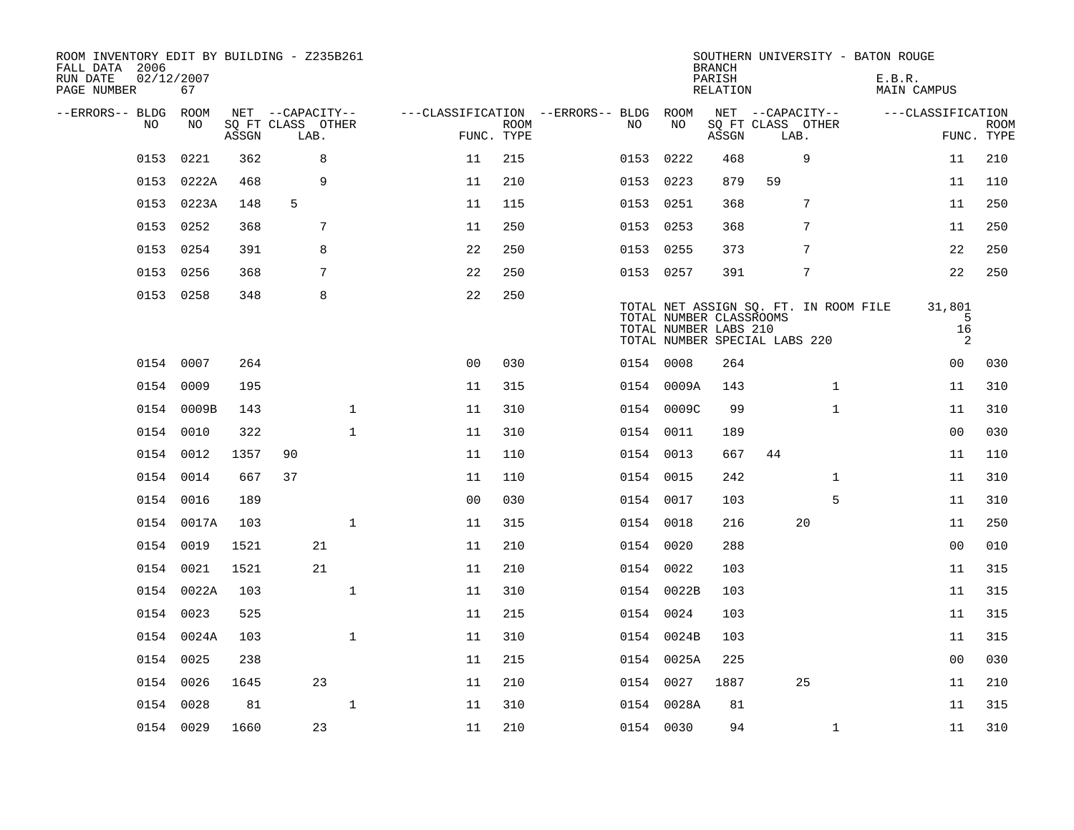| ROOM INVENTORY EDIT BY BUILDING - Z235B261<br>FALL DATA 2006<br>RUN DATE<br>PAGE NUMBER | 02/12/2007<br>67 |       |                           |              |                                   |                           |           |                                                  | <b>BRANCH</b><br>PARISH<br>RELATION |                               | SOUTHERN UNIVERSITY - BATON ROUGE     | E.B.R. | MAIN CAMPUS            |                           |
|-----------------------------------------------------------------------------------------|------------------|-------|---------------------------|--------------|-----------------------------------|---------------------------|-----------|--------------------------------------------------|-------------------------------------|-------------------------------|---------------------------------------|--------|------------------------|---------------------------|
| --ERRORS-- BLDG                                                                         | ROOM             |       | NET --CAPACITY--          |              | ---CLASSIFICATION --ERRORS-- BLDG |                           |           | ROOM                                             |                                     | NET --CAPACITY--              |                                       |        | ---CLASSIFICATION      |                           |
| NO.                                                                                     | NO.              | ASSGN | SQ FT CLASS OTHER<br>LAB. |              |                                   | <b>ROOM</b><br>FUNC. TYPE | NO.       | NO                                               | ASSGN                               | SQ FT CLASS OTHER<br>LAB.     |                                       |        |                        | <b>ROOM</b><br>FUNC. TYPE |
| 0153                                                                                    | 0221             | 362   | 8                         |              | 11                                | 215                       | 0153      | 0222                                             | 468                                 |                               | 9                                     |        | 11                     | 210                       |
| 0153                                                                                    | 0222A            | 468   | 9                         |              | 11                                | 210                       | 0153      | 0223                                             | 879                                 | 59                            |                                       |        | 11                     | 110                       |
| 0153                                                                                    | 0223A            | 148   | 5                         |              | 11                                | 115                       | 0153      | 0251                                             | 368                                 |                               | 7                                     |        | 11                     | 250                       |
| 0153                                                                                    | 0252             | 368   | 7                         |              | 11                                | 250                       | 0153 0253 |                                                  | 368                                 |                               | 7                                     |        | 11                     | 250                       |
| 0153                                                                                    | 0254             | 391   | 8                         |              | 22                                | 250                       | 0153 0255 |                                                  | 373                                 |                               | 7                                     |        | 22                     | 250                       |
|                                                                                         | 0153 0256        | 368   | 7                         |              | 22                                | 250                       | 0153 0257 |                                                  | 391                                 |                               | 7                                     |        | 22                     | 250                       |
|                                                                                         | 0153 0258        | 348   | 8                         |              | 22                                | 250                       |           | TOTAL NUMBER CLASSROOMS<br>TOTAL NUMBER LABS 210 |                                     | TOTAL NUMBER SPECIAL LABS 220 | TOTAL NET ASSIGN SQ. FT. IN ROOM FILE |        | 31,801<br>5<br>16<br>2 |                           |
|                                                                                         | 0154 0007        | 264   |                           |              | 0 <sub>0</sub>                    | 030                       | 0154 0008 |                                                  | 264                                 |                               |                                       |        | 00                     | 030                       |
| 0154                                                                                    | 0009             | 195   |                           |              | 11                                | 315                       |           | 0154 0009A                                       | 143                                 |                               | $\mathbf{1}$                          |        | 11                     | 310                       |
|                                                                                         | 0154 0009B       | 143   |                           | $\mathbf{1}$ | 11                                | 310                       |           | 0154 0009C                                       | 99                                  |                               | $\mathbf{1}$                          |        | 11                     | 310                       |
| 0154                                                                                    | 0010             | 322   |                           | $\mathbf 1$  | 11                                | 310                       | 0154 0011 |                                                  | 189                                 |                               |                                       |        | 0 <sub>0</sub>         | 030                       |
|                                                                                         | 0154 0012        | 1357  | 90                        |              | 11                                | 110                       | 0154 0013 |                                                  | 667                                 | 44                            |                                       |        | 11                     | 110                       |
|                                                                                         | 0154 0014        | 667   | 37                        |              | 11                                | 110                       | 0154 0015 |                                                  | 242                                 |                               | $\mathbf{1}$                          |        | 11                     | 310                       |
|                                                                                         | 0154 0016        | 189   |                           |              | 0 <sub>0</sub>                    | 030                       | 0154 0017 |                                                  | 103                                 |                               | 5                                     |        | 11                     | 310                       |
|                                                                                         | 0154 0017A       | 103   |                           | $\mathbf 1$  | 11                                | 315                       | 0154 0018 |                                                  | 216                                 |                               | 20                                    |        | 11                     | 250                       |
|                                                                                         | 0154 0019        | 1521  | 21                        |              | 11                                | 210                       | 0154 0020 |                                                  | 288                                 |                               |                                       |        | 00                     | 010                       |
|                                                                                         | 0154 0021        | 1521  | 21                        |              | 11                                | 210                       | 0154 0022 |                                                  | 103                                 |                               |                                       |        | 11                     | 315                       |
|                                                                                         | 0154 0022A       | 103   |                           | $\mathbf{1}$ | 11                                | 310                       |           | 0154 0022B                                       | 103                                 |                               |                                       |        | 11                     | 315                       |
|                                                                                         | 0154 0023        | 525   |                           |              | 11                                | 215                       | 0154 0024 |                                                  | 103                                 |                               |                                       |        | 11                     | 315                       |
|                                                                                         | 0154 0024A       | 103   |                           | $\mathbf{1}$ | 11                                | 310                       |           | 0154 0024B                                       | 103                                 |                               |                                       |        | 11                     | 315                       |
|                                                                                         | 0154 0025        | 238   |                           |              | 11                                | 215                       |           | 0154 0025A                                       | 225                                 |                               |                                       |        | 0 <sub>0</sub>         | 030                       |
|                                                                                         | 0154 0026        | 1645  | 23                        |              | 11                                | 210                       | 0154 0027 |                                                  | 1887                                |                               | 25                                    |        | 11                     | 210                       |
|                                                                                         | 0154 0028        | 81    |                           | $\mathbf 1$  | 11                                | 310                       |           | 0154 0028A                                       | 81                                  |                               |                                       |        | 11                     | 315                       |
|                                                                                         | 0154 0029        | 1660  | 23                        |              | 11                                | 210                       | 0154 0030 |                                                  | 94                                  |                               | $\mathbf{1}$                          |        | 11                     | 310                       |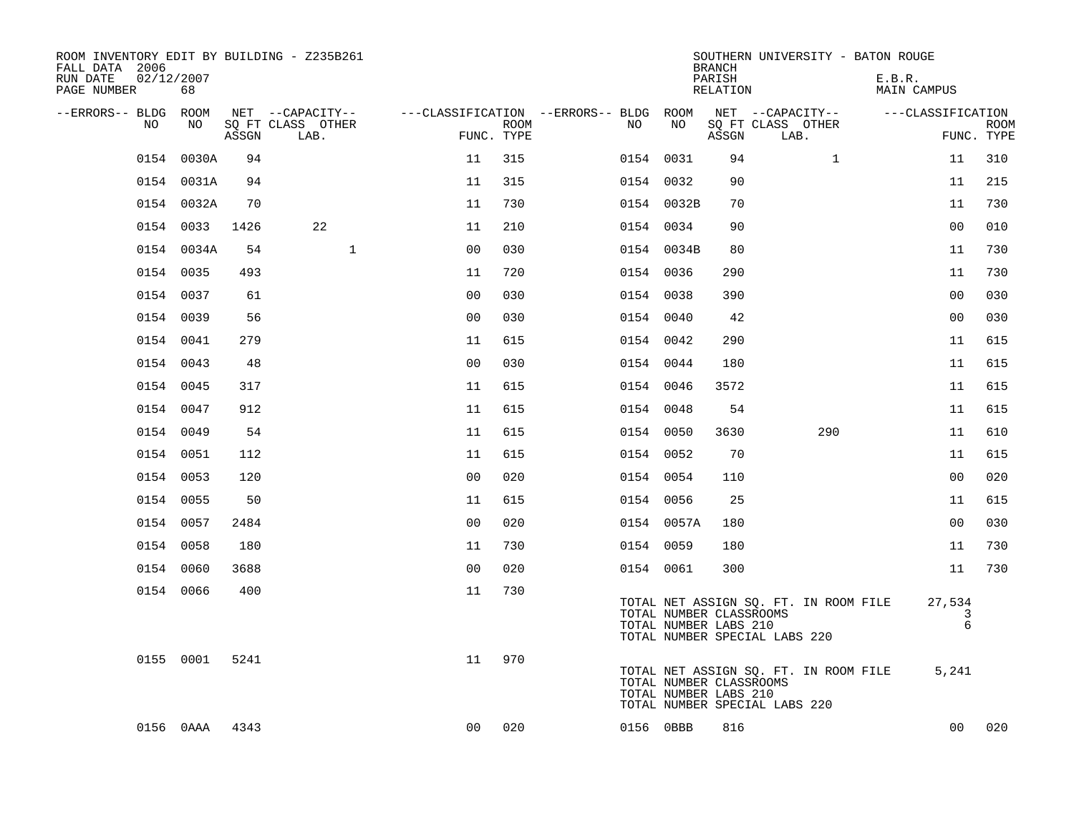| ROOM INVENTORY EDIT BY BUILDING - Z235B261<br>FALL DATA 2006<br>RUN DATE<br>PAGE NUMBER | 02/12/2007<br>68 |       |                           |                |                    |                                        |                                                  | <b>BRANCH</b><br>PARISH<br>RELATION | SOUTHERN UNIVERSITY - BATON ROUGE                                      | E.B.R.<br>MAIN CAMPUS     |                           |
|-----------------------------------------------------------------------------------------|------------------|-------|---------------------------|----------------|--------------------|----------------------------------------|--------------------------------------------------|-------------------------------------|------------------------------------------------------------------------|---------------------------|---------------------------|
| --ERRORS-- BLDG ROOM                                                                    |                  |       | NET --CAPACITY--          |                |                    | ---CLASSIFICATION --ERRORS-- BLDG ROOM |                                                  |                                     | NET --CAPACITY--                                                       | ---CLASSIFICATION         |                           |
| NO.                                                                                     | NO.              | ASSGN | SO FT CLASS OTHER<br>LAB. |                | ROOM<br>FUNC. TYPE | NO.                                    | NO                                               | ASSGN                               | SQ FT CLASS OTHER<br>LAB.                                              |                           | <b>ROOM</b><br>FUNC. TYPE |
| 0154                                                                                    | 0030A            | 94    |                           | 11             | 315                |                                        | 0154 0031                                        | 94                                  | $\mathbf{1}$                                                           | 11                        | 310                       |
|                                                                                         | 0154 0031A       | 94    |                           | 11             | 315                |                                        | 0154 0032                                        | 90                                  |                                                                        | 11                        | 215                       |
|                                                                                         | 0154 0032A       | 70    |                           | 11             | 730                |                                        | 0154 0032B                                       | 70                                  |                                                                        | 11                        | 730                       |
|                                                                                         | 0154 0033        | 1426  | 22                        | 11             | 210                |                                        | 0154 0034                                        | 90                                  |                                                                        | 0 <sub>0</sub>            | 010                       |
|                                                                                         | 0154 0034A       | 54    | $\mathbf{1}$              | 0 <sub>0</sub> | 030                |                                        | 0154 0034B                                       | 80                                  |                                                                        | 11                        | 730                       |
|                                                                                         | 0154 0035        | 493   |                           | 11             | 720                |                                        | 0154 0036                                        | 290                                 |                                                                        | 11                        | 730                       |
|                                                                                         | 0154 0037        | 61    |                           | 0 <sub>0</sub> | 030                |                                        | 0154 0038                                        | 390                                 |                                                                        | 0 <sub>0</sub>            | 030                       |
|                                                                                         | 0154 0039        | 56    |                           | 0 <sub>0</sub> | 030                |                                        | 0154 0040                                        | 42                                  |                                                                        | 0 <sub>0</sub>            | 030                       |
|                                                                                         | 0154 0041        | 279   |                           | 11             | 615                |                                        | 0154 0042                                        | 290                                 |                                                                        | 11                        | 615                       |
|                                                                                         | 0154 0043        | 48    |                           | 0 <sub>0</sub> | 030                |                                        | 0154 0044                                        | 180                                 |                                                                        | 11                        | 615                       |
|                                                                                         | 0154 0045        | 317   |                           | 11             | 615                |                                        | 0154 0046                                        | 3572                                |                                                                        | 11                        | 615                       |
|                                                                                         | 0154 0047        | 912   |                           | 11             | 615                |                                        | 0154 0048                                        | 54                                  |                                                                        | 11                        | 615                       |
|                                                                                         | 0154 0049        | 54    |                           | 11             | 615                |                                        | 0154 0050                                        | 3630                                | 290                                                                    | 11                        | 610                       |
|                                                                                         | 0154 0051        | 112   |                           | 11             | 615                |                                        | 0154 0052                                        | 70                                  |                                                                        | 11                        | 615                       |
|                                                                                         | 0154 0053        | 120   |                           | 0 <sub>0</sub> | 020                |                                        | 0154 0054                                        | 110                                 |                                                                        | 0 <sub>0</sub>            | 020                       |
|                                                                                         | 0154 0055        | 50    |                           | 11             | 615                |                                        | 0154 0056                                        | 25                                  |                                                                        | 11                        | 615                       |
|                                                                                         | 0154 0057        | 2484  |                           | 0 <sub>0</sub> | 020                |                                        | 0154 0057A                                       | 180                                 |                                                                        | 0 <sub>0</sub>            | 030                       |
|                                                                                         | 0154 0058        | 180   |                           | 11             | 730                |                                        | 0154 0059                                        | 180                                 |                                                                        | 11                        | 730                       |
|                                                                                         | 0154 0060        | 3688  |                           | 0 <sub>0</sub> | 020                |                                        | 0154 0061                                        | 300                                 |                                                                        | 11                        | 730                       |
|                                                                                         | 0154 0066        | 400   |                           | 11             | 730                |                                        | TOTAL NUMBER CLASSROOMS<br>TOTAL NUMBER LABS 210 |                                     | TOTAL NET ASSIGN SQ. FT. IN ROOM FILE<br>TOTAL NUMBER SPECIAL LABS 220 | 27,534<br>3<br>$\epsilon$ |                           |
|                                                                                         | 0155 0001        | 5241  |                           | 11             | 970                |                                        | TOTAL NUMBER CLASSROOMS<br>TOTAL NUMBER LABS 210 |                                     | TOTAL NET ASSIGN SQ. FT. IN ROOM FILE<br>TOTAL NUMBER SPECIAL LABS 220 | 5,241                     |                           |
|                                                                                         | 0156 0AAA        | 4343  |                           | 0 <sub>0</sub> | 020                |                                        | 0156 0BBB                                        | 816                                 |                                                                        | 0 <sub>0</sub>            | 020                       |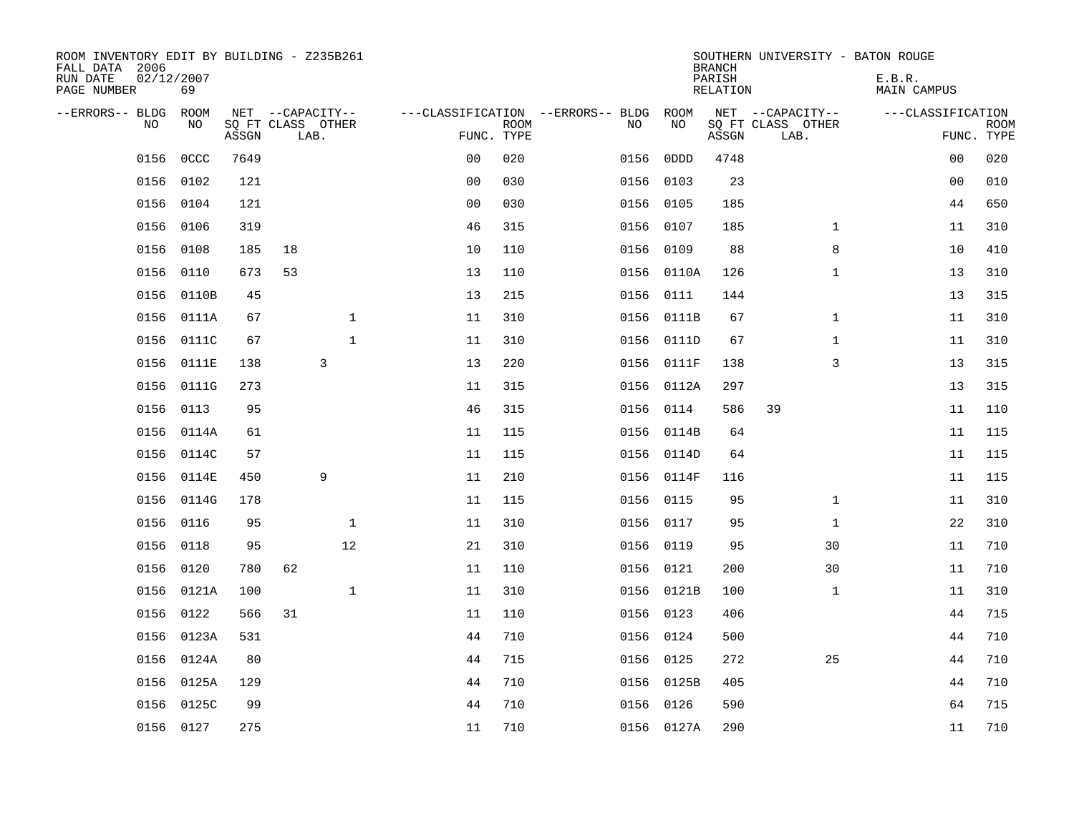| ROOM INVENTORY EDIT BY BUILDING - Z235B261<br>FALL DATA 2006<br>RUN DATE<br>PAGE NUMBER | 02/12/2007<br>69 |       |                           |              |                |             |                                   |            | <b>BRANCH</b><br>PARISH<br>RELATION | SOUTHERN UNIVERSITY - BATON ROUGE | E.B.R.<br>MAIN CAMPUS |                           |
|-----------------------------------------------------------------------------------------|------------------|-------|---------------------------|--------------|----------------|-------------|-----------------------------------|------------|-------------------------------------|-----------------------------------|-----------------------|---------------------------|
| --ERRORS-- BLDG                                                                         | ROOM             |       | NET --CAPACITY--          |              |                |             | ---CLASSIFICATION --ERRORS-- BLDG | ROOM       |                                     | NET --CAPACITY--                  | ---CLASSIFICATION     |                           |
| <b>NO</b>                                                                               | NO.              | ASSGN | SQ FT CLASS OTHER<br>LAB. |              | FUNC. TYPE     | <b>ROOM</b> | NO.                               | NO         | ASSGN                               | SQ FT CLASS OTHER<br>LAB.         |                       | <b>ROOM</b><br>FUNC. TYPE |
| 0156                                                                                    | <b>OCCC</b>      | 7649  |                           |              | 0 <sub>0</sub> | 020         | 0156                              | 0DDD       | 4748                                |                                   | 0 <sub>0</sub>        | 020                       |
| 0156                                                                                    | 0102             | 121   |                           |              | 0 <sub>0</sub> | 030         | 0156                              | 0103       | 23                                  |                                   | 00                    | 010                       |
| 0156                                                                                    | 0104             | 121   |                           |              | 0 <sub>0</sub> | 030         | 0156                              | 0105       | 185                                 |                                   | 44                    | 650                       |
| 0156                                                                                    | 0106             | 319   |                           |              | 46             | 315         |                                   | 0156 0107  | 185                                 | $\mathbf{1}$                      | 11                    | 310                       |
| 0156                                                                                    | 0108             | 185   | 18                        |              | 10             | 110         | 0156                              | 0109       | 88                                  | 8                                 | 10                    | 410                       |
| 0156                                                                                    | 0110             | 673   | 53                        |              | 13             | 110         |                                   | 0156 0110A | 126                                 | $\mathbf{1}$                      | 13                    | 310                       |
| 0156                                                                                    | 0110B            | 45    |                           |              | 13             | 215         | 0156                              | 0111       | 144                                 |                                   | 13                    | 315                       |
| 0156                                                                                    | 0111A            | 67    |                           | $\mathbf{1}$ | 11             | 310         |                                   | 0156 0111B | 67                                  | $\mathbf{1}$                      | 11                    | 310                       |
| 0156                                                                                    | 0111C            | 67    |                           | $\mathbf{1}$ | 11             | 310         | 0156                              | 0111D      | 67                                  | $\mathbf{1}$                      | 11                    | 310                       |
| 0156                                                                                    | 0111E            | 138   | 3                         |              | 13             | 220         |                                   | 0156 0111F | 138                                 | 3                                 | 13                    | 315                       |
| 0156                                                                                    | 0111G            | 273   |                           |              | 11             | 315         | 0156                              | 0112A      | 297                                 |                                   | 13                    | 315                       |
| 0156                                                                                    | 0113             | 95    |                           |              | 46             | 315         | 0156                              | 0114       | 586                                 | 39                                | 11                    | 110                       |
| 0156                                                                                    | 0114A            | 61    |                           |              | 11             | 115         | 0156                              | 0114B      | 64                                  |                                   | 11                    | 115                       |
|                                                                                         | 0156 0114C       | 57    |                           |              | 11             | 115         |                                   | 0156 0114D | 64                                  |                                   | 11                    | 115                       |
|                                                                                         | 0156 0114E       | 450   | 9                         |              | 11             | 210         |                                   | 0156 0114F | 116                                 |                                   | 11                    | 115                       |
| 0156                                                                                    | 0114G            | 178   |                           |              | 11             | 115         |                                   | 0156 0115  | 95                                  | $\mathbf{1}$                      | 11                    | 310                       |
| 0156                                                                                    | 0116             | 95    |                           | $\mathbf 1$  | 11             | 310         |                                   | 0156 0117  | 95                                  | $\mathbf{1}$                      | 22                    | 310                       |
| 0156                                                                                    | 0118             | 95    |                           | 12           | 21             | 310         |                                   | 0156 0119  | 95                                  | 30                                | 11                    | 710                       |
| 0156                                                                                    | 0120             | 780   | 62                        |              | 11             | 110         |                                   | 0156 0121  | 200                                 | 30                                | 11                    | 710                       |
| 0156                                                                                    | 0121A            | 100   |                           | $\mathbf{1}$ | 11             | 310         |                                   | 0156 0121B | 100                                 | $\mathbf{1}$                      | 11                    | 310                       |
| 0156                                                                                    | 0122             | 566   | 31                        |              | 11             | 110         |                                   | 0156 0123  | 406                                 |                                   | 44                    | 715                       |
| 0156                                                                                    | 0123A            | 531   |                           |              | 44             | 710         | 0156                              | 0124       | 500                                 |                                   | 44                    | 710                       |
| 0156                                                                                    | 0124A            | 80    |                           |              | 44             | 715         |                                   | 0156 0125  | 272                                 | 25                                | 44                    | 710                       |
| 0156                                                                                    | 0125A            | 129   |                           |              | 44             | 710         | 0156                              | 0125B      | 405                                 |                                   | 44                    | 710                       |
| 0156                                                                                    | 0125C            | 99    |                           |              | 44             | 710         |                                   | 0156 0126  | 590                                 |                                   | 64                    | 715                       |
|                                                                                         | 0156 0127        | 275   |                           |              | 11             | 710         |                                   | 0156 0127A | 290                                 |                                   | 11                    | 710                       |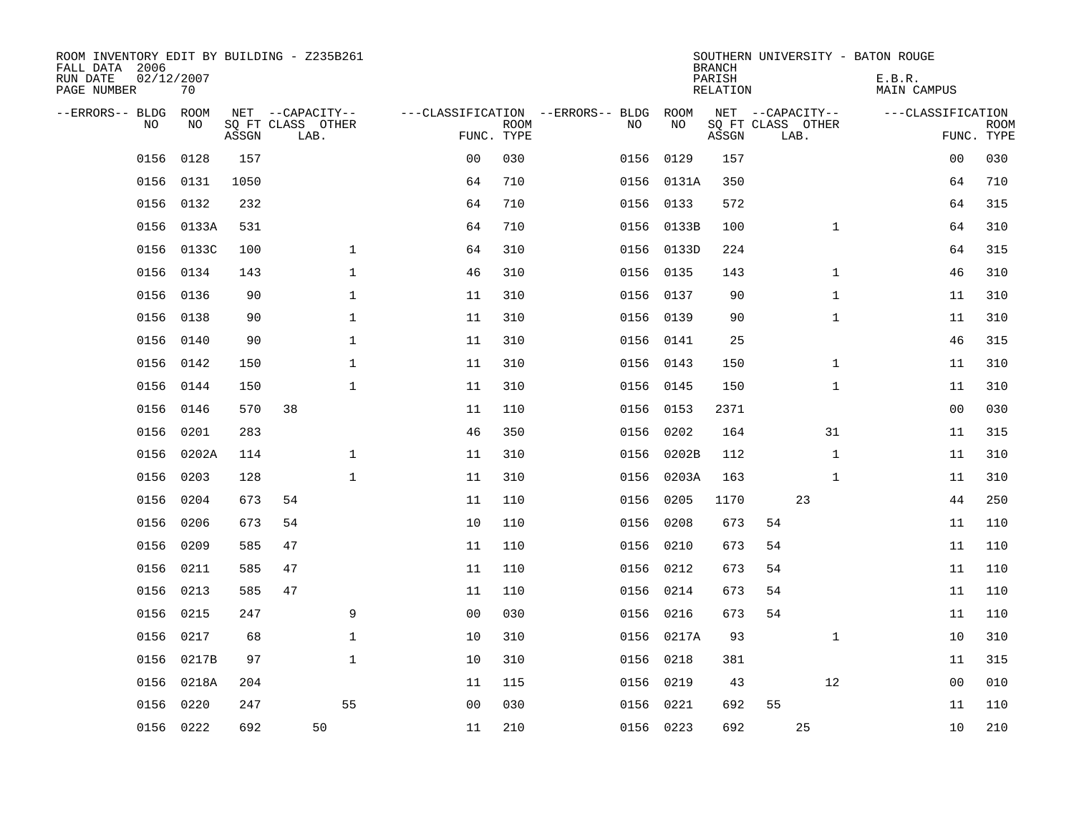| ROOM INVENTORY EDIT BY BUILDING - Z235B261<br>FALL DATA 2006<br>RUN DATE<br>PAGE NUMBER | 02/12/2007<br>70 |       |                           |                |             |                                   |            | <b>BRANCH</b><br>PARISH<br>RELATION | SOUTHERN UNIVERSITY - BATON ROUGE | E.B.R.<br>MAIN CAMPUS |                           |
|-----------------------------------------------------------------------------------------|------------------|-------|---------------------------|----------------|-------------|-----------------------------------|------------|-------------------------------------|-----------------------------------|-----------------------|---------------------------|
| --ERRORS-- BLDG                                                                         | ROOM             |       | NET --CAPACITY--          |                |             | ---CLASSIFICATION --ERRORS-- BLDG | ROOM       |                                     | NET --CAPACITY--                  | ---CLASSIFICATION     |                           |
| N <sub>O</sub>                                                                          | NO.              | ASSGN | SO FT CLASS OTHER<br>LAB. | FUNC. TYPE     | <b>ROOM</b> | NO.                               | NO         | ASSGN                               | SQ FT CLASS OTHER<br>LAB.         |                       | <b>ROOM</b><br>FUNC. TYPE |
| 0156                                                                                    | 0128             | 157   |                           | 0 <sub>0</sub> | 030         | 0156                              | 0129       | 157                                 |                                   | 00                    | 030                       |
| 0156                                                                                    | 0131             | 1050  |                           | 64             | 710         |                                   | 0156 0131A | 350                                 |                                   | 64                    | 710                       |
| 0156                                                                                    | 0132             | 232   |                           | 64             | 710         | 0156                              | 0133       | 572                                 |                                   | 64                    | 315                       |
| 0156                                                                                    | 0133A            | 531   |                           | 64             | 710         |                                   | 0156 0133B | 100                                 | $\mathbf{1}$                      | 64                    | 310                       |
| 0156                                                                                    | 0133C            | 100   | $\mathbf{1}$              | 64             | 310         |                                   | 0156 0133D | 224                                 |                                   | 64                    | 315                       |
| 0156                                                                                    | 0134             | 143   | $\mathbf 1$               | 46             | 310         |                                   | 0156 0135  | 143                                 | $\mathbf{1}$                      | 46                    | 310                       |
| 0156                                                                                    | 0136             | 90    | $\mathbf{1}$              | 11             | 310         | 0156                              | 0137       | 90                                  | $\mathbf{1}$                      | 11                    | 310                       |
| 0156                                                                                    | 0138             | 90    | $\mathbf{1}$              | 11             | 310         |                                   | 0156 0139  | 90                                  | $\mathbf{1}$                      | 11                    | 310                       |
| 0156                                                                                    | 0140             | 90    | $\mathbf 1$               | 11             | 310         | 0156                              | 0141       | 25                                  |                                   | 46                    | 315                       |
| 0156                                                                                    | 0142             | 150   | $\mathbf{1}$              | 11             | 310         |                                   | 0156 0143  | 150                                 | $\mathbf{1}$                      | 11                    | 310                       |
| 0156                                                                                    | 0144             | 150   | $\mathbf{1}$              | 11             | 310         | 0156                              | 0145       | 150                                 | $\mathbf{1}$                      | 11                    | 310                       |
| 0156                                                                                    | 0146             | 570   | 38                        | 11             | 110         |                                   | 0156 0153  | 2371                                |                                   | 0 <sub>0</sub>        | 030                       |
| 0156                                                                                    | 0201             | 283   |                           | 46             | 350         | 0156                              | 0202       | 164                                 | 31                                | 11                    | 315                       |
| 0156                                                                                    | 0202A            | 114   | 1                         | 11             | 310         | 0156                              | 0202B      | 112                                 | $\mathbf{1}$                      | 11                    | 310                       |
| 0156                                                                                    | 0203             | 128   | $\mathbf 1$               | 11             | 310         | 0156                              | 0203A      | 163                                 | $\mathbf{1}$                      | 11                    | 310                       |
| 0156                                                                                    | 0204             | 673   | 54                        | 11             | 110         | 0156                              | 0205       | 1170                                | 23                                | 44                    | 250                       |
| 0156                                                                                    | 0206             | 673   | 54                        | 10             | 110         | 0156                              | 0208       | 673                                 | 54                                | 11                    | 110                       |
| 0156                                                                                    | 0209             | 585   | 47                        | 11             | 110         | 0156                              | 0210       | 673                                 | 54                                | 11                    | 110                       |
| 0156                                                                                    | 0211             | 585   | 47                        | 11             | 110         |                                   | 0156 0212  | 673                                 | 54                                | 11                    | 110                       |
| 0156                                                                                    | 0213             | 585   | 47                        | 11             | 110         | 0156                              | 0214       | 673                                 | 54                                | 11                    | 110                       |
| 0156                                                                                    | 0215             | 247   | 9                         | 0 <sub>0</sub> | 030         |                                   | 0156 0216  | 673                                 | 54                                | 11                    | 110                       |
| 0156                                                                                    | 0217             | 68    | $\mathbf 1$               | 10             | 310         | 0156                              | 0217A      | 93                                  | $\mathbf{1}$                      | 10                    | 310                       |
| 0156                                                                                    | 0217B            | 97    | $\mathbf 1$               | 10             | 310         |                                   | 0156 0218  | 381                                 |                                   | 11                    | 315                       |
| 0156                                                                                    | 0218A            | 204   |                           | 11             | 115         | 0156                              | 0219       | 43                                  | 12                                | 0 <sub>0</sub>        | 010                       |
| 0156                                                                                    | 0220             | 247   | 55                        | 0 <sub>0</sub> | 030         | 0156                              | 0221       | 692                                 | 55                                | 11                    | 110                       |
|                                                                                         | 0156 0222        | 692   | 50                        | 11             | 210         |                                   | 0156 0223  | 692                                 | 25                                | 10                    | 210                       |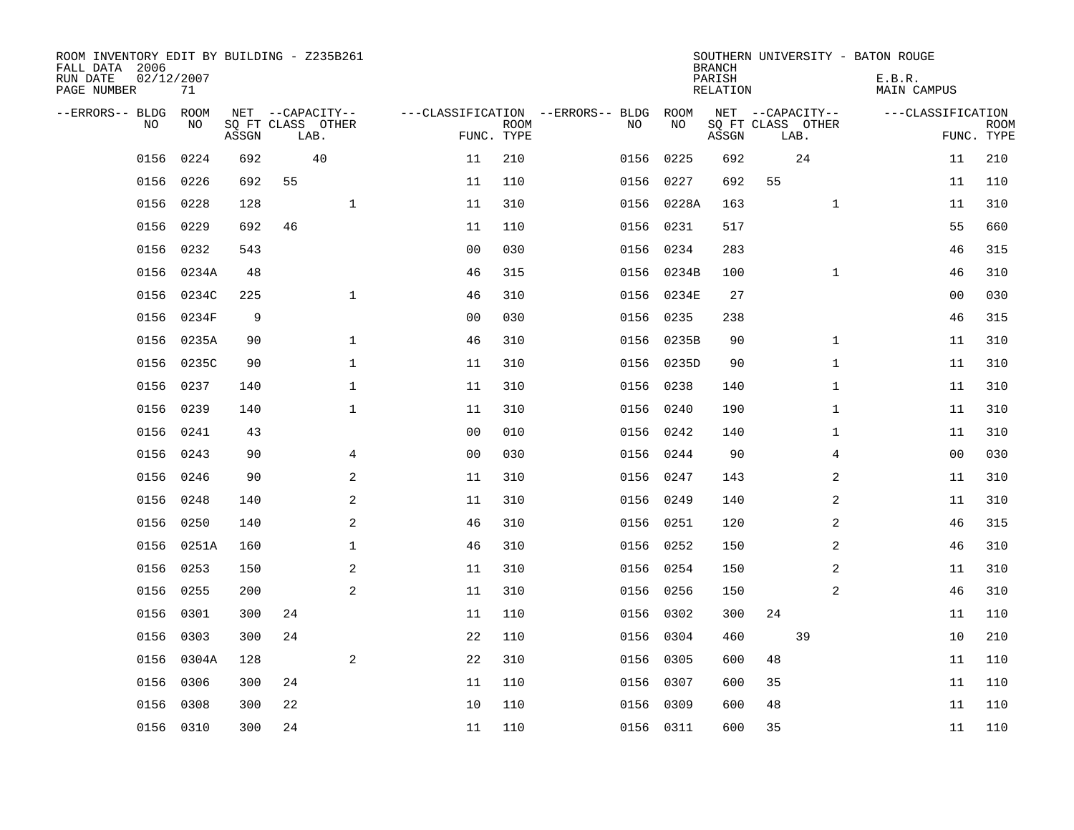| ROOM INVENTORY EDIT BY BUILDING - Z235B261<br>FALL DATA 2006<br>RUN DATE<br>PAGE NUMBER | 02/12/2007<br>71 |       |    |                                               |                |                           |                                         |            | <b>BRANCH</b><br>PARISH<br><b>RELATION</b> |                                               |                | SOUTHERN UNIVERSITY - BATON ROUGE<br>E.B.R.<br><b>MAIN CAMPUS</b> |                           |
|-----------------------------------------------------------------------------------------|------------------|-------|----|-----------------------------------------------|----------------|---------------------------|-----------------------------------------|------------|--------------------------------------------|-----------------------------------------------|----------------|-------------------------------------------------------------------|---------------------------|
| --ERRORS-- BLDG<br>NO                                                                   | ROOM<br>NO       | ASSGN |    | NET --CAPACITY--<br>SQ FT CLASS OTHER<br>LAB. |                | <b>ROOM</b><br>FUNC. TYPE | ---CLASSIFICATION --ERRORS-- BLDG<br>NO | ROOM<br>NO | ASSGN                                      | NET --CAPACITY--<br>SQ FT CLASS OTHER<br>LAB. |                | ---CLASSIFICATION                                                 | <b>ROOM</b><br>FUNC. TYPE |
| 0156                                                                                    | 0224             | 692   |    | 40                                            | 11             | 210                       | 0156                                    | 0225       | 692                                        | 24                                            |                | 11                                                                | 210                       |
| 0156                                                                                    | 0226             | 692   | 55 |                                               | 11             | 110                       | 0156                                    | 0227       | 692                                        | 55                                            |                | 11                                                                | 110                       |
| 0156                                                                                    | 0228             | 128   |    | $\mathbf 1$                                   | 11             | 310                       | 0156                                    | 0228A      | 163                                        |                                               | $\mathbf{1}$   | 11                                                                | 310                       |
| 0156                                                                                    | 0229             | 692   | 46 |                                               | 11             | 110                       |                                         | 0156 0231  | 517                                        |                                               |                | 55                                                                | 660                       |
| 0156                                                                                    | 0232             | 543   |    |                                               | 0 <sub>0</sub> | 030                       | 0156                                    | 0234       | 283                                        |                                               |                | 46                                                                | 315                       |
| 0156                                                                                    | 0234A            | 48    |    |                                               | 46             | 315                       |                                         | 0156 0234B | 100                                        |                                               | $\mathbf{1}$   | 46                                                                | 310                       |
| 0156                                                                                    | 0234C            | 225   |    | $\mathbf{1}$                                  | 46             | 310                       |                                         | 0156 0234E | 27                                         |                                               |                | 00                                                                | 030                       |
| 0156                                                                                    | 0234F            | 9     |    |                                               | 0 <sub>0</sub> | 030                       |                                         | 0156 0235  | 238                                        |                                               |                | 46                                                                | 315                       |
| 0156                                                                                    | 0235A            | 90    |    | $\mathbf 1$                                   | 46             | 310                       | 0156                                    | 0235B      | 90                                         |                                               | $\mathbf{1}$   | 11                                                                | 310                       |
| 0156                                                                                    | 0235C            | 90    |    | $\mathbf{1}$                                  | 11             | 310                       |                                         | 0156 0235D | 90                                         |                                               | $\mathbf{1}$   | 11                                                                | 310                       |
| 0156                                                                                    | 0237             | 140   |    | $\mathbf{1}$                                  | 11             | 310                       | 0156                                    | 0238       | 140                                        |                                               | $\mathbf{1}$   | 11                                                                | 310                       |
| 0156                                                                                    | 0239             | 140   |    | $\mathbf{1}$                                  | 11             | 310                       |                                         | 0156 0240  | 190                                        |                                               | $\mathbf{1}$   | 11                                                                | 310                       |
| 0156                                                                                    | 0241             | 43    |    |                                               | 0 <sub>0</sub> | 010                       | 0156                                    | 0242       | 140                                        |                                               | $\mathbf{1}$   | 11                                                                | 310                       |
| 0156                                                                                    | 0243             | 90    |    | 4                                             | 0 <sub>0</sub> | 030                       | 0156                                    | 0244       | 90                                         |                                               | 4              | 00                                                                | 030                       |
| 0156                                                                                    | 0246             | 90    |    | 2                                             | 11             | 310                       | 0156                                    | 0247       | 143                                        |                                               | 2              | 11                                                                | 310                       |
| 0156                                                                                    | 0248             | 140   |    | 2                                             | 11             | 310                       |                                         | 0156 0249  | 140                                        |                                               | 2              | 11                                                                | 310                       |
| 0156                                                                                    | 0250             | 140   |    | 2                                             | 46             | 310                       | 0156                                    | 0251       | 120                                        |                                               | 2              | 46                                                                | 315                       |
| 0156                                                                                    | 0251A            | 160   |    | $\mathbf{1}$                                  | 46             | 310                       | 0156                                    | 0252       | 150                                        |                                               | $\overline{a}$ | 46                                                                | 310                       |
|                                                                                         | 0156 0253        | 150   |    | 2                                             | 11             | 310                       |                                         | 0156 0254  | 150                                        |                                               | 2              | 11                                                                | 310                       |
| 0156                                                                                    | 0255             | 200   |    | 2                                             | 11             | 310                       |                                         | 0156 0256  | 150                                        |                                               | $\overline{a}$ | 46                                                                | 310                       |
| 0156                                                                                    | 0301             | 300   | 24 |                                               | 11             | 110                       |                                         | 0156 0302  | 300                                        | 24                                            |                | 11                                                                | 110                       |
| 0156                                                                                    | 0303             | 300   | 24 |                                               | 22             | 110                       | 0156                                    | 0304       | 460                                        | 39                                            |                | 10                                                                | 210                       |
| 0156                                                                                    | 0304A            | 128   |    | 2                                             | 22             | 310                       | 0156                                    | 0305       | 600                                        | 48                                            |                | 11                                                                | 110                       |
| 0156                                                                                    | 0306             | 300   | 24 |                                               | 11             | 110                       | 0156                                    | 0307       | 600                                        | 35                                            |                | 11                                                                | 110                       |
| 0156                                                                                    | 0308             | 300   | 22 |                                               | 10             | 110                       | 0156                                    | 0309       | 600                                        | 48                                            |                | 11                                                                | 110                       |
|                                                                                         | 0156 0310        | 300   | 24 |                                               | 11             | 110                       |                                         | 0156 0311  | 600                                        | 35                                            |                | 11                                                                | 110                       |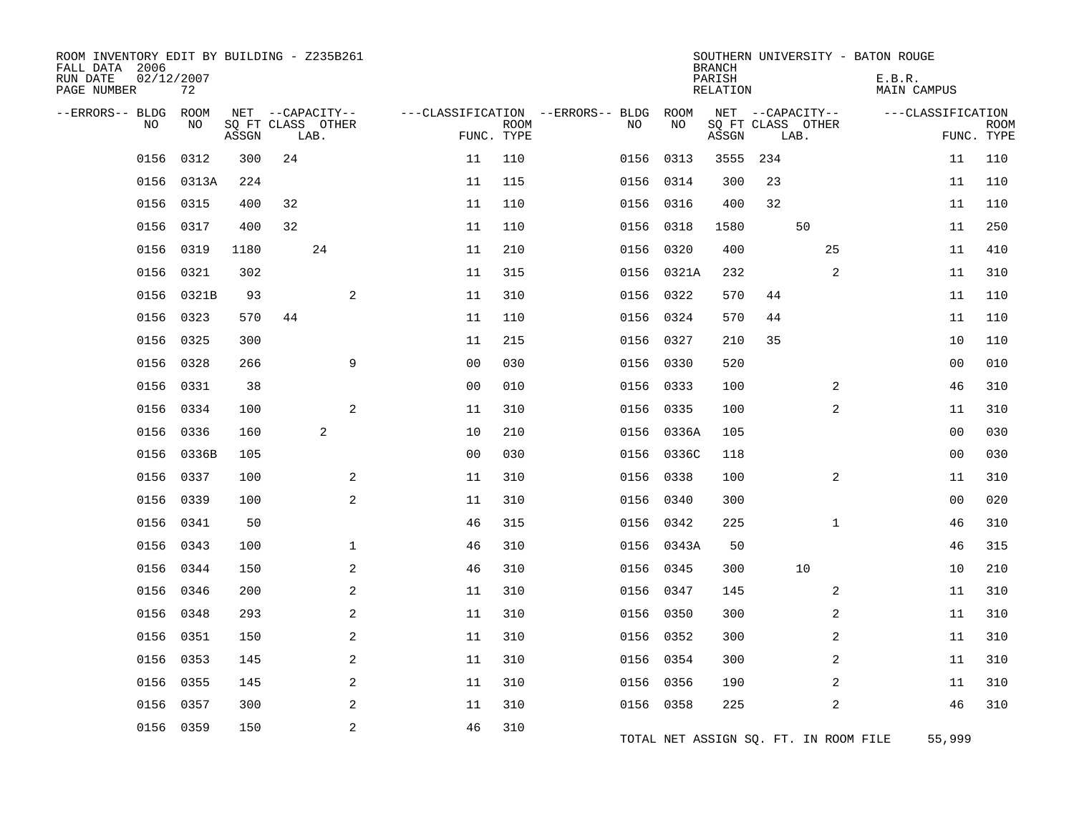| ROOM INVENTORY EDIT BY BUILDING - Z235B261<br>FALL DATA 2006<br>RUN DATE<br>PAGE NUMBER | 02/12/2007 | 72          |       |    |                                               |                |             |                                        |           |            | <b>BRANCH</b><br>PARISH<br>RELATION |                                               |                | SOUTHERN UNIVERSITY - BATON ROUGE<br>E.B.R.<br><b>MAIN CAMPUS</b> |                |             |
|-----------------------------------------------------------------------------------------|------------|-------------|-------|----|-----------------------------------------------|----------------|-------------|----------------------------------------|-----------|------------|-------------------------------------|-----------------------------------------------|----------------|-------------------------------------------------------------------|----------------|-------------|
| --ERRORS-- BLDG                                                                         | <b>NO</b>  | ROOM<br>NO. | ASSGN |    | NET --CAPACITY--<br>SQ FT CLASS OTHER<br>LAB. | FUNC. TYPE     | <b>ROOM</b> | ---CLASSIFICATION --ERRORS-- BLDG ROOM | NO.       | NO         | ASSGN                               | NET --CAPACITY--<br>SQ FT CLASS OTHER<br>LAB. |                | ---CLASSIFICATION                                                 | FUNC. TYPE     | <b>ROOM</b> |
|                                                                                         | 0156       | 0312        | 300   | 24 |                                               | 11             | 110         |                                        | 0156      | 0313       | 3555                                | 234                                           |                |                                                                   | 11             | 110         |
|                                                                                         | 0156       | 0313A       | 224   |    |                                               | 11             | 115         |                                        | 0156      | 0314       | 300                                 | 23                                            |                |                                                                   | 11             | 110         |
|                                                                                         | 0156       | 0315        | 400   | 32 |                                               | 11             | 110         |                                        | 0156 0316 |            | 400                                 | 32                                            |                |                                                                   | 11             | 110         |
|                                                                                         | 0156       | 0317        | 400   | 32 |                                               | 11             | 110         |                                        | 0156      | 0318       | 1580                                |                                               | 50             |                                                                   | 11             | 250         |
|                                                                                         | 0156       | 0319        | 1180  |    | 24                                            | 11             | 210         |                                        | 0156 0320 |            | 400                                 |                                               | 25             |                                                                   | 11             | 410         |
|                                                                                         | 0156       | 0321        | 302   |    |                                               | 11             | 315         |                                        | 0156      | 0321A      | 232                                 |                                               | 2              |                                                                   | 11             | 310         |
|                                                                                         | 0156       | 0321B       | 93    |    | 2                                             | 11             | 310         |                                        |           | 0156 0322  | 570                                 | 44                                            |                |                                                                   | 11             | 110         |
|                                                                                         | 0156       | 0323        | 570   | 44 |                                               | 11             | 110         |                                        | 0156 0324 |            | 570                                 | 44                                            |                |                                                                   | 11             | 110         |
|                                                                                         | 0156       | 0325        | 300   |    |                                               | 11             | 215         |                                        | 0156 0327 |            | 210                                 | 35                                            |                |                                                                   | 10             | 110         |
|                                                                                         | 0156 0328  |             | 266   |    | 9                                             | 0 <sub>0</sub> | 030         |                                        | 0156 0330 |            | 520                                 |                                               |                |                                                                   | 00             | 010         |
|                                                                                         | 0156       | 0331        | 38    |    |                                               | 0 <sub>0</sub> | 010         |                                        | 0156      | 0333       | 100                                 |                                               | $\overline{a}$ |                                                                   | 46             | 310         |
|                                                                                         | 0156       | 0334        | 100   |    | 2                                             | 11             | 310         |                                        | 0156 0335 |            | 100                                 |                                               | 2              |                                                                   | 11             | 310         |
|                                                                                         | 0156 0336  |             | 160   |    | 2                                             | 10             | 210         |                                        |           | 0156 0336A | 105                                 |                                               |                |                                                                   | 0 <sub>0</sub> | 030         |
|                                                                                         | 0156       | 0336B       | 105   |    |                                               | 0 <sub>0</sub> | 030         |                                        |           | 0156 0336C | 118                                 |                                               |                |                                                                   | 0 <sub>0</sub> | 030         |
|                                                                                         | 0156 0337  |             | 100   |    | 2                                             | 11             | 310         |                                        | 0156 0338 |            | 100                                 |                                               | 2              |                                                                   | 11             | 310         |
|                                                                                         | 0156       | 0339        | 100   |    | 2                                             | 11             | 310         |                                        | 0156      | 0340       | 300                                 |                                               |                |                                                                   | 00             | 020         |
|                                                                                         | 0156       | 0341        | 50    |    |                                               | 46             | 315         |                                        | 0156 0342 |            | 225                                 |                                               | $\mathbf{1}$   |                                                                   | 46             | 310         |
|                                                                                         | 0156       | 0343        | 100   |    | $\mathbf{1}$                                  | 46             | 310         |                                        |           | 0156 0343A | 50                                  |                                               |                |                                                                   | 46             | 315         |
|                                                                                         | 0156       | 0344        | 150   |    | 2                                             | 46             | 310         |                                        | 0156 0345 |            | 300                                 |                                               | 10             |                                                                   | 10             | 210         |
|                                                                                         | 0156 0346  |             | 200   |    | 2                                             | 11             | 310         |                                        | 0156 0347 |            | 145                                 |                                               | 2              |                                                                   | 11             | 310         |
|                                                                                         | 0156       | 0348        | 293   |    | 2                                             | 11             | 310         |                                        | 0156      | 0350       | 300                                 |                                               | $\overline{a}$ |                                                                   | 11             | 310         |
|                                                                                         | 0156       | 0351        | 150   |    | 2                                             | 11             | 310         |                                        | 0156 0352 |            | 300                                 |                                               | 2              |                                                                   | 11             | 310         |
|                                                                                         | 0156       | 0353        | 145   |    | $\mathbf{2}$                                  | 11             | 310         |                                        | 0156 0354 |            | 300                                 |                                               | $\overline{a}$ |                                                                   | 11             | 310         |
|                                                                                         | 0156       | 0355        | 145   |    | 2                                             | 11             | 310         |                                        | 0156 0356 |            | 190                                 |                                               | 2              |                                                                   | 11             | 310         |
|                                                                                         | 0156       | 0357        | 300   |    | 2                                             | 11             | 310         |                                        | 0156 0358 |            | 225                                 |                                               | 2              |                                                                   | 46             | 310         |
|                                                                                         | 0156       | 0359        | 150   |    | 2                                             | 46             | 310         |                                        |           |            |                                     |                                               |                | TOTAL NET ASSIGN SQ. FT. IN ROOM FILE                             | 55,999         |             |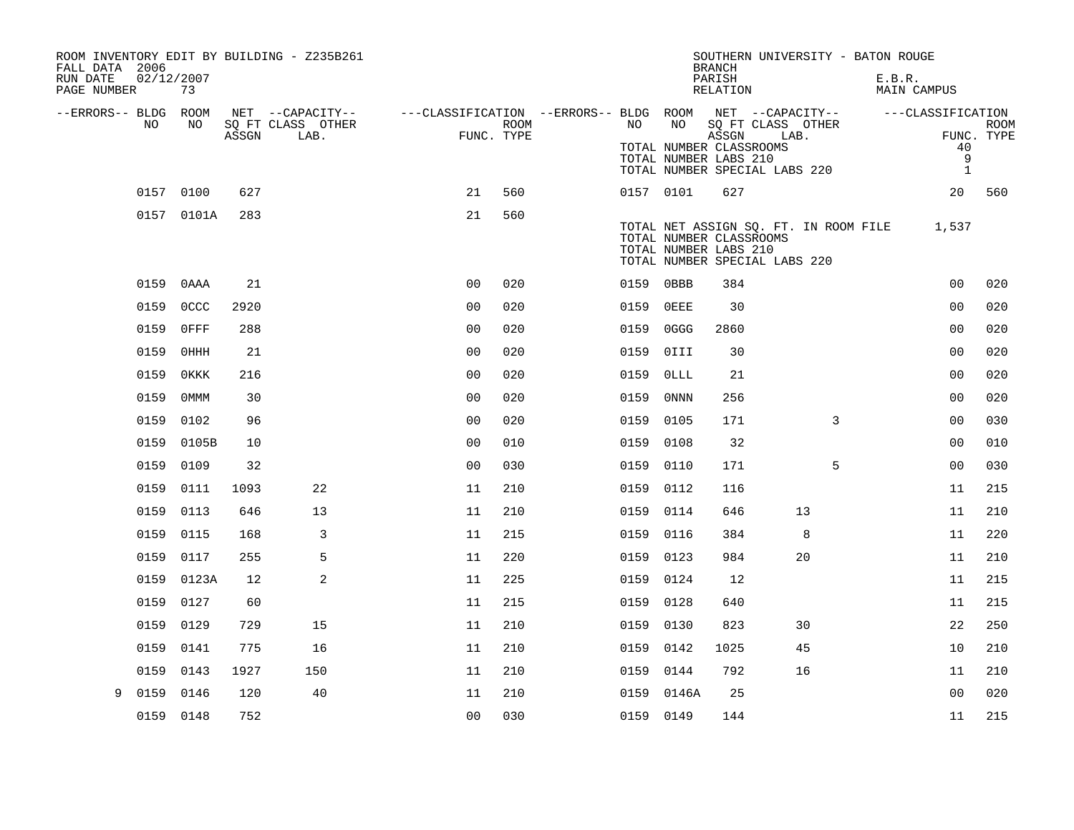| FALL DATA 2006          |            |             |       | ROOM INVENTORY EDIT BY BUILDING - Z235B261 |                                                         |            |           |            | <b>BRANCH</b>                                                                              |      |    | SOUTHERN UNIVERSITY - BATON ROUGE     |                         |             |
|-------------------------|------------|-------------|-------|--------------------------------------------|---------------------------------------------------------|------------|-----------|------------|--------------------------------------------------------------------------------------------|------|----|---------------------------------------|-------------------------|-------------|
| RUN DATE<br>PAGE NUMBER | 02/12/2007 | 73          |       |                                            |                                                         |            |           |            | PARISH<br>RELATION                                                                         |      |    | E.B.R.                                | <b>MAIN CAMPUS</b>      |             |
| --ERRORS-- BLDG ROOM    | NO.        | NO.         |       | NET --CAPACITY--<br>SQ FT CLASS OTHER      | ---CLASSIFICATION --ERRORS-- BLDG ROOM NET --CAPACITY-- | ROOM       | NO        | NO         | SQ FT CLASS OTHER                                                                          |      |    |                                       | ---CLASSIFICATION       | <b>ROOM</b> |
|                         |            |             | ASSGN | LAB.                                       |                                                         | FUNC. TYPE |           |            | ASSGN<br>TOTAL NUMBER CLASSROOMS<br>TOTAL NUMBER LABS 210<br>TOTAL NUMBER SPECIAL LABS 220 | LAB. |    |                                       | 40<br>9<br>$\mathbf{1}$ | FUNC. TYPE  |
|                         | 0157 0100  |             | 627   |                                            | 21                                                      | 560        |           | 0157 0101  | 627                                                                                        |      |    |                                       | 20                      | 560         |
|                         |            | 0157 0101A  | 283   |                                            | 21                                                      | 560        |           |            | TOTAL NUMBER CLASSROOMS<br>TOTAL NUMBER LABS 210<br>TOTAL NUMBER SPECIAL LABS 220          |      |    | TOTAL NET ASSIGN SQ. FT. IN ROOM FILE | 1,537                   |             |
|                         | 0159       | 0AAA        | 21    |                                            | 0 <sub>0</sub>                                          | 020        | 0159 0BBB |            | 384                                                                                        |      |    |                                       | 0 <sub>0</sub>          | 020         |
|                         | 0159       | <b>OCCC</b> | 2920  |                                            | 0 <sub>0</sub>                                          | 020        | 0159      | OEEE       | 30                                                                                         |      |    |                                       | 0 <sub>0</sub>          | 020         |
|                         | 0159       | $0$ FFF     | 288   |                                            | 0 <sub>0</sub>                                          | 020        | 0159      | 0GGG       | 2860                                                                                       |      |    |                                       | 0 <sub>0</sub>          | 020         |
|                         | 0159       | 0HHH        | 21    |                                            | 0 <sub>0</sub>                                          | 020        | 0159      | 0III       | 30                                                                                         |      |    |                                       | 00                      | 020         |
|                         | 0159       | OKKK        | 216   |                                            | 0 <sub>0</sub>                                          | 020        | 0159      | $0$ LLL    | 21                                                                                         |      |    |                                       | 00                      | 020         |
|                         | 0159       | 0MMM        | 30    |                                            | 0 <sub>0</sub>                                          | 020        | 0159      | 0NNN       | 256                                                                                        |      |    |                                       | 0 <sub>0</sub>          | 020         |
|                         | 0159 0102  |             | 96    |                                            | 0 <sub>0</sub>                                          | 020        | 0159 0105 |            | 171                                                                                        |      | 3  |                                       | 0 <sub>0</sub>          | 030         |
|                         |            | 0159 0105B  | 10    |                                            | 0 <sub>0</sub>                                          | 010        | 0159      | 0108       | 32                                                                                         |      |    |                                       | 0 <sub>0</sub>          | 010         |
|                         | 0159 0109  |             | 32    |                                            | 0 <sub>0</sub>                                          | 030        | 0159 0110 |            | 171                                                                                        |      | 5  |                                       | 0 <sub>0</sub>          | 030         |
|                         | 0159 0111  |             | 1093  | 22                                         | 11                                                      | 210        | 0159      | 0112       | 116                                                                                        |      |    |                                       | 11                      | 215         |
|                         | 0159 0113  |             | 646   | 13                                         | 11                                                      | 210        | 0159 0114 |            | 646                                                                                        |      | 13 |                                       | 11                      | 210         |
|                         | 0159       | 0115        | 168   | 3                                          | 11                                                      | 215        | 0159      | 0116       | 384                                                                                        |      | 8  |                                       | 11                      | 220         |
|                         | 0159       | 0117        | 255   | 5                                          | 11                                                      | 220        | 0159 0123 |            | 984                                                                                        |      | 20 |                                       | 11                      | 210         |
|                         | 0159       | 0123A       | 12    | 2                                          | 11                                                      | 225        | 0159      | 0124       | 12                                                                                         |      |    |                                       | 11                      | 215         |
|                         | 0159       | 0127        | 60    |                                            | 11                                                      | 215        | 0159 0128 |            | 640                                                                                        |      |    |                                       | 11                      | 215         |
|                         | 0159       | 0129        | 729   | 15                                         | 11                                                      | 210        | 0159      | 0130       | 823                                                                                        |      | 30 |                                       | 22                      | 250         |
|                         | 0159       | 0141        | 775   | 16                                         | 11                                                      | 210        | 0159 0142 |            | 1025                                                                                       |      | 45 |                                       | 10                      | 210         |
|                         | 0159       | 0143        | 1927  | 150                                        | 11                                                      | 210        | 0159 0144 |            | 792                                                                                        |      | 16 |                                       | 11                      | 210         |
| 9                       | 0159       | 0146        | 120   | 40                                         | 11                                                      | 210        |           | 0159 0146A | 25                                                                                         |      |    |                                       | 0 <sub>0</sub>          | 020         |
|                         | 0159 0148  |             | 752   |                                            | 0 <sub>0</sub>                                          | 030        | 0159 0149 |            | 144                                                                                        |      |    |                                       | 11                      | 215         |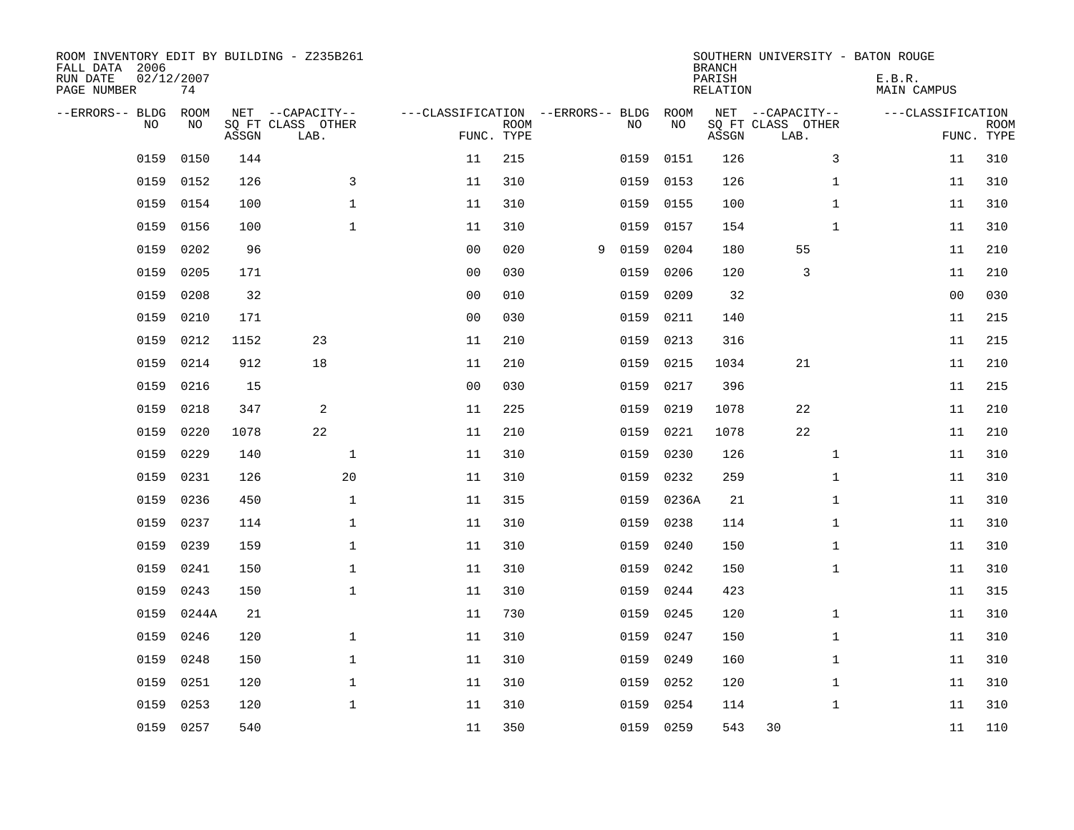| ROOM INVENTORY EDIT BY BUILDING - Z235B261<br>FALL DATA 2006<br>RUN DATE<br>PAGE NUMBER | 02/12/2007<br>74 |       |                                               |                                   |                           |   |      |            | <b>BRANCH</b><br>PARISH<br><b>RELATION</b> | SOUTHERN UNIVERSITY - BATON ROUGE             | E.B.R.<br><b>MAIN CAMPUS</b> |                           |
|-----------------------------------------------------------------------------------------|------------------|-------|-----------------------------------------------|-----------------------------------|---------------------------|---|------|------------|--------------------------------------------|-----------------------------------------------|------------------------------|---------------------------|
| --ERRORS-- BLDG<br>NO                                                                   | ROOM<br>NO       | ASSGN | NET --CAPACITY--<br>SQ FT CLASS OTHER<br>LAB. | ---CLASSIFICATION --ERRORS-- BLDG | <b>ROOM</b><br>FUNC. TYPE |   | NO   | ROOM<br>NO | ASSGN                                      | NET --CAPACITY--<br>SQ FT CLASS OTHER<br>LAB. | ---CLASSIFICATION            | <b>ROOM</b><br>FUNC. TYPE |
| 0159                                                                                    | 0150             | 144   |                                               | 11                                | 215                       |   | 0159 | 0151       | 126                                        | 3                                             | 11                           | 310                       |
| 0159                                                                                    | 0152             | 126   | 3                                             | 11                                | 310                       |   | 0159 | 0153       | 126                                        | $\mathbf{1}$                                  | 11                           | 310                       |
| 0159                                                                                    | 0154             | 100   | $\mathbf 1$                                   | 11                                | 310                       |   | 0159 | 0155       | 100                                        | $\mathbf{1}$                                  | 11                           | 310                       |
| 0159                                                                                    | 0156             | 100   | $\mathbf 1$                                   | 11                                | 310                       |   | 0159 | 0157       | 154                                        | $\mathbf{1}$                                  | 11                           | 310                       |
| 0159                                                                                    | 0202             | 96    |                                               | 0 <sub>0</sub>                    | 020                       | 9 | 0159 | 0204       | 180                                        | 55                                            | 11                           | 210                       |
| 0159                                                                                    | 0205             | 171   |                                               | 0 <sub>0</sub>                    | 030                       |   | 0159 | 0206       | 120                                        | 3                                             | 11                           | 210                       |
| 0159                                                                                    | 0208             | 32    |                                               | 0 <sub>0</sub>                    | 010                       |   | 0159 | 0209       | 32                                         |                                               | 0 <sub>0</sub>               | 030                       |
| 0159                                                                                    | 0210             | 171   |                                               | 0 <sub>0</sub>                    | 030                       |   | 0159 | 0211       | 140                                        |                                               | 11                           | 215                       |
| 0159                                                                                    | 0212             | 1152  | 23                                            | 11                                | 210                       |   | 0159 | 0213       | 316                                        |                                               | 11                           | 215                       |
| 0159                                                                                    | 0214             | 912   | 18                                            | 11                                | 210                       |   | 0159 | 0215       | 1034                                       | 21                                            | 11                           | 210                       |
| 0159                                                                                    | 0216             | 15    |                                               | 0 <sub>0</sub>                    | 030                       |   | 0159 | 0217       | 396                                        |                                               | 11                           | 215                       |
| 0159                                                                                    | 0218             | 347   | 2                                             | 11                                | 225                       |   | 0159 | 0219       | 1078                                       | 22                                            | 11                           | 210                       |
| 0159                                                                                    | 0220             | 1078  | 22                                            | 11                                | 210                       |   | 0159 | 0221       | 1078                                       | 22                                            | 11                           | 210                       |
| 0159                                                                                    | 0229             | 140   | $\mathbf 1$                                   | 11                                | 310                       |   | 0159 | 0230       | 126                                        | $\mathbf{1}$                                  | 11                           | 310                       |
| 0159                                                                                    | 0231             | 126   | 20                                            | 11                                | 310                       |   | 0159 | 0232       | 259                                        | $\mathbf{1}$                                  | 11                           | 310                       |
| 0159                                                                                    | 0236             | 450   | $\mathbf 1$                                   | 11                                | 315                       |   | 0159 | 0236A      | 21                                         | $\mathbf{1}$                                  | 11                           | 310                       |
| 0159                                                                                    | 0237             | 114   | $\mathbf 1$                                   | 11                                | 310                       |   | 0159 | 0238       | 114                                        | $\mathbf{1}$                                  | 11                           | 310                       |
| 0159                                                                                    | 0239             | 159   | $\mathbf{1}$                                  | 11                                | 310                       |   | 0159 | 0240       | 150                                        | $\mathbf{1}$                                  | 11                           | 310                       |
| 0159                                                                                    | 0241             | 150   | $\mathbf{1}$                                  | 11                                | 310                       |   | 0159 | 0242       | 150                                        | $\mathbf{1}$                                  | 11                           | 310                       |
| 0159                                                                                    | 0243             | 150   | $\mathbf 1$                                   | 11                                | 310                       |   | 0159 | 0244       | 423                                        |                                               | 11                           | 315                       |
| 0159                                                                                    | 0244A            | 21    |                                               | 11                                | 730                       |   | 0159 | 0245       | 120                                        | $\mathbf{1}$                                  | 11                           | 310                       |
| 0159                                                                                    | 0246             | 120   | $\mathbf 1$                                   | 11                                | 310                       |   | 0159 | 0247       | 150                                        | $\mathbf{1}$                                  | 11                           | 310                       |
| 0159                                                                                    | 0248             | 150   | $\mathbf 1$                                   | 11                                | 310                       |   | 0159 | 0249       | 160                                        | $\mathbf{1}$                                  | 11                           | 310                       |
| 0159                                                                                    | 0251             | 120   | $\mathbf 1$                                   | 11                                | 310                       |   | 0159 | 0252       | 120                                        | $\mathbf{1}$                                  | 11                           | 310                       |
| 0159                                                                                    | 0253             | 120   | $\mathbf 1$                                   | 11                                | 310                       |   | 0159 | 0254       | 114                                        | $\mathbf{1}$                                  | 11                           | 310                       |
|                                                                                         | 0159 0257        | 540   |                                               | 11                                | 350                       |   |      | 0159 0259  | 543                                        | 30                                            | 11                           | 110                       |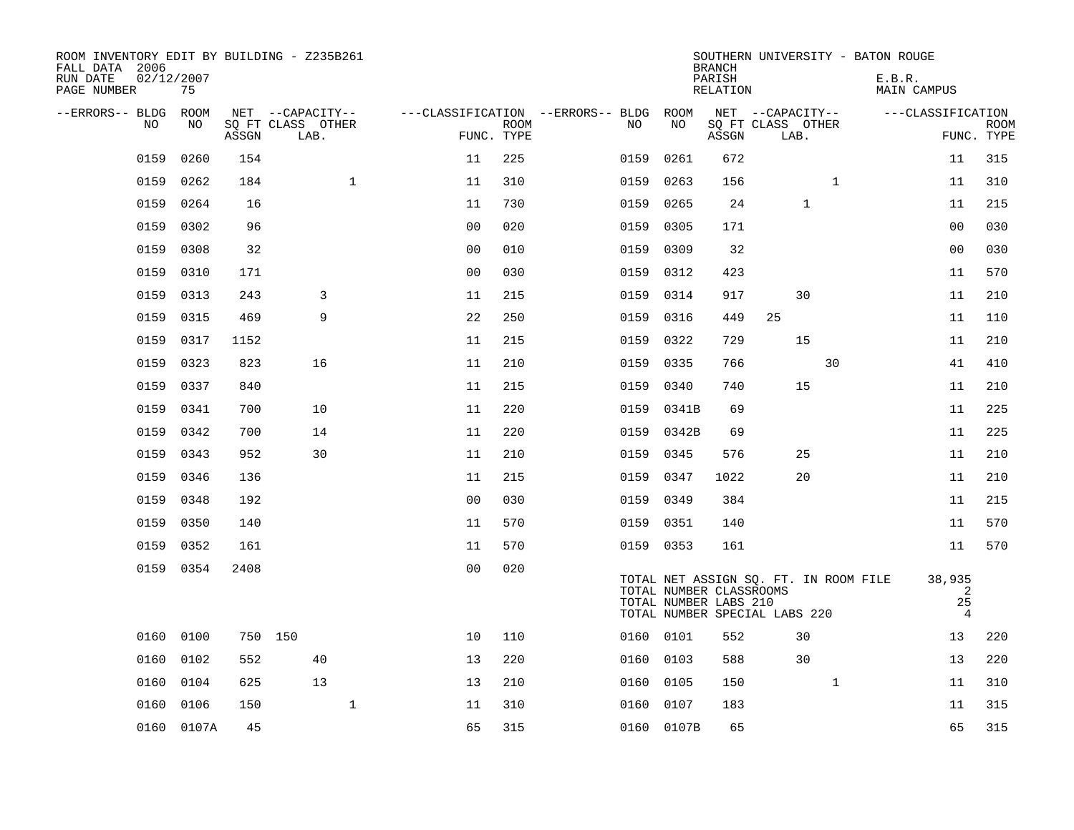| ROOM INVENTORY EDIT BY BUILDING - Z235B261<br>FALL DATA 2006<br>RUN DATE<br>PAGE NUMBER | 02/12/2007<br>75 |       |                           |              |                |                           |                                   |            | <b>BRANCH</b><br>PARISH<br>RELATION              | SOUTHERN UNIVERSITY - BATON ROUGE                                      |              | E.B.R.<br>MAIN CAMPUS               |                           |
|-----------------------------------------------------------------------------------------|------------------|-------|---------------------------|--------------|----------------|---------------------------|-----------------------------------|------------|--------------------------------------------------|------------------------------------------------------------------------|--------------|-------------------------------------|---------------------------|
| --ERRORS-- BLDG                                                                         | ROOM             |       | NET --CAPACITY--          |              |                |                           | ---CLASSIFICATION --ERRORS-- BLDG | ROOM       |                                                  | NET --CAPACITY--                                                       |              | ---CLASSIFICATION                   |                           |
| NO                                                                                      | NO               | ASSGN | SQ FT CLASS OTHER<br>LAB. |              |                | <b>ROOM</b><br>FUNC. TYPE | NO                                | NO         | ASSGN                                            | SQ FT CLASS OTHER<br>LAB.                                              |              |                                     | <b>ROOM</b><br>FUNC. TYPE |
| 0159                                                                                    | 0260             | 154   |                           |              | 11             | 225                       | 0159                              | 0261       | 672                                              |                                                                        |              | 11                                  | 315                       |
| 0159                                                                                    | 0262             | 184   |                           | $\mathbf{1}$ | 11             | 310                       | 0159                              | 0263       | 156                                              |                                                                        | $\mathbf{1}$ | 11                                  | 310                       |
| 0159                                                                                    | 0264             | 16    |                           |              | 11             | 730                       | 0159                              | 0265       | 24                                               | $\mathbf{1}$                                                           |              | 11                                  | 215                       |
| 0159                                                                                    | 0302             | 96    |                           |              | 0 <sub>0</sub> | 020                       | 0159                              | 0305       | 171                                              |                                                                        |              | 00                                  | 030                       |
| 0159                                                                                    | 0308             | 32    |                           |              | 0 <sub>0</sub> | 010                       | 0159                              | 0309       | 32                                               |                                                                        |              | 0 <sub>0</sub>                      | 030                       |
| 0159                                                                                    | 0310             | 171   |                           |              | 0 <sub>0</sub> | 030                       | 0159                              | 0312       | 423                                              |                                                                        |              | 11                                  | 570                       |
| 0159                                                                                    | 0313             | 243   | 3                         |              | 11             | 215                       | 0159                              | 0314       | 917                                              | 30                                                                     |              | 11                                  | 210                       |
| 0159                                                                                    | 0315             | 469   | 9                         |              | 22             | 250                       | 0159                              | 0316       | 449                                              | 25                                                                     |              | 11                                  | 110                       |
| 0159                                                                                    | 0317             | 1152  |                           |              | 11             | 215                       | 0159                              | 0322       | 729                                              | 15                                                                     |              | 11                                  | 210                       |
| 0159                                                                                    | 0323             | 823   | 16                        |              | 11             | 210                       | 0159                              | 0335       | 766                                              |                                                                        | 30           | 41                                  | 410                       |
| 0159                                                                                    | 0337             | 840   |                           |              | 11             | 215                       | 0159                              | 0340       | 740                                              | 15                                                                     |              | 11                                  | 210                       |
| 0159                                                                                    | 0341             | 700   | 10                        |              | 11             | 220                       | 0159                              | 0341B      | 69                                               |                                                                        |              | 11                                  | 225                       |
| 0159                                                                                    | 0342             | 700   | 14                        |              | 11             | 220                       | 0159                              | 0342B      | 69                                               |                                                                        |              | 11                                  | 225                       |
| 0159                                                                                    | 0343             | 952   | 30                        |              | 11             | 210                       | 0159                              | 0345       | 576                                              | 25                                                                     |              | 11                                  | 210                       |
| 0159                                                                                    | 0346             | 136   |                           |              | 11             | 215                       |                                   | 0159 0347  | 1022                                             | 20                                                                     |              | 11                                  | 210                       |
| 0159                                                                                    | 0348             | 192   |                           |              | 0 <sub>0</sub> | 030                       | 0159                              | 0349       | 384                                              |                                                                        |              | 11                                  | 215                       |
| 0159                                                                                    | 0350             | 140   |                           |              | 11             | 570                       |                                   | 0159 0351  | 140                                              |                                                                        |              | 11                                  | 570                       |
| 0159                                                                                    | 0352             | 161   |                           |              | 11             | 570                       |                                   | 0159 0353  | 161                                              |                                                                        |              | 11                                  | 570                       |
|                                                                                         | 0159 0354        | 2408  |                           |              | 0 <sub>0</sub> | 020                       |                                   |            | TOTAL NUMBER CLASSROOMS<br>TOTAL NUMBER LABS 210 | TOTAL NET ASSIGN SQ. FT. IN ROOM FILE<br>TOTAL NUMBER SPECIAL LABS 220 |              | 38,935<br>2<br>25<br>$\overline{4}$ |                           |
|                                                                                         | 0160 0100        |       | 750 150                   |              | 10             | 110                       |                                   | 0160 0101  | 552                                              | 30                                                                     |              | 13                                  | 220                       |
| 0160                                                                                    | 0102             | 552   | 40                        |              | 13             | 220                       |                                   | 0160 0103  | 588                                              | 30                                                                     |              | 13                                  | 220                       |
| 0160                                                                                    | 0104             | 625   | 13                        |              | 13             | 210                       | 0160                              | 0105       | 150                                              |                                                                        | $\mathbf{1}$ | 11                                  | 310                       |
| 0160                                                                                    | 0106             | 150   |                           | $\mathbf{1}$ | 11             | 310                       | 0160                              | 0107       | 183                                              |                                                                        |              | 11                                  | 315                       |
|                                                                                         | 0160 0107A       | 45    |                           |              | 65             | 315                       |                                   | 0160 0107B | 65                                               |                                                                        |              | 65                                  | 315                       |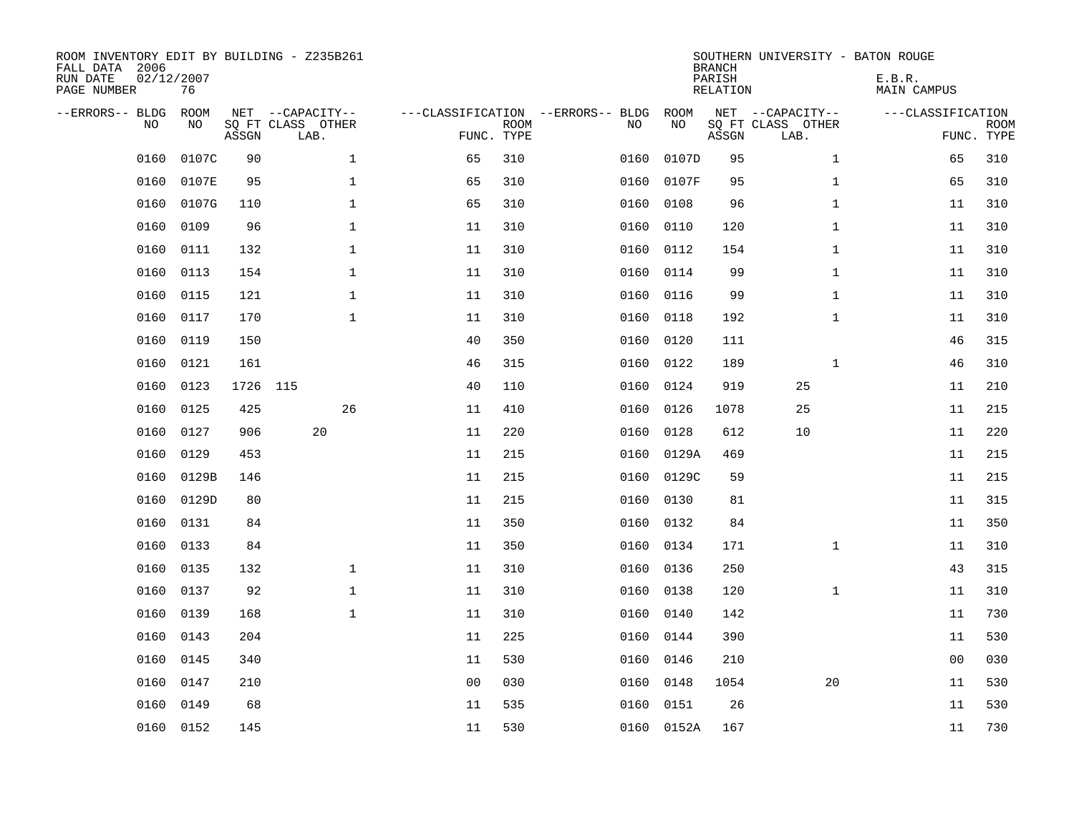| ROOM INVENTORY EDIT BY BUILDING - Z235B261<br>FALL DATA 2006<br>RUN DATE<br>PAGE NUMBER | 02/12/2007<br>76 |          |                                               |                |                           |                                         |            | <b>BRANCH</b><br>PARISH<br><b>RELATION</b> | SOUTHERN UNIVERSITY - BATON ROUGE             | E.B.R.<br><b>MAIN CAMPUS</b> |                           |
|-----------------------------------------------------------------------------------------|------------------|----------|-----------------------------------------------|----------------|---------------------------|-----------------------------------------|------------|--------------------------------------------|-----------------------------------------------|------------------------------|---------------------------|
| --ERRORS-- BLDG<br>NO.                                                                  | ROOM<br>NO       | ASSGN    | NET --CAPACITY--<br>SQ FT CLASS OTHER<br>LAB. |                | <b>ROOM</b><br>FUNC. TYPE | ---CLASSIFICATION --ERRORS-- BLDG<br>NO | ROOM<br>NO | ASSGN                                      | NET --CAPACITY--<br>SQ FT CLASS OTHER<br>LAB. | ---CLASSIFICATION            | <b>ROOM</b><br>FUNC. TYPE |
| 0160                                                                                    | 0107C            | 90       | $\mathbf 1$                                   | 65             | 310                       | 0160                                    | 0107D      | 95                                         | $\mathbf{1}$                                  | 65                           | 310                       |
| 0160                                                                                    | 0107E            | 95       | $\mathbf 1$                                   | 65             | 310                       | 0160                                    | 0107F      | 95                                         | $\mathbf{1}$                                  | 65                           | 310                       |
| 0160                                                                                    | 0107G            | 110      | $\mathbf{1}$                                  | 65             | 310                       | 0160                                    | 0108       | 96                                         | $\mathbf{1}$                                  | 11                           | 310                       |
| 0160                                                                                    | 0109             | 96       | $\mathbf 1$                                   | 11             | 310                       | 0160                                    | 0110       | 120                                        | $\mathbf{1}$                                  | 11                           | 310                       |
| 0160                                                                                    | 0111             | 132      | $\mathbf{1}$                                  | 11             | 310                       | 0160                                    | 0112       | 154                                        | $\mathbf{1}$                                  | 11                           | 310                       |
| 0160                                                                                    | 0113             | 154      | $\mathbf 1$                                   | 11             | 310                       | 0160                                    | 0114       | 99                                         | $\mathbf{1}$                                  | 11                           | 310                       |
| 0160                                                                                    | 0115             | 121      | $\mathbf{1}$                                  | 11             | 310                       | 0160                                    | 0116       | 99                                         | $\mathbf{1}$                                  | 11                           | 310                       |
| 0160                                                                                    | 0117             | 170      | $\mathbf{1}$                                  | 11             | 310                       | 0160                                    | 0118       | 192                                        | $\mathbf{1}$                                  | 11                           | 310                       |
| 0160                                                                                    | 0119             | 150      |                                               | 40             | 350                       | 0160                                    | 0120       | 111                                        |                                               | 46                           | 315                       |
| 0160                                                                                    | 0121             | 161      |                                               | 46             | 315                       | 0160                                    | 0122       | 189                                        | $\mathbf{1}$                                  | 46                           | 310                       |
| 0160                                                                                    | 0123             | 1726 115 |                                               | 40             | 110                       | 0160                                    | 0124       | 919                                        | 25                                            | 11                           | 210                       |
| 0160                                                                                    | 0125             | 425      | 26                                            | 11             | 410                       | 0160                                    | 0126       | 1078                                       | 25                                            | 11                           | 215                       |
| 0160                                                                                    | 0127             | 906      | 20                                            | 11             | 220                       | 0160                                    | 0128       | 612                                        | 10                                            | 11                           | 220                       |
| 0160                                                                                    | 0129             | 453      |                                               | 11             | 215                       | 0160                                    | 0129A      | 469                                        |                                               | 11                           | 215                       |
| 0160                                                                                    | 0129B            | 146      |                                               | 11             | 215                       | 0160                                    | 0129C      | 59                                         |                                               | 11                           | 215                       |
| 0160                                                                                    | 0129D            | 80       |                                               | 11             | 215                       | 0160                                    | 0130       | 81                                         |                                               | 11                           | 315                       |
| 0160                                                                                    | 0131             | 84       |                                               | 11             | 350                       | 0160                                    | 0132       | 84                                         |                                               | 11                           | 350                       |
| 0160                                                                                    | 0133             | 84       |                                               | 11             | 350                       | 0160                                    | 0134       | 171                                        | $\mathbf{1}$                                  | 11                           | 310                       |
| 0160                                                                                    | 0135             | 132      | $\mathbf{1}$                                  | 11             | 310                       | 0160                                    | 0136       | 250                                        |                                               | 43                           | 315                       |
| 0160                                                                                    | 0137             | 92       | $\mathbf 1$                                   | 11             | 310                       | 0160                                    | 0138       | 120                                        | $\mathbf{1}$                                  | 11                           | 310                       |
| 0160                                                                                    | 0139             | 168      | $\mathbf 1$                                   | 11             | 310                       | 0160                                    | 0140       | 142                                        |                                               | 11                           | 730                       |
| 0160                                                                                    | 0143             | 204      |                                               | 11             | 225                       | 0160                                    | 0144       | 390                                        |                                               | 11                           | 530                       |
| 0160                                                                                    | 0145             | 340      |                                               | 11             | 530                       | 0160                                    | 0146       | 210                                        |                                               | 0 <sub>0</sub>               | 030                       |
| 0160                                                                                    | 0147             | 210      |                                               | 0 <sub>0</sub> | 030                       | 0160                                    | 0148       | 1054                                       | 20                                            | 11                           | 530                       |
| 0160                                                                                    | 0149             | 68       |                                               | 11             | 535                       | 0160                                    | 0151       | 26                                         |                                               | 11                           | 530                       |
|                                                                                         | 0160 0152        | 145      |                                               | 11             | 530                       |                                         | 0160 0152A | 167                                        |                                               | 11                           | 730                       |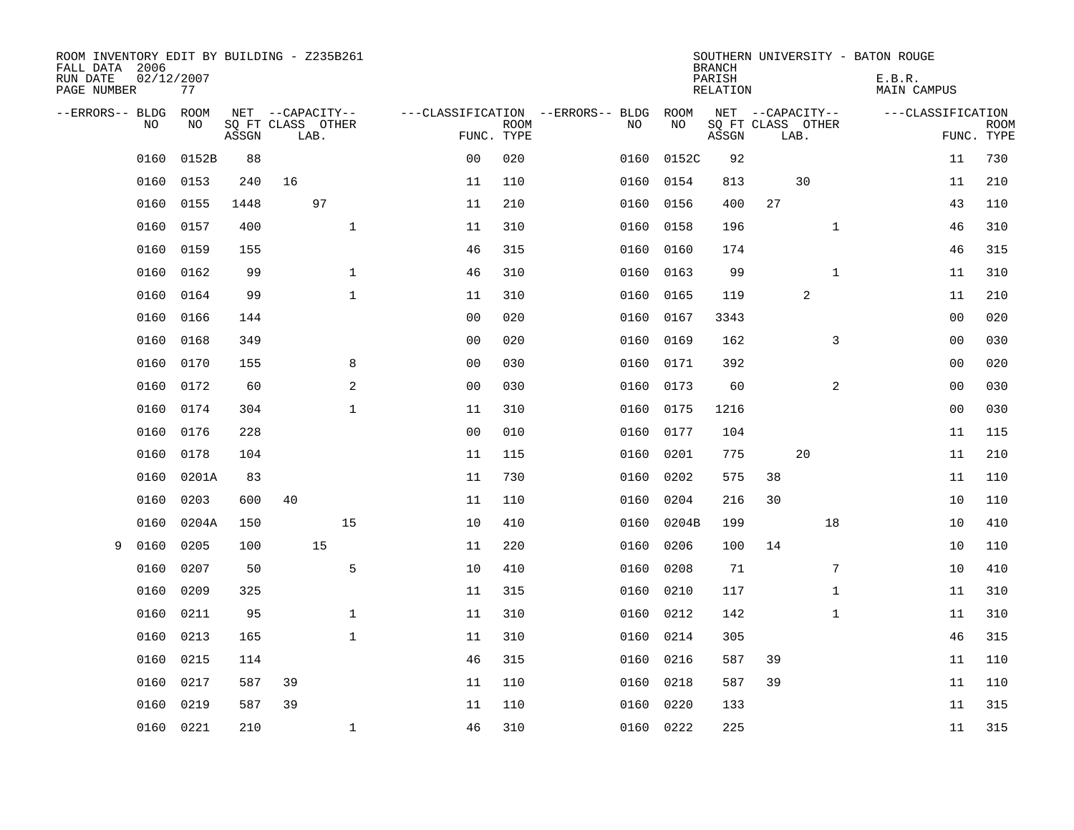| ROOM INVENTORY EDIT BY BUILDING - Z235B261<br>FALL DATA 2006<br>RUN DATE | 02/12/2007 |       |                                       |                |             |                                         |            | <b>BRANCH</b><br>PARISH | SOUTHERN UNIVERSITY - BATON ROUGE     | E.B.R.            |             |
|--------------------------------------------------------------------------|------------|-------|---------------------------------------|----------------|-------------|-----------------------------------------|------------|-------------------------|---------------------------------------|-------------------|-------------|
| PAGE NUMBER                                                              | 77         |       |                                       |                |             |                                         |            | RELATION                |                                       | MAIN CAMPUS       |             |
| --ERRORS-- BLDG<br>NO                                                    | ROOM<br>NO |       | NET --CAPACITY--<br>SQ FT CLASS OTHER |                | <b>ROOM</b> | ---CLASSIFICATION --ERRORS-- BLDG<br>NO | ROOM<br>NO |                         | NET --CAPACITY--<br>SQ FT CLASS OTHER | ---CLASSIFICATION | <b>ROOM</b> |
|                                                                          |            | ASSGN | LAB.                                  | FUNC. TYPE     |             |                                         |            | ASSGN                   | LAB.                                  |                   | FUNC. TYPE  |
| 0160                                                                     | 0152B      | 88    |                                       | 0 <sub>0</sub> | 020         | 0160                                    | 0152C      | 92                      |                                       | 11                | 730         |
| 0160                                                                     | 0153       | 240   | 16                                    | 11             | 110         | 0160                                    | 0154       | 813                     | 30                                    | 11                | 210         |
| 0160                                                                     | 0155       | 1448  | 97                                    | 11             | 210         | 0160                                    | 0156       | 400                     | 27                                    | 43                | 110         |
| 0160                                                                     | 0157       | 400   | $\mathbf{1}$                          | 11             | 310         | 0160                                    | 0158       | 196                     | $\mathbf{1}$                          | 46                | 310         |
| 0160                                                                     | 0159       | 155   |                                       | 46             | 315         | 0160                                    | 0160       | 174                     |                                       | 46                | 315         |
| 0160                                                                     | 0162       | 99    | $\mathbf 1$                           | 46             | 310         |                                         | 0160 0163  | 99                      | $\mathbf{1}$                          | 11                | 310         |
| 0160                                                                     | 0164       | 99    | $\mathbf{1}$                          | 11             | 310         | 0160                                    | 0165       | 119                     | 2                                     | 11                | 210         |
| 0160                                                                     | 0166       | 144   |                                       | 0 <sub>0</sub> | 020         | 0160                                    | 0167       | 3343                    |                                       | 0 <sub>0</sub>    | 020         |
| 0160                                                                     | 0168       | 349   |                                       | 0 <sub>0</sub> | 020         | 0160                                    | 0169       | 162                     | 3                                     | 00                | 030         |
| 0160                                                                     | 0170       | 155   | 8                                     | 0 <sub>0</sub> | 030         |                                         | 0160 0171  | 392                     |                                       | 0 <sub>0</sub>    | 020         |
| 0160                                                                     | 0172       | 60    | 2                                     | 0 <sub>0</sub> | 030         | 0160                                    | 0173       | 60                      | $\overline{a}$                        | 00                | 030         |
| 0160                                                                     | 0174       | 304   | $\mathbf 1$                           | 11             | 310         | 0160                                    | 0175       | 1216                    |                                       | 00                | 030         |
| 0160                                                                     | 0176       | 228   |                                       | 0 <sub>0</sub> | 010         | 0160                                    | 0177       | 104                     |                                       | 11                | 115         |
| 0160                                                                     | 0178       | 104   |                                       | 11             | 115         | 0160                                    | 0201       | 775                     | 20                                    | 11                | 210         |
| 0160                                                                     | 0201A      | 83    |                                       | 11             | 730         | 0160                                    | 0202       | 575                     | 38                                    | 11                | 110         |
| 0160                                                                     | 0203       | 600   | 40                                    | 11             | 110         | 0160                                    | 0204       | 216                     | 30                                    | 10                | 110         |
| 0160                                                                     | 0204A      | 150   | 15                                    | 10             | 410         | 0160                                    | 0204B      | 199                     | 18                                    | 10                | 410         |
| 9<br>0160                                                                | 0205       | 100   | 15                                    | 11             | 220         | 0160                                    | 0206       | 100                     | 14                                    | 10                | 110         |
| 0160                                                                     | 0207       | 50    | 5                                     | 10             | 410         | 0160                                    | 0208       | 71                      | 7                                     | 10                | 410         |
| 0160                                                                     | 0209       | 325   |                                       | 11             | 315         | 0160                                    | 0210       | 117                     | $\mathbf{1}$                          | 11                | 310         |
| 0160                                                                     | 0211       | 95    | $\mathbf{1}$                          | 11             | 310         | 0160                                    | 0212       | 142                     | $\mathbf{1}$                          | 11                | 310         |
| 0160                                                                     | 0213       | 165   | $\mathbf{1}$                          | 11             | 310         | 0160                                    | 0214       | 305                     |                                       | 46                | 315         |
| 0160                                                                     | 0215       | 114   |                                       | 46             | 315         | 0160                                    | 0216       | 587                     | 39                                    | 11                | 110         |
| 0160                                                                     | 0217       | 587   | 39                                    | 11             | 110         | 0160                                    | 0218       | 587                     | 39                                    | 11                | 110         |
| 0160                                                                     | 0219       | 587   | 39                                    | 11             | 110         | 0160                                    | 0220       | 133                     |                                       | 11                | 315         |
|                                                                          | 0160 0221  | 210   | $\mathbf{1}$                          | 46             | 310         |                                         | 0160 0222  | 225                     |                                       | 11                | 315         |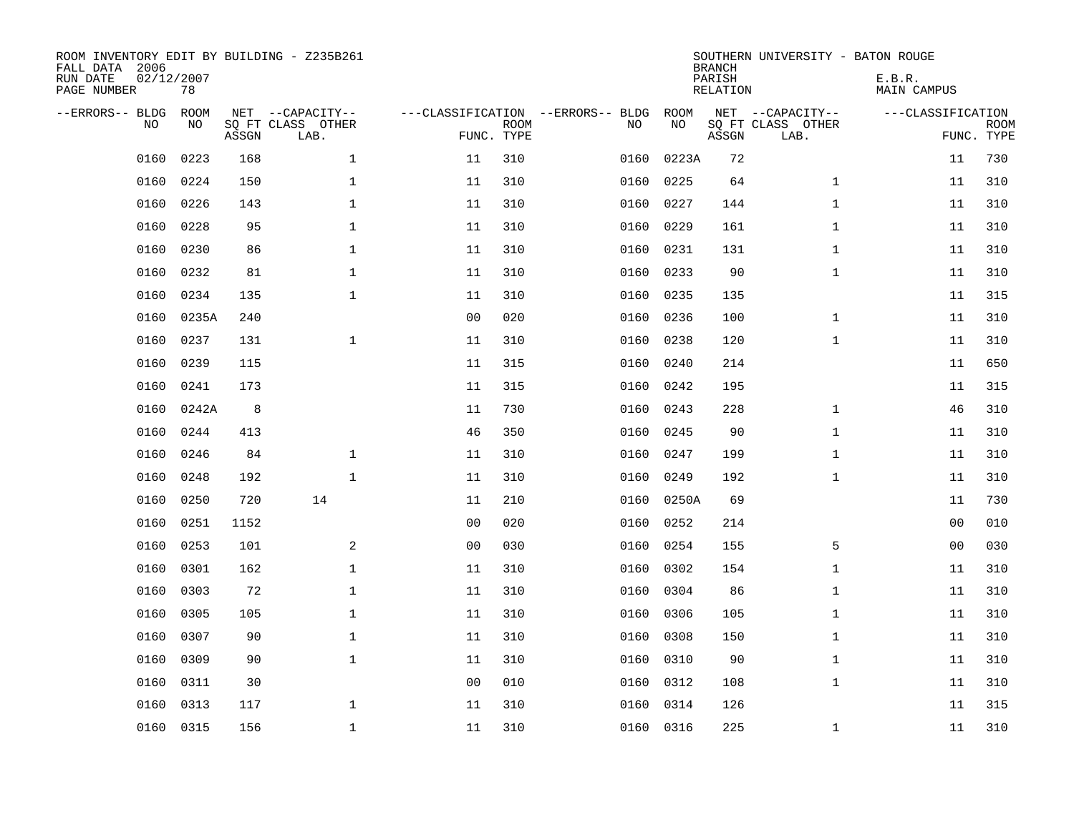| ROOM INVENTORY EDIT BY BUILDING - Z235B261<br>FALL DATA 2006<br>RUN DATE<br>PAGE NUMBER | 02/12/2007<br>78  |       |                                               |                |             |                                         |            | <b>BRANCH</b><br>PARISH<br><b>RELATION</b> | SOUTHERN UNIVERSITY - BATON ROUGE             | E.B.R.<br><b>MAIN CAMPUS</b> |                           |
|-----------------------------------------------------------------------------------------|-------------------|-------|-----------------------------------------------|----------------|-------------|-----------------------------------------|------------|--------------------------------------------|-----------------------------------------------|------------------------------|---------------------------|
| --ERRORS-- BLDG<br>NO.                                                                  | <b>ROOM</b><br>NO | ASSGN | NET --CAPACITY--<br>SQ FT CLASS OTHER<br>LAB. | FUNC. TYPE     | <b>ROOM</b> | ---CLASSIFICATION --ERRORS-- BLDG<br>NO | ROOM<br>NO | ASSGN                                      | NET --CAPACITY--<br>SQ FT CLASS OTHER<br>LAB. | ---CLASSIFICATION            | <b>ROOM</b><br>FUNC. TYPE |
| 0160                                                                                    | 0223              | 168   | $\mathbf 1$                                   | 11             | 310         | 0160                                    | 0223A      | 72                                         |                                               | 11                           | 730                       |
| 0160                                                                                    | 0224              | 150   | $\mathbf{1}$                                  | 11             | 310         | 0160                                    | 0225       | 64                                         | $\mathbf{1}$                                  | 11                           | 310                       |
| 0160                                                                                    | 0226              | 143   | $\mathbf{1}$                                  | 11             | 310         | 0160                                    | 0227       | 144                                        | $\mathbf{1}$                                  | 11                           | 310                       |
| 0160                                                                                    | 0228              | 95    | $\mathbf{1}$                                  | 11             | 310         | 0160                                    | 0229       | 161                                        | $\mathbf{1}$                                  | 11                           | 310                       |
| 0160                                                                                    | 0230              | 86    | $\mathbf{1}$                                  | 11             | 310         | 0160                                    | 0231       | 131                                        | $\mathbf{1}$                                  | 11                           | 310                       |
| 0160                                                                                    | 0232              | 81    | $\mathbf{1}$                                  | 11             | 310         |                                         | 0160 0233  | 90                                         | $\mathbf{1}$                                  | 11                           | 310                       |
| 0160                                                                                    | 0234              | 135   | $\mathbf 1$                                   | 11             | 310         | 0160                                    | 0235       | 135                                        |                                               | 11                           | 315                       |
| 0160                                                                                    | 0235A             | 240   |                                               | 0 <sub>0</sub> | 020         | 0160                                    | 0236       | 100                                        | $\mathbf{1}$                                  | 11                           | 310                       |
| 0160                                                                                    | 0237              | 131   | $\mathbf{1}$                                  | 11             | 310         | 0160                                    | 0238       | 120                                        | $\mathbf{1}$                                  | 11                           | 310                       |
| 0160                                                                                    | 0239              | 115   |                                               | 11             | 315         | 0160                                    | 0240       | 214                                        |                                               | 11                           | 650                       |
| 0160                                                                                    | 0241              | 173   |                                               | 11             | 315         | 0160                                    | 0242       | 195                                        |                                               | 11                           | 315                       |
| 0160                                                                                    | 0242A             | 8     |                                               | 11             | 730         | 0160                                    | 0243       | 228                                        | $\mathbf{1}$                                  | 46                           | 310                       |
| 0160                                                                                    | 0244              | 413   |                                               | 46             | 350         | 0160                                    | 0245       | 90                                         | $\mathbf{1}$                                  | 11                           | 310                       |
| 0160                                                                                    | 0246              | 84    | $\mathbf{1}$                                  | 11             | 310         | 0160                                    | 0247       | 199                                        | $\mathbf{1}$                                  | 11                           | 310                       |
| 0160                                                                                    | 0248              | 192   | $\mathbf{1}$                                  | 11             | 310         | 0160                                    | 0249       | 192                                        | $\mathbf{1}$                                  | 11                           | 310                       |
| 0160                                                                                    | 0250              | 720   | 14                                            | 11             | 210         | 0160                                    | 0250A      | 69                                         |                                               | 11                           | 730                       |
| 0160                                                                                    | 0251              | 1152  |                                               | 0 <sub>0</sub> | 020         | 0160                                    | 0252       | 214                                        |                                               | 00                           | 010                       |
| 0160                                                                                    | 0253              | 101   | 2                                             | 0 <sub>0</sub> | 030         | 0160                                    | 0254       | 155                                        | 5                                             | 00                           | 030                       |
| 0160                                                                                    | 0301              | 162   | $\mathbf 1$                                   | 11             | 310         | 0160                                    | 0302       | 154                                        | $\mathbf{1}$                                  | 11                           | 310                       |
| 0160                                                                                    | 0303              | 72    | $\mathbf 1$                                   | 11             | 310         | 0160                                    | 0304       | 86                                         | $\mathbf{1}$                                  | 11                           | 310                       |
| 0160                                                                                    | 0305              | 105   | $\mathbf{1}$                                  | 11             | 310         | 0160                                    | 0306       | 105                                        | $\mathbf{1}$                                  | 11                           | 310                       |
| 0160                                                                                    | 0307              | 90    | $\mathbf{1}$                                  | 11             | 310         | 0160                                    | 0308       | 150                                        | $\mathbf{1}$                                  | 11                           | 310                       |
| 0160                                                                                    | 0309              | 90    | $\mathbf 1$                                   | 11             | 310         | 0160                                    | 0310       | 90                                         | $\mathbf{1}$                                  | 11                           | 310                       |
| 0160                                                                                    | 0311              | 30    |                                               | 0 <sub>0</sub> | 010         | 0160                                    | 0312       | 108                                        | $\mathbf{1}$                                  | 11                           | 310                       |
| 0160                                                                                    | 0313              | 117   | $\mathbf{1}$                                  | 11             | 310         | 0160                                    | 0314       | 126                                        |                                               | 11                           | 315                       |
|                                                                                         | 0160 0315         | 156   | $\mathbf{1}$                                  | 11             | 310         |                                         | 0160 0316  | 225                                        | $\mathbf{1}$                                  | 11                           | 310                       |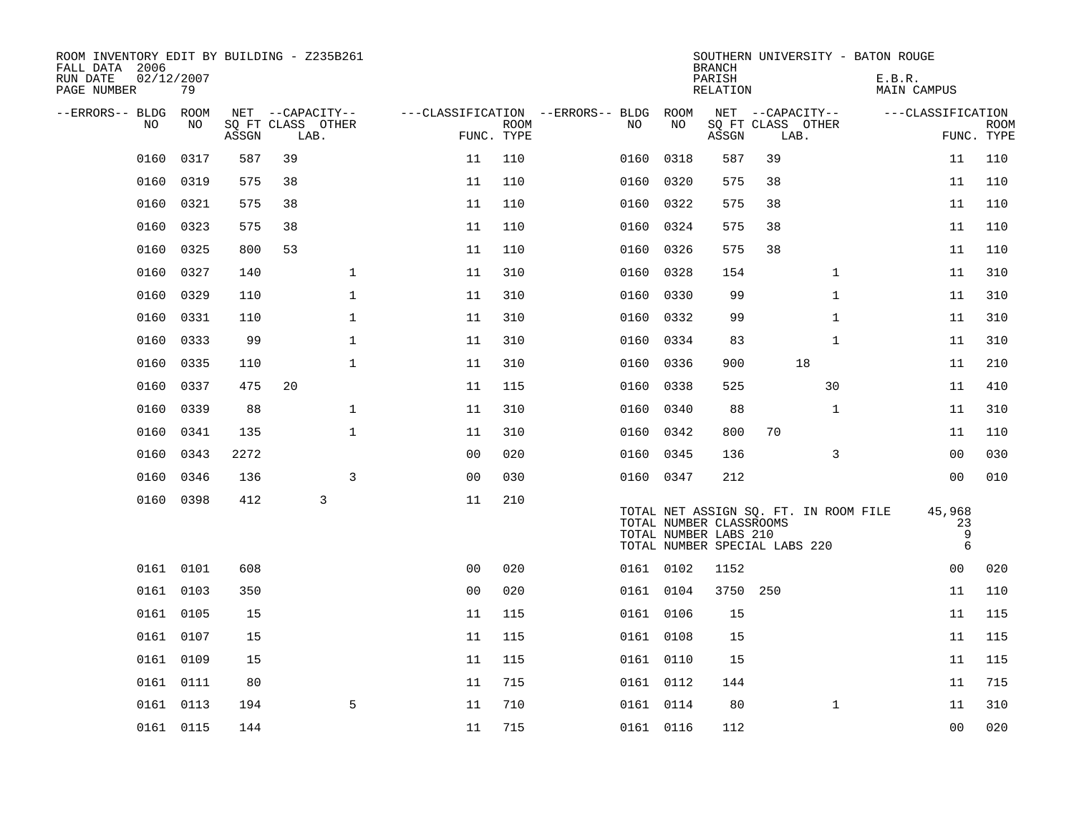| ROOM INVENTORY EDIT BY BUILDING - Z235B261<br>FALL DATA 2006<br>RUN DATE<br>PAGE NUMBER | 02/12/2007<br>79 |       |                           |                     |                           |                                   |           | <b>BRANCH</b><br>PARISH<br>RELATION              | SOUTHERN UNIVERSITY - BATON ROUGE                                      |              | E.B.R.<br>MAIN CAMPUS           |                           |
|-----------------------------------------------------------------------------------------|------------------|-------|---------------------------|---------------------|---------------------------|-----------------------------------|-----------|--------------------------------------------------|------------------------------------------------------------------------|--------------|---------------------------------|---------------------------|
| --ERRORS-- BLDG                                                                         | ROOM             |       | NET --CAPACITY--          |                     |                           | ---CLASSIFICATION --ERRORS-- BLDG | ROOM      |                                                  | NET --CAPACITY--                                                       |              | ---CLASSIFICATION               |                           |
| N <sub>O</sub>                                                                          | NO.              | ASSGN | SO FT CLASS OTHER<br>LAB. |                     | <b>ROOM</b><br>FUNC. TYPE | NO.                               | NO        | ASSGN                                            | SQ FT CLASS OTHER<br>LAB.                                              |              |                                 | <b>ROOM</b><br>FUNC. TYPE |
| 0160                                                                                    | 0317             | 587   | 39                        | 11                  | 110                       | 0160                              | 0318      | 587                                              | 39                                                                     |              | 11                              | 110                       |
| 0160                                                                                    | 0319             | 575   | 38                        | 11                  | 110                       | 0160                              | 0320      | 575                                              | 38                                                                     |              | 11                              | 110                       |
| 0160                                                                                    | 0321             | 575   | 38                        | 11                  | 110                       | 0160                              | 0322      | 575                                              | 38                                                                     |              | 11                              | 110                       |
| 0160                                                                                    | 0323             | 575   | 38                        | 11                  | 110                       | 0160                              | 0324      | 575                                              | 38                                                                     |              | 11                              | 110                       |
| 0160                                                                                    | 0325             | 800   | 53                        | 11                  | 110                       | 0160                              | 0326      | 575                                              | 38                                                                     |              | 11                              | 110                       |
| 0160                                                                                    | 0327             | 140   |                           | $\mathbf{1}$<br>11  | 310                       | 0160                              | 0328      | 154                                              |                                                                        | $\mathbf{1}$ | 11                              | 310                       |
| 0160                                                                                    | 0329             | 110   |                           | $\mathbf{1}$<br>11  | 310                       | 0160                              | 0330      | 99                                               |                                                                        | $\mathbf{1}$ | 11                              | 310                       |
| 0160                                                                                    | 0331             | 110   |                           | $\mathbf 1$<br>11   | 310                       |                                   | 0160 0332 | 99                                               |                                                                        | $\mathbf{1}$ | 11                              | 310                       |
| 0160                                                                                    | 0333             | 99    |                           | $\mathbf 1$<br>11   | 310                       | 0160                              | 0334      | 83                                               |                                                                        | $\mathbf{1}$ | 11                              | 310                       |
| 0160                                                                                    | 0335             | 110   |                           | $\mathbf{1}$<br>11  | 310                       | 0160                              | 0336      | 900                                              | 18                                                                     |              | 11                              | 210                       |
| 0160                                                                                    | 0337             | 475   | 20                        | 11                  | 115                       | 0160                              | 0338      | 525                                              |                                                                        | 30           | 11                              | 410                       |
| 0160                                                                                    | 0339             | 88    |                           | $\mathbf 1$<br>11   | 310                       | 0160                              | 0340      | 88                                               |                                                                        | $\mathbf{1}$ | 11                              | 310                       |
| 0160                                                                                    | 0341             | 135   |                           | $\mathbf{1}$<br>11  | 310                       | 0160                              | 0342      | 800                                              | 70                                                                     |              | 11                              | 110                       |
| 0160                                                                                    | 0343             | 2272  |                           | 0 <sub>0</sub>      | 020                       | 0160                              | 0345      | 136                                              |                                                                        | 3            | 0 <sub>0</sub>                  | 030                       |
| 0160                                                                                    | 0346             | 136   |                           | 3<br>0 <sub>0</sub> | 030                       |                                   | 0160 0347 | 212                                              |                                                                        |              | 00                              | 010                       |
|                                                                                         | 0160 0398        | 412   | 3                         | 11                  | 210                       |                                   |           | TOTAL NUMBER CLASSROOMS<br>TOTAL NUMBER LABS 210 | TOTAL NET ASSIGN SQ. FT. IN ROOM FILE<br>TOTAL NUMBER SPECIAL LABS 220 |              | 45,968<br>23<br>9<br>$\sqrt{6}$ |                           |
|                                                                                         | 0161 0101        | 608   |                           | 0 <sub>0</sub>      | 020                       |                                   | 0161 0102 | 1152                                             |                                                                        |              | 0 <sub>0</sub>                  | 020                       |
|                                                                                         | 0161 0103        | 350   |                           | 0 <sub>0</sub>      | 020                       |                                   | 0161 0104 | 3750                                             | 250                                                                    |              | 11                              | 110                       |
|                                                                                         | 0161 0105        | 15    |                           | 11                  | 115                       |                                   | 0161 0106 | 15                                               |                                                                        |              | 11                              | 115                       |
|                                                                                         | 0161 0107        | 15    |                           | 11                  | 115                       |                                   | 0161 0108 | 15                                               |                                                                        |              | 11                              | 115                       |
|                                                                                         | 0161 0109        | 15    |                           | 11                  | 115                       |                                   | 0161 0110 | 15                                               |                                                                        |              | 11                              | 115                       |
|                                                                                         | 0161 0111        | 80    |                           | 11                  | 715                       |                                   | 0161 0112 | 144                                              |                                                                        |              | 11                              | 715                       |
|                                                                                         | 0161 0113        | 194   |                           | 5<br>11             | 710                       |                                   | 0161 0114 | 80                                               |                                                                        | $\mathbf{1}$ | 11                              | 310                       |
|                                                                                         | 0161 0115        | 144   |                           | 11                  | 715                       |                                   | 0161 0116 | 112                                              |                                                                        |              | 0 <sub>0</sub>                  | 020                       |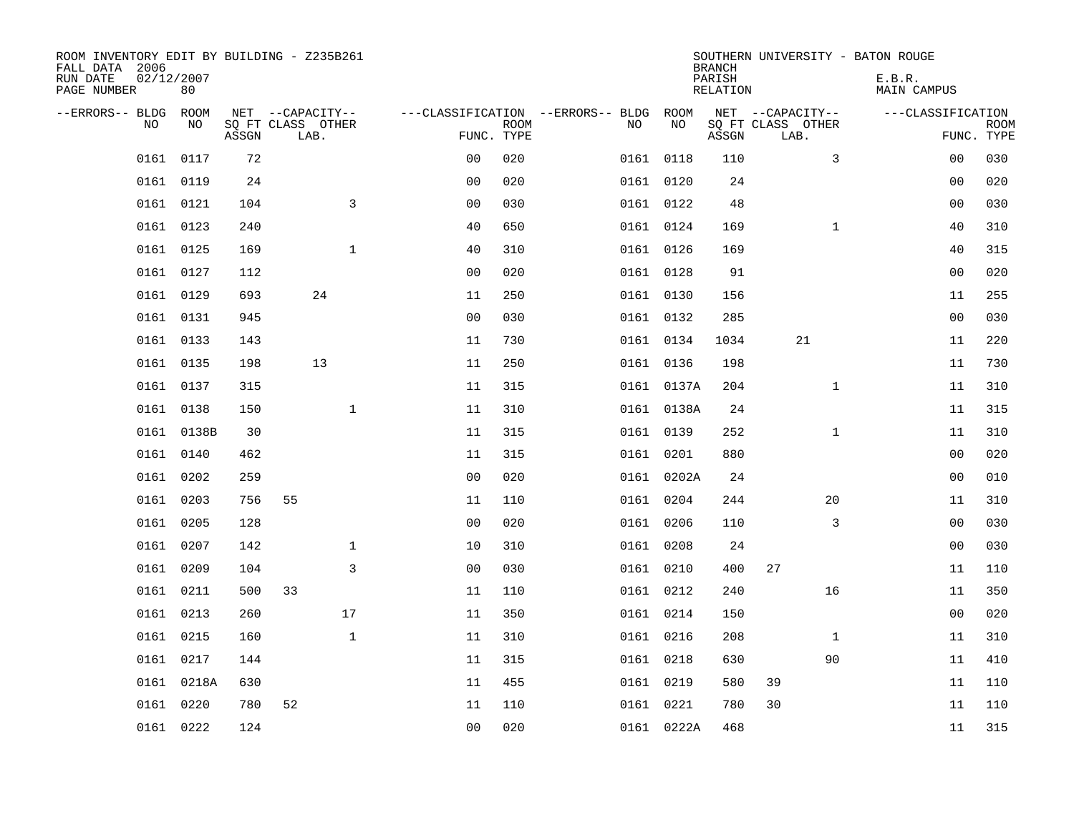| ROOM INVENTORY EDIT BY BUILDING - Z235B261<br>FALL DATA 2006<br>RUN DATE<br>PAGE NUMBER | 02/12/2007<br>80 |       |                           |              |                                   |             |           |            | <b>BRANCH</b><br>PARISH<br>RELATION | SOUTHERN UNIVERSITY - BATON ROUGE | E.B.R.<br>MAIN CAMPUS |                           |
|-----------------------------------------------------------------------------------------|------------------|-------|---------------------------|--------------|-----------------------------------|-------------|-----------|------------|-------------------------------------|-----------------------------------|-----------------------|---------------------------|
| --ERRORS-- BLDG                                                                         | ROOM             |       | NET --CAPACITY--          |              | ---CLASSIFICATION --ERRORS-- BLDG |             |           | ROOM       |                                     | NET --CAPACITY--                  | ---CLASSIFICATION     |                           |
| N <sub>O</sub>                                                                          | NO.              | ASSGN | SO FT CLASS OTHER<br>LAB. |              | FUNC. TYPE                        | <b>ROOM</b> | NO.       | NO         | ASSGN                               | SQ FT CLASS OTHER<br>LAB.         |                       | <b>ROOM</b><br>FUNC. TYPE |
| 0161                                                                                    | 0117             | 72    |                           |              | 0 <sub>0</sub>                    | 020         | 0161 0118 |            | 110                                 | 3                                 | 00                    | 030                       |
|                                                                                         | 0161 0119        | 24    |                           |              | 0 <sub>0</sub>                    | 020         | 0161 0120 |            | 24                                  |                                   | 0 <sub>0</sub>        | 020                       |
|                                                                                         | 0161 0121        | 104   |                           | 3            | 0 <sub>0</sub>                    | 030         | 0161 0122 |            | 48                                  |                                   | 00                    | 030                       |
|                                                                                         | 0161 0123        | 240   |                           |              | 40                                | 650         | 0161 0124 |            | 169                                 | $\mathbf{1}$                      | 40                    | 310                       |
| 0161                                                                                    | 0125             | 169   |                           | $\mathbf{1}$ | 40                                | 310         | 0161 0126 |            | 169                                 |                                   | 40                    | 315                       |
|                                                                                         | 0161 0127        | 112   |                           |              | 0 <sub>0</sub>                    | 020         | 0161 0128 |            | 91                                  |                                   | 0 <sub>0</sub>        | 020                       |
|                                                                                         | 0161 0129        | 693   |                           | 24           | 11                                | 250         | 0161 0130 |            | 156                                 |                                   | 11                    | 255                       |
|                                                                                         | 0161 0131        | 945   |                           |              | 0 <sub>0</sub>                    | 030         | 0161 0132 |            | 285                                 |                                   | 0 <sub>0</sub>        | 030                       |
|                                                                                         | 0161 0133        | 143   |                           |              | 11                                | 730         | 0161 0134 |            | 1034                                | 21                                | 11                    | 220                       |
|                                                                                         | 0161 0135        | 198   |                           | 13           | 11                                | 250         | 0161 0136 |            | 198                                 |                                   | 11                    | 730                       |
|                                                                                         | 0161 0137        | 315   |                           |              | 11                                | 315         |           | 0161 0137A | 204                                 | $\mathbf{1}$                      | 11                    | 310                       |
|                                                                                         | 0161 0138        | 150   |                           | $\mathbf 1$  | 11                                | 310         |           | 0161 0138A | 24                                  |                                   | 11                    | 315                       |
|                                                                                         | 0161 0138B       | 30    |                           |              | 11                                | 315         | 0161 0139 |            | 252                                 | $\mathbf{1}$                      | 11                    | 310                       |
|                                                                                         | 0161 0140        | 462   |                           |              | 11                                | 315         | 0161 0201 |            | 880                                 |                                   | 0 <sub>0</sub>        | 020                       |
|                                                                                         | 0161 0202        | 259   |                           |              | 0 <sub>0</sub>                    | 020         |           | 0161 0202A | 24                                  |                                   | 00                    | 010                       |
|                                                                                         | 0161 0203        | 756   | 55                        |              | 11                                | 110         | 0161 0204 |            | 244                                 | 20                                | 11                    | 310                       |
|                                                                                         | 0161 0205        | 128   |                           |              | 0 <sub>0</sub>                    | 020         | 0161 0206 |            | 110                                 | 3                                 | 0 <sub>0</sub>        | 030                       |
| 0161                                                                                    | 0207             | 142   |                           | $\mathbf{1}$ | 10                                | 310         | 0161 0208 |            | 24                                  |                                   | 0 <sub>0</sub>        | 030                       |
|                                                                                         | 0161 0209        | 104   |                           | 3            | 0 <sub>0</sub>                    | 030         | 0161 0210 |            | 400                                 | 27                                | 11                    | 110                       |
|                                                                                         | 0161 0211        | 500   | 33                        |              | 11                                | 110         | 0161 0212 |            | 240                                 | 16                                | 11                    | 350                       |
|                                                                                         | 0161 0213        | 260   |                           | 17           | 11                                | 350         | 0161 0214 |            | 150                                 |                                   | 00                    | 020                       |
| 0161                                                                                    | 0215             | 160   |                           | $\mathbf{1}$ | 11                                | 310         | 0161 0216 |            | 208                                 | $\mathbf{1}$                      | 11                    | 310                       |
|                                                                                         | 0161 0217        | 144   |                           |              | 11                                | 315         | 0161 0218 |            | 630                                 | 90                                | 11                    | 410                       |
| 0161                                                                                    | 0218A            | 630   |                           |              | 11                                | 455         | 0161 0219 |            | 580                                 | 39                                | 11                    | 110                       |
|                                                                                         | 0161 0220        | 780   | 52                        |              | 11                                | 110         | 0161 0221 |            | 780                                 | 30                                | 11                    | 110                       |
|                                                                                         | 0161 0222        | 124   |                           |              | 0 <sub>0</sub>                    | 020         |           | 0161 0222A | 468                                 |                                   | 11                    | 315                       |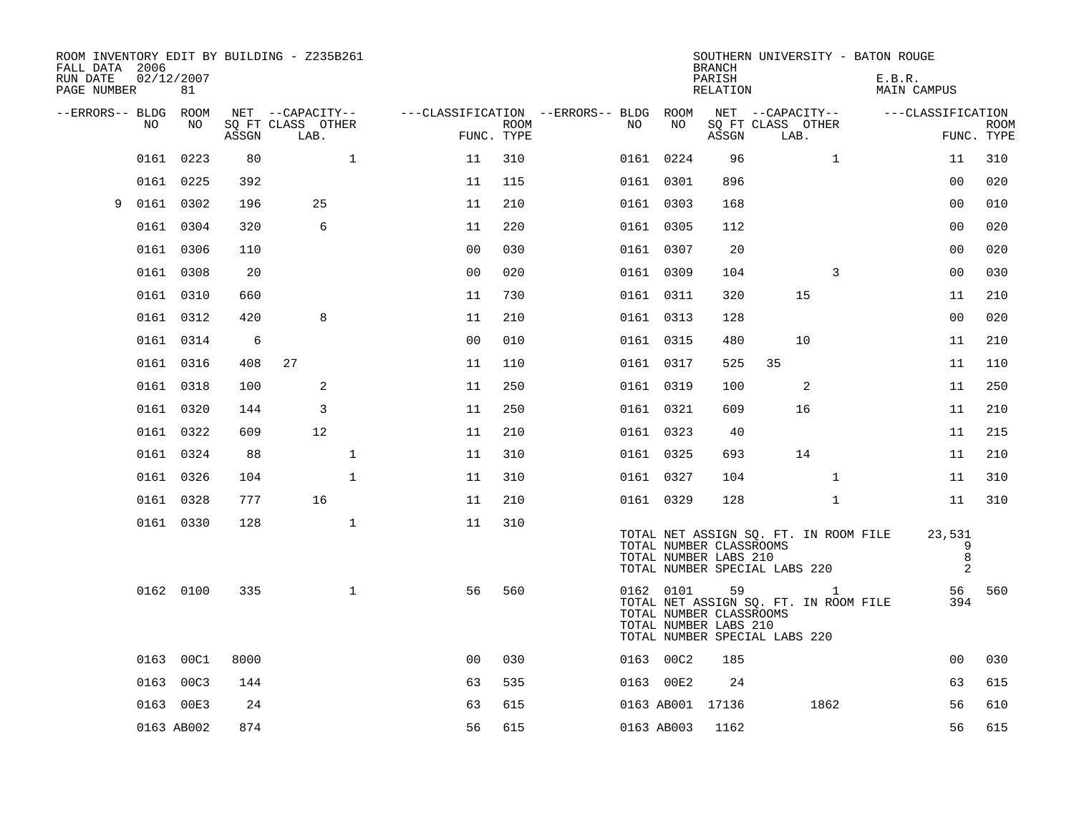| FALL DATA 2006<br>RUN DATE<br>PAGE NUMBER |      | 02/12/2007<br>81 |       | ROOM INVENTORY EDIT BY BUILDING - Z235B261 |                |                           |                                        |            | <b>BRANCH</b><br>PARISH<br>RELATION                    | SOUTHERN UNIVERSITY - BATON ROUGE                                           | E.B.R.<br><b>MAIN CAMPUS</b> |                           |
|-------------------------------------------|------|------------------|-------|--------------------------------------------|----------------|---------------------------|----------------------------------------|------------|--------------------------------------------------------|-----------------------------------------------------------------------------|------------------------------|---------------------------|
| --ERRORS-- BLDG ROOM                      |      |                  |       | NET --CAPACITY--                           |                |                           | ---CLASSIFICATION --ERRORS-- BLDG ROOM |            |                                                        | NET --CAPACITY--                                                            | ---CLASSIFICATION            |                           |
|                                           | NO   | NO               | ASSGN | SQ FT CLASS OTHER<br>LAB.                  |                | <b>ROOM</b><br>FUNC. TYPE | NO                                     | NO         | ASSGN                                                  | SQ FT CLASS OTHER<br>LAB.                                                   |                              | <b>ROOM</b><br>FUNC. TYPE |
|                                           | 0161 | 0223             | 80    | $\mathbf{1}$                               | 11             | 310                       |                                        | 0161 0224  | 96                                                     | $\mathbf{1}$                                                                | 11                           | 310                       |
|                                           |      | 0161 0225        | 392   |                                            | 11             | 115                       |                                        | 0161 0301  | 896                                                    |                                                                             | 00                           | 020                       |
| 9                                         |      | 0161 0302        | 196   | 25                                         | 11             | 210                       |                                        | 0161 0303  | 168                                                    |                                                                             | 0 <sub>0</sub>               | 010                       |
|                                           |      | 0161 0304        | 320   | 6                                          | 11             | 220                       |                                        | 0161 0305  | 112                                                    |                                                                             | 00                           | 020                       |
|                                           |      | 0161 0306        | 110   |                                            | 0 <sub>0</sub> | 030                       |                                        | 0161 0307  | 20                                                     |                                                                             | 0 <sub>0</sub>               | 020                       |
|                                           |      | 0161 0308        | 20    |                                            | 0 <sub>0</sub> | 020                       |                                        | 0161 0309  | 104                                                    | 3                                                                           | 0 <sub>0</sub>               | 030                       |
|                                           |      | 0161 0310        | 660   |                                            | 11             | 730                       |                                        | 0161 0311  | 320                                                    | 15                                                                          | 11                           | 210                       |
|                                           |      | 0161 0312        | 420   | 8                                          | 11             | 210                       |                                        | 0161 0313  | 128                                                    |                                                                             | 0 <sub>0</sub>               | 020                       |
|                                           |      | 0161 0314        | 6     |                                            | 0 <sub>0</sub> | 010                       |                                        | 0161 0315  | 480                                                    | 10                                                                          | 11                           | 210                       |
|                                           |      | 0161 0316        | 408   | 27                                         | 11             | 110                       |                                        | 0161 0317  | 525                                                    | 35                                                                          | 11                           | 110                       |
|                                           |      | 0161 0318        | 100   | 2                                          | 11             | 250                       |                                        | 0161 0319  | 100                                                    | 2                                                                           | 11                           | 250                       |
|                                           |      | 0161 0320        | 144   | 3                                          | 11             | 250                       |                                        | 0161 0321  | 609                                                    | 16                                                                          | 11                           | 210                       |
|                                           |      | 0161 0322        | 609   | 12                                         | 11             | 210                       |                                        | 0161 0323  | 40                                                     |                                                                             | 11                           | 215                       |
|                                           |      | 0161 0324        | 88    | $\mathbf{1}$                               | 11             | 310                       |                                        | 0161 0325  | 693                                                    | 14                                                                          | 11                           | 210                       |
|                                           |      | 0161 0326        | 104   | $\mathbf{1}$                               | 11             | 310                       |                                        | 0161 0327  | 104                                                    | $\mathbf{1}$                                                                | 11                           | 310                       |
|                                           |      | 0161 0328        | 777   | 16                                         | 11             | 210                       |                                        | 0161 0329  | 128                                                    | $\mathbf{1}$                                                                | 11                           | 310                       |
|                                           |      | 0161 0330        | 128   | $\mathbf{1}$                               | 11             | 310                       |                                        |            |                                                        | TOTAL NET ASSIGN SQ. FT. IN ROOM FILE                                       | 23,531                       |                           |
|                                           |      |                  |       |                                            |                |                           |                                        |            | TOTAL NUMBER CLASSROOMS<br>TOTAL NUMBER LABS 210       | TOTAL NUMBER SPECIAL LABS 220                                               | 9<br>8<br>2                  |                           |
|                                           |      | 0162 0100        | 335   | $\mathbf 1$                                | 56             | 560                       |                                        | 0162 0101  | 59<br>TOTAL NUMBER CLASSROOMS<br>TOTAL NUMBER LABS 210 | 1<br>TOTAL NET ASSIGN SQ. FT. IN ROOM FILE<br>TOTAL NUMBER SPECIAL LABS 220 | 56<br>394                    | 560                       |
|                                           |      | 0163 00C1        | 8000  |                                            | 0 <sub>0</sub> | 030                       |                                        | 0163 00C2  | 185                                                    |                                                                             | 0 <sub>0</sub>               | 030                       |
|                                           |      | 0163 00C3        | 144   |                                            | 63             | 535                       |                                        | 0163 00E2  | 24                                                     |                                                                             | 63                           | 615                       |
|                                           |      | 0163 00E3        | 24    |                                            | 63             | 615                       |                                        |            | 0163 AB001 17136                                       | 1862                                                                        | 56                           | 610                       |
|                                           |      | 0163 AB002       | 874   |                                            | 56             | 615                       |                                        | 0163 AB003 | 1162                                                   |                                                                             | 56                           | 615                       |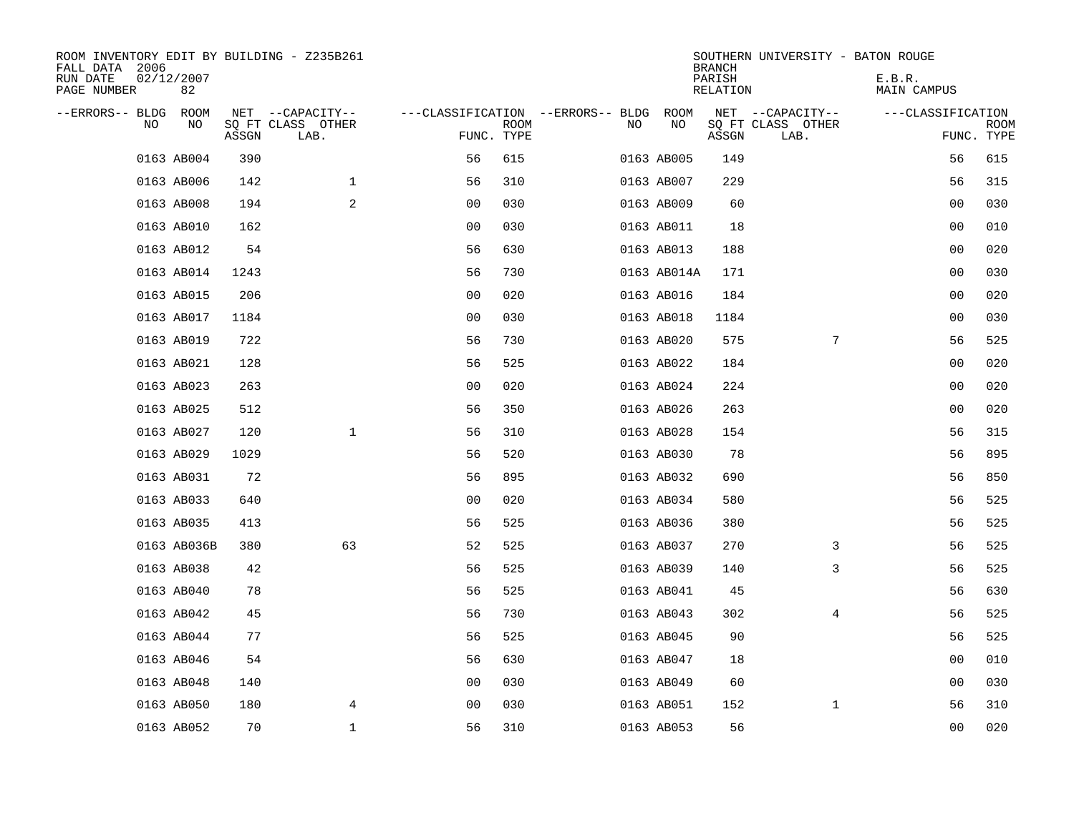| ROOM INVENTORY EDIT BY BUILDING - Z235B261<br>FALL DATA 2006 |                  |       |                           |                |             |                                        |             | <b>BRANCH</b>      | SOUTHERN UNIVERSITY - BATON ROUGE |                       |                    |
|--------------------------------------------------------------|------------------|-------|---------------------------|----------------|-------------|----------------------------------------|-------------|--------------------|-----------------------------------|-----------------------|--------------------|
| RUN DATE<br>PAGE NUMBER                                      | 02/12/2007<br>82 |       |                           |                |             |                                        |             | PARISH<br>RELATION |                                   | E.B.R.<br>MAIN CAMPUS |                    |
| --ERRORS-- BLDG ROOM                                         |                  |       | NET --CAPACITY--          |                |             | ---CLASSIFICATION --ERRORS-- BLDG ROOM |             |                    | NET --CAPACITY--                  | ---CLASSIFICATION     |                    |
| NO                                                           | NO               | ASSGN | SQ FT CLASS OTHER<br>LAB. | FUNC. TYPE     | <b>ROOM</b> | NO.                                    | NO          | ASSGN              | SQ FT CLASS OTHER<br>LAB.         |                       | ROOM<br>FUNC. TYPE |
|                                                              | 0163 AB004       | 390   |                           | 56             | 615         |                                        | 0163 AB005  | 149                |                                   | 56                    | 615                |
|                                                              | 0163 AB006       | 142   | $\mathbf 1$               | 56             | 310         |                                        | 0163 AB007  | 229                |                                   | 56                    | 315                |
|                                                              | 0163 AB008       | 194   | 2                         | 0 <sub>0</sub> | 030         |                                        | 0163 AB009  | 60                 |                                   | 00                    | 030                |
|                                                              | 0163 AB010       | 162   |                           | 0 <sub>0</sub> | 030         |                                        | 0163 AB011  | 18                 |                                   | 00                    | 010                |
|                                                              | 0163 AB012       | 54    |                           | 56             | 630         |                                        | 0163 AB013  | 188                |                                   | 00                    | 020                |
|                                                              | 0163 AB014       | 1243  |                           | 56             | 730         |                                        | 0163 AB014A | 171                |                                   | 0 <sub>0</sub>        | 030                |
|                                                              | 0163 AB015       | 206   |                           | 0 <sub>0</sub> | 020         |                                        | 0163 AB016  | 184                |                                   | 00                    | 020                |
|                                                              | 0163 AB017       | 1184  |                           | 0 <sub>0</sub> | 030         |                                        | 0163 AB018  | 1184               |                                   | 0 <sub>0</sub>        | 030                |
|                                                              | 0163 AB019       | 722   |                           | 56             | 730         |                                        | 0163 AB020  | 575                | $7\phantom{.0}$                   | 56                    | 525                |
|                                                              | 0163 AB021       | 128   |                           | 56             | 525         |                                        | 0163 AB022  | 184                |                                   | 00                    | 020                |
|                                                              | 0163 AB023       | 263   |                           | 0 <sub>0</sub> | 020         |                                        | 0163 AB024  | 224                |                                   | 0 <sub>0</sub>        | 020                |
|                                                              | 0163 AB025       | 512   |                           | 56             | 350         |                                        | 0163 AB026  | 263                |                                   | 0 <sub>0</sub>        | 020                |
|                                                              | 0163 AB027       | 120   | $\mathbf{1}$              | 56             | 310         |                                        | 0163 AB028  | 154                |                                   | 56                    | 315                |
|                                                              | 0163 AB029       | 1029  |                           | 56             | 520         |                                        | 0163 AB030  | 78                 |                                   | 56                    | 895                |
|                                                              | 0163 AB031       | 72    |                           | 56             | 895         |                                        | 0163 AB032  | 690                |                                   | 56                    | 850                |
|                                                              | 0163 AB033       | 640   |                           | 0 <sub>0</sub> | 020         |                                        | 0163 AB034  | 580                |                                   | 56                    | 525                |
|                                                              | 0163 AB035       | 413   |                           | 56             | 525         |                                        | 0163 AB036  | 380                |                                   | 56                    | 525                |
|                                                              | 0163 AB036B      | 380   | 63                        | 52             | 525         |                                        | 0163 AB037  | 270                | 3                                 | 56                    | 525                |
|                                                              | 0163 AB038       | 42    |                           | 56             | 525         |                                        | 0163 AB039  | 140                | 3                                 | 56                    | 525                |
|                                                              | 0163 AB040       | 78    |                           | 56             | 525         |                                        | 0163 AB041  | 45                 |                                   | 56                    | 630                |
|                                                              | 0163 AB042       | 45    |                           | 56             | 730         |                                        | 0163 AB043  | 302                | 4                                 | 56                    | 525                |
|                                                              | 0163 AB044       | 77    |                           | 56             | 525         |                                        | 0163 AB045  | 90                 |                                   | 56                    | 525                |
|                                                              | 0163 AB046       | 54    |                           | 56             | 630         |                                        | 0163 AB047  | 18                 |                                   | 0 <sub>0</sub>        | 010                |
|                                                              | 0163 AB048       | 140   |                           | 0 <sub>0</sub> | 030         |                                        | 0163 AB049  | 60                 |                                   | 00                    | 030                |
|                                                              | 0163 AB050       | 180   | 4                         | 0 <sub>0</sub> | 030         |                                        | 0163 AB051  | 152                | $\mathbf{1}$                      | 56                    | 310                |
|                                                              | 0163 AB052       | 70    | $\mathbf 1$               | 56             | 310         |                                        | 0163 AB053  | 56                 |                                   | 0 <sub>0</sub>        | 020                |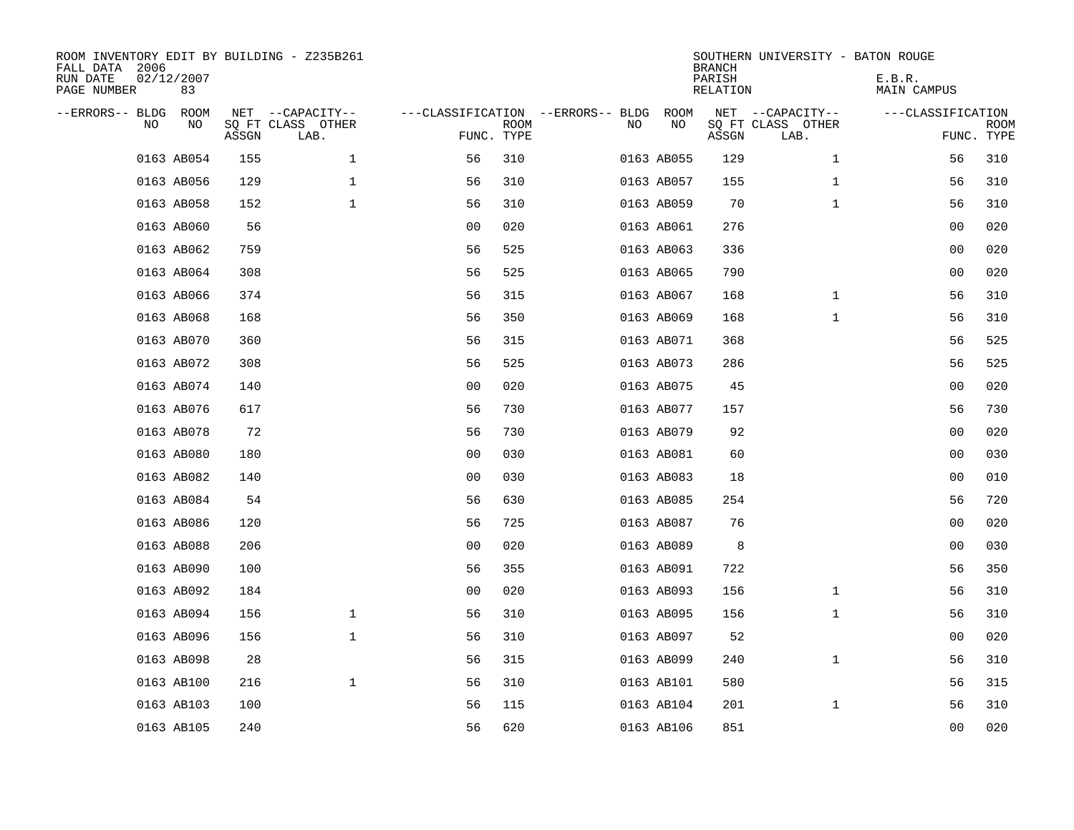| ROOM INVENTORY EDIT BY BUILDING - Z235B261<br>FALL DATA 2006<br>RUN DATE<br>PAGE NUMBER | 02/12/2007<br>83 |       |                                       |                |             |                                              |            | <b>BRANCH</b><br>PARISH<br><b>RELATION</b> | SOUTHERN UNIVERSITY - BATON ROUGE     | E.B.R.<br>MAIN CAMPUS |             |
|-----------------------------------------------------------------------------------------|------------------|-------|---------------------------------------|----------------|-------------|----------------------------------------------|------------|--------------------------------------------|---------------------------------------|-----------------------|-------------|
| --ERRORS-- BLDG ROOM<br>NO                                                              | NO               |       | NET --CAPACITY--<br>SQ FT CLASS OTHER |                | <b>ROOM</b> | ---CLASSIFICATION --ERRORS-- BLDG ROOM<br>NO | NO         |                                            | NET --CAPACITY--<br>SQ FT CLASS OTHER | ---CLASSIFICATION     | <b>ROOM</b> |
|                                                                                         |                  | ASSGN | LAB.                                  |                | FUNC. TYPE  |                                              |            | ASSGN                                      | LAB.                                  |                       | FUNC. TYPE  |
|                                                                                         | 0163 AB054       | 155   | $\mathbf 1$                           | 56             | 310         |                                              | 0163 AB055 | 129                                        | $\mathbf{1}$                          | 56                    | 310         |
|                                                                                         | 0163 AB056       | 129   | $\mathbf 1$                           | 56             | 310         |                                              | 0163 AB057 | 155                                        | $\mathbf{1}$                          | 56                    | 310         |
|                                                                                         | 0163 AB058       | 152   | $\mathbf{1}$                          | 56             | 310         |                                              | 0163 AB059 | 70                                         | $\mathbf{1}$                          | 56                    | 310         |
|                                                                                         | 0163 AB060       | 56    |                                       | 0 <sub>0</sub> | 020         |                                              | 0163 AB061 | 276                                        |                                       | 0 <sub>0</sub>        | 020         |
|                                                                                         | 0163 AB062       | 759   |                                       | 56             | 525         |                                              | 0163 AB063 | 336                                        |                                       | 00                    | 020         |
|                                                                                         | 0163 AB064       | 308   |                                       | 56             | 525         |                                              | 0163 AB065 | 790                                        |                                       | 00                    | 020         |
|                                                                                         | 0163 AB066       | 374   |                                       | 56             | 315         |                                              | 0163 AB067 | 168                                        | $\mathbf{1}$                          | 56                    | 310         |
|                                                                                         | 0163 AB068       | 168   |                                       | 56             | 350         |                                              | 0163 AB069 | 168                                        | $\mathbf{1}$                          | 56                    | 310         |
|                                                                                         | 0163 AB070       | 360   |                                       | 56             | 315         |                                              | 0163 AB071 | 368                                        |                                       | 56                    | 525         |
|                                                                                         | 0163 AB072       | 308   |                                       | 56             | 525         |                                              | 0163 AB073 | 286                                        |                                       | 56                    | 525         |
|                                                                                         | 0163 AB074       | 140   |                                       | 0 <sub>0</sub> | 020         |                                              | 0163 AB075 | 45                                         |                                       | 00                    | 020         |
|                                                                                         | 0163 AB076       | 617   |                                       | 56             | 730         |                                              | 0163 AB077 | 157                                        |                                       | 56                    | 730         |
|                                                                                         | 0163 AB078       | 72    |                                       | 56             | 730         |                                              | 0163 AB079 | 92                                         |                                       | 0 <sub>0</sub>        | 020         |
|                                                                                         | 0163 AB080       | 180   |                                       | 0 <sub>0</sub> | 030         |                                              | 0163 AB081 | 60                                         |                                       | 0 <sub>0</sub>        | 030         |
|                                                                                         | 0163 AB082       | 140   |                                       | 0 <sub>0</sub> | 030         |                                              | 0163 AB083 | 18                                         |                                       | 0 <sub>0</sub>        | 010         |
|                                                                                         | 0163 AB084       | 54    |                                       | 56             | 630         |                                              | 0163 AB085 | 254                                        |                                       | 56                    | 720         |
|                                                                                         | 0163 AB086       | 120   |                                       | 56             | 725         |                                              | 0163 AB087 | 76                                         |                                       | 0 <sub>0</sub>        | 020         |
|                                                                                         | 0163 AB088       | 206   |                                       | 0 <sub>0</sub> | 020         |                                              | 0163 AB089 | 8                                          |                                       | 00                    | 030         |
|                                                                                         | 0163 AB090       | 100   |                                       | 56             | 355         |                                              | 0163 AB091 | 722                                        |                                       | 56                    | 350         |
|                                                                                         | 0163 AB092       | 184   |                                       | 0 <sub>0</sub> | 020         |                                              | 0163 AB093 | 156                                        | $\mathbf{1}$                          | 56                    | 310         |
|                                                                                         | 0163 AB094       | 156   | $\mathbf 1$                           | 56             | 310         |                                              | 0163 AB095 | 156                                        | $\mathbf{1}$                          | 56                    | 310         |
|                                                                                         | 0163 AB096       | 156   | $\mathbf 1$                           | 56             | 310         |                                              | 0163 AB097 | 52                                         |                                       | 0 <sub>0</sub>        | 020         |
|                                                                                         | 0163 AB098       | 28    |                                       | 56             | 315         |                                              | 0163 AB099 | 240                                        | $\mathbf{1}$                          | 56                    | 310         |
|                                                                                         | 0163 AB100       | 216   | $\mathbf{1}$                          | 56             | 310         |                                              | 0163 AB101 | 580                                        |                                       | 56                    | 315         |
|                                                                                         | 0163 AB103       | 100   |                                       | 56             | 115         |                                              | 0163 AB104 | 201                                        | $\mathbf{1}$                          | 56                    | 310         |
|                                                                                         | 0163 AB105       | 240   |                                       | 56             | 620         |                                              | 0163 AB106 | 851                                        |                                       | 0 <sub>0</sub>        | 020         |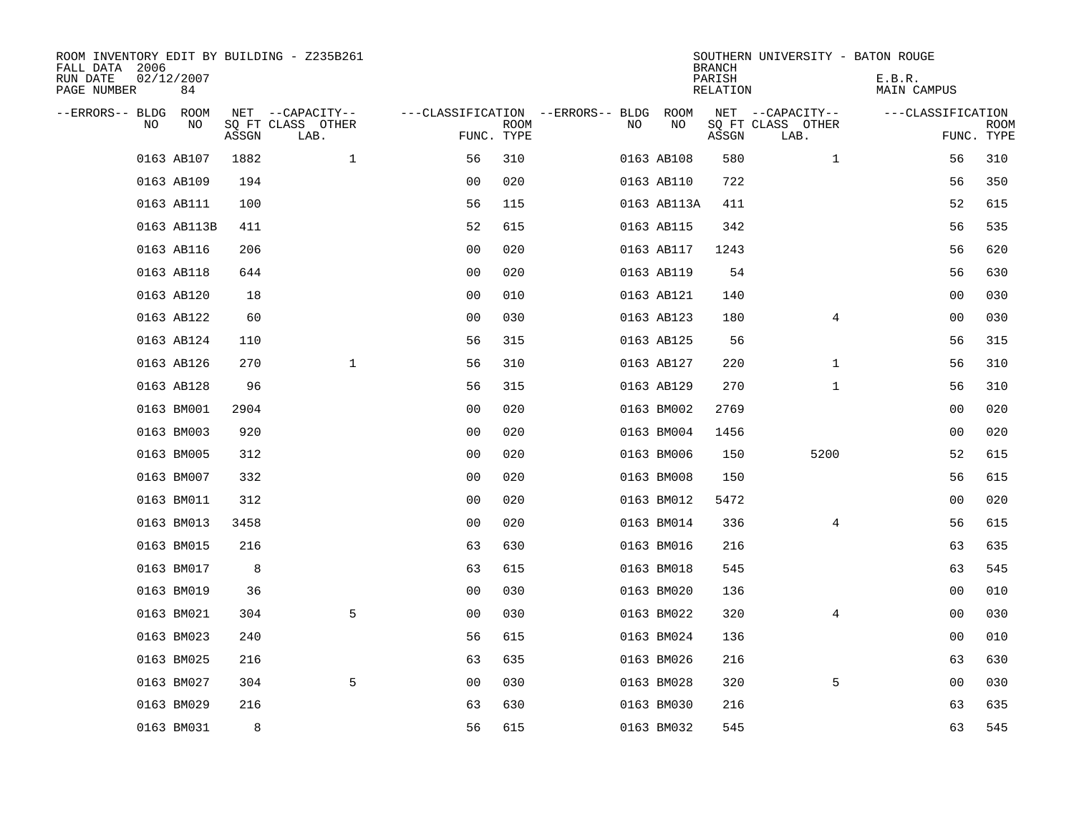| ROOM INVENTORY EDIT BY BUILDING - Z235B261<br>FALL DATA 2006<br>RUN DATE<br>02/12/2007<br>PAGE NUMBER<br>84 |       |                           |                |             |                                        |             | <b>BRANCH</b><br>PARISH<br><b>RELATION</b> | SOUTHERN UNIVERSITY - BATON ROUGE | E.B.R.<br>MAIN CAMPUS |                           |
|-------------------------------------------------------------------------------------------------------------|-------|---------------------------|----------------|-------------|----------------------------------------|-------------|--------------------------------------------|-----------------------------------|-----------------------|---------------------------|
| --ERRORS-- BLDG ROOM                                                                                        |       | NET --CAPACITY--          |                |             | ---CLASSIFICATION --ERRORS-- BLDG ROOM |             |                                            | NET --CAPACITY--                  | ---CLASSIFICATION     |                           |
| NO<br>NO                                                                                                    | ASSGN | SQ FT CLASS OTHER<br>LAB. | FUNC. TYPE     | <b>ROOM</b> | NO                                     | NO          | ASSGN                                      | SQ FT CLASS OTHER<br>LAB.         |                       | <b>ROOM</b><br>FUNC. TYPE |
| 0163 AB107                                                                                                  | 1882  | $\mathbf 1$               | 56             | 310         |                                        | 0163 AB108  | 580                                        | $\mathbf{1}$                      | 56                    | 310                       |
| 0163 AB109                                                                                                  | 194   |                           | 0 <sub>0</sub> | 020         |                                        | 0163 AB110  | 722                                        |                                   | 56                    | 350                       |
| 0163 AB111                                                                                                  | 100   |                           | 56             | 115         |                                        | 0163 AB113A | 411                                        |                                   | 52                    | 615                       |
| 0163 AB113B                                                                                                 | 411   |                           | 52             | 615         |                                        | 0163 AB115  | 342                                        |                                   | 56                    | 535                       |
| 0163 AB116                                                                                                  | 206   |                           | 00             | 020         |                                        | 0163 AB117  | 1243                                       |                                   | 56                    | 620                       |
| 0163 AB118                                                                                                  | 644   |                           | 0 <sub>0</sub> | 020         |                                        | 0163 AB119  | 54                                         |                                   | 56                    | 630                       |
| 0163 AB120                                                                                                  | 18    |                           | 0 <sub>0</sub> | 010         |                                        | 0163 AB121  | 140                                        |                                   | 0 <sub>0</sub>        | 030                       |
| 0163 AB122                                                                                                  | 60    |                           | 00             | 030         |                                        | 0163 AB123  | 180                                        | $\overline{4}$                    | 0 <sub>0</sub>        | 030                       |
| 0163 AB124                                                                                                  | 110   |                           | 56             | 315         |                                        | 0163 AB125  | 56                                         |                                   | 56                    | 315                       |
| 0163 AB126                                                                                                  | 270   | $\mathbf 1$               | 56             | 310         |                                        | 0163 AB127  | 220                                        | $\mathbf{1}$                      | 56                    | 310                       |
| 0163 AB128                                                                                                  | 96    |                           | 56             | 315         |                                        | 0163 AB129  | 270                                        | $\mathbf{1}$                      | 56                    | 310                       |
| 0163 BM001                                                                                                  | 2904  |                           | 0 <sub>0</sub> | 020         |                                        | 0163 BM002  | 2769                                       |                                   | 00                    | 020                       |
| 0163 BM003                                                                                                  | 920   |                           | 00             | 020         |                                        | 0163 BM004  | 1456                                       |                                   | 00                    | 020                       |
| 0163 BM005                                                                                                  | 312   |                           | 0 <sub>0</sub> | 020         |                                        | 0163 BM006  | 150                                        | 5200                              | 52                    | 615                       |
| 0163 BM007                                                                                                  | 332   |                           | 0 <sub>0</sub> | 020         |                                        | 0163 BM008  | 150                                        |                                   | 56                    | 615                       |
| 0163 BM011                                                                                                  | 312   |                           | 0 <sub>0</sub> | 020         |                                        | 0163 BM012  | 5472                                       |                                   | 00                    | 020                       |
| 0163 BM013                                                                                                  | 3458  |                           | 0 <sub>0</sub> | 020         |                                        | 0163 BM014  | 336                                        | $\overline{4}$                    | 56                    | 615                       |
| 0163 BM015                                                                                                  | 216   |                           | 63             | 630         |                                        | 0163 BM016  | 216                                        |                                   | 63                    | 635                       |
| 0163 BM017                                                                                                  | 8     |                           | 63             | 615         |                                        | 0163 BM018  | 545                                        |                                   | 63                    | 545                       |
| 0163 BM019                                                                                                  | 36    |                           | 0 <sub>0</sub> | 030         |                                        | 0163 BM020  | 136                                        |                                   | 00                    | 010                       |
| 0163 BM021                                                                                                  | 304   | 5                         | 0 <sub>0</sub> | 030         |                                        | 0163 BM022  | 320                                        | $\overline{4}$                    | 00                    | 030                       |
| 0163 BM023                                                                                                  | 240   |                           | 56             | 615         |                                        | 0163 BM024  | 136                                        |                                   | 00                    | 010                       |
| 0163 BM025                                                                                                  | 216   |                           | 63             | 635         |                                        | 0163 BM026  | 216                                        |                                   | 63                    | 630                       |
| 0163 BM027                                                                                                  | 304   | 5                         | 0 <sub>0</sub> | 030         |                                        | 0163 BM028  | 320                                        | 5                                 | 00                    | 030                       |
| 0163 BM029                                                                                                  | 216   |                           | 63             | 630         |                                        | 0163 BM030  | 216                                        |                                   | 63                    | 635                       |
| 0163 BM031                                                                                                  | 8     |                           | 56             | 615         |                                        | 0163 BM032  | 545                                        |                                   | 63                    | 545                       |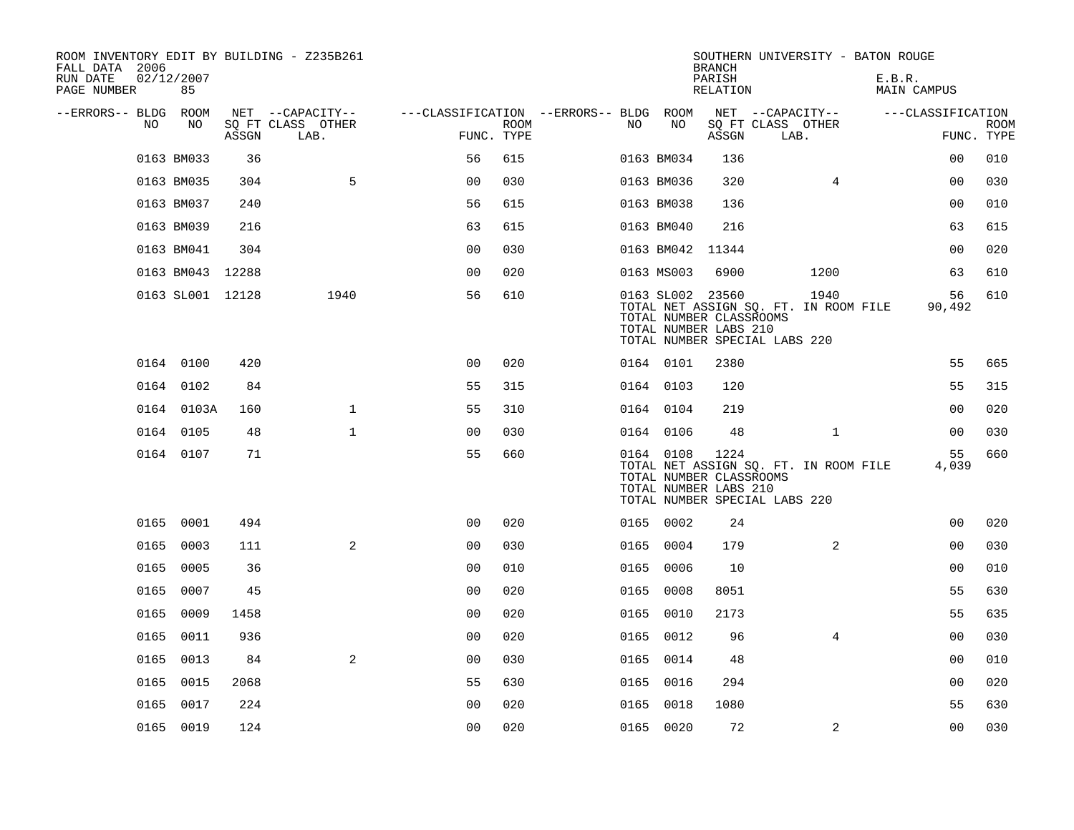| ROOM INVENTORY EDIT BY BUILDING - Z235B261<br>FALL DATA 2006 |                  |       |                           |                                        |             |      |            | <b>BRANCH</b>                                                        | SOUTHERN UNIVERSITY - BATON ROUGE                                              |        |                   |             |
|--------------------------------------------------------------|------------------|-------|---------------------------|----------------------------------------|-------------|------|------------|----------------------------------------------------------------------|--------------------------------------------------------------------------------|--------|-------------------|-------------|
| RUN DATE<br>PAGE NUMBER                                      | 02/12/2007<br>85 |       |                           |                                        |             |      |            | PARISH<br>RELATION                                                   |                                                                                | E.B.R. | MAIN CAMPUS       |             |
| --ERRORS-- BLDG ROOM                                         |                  |       | NET --CAPACITY--          | ---CLASSIFICATION --ERRORS-- BLDG ROOM |             |      |            |                                                                      | NET --CAPACITY--                                                               |        | ---CLASSIFICATION |             |
| NO.                                                          | NO               | ASSGN | SQ FT CLASS OTHER<br>LAB. | FUNC. TYPE                             | <b>ROOM</b> | NO.  | NO         | ASSGN                                                                | SQ FT CLASS OTHER<br>LAB.                                                      |        | FUNC. TYPE        | <b>ROOM</b> |
|                                                              | 0163 BM033       | 36    |                           | 56                                     | 615         |      | 0163 BM034 | 136                                                                  |                                                                                |        | 00                | 010         |
|                                                              | 0163 BM035       | 304   | 5                         | 0 <sub>0</sub>                         | 030         |      | 0163 BM036 | 320                                                                  | 4                                                                              |        | 00                | 030         |
|                                                              | 0163 BM037       | 240   |                           | 56                                     | 615         |      | 0163 BM038 | 136                                                                  |                                                                                |        | 0 <sub>0</sub>    | 010         |
|                                                              | 0163 BM039       | 216   |                           | 63                                     | 615         |      | 0163 BM040 | 216                                                                  |                                                                                |        | 63                | 615         |
|                                                              | 0163 BM041       | 304   |                           | 0 <sub>0</sub>                         | 030         |      | 0163 BM042 | 11344                                                                |                                                                                |        | 0 <sub>0</sub>    | 020         |
|                                                              | 0163 BM043 12288 |       |                           | 0 <sub>0</sub>                         | 020         |      | 0163 MS003 | 6900                                                                 | 1200                                                                           |        | 63                | 610         |
|                                                              | 0163 SL001 12128 |       | 1940                      | 56                                     | 610         |      |            | 0163 SL002 23560<br>TOTAL NUMBER CLASSROOMS<br>TOTAL NUMBER LABS 210 | 1940<br>TOTAL NET ASSIGN SQ. FT. IN ROOM FILE<br>TOTAL NUMBER SPECIAL LABS 220 |        | 56<br>90,492      | 610         |
|                                                              | 0164 0100        | 420   |                           | 0 <sub>0</sub>                         | 020         |      | 0164 0101  | 2380                                                                 |                                                                                |        | 55                | 665         |
|                                                              | 0164 0102        | 84    |                           | 55                                     | 315         |      | 0164 0103  | 120                                                                  |                                                                                |        | 55                | 315         |
|                                                              | 0164 0103A       | 160   | $\mathbf{1}$              | 55                                     | 310         |      | 0164 0104  | 219                                                                  |                                                                                |        | 0 <sub>0</sub>    | 020         |
|                                                              | 0164 0105        | 48    | $\mathbf{1}$              | 00                                     | 030         |      | 0164 0106  | 48                                                                   | $\mathbf{1}$                                                                   |        | 0 <sub>0</sub>    | 030         |
|                                                              | 0164 0107        | 71    |                           | 55                                     | 660         |      | 0164 0108  | 1224<br>TOTAL NUMBER CLASSROOMS<br>TOTAL NUMBER LABS 210             | TOTAL NET ASSIGN SQ. FT. IN ROOM FILE<br>TOTAL NUMBER SPECIAL LABS 220         |        | 55<br>4,039       | 660         |
|                                                              | 0165 0001        | 494   |                           | 00                                     | 020         |      | 0165 0002  | 24                                                                   |                                                                                |        | 0 <sub>0</sub>    | 020         |
| 0165                                                         | 0003             | 111   | 2                         | 0 <sub>0</sub>                         | 030         |      | 0165 0004  | 179                                                                  | 2                                                                              |        | 0 <sub>0</sub>    | 030         |
| 0165                                                         | 0005             | 36    |                           | 0 <sub>0</sub>                         | 010         |      | 0165 0006  | 10                                                                   |                                                                                |        | 00                | 010         |
| 0165                                                         | 0007             | 45    |                           | 00                                     | 020         | 0165 | 0008       | 8051                                                                 |                                                                                |        | 55                | 630         |
|                                                              | 0165 0009        | 1458  |                           | 0 <sub>0</sub>                         | 020         |      | 0165 0010  | 2173                                                                 |                                                                                |        | 55                | 635         |
| 0165                                                         | 0011             | 936   |                           | 0 <sub>0</sub>                         | 020         |      | 0165 0012  | 96                                                                   | 4                                                                              |        | 0 <sub>0</sub>    | 030         |
|                                                              | 0165 0013        | 84    | 2                         | 0 <sub>0</sub>                         | 030         |      | 0165 0014  | 48                                                                   |                                                                                |        | 0 <sub>0</sub>    | 010         |
| 0165                                                         | 0015             | 2068  |                           | 55                                     | 630         | 0165 | 0016       | 294                                                                  |                                                                                |        | 0 <sub>0</sub>    | 020         |
| 0165                                                         | 0017             | 224   |                           | 0 <sub>0</sub>                         | 020         | 0165 | 0018       | 1080                                                                 |                                                                                |        | 55                | 630         |
|                                                              | 0165 0019        | 124   |                           | 00                                     | 020         |      | 0165 0020  | 72                                                                   | $\overline{2}$                                                                 |        | 0 <sub>0</sub>    | 030         |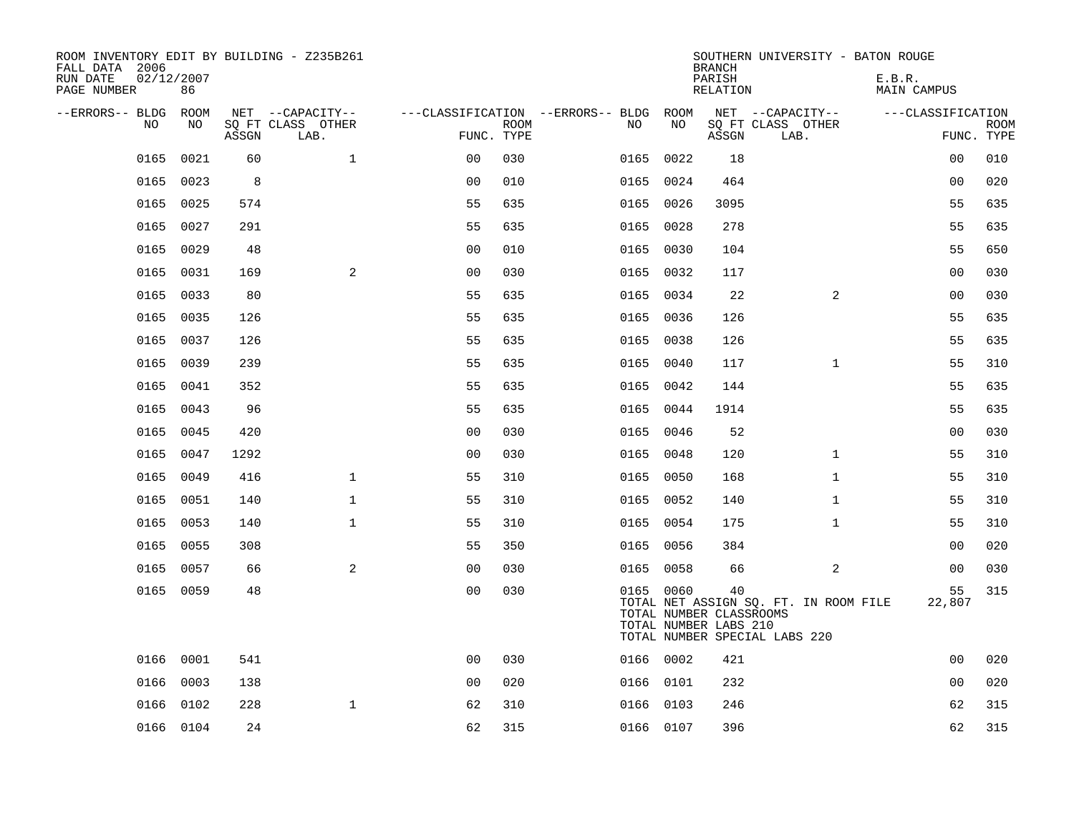| ROOM INVENTORY EDIT BY BUILDING - Z235B261<br>FALL DATA 2006<br>RUN DATE<br>PAGE NUMBER | 02/12/2007<br>86 |       |                                               |                |             |                                              |           | <b>BRANCH</b><br>PARISH<br><b>RELATION</b>             | SOUTHERN UNIVERSITY - BATON ROUGE                                      | E.B.R.<br><b>MAIN CAMPUS</b> |                           |
|-----------------------------------------------------------------------------------------|------------------|-------|-----------------------------------------------|----------------|-------------|----------------------------------------------|-----------|--------------------------------------------------------|------------------------------------------------------------------------|------------------------------|---------------------------|
| --ERRORS-- BLDG ROOM<br>NO                                                              | NO               | ASSGN | NET --CAPACITY--<br>SQ FT CLASS OTHER<br>LAB. | FUNC. TYPE     | <b>ROOM</b> | ---CLASSIFICATION --ERRORS-- BLDG ROOM<br>NO | NO        | ASSGN                                                  | NET --CAPACITY--<br>SQ FT CLASS OTHER<br>LAB.                          | ---CLASSIFICATION            | <b>ROOM</b><br>FUNC. TYPE |
| 0165                                                                                    | 0021             | 60    | $\mathbf{1}$                                  | 0 <sub>0</sub> | 030         | 0165                                         | 0022      | 18                                                     |                                                                        | 00                           | 010                       |
| 0165                                                                                    | 0023             | 8     |                                               | 0 <sub>0</sub> | 010         | 0165                                         | 0024      | 464                                                    |                                                                        | 0 <sub>0</sub>               | 020                       |
| 0165                                                                                    | 0025             | 574   |                                               | 55             | 635         |                                              | 0165 0026 | 3095                                                   |                                                                        | 55                           | 635                       |
| 0165                                                                                    | 0027             | 291   |                                               | 55             | 635         |                                              | 0165 0028 | 278                                                    |                                                                        | 55                           | 635                       |
| 0165                                                                                    | 0029             | 48    |                                               | 0 <sub>0</sub> | 010         | 0165                                         | 0030      | 104                                                    |                                                                        | 55                           | 650                       |
| 0165                                                                                    | 0031             | 169   | 2                                             | 0 <sub>0</sub> | 030         |                                              | 0165 0032 | 117                                                    |                                                                        | 0 <sub>0</sub>               | 030                       |
| 0165                                                                                    | 0033             | 80    |                                               | 55             | 635         | 0165                                         | 0034      | 22                                                     | 2                                                                      | 0 <sub>0</sub>               | 030                       |
| 0165                                                                                    | 0035             | 126   |                                               | 55             | 635         |                                              | 0165 0036 | 126                                                    |                                                                        | 55                           | 635                       |
| 0165                                                                                    | 0037             | 126   |                                               | 55             | 635         | 0165                                         | 0038      | 126                                                    |                                                                        | 55                           | 635                       |
| 0165                                                                                    | 0039             | 239   |                                               | 55             | 635         |                                              | 0165 0040 | 117                                                    | $\mathbf{1}$                                                           | 55                           | 310                       |
| 0165                                                                                    | 0041             | 352   |                                               | 55             | 635         | 0165                                         | 0042      | 144                                                    |                                                                        | 55                           | 635                       |
| 0165                                                                                    | 0043             | 96    |                                               | 55             | 635         |                                              | 0165 0044 | 1914                                                   |                                                                        | 55                           | 635                       |
| 0165                                                                                    | 0045             | 420   |                                               | 0 <sub>0</sub> | 030         | 0165                                         | 0046      | 52                                                     |                                                                        | 00                           | 030                       |
| 0165                                                                                    | 0047             | 1292  |                                               | 0 <sub>0</sub> | 030         |                                              | 0165 0048 | 120                                                    | $\mathbf{1}$                                                           | 55                           | 310                       |
| 0165                                                                                    | 0049             | 416   | $\mathbf{1}$                                  | 55             | 310         |                                              | 0165 0050 | 168                                                    | $\mathbf{1}$                                                           | 55                           | 310                       |
| 0165                                                                                    | 0051             | 140   | $\mathbf{1}$                                  | 55             | 310         |                                              | 0165 0052 | 140                                                    | $\mathbf{1}$                                                           | 55                           | 310                       |
| 0165                                                                                    | 0053             | 140   | $\mathbf{1}$                                  | 55             | 310         |                                              | 0165 0054 | 175                                                    | $\mathbf{1}$                                                           | 55                           | 310                       |
| 0165                                                                                    | 0055             | 308   |                                               | 55             | 350         |                                              | 0165 0056 | 384                                                    |                                                                        | 00                           | 020                       |
| 0165                                                                                    | 0057             | 66    | 2                                             | 0 <sub>0</sub> | 030         |                                              | 0165 0058 | 66                                                     | 2                                                                      | 00                           | 030                       |
|                                                                                         | 0165 0059        | 48    |                                               | 00             | 030         |                                              | 0165 0060 | 40<br>TOTAL NUMBER CLASSROOMS<br>TOTAL NUMBER LABS 210 | TOTAL NET ASSIGN SQ. FT. IN ROOM FILE<br>TOTAL NUMBER SPECIAL LABS 220 | 55<br>22,807                 | 315                       |
| 0166                                                                                    | 0001             | 541   |                                               | 0 <sub>0</sub> | 030         |                                              | 0166 0002 | 421                                                    |                                                                        | 00                           | 020                       |
| 0166                                                                                    | 0003             | 138   |                                               | 0 <sub>0</sub> | 020         |                                              | 0166 0101 | 232                                                    |                                                                        | 00                           | 020                       |
| 0166                                                                                    | 0102             | 228   | $\mathbf{1}$                                  | 62             | 310         |                                              | 0166 0103 | 246                                                    |                                                                        | 62                           | 315                       |
|                                                                                         | 0166 0104        | 24    |                                               | 62             | 315         |                                              | 0166 0107 | 396                                                    |                                                                        | 62                           | 315                       |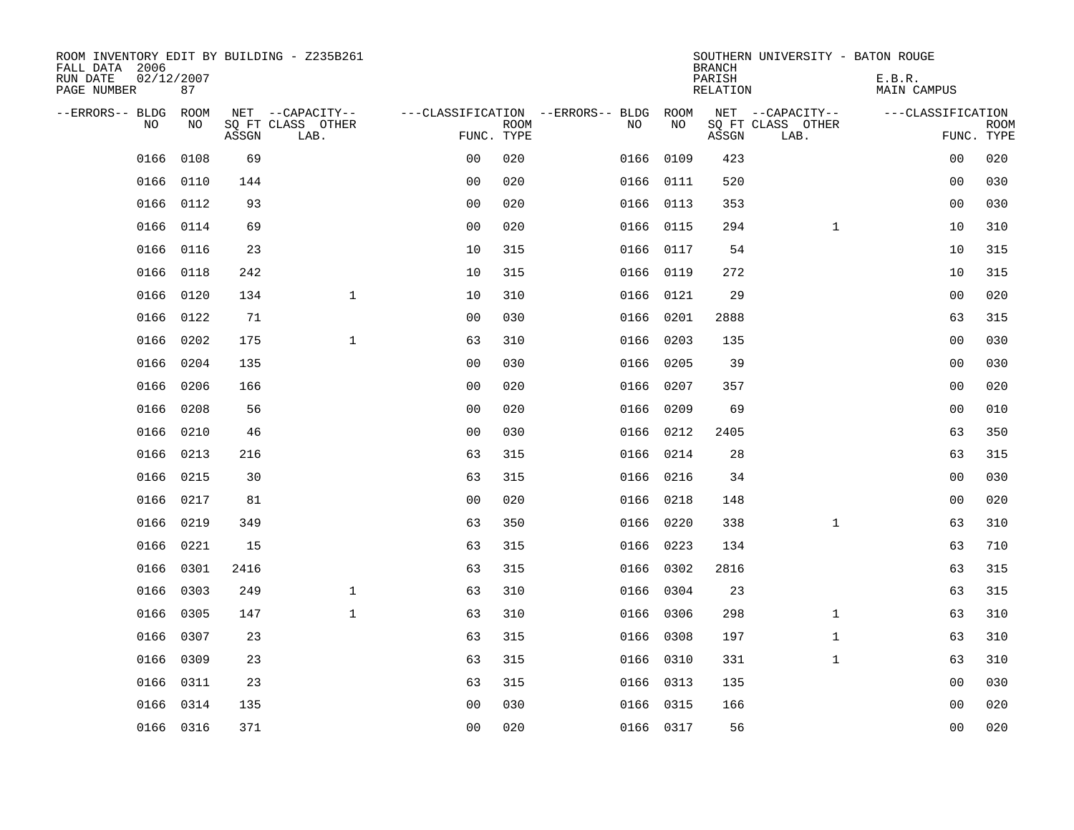| ROOM INVENTORY EDIT BY BUILDING - Z235B261<br>FALL DATA 2006<br>RUN DATE<br>PAGE NUMBER | 02/12/2007<br>87 |       |                                               |                |             |                                              |           | <b>BRANCH</b><br>PARISH<br><b>RELATION</b> | SOUTHERN UNIVERSITY - BATON ROUGE             | E.B.R.<br><b>MAIN CAMPUS</b> |                           |
|-----------------------------------------------------------------------------------------|------------------|-------|-----------------------------------------------|----------------|-------------|----------------------------------------------|-----------|--------------------------------------------|-----------------------------------------------|------------------------------|---------------------------|
| --ERRORS-- BLDG ROOM<br>NO                                                              | NO               | ASSGN | NET --CAPACITY--<br>SQ FT CLASS OTHER<br>LAB. | FUNC. TYPE     | <b>ROOM</b> | ---CLASSIFICATION --ERRORS-- BLDG ROOM<br>NO | NO        | ASSGN                                      | NET --CAPACITY--<br>SQ FT CLASS OTHER<br>LAB. | ---CLASSIFICATION            | <b>ROOM</b><br>FUNC. TYPE |
| 0166                                                                                    | 0108             | 69    |                                               | 0 <sub>0</sub> | 020         | 0166                                         | 0109      | 423                                        |                                               | 00                           | 020                       |
| 0166                                                                                    | 0110             | 144   |                                               | 0 <sub>0</sub> | 020         |                                              | 0166 0111 | 520                                        |                                               | 00                           | 030                       |
| 0166                                                                                    | 0112             | 93    |                                               | 0 <sub>0</sub> | 020         |                                              | 0166 0113 | 353                                        |                                               | 0 <sub>0</sub>               | 030                       |
| 0166                                                                                    | 0114             | 69    |                                               | 0 <sub>0</sub> | 020         |                                              | 0166 0115 | 294                                        | $\mathbf{1}$                                  | 10                           | 310                       |
| 0166                                                                                    | 0116             | 23    |                                               | 10             | 315         |                                              | 0166 0117 | 54                                         |                                               | 10                           | 315                       |
|                                                                                         | 0166 0118        | 242   |                                               | 10             | 315         |                                              | 0166 0119 | 272                                        |                                               | 10                           | 315                       |
| 0166                                                                                    | 0120             | 134   | $\mathbf{1}$                                  | 10             | 310         |                                              | 0166 0121 | 29                                         |                                               | 0 <sub>0</sub>               | 020                       |
| 0166                                                                                    | 0122             | 71    |                                               | 0 <sub>0</sub> | 030         |                                              | 0166 0201 | 2888                                       |                                               | 63                           | 315                       |
| 0166                                                                                    | 0202             | 175   | $\mathbf 1$                                   | 63             | 310         | 0166                                         | 0203      | 135                                        |                                               | 00                           | 030                       |
| 0166                                                                                    | 0204             | 135   |                                               | 0 <sub>0</sub> | 030         |                                              | 0166 0205 | 39                                         |                                               | 00                           | 030                       |
| 0166                                                                                    | 0206             | 166   |                                               | 0 <sub>0</sub> | 020         | 0166                                         | 0207      | 357                                        |                                               | 0 <sub>0</sub>               | 020                       |
| 0166                                                                                    | 0208             | 56    |                                               | 0 <sub>0</sub> | 020         | 0166                                         | 0209      | 69                                         |                                               | 0 <sub>0</sub>               | 010                       |
| 0166                                                                                    | 0210             | 46    |                                               | 0 <sub>0</sub> | 030         | 0166                                         | 0212      | 2405                                       |                                               | 63                           | 350                       |
| 0166                                                                                    | 0213             | 216   |                                               | 63             | 315         |                                              | 0166 0214 | 28                                         |                                               | 63                           | 315                       |
|                                                                                         | 0166 0215        | 30    |                                               | 63             | 315         |                                              | 0166 0216 | 34                                         |                                               | 0 <sub>0</sub>               | 030                       |
| 0166                                                                                    | 0217             | 81    |                                               | 0 <sub>0</sub> | 020         |                                              | 0166 0218 | 148                                        |                                               | 0 <sub>0</sub>               | 020                       |
|                                                                                         | 0166 0219        | 349   |                                               | 63             | 350         |                                              | 0166 0220 | 338                                        | $\mathbf{1}$                                  | 63                           | 310                       |
| 0166                                                                                    | 0221             | 15    |                                               | 63             | 315         | 0166                                         | 0223      | 134                                        |                                               | 63                           | 710                       |
| 0166                                                                                    | 0301             | 2416  |                                               | 63             | 315         |                                              | 0166 0302 | 2816                                       |                                               | 63                           | 315                       |
| 0166                                                                                    | 0303             | 249   | $\mathbf 1$                                   | 63             | 310         |                                              | 0166 0304 | 23                                         |                                               | 63                           | 315                       |
| 0166                                                                                    | 0305             | 147   | $\mathbf{1}$                                  | 63             | 310         |                                              | 0166 0306 | 298                                        | $\mathbf{1}$                                  | 63                           | 310                       |
| 0166                                                                                    | 0307             | 23    |                                               | 63             | 315         | 0166                                         | 0308      | 197                                        | $\mathbf{1}$                                  | 63                           | 310                       |
| 0166                                                                                    | 0309             | 23    |                                               | 63             | 315         |                                              | 0166 0310 | 331                                        | $\mathbf{1}$                                  | 63                           | 310                       |
| 0166                                                                                    | 0311             | 23    |                                               | 63             | 315         |                                              | 0166 0313 | 135                                        |                                               | 00                           | 030                       |
| 0166                                                                                    | 0314             | 135   |                                               | 0 <sub>0</sub> | 030         |                                              | 0166 0315 | 166                                        |                                               | 0 <sub>0</sub>               | 020                       |
|                                                                                         | 0166 0316        | 371   |                                               | 0 <sub>0</sub> | 020         |                                              | 0166 0317 | 56                                         |                                               | 0 <sub>0</sub>               | 020                       |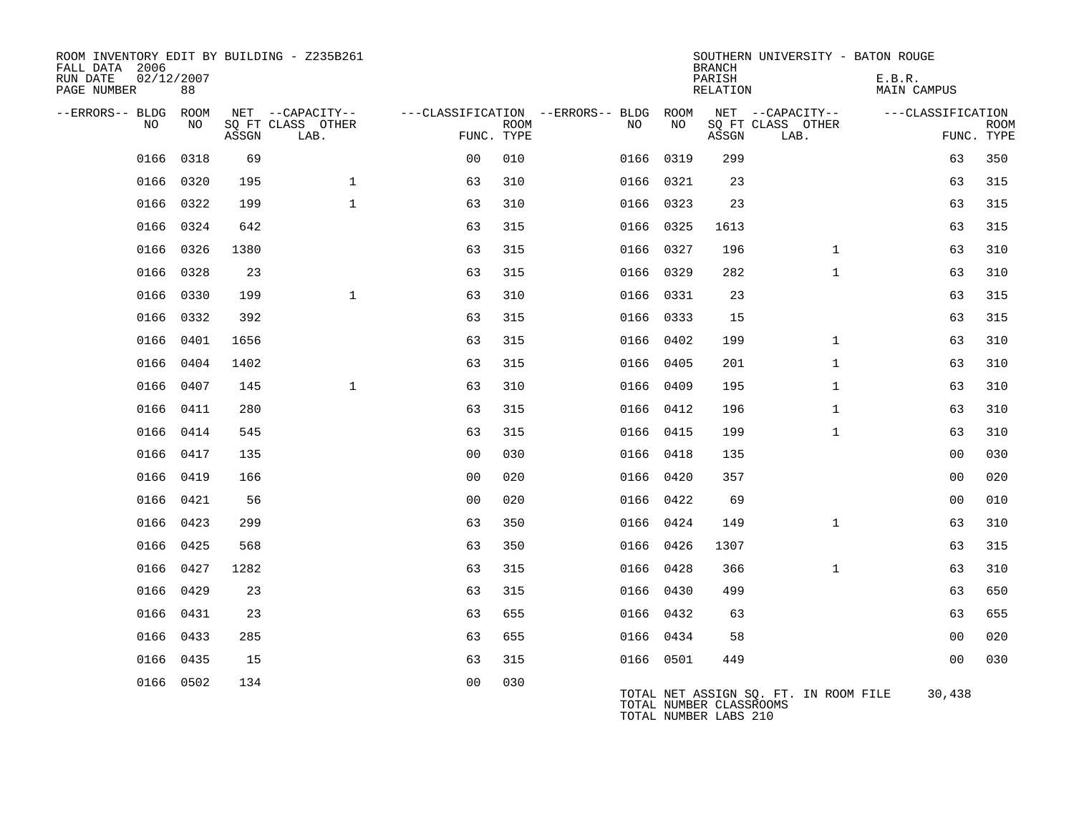| ROOM INVENTORY EDIT BY BUILDING - Z235B261<br>FALL DATA 2006<br>RUN DATE<br>PAGE NUMBER | 02/12/2007<br>88 |       |                           |                |             |                                        |           | <b>BRANCH</b><br>PARISH<br>RELATION              | SOUTHERN UNIVERSITY - BATON ROUGE     | E.B.R.<br>MAIN CAMPUS |                           |
|-----------------------------------------------------------------------------------------|------------------|-------|---------------------------|----------------|-------------|----------------------------------------|-----------|--------------------------------------------------|---------------------------------------|-----------------------|---------------------------|
| --ERRORS-- BLDG ROOM                                                                    |                  |       | NET --CAPACITY--          |                |             | ---CLASSIFICATION --ERRORS-- BLDG ROOM |           |                                                  | NET --CAPACITY--                      | ---CLASSIFICATION     |                           |
| NO                                                                                      | NO               | ASSGN | SQ FT CLASS OTHER<br>LAB. | FUNC. TYPE     | <b>ROOM</b> | NO                                     | NO        | ASSGN                                            | SQ FT CLASS OTHER<br>LAB.             |                       | <b>ROOM</b><br>FUNC. TYPE |
| 0166                                                                                    | 0318             | 69    |                           | 0 <sub>0</sub> | 010         |                                        | 0166 0319 | 299                                              |                                       | 63                    | 350                       |
| 0166                                                                                    | 0320             | 195   | $\mathbf{1}$              | 63             | 310         |                                        | 0166 0321 | 23                                               |                                       | 63                    | 315                       |
|                                                                                         | 0166 0322        | 199   | $\mathbf{1}$              | 63             | 310         |                                        | 0166 0323 | 23                                               |                                       | 63                    | 315                       |
| 0166                                                                                    | 0324             | 642   |                           | 63             | 315         | 0166                                   | 0325      | 1613                                             |                                       | 63                    | 315                       |
|                                                                                         | 0166 0326        | 1380  |                           | 63             | 315         |                                        | 0166 0327 | 196                                              | $\mathbf{1}$                          | 63                    | 310                       |
| 0166                                                                                    | 0328             | 23    |                           | 63             | 315         |                                        | 0166 0329 | 282                                              | $\mathbf{1}$                          | 63                    | 310                       |
|                                                                                         | 0166 0330        | 199   | $\mathbf{1}$              | 63             | 310         |                                        | 0166 0331 | 23                                               |                                       | 63                    | 315                       |
| 0166                                                                                    | 0332             | 392   |                           | 63             | 315         |                                        | 0166 0333 | 15                                               |                                       | 63                    | 315                       |
|                                                                                         | 0166 0401        | 1656  |                           | 63             | 315         |                                        | 0166 0402 | 199                                              | $\mathbf{1}$                          | 63                    | 310                       |
| 0166                                                                                    | 0404             | 1402  |                           | 63             | 315         |                                        | 0166 0405 | 201                                              | $\mathbf{1}$                          | 63                    | 310                       |
|                                                                                         | 0166 0407        | 145   | $\mathbf{1}$              | 63             | 310         |                                        | 0166 0409 | 195                                              | $\mathbf{1}$                          | 63                    | 310                       |
| 0166                                                                                    | 0411             | 280   |                           | 63             | 315         |                                        | 0166 0412 | 196                                              | $\mathbf{1}$                          | 63                    | 310                       |
| 0166                                                                                    | 0414             | 545   |                           | 63             | 315         |                                        | 0166 0415 | 199                                              | $\mathbf{1}$                          | 63                    | 310                       |
| 0166                                                                                    | 0417             | 135   |                           | 0 <sub>0</sub> | 030         |                                        | 0166 0418 | 135                                              |                                       | 0 <sub>0</sub>        | 030                       |
| 0166                                                                                    | 0419             | 166   |                           | 0 <sub>0</sub> | 020         | 0166                                   | 0420      | 357                                              |                                       | 0 <sub>0</sub>        | 020                       |
|                                                                                         | 0166 0421        | 56    |                           | 0 <sub>0</sub> | 020         |                                        | 0166 0422 | 69                                               |                                       | 00                    | 010                       |
| 0166                                                                                    | 0423             | 299   |                           | 63             | 350         |                                        | 0166 0424 | 149                                              | $\mathbf{1}$                          | 63                    | 310                       |
|                                                                                         | 0166 0425        | 568   |                           | 63             | 350         |                                        | 0166 0426 | 1307                                             |                                       | 63                    | 315                       |
| 0166                                                                                    | 0427             | 1282  |                           | 63             | 315         |                                        | 0166 0428 | 366                                              | $\mathbf{1}$                          | 63                    | 310                       |
|                                                                                         | 0166 0429        | 23    |                           | 63             | 315         |                                        | 0166 0430 | 499                                              |                                       | 63                    | 650                       |
| 0166                                                                                    | 0431             | 23    |                           | 63             | 655         |                                        | 0166 0432 | 63                                               |                                       | 63                    | 655                       |
|                                                                                         | 0166 0433        | 285   |                           | 63             | 655         |                                        | 0166 0434 | 58                                               |                                       | 00                    | 020                       |
| 0166                                                                                    | 0435             | 15    |                           | 63             | 315         |                                        | 0166 0501 | 449                                              |                                       | 0 <sub>0</sub>        | 030                       |
|                                                                                         | 0166 0502        | 134   |                           | 0 <sub>0</sub> | 030         |                                        |           | TOTAL NUMBER CLASSROOMS<br>TOTAL NUMBER LABS 210 | TOTAL NET ASSIGN SO. FT. IN ROOM FILE | 30,438                |                           |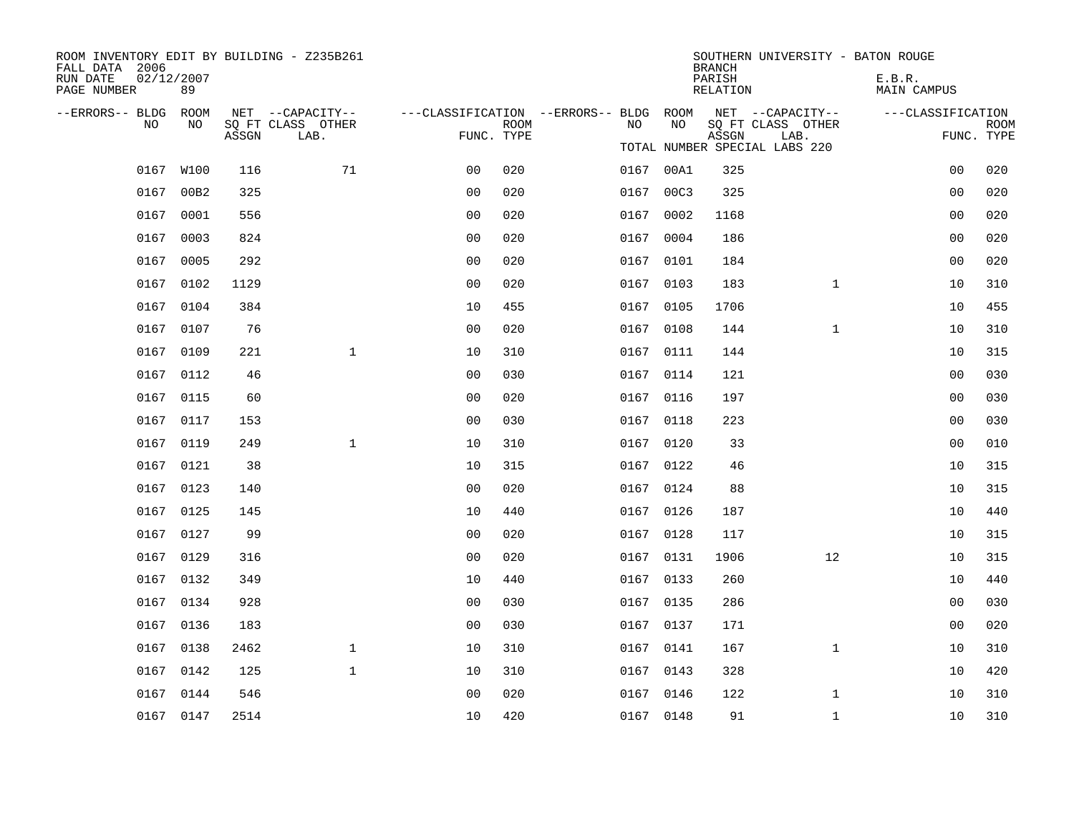| ROOM INVENTORY EDIT BY BUILDING - Z235B261<br>FALL DATA 2006 |                  |       |                           |                                        |      |      |           | <b>BRANCH</b>      | SOUTHERN UNIVERSITY - BATON ROUGE |                              |                |                           |
|--------------------------------------------------------------|------------------|-------|---------------------------|----------------------------------------|------|------|-----------|--------------------|-----------------------------------|------------------------------|----------------|---------------------------|
| RUN DATE<br>PAGE NUMBER                                      | 02/12/2007<br>89 |       |                           |                                        |      |      |           | PARISH<br>RELATION |                                   | E.B.R.<br><b>MAIN CAMPUS</b> |                |                           |
| --ERRORS-- BLDG                                              | ROOM             |       | NET --CAPACITY--          | ---CLASSIFICATION --ERRORS-- BLDG ROOM |      |      | NO        |                    | NET --CAPACITY--                  | ---CLASSIFICATION            |                |                           |
| NO                                                           | NO               | ASSGN | SQ FT CLASS OTHER<br>LAB. | FUNC. TYPE                             | ROOM | NO   |           | ASSGN              | SQ FT CLASS OTHER<br>LAB.         |                              |                | <b>ROOM</b><br>FUNC. TYPE |
|                                                              |                  |       |                           |                                        |      |      |           |                    | TOTAL NUMBER SPECIAL LABS 220     |                              |                |                           |
|                                                              | 0167 W100        | 116   | 71                        | 0 <sub>0</sub>                         | 020  |      | 0167 00A1 | 325                |                                   |                              | 0 <sub>0</sub> | 020                       |
| 0167                                                         | 00B2             | 325   |                           | 0 <sub>0</sub>                         | 020  | 0167 | 00C3      | 325                |                                   |                              | 0 <sub>0</sub> | 020                       |
|                                                              | 0167 0001        | 556   |                           | 0 <sub>0</sub>                         | 020  |      | 0167 0002 | 1168               |                                   |                              | 0 <sub>0</sub> | 020                       |
|                                                              | 0167 0003        | 824   |                           | 0 <sub>0</sub>                         | 020  |      | 0167 0004 | 186                |                                   |                              | 0 <sub>0</sub> | 020                       |
|                                                              | 0167 0005        | 292   |                           | 0 <sub>0</sub>                         | 020  |      | 0167 0101 | 184                |                                   |                              | 0 <sub>0</sub> | 020                       |
|                                                              | 0167 0102        | 1129  |                           | 0 <sub>0</sub>                         | 020  |      | 0167 0103 | 183                | $\mathbf{1}$                      |                              | 10             | 310                       |
|                                                              | 0167 0104        | 384   |                           | 10                                     | 455  |      | 0167 0105 | 1706               |                                   |                              | 10             | 455                       |
|                                                              | 0167 0107        | 76    |                           | 0 <sub>0</sub>                         | 020  |      | 0167 0108 | 144                | $\mathbf{1}$                      |                              | 10             | 310                       |
|                                                              | 0167 0109        | 221   | $\mathbf{1}$              | 10                                     | 310  |      | 0167 0111 | 144                |                                   |                              | 10             | 315                       |
|                                                              | 0167 0112        | 46    |                           | 0 <sub>0</sub>                         | 030  |      | 0167 0114 | 121                |                                   |                              | 00             | 030                       |
|                                                              | 0167 0115        | 60    |                           | 0 <sub>0</sub>                         | 020  |      | 0167 0116 | 197                |                                   |                              | 0 <sub>0</sub> | 030                       |
|                                                              | 0167 0117        | 153   |                           | 0 <sub>0</sub>                         | 030  |      | 0167 0118 | 223                |                                   |                              | 0 <sub>0</sub> | 030                       |
|                                                              | 0167 0119        | 249   | $\mathbf{1}$              | 10                                     | 310  |      | 0167 0120 | 33                 |                                   |                              | 0 <sub>0</sub> | 010                       |
|                                                              | 0167 0121        | 38    |                           | 10                                     | 315  |      | 0167 0122 | 46                 |                                   |                              | 10             | 315                       |
|                                                              | 0167 0123        | 140   |                           | 0 <sup>0</sup>                         | 020  |      | 0167 0124 | 88                 |                                   |                              | 10             | 315                       |
|                                                              | 0167 0125        | 145   |                           | 10                                     | 440  |      | 0167 0126 | 187                |                                   |                              | 10             | 440                       |
|                                                              | 0167 0127        | 99    |                           | 0 <sub>0</sub>                         | 020  |      | 0167 0128 | 117                |                                   |                              | 10             | 315                       |
|                                                              | 0167 0129        | 316   |                           | 0 <sub>0</sub>                         | 020  |      | 0167 0131 | 1906               | 12                                |                              | 10             | 315                       |
|                                                              | 0167 0132        | 349   |                           | 10                                     | 440  |      | 0167 0133 | 260                |                                   |                              | 10             | 440                       |
|                                                              | 0167 0134        | 928   |                           | 0 <sub>0</sub>                         | 030  |      | 0167 0135 | 286                |                                   |                              | 0 <sub>0</sub> | 030                       |
|                                                              | 0167 0136        | 183   |                           | 0 <sub>0</sub>                         | 030  |      | 0167 0137 | 171                |                                   |                              | 0 <sub>0</sub> | 020                       |
|                                                              | 0167 0138        | 2462  | $\mathbf{1}$              | 10                                     | 310  |      | 0167 0141 | 167                | $\mathbf{1}$                      |                              | 10             | 310                       |
| 0167                                                         | 0142             | 125   | $\mathbf{1}$              | 10                                     | 310  |      | 0167 0143 | 328                |                                   |                              | 10             | 420                       |
|                                                              | 0167 0144        | 546   |                           | 0 <sub>0</sub>                         | 020  |      | 0167 0146 | 122                | $\mathbf{1}$                      |                              | 10             | 310                       |
|                                                              | 0167 0147        | 2514  |                           | 10                                     | 420  |      | 0167 0148 | 91                 | $\mathbf{1}$                      |                              | 10             | 310                       |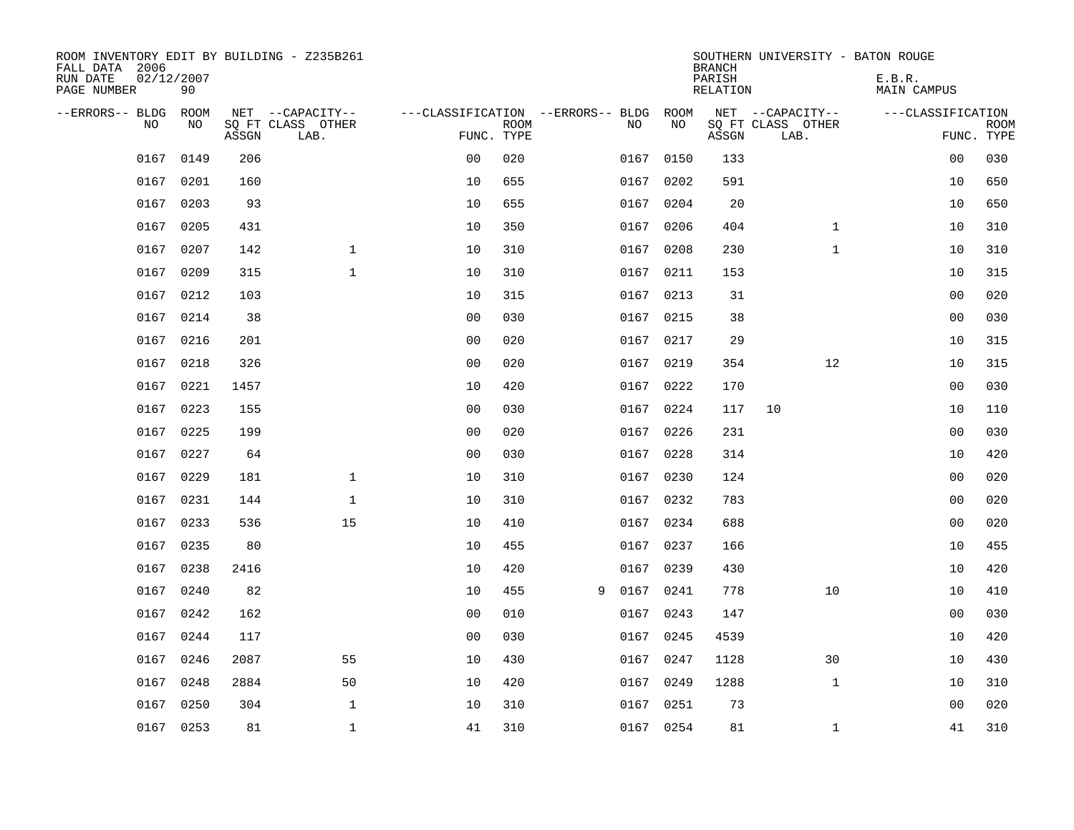| ROOM INVENTORY EDIT BY BUILDING - Z235B261<br>FALL DATA 2006<br>RUN DATE<br>PAGE NUMBER | 02/12/2007<br>90 |       |                           |                                   |             |   |           |      | <b>BRANCH</b><br>PARISH<br>RELATION | SOUTHERN UNIVERSITY - BATON ROUGE | E.B.R.<br><b>MAIN CAMPUS</b> |                           |
|-----------------------------------------------------------------------------------------|------------------|-------|---------------------------|-----------------------------------|-------------|---|-----------|------|-------------------------------------|-----------------------------------|------------------------------|---------------------------|
| --ERRORS-- BLDG                                                                         | ROOM             |       | NET --CAPACITY--          | ---CLASSIFICATION --ERRORS-- BLDG |             |   |           | ROOM |                                     | NET --CAPACITY--                  | ---CLASSIFICATION            |                           |
| N <sub>O</sub>                                                                          | NO.              | ASSGN | SO FT CLASS OTHER<br>LAB. | FUNC. TYPE                        | <b>ROOM</b> |   | NO.       | NO   | ASSGN                               | SQ FT CLASS OTHER<br>LAB.         |                              | <b>ROOM</b><br>FUNC. TYPE |
| 0167                                                                                    | 0149             | 206   |                           | 0 <sub>0</sub>                    | 020         |   | 0167      | 0150 | 133                                 |                                   | 00                           | 030                       |
| 0167                                                                                    | 0201             | 160   |                           | 10                                | 655         |   | 0167      | 0202 | 591                                 |                                   | 10                           | 650                       |
| 0167                                                                                    | 0203             | 93    |                           | 10                                | 655         |   | 0167      | 0204 | 20                                  |                                   | 10                           | 650                       |
| 0167                                                                                    | 0205             | 431   |                           | 10                                | 350         |   | 0167      | 0206 | 404                                 | $\mathbf{1}$                      | 10                           | 310                       |
| 0167                                                                                    | 0207             | 142   | $\mathbf{1}$              | 10                                | 310         |   | 0167      | 0208 | 230                                 | $\mathbf{1}$                      | 10                           | 310                       |
| 0167                                                                                    | 0209             | 315   | $\mathbf{1}$              | 10                                | 310         |   | 0167 0211 |      | 153                                 |                                   | 10                           | 315                       |
| 0167                                                                                    | 0212             | 103   |                           | 10                                | 315         |   | 0167      | 0213 | 31                                  |                                   | 00                           | 020                       |
|                                                                                         | 0167 0214        | 38    |                           | 0 <sub>0</sub>                    | 030         |   | 0167 0215 |      | 38                                  |                                   | 0 <sub>0</sub>               | 030                       |
| 0167                                                                                    | 0216             | 201   |                           | 0 <sub>0</sub>                    | 020         |   | 0167      | 0217 | 29                                  |                                   | 10                           | 315                       |
|                                                                                         | 0167 0218        | 326   |                           | 0 <sub>0</sub>                    | 020         |   | 0167 0219 |      | 354                                 | 12                                | 10                           | 315                       |
|                                                                                         | 0167 0221        | 1457  |                           | 10                                | 420         |   | 0167 0222 |      | 170                                 |                                   | 0 <sub>0</sub>               | 030                       |
|                                                                                         | 0167 0223        | 155   |                           | 0 <sub>0</sub>                    | 030         |   | 0167 0224 |      | 117                                 | 10                                | 10                           | 110                       |
| 0167                                                                                    | 0225             | 199   |                           | 0 <sub>0</sub>                    | 020         |   | 0167      | 0226 | 231                                 |                                   | 0 <sub>0</sub>               | 030                       |
| 0167                                                                                    | 0227             | 64    |                           | 0 <sub>0</sub>                    | 030         |   | 0167 0228 |      | 314                                 |                                   | 10                           | 420                       |
| 0167                                                                                    | 0229             | 181   | $\mathbf 1$               | 10                                | 310         |   | 0167 0230 |      | 124                                 |                                   | 00                           | 020                       |
| 0167                                                                                    | 0231             | 144   | $\mathbf 1$               | 10                                | 310         |   | 0167 0232 |      | 783                                 |                                   | 0 <sub>0</sub>               | 020                       |
|                                                                                         | 0167 0233        | 536   | 15                        | 10                                | 410         |   | 0167 0234 |      | 688                                 |                                   | 0 <sub>0</sub>               | 020                       |
| 0167                                                                                    | 0235             | 80    |                           | 10                                | 455         |   | 0167      | 0237 | 166                                 |                                   | 10                           | 455                       |
| 0167                                                                                    | 0238             | 2416  |                           | 10                                | 420         |   | 0167 0239 |      | 430                                 |                                   | 10                           | 420                       |
| 0167                                                                                    | 0240             | 82    |                           | 10                                | 455         | 9 | 0167      | 0241 | 778                                 | 10                                | 10                           | 410                       |
| 0167                                                                                    | 0242             | 162   |                           | 0 <sub>0</sub>                    | 010         |   | 0167 0243 |      | 147                                 |                                   | 00                           | 030                       |
| 0167                                                                                    | 0244             | 117   |                           | 0 <sub>0</sub>                    | 030         |   | 0167      | 0245 | 4539                                |                                   | 10                           | 420                       |
| 0167                                                                                    | 0246             | 2087  | 55                        | 10                                | 430         |   | 0167 0247 |      | 1128                                | 30                                | 10                           | 430                       |
| 0167                                                                                    | 0248             | 2884  | 50                        | 10                                | 420         |   | 0167      | 0249 | 1288                                | $\mathbf{1}$                      | 10                           | 310                       |
|                                                                                         | 0167 0250        | 304   | $\mathbf{1}$              | 10                                | 310         |   | 0167 0251 |      | 73                                  |                                   | 0 <sub>0</sub>               | 020                       |
|                                                                                         | 0167 0253        | 81    | $\mathbf{1}$              | 41                                | 310         |   | 0167 0254 |      | 81                                  | $\mathbf{1}$                      | 41                           | 310                       |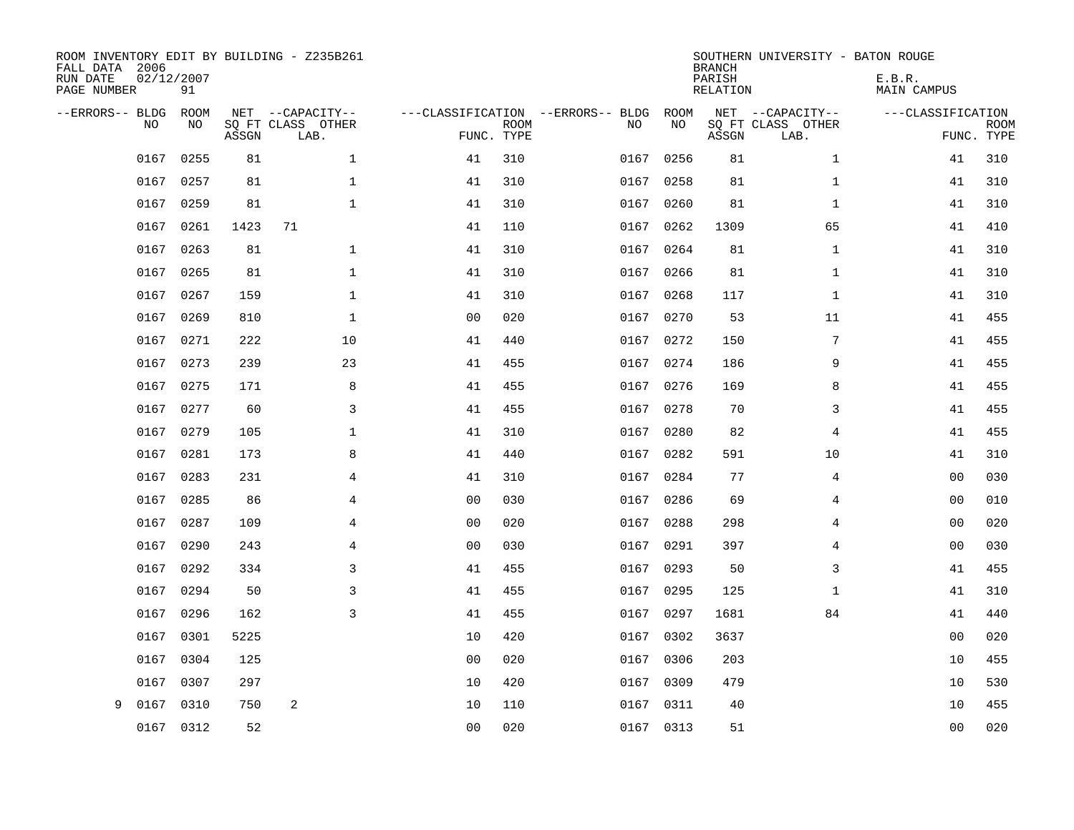| ROOM INVENTORY EDIT BY BUILDING - Z235B261<br>FALL DATA 2006<br>RUN DATE<br>PAGE NUMBER | 02/12/2007<br>91 |       |                                       |                |             |                                         |            | <b>BRANCH</b><br>PARISH<br><b>RELATION</b> | SOUTHERN UNIVERSITY - BATON ROUGE     | E.B.R.<br><b>MAIN CAMPUS</b> |             |
|-----------------------------------------------------------------------------------------|------------------|-------|---------------------------------------|----------------|-------------|-----------------------------------------|------------|--------------------------------------------|---------------------------------------|------------------------------|-------------|
| --ERRORS-- BLDG<br>NO                                                                   | ROOM<br>NO       |       | NET --CAPACITY--<br>SQ FT CLASS OTHER |                | <b>ROOM</b> | ---CLASSIFICATION --ERRORS-- BLDG<br>NO | ROOM<br>NO |                                            | NET --CAPACITY--<br>SQ FT CLASS OTHER | ---CLASSIFICATION            | <b>ROOM</b> |
|                                                                                         |                  | ASSGN | LAB.                                  |                | FUNC. TYPE  |                                         |            | ASSGN                                      | LAB.                                  |                              | FUNC. TYPE  |
| 0167                                                                                    | 0255             | 81    | $\mathbf{1}$                          | 41             | 310         | 0167                                    | 0256       | 81                                         | $\mathbf{1}$                          | 41                           | 310         |
| 0167                                                                                    | 0257             | 81    | $\mathbf 1$                           | 41             | 310         | 0167                                    | 0258       | 81                                         | $\mathbf{1}$                          | 41                           | 310         |
| 0167                                                                                    | 0259             | 81    | $\mathbf{1}$                          | 41             | 310         | 0167                                    | 0260       | 81                                         | $\mathbf{1}$                          | 41                           | 310         |
| 0167                                                                                    | 0261             | 1423  | 71                                    | 41             | 110         | 0167                                    | 0262       | 1309                                       | 65                                    | 41                           | 410         |
| 0167                                                                                    | 0263             | 81    | $\mathbf 1$                           | 41             | 310         | 0167                                    | 0264       | 81                                         | $\mathbf{1}$                          | 41                           | 310         |
| 0167                                                                                    | 0265             | 81    | $\mathbf{1}$                          | 41             | 310         |                                         | 0167 0266  | 81                                         | $\mathbf{1}$                          | 41                           | 310         |
| 0167                                                                                    | 0267             | 159   | $\mathbf{1}$                          | 41             | 310         | 0167                                    | 0268       | 117                                        | $\mathbf{1}$                          | 41                           | 310         |
|                                                                                         | 0167 0269        | 810   | $\mathbf 1$                           | 0 <sub>0</sub> | 020         |                                         | 0167 0270  | 53                                         | 11                                    | 41                           | 455         |
| 0167                                                                                    | 0271             | 222   | 10                                    | 41             | 440         | 0167                                    | 0272       | 150                                        | 7                                     | 41                           | 455         |
|                                                                                         | 0167 0273        | 239   | 23                                    | 41             | 455         |                                         | 0167 0274  | 186                                        | 9                                     | 41                           | 455         |
| 0167                                                                                    | 0275             | 171   | 8                                     | 41             | 455         | 0167                                    | 0276       | 169                                        | 8                                     | 41                           | 455         |
|                                                                                         | 0167 0277        | 60    | 3                                     | 41             | 455         |                                         | 0167 0278  | 70                                         | 3                                     | 41                           | 455         |
| 0167                                                                                    | 0279             | 105   | $\mathbf{1}$                          | 41             | 310         | 0167                                    | 0280       | 82                                         | $\overline{4}$                        | 41                           | 455         |
| 0167                                                                                    | 0281             | 173   | 8                                     | 41             | 440         | 0167                                    | 0282       | 591                                        | 10                                    | 41                           | 310         |
| 0167                                                                                    | 0283             | 231   | 4                                     | 41             | 310         | 0167                                    | 0284       | 77                                         | 4                                     | 00                           | 030         |
| 0167                                                                                    | 0285             | 86    | 4                                     | 0 <sub>0</sub> | 030         |                                         | 0167 0286  | 69                                         | 4                                     | 00                           | 010         |
| 0167                                                                                    | 0287             | 109   | 4                                     | 0 <sub>0</sub> | 020         | 0167                                    | 0288       | 298                                        | 4                                     | 00                           | 020         |
| 0167                                                                                    | 0290             | 243   | 4                                     | 0 <sub>0</sub> | 030         | 0167                                    | 0291       | 397                                        | 4                                     | 00                           | 030         |
| 0167                                                                                    | 0292             | 334   | 3                                     | 41             | 455         |                                         | 0167 0293  | 50                                         | 3                                     | 41                           | 455         |
| 0167                                                                                    | 0294             | 50    | 3                                     | 41             | 455         | 0167                                    | 0295       | 125                                        | $\mathbf{1}$                          | 41                           | 310         |
| 0167                                                                                    | 0296             | 162   | 3                                     | 41             | 455         |                                         | 0167 0297  | 1681                                       | 84                                    | 41                           | 440         |
| 0167                                                                                    | 0301             | 5225  |                                       | 10             | 420         | 0167                                    | 0302       | 3637                                       |                                       | 00                           | 020         |
| 0167                                                                                    | 0304             | 125   |                                       | 0 <sub>0</sub> | 020         | 0167                                    | 0306       | 203                                        |                                       | 10                           | 455         |
| 0167                                                                                    | 0307             | 297   |                                       | 10             | 420         | 0167                                    | 0309       | 479                                        |                                       | 10                           | 530         |
| 0167<br>9                                                                               | 0310             | 750   | 2                                     | 10             | 110         |                                         | 0167 0311  | 40                                         |                                       | 10                           | 455         |
|                                                                                         | 0167 0312        | 52    |                                       | 00             | 020         |                                         | 0167 0313  | 51                                         |                                       | 00                           | 020         |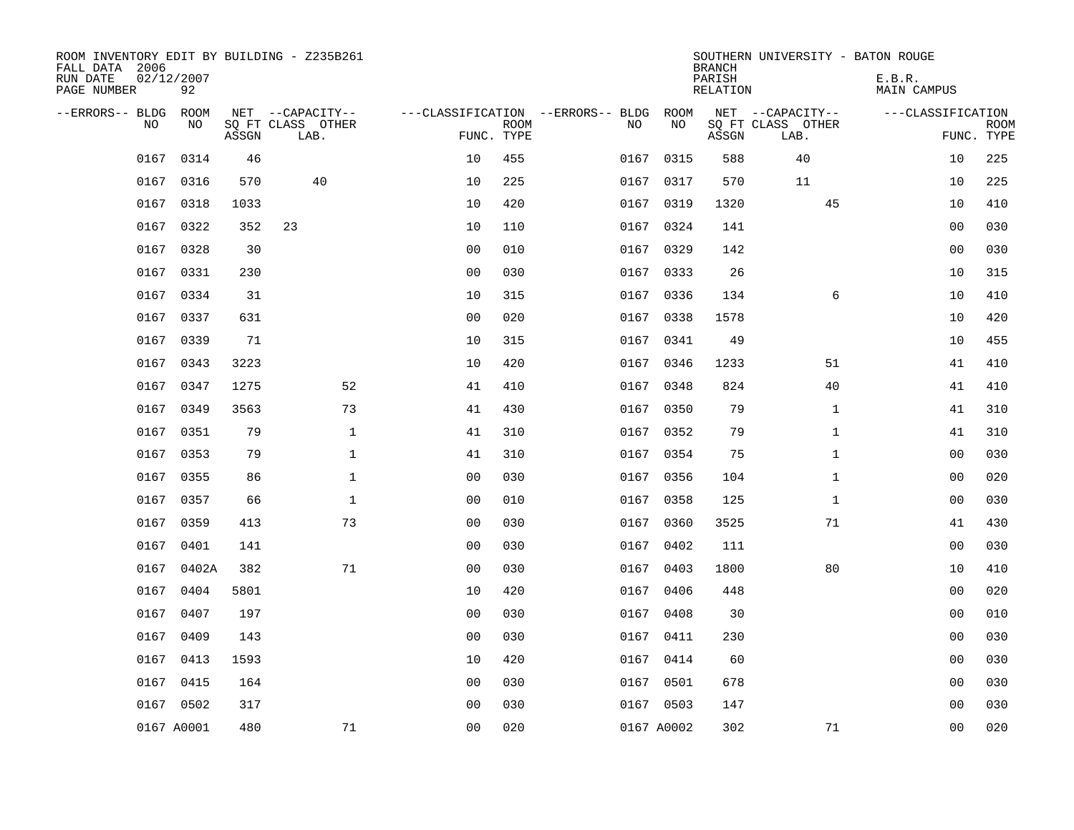| ROOM INVENTORY EDIT BY BUILDING - Z235B261<br>FALL DATA 2006<br>RUN DATE<br>PAGE NUMBER | 02/12/2007<br>92 |       |                           |                |             |                                   |            | <b>BRANCH</b><br>PARISH<br>RELATION | SOUTHERN UNIVERSITY - BATON ROUGE | E.B.R.<br>MAIN CAMPUS |                           |
|-----------------------------------------------------------------------------------------|------------------|-------|---------------------------|----------------|-------------|-----------------------------------|------------|-------------------------------------|-----------------------------------|-----------------------|---------------------------|
| --ERRORS-- BLDG                                                                         | ROOM             |       | NET --CAPACITY--          |                |             | ---CLASSIFICATION --ERRORS-- BLDG | ROOM       |                                     | NET --CAPACITY--                  | ---CLASSIFICATION     |                           |
| <b>NO</b>                                                                               | NO.              | ASSGN | SQ FT CLASS OTHER<br>LAB. | FUNC. TYPE     | <b>ROOM</b> | NO.                               | NO         | ASSGN                               | SQ FT CLASS OTHER<br>LAB.         |                       | <b>ROOM</b><br>FUNC. TYPE |
| 0167                                                                                    | 0314             | 46    |                           | 10             | 455         | 0167                              | 0315       | 588                                 | 40                                | 10                    | 225                       |
| 0167                                                                                    | 0316             | 570   | 40                        | 10             | 225         |                                   | 0167 0317  | 570                                 | 11                                | 10                    | 225                       |
| 0167                                                                                    | 0318             | 1033  |                           | 10             | 420         | 0167                              | 0319       | 1320                                | 45                                | 10                    | 410                       |
| 0167                                                                                    | 0322             | 352   | 23                        | 10             | 110         |                                   | 0167 0324  | 141                                 |                                   | 0 <sub>0</sub>        | 030                       |
| 0167                                                                                    | 0328             | 30    |                           | 0 <sub>0</sub> | 010         | 0167                              | 0329       | 142                                 |                                   | 0 <sub>0</sub>        | 030                       |
|                                                                                         | 0167 0331        | 230   |                           | 0 <sub>0</sub> | 030         |                                   | 0167 0333  | 26                                  |                                   | 10                    | 315                       |
| 0167                                                                                    | 0334             | 31    |                           | 10             | 315         | 0167                              | 0336       | 134                                 | 6                                 | 10                    | 410                       |
|                                                                                         | 0167 0337        | 631   |                           | 0 <sub>0</sub> | 020         |                                   | 0167 0338  | 1578                                |                                   | 10                    | 420                       |
| 0167                                                                                    | 0339             | 71    |                           | 10             | 315         | 0167                              | 0341       | 49                                  |                                   | 10                    | 455                       |
|                                                                                         | 0167 0343        | 3223  |                           | 10             | 420         |                                   | 0167 0346  | 1233                                | 51                                | 41                    | 410                       |
| 0167                                                                                    | 0347             | 1275  | 52                        | 41             | 410         | 0167                              | 0348       | 824                                 | 40                                | 41                    | 410                       |
| 0167                                                                                    | 0349             | 3563  | 73                        | 41             | 430         |                                   | 0167 0350  | 79                                  | $\mathbf{1}$                      | 41                    | 310                       |
| 0167                                                                                    | 0351             | 79    | $\mathbf 1$               | 41             | 310         | 0167                              | 0352       | 79                                  | $\mathbf{1}$                      | 41                    | 310                       |
| 0167                                                                                    | 0353             | 79    | $\mathbf{1}$              | 41             | 310         |                                   | 0167 0354  | 75                                  | $\mathbf{1}$                      | 00                    | 030                       |
| 0167                                                                                    | 0355             | 86    | $\mathbf{1}$              | 0 <sub>0</sub> | 030         |                                   | 0167 0356  | 104                                 | $\mathbf{1}$                      | 00                    | 020                       |
| 0167                                                                                    | 0357             | 66    | $\mathbf{1}$              | 0 <sub>0</sub> | 010         | 0167                              | 0358       | 125                                 | $\mathbf{1}$                      | 0 <sub>0</sub>        | 030                       |
| 0167                                                                                    | 0359             | 413   | 73                        | 0 <sub>0</sub> | 030         |                                   | 0167 0360  | 3525                                | 71                                | 41                    | 430                       |
| 0167                                                                                    | 0401             | 141   |                           | 00             | 030         | 0167                              | 0402       | 111                                 |                                   | 00                    | 030                       |
| 0167                                                                                    | 0402A            | 382   | 71                        | 0 <sub>0</sub> | 030         |                                   | 0167 0403  | 1800                                | 80                                | 10                    | 410                       |
| 0167                                                                                    | 0404             | 5801  |                           | 10             | 420         | 0167                              | 0406       | 448                                 |                                   | 0 <sub>0</sub>        | 020                       |
| 0167                                                                                    | 0407             | 197   |                           | 0 <sub>0</sub> | 030         |                                   | 0167 0408  | 30                                  |                                   | 00                    | 010                       |
| 0167                                                                                    | 0409             | 143   |                           | 00             | 030         | 0167                              | 0411       | 230                                 |                                   | 0 <sub>0</sub>        | 030                       |
|                                                                                         | 0167 0413        | 1593  |                           | 10             | 420         |                                   | 0167 0414  | 60                                  |                                   | 0 <sub>0</sub>        | 030                       |
|                                                                                         | 0167 0415        | 164   |                           | 0 <sub>0</sub> | 030         | 0167                              | 0501       | 678                                 |                                   | 0 <sub>0</sub>        | 030                       |
|                                                                                         | 0167 0502        | 317   |                           | 0 <sub>0</sub> | 030         |                                   | 0167 0503  | 147                                 |                                   | 00                    | 030                       |
|                                                                                         | 0167 A0001       | 480   | 71                        | 0 <sub>0</sub> | 020         |                                   | 0167 A0002 | 302                                 | 71                                | 0 <sub>0</sub>        | 020                       |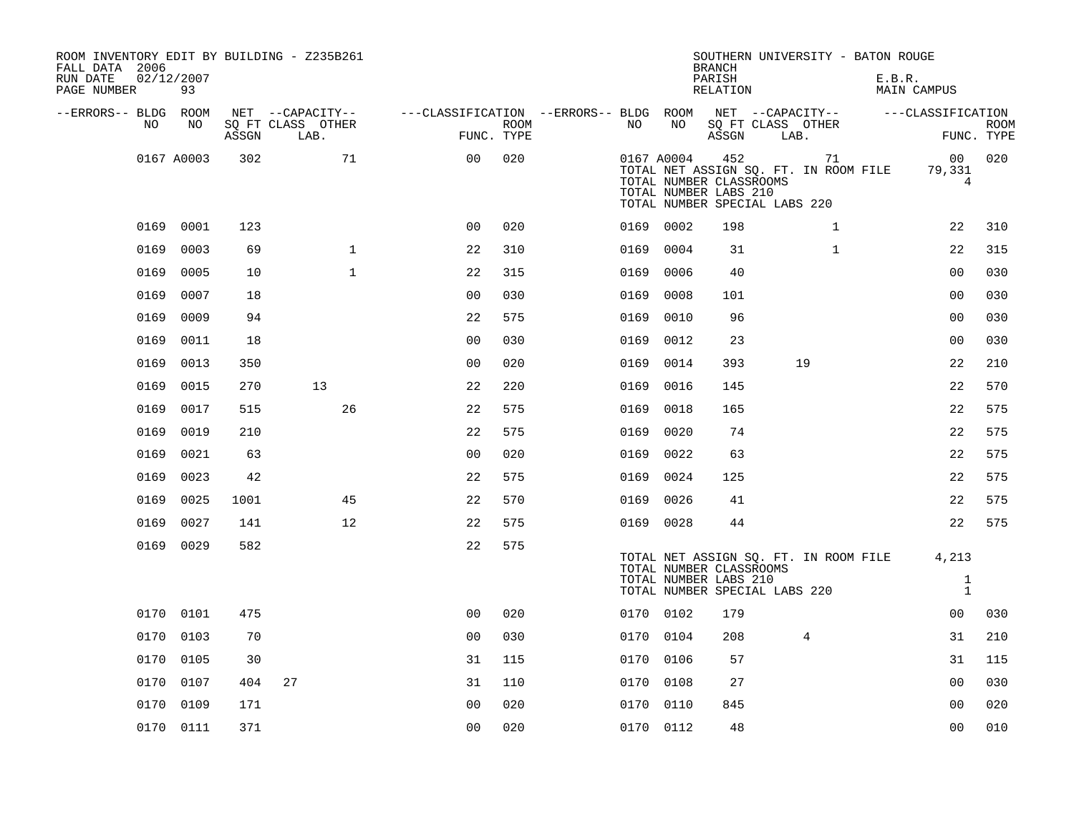| ROOM INVENTORY EDIT BY BUILDING - Z235B261<br>FALL DATA 2006<br>RUN DATE<br>PAGE NUMBER | 02/12/2007<br>93 |       |                                               |                                        |                           |      |            | <b>BRANCH</b><br>PARISH<br>RELATION                     | SOUTHERN UNIVERSITY - BATON ROUGE                                            | E.B.R.<br>MAIN CAMPUS                        |                           |
|-----------------------------------------------------------------------------------------|------------------|-------|-----------------------------------------------|----------------------------------------|---------------------------|------|------------|---------------------------------------------------------|------------------------------------------------------------------------------|----------------------------------------------|---------------------------|
| --ERRORS-- BLDG ROOM<br>NO                                                              | NO               | ASSGN | NET --CAPACITY--<br>SQ FT CLASS OTHER<br>LAB. | ---CLASSIFICATION --ERRORS-- BLDG ROOM | <b>ROOM</b><br>FUNC. TYPE | NO   | NO         | ASSGN                                                   | NET --CAPACITY--<br>SQ FT CLASS OTHER<br>LAB.                                | ---CLASSIFICATION                            | <b>ROOM</b><br>FUNC. TYPE |
|                                                                                         | 0167 A0003       | 302   | 71                                            | 0 <sup>0</sup>                         | 020                       |      | 0167 A0004 | 452<br>TOTAL NUMBER CLASSROOMS<br>TOTAL NUMBER LABS 210 | 71<br>TOTAL NET ASSIGN SQ. FT. IN ROOM FILE<br>TOTAL NUMBER SPECIAL LABS 220 | 00 <sub>o</sub><br>79,331<br>$4\overline{ }$ | 020                       |
|                                                                                         | 0169 0001        | 123   |                                               | 0 <sub>0</sub>                         | 020                       |      | 0169 0002  | 198                                                     | $\mathbf{1}$                                                                 | 22                                           | 310                       |
| 0169                                                                                    | 0003             | 69    | $\mathbf{1}$                                  | 22                                     | 310                       | 0169 | 0004       | 31                                                      | $\mathbf{1}$                                                                 | 22                                           | 315                       |
| 0169                                                                                    | 0005             | 10    | $\mathbf{1}$                                  | 22                                     | 315                       | 0169 | 0006       | 40                                                      |                                                                              | 0 <sub>0</sub>                               | 030                       |
| 0169                                                                                    | 0007             | 18    |                                               | 0 <sub>0</sub>                         | 030                       | 0169 | 0008       | 101                                                     |                                                                              | 0 <sub>0</sub>                               | 030                       |
| 0169                                                                                    | 0009             | 94    |                                               | 22                                     | 575                       | 0169 | 0010       | 96                                                      |                                                                              | 0 <sub>0</sub>                               | 030                       |
| 0169                                                                                    | 0011             | 18    |                                               | 0 <sub>0</sub>                         | 030                       | 0169 | 0012       | 23                                                      |                                                                              | 0 <sub>0</sub>                               | 030                       |
| 0169                                                                                    | 0013             | 350   |                                               | 0 <sub>0</sub>                         | 020                       | 0169 | 0014       | 393                                                     | 19                                                                           | 22                                           | 210                       |
| 0169                                                                                    | 0015             | 270   | 13                                            | 22                                     | 220                       | 0169 | 0016       | 145                                                     |                                                                              | 22                                           | 570                       |
| 0169                                                                                    | 0017             | 515   | 26                                            | 22                                     | 575                       | 0169 | 0018       | 165                                                     |                                                                              | 22                                           | 575                       |
| 0169                                                                                    | 0019             | 210   |                                               | 22                                     | 575                       | 0169 | 0020       | 74                                                      |                                                                              | 22                                           | 575                       |
| 0169                                                                                    | 0021             | 63    |                                               | 0 <sub>0</sub>                         | 020                       | 0169 | 0022       | 63                                                      |                                                                              | 22                                           | 575                       |
| 0169                                                                                    | 0023             | 42    |                                               | 22                                     | 575                       | 0169 | 0024       | 125                                                     |                                                                              | 22                                           | 575                       |
| 0169                                                                                    | 0025             | 1001  | 45                                            | 22                                     | 570                       | 0169 | 0026       | 41                                                      |                                                                              | 22                                           | 575                       |
| 0169                                                                                    | 0027             | 141   | 12                                            | 22                                     | 575                       |      | 0169 0028  | 44                                                      |                                                                              | 22                                           | 575                       |
|                                                                                         | 0169 0029        | 582   |                                               | 22                                     | 575                       |      |            | TOTAL NUMBER CLASSROOMS<br>TOTAL NUMBER LABS 210        | TOTAL NET ASSIGN SQ. FT. IN ROOM FILE                                        | 4,213<br>$\mathbf{1}$                        |                           |
|                                                                                         |                  |       |                                               |                                        |                           |      |            |                                                         | TOTAL NUMBER SPECIAL LABS 220                                                | $\mathbf{1}$                                 |                           |
|                                                                                         | 0170 0101        | 475   |                                               | 0 <sub>0</sub>                         | 020                       |      | 0170 0102  | 179                                                     |                                                                              | 00                                           | 030                       |
| 0170                                                                                    | 0103             | 70    |                                               | 0 <sub>0</sub>                         | 030                       | 0170 | 0104       | 208                                                     | 4                                                                            | 31                                           | 210                       |
| 0170                                                                                    | 0105             | 30    |                                               | 31                                     | 115                       |      | 0170 0106  | 57                                                      |                                                                              | 31                                           | 115                       |
|                                                                                         | 0170 0107        | 404   | 27                                            | 31                                     | 110                       |      | 0170 0108  | 27                                                      |                                                                              | 00                                           | 030                       |
| 0170                                                                                    | 0109             | 171   |                                               | 0 <sub>0</sub>                         | 020                       |      | 0170 0110  | 845                                                     |                                                                              | 0 <sub>0</sub>                               | 020                       |
|                                                                                         | 0170 0111        | 371   |                                               | 0 <sub>0</sub>                         | 020                       |      | 0170 0112  | 48                                                      |                                                                              | 00                                           | 010                       |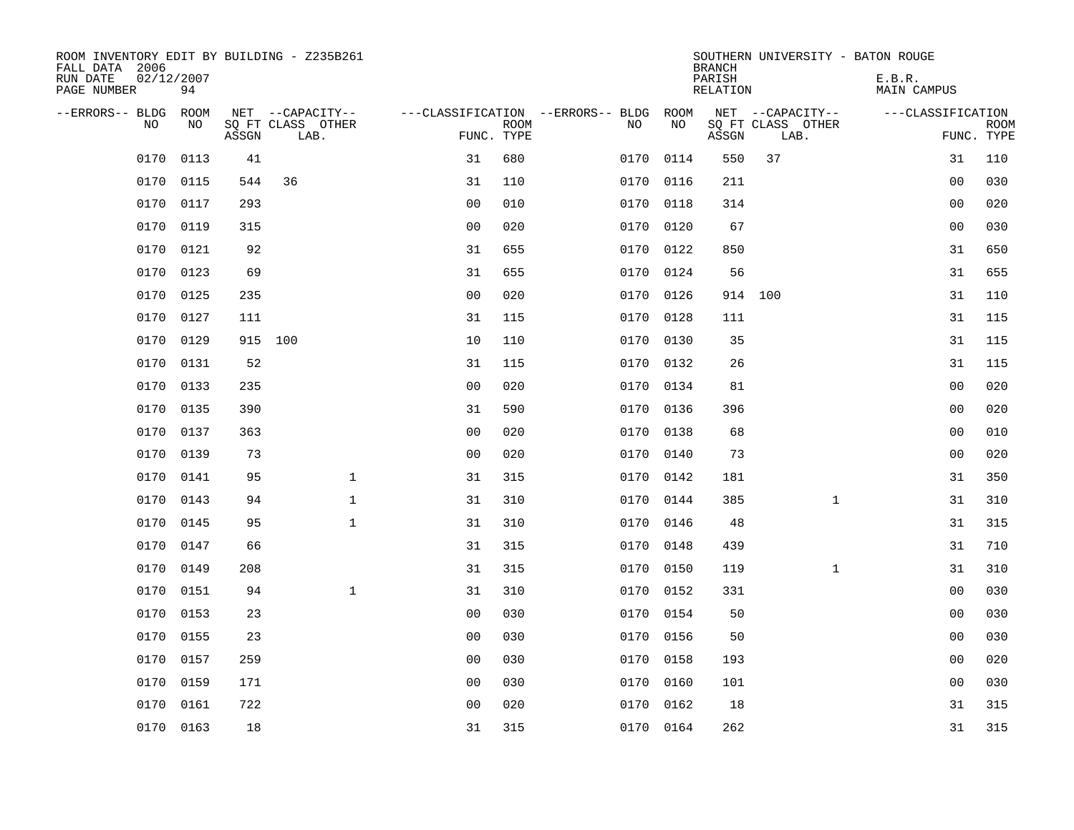| ROOM INVENTORY EDIT BY BUILDING - Z235B261<br>FALL DATA 2006<br>RUN DATE<br>PAGE NUMBER | 02/12/2007<br>94 |       |                           |                |             |                                   |           | <b>BRANCH</b><br>PARISH<br>RELATION | SOUTHERN UNIVERSITY - BATON ROUGE | E.B.R.<br><b>MAIN CAMPUS</b> |                           |
|-----------------------------------------------------------------------------------------|------------------|-------|---------------------------|----------------|-------------|-----------------------------------|-----------|-------------------------------------|-----------------------------------|------------------------------|---------------------------|
| --ERRORS-- BLDG                                                                         | ROOM             |       | NET --CAPACITY--          |                |             | ---CLASSIFICATION --ERRORS-- BLDG | ROOM      |                                     | NET --CAPACITY--                  | ---CLASSIFICATION            |                           |
| N <sub>O</sub>                                                                          | NO.              | ASSGN | SO FT CLASS OTHER<br>LAB. | FUNC. TYPE     | <b>ROOM</b> | NO.                               | <b>NO</b> | ASSGN                               | SQ FT CLASS OTHER<br>LAB.         |                              | <b>ROOM</b><br>FUNC. TYPE |
| 0170                                                                                    | 0113             | 41    |                           | 31             | 680         | 0170                              | 0114      | 550                                 | 37                                | 31                           | 110                       |
| 0170                                                                                    | 0115             | 544   | 36                        | 31             | 110         |                                   | 0170 0116 | 211                                 |                                   | 0 <sub>0</sub>               | 030                       |
| 0170                                                                                    | 0117             | 293   |                           | 0 <sub>0</sub> | 010         | 0170                              | 0118      | 314                                 |                                   | 00                           | 020                       |
| 0170                                                                                    | 0119             | 315   |                           | 0 <sub>0</sub> | 020         |                                   | 0170 0120 | 67                                  |                                   | 0 <sub>0</sub>               | 030                       |
| 0170                                                                                    | 0121             | 92    |                           | 31             | 655         | 0170                              | 0122      | 850                                 |                                   | 31                           | 650                       |
| 0170                                                                                    | 0123             | 69    |                           | 31             | 655         |                                   | 0170 0124 | 56                                  |                                   | 31                           | 655                       |
| 0170                                                                                    | 0125             | 235   |                           | 0 <sub>0</sub> | 020         | 0170                              | 0126      | 914                                 | 100                               | 31                           | 110                       |
| 0170                                                                                    | 0127             | 111   |                           | 31             | 115         |                                   | 0170 0128 | 111                                 |                                   | 31                           | 115                       |
| 0170                                                                                    | 0129             |       | 915 100                   | 10             | 110         | 0170                              | 0130      | 35                                  |                                   | 31                           | 115                       |
| 0170                                                                                    | 0131             | 52    |                           | 31             | 115         |                                   | 0170 0132 | 26                                  |                                   | 31                           | 115                       |
| 0170                                                                                    | 0133             | 235   |                           | 0 <sub>0</sub> | 020         | 0170                              | 0134      | 81                                  |                                   | 0 <sub>0</sub>               | 020                       |
| 0170                                                                                    | 0135             | 390   |                           | 31             | 590         |                                   | 0170 0136 | 396                                 |                                   | 00                           | 020                       |
| 0170                                                                                    | 0137             | 363   |                           | 0 <sub>0</sub> | 020         | 0170                              | 0138      | 68                                  |                                   | 0 <sub>0</sub>               | 010                       |
| 0170                                                                                    | 0139             | 73    |                           | 0 <sub>0</sub> | 020         | 0170                              | 0140      | 73                                  |                                   | 0 <sub>0</sub>               | 020                       |
| 0170                                                                                    | 0141             | 95    | $\mathbf 1$               | 31             | 315         | 0170                              | 0142      | 181                                 |                                   | 31                           | 350                       |
| 0170                                                                                    | 0143             | 94    | $\mathbf{1}$              | 31             | 310         | 0170                              | 0144      | 385                                 | $\mathbf{1}$                      | 31                           | 310                       |
| 0170                                                                                    | 0145             | 95    | $\mathbf{1}$              | 31             | 310         |                                   | 0170 0146 | 48                                  |                                   | 31                           | 315                       |
| 0170                                                                                    | 0147             | 66    |                           | 31             | 315         | 0170                              | 0148      | 439                                 |                                   | 31                           | 710                       |
| 0170                                                                                    | 0149             | 208   |                           | 31             | 315         |                                   | 0170 0150 | 119                                 | $\mathbf{1}$                      | 31                           | 310                       |
| 0170                                                                                    | 0151             | 94    | $\mathbf{1}$              | 31             | 310         | 0170                              | 0152      | 331                                 |                                   | 00                           | 030                       |
| 0170                                                                                    | 0153             | 23    |                           | 00             | 030         |                                   | 0170 0154 | 50                                  |                                   | 0 <sub>0</sub>               | 030                       |
| 0170                                                                                    | 0155             | 23    |                           | 0 <sub>0</sub> | 030         | 0170                              | 0156      | 50                                  |                                   | 0 <sub>0</sub>               | 030                       |
| 0170                                                                                    | 0157             | 259   |                           | 0 <sub>0</sub> | 030         |                                   | 0170 0158 | 193                                 |                                   | 00                           | 020                       |
| 0170                                                                                    | 0159             | 171   |                           | 0 <sub>0</sub> | 030         | 0170                              | 0160      | 101                                 |                                   | 00                           | 030                       |
| 0170                                                                                    | 0161             | 722   |                           | 0 <sub>0</sub> | 020         |                                   | 0170 0162 | 18                                  |                                   | 31                           | 315                       |
|                                                                                         | 0170 0163        | 18    |                           | 31             | 315         |                                   | 0170 0164 | 262                                 |                                   | 31                           | 315                       |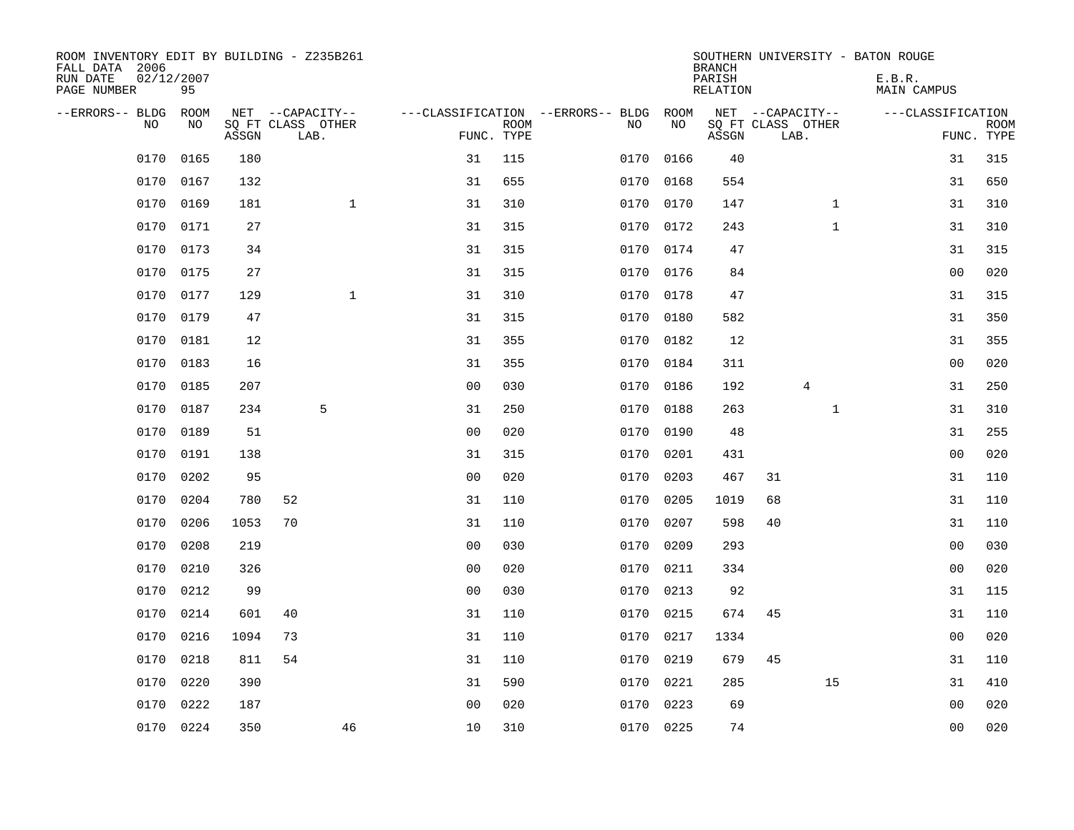| ROOM INVENTORY EDIT BY BUILDING - Z235B261<br>FALL DATA 2006<br>RUN DATE<br>PAGE NUMBER | 02/12/2007<br>95 |       |                                       |                |             |                                         |            | <b>BRANCH</b><br>PARISH<br><b>RELATION</b> | SOUTHERN UNIVERSITY - BATON ROUGE     | E.B.R.<br><b>MAIN CAMPUS</b> |             |
|-----------------------------------------------------------------------------------------|------------------|-------|---------------------------------------|----------------|-------------|-----------------------------------------|------------|--------------------------------------------|---------------------------------------|------------------------------|-------------|
| --ERRORS-- BLDG<br>NO.                                                                  | ROOM<br>NO       |       | NET --CAPACITY--<br>SQ FT CLASS OTHER |                | <b>ROOM</b> | ---CLASSIFICATION --ERRORS-- BLDG<br>NO | ROOM<br>NO |                                            | NET --CAPACITY--<br>SQ FT CLASS OTHER | ---CLASSIFICATION            | <b>ROOM</b> |
|                                                                                         |                  | ASSGN | LAB.                                  |                | FUNC. TYPE  |                                         |            | ASSGN                                      | LAB.                                  | FUNC. TYPE                   |             |
| 0170                                                                                    | 0165             | 180   |                                       | 31             | 115         | 0170                                    | 0166       | 40                                         |                                       | 31                           | 315         |
| 0170                                                                                    | 0167             | 132   |                                       | 31             | 655         |                                         | 0170 0168  | 554                                        |                                       | 31                           | 650         |
| 0170                                                                                    | 0169             | 181   | $\mathbf{1}$                          | 31             | 310         | 0170                                    | 0170       | 147                                        | $\mathbf{1}$                          | 31                           | 310         |
| 0170                                                                                    | 0171             | 27    |                                       | 31             | 315         |                                         | 0170 0172  | 243                                        | $\mathbf{1}$                          | 31                           | 310         |
| 0170                                                                                    | 0173             | 34    |                                       | 31             | 315         | 0170                                    | 0174       | 47                                         |                                       | 31                           | 315         |
| 0170                                                                                    | 0175             | 27    |                                       | 31             | 315         |                                         | 0170 0176  | 84                                         |                                       | 00                           | 020         |
| 0170                                                                                    | 0177             | 129   | $\mathbf{1}$                          | 31             | 310         | 0170                                    | 0178       | 47                                         |                                       | 31                           | 315         |
| 0170                                                                                    | 0179             | 47    |                                       | 31             | 315         |                                         | 0170 0180  | 582                                        |                                       | 31                           | 350         |
| 0170                                                                                    | 0181             | 12    |                                       | 31             | 355         | 0170                                    | 0182       | 12                                         |                                       | 31                           | 355         |
| 0170                                                                                    | 0183             | 16    |                                       | 31             | 355         | 0170                                    | 0184       | 311                                        |                                       | 0 <sub>0</sub>               | 020         |
| 0170                                                                                    | 0185             | 207   |                                       | 0 <sub>0</sub> | 030         | 0170                                    | 0186       | 192                                        | 4                                     | 31                           | 250         |
| 0170                                                                                    | 0187             | 234   | 5                                     | 31             | 250         | 0170                                    | 0188       | 263                                        | $\mathbf{1}$                          | 31                           | 310         |
| 0170                                                                                    | 0189             | 51    |                                       | 0 <sub>0</sub> | 020         | 0170                                    | 0190       | 48                                         |                                       | 31                           | 255         |
| 0170                                                                                    | 0191             | 138   |                                       | 31             | 315         | 0170                                    | 0201       | 431                                        |                                       | 0 <sub>0</sub>               | 020         |
| 0170                                                                                    | 0202             | 95    |                                       | 0 <sub>0</sub> | 020         | 0170                                    | 0203       | 467                                        | 31                                    | 31                           | 110         |
| 0170                                                                                    | 0204             | 780   | 52                                    | 31             | 110         | 0170                                    | 0205       | 1019                                       | 68                                    | 31                           | 110         |
| 0170                                                                                    | 0206             | 1053  | 70                                    | 31             | 110         | 0170                                    | 0207       | 598                                        | 40                                    | 31                           | 110         |
| 0170                                                                                    | 0208             | 219   |                                       | 0 <sub>0</sub> | 030         | 0170                                    | 0209       | 293                                        |                                       | 00                           | 030         |
| 0170                                                                                    | 0210             | 326   |                                       | 0 <sub>0</sub> | 020         |                                         | 0170 0211  | 334                                        |                                       | 00                           | 020         |
| 0170                                                                                    | 0212             | 99    |                                       | 0 <sub>0</sub> | 030         | 0170                                    | 0213       | 92                                         |                                       | 31                           | 115         |
| 0170                                                                                    | 0214             | 601   | 40                                    | 31             | 110         | 0170                                    | 0215       | 674                                        | 45                                    | 31                           | 110         |
| 0170                                                                                    | 0216             | 1094  | 73                                    | 31             | 110         | 0170                                    | 0217       | 1334                                       |                                       | 00                           | 020         |
| 0170                                                                                    | 0218             | 811   | 54                                    | 31             | 110         |                                         | 0170 0219  | 679                                        | 45                                    | 31                           | 110         |
| 0170                                                                                    | 0220             | 390   |                                       | 31             | 590         | 0170                                    | 0221       | 285                                        | 15                                    | 31                           | 410         |
| 0170                                                                                    | 0222             | 187   |                                       | 0 <sub>0</sub> | 020         | 0170                                    | 0223       | 69                                         |                                       | 0 <sub>0</sub>               | 020         |
|                                                                                         | 0170 0224        | 350   | 46                                    | 10             | 310         |                                         | 0170 0225  | 74                                         |                                       | 0 <sub>0</sub>               | 020         |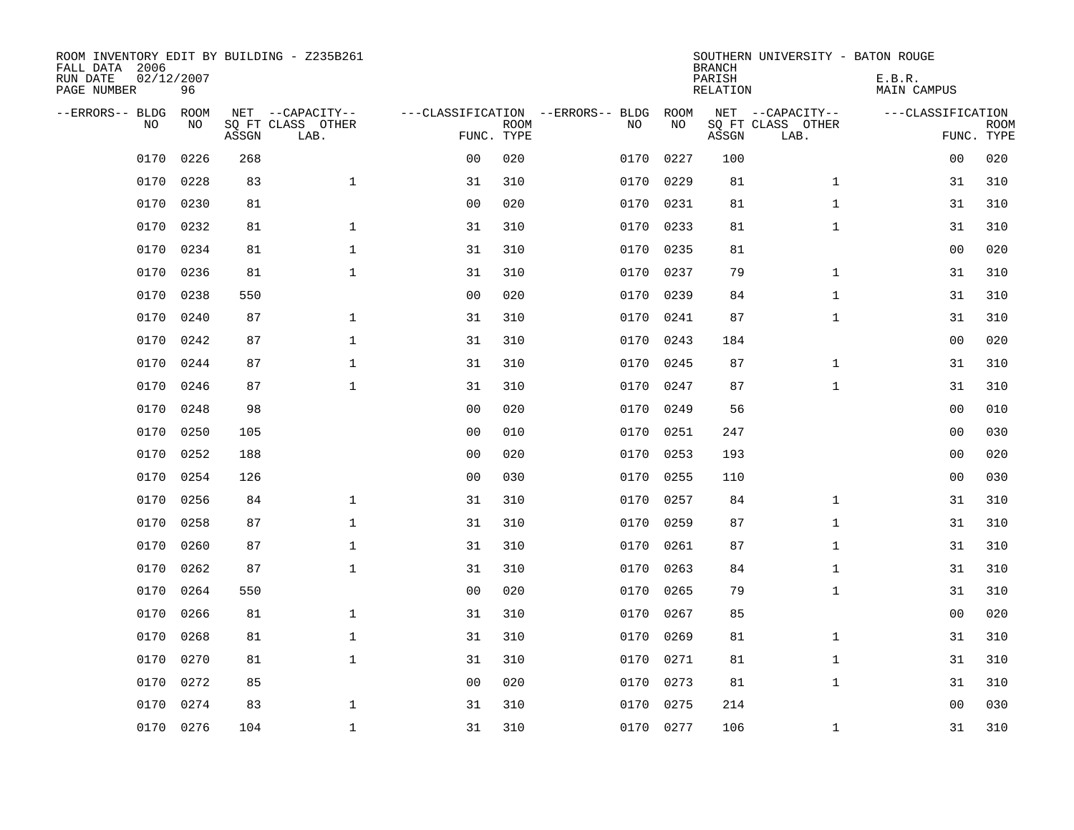| ROOM INVENTORY EDIT BY BUILDING - Z235B261<br>FALL DATA 2006<br>RUN DATE<br>PAGE NUMBER | 02/12/2007<br>96 |       |                                               |                |             |                                         |            | <b>BRANCH</b><br>PARISH<br><b>RELATION</b> | SOUTHERN UNIVERSITY - BATON ROUGE             | E.B.R.<br><b>MAIN CAMPUS</b> |                           |
|-----------------------------------------------------------------------------------------|------------------|-------|-----------------------------------------------|----------------|-------------|-----------------------------------------|------------|--------------------------------------------|-----------------------------------------------|------------------------------|---------------------------|
| --ERRORS-- BLDG<br>NO                                                                   | ROOM<br>NO       | ASSGN | NET --CAPACITY--<br>SQ FT CLASS OTHER<br>LAB. | FUNC. TYPE     | <b>ROOM</b> | ---CLASSIFICATION --ERRORS-- BLDG<br>NO | ROOM<br>NO | ASSGN                                      | NET --CAPACITY--<br>SQ FT CLASS OTHER<br>LAB. | ---CLASSIFICATION            | <b>ROOM</b><br>FUNC. TYPE |
| 0170                                                                                    | 0226             | 268   |                                               | 0 <sub>0</sub> | 020         | 0170                                    | 0227       | 100                                        |                                               | 00                           | 020                       |
| 0170                                                                                    | 0228             | 83    | $\mathbf{1}$                                  | 31             | 310         | 0170                                    | 0229       | 81                                         | $\mathbf{1}$                                  | 31                           | 310                       |
| 0170                                                                                    | 0230             | 81    |                                               | 0 <sub>0</sub> | 020         | 0170                                    | 0231       | 81                                         | $\mathbf{1}$                                  | 31                           | 310                       |
| 0170                                                                                    | 0232             | 81    | $\mathbf 1$                                   | 31             | 310         | 0170                                    | 0233       | 81                                         | $\mathbf{1}$                                  | 31                           | 310                       |
| 0170                                                                                    | 0234             | 81    | $\mathbf{1}$                                  | 31             | 310         | 0170                                    | 0235       | 81                                         |                                               | 0 <sub>0</sub>               | 020                       |
| 0170                                                                                    | 0236             | 81    | $\mathbf{1}$                                  | 31             | 310         |                                         | 0170 0237  | 79                                         | $\mathbf{1}$                                  | 31                           | 310                       |
| 0170                                                                                    | 0238             | 550   |                                               | 0 <sub>0</sub> | 020         | 0170                                    | 0239       | 84                                         | $\mathbf{1}$                                  | 31                           | 310                       |
| 0170                                                                                    | 0240             | 87    | $\mathbf{1}$                                  | 31             | 310         |                                         | 0170 0241  | 87                                         | $\mathbf{1}$                                  | 31                           | 310                       |
| 0170                                                                                    | 0242             | 87    | $\mathbf 1$                                   | 31             | 310         | 0170                                    | 0243       | 184                                        |                                               | 00                           | 020                       |
| 0170                                                                                    | 0244             | 87    | $\mathbf 1$                                   | 31             | 310         | 0170                                    | 0245       | 87                                         | $\mathbf{1}$                                  | 31                           | 310                       |
| 0170                                                                                    | 0246             | 87    | $\mathbf{1}$                                  | 31             | 310         | 0170                                    | 0247       | 87                                         | $\mathbf{1}$                                  | 31                           | 310                       |
| 0170                                                                                    | 0248             | 98    |                                               | 0 <sub>0</sub> | 020         | 0170                                    | 0249       | 56                                         |                                               | 00                           | 010                       |
| 0170                                                                                    | 0250             | 105   |                                               | 0 <sub>0</sub> | 010         | 0170                                    | 0251       | 247                                        |                                               | 00                           | 030                       |
| 0170                                                                                    | 0252             | 188   |                                               | 0 <sub>0</sub> | 020         | 0170                                    | 0253       | 193                                        |                                               | 00                           | 020                       |
| 0170                                                                                    | 0254             | 126   |                                               | 0 <sub>0</sub> | 030         | 0170                                    | 0255       | 110                                        |                                               | 0 <sub>0</sub>               | 030                       |
| 0170                                                                                    | 0256             | 84    | $\mathbf{1}$                                  | 31             | 310         | 0170                                    | 0257       | 84                                         | $\mathbf{1}$                                  | 31                           | 310                       |
| 0170                                                                                    | 0258             | 87    | $\mathbf{1}$                                  | 31             | 310         | 0170                                    | 0259       | 87                                         | $\mathbf{1}$                                  | 31                           | 310                       |
| 0170                                                                                    | 0260             | 87    | $\mathbf 1$                                   | 31             | 310         | 0170                                    | 0261       | 87                                         | $\mathbf{1}$                                  | 31                           | 310                       |
| 0170                                                                                    | 0262             | 87    | $\mathbf 1$                                   | 31             | 310         | 0170                                    | 0263       | 84                                         | $\mathbf{1}$                                  | 31                           | 310                       |
| 0170                                                                                    | 0264             | 550   |                                               | 0 <sub>0</sub> | 020         | 0170                                    | 0265       | 79                                         | $\mathbf{1}$                                  | 31                           | 310                       |
| 0170                                                                                    | 0266             | 81    | $\mathbf 1$                                   | 31             | 310         | 0170                                    | 0267       | 85                                         |                                               | 0 <sub>0</sub>               | 020                       |
| 0170                                                                                    | 0268             | 81    | $\mathbf 1$                                   | 31             | 310         | 0170                                    | 0269       | 81                                         | $\mathbf{1}$                                  | 31                           | 310                       |
| 0170                                                                                    | 0270             | 81    | $\mathbf 1$                                   | 31             | 310         | 0170                                    | 0271       | 81                                         | $\mathbf{1}$                                  | 31                           | 310                       |
| 0170                                                                                    | 0272             | 85    |                                               | 0 <sub>0</sub> | 020         | 0170                                    | 0273       | 81                                         | $\mathbf{1}$                                  | 31                           | 310                       |
| 0170                                                                                    | 0274             | 83    | $\mathbf{1}$                                  | 31             | 310         | 0170                                    | 0275       | 214                                        |                                               | 0 <sub>0</sub>               | 030                       |
|                                                                                         | 0170 0276        | 104   | $\mathbf{1}$                                  | 31             | 310         |                                         | 0170 0277  | 106                                        | $\mathbf{1}$                                  | 31                           | 310                       |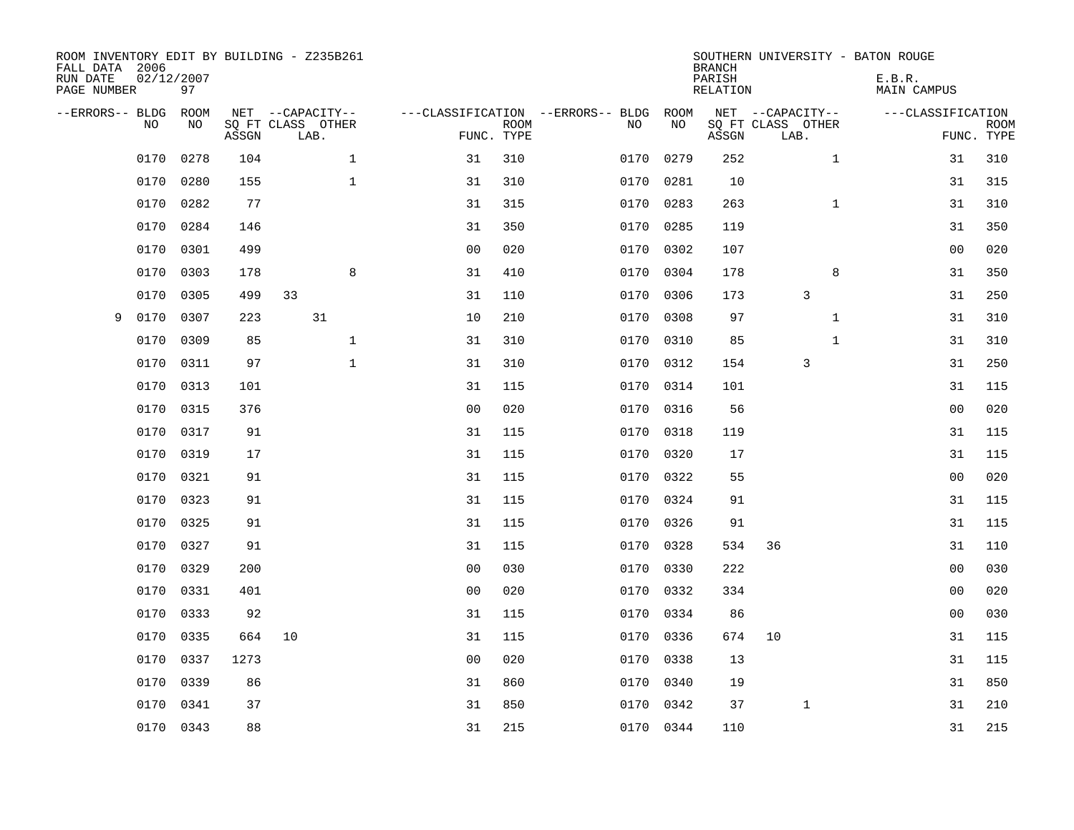| ROOM INVENTORY EDIT BY BUILDING - Z235B261<br>FALL DATA 2006<br>RUN DATE<br>PAGE NUMBER | 02/12/2007<br>97 |       |                                       |              |                |             |                                              |           | <b>BRANCH</b><br>PARISH<br><b>RELATION</b> |                                       | SOUTHERN UNIVERSITY - BATON ROUGE<br>E.B.R.<br><b>MAIN CAMPUS</b> |             |
|-----------------------------------------------------------------------------------------|------------------|-------|---------------------------------------|--------------|----------------|-------------|----------------------------------------------|-----------|--------------------------------------------|---------------------------------------|-------------------------------------------------------------------|-------------|
| --ERRORS-- BLDG<br>NO                                                                   | ROOM<br>NO       |       | NET --CAPACITY--<br>SQ FT CLASS OTHER |              |                | <b>ROOM</b> | ---CLASSIFICATION --ERRORS-- BLDG ROOM<br>NO | NO        |                                            | NET --CAPACITY--<br>SQ FT CLASS OTHER | ---CLASSIFICATION                                                 | <b>ROOM</b> |
|                                                                                         |                  | ASSGN | LAB.                                  |              |                | FUNC. TYPE  |                                              |           | ASSGN                                      | LAB.                                  |                                                                   | FUNC. TYPE  |
| 0170                                                                                    | 0278             | 104   |                                       | $\mathbf{1}$ | 31             | 310         | 0170                                         | 0279      | 252                                        | $\mathbf{1}$                          | 31                                                                | 310         |
| 0170                                                                                    | 0280             | 155   |                                       | $\mathbf{1}$ | 31             | 310         | 0170                                         | 0281      | 10                                         |                                       | 31                                                                | 315         |
| 0170                                                                                    | 0282             | 77    |                                       |              | 31             | 315         | 0170                                         | 0283      | 263                                        | $\mathbf{1}$                          | 31                                                                | 310         |
| 0170                                                                                    | 0284             | 146   |                                       |              | 31             | 350         |                                              | 0170 0285 | 119                                        |                                       | 31                                                                | 350         |
| 0170                                                                                    | 0301             | 499   |                                       |              | 0 <sub>0</sub> | 020         | 0170                                         | 0302      | 107                                        |                                       | 0 <sub>0</sub>                                                    | 020         |
| 0170                                                                                    | 0303             | 178   |                                       | 8            | 31             | 410         |                                              | 0170 0304 | 178                                        | 8                                     | 31                                                                | 350         |
| 0170                                                                                    | 0305             | 499   | 33                                    |              | 31             | 110         | 0170                                         | 0306      | 173                                        | 3                                     | 31                                                                | 250         |
| 0170<br>9                                                                               | 0307             | 223   | 31                                    |              | 10             | 210         |                                              | 0170 0308 | 97                                         | $\mathbf{1}$                          | 31                                                                | 310         |
| 0170                                                                                    | 0309             | 85    |                                       | $\mathbf 1$  | 31             | 310         | 0170                                         | 0310      | 85                                         | $\mathbf{1}$                          | 31                                                                | 310         |
| 0170                                                                                    | 0311             | 97    |                                       | $\mathbf{1}$ | 31             | 310         | 0170                                         | 0312      | 154                                        | 3                                     | 31                                                                | 250         |
| 0170                                                                                    | 0313             | 101   |                                       |              | 31             | 115         | 0170                                         | 0314      | 101                                        |                                       | 31                                                                | 115         |
| 0170                                                                                    | 0315             | 376   |                                       |              | 0 <sub>0</sub> | 020         | 0170                                         | 0316      | 56                                         |                                       | 0 <sub>0</sub>                                                    | 020         |
| 0170                                                                                    | 0317             | 91    |                                       |              | 31             | 115         | 0170                                         | 0318      | 119                                        |                                       | 31                                                                | 115         |
| 0170                                                                                    | 0319             | 17    |                                       |              | 31             | 115         | 0170                                         | 0320      | 17                                         |                                       | 31                                                                | 115         |
| 0170                                                                                    | 0321             | 91    |                                       |              | 31             | 115         |                                              | 0170 0322 | 55                                         |                                       | 0 <sub>0</sub>                                                    | 020         |
| 0170                                                                                    | 0323             | 91    |                                       |              | 31             | 115         | 0170                                         | 0324      | 91                                         |                                       | 31                                                                | 115         |
| 0170                                                                                    | 0325             | 91    |                                       |              | 31             | 115         |                                              | 0170 0326 | 91                                         |                                       | 31                                                                | 115         |
| 0170                                                                                    | 0327             | 91    |                                       |              | 31             | 115         | 0170                                         | 0328      | 534                                        | 36                                    | 31                                                                | 110         |
| 0170                                                                                    | 0329             | 200   |                                       |              | 0 <sub>0</sub> | 030         |                                              | 0170 0330 | 222                                        |                                       | 00                                                                | 030         |
| 0170                                                                                    | 0331             | 401   |                                       |              | 0 <sub>0</sub> | 020         | 0170                                         | 0332      | 334                                        |                                       | 00                                                                | 020         |
| 0170                                                                                    | 0333             | 92    |                                       |              | 31             | 115         |                                              | 0170 0334 | 86                                         |                                       | 0 <sub>0</sub>                                                    | 030         |
| 0170                                                                                    | 0335             | 664   | 10                                    |              | 31             | 115         | 0170                                         | 0336      | 674                                        | 10                                    | 31                                                                | 115         |
| 0170                                                                                    | 0337             | 1273  |                                       |              | 0 <sub>0</sub> | 020         |                                              | 0170 0338 | 13                                         |                                       | 31                                                                | 115         |
| 0170                                                                                    | 0339             | 86    |                                       |              | 31             | 860         | 0170                                         | 0340      | 19                                         |                                       | 31                                                                | 850         |
| 0170                                                                                    | 0341             | 37    |                                       |              | 31             | 850         |                                              | 0170 0342 | 37                                         | $\mathbf{1}$                          | 31                                                                | 210         |
|                                                                                         | 0170 0343        | 88    |                                       |              | 31             | 215         |                                              | 0170 0344 | 110                                        |                                       | 31                                                                | 215         |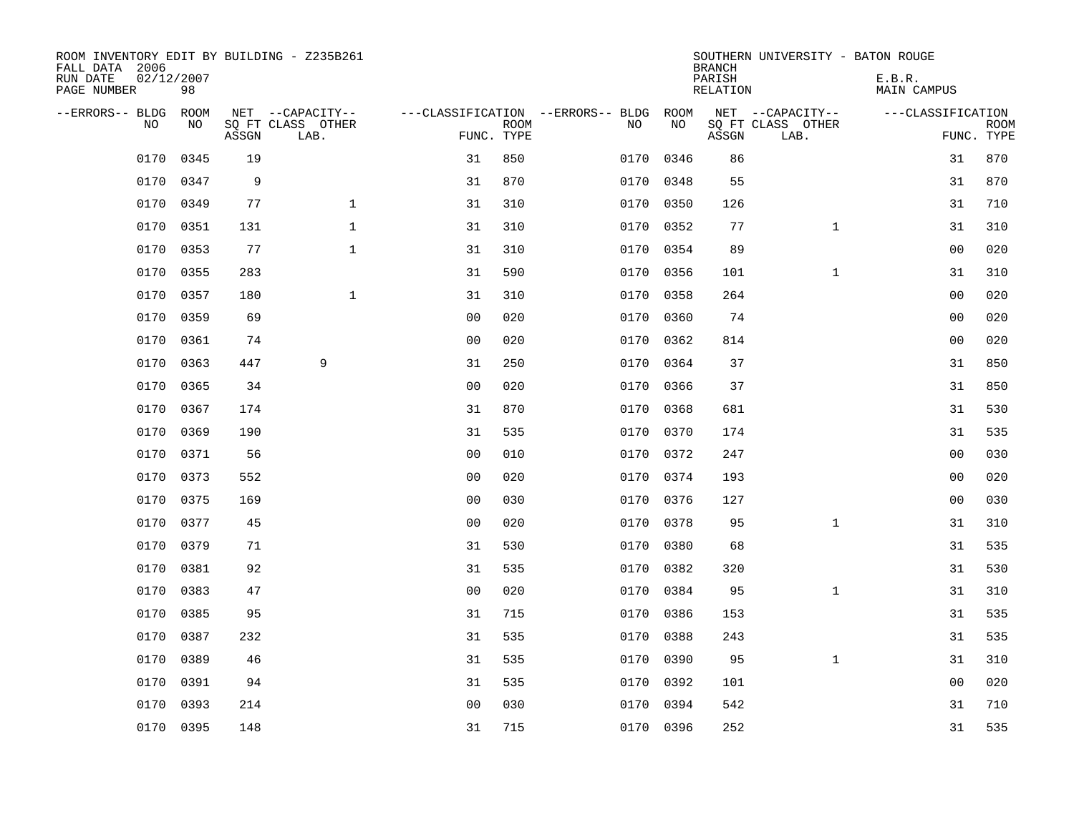| ROOM INVENTORY EDIT BY BUILDING - Z235B261<br>FALL DATA 2006<br>RUN DATE<br>PAGE NUMBER | 02/12/2007<br>98 |       |                           |                |             |                                        |           | <b>BRANCH</b><br>PARISH<br>RELATION | SOUTHERN UNIVERSITY - BATON ROUGE | E.B.R.<br><b>MAIN CAMPUS</b> |                           |
|-----------------------------------------------------------------------------------------|------------------|-------|---------------------------|----------------|-------------|----------------------------------------|-----------|-------------------------------------|-----------------------------------|------------------------------|---------------------------|
| --ERRORS-- BLDG                                                                         | ROOM             |       | NET --CAPACITY--          |                |             | ---CLASSIFICATION --ERRORS-- BLDG ROOM |           |                                     | NET --CAPACITY--                  | ---CLASSIFICATION            |                           |
| N <sub>O</sub>                                                                          | NO.              | ASSGN | SO FT CLASS OTHER<br>LAB. | FUNC. TYPE     | <b>ROOM</b> | NO.                                    | <b>NO</b> | ASSGN                               | SQ FT CLASS OTHER<br>LAB.         |                              | <b>ROOM</b><br>FUNC. TYPE |
| 0170                                                                                    | 0345             | 19    |                           | 31             | 850         | 0170                                   | 0346      | 86                                  |                                   | 31                           | 870                       |
| 0170                                                                                    | 0347             | 9     |                           | 31             | 870         |                                        | 0170 0348 | 55                                  |                                   | 31                           | 870                       |
| 0170                                                                                    | 0349             | 77    | $\mathbf{1}$              | 31             | 310         | 0170                                   | 0350      | 126                                 |                                   | 31                           | 710                       |
| 0170                                                                                    | 0351             | 131   | $\mathbf 1$               | 31             | 310         |                                        | 0170 0352 | 77                                  | $\mathbf{1}$                      | 31                           | 310                       |
| 0170                                                                                    | 0353             | 77    | $\mathbf{1}$              | 31             | 310         | 0170                                   | 0354      | 89                                  |                                   | 0 <sub>0</sub>               | 020                       |
| 0170                                                                                    | 0355             | 283   |                           | 31             | 590         |                                        | 0170 0356 | 101                                 | $\mathbf{1}$                      | 31                           | 310                       |
| 0170                                                                                    | 0357             | 180   | $\mathbf{1}$              | 31             | 310         | 0170                                   | 0358      | 264                                 |                                   | 0 <sub>0</sub>               | 020                       |
| 0170                                                                                    | 0359             | 69    |                           | 0 <sub>0</sub> | 020         |                                        | 0170 0360 | 74                                  |                                   | 0 <sub>0</sub>               | 020                       |
| 0170                                                                                    | 0361             | 74    |                           | 0 <sub>0</sub> | 020         | 0170                                   | 0362      | 814                                 |                                   | 0 <sub>0</sub>               | 020                       |
| 0170                                                                                    | 0363             | 447   | 9                         | 31             | 250         |                                        | 0170 0364 | 37                                  |                                   | 31                           | 850                       |
| 0170                                                                                    | 0365             | 34    |                           | 0 <sub>0</sub> | 020         | 0170                                   | 0366      | 37                                  |                                   | 31                           | 850                       |
| 0170                                                                                    | 0367             | 174   |                           | 31             | 870         |                                        | 0170 0368 | 681                                 |                                   | 31                           | 530                       |
| 0170                                                                                    | 0369             | 190   |                           | 31             | 535         | 0170                                   | 0370      | 174                                 |                                   | 31                           | 535                       |
| 0170                                                                                    | 0371             | 56    |                           | 0 <sub>0</sub> | 010         | 0170                                   | 0372      | 247                                 |                                   | 00                           | 030                       |
| 0170                                                                                    | 0373             | 552   |                           | 0 <sup>0</sup> | 020         | 0170                                   | 0374      | 193                                 |                                   | 0 <sub>0</sub>               | 020                       |
| 0170                                                                                    | 0375             | 169   |                           | 0 <sub>0</sub> | 030         | 0170                                   | 0376      | 127                                 |                                   | 0 <sub>0</sub>               | 030                       |
| 0170                                                                                    | 0377             | 45    |                           | 0 <sub>0</sub> | 020         | 0170                                   | 0378      | 95                                  | $\mathbf{1}$                      | 31                           | 310                       |
| 0170                                                                                    | 0379             | 71    |                           | 31             | 530         | 0170                                   | 0380      | 68                                  |                                   | 31                           | 535                       |
| 0170                                                                                    | 0381             | 92    |                           | 31             | 535         |                                        | 0170 0382 | 320                                 |                                   | 31                           | 530                       |
| 0170                                                                                    | 0383             | 47    |                           | 0 <sub>0</sub> | 020         | 0170                                   | 0384      | 95                                  | $\mathbf{1}$                      | 31                           | 310                       |
| 0170                                                                                    | 0385             | 95    |                           | 31             | 715         |                                        | 0170 0386 | 153                                 |                                   | 31                           | 535                       |
| 0170                                                                                    | 0387             | 232   |                           | 31             | 535         | 0170                                   | 0388      | 243                                 |                                   | 31                           | 535                       |
| 0170                                                                                    | 0389             | 46    |                           | 31             | 535         |                                        | 0170 0390 | 95                                  | $\mathbf{1}$                      | 31                           | 310                       |
| 0170                                                                                    | 0391             | 94    |                           | 31             | 535         | 0170                                   | 0392      | 101                                 |                                   | 0 <sub>0</sub>               | 020                       |
| 0170                                                                                    | 0393             | 214   |                           | 0 <sub>0</sub> | 030         |                                        | 0170 0394 | 542                                 |                                   | 31                           | 710                       |
|                                                                                         | 0170 0395        | 148   |                           | 31             | 715         |                                        | 0170 0396 | 252                                 |                                   | 31                           | 535                       |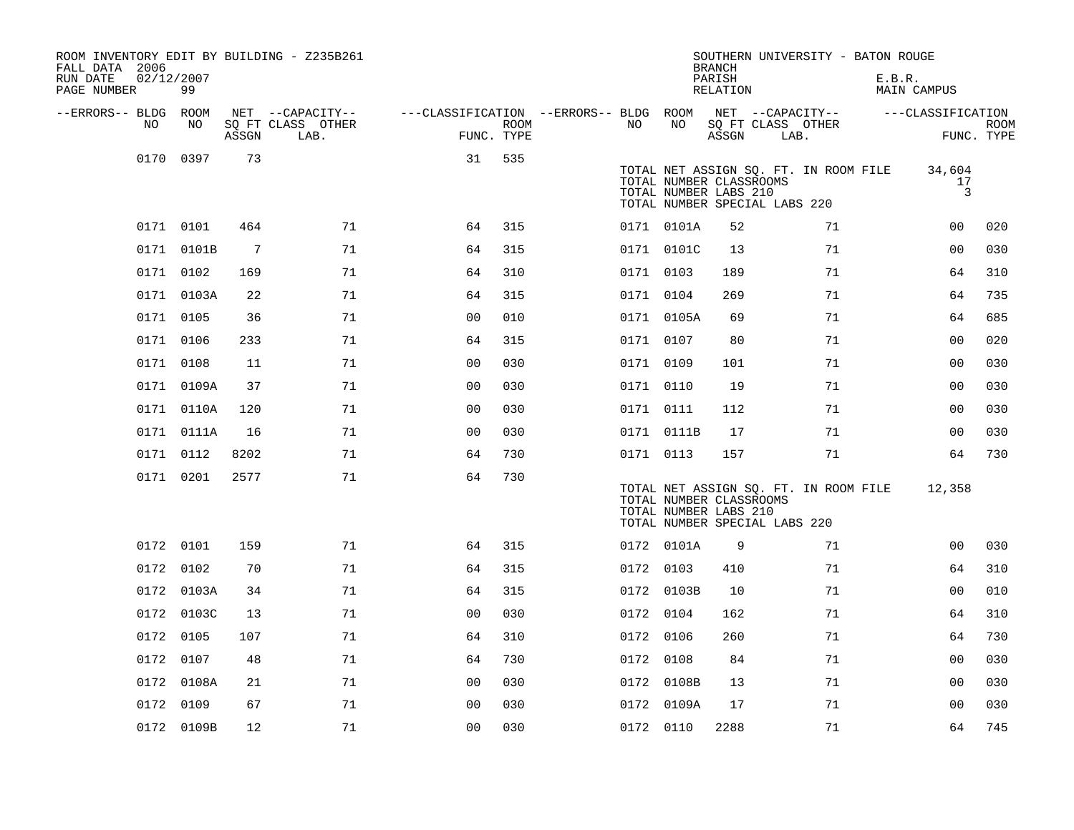| ROOM INVENTORY EDIT BY BUILDING - Z235B261<br>FALL DATA 2006<br>RUN DATE<br>PAGE NUMBER | 02/12/2007<br>99 |                 |                           |                                        |             |           |            | <b>BRANCH</b><br>PARISH<br>RELATION              | SOUTHERN UNIVERSITY - BATON ROUGE                                      | E.B.R.<br>MAIN CAMPUS |                           |
|-----------------------------------------------------------------------------------------|------------------|-----------------|---------------------------|----------------------------------------|-------------|-----------|------------|--------------------------------------------------|------------------------------------------------------------------------|-----------------------|---------------------------|
| --ERRORS-- BLDG ROOM                                                                    |                  |                 | NET --CAPACITY--          | ---CLASSIFICATION --ERRORS-- BLDG ROOM |             |           |            |                                                  | NET --CAPACITY--                                                       | ---CLASSIFICATION     |                           |
| NO                                                                                      | NO               | ASSGN           | SQ FT CLASS OTHER<br>LAB. | FUNC. TYPE                             | <b>ROOM</b> | NO        | NO         | ASSGN                                            | SQ FT CLASS OTHER<br>LAB.                                              |                       | <b>ROOM</b><br>FUNC. TYPE |
| 0170                                                                                    | 0397             | 73              |                           | 31                                     | 535         |           |            | TOTAL NUMBER CLASSROOMS<br>TOTAL NUMBER LABS 210 | TOTAL NET ASSIGN SQ. FT. IN ROOM FILE<br>TOTAL NUMBER SPECIAL LABS 220 | 34,604<br>17<br>3     |                           |
|                                                                                         | 0171 0101        | 464             | 71                        | 64                                     | 315         |           | 0171 0101A | 52                                               | 71                                                                     | 00                    | 020                       |
|                                                                                         | 0171 0101B       | $7\phantom{.0}$ | 71                        | 64                                     | 315         |           | 0171 0101C | 13                                               | 71                                                                     | 0 <sub>0</sub>        | 030                       |
|                                                                                         | 0171 0102        | 169             | 71                        | 64                                     | 310         | 0171 0103 |            | 189                                              | 71                                                                     | 64                    | 310                       |
|                                                                                         | 0171 0103A       | 22              | 71                        | 64                                     | 315         | 0171 0104 |            | 269                                              | 71                                                                     | 64                    | 735                       |
|                                                                                         | 0171 0105        | 36              | 71                        | 0 <sub>0</sub>                         | 010         |           | 0171 0105A | 69                                               | 71                                                                     | 64                    | 685                       |
|                                                                                         | 0171 0106        | 233             | 71                        | 64                                     | 315         | 0171 0107 |            | 80                                               | 71                                                                     | 00                    | 020                       |
|                                                                                         | 0171 0108        | 11              | 71                        | 0 <sub>0</sub>                         | 030         | 0171 0109 |            | 101                                              | 71                                                                     | 00                    | 030                       |
|                                                                                         | 0171 0109A       | 37              | 71                        | 00                                     | 030         | 0171 0110 |            | 19                                               | 71                                                                     | 00                    | 030                       |
|                                                                                         | 0171 0110A       | 120             | 71                        | 0 <sub>0</sub>                         | 030         | 0171 0111 |            | 112                                              | 71                                                                     | 00                    | 030                       |
|                                                                                         | 0171 0111A       | 16              | 71                        | 0 <sub>0</sub>                         | 030         |           | 0171 0111B | 17                                               | 71                                                                     | 0 <sub>0</sub>        | 030                       |
|                                                                                         | 0171 0112        | 8202            | 71                        | 64                                     | 730         | 0171 0113 |            | 157                                              | 71                                                                     | 64                    | 730                       |
|                                                                                         | 0171 0201        | 2577            | 71                        | 64                                     | 730         |           |            | TOTAL NUMBER CLASSROOMS<br>TOTAL NUMBER LABS 210 | TOTAL NET ASSIGN SQ. FT. IN ROOM FILE<br>TOTAL NUMBER SPECIAL LABS 220 | 12,358                |                           |
|                                                                                         | 0172 0101        | 159             | 71                        | 64                                     | 315         |           | 0172 0101A | 9                                                | 71                                                                     | 00                    | 030                       |
|                                                                                         | 0172 0102        | 70              | 71                        | 64                                     | 315         | 0172 0103 |            | 410                                              | 71                                                                     | 64                    | 310                       |
|                                                                                         | 0172 0103A       | 34              | 71                        | 64                                     | 315         |           | 0172 0103B | 10                                               | 71                                                                     | 0 <sub>0</sub>        | 010                       |
|                                                                                         | 0172 0103C       | 13              | 71                        | 0 <sub>0</sub>                         | 030         | 0172 0104 |            | 162                                              | 71                                                                     | 64                    | 310                       |
| 0172                                                                                    | 0105             | 107             | 71                        | 64                                     | 310         | 0172 0106 |            | 260                                              | 71                                                                     | 64                    | 730                       |
|                                                                                         | 0172 0107        | 48              | 71                        | 64                                     | 730         | 0172 0108 |            | 84                                               | 71                                                                     | 00                    | 030                       |
|                                                                                         | 0172 0108A       | 21              | 71                        | 0 <sub>0</sub>                         | 030         |           | 0172 0108B | 13                                               | 71                                                                     | 0 <sub>0</sub>        | 030                       |
|                                                                                         | 0172 0109        | 67              | 71                        | 00                                     | 030         |           | 0172 0109A | 17                                               | 71                                                                     | 00                    | 030                       |
|                                                                                         | 0172 0109B       | 12              | 71                        | 0 <sub>0</sub>                         | 030         | 0172 0110 |            | 2288                                             | 71                                                                     | 64                    | 745                       |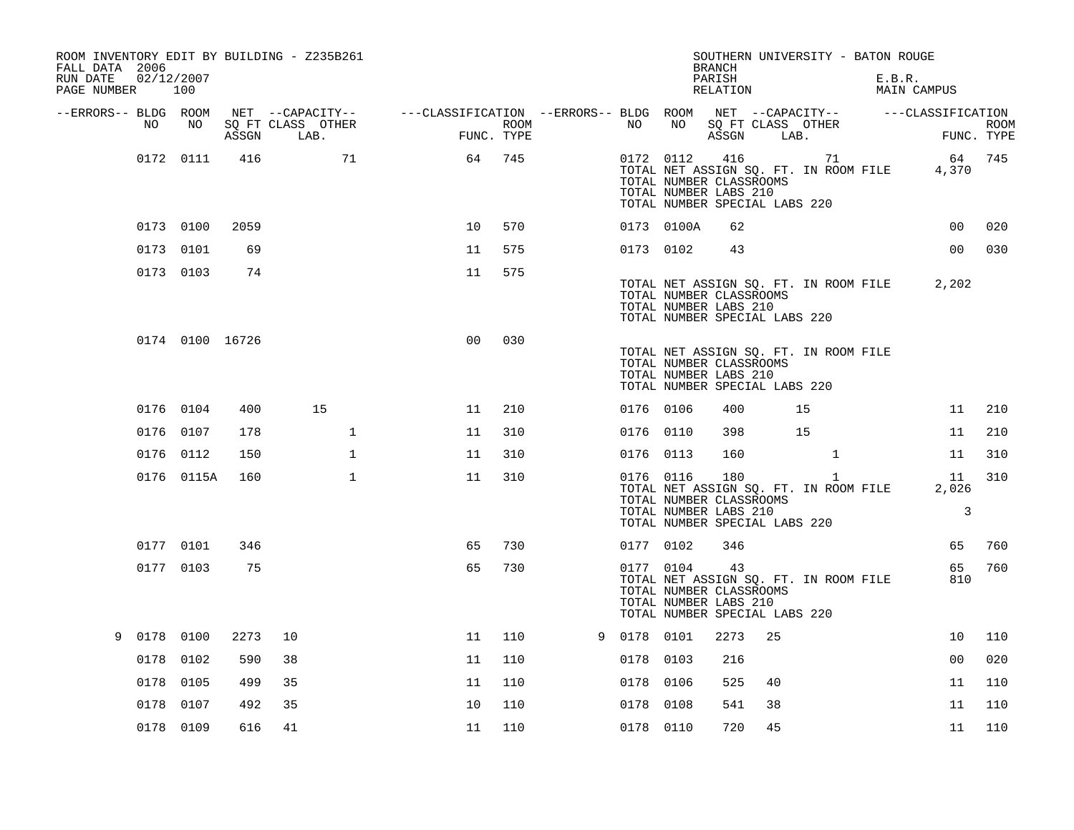| ROOM INVENTORY EDIT BY BUILDING - Z235B261<br>FALL DATA 2006<br>RUN DATE<br>PAGE NUMBER 100 | 02/12/2007      |       |                                       |                                                         |      |             |            | <b>BRANCH</b><br>PARISH<br>RELATION                                                      |    | SOUTHERN UNIVERSITY - BATON ROUGE                     | E.B.R. | MAIN CAMPUS       |             |
|---------------------------------------------------------------------------------------------|-----------------|-------|---------------------------------------|---------------------------------------------------------|------|-------------|------------|------------------------------------------------------------------------------------------|----|-------------------------------------------------------|--------|-------------------|-------------|
| --ERRORS-- BLDG ROOM<br>NO.                                                                 | NO              |       | NET --CAPACITY--<br>SQ FT CLASS OTHER | ---CLASSIFICATION --ERRORS-- BLDG ROOM NET --CAPACITY-- | ROOM | NO          | NO         | SQ FT CLASS OTHER                                                                        |    |                                                       |        | ---CLASSIFICATION | <b>ROOM</b> |
|                                                                                             |                 | ASSGN | LAB.                                  | FUNC. TYPE                                              |      |             |            | ASSGN LAB.                                                                               |    |                                                       |        |                   | FUNC. TYPE  |
|                                                                                             | 0172 0111       | 416   | 71                                    | 64                                                      | 745  |             | 0172 0112  | 416<br>TOTAL NUMBER CLASSROOMS<br>TOTAL NUMBER LABS 210<br>TOTAL NUMBER SPECIAL LABS 220 |    | 71<br>TOTAL NET ASSIGN SQ. FT. IN ROOM FILE           |        | 4,370             | 64 745      |
|                                                                                             | 0173 0100       | 2059  |                                       | 10                                                      | 570  |             | 0173 0100A | 62                                                                                       |    |                                                       |        | 0 <sub>0</sub>    | 020         |
|                                                                                             | 0173 0101       | 69    |                                       | 11                                                      | 575  |             | 0173 0102  | 43                                                                                       |    |                                                       |        | 00                | 030         |
|                                                                                             | 0173 0103       | 74    |                                       | 11                                                      | 575  |             |            | TOTAL NUMBER CLASSROOMS<br>TOTAL NUMBER LABS 210<br>TOTAL NUMBER SPECIAL LABS 220        |    | TOTAL NET ASSIGN SQ. FT. IN ROOM FILE                 |        | 2,202             |             |
|                                                                                             | 0174 0100 16726 |       |                                       | 0 <sub>0</sub>                                          | 030  |             |            | TOTAL NUMBER CLASSROOMS<br>TOTAL NUMBER LABS 210<br>TOTAL NUMBER SPECIAL LABS 220        |    | TOTAL NET ASSIGN SQ. FT. IN ROOM FILE                 |        |                   |             |
|                                                                                             | 0176 0104       | 400   | 15                                    | 11                                                      | 210  | 0176 0106   |            | 400                                                                                      |    | 15                                                    |        | 11                | 210         |
|                                                                                             | 0176 0107       | 178   | $\mathbf 1$                           | 11                                                      | 310  | 0176 0110   |            | 398                                                                                      |    | 15                                                    |        | 11                | 210         |
|                                                                                             | 0176 0112       | 150   | $\mathbf{1}$                          | 11                                                      | 310  | 0176 0113   |            | 160                                                                                      |    | $\mathbf{1}$                                          |        | 11                | 310         |
|                                                                                             | 0176 0115A      | 160   | $\mathbf{1}$                          | 11                                                      | 310  |             | 0176 0116  | 180<br>TOTAL NUMBER CLASSROOMS<br>TOTAL NUMBER LABS 210<br>TOTAL NUMBER SPECIAL LABS 220 |    | $\mathbf{1}$<br>TOTAL NET ASSIGN SQ. FT. IN ROOM FILE |        | 11<br>2,026<br>3  | 310         |
|                                                                                             | 0177 0101       | 346   |                                       | 65                                                      | 730  |             | 0177 0102  | 346                                                                                      |    |                                                       |        | 65                | 760         |
|                                                                                             | 0177 0103       | 75    |                                       | 65                                                      | 730  |             | 0177 0104  | 43<br>TOTAL NUMBER CLASSROOMS<br>TOTAL NUMBER LABS 210<br>TOTAL NUMBER SPECIAL LABS 220  |    | TOTAL NET ASSIGN SQ. FT. IN ROOM FILE                 |        | 65<br>810         | 760         |
| 9 0178 0100                                                                                 |                 | 2273  | 10                                    | 11                                                      | 110  | 9 0178 0101 |            | 2273                                                                                     | 25 |                                                       |        | 10                | 110         |
| 0178                                                                                        | 0102            | 590   | 38                                    | 11                                                      | 110  | 0178 0103   |            | 216                                                                                      |    |                                                       |        | 0 <sub>0</sub>    | 020         |
| 0178                                                                                        | 0105            | 499   | 35                                    | 11                                                      | 110  | 0178 0106   |            | 525                                                                                      | 40 |                                                       |        | 11                | 110         |
| 0178                                                                                        | 0107            | 492   | 35                                    | 10                                                      | 110  | 0178 0108   |            | 541                                                                                      | 38 |                                                       |        | 11                | 110         |
|                                                                                             | 0178 0109       | 616   | 41                                    | 11                                                      | 110  | 0178 0110   |            | 720                                                                                      | 45 |                                                       |        | 11                | 110         |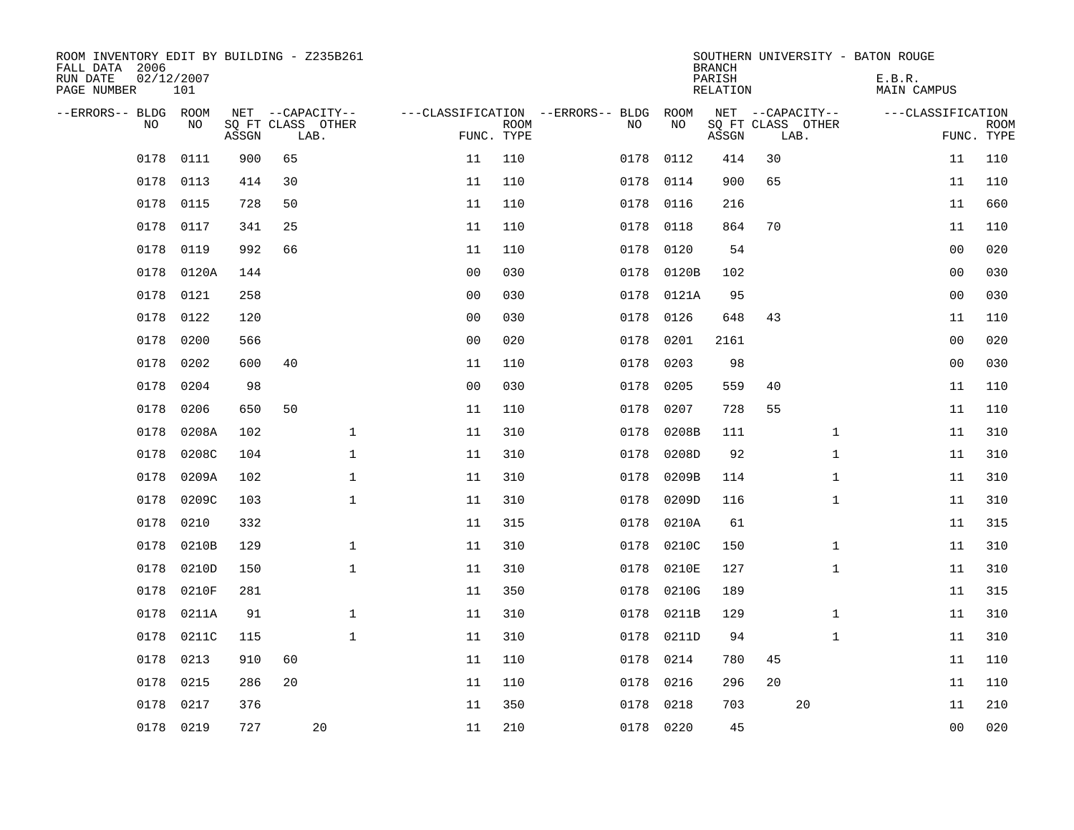| ROOM INVENTORY EDIT BY BUILDING - Z235B261<br>FALL DATA 2006<br>RUN DATE<br>PAGE NUMBER | 02/12/2007<br>101 |       |    |                                               |                |                           |                                         |            | <b>BRANCH</b><br>PARISH<br><b>RELATION</b> |                                               |              | SOUTHERN UNIVERSITY - BATON ROUGE<br>E.B.R.<br><b>MAIN CAMPUS</b> |                |                           |
|-----------------------------------------------------------------------------------------|-------------------|-------|----|-----------------------------------------------|----------------|---------------------------|-----------------------------------------|------------|--------------------------------------------|-----------------------------------------------|--------------|-------------------------------------------------------------------|----------------|---------------------------|
| --ERRORS-- BLDG ROOM<br>NO                                                              | NO                | ASSGN |    | NET --CAPACITY--<br>SQ FT CLASS OTHER<br>LAB. |                | <b>ROOM</b><br>FUNC. TYPE | ---CLASSIFICATION --ERRORS-- BLDG<br>NO | ROOM<br>NO | ASSGN                                      | NET --CAPACITY--<br>SQ FT CLASS OTHER<br>LAB. |              | ---CLASSIFICATION                                                 |                | <b>ROOM</b><br>FUNC. TYPE |
| 0178                                                                                    | 0111              | 900   | 65 |                                               | 11             | 110                       | 0178                                    | 0112       | 414                                        | 30                                            |              |                                                                   | 11             | 110                       |
| 0178                                                                                    | 0113              | 414   | 30 |                                               | 11             | 110                       | 0178                                    | 0114       | 900                                        | 65                                            |              |                                                                   | 11             | 110                       |
| 0178                                                                                    | 0115              | 728   | 50 |                                               | 11             | 110                       | 0178                                    | 0116       | 216                                        |                                               |              |                                                                   | 11             | 660                       |
| 0178                                                                                    | 0117              | 341   | 25 |                                               | 11             | 110                       | 0178                                    | 0118       | 864                                        | 70                                            |              |                                                                   | 11             | 110                       |
| 0178                                                                                    | 0119              | 992   | 66 |                                               | 11             | 110                       | 0178                                    | 0120       | 54                                         |                                               |              |                                                                   | 0 <sub>0</sub> | 020                       |
| 0178                                                                                    | 0120A             | 144   |    |                                               | 0 <sub>0</sub> | 030                       | 0178                                    | 0120B      | 102                                        |                                               |              |                                                                   | 0 <sub>0</sub> | 030                       |
| 0178                                                                                    | 0121              | 258   |    |                                               | 0 <sub>0</sub> | 030                       | 0178                                    | 0121A      | 95                                         |                                               |              |                                                                   | 0 <sub>0</sub> | 030                       |
| 0178                                                                                    | 0122              | 120   |    |                                               | 0 <sub>0</sub> | 030                       | 0178                                    | 0126       | 648                                        | 43                                            |              |                                                                   | 11             | 110                       |
| 0178                                                                                    | 0200              | 566   |    |                                               | 0 <sub>0</sub> | 020                       | 0178                                    | 0201       | 2161                                       |                                               |              |                                                                   | 0 <sub>0</sub> | 020                       |
| 0178                                                                                    | 0202              | 600   | 40 |                                               | 11             | 110                       | 0178                                    | 0203       | 98                                         |                                               |              |                                                                   | 0 <sub>0</sub> | 030                       |
| 0178                                                                                    | 0204              | 98    |    |                                               | 0 <sub>0</sub> | 030                       | 0178                                    | 0205       | 559                                        | 40                                            |              |                                                                   | 11             | 110                       |
| 0178                                                                                    | 0206              | 650   | 50 |                                               | 11             | 110                       | 0178                                    | 0207       | 728                                        | 55                                            |              |                                                                   | 11             | 110                       |
| 0178                                                                                    | 0208A             | 102   |    | $\mathbf{1}$                                  | 11             | 310                       | 0178                                    | 0208B      | 111                                        |                                               | $\mathbf{1}$ |                                                                   | 11             | 310                       |
| 0178                                                                                    | 0208C             | 104   |    | $\mathbf 1$                                   | 11             | 310                       | 0178                                    | 0208D      | 92                                         |                                               | $\mathbf{1}$ |                                                                   | 11             | 310                       |
| 0178                                                                                    | 0209A             | 102   |    | $\mathbf{1}$                                  | 11             | 310                       | 0178                                    | 0209B      | 114                                        |                                               | $\mathbf{1}$ |                                                                   | 11             | 310                       |
| 0178                                                                                    | 0209C             | 103   |    | $\mathbf{1}$                                  | 11             | 310                       | 0178                                    | 0209D      | 116                                        |                                               | $\mathbf{1}$ |                                                                   | 11             | 310                       |
| 0178                                                                                    | 0210              | 332   |    |                                               | 11             | 315                       | 0178                                    | 0210A      | 61                                         |                                               |              |                                                                   | 11             | 315                       |
| 0178                                                                                    | 0210B             | 129   |    | $\mathbf 1$                                   | 11             | 310                       | 0178                                    | 0210C      | 150                                        |                                               | $\mathbf{1}$ |                                                                   | 11             | 310                       |
| 0178                                                                                    | 0210D             | 150   |    | $\mathbf 1$                                   | 11             | 310                       | 0178                                    | 0210E      | 127                                        |                                               | $\mathbf{1}$ |                                                                   | 11             | 310                       |
| 0178                                                                                    | 0210F             | 281   |    |                                               | 11             | 350                       | 0178                                    | 0210G      | 189                                        |                                               |              |                                                                   | 11             | 315                       |
| 0178                                                                                    | 0211A             | 91    |    | $\mathbf{1}$                                  | 11             | 310                       | 0178                                    | 0211B      | 129                                        |                                               | $\mathbf{1}$ |                                                                   | 11             | 310                       |
| 0178                                                                                    | 0211C             | 115   |    | $\mathbf{1}$                                  | 11             | 310                       | 0178                                    | 0211D      | 94                                         |                                               | $\mathbf{1}$ |                                                                   | 11             | 310                       |
| 0178                                                                                    | 0213              | 910   | 60 |                                               | 11             | 110                       | 0178                                    | 0214       | 780                                        | 45                                            |              |                                                                   | 11             | 110                       |
| 0178                                                                                    | 0215              | 286   | 20 |                                               | 11             | 110                       | 0178                                    | 0216       | 296                                        | 20                                            |              |                                                                   | 11             | 110                       |
| 0178                                                                                    | 0217              | 376   |    |                                               | 11             | 350                       | 0178                                    | 0218       | 703                                        |                                               | 20           |                                                                   | 11             | 210                       |
|                                                                                         | 0178 0219         | 727   |    | 20                                            | 11             | 210                       |                                         | 0178 0220  | 45                                         |                                               |              |                                                                   | 0 <sub>0</sub> | 020                       |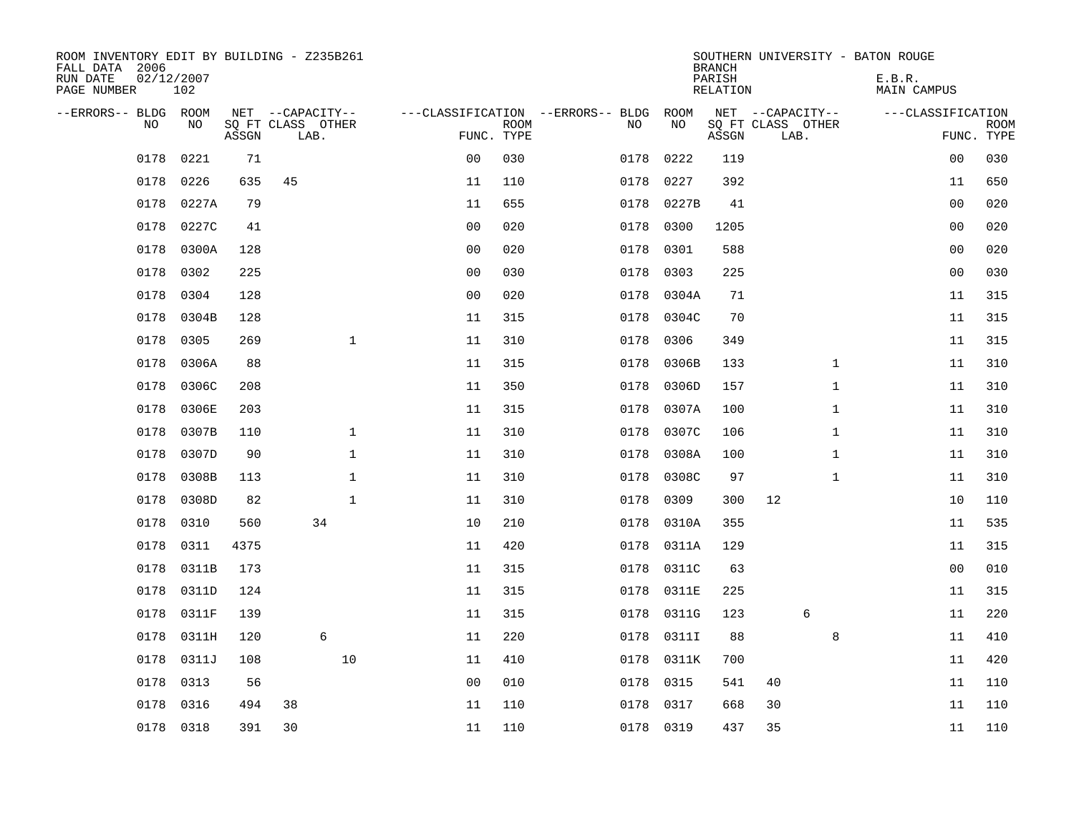| ROOM INVENTORY EDIT BY BUILDING - Z235B261<br>FALL DATA 2006<br>RUN DATE<br>PAGE NUMBER | 02/12/2007<br>102 |       |                                               |              |                |                           |                                              |            | <b>BRANCH</b><br>PARISH<br><b>RELATION</b> | SOUTHERN UNIVERSITY - BATON ROUGE             | E.B.R.<br><b>MAIN CAMPUS</b> |                           |
|-----------------------------------------------------------------------------------------|-------------------|-------|-----------------------------------------------|--------------|----------------|---------------------------|----------------------------------------------|------------|--------------------------------------------|-----------------------------------------------|------------------------------|---------------------------|
| --ERRORS-- BLDG ROOM<br>NO                                                              | NO                | ASSGN | NET --CAPACITY--<br>SQ FT CLASS OTHER<br>LAB. |              |                | <b>ROOM</b><br>FUNC. TYPE | ---CLASSIFICATION --ERRORS-- BLDG ROOM<br>NO | NO         | ASSGN                                      | NET --CAPACITY--<br>SQ FT CLASS OTHER<br>LAB. | ---CLASSIFICATION            | <b>ROOM</b><br>FUNC. TYPE |
| 0178                                                                                    | 0221              | 71    |                                               |              | 0 <sub>0</sub> | 030                       | 0178                                         | 0222       | 119                                        |                                               | 00                           | 030                       |
| 0178                                                                                    | 0226              | 635   | 45                                            |              | 11             | 110                       | 0178                                         | 0227       | 392                                        |                                               | 11                           | 650                       |
| 0178                                                                                    | 0227A             | 79    |                                               |              | 11             | 655                       | 0178                                         | 0227B      | 41                                         |                                               | 00                           | 020                       |
| 0178                                                                                    | 0227C             | 41    |                                               |              | 0 <sub>0</sub> | 020                       | 0178                                         | 0300       | 1205                                       |                                               | 0 <sub>0</sub>               | 020                       |
| 0178                                                                                    | 0300A             | 128   |                                               |              | 0 <sub>0</sub> | 020                       | 0178                                         | 0301       | 588                                        |                                               | 0 <sub>0</sub>               | 020                       |
| 0178                                                                                    | 0302              | 225   |                                               |              | 0 <sub>0</sub> | 030                       | 0178                                         | 0303       | 225                                        |                                               | 0 <sub>0</sub>               | 030                       |
| 0178                                                                                    | 0304              | 128   |                                               |              | 0 <sub>0</sub> | 020                       | 0178                                         | 0304A      | 71                                         |                                               | 11                           | 315                       |
| 0178                                                                                    | 0304B             | 128   |                                               |              | 11             | 315                       | 0178                                         | 0304C      | 70                                         |                                               | 11                           | 315                       |
| 0178                                                                                    | 0305              | 269   |                                               | $\mathbf{1}$ | 11             | 310                       | 0178                                         | 0306       | 349                                        |                                               | 11                           | 315                       |
| 0178                                                                                    | 0306A             | 88    |                                               |              | 11             | 315                       | 0178                                         | 0306B      | 133                                        | $\mathbf{1}$                                  | 11                           | 310                       |
| 0178                                                                                    | 0306C             | 208   |                                               |              | 11             | 350                       | 0178                                         | 0306D      | 157                                        | $\mathbf{1}$                                  | 11                           | 310                       |
| 0178                                                                                    | 0306E             | 203   |                                               |              | 11             | 315                       | 0178                                         | 0307A      | 100                                        | $\mathbf{1}$                                  | 11                           | 310                       |
| 0178                                                                                    | 0307B             | 110   |                                               | $\mathbf 1$  | 11             | 310                       | 0178                                         | 0307C      | 106                                        | $\mathbf{1}$                                  | 11                           | 310                       |
| 0178                                                                                    | 0307D             | 90    |                                               | $\mathbf 1$  | 11             | 310                       | 0178                                         | 0308A      | 100                                        | $\mathbf{1}$                                  | 11                           | 310                       |
| 0178                                                                                    | 0308B             | 113   |                                               | $\mathbf 1$  | 11             | 310                       | 0178                                         | 0308C      | 97                                         | $\mathbf{1}$                                  | 11                           | 310                       |
| 0178                                                                                    | 0308D             | 82    |                                               | $\mathbf{1}$ | 11             | 310                       | 0178                                         | 0309       | 300                                        | 12                                            | 10                           | 110                       |
| 0178                                                                                    | 0310              | 560   | 34                                            |              | 10             | 210                       | 0178                                         | 0310A      | 355                                        |                                               | 11                           | 535                       |
| 0178                                                                                    | 0311              | 4375  |                                               |              | 11             | 420                       | 0178                                         | 0311A      | 129                                        |                                               | 11                           | 315                       |
| 0178                                                                                    | 0311B             | 173   |                                               |              | 11             | 315                       | 0178                                         | 0311C      | 63                                         |                                               | 0 <sub>0</sub>               | 010                       |
| 0178                                                                                    | 0311D             | 124   |                                               |              | 11             | 315                       | 0178                                         | 0311E      | 225                                        |                                               | 11                           | 315                       |
| 0178                                                                                    | 0311F             | 139   |                                               |              | 11             | 315                       | 0178                                         | 0311G      | 123                                        | 6                                             | 11                           | 220                       |
| 0178                                                                                    | 0311H             | 120   | 6                                             |              | 11             | 220                       | 0178                                         | 0311I      | 88                                         | 8                                             | 11                           | 410                       |
| 0178                                                                                    | 0311J             | 108   |                                               | 10           | 11             | 410                       |                                              | 0178 0311K | 700                                        |                                               | 11                           | 420                       |
| 0178                                                                                    | 0313              | 56    |                                               |              | 0 <sub>0</sub> | 010                       | 0178                                         | 0315       | 541                                        | 40                                            | 11                           | 110                       |
| 0178                                                                                    | 0316              | 494   | 38                                            |              | 11             | 110                       | 0178                                         | 0317       | 668                                        | 30                                            | 11                           | 110                       |
|                                                                                         | 0178 0318         | 391   | 30                                            |              | 11             | 110                       |                                              | 0178 0319  | 437                                        | 35                                            | 11                           | 110                       |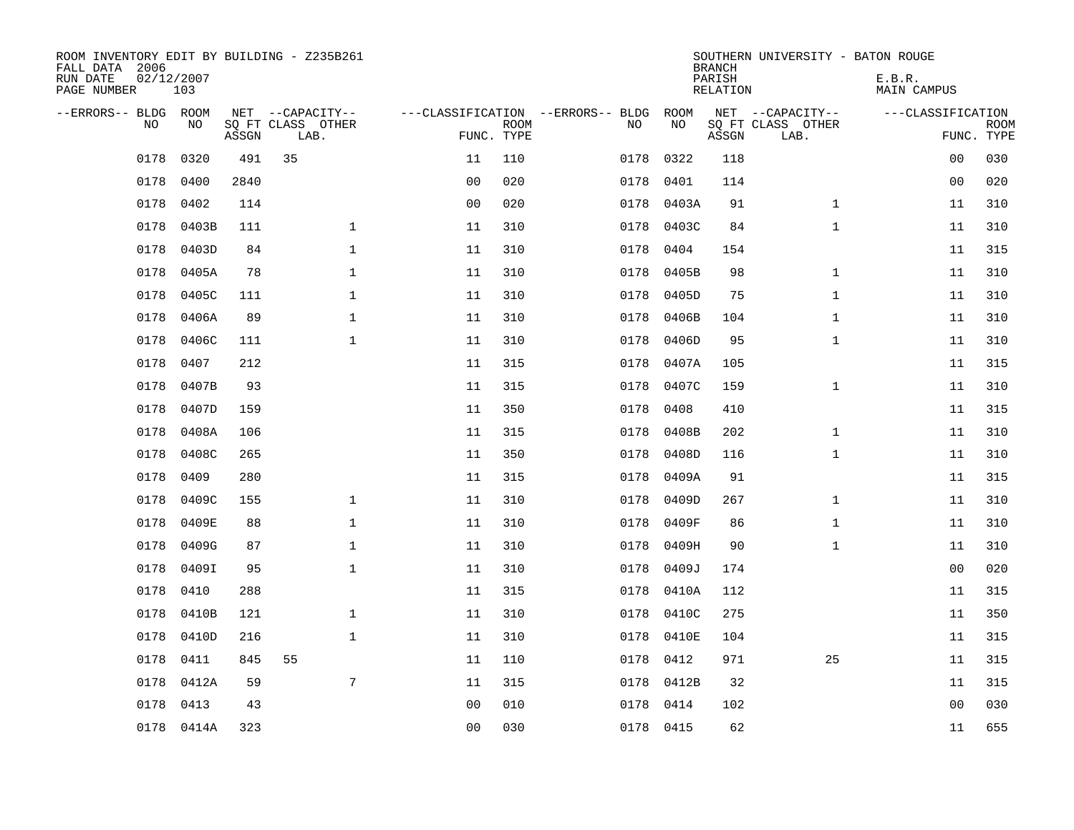| ROOM INVENTORY EDIT BY BUILDING - Z235B261<br>FALL DATA 2006<br>RUN DATE<br>PAGE NUMBER | 02/12/2007<br>103 |       |                                               |                |             |                                         |            | <b>BRANCH</b><br>PARISH<br><b>RELATION</b> | SOUTHERN UNIVERSITY - BATON ROUGE             | E.B.R.<br><b>MAIN CAMPUS</b> |                           |
|-----------------------------------------------------------------------------------------|-------------------|-------|-----------------------------------------------|----------------|-------------|-----------------------------------------|------------|--------------------------------------------|-----------------------------------------------|------------------------------|---------------------------|
| --ERRORS-- BLDG ROOM<br>NO                                                              | NO                | ASSGN | NET --CAPACITY--<br>SQ FT CLASS OTHER<br>LAB. | FUNC. TYPE     | <b>ROOM</b> | ---CLASSIFICATION --ERRORS-- BLDG<br>NO | ROOM<br>NO | ASSGN                                      | NET --CAPACITY--<br>SQ FT CLASS OTHER<br>LAB. | ---CLASSIFICATION            | <b>ROOM</b><br>FUNC. TYPE |
| 0178                                                                                    | 0320              | 491   | 35                                            | 11             | 110         | 0178                                    | 0322       | 118                                        |                                               | 00                           | 030                       |
| 0178                                                                                    | 0400              | 2840  |                                               | 0 <sub>0</sub> | 020         | 0178                                    | 0401       | 114                                        |                                               | 00                           | 020                       |
| 0178                                                                                    | 0402              | 114   |                                               | 0 <sub>0</sub> | 020         | 0178                                    | 0403A      | 91                                         | $\mathbf{1}$                                  | 11                           | 310                       |
| 0178                                                                                    | 0403B             | 111   | $\mathbf 1$                                   | 11             | 310         | 0178                                    | 0403C      | 84                                         | $\mathbf{1}$                                  | 11                           | 310                       |
| 0178                                                                                    | 0403D             | 84    | $\mathbf{1}$                                  | 11             | 310         | 0178                                    | 0404       | 154                                        |                                               | 11                           | 315                       |
| 0178                                                                                    | 0405A             | 78    | $\mathbf 1$                                   | 11             | 310         | 0178                                    | 0405B      | 98                                         | $\mathbf{1}$                                  | 11                           | 310                       |
| 0178                                                                                    | 0405C             | 111   | $\mathbf{1}$                                  | 11             | 310         | 0178                                    | 0405D      | 75                                         | $\mathbf{1}$                                  | 11                           | 310                       |
| 0178                                                                                    | 0406A             | 89    | $\mathbf{1}$                                  | 11             | 310         | 0178                                    | 0406B      | 104                                        | $\mathbf{1}$                                  | 11                           | 310                       |
| 0178                                                                                    | 0406C             | 111   | $\mathbf 1$                                   | 11             | 310         | 0178                                    | 0406D      | 95                                         | $\mathbf{1}$                                  | 11                           | 310                       |
| 0178                                                                                    | 0407              | 212   |                                               | 11             | 315         | 0178                                    | 0407A      | 105                                        |                                               | 11                           | 315                       |
| 0178                                                                                    | 0407B             | 93    |                                               | 11             | 315         | 0178                                    | 0407C      | 159                                        | $\mathbf{1}$                                  | 11                           | 310                       |
| 0178                                                                                    | 0407D             | 159   |                                               | 11             | 350         | 0178                                    | 0408       | 410                                        |                                               | 11                           | 315                       |
| 0178                                                                                    | 0408A             | 106   |                                               | 11             | 315         | 0178                                    | 0408B      | 202                                        | $\mathbf{1}$                                  | 11                           | 310                       |
| 0178                                                                                    | 0408C             | 265   |                                               | 11             | 350         | 0178                                    | 0408D      | 116                                        | $\mathbf{1}$                                  | 11                           | 310                       |
| 0178                                                                                    | 0409              | 280   |                                               | 11             | 315         | 0178                                    | 0409A      | 91                                         |                                               | 11                           | 315                       |
| 0178                                                                                    | 0409C             | 155   | $\mathbf 1$                                   | 11             | 310         | 0178                                    | 0409D      | 267                                        | $\mathbf{1}$                                  | 11                           | 310                       |
| 0178                                                                                    | 0409E             | 88    | $\mathbf{1}$                                  | 11             | 310         | 0178                                    | 0409F      | 86                                         | $\mathbf{1}$                                  | 11                           | 310                       |
| 0178                                                                                    | 0409G             | 87    | $\mathbf 1$                                   | 11             | 310         | 0178                                    | 0409H      | 90                                         | $\mathbf{1}$                                  | 11                           | 310                       |
| 0178                                                                                    | 0409I             | 95    | $\mathbf 1$                                   | 11             | 310         | 0178                                    | 0409J      | 174                                        |                                               | 00                           | 020                       |
| 0178                                                                                    | 0410              | 288   |                                               | 11             | 315         | 0178                                    | 0410A      | 112                                        |                                               | 11                           | 315                       |
| 0178                                                                                    | 0410B             | 121   | $\mathbf 1$                                   | 11             | 310         | 0178                                    | 0410C      | 275                                        |                                               | 11                           | 350                       |
| 0178                                                                                    | 0410D             | 216   | $\mathbf 1$                                   | 11             | 310         | 0178                                    | 0410E      | 104                                        |                                               | 11                           | 315                       |
| 0178                                                                                    | 0411              | 845   | 55                                            | 11             | 110         | 0178                                    | 0412       | 971                                        | 25                                            | 11                           | 315                       |
| 0178                                                                                    | 0412A             | 59    | 7                                             | 11             | 315         | 0178                                    | 0412B      | 32                                         |                                               | 11                           | 315                       |
| 0178                                                                                    | 0413              | 43    |                                               | 0 <sub>0</sub> | 010         | 0178                                    | 0414       | 102                                        |                                               | 0 <sub>0</sub>               | 030                       |
|                                                                                         | 0178 0414A        | 323   |                                               | 0 <sub>0</sub> | 030         |                                         | 0178 0415  | 62                                         |                                               | 11                           | 655                       |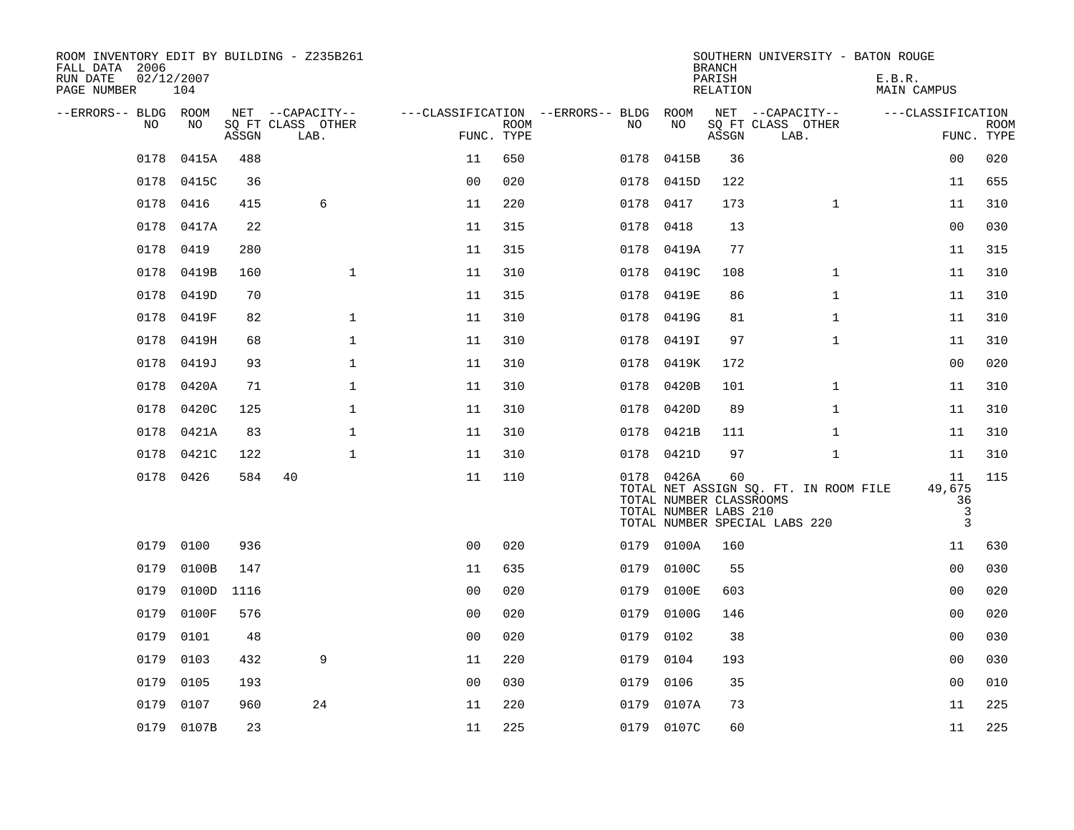| ROOM INVENTORY EDIT BY BUILDING - Z235B261<br>FALL DATA 2006<br>RUN DATE<br>PAGE NUMBER | 02/12/2007<br>104 |       |                           |                |             |                                   |                                                                | <b>BRANCH</b><br>PARISH<br>RELATION | SOUTHERN UNIVERSITY - BATON ROUGE                                      | E.B.R.<br>MAIN CAMPUS        |                           |
|-----------------------------------------------------------------------------------------|-------------------|-------|---------------------------|----------------|-------------|-----------------------------------|----------------------------------------------------------------|-------------------------------------|------------------------------------------------------------------------|------------------------------|---------------------------|
| --ERRORS-- BLDG ROOM                                                                    |                   |       | NET --CAPACITY--          |                |             | ---CLASSIFICATION --ERRORS-- BLDG | ROOM                                                           |                                     | NET --CAPACITY--                                                       | ---CLASSIFICATION            |                           |
| NO                                                                                      | NO                | ASSGN | SQ FT CLASS OTHER<br>LAB. | FUNC. TYPE     | <b>ROOM</b> | NO                                | NO                                                             | ASSGN                               | SQ FT CLASS OTHER<br>LAB.                                              |                              | <b>ROOM</b><br>FUNC. TYPE |
| 0178                                                                                    | 0415A             | 488   |                           | 11             | 650         | 0178                              | 0415B                                                          | 36                                  |                                                                        | 00                           | 020                       |
| 0178                                                                                    | 0415C             | 36    |                           | 0 <sub>0</sub> | 020         |                                   | 0178 0415D                                                     | 122                                 |                                                                        | 11                           | 655                       |
| 0178                                                                                    | 0416              | 415   | 6                         | 11             | 220         | 0178                              | 0417                                                           | 173                                 | $\mathbf{1}$                                                           | 11                           | 310                       |
| 0178                                                                                    | 0417A             | 22    |                           | 11             | 315         | 0178                              | 0418                                                           | 13                                  |                                                                        | 00                           | 030                       |
| 0178                                                                                    | 0419              | 280   |                           | 11             | 315         | 0178                              | 0419A                                                          | 77                                  |                                                                        | 11                           | 315                       |
| 0178                                                                                    | 0419B             | 160   | $\mathbf{1}$              | 11             | 310         | 0178                              | 0419C                                                          | 108                                 | $\mathbf{1}$                                                           | 11                           | 310                       |
| 0178                                                                                    | 0419D             | 70    |                           | 11             | 315         | 0178                              | 0419E                                                          | 86                                  | $\mathbf{1}$                                                           | 11                           | 310                       |
| 0178                                                                                    | 0419F             | 82    | $\mathbf 1$               | 11             | 310         | 0178                              | 0419G                                                          | 81                                  | $\mathbf{1}$                                                           | 11                           | 310                       |
| 0178                                                                                    | 0419H             | 68    | $\mathbf 1$               | 11             | 310         | 0178                              | 0419I                                                          | 97                                  | $\mathbf{1}$                                                           | 11                           | 310                       |
| 0178                                                                                    | 0419J             | 93    | $\mathbf 1$               | 11             | 310         | 0178                              | 0419K                                                          | 172                                 |                                                                        | 00                           | 020                       |
| 0178                                                                                    | 0420A             | 71    | $\mathbf 1$               | 11             | 310         | 0178                              | 0420B                                                          | 101                                 | $\mathbf{1}$                                                           | 11                           | 310                       |
| 0178                                                                                    | 0420C             | 125   | $\mathbf{1}$              | 11             | 310         | 0178                              | 0420D                                                          | 89                                  | $\mathbf{1}$                                                           | 11                           | 310                       |
| 0178                                                                                    | 0421A             | 83    | $\mathbf 1$               | 11             | 310         |                                   | 0178 0421B                                                     | 111                                 | $\mathbf{1}$                                                           | 11                           | 310                       |
| 0178                                                                                    | 0421C             | 122   | $\mathbf{1}$              | 11             | 310         | 0178                              | 0421D                                                          | 97                                  | $\mathbf{1}$                                                           | 11                           | 310                       |
|                                                                                         | 0178 0426         | 584   | 40                        | 11             | 110         |                                   | 0178 0426A<br>TOTAL NUMBER CLASSROOMS<br>TOTAL NUMBER LABS 210 | 60                                  | TOTAL NET ASSIGN SQ. FT. IN ROOM FILE<br>TOTAL NUMBER SPECIAL LABS 220 | 11<br>49,675<br>36<br>3<br>3 | 115                       |
| 0179                                                                                    | 0100              | 936   |                           | 0 <sub>0</sub> | 020         | 0179                              | 0100A                                                          | 160                                 |                                                                        | 11                           | 630                       |
| 0179                                                                                    | 0100B             | 147   |                           | 11             | 635         | 0179                              | 0100C                                                          | 55                                  |                                                                        | 0 <sub>0</sub>               | 030                       |
| 0179                                                                                    | 0100D             | 1116  |                           | 0 <sub>0</sub> | 020         | 0179                              | 0100E                                                          | 603                                 |                                                                        | 0 <sub>0</sub>               | 020                       |
| 0179                                                                                    | 0100F             | 576   |                           | 0 <sub>0</sub> | 020         | 0179                              | 0100G                                                          | 146                                 |                                                                        | 0 <sub>0</sub>               | 020                       |
| 0179                                                                                    | 0101              | 48    |                           | 0 <sub>0</sub> | 020         | 0179                              | 0102                                                           | 38                                  |                                                                        | 00                           | 030                       |
| 0179                                                                                    | 0103              | 432   | 9                         | 11             | 220         | 0179                              | 0104                                                           | 193                                 |                                                                        | 0 <sub>0</sub>               | 030                       |
| 0179                                                                                    | 0105              | 193   |                           | 0 <sub>0</sub> | 030         | 0179                              | 0106                                                           | 35                                  |                                                                        | 0 <sub>0</sub>               | 010                       |
| 0179                                                                                    | 0107              | 960   | 24                        | 11             | 220         | 0179                              | 0107A                                                          | 73                                  |                                                                        | 11                           | 225                       |
|                                                                                         | 0179 0107B        | 23    |                           | 11             | 225         |                                   | 0179 0107C                                                     | 60                                  |                                                                        | 11                           | 225                       |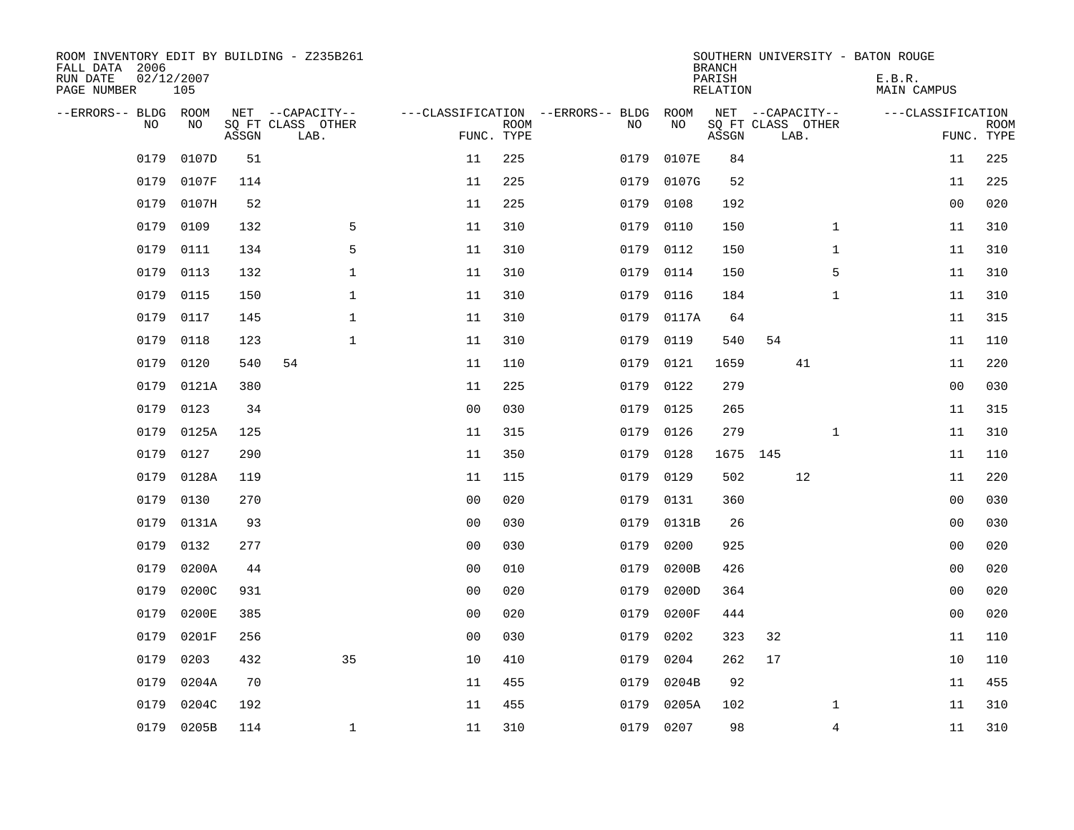| ROOM INVENTORY EDIT BY BUILDING - Z235B261<br>FALL DATA 2006<br>RUN DATE<br>PAGE NUMBER | 02/12/2007<br>105 |       |                                       |                |             |                                         |            | <b>BRANCH</b><br>PARISH<br><b>RELATION</b> |                                       | SOUTHERN UNIVERSITY - BATON ROUGE<br>E.B.R.<br><b>MAIN CAMPUS</b> |             |
|-----------------------------------------------------------------------------------------|-------------------|-------|---------------------------------------|----------------|-------------|-----------------------------------------|------------|--------------------------------------------|---------------------------------------|-------------------------------------------------------------------|-------------|
| --ERRORS-- BLDG ROOM<br>NO                                                              | NO                |       | NET --CAPACITY--<br>SQ FT CLASS OTHER |                | <b>ROOM</b> | ---CLASSIFICATION --ERRORS-- BLDG<br>NO | ROOM<br>NO |                                            | NET --CAPACITY--<br>SQ FT CLASS OTHER | ---CLASSIFICATION                                                 | <b>ROOM</b> |
|                                                                                         |                   | ASSGN | LAB.                                  |                | FUNC. TYPE  |                                         |            | ASSGN                                      | LAB.                                  |                                                                   | FUNC. TYPE  |
| 0179                                                                                    | 0107D             | 51    |                                       | 11             | 225         | 0179                                    | 0107E      | 84                                         |                                       | 11                                                                | 225         |
| 0179                                                                                    | 0107F             | 114   |                                       | 11             | 225         | 0179                                    | 0107G      | 52                                         |                                       | 11                                                                | 225         |
| 0179                                                                                    | 0107H             | 52    |                                       | 11             | 225         | 0179                                    | 0108       | 192                                        |                                       | 0 <sub>0</sub>                                                    | 020         |
| 0179                                                                                    | 0109              | 132   | 5                                     | 11             | 310         | 0179                                    | 0110       | 150                                        | $\mathbf{1}$                          | 11                                                                | 310         |
| 0179                                                                                    | 0111              | 134   | 5                                     | 11             | 310         | 0179                                    | 0112       | 150                                        | $\mathbf{1}$                          | 11                                                                | 310         |
| 0179                                                                                    | 0113              | 132   | $\mathbf 1$                           | 11             | 310         | 0179                                    | 0114       | 150                                        | 5                                     | 11                                                                | 310         |
| 0179                                                                                    | 0115              | 150   | $\mathbf{1}$                          | 11             | 310         | 0179                                    | 0116       | 184                                        | $\mathbf{1}$                          | 11                                                                | 310         |
| 0179                                                                                    | 0117              | 145   | $\mathbf{1}$                          | 11             | 310         | 0179                                    | 0117A      | 64                                         |                                       | 11                                                                | 315         |
| 0179                                                                                    | 0118              | 123   | $\mathbf 1$                           | 11             | 310         | 0179                                    | 0119       | 540                                        | 54                                    | 11                                                                | 110         |
| 0179                                                                                    | 0120              | 540   | 54                                    | 11             | 110         | 0179                                    | 0121       | 1659                                       | 41                                    | 11                                                                | 220         |
| 0179                                                                                    | 0121A             | 380   |                                       | 11             | 225         | 0179                                    | 0122       | 279                                        |                                       | 0 <sub>0</sub>                                                    | 030         |
| 0179                                                                                    | 0123              | 34    |                                       | 0 <sub>0</sub> | 030         | 0179                                    | 0125       | 265                                        |                                       | 11                                                                | 315         |
| 0179                                                                                    | 0125A             | 125   |                                       | 11             | 315         | 0179                                    | 0126       | 279                                        | $\mathbf{1}$                          | 11                                                                | 310         |
| 0179                                                                                    | 0127              | 290   |                                       | 11             | 350         | 0179                                    | 0128       |                                            | 1675 145                              | 11                                                                | 110         |
| 0179                                                                                    | 0128A             | 119   |                                       | 11             | 115         | 0179                                    | 0129       | 502                                        | 12                                    | 11                                                                | 220         |
| 0179                                                                                    | 0130              | 270   |                                       | 0 <sub>0</sub> | 020         | 0179                                    | 0131       | 360                                        |                                       | 0 <sub>0</sub>                                                    | 030         |
| 0179                                                                                    | 0131A             | 93    |                                       | 0 <sub>0</sub> | 030         | 0179                                    | 0131B      | 26                                         |                                       | 0 <sub>0</sub>                                                    | 030         |
| 0179                                                                                    | 0132              | 277   |                                       | 0 <sub>0</sub> | 030         | 0179                                    | 0200       | 925                                        |                                       | 00                                                                | 020         |
| 0179                                                                                    | 0200A             | 44    |                                       | 0 <sub>0</sub> | 010         | 0179                                    | 0200B      | 426                                        |                                       | 00                                                                | 020         |
| 0179                                                                                    | 0200C             | 931   |                                       | 0 <sub>0</sub> | 020         | 0179                                    | 0200D      | 364                                        |                                       | 00                                                                | 020         |
| 0179                                                                                    | 0200E             | 385   |                                       | 0 <sub>0</sub> | 020         | 0179                                    | 0200F      | 444                                        |                                       | 0 <sub>0</sub>                                                    | 020         |
| 0179                                                                                    | 0201F             | 256   |                                       | 0 <sub>0</sub> | 030         | 0179                                    | 0202       | 323                                        | 32                                    | 11                                                                | 110         |
| 0179                                                                                    | 0203              | 432   | 35                                    | 10             | 410         | 0179                                    | 0204       | 262                                        | 17                                    | 10                                                                | 110         |
| 0179                                                                                    | 0204A             | 70    |                                       | 11             | 455         | 0179                                    | 0204B      | 92                                         |                                       | 11                                                                | 455         |
| 0179                                                                                    | 0204C             | 192   |                                       | 11             | 455         | 0179                                    | 0205A      | 102                                        | $\mathbf{1}$                          | 11                                                                | 310         |
|                                                                                         | 0179 0205B        | 114   | $\mathbf{1}$                          | 11             | 310         |                                         | 0179 0207  | 98                                         | $\overline{4}$                        | 11                                                                | 310         |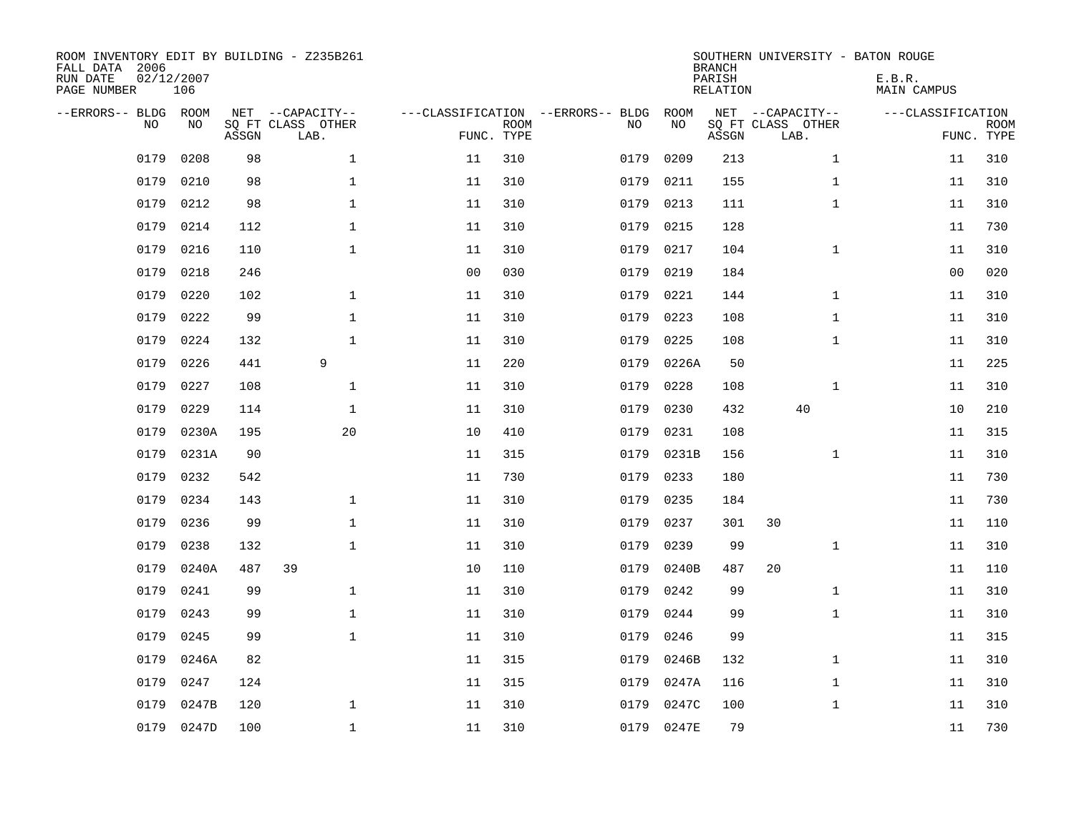| ROOM INVENTORY EDIT BY BUILDING - Z235B261<br>FALL DATA 2006<br>RUN DATE<br>PAGE NUMBER | 02/12/2007<br>106 |       |                                               |                |                           |                                         |            | <b>BRANCH</b><br>PARISH<br><b>RELATION</b> | SOUTHERN UNIVERSITY - BATON ROUGE             | E.B.R.<br><b>MAIN CAMPUS</b> |                           |
|-----------------------------------------------------------------------------------------|-------------------|-------|-----------------------------------------------|----------------|---------------------------|-----------------------------------------|------------|--------------------------------------------|-----------------------------------------------|------------------------------|---------------------------|
| --ERRORS-- BLDG<br>NO.                                                                  | ROOM<br>NO        | ASSGN | NET --CAPACITY--<br>SQ FT CLASS OTHER<br>LAB. |                | <b>ROOM</b><br>FUNC. TYPE | ---CLASSIFICATION --ERRORS-- BLDG<br>NO | ROOM<br>NO | ASSGN                                      | NET --CAPACITY--<br>SQ FT CLASS OTHER<br>LAB. | ---CLASSIFICATION            | <b>ROOM</b><br>FUNC. TYPE |
| 0179                                                                                    | 0208              | 98    | $\mathbf 1$                                   | 11             | 310                       | 0179                                    | 0209       | 213                                        | $\mathbf{1}$                                  | 11                           | 310                       |
| 0179                                                                                    | 0210              | 98    | $\mathbf 1$                                   | 11             | 310                       | 0179                                    | 0211       | 155                                        | $\mathbf{1}$                                  | 11                           | 310                       |
| 0179                                                                                    | 0212              | 98    | $\mathbf{1}$                                  | 11             | 310                       | 0179                                    | 0213       | 111                                        | $\mathbf{1}$                                  | 11                           | 310                       |
| 0179                                                                                    | 0214              | 112   | $\mathbf{1}$                                  | 11             | 310                       | 0179                                    | 0215       | 128                                        |                                               | 11                           | 730                       |
| 0179                                                                                    | 0216              | 110   | $\mathbf{1}$                                  | 11             | 310                       | 0179                                    | 0217       | 104                                        | $\mathbf{1}$                                  | 11                           | 310                       |
| 0179                                                                                    | 0218              | 246   |                                               | 0 <sub>0</sub> | 030                       | 0179                                    | 0219       | 184                                        |                                               | 0 <sub>0</sub>               | 020                       |
| 0179                                                                                    | 0220              | 102   | $\mathbf 1$                                   | 11             | 310                       | 0179                                    | 0221       | 144                                        | $\mathbf{1}$                                  | 11                           | 310                       |
| 0179                                                                                    | 0222              | 99    | $\mathbf 1$                                   | 11             | 310                       | 0179                                    | 0223       | 108                                        | $\mathbf{1}$                                  | 11                           | 310                       |
| 0179                                                                                    | 0224              | 132   | $\mathbf{1}$                                  | 11             | 310                       | 0179                                    | 0225       | 108                                        | $\mathbf{1}$                                  | 11                           | 310                       |
| 0179                                                                                    | 0226              | 441   | 9                                             | 11             | 220                       | 0179                                    | 0226A      | 50                                         |                                               | 11                           | 225                       |
| 0179                                                                                    | 0227              | 108   | $\mathbf 1$                                   | 11             | 310                       | 0179                                    | 0228       | 108                                        | $\mathbf{1}$                                  | 11                           | 310                       |
| 0179                                                                                    | 0229              | 114   | $\mathbf 1$                                   | 11             | 310                       | 0179                                    | 0230       | 432                                        | 40                                            | 10                           | 210                       |
| 0179                                                                                    | 0230A             | 195   | 20                                            | 10             | 410                       | 0179                                    | 0231       | 108                                        |                                               | 11                           | 315                       |
| 0179                                                                                    | 0231A             | 90    |                                               | 11             | 315                       | 0179                                    | 0231B      | 156                                        | $\mathbf{1}$                                  | 11                           | 310                       |
| 0179                                                                                    | 0232              | 542   |                                               | 11             | 730                       | 0179                                    | 0233       | 180                                        |                                               | 11                           | 730                       |
| 0179                                                                                    | 0234              | 143   | $\mathbf{1}$                                  | 11             | 310                       | 0179                                    | 0235       | 184                                        |                                               | 11                           | 730                       |
| 0179                                                                                    | 0236              | 99    | $\mathbf 1$                                   | 11             | 310                       | 0179                                    | 0237       | 301                                        | 30                                            | 11                           | 110                       |
| 0179                                                                                    | 0238              | 132   | $\mathbf 1$                                   | 11             | 310                       | 0179                                    | 0239       | 99                                         | $\mathbf{1}$                                  | 11                           | 310                       |
| 0179                                                                                    | 0240A             | 487   | 39                                            | 10             | 110                       | 0179                                    | 0240B      | 487                                        | 20                                            | 11                           | 110                       |
| 0179                                                                                    | 0241              | 99    | $\mathbf{1}$                                  | 11             | 310                       | 0179                                    | 0242       | 99                                         | $\mathbf{1}$                                  | 11                           | 310                       |
| 0179                                                                                    | 0243              | 99    | $\mathbf{1}$                                  | 11             | 310                       | 0179                                    | 0244       | 99                                         | $\mathbf{1}$                                  | 11                           | 310                       |
| 0179                                                                                    | 0245              | 99    | $\mathbf 1$                                   | 11             | 310                       | 0179                                    | 0246       | 99                                         |                                               | 11                           | 315                       |
| 0179                                                                                    | 0246A             | 82    |                                               | 11             | 315                       | 0179                                    | 0246B      | 132                                        | $\mathbf{1}$                                  | 11                           | 310                       |
| 0179                                                                                    | 0247              | 124   |                                               | 11             | 315                       | 0179                                    | 0247A      | 116                                        | $\mathbf{1}$                                  | 11                           | 310                       |
| 0179                                                                                    | 0247B             | 120   | $\mathbf{1}$                                  | 11             | 310                       | 0179                                    | 0247C      | 100                                        | $\mathbf{1}$                                  | 11                           | 310                       |
| 0179                                                                                    | 0247D             | 100   | $\mathbf{1}$                                  | 11             | 310                       |                                         | 0179 0247E | 79                                         |                                               | 11                           | 730                       |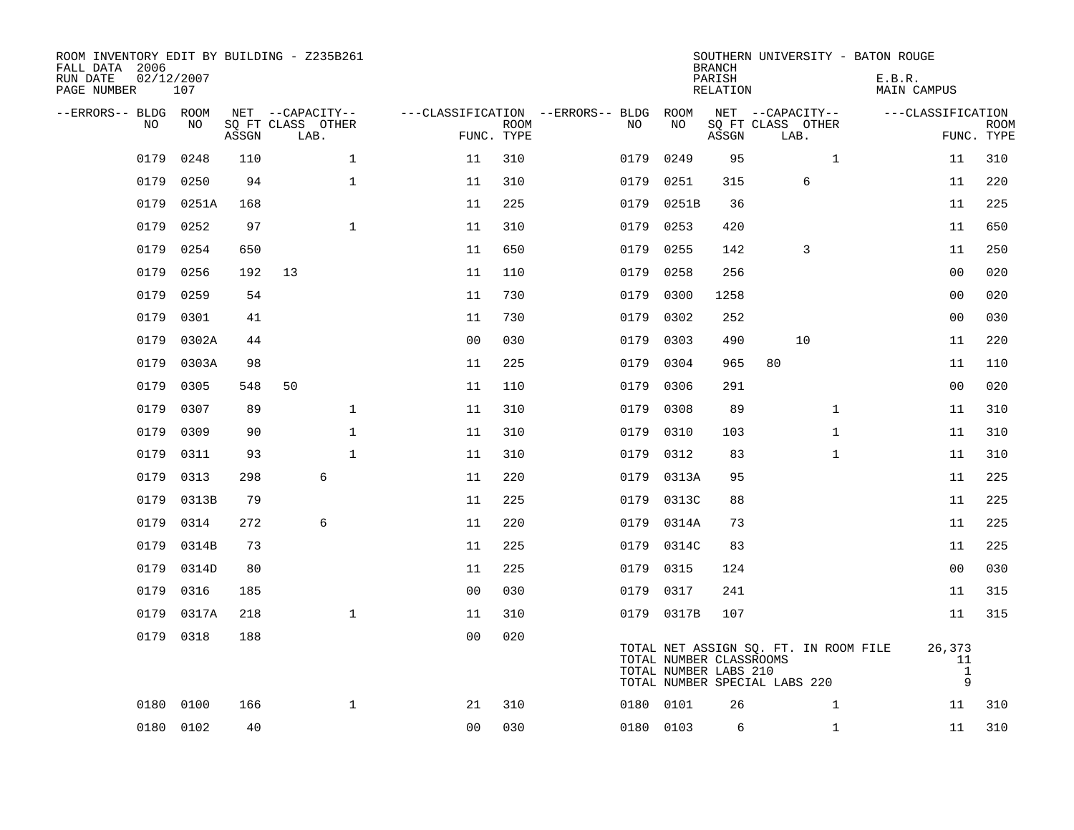| ROOM INVENTORY EDIT BY BUILDING - Z235B261<br>FALL DATA 2006<br>RUN DATE<br>PAGE NUMBER | 02/12/2007<br>107 |       |                           |                |             |                                              |                                                  | <b>BRANCH</b><br>PARISH<br><b>RELATION</b> | SOUTHERN UNIVERSITY - BATON ROUGE                                      | E.B.R. | <b>MAIN CAMPUS</b>                |             |
|-----------------------------------------------------------------------------------------|-------------------|-------|---------------------------|----------------|-------------|----------------------------------------------|--------------------------------------------------|--------------------------------------------|------------------------------------------------------------------------|--------|-----------------------------------|-------------|
| --ERRORS-- BLDG ROOM<br>NO                                                              | NO                |       | NET --CAPACITY--          |                | <b>ROOM</b> | ---CLASSIFICATION --ERRORS-- BLDG ROOM<br>NO | NO                                               |                                            | NET --CAPACITY--                                                       |        | ---CLASSIFICATION                 | <b>ROOM</b> |
|                                                                                         |                   | ASSGN | SQ FT CLASS OTHER<br>LAB. |                | FUNC. TYPE  |                                              |                                                  | ASSGN                                      | SQ FT CLASS OTHER<br>LAB.                                              |        |                                   | FUNC. TYPE  |
| 0179                                                                                    | 0248              | 110   | $\mathbf 1$               | 11             | 310         | 0179                                         | 0249                                             | 95                                         | $\mathbf{1}$                                                           |        | 11                                | 310         |
| 0179                                                                                    | 0250              | 94    | $\mathbf 1$               | 11             | 310         | 0179                                         | 0251                                             | 315                                        | 6                                                                      |        | 11                                | 220         |
| 0179                                                                                    | 0251A             | 168   |                           | 11             | 225         | 0179                                         | 0251B                                            | 36                                         |                                                                        |        | 11                                | 225         |
| 0179                                                                                    | 0252              | 97    | $\mathbf{1}$              | 11             | 310         | 0179                                         | 0253                                             | 420                                        |                                                                        |        | 11                                | 650         |
| 0179                                                                                    | 0254              | 650   |                           | 11             | 650         | 0179                                         | 0255                                             | 142                                        | 3                                                                      |        | 11                                | 250         |
| 0179                                                                                    | 0256              | 192   | 13                        | 11             | 110         | 0179                                         | 0258                                             | 256                                        |                                                                        |        | 0 <sub>0</sub>                    | 020         |
| 0179                                                                                    | 0259              | 54    |                           | 11             | 730         | 0179                                         | 0300                                             | 1258                                       |                                                                        |        | 0 <sub>0</sub>                    | 020         |
| 0179                                                                                    | 0301              | 41    |                           | 11             | 730         | 0179                                         | 0302                                             | 252                                        |                                                                        |        | 0 <sub>0</sub>                    | 030         |
| 0179                                                                                    | 0302A             | 44    |                           | 0 <sub>0</sub> | 030         | 0179                                         | 0303                                             | 490                                        | 10                                                                     |        | 11                                | 220         |
| 0179                                                                                    | 0303A             | 98    |                           | 11             | 225         | 0179                                         | 0304                                             | 965                                        | 80                                                                     |        | 11                                | 110         |
| 0179                                                                                    | 0305              | 548   | 50                        | 11             | 110         | 0179                                         | 0306                                             | 291                                        |                                                                        |        | 0 <sub>0</sub>                    | 020         |
| 0179                                                                                    | 0307              | 89    | $\mathbf{1}$              | 11             | 310         | 0179                                         | 0308                                             | 89                                         | $\mathbf{1}$                                                           |        | 11                                | 310         |
| 0179                                                                                    | 0309              | 90    | $\mathbf 1$               | 11             | 310         | 0179                                         | 0310                                             | 103                                        | $\mathbf{1}$                                                           |        | 11                                | 310         |
| 0179                                                                                    | 0311              | 93    | $\mathbf{1}$              | 11             | 310         | 0179                                         | 0312                                             | 83                                         | $\mathbf{1}$                                                           |        | 11                                | 310         |
| 0179                                                                                    | 0313              | 298   | 6                         | 11             | 220         |                                              | 0179 0313A                                       | 95                                         |                                                                        |        | 11                                | 225         |
| 0179                                                                                    | 0313B             | 79    |                           | 11             | 225         | 0179                                         | 0313C                                            | 88                                         |                                                                        |        | 11                                | 225         |
| 0179                                                                                    | 0314              | 272   | 6                         | 11             | 220         |                                              | 0179 0314A                                       | 73                                         |                                                                        |        | 11                                | 225         |
| 0179                                                                                    | 0314B             | 73    |                           | 11             | 225         | 0179                                         | 0314C                                            | 83                                         |                                                                        |        | 11                                | 225         |
| 0179                                                                                    | 0314D             | 80    |                           | 11             | 225         |                                              | 0179 0315                                        | 124                                        |                                                                        |        | 00                                | 030         |
| 0179                                                                                    | 0316              | 185   |                           | 0 <sub>0</sub> | 030         |                                              | 0179 0317                                        | 241                                        |                                                                        |        | 11                                | 315         |
| 0179                                                                                    | 0317A             | 218   | $\mathbf{1}$              | 11             | 310         |                                              | 0179 0317B                                       | 107                                        |                                                                        |        | 11                                | 315         |
| 0179                                                                                    | 0318              | 188   |                           | 0 <sub>0</sub> | 020         |                                              | TOTAL NUMBER CLASSROOMS<br>TOTAL NUMBER LABS 210 |                                            | TOTAL NET ASSIGN SQ. FT. IN ROOM FILE<br>TOTAL NUMBER SPECIAL LABS 220 |        | 26,373<br>11<br>$\mathbf{1}$<br>9 |             |
|                                                                                         | 0180 0100         | 166   | $\mathbf{1}$              | 21             | 310         |                                              | 0180 0101                                        | 26                                         | $\mathbf{1}$                                                           |        | 11                                | 310         |
|                                                                                         | 0180 0102         | 40    |                           | 0 <sub>0</sub> | 030         |                                              | 0180 0103                                        | 6                                          | $\mathbf{1}$                                                           |        | 11                                | 310         |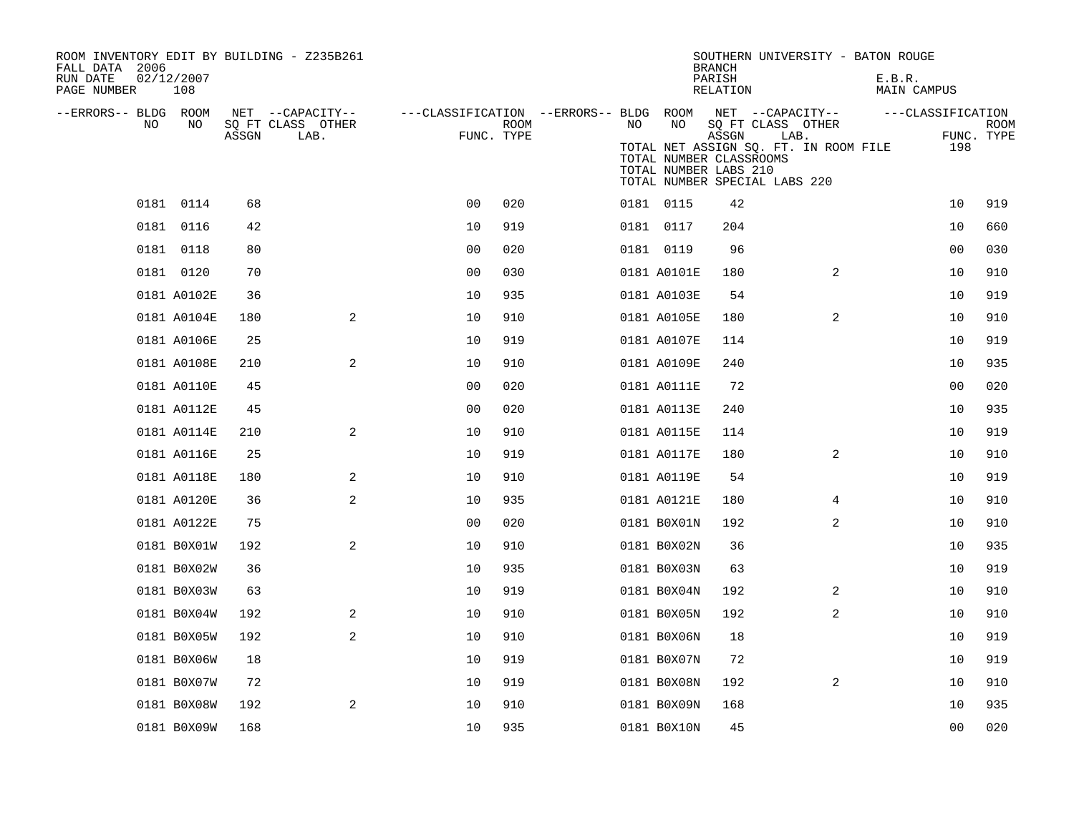| ROOM INVENTORY EDIT BY BUILDING - Z235B261<br>FALL DATA 2006<br>RUN DATE<br>02/12/2007 |             |       |                                       |                                        |      |     |                                                                                   | <b>BRANCH</b><br>PARISH |                                       |                                       | SOUTHERN UNIVERSITY - BATON ROUGE<br>E.B.R. |                   |             |
|----------------------------------------------------------------------------------------|-------------|-------|---------------------------------------|----------------------------------------|------|-----|-----------------------------------------------------------------------------------|-------------------------|---------------------------------------|---------------------------------------|---------------------------------------------|-------------------|-------------|
| PAGE NUMBER                                                                            | 108         |       |                                       |                                        |      |     |                                                                                   | RELATION                |                                       |                                       | MAIN CAMPUS                                 |                   |             |
| --ERRORS-- BLDG ROOM<br>N <sub>O</sub>                                                 | NO.         |       | NET --CAPACITY--<br>SQ FT CLASS OTHER | ---CLASSIFICATION --ERRORS-- BLDG ROOM |      | NO. | NO                                                                                |                         | NET --CAPACITY--<br>SQ FT CLASS OTHER |                                       |                                             | ---CLASSIFICATION | <b>ROOM</b> |
|                                                                                        |             | ASSGN | LAB.                                  | FUNC. TYPE                             | ROOM |     | TOTAL NUMBER CLASSROOMS<br>TOTAL NUMBER LABS 210<br>TOTAL NUMBER SPECIAL LABS 220 | ASSGN                   | LAB.                                  | TOTAL NET ASSIGN SQ. FT. IN ROOM FILE |                                             | FUNC. TYPE<br>198 |             |
| 0181 0114                                                                              |             | 68    |                                       | 0 <sub>0</sub>                         | 020  |     | 0181 0115                                                                         | 42                      |                                       |                                       |                                             | 10                | 919         |
| 0181 0116                                                                              |             | 42    |                                       | 10                                     | 919  |     | 0181 0117                                                                         | 204                     |                                       |                                       |                                             | 10                | 660         |
| 0181 0118                                                                              |             | 80    |                                       | 0 <sub>0</sub>                         | 020  |     | 0181 0119                                                                         | 96                      |                                       |                                       |                                             | 0 <sub>0</sub>    | 030         |
| 0181 0120                                                                              |             | 70    |                                       | 0 <sub>0</sub>                         | 030  |     | 0181 A0101E                                                                       | 180                     |                                       | 2                                     |                                             | 10                | 910         |
|                                                                                        | 0181 A0102E | 36    |                                       | 10                                     | 935  |     | 0181 A0103E                                                                       | 54                      |                                       |                                       |                                             | 10                | 919         |
|                                                                                        | 0181 A0104E | 180   | 2                                     | 10                                     | 910  |     | 0181 A0105E                                                                       | 180                     |                                       | 2                                     |                                             | 10                | 910         |
|                                                                                        | 0181 A0106E | 25    |                                       | 10                                     | 919  |     | 0181 A0107E                                                                       | 114                     |                                       |                                       |                                             | 10                | 919         |
|                                                                                        | 0181 A0108E | 210   | 2                                     | 10                                     | 910  |     | 0181 A0109E                                                                       | 240                     |                                       |                                       |                                             | 10                | 935         |
|                                                                                        | 0181 A0110E | 45    |                                       | 0 <sub>0</sub>                         | 020  |     | 0181 A0111E                                                                       | 72                      |                                       |                                       |                                             | 0 <sub>0</sub>    | 020         |
|                                                                                        | 0181 A0112E | 45    |                                       | 0 <sub>0</sub>                         | 020  |     | 0181 A0113E                                                                       | 240                     |                                       |                                       |                                             | 10                | 935         |
|                                                                                        | 0181 A0114E | 210   | 2                                     | 10                                     | 910  |     | 0181 A0115E                                                                       | 114                     |                                       |                                       |                                             | 10                | 919         |
|                                                                                        | 0181 A0116E | 25    |                                       | 10                                     | 919  |     | 0181 A0117E                                                                       | 180                     |                                       | 2                                     |                                             | 10                | 910         |
|                                                                                        | 0181 A0118E | 180   | 2                                     | 10                                     | 910  |     | 0181 A0119E                                                                       | 54                      |                                       |                                       |                                             | 10                | 919         |
|                                                                                        | 0181 A0120E | 36    | 2                                     | 10                                     | 935  |     | 0181 A0121E                                                                       | 180                     |                                       | 4                                     |                                             | 10                | 910         |
|                                                                                        | 0181 A0122E | 75    |                                       | 0 <sub>0</sub>                         | 020  |     | 0181 B0X01N                                                                       | 192                     |                                       | 2                                     |                                             | 10                | 910         |
|                                                                                        | 0181 B0X01W | 192   | 2                                     | 10                                     | 910  |     | 0181 B0X02N                                                                       | 36                      |                                       |                                       |                                             | 10                | 935         |
|                                                                                        | 0181 B0X02W | 36    |                                       | 10                                     | 935  |     | 0181 B0X03N                                                                       | 63                      |                                       |                                       |                                             | 10                | 919         |
|                                                                                        | 0181 B0X03W | 63    |                                       | 10                                     | 919  |     | 0181 B0X04N                                                                       | 192                     |                                       | 2                                     |                                             | 10                | 910         |
|                                                                                        | 0181 B0X04W | 192   | 2                                     | 10                                     | 910  |     | 0181 B0X05N                                                                       | 192                     |                                       | 2                                     |                                             | 10                | 910         |
|                                                                                        | 0181 B0X05W | 192   | $\sqrt{2}$                            | 10                                     | 910  |     | 0181 B0X06N                                                                       | 18                      |                                       |                                       |                                             | 10                | 919         |
|                                                                                        | 0181 B0X06W | 18    |                                       | 10                                     | 919  |     | 0181 B0X07N                                                                       | 72                      |                                       |                                       |                                             | 10                | 919         |
|                                                                                        | 0181 B0X07W | 72    |                                       | 10                                     | 919  |     | 0181 B0X08N                                                                       | 192                     |                                       | $\overline{2}$                        |                                             | 10                | 910         |
|                                                                                        | 0181 B0X08W | 192   | 2                                     | 10                                     | 910  |     | 0181 B0X09N                                                                       | 168                     |                                       |                                       |                                             | 10                | 935         |
|                                                                                        | 0181 B0X09W | 168   |                                       | 10                                     | 935  |     | 0181 B0X10N                                                                       | 45                      |                                       |                                       |                                             | 0 <sub>0</sub>    | 020         |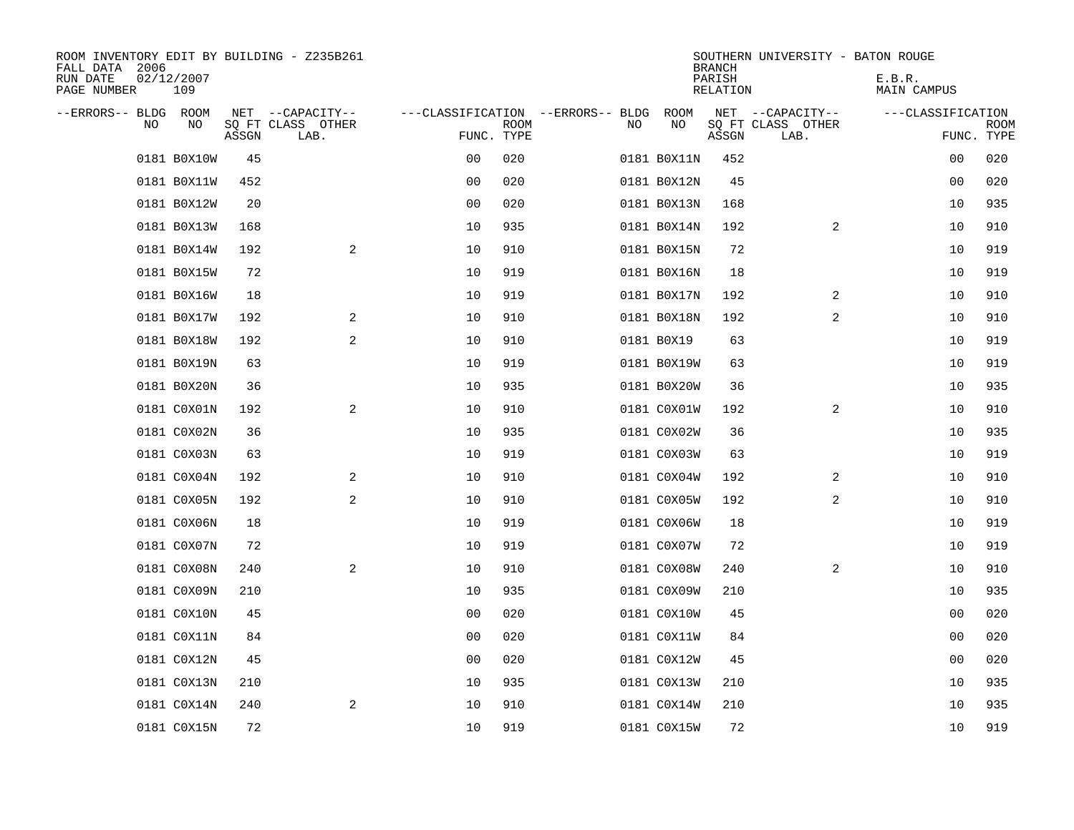| ROOM INVENTORY EDIT BY BUILDING - Z235B261<br>FALL DATA 2006<br>RUN DATE<br>PAGE NUMBER | 02/12/2007<br>109 |       |                           |                                   |      |     |             | <b>BRANCH</b><br>PARISH<br>RELATION | SOUTHERN UNIVERSITY - BATON ROUGE | E.B.R.<br>MAIN CAMPUS |                           |
|-----------------------------------------------------------------------------------------|-------------------|-------|---------------------------|-----------------------------------|------|-----|-------------|-------------------------------------|-----------------------------------|-----------------------|---------------------------|
| --ERRORS-- BLDG ROOM                                                                    |                   |       | NET --CAPACITY--          | ---CLASSIFICATION --ERRORS-- BLDG |      |     | ROOM        |                                     | NET --CAPACITY--                  | ---CLASSIFICATION     |                           |
| NO.                                                                                     | N <sub>O</sub>    | ASSGN | SQ FT CLASS OTHER<br>LAB. | FUNC. TYPE                        | ROOM | NO. | NO          | ASSGN                               | SQ FT CLASS OTHER<br>LAB.         |                       | <b>ROOM</b><br>FUNC. TYPE |
|                                                                                         | 0181 B0X10W       | 45    |                           | 0 <sub>0</sub>                    | 020  |     | 0181 B0X11N | 452                                 |                                   | 00                    | 020                       |
|                                                                                         | 0181 B0X11W       | 452   |                           | 00                                | 020  |     | 0181 B0X12N | 45                                  |                                   | 00                    | 020                       |
|                                                                                         | 0181 B0X12W       | 20    |                           | 0 <sub>0</sub>                    | 020  |     | 0181 B0X13N | 168                                 |                                   | 10                    | 935                       |
|                                                                                         | 0181 B0X13W       | 168   |                           | 10                                | 935  |     | 0181 B0X14N | 192                                 | 2                                 | 10                    | 910                       |
|                                                                                         | 0181 B0X14W       | 192   | $\mathbf{2}$              | 10                                | 910  |     | 0181 B0X15N | 72                                  |                                   | 10                    | 919                       |
|                                                                                         | 0181 B0X15W       | 72    |                           | 10                                | 919  |     | 0181 B0X16N | 18                                  |                                   | 10                    | 919                       |
|                                                                                         | 0181 B0X16W       | 18    |                           | 10                                | 919  |     | 0181 B0X17N | 192                                 | 2                                 | 10                    | 910                       |
|                                                                                         | 0181 B0X17W       | 192   | 2                         | 10                                | 910  |     | 0181 B0X18N | 192                                 | 2                                 | 10                    | 910                       |
|                                                                                         | 0181 B0X18W       | 192   | 2                         | 10                                | 910  |     | 0181 B0X19  | 63                                  |                                   | 10                    | 919                       |
|                                                                                         | 0181 B0X19N       | 63    |                           | 10                                | 919  |     | 0181 B0X19W | 63                                  |                                   | 10                    | 919                       |
|                                                                                         | 0181 B0X20N       | 36    |                           | 10                                | 935  |     | 0181 B0X20W | 36                                  |                                   | 10                    | 935                       |
|                                                                                         | 0181 C0X01N       | 192   | 2                         | 10                                | 910  |     | 0181 C0X01W | 192                                 | 2                                 | 10                    | 910                       |
|                                                                                         | 0181 C0X02N       | 36    |                           | 10                                | 935  |     | 0181 C0X02W | 36                                  |                                   | 10                    | 935                       |
|                                                                                         | 0181 C0X03N       | 63    |                           | 10                                | 919  |     | 0181 C0X03W | 63                                  |                                   | 10                    | 919                       |
|                                                                                         | 0181 C0X04N       | 192   | 2                         | 10                                | 910  |     | 0181 C0X04W | 192                                 | 2                                 | 10                    | 910                       |
|                                                                                         | 0181 C0X05N       | 192   | 2                         | 10                                | 910  |     | 0181 C0X05W | 192                                 | 2                                 | 10                    | 910                       |
|                                                                                         | 0181 C0X06N       | 18    |                           | 10                                | 919  |     | 0181 C0X06W | 18                                  |                                   | 10                    | 919                       |
|                                                                                         | 0181 C0X07N       | 72    |                           | 10                                | 919  |     | 0181 C0X07W | 72                                  |                                   | 10                    | 919                       |
|                                                                                         | 0181 C0X08N       | 240   | 2                         | 10                                | 910  |     | 0181 C0X08W | 240                                 | 2                                 | 10                    | 910                       |
|                                                                                         | 0181 C0X09N       | 210   |                           | 10                                | 935  |     | 0181 C0X09W | 210                                 |                                   | 10                    | 935                       |
|                                                                                         | 0181 C0X10N       | 45    |                           | 0 <sub>0</sub>                    | 020  |     | 0181 C0X10W | 45                                  |                                   | 00                    | 020                       |
|                                                                                         | 0181 C0X11N       | 84    |                           | 0 <sub>0</sub>                    | 020  |     | 0181 C0X11W | 84                                  |                                   | 00                    | 020                       |
|                                                                                         | 0181 C0X12N       | 45    |                           | 00                                | 020  |     | 0181 C0X12W | 45                                  |                                   | 0 <sub>0</sub>        | 020                       |
|                                                                                         | 0181 C0X13N       | 210   |                           | 10                                | 935  |     | 0181 C0X13W | 210                                 |                                   | 10                    | 935                       |
|                                                                                         | 0181 C0X14N       | 240   | 2                         | 10                                | 910  |     | 0181 C0X14W | 210                                 |                                   | 10                    | 935                       |
|                                                                                         | 0181 C0X15N       | 72    |                           | 10                                | 919  |     | 0181 C0X15W | 72                                  |                                   | 10                    | 919                       |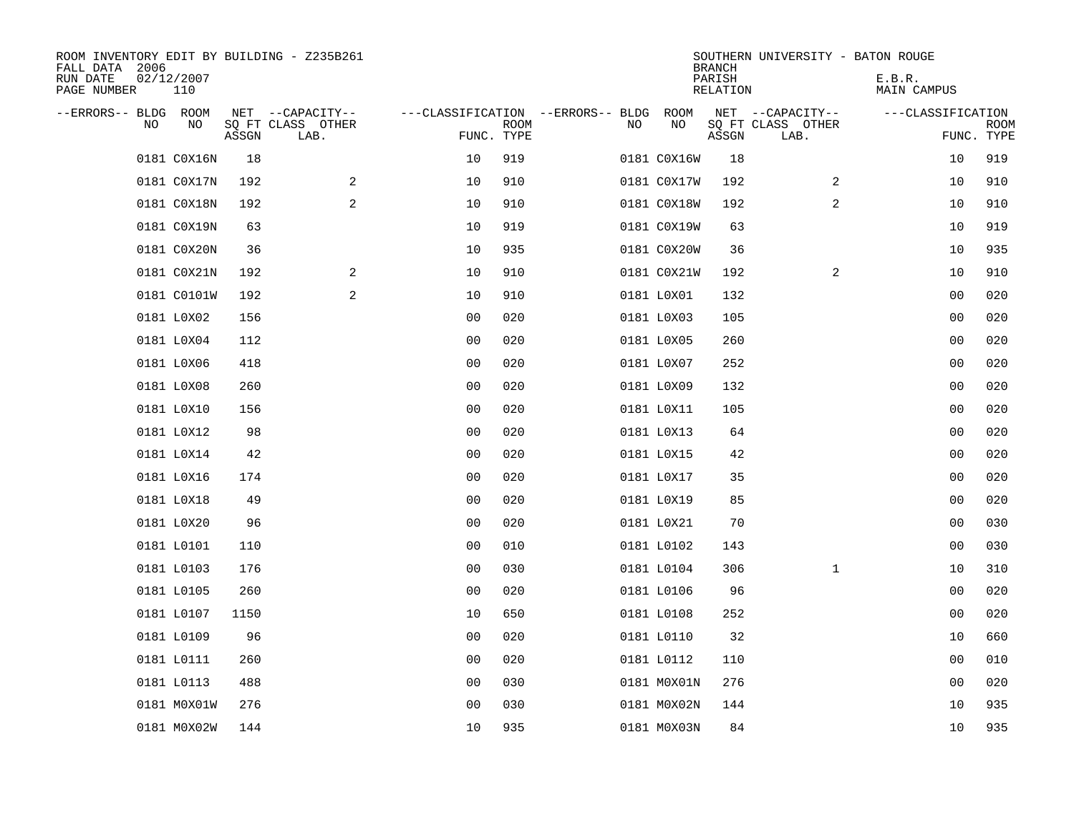| ROOM INVENTORY EDIT BY BUILDING - Z235B261<br>FALL DATA 2006<br>RUN DATE<br>PAGE NUMBER | 02/12/2007<br>110 |       |                           |                                   |             |    |             | <b>BRANCH</b><br>PARISH<br>RELATION | SOUTHERN UNIVERSITY - BATON ROUGE | E.B.R.<br>MAIN CAMPUS |                |                           |
|-----------------------------------------------------------------------------------------|-------------------|-------|---------------------------|-----------------------------------|-------------|----|-------------|-------------------------------------|-----------------------------------|-----------------------|----------------|---------------------------|
| --ERRORS-- BLDG ROOM                                                                    |                   |       | NET --CAPACITY--          | ---CLASSIFICATION --ERRORS-- BLDG |             |    | ROOM        |                                     | NET --CAPACITY--                  | ---CLASSIFICATION     |                |                           |
| <b>NO</b>                                                                               | N <sub>O</sub>    | ASSGN | SQ FT CLASS OTHER<br>LAB. | FUNC. TYPE                        | <b>ROOM</b> | NO | NO          | ASSGN                               | SQ FT CLASS OTHER<br>LAB.         |                       |                | <b>ROOM</b><br>FUNC. TYPE |
|                                                                                         | 0181 C0X16N       | 18    |                           | 10                                | 919         |    | 0181 C0X16W | 18                                  |                                   |                       | 10             | 919                       |
|                                                                                         | 0181 C0X17N       | 192   | 2                         | 10                                | 910         |    | 0181 C0X17W | 192                                 | 2                                 |                       | 10             | 910                       |
|                                                                                         | 0181 C0X18N       | 192   | 2                         | 10                                | 910         |    | 0181 C0X18W | 192                                 | 2                                 |                       | 10             | 910                       |
|                                                                                         | 0181 C0X19N       | 63    |                           | 10                                | 919         |    | 0181 C0X19W | 63                                  |                                   |                       | 10             | 919                       |
|                                                                                         | 0181 C0X20N       | 36    |                           | 10                                | 935         |    | 0181 C0X20W | 36                                  |                                   |                       | 10             | 935                       |
|                                                                                         | 0181 C0X21N       | 192   | 2                         | 10                                | 910         |    | 0181 C0X21W | 192                                 | 2                                 |                       | 10             | 910                       |
|                                                                                         | 0181 C0101W       | 192   | 2                         | 10                                | 910         |    | 0181 L0X01  | 132                                 |                                   |                       | 00             | 020                       |
|                                                                                         | 0181 L0X02        | 156   |                           | 0 <sub>0</sub>                    | 020         |    | 0181 L0X03  | 105                                 |                                   |                       | 00             | 020                       |
|                                                                                         | 0181 L0X04        | 112   |                           | 0 <sub>0</sub>                    | 020         |    | 0181 L0X05  | 260                                 |                                   |                       | 00             | 020                       |
|                                                                                         | 0181 L0X06        | 418   |                           | 0 <sub>0</sub>                    | 020         |    | 0181 L0X07  | 252                                 |                                   |                       | 00             | 020                       |
|                                                                                         | 0181 L0X08        | 260   |                           | 0 <sub>0</sub>                    | 020         |    | 0181 L0X09  | 132                                 |                                   |                       | 00             | 020                       |
|                                                                                         | 0181 L0X10        | 156   |                           | 0 <sub>0</sub>                    | 020         |    | 0181 L0X11  | 105                                 |                                   |                       | 0 <sub>0</sub> | 020                       |
|                                                                                         | 0181 L0X12        | 98    |                           | 0 <sub>0</sub>                    | 020         |    | 0181 L0X13  | 64                                  |                                   |                       | 00             | 020                       |
|                                                                                         | 0181 L0X14        | 42    |                           | 0 <sub>0</sub>                    | 020         |    | 0181 L0X15  | 42                                  |                                   |                       | 00             | 020                       |
|                                                                                         | 0181 L0X16        | 174   |                           | 0 <sub>0</sub>                    | 020         |    | 0181 L0X17  | 35                                  |                                   |                       | 00             | 020                       |
|                                                                                         | 0181 L0X18        | 49    |                           | 0 <sub>0</sub>                    | 020         |    | 0181 L0X19  | 85                                  |                                   |                       | 00             | 020                       |
|                                                                                         | 0181 L0X20        | 96    |                           | 00                                | 020         |    | 0181 L0X21  | 70                                  |                                   |                       | 0 <sub>0</sub> | 030                       |
|                                                                                         | 0181 L0101        | 110   |                           | 0 <sub>0</sub>                    | 010         |    | 0181 L0102  | 143                                 |                                   |                       | 00             | 030                       |
|                                                                                         | 0181 L0103        | 176   |                           | 0 <sub>0</sub>                    | 030         |    | 0181 L0104  | 306                                 | $\mathbf{1}$                      |                       | 10             | 310                       |
|                                                                                         | 0181 L0105        | 260   |                           | 0 <sub>0</sub>                    | 020         |    | 0181 L0106  | 96                                  |                                   |                       | 00             | 020                       |
|                                                                                         | 0181 L0107        | 1150  |                           | 10                                | 650         |    | 0181 L0108  | 252                                 |                                   |                       | 0 <sub>0</sub> | 020                       |
|                                                                                         | 0181 L0109        | 96    |                           | 0 <sub>0</sub>                    | 020         |    | 0181 L0110  | 32                                  |                                   |                       | 10             | 660                       |
|                                                                                         | 0181 L0111        | 260   |                           | 0 <sub>0</sub>                    | 020         |    | 0181 L0112  | 110                                 |                                   |                       | 0 <sub>0</sub> | 010                       |
|                                                                                         | 0181 L0113        | 488   |                           | 0 <sub>0</sub>                    | 030         |    | 0181 M0X01N | 276                                 |                                   |                       | 00             | 020                       |
|                                                                                         | 0181 M0X01W       | 276   |                           | 0 <sub>0</sub>                    | 030         |    | 0181 M0X02N | 144                                 |                                   |                       | 10             | 935                       |
|                                                                                         | 0181 M0X02W       | 144   |                           | 10                                | 935         |    | 0181 M0X03N | 84                                  |                                   |                       | 10             | 935                       |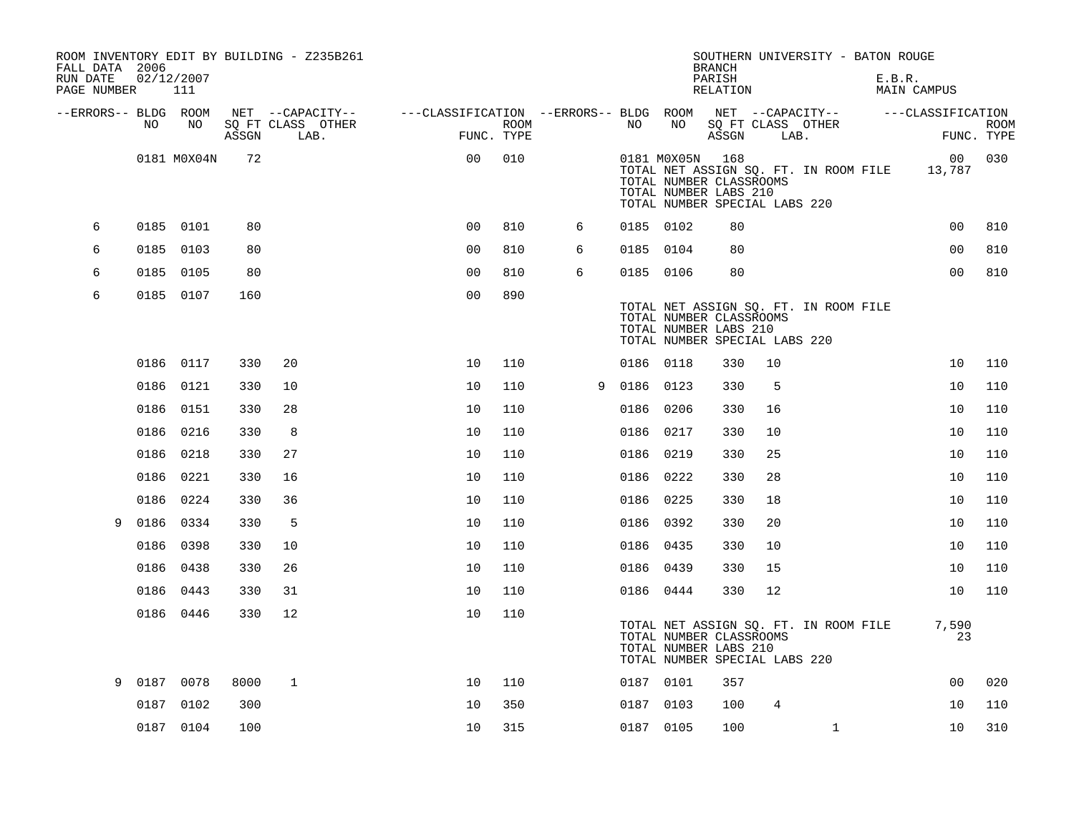| FALL DATA 2006          |      |                   |       | ROOM INVENTORY EDIT BY BUILDING - Z235B261 |                                        |                    |   |      |                 | <b>BRANCH</b>                                                                     |      | SOUTHERN UNIVERSITY - BATON ROUGE     |        |                   |                           |
|-------------------------|------|-------------------|-------|--------------------------------------------|----------------------------------------|--------------------|---|------|-----------------|-----------------------------------------------------------------------------------|------|---------------------------------------|--------|-------------------|---------------------------|
| RUN DATE<br>PAGE NUMBER |      | 02/12/2007<br>111 |       |                                            |                                        |                    |   |      |                 | PARISH<br>RELATION                                                                |      |                                       | E.B.R. | MAIN CAMPUS       |                           |
| --ERRORS-- BLDG ROOM    |      |                   |       | NET --CAPACITY--                           | ---CLASSIFICATION --ERRORS-- BLDG ROOM |                    |   |      |                 |                                                                                   |      | NET --CAPACITY--                      |        | ---CLASSIFICATION |                           |
|                         | NO.  | NO.               | ASSGN | SO FT CLASS OTHER<br>LAB.                  |                                        | ROOM<br>FUNC. TYPE |   | NO.  | NO              | ASSGN                                                                             | LAB. | SO FT CLASS OTHER                     |        |                   | <b>ROOM</b><br>FUNC. TYPE |
|                         |      | 0181 M0X04N       | 72    |                                            | 0 <sub>0</sub>                         | 010                |   |      | 0181 M0X05N 168 | TOTAL NUMBER CLASSROOMS<br>TOTAL NUMBER LABS 210<br>TOTAL NUMBER SPECIAL LABS 220 |      | TOTAL NET ASSIGN SQ. FT. IN ROOM FILE |        | 00<br>13,787      | 030                       |
| 6                       |      | 0185 0101         | 80    |                                            | 0 <sub>0</sub>                         | 810                | 6 |      | 0185 0102       | 80                                                                                |      |                                       |        | 0 <sub>0</sub>    | 810                       |
| 6                       |      | 0185 0103         | 80    |                                            | 00                                     | 810                | 6 |      | 0185 0104       | 80                                                                                |      |                                       |        | 0 <sub>0</sub>    | 810                       |
| 6                       |      | 0185 0105         | 80    |                                            | 0 <sub>0</sub>                         | 810                | 6 |      | 0185 0106       | 80                                                                                |      |                                       |        | 0 <sub>0</sub>    | 810                       |
| 6                       |      | 0185 0107         | 160   |                                            | 0 <sub>0</sub>                         | 890                |   |      |                 | TOTAL NUMBER CLASSROOMS<br>TOTAL NUMBER LABS 210<br>TOTAL NUMBER SPECIAL LABS 220 |      | TOTAL NET ASSIGN SQ. FT. IN ROOM FILE |        |                   |                           |
|                         |      | 0186 0117         | 330   | 20                                         | 10                                     | 110                |   |      | 0186 0118       | 330                                                                               | 10   |                                       |        | 10                | 110                       |
|                         |      | 0186 0121         | 330   | 10                                         | 10                                     | 110                | 9 |      | 0186 0123       | 330                                                                               | 5    |                                       |        | 10                | 110                       |
|                         |      | 0186 0151         | 330   | 28                                         | 10                                     | 110                |   |      | 0186 0206       | 330                                                                               | 16   |                                       |        | 10                | 110                       |
|                         | 0186 | 0216              | 330   | 8                                          | 10                                     | 110                |   | 0186 | 0217            | 330                                                                               | 10   |                                       |        | 10                | 110                       |
|                         | 0186 | 0218              | 330   | 27                                         | 10                                     | 110                |   |      | 0186 0219       | 330                                                                               | 25   |                                       |        | 10                | 110                       |
|                         | 0186 | 0221              | 330   | 16                                         | 10                                     | 110                |   |      | 0186 0222       | 330                                                                               | 28   |                                       |        | 10                | 110                       |
|                         | 0186 | 0224              | 330   | 36                                         | 10                                     | 110                |   |      | 0186 0225       | 330                                                                               | 18   |                                       |        | 10                | 110                       |
| 9                       | 0186 | 0334              | 330   | 5                                          | 10                                     | 110                |   |      | 0186 0392       | 330                                                                               | 20   |                                       |        | 10                | 110                       |
|                         | 0186 | 0398              | 330   | 10                                         | 10                                     | 110                |   |      | 0186 0435       | 330                                                                               | 10   |                                       |        | 10                | 110                       |
|                         |      | 0186 0438         | 330   | 26                                         | 10                                     | 110                |   |      | 0186 0439       | 330                                                                               | 15   |                                       |        | 10                | 110                       |
|                         | 0186 | 0443              | 330   | 31                                         | 10                                     | 110                |   |      | 0186 0444       | 330                                                                               | 12   |                                       |        | 10                | 110                       |
|                         |      | 0186 0446         | 330   | 12                                         | 10                                     | 110                |   |      |                 | TOTAL NUMBER CLASSROOMS<br>TOTAL NUMBER LABS 210<br>TOTAL NUMBER SPECIAL LABS 220 |      | TOTAL NET ASSIGN SQ. FT. IN ROOM FILE |        | 7,590<br>23       |                           |
| 9                       | 0187 | 0078              | 8000  | 1                                          | 10                                     | 110                |   |      | 0187 0101       | 357                                                                               |      |                                       |        | 0 <sub>0</sub>    | 020                       |
|                         | 0187 | 0102              | 300   |                                            | 10                                     | 350                |   |      | 0187 0103       | 100                                                                               | 4    |                                       |        | 10                | 110                       |
|                         |      | 0187 0104         | 100   |                                            | 10                                     | 315                |   |      | 0187 0105       | 100                                                                               |      | $\mathbf{1}$                          |        | 10                | 310                       |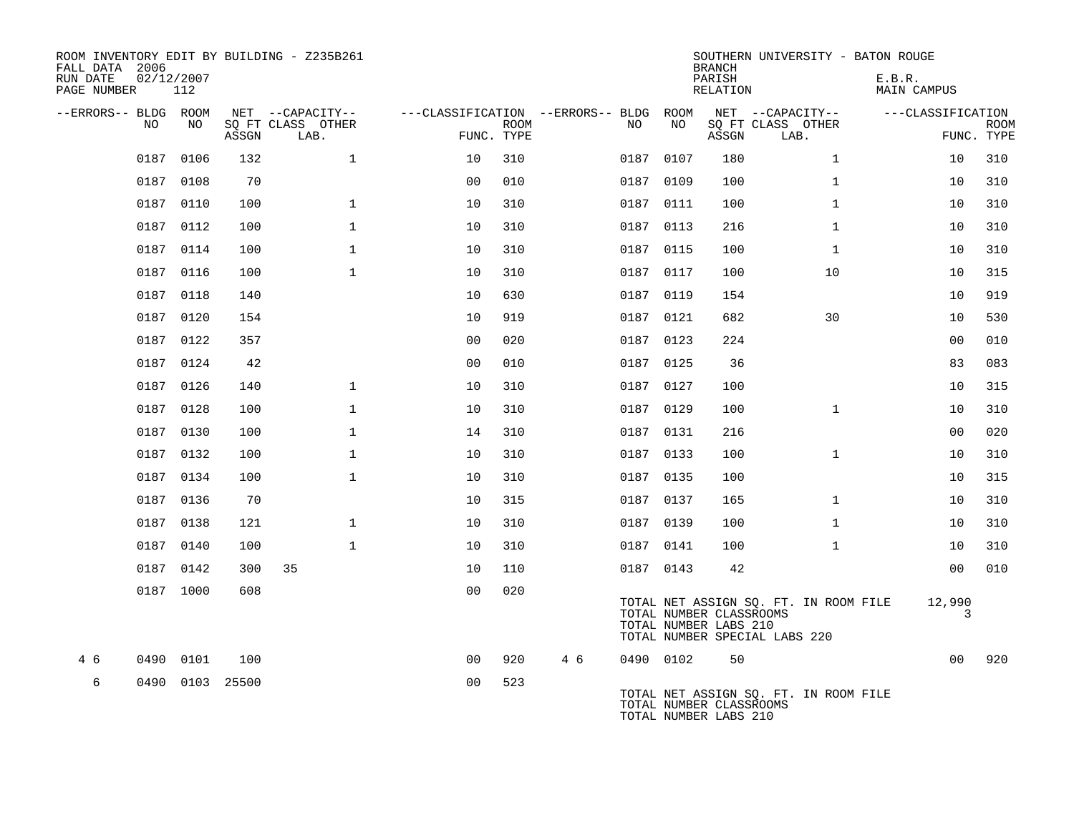| ROOM INVENTORY EDIT BY BUILDING - Z235B261<br>FALL DATA 2006<br>RUN DATE<br>PAGE NUMBER | 02/12/2007<br>112 |      |            |                           |                                        |             |     |           |           | <b>BRANCH</b><br>PARISH<br>RELATION              | SOUTHERN UNIVERSITY - BATON ROUGE                                      | E.B.R.<br>MAIN CAMPUS |             |
|-----------------------------------------------------------------------------------------|-------------------|------|------------|---------------------------|----------------------------------------|-------------|-----|-----------|-----------|--------------------------------------------------|------------------------------------------------------------------------|-----------------------|-------------|
| --ERRORS-- BLDG ROOM                                                                    |                   |      |            | NET --CAPACITY--          | ---CLASSIFICATION --ERRORS-- BLDG ROOM |             |     |           |           |                                                  | NET --CAPACITY--                                                       | ---CLASSIFICATION     |             |
| NO                                                                                      |                   | NO   | ASSGN      | SQ FT CLASS OTHER<br>LAB. | FUNC. TYPE                             | <b>ROOM</b> |     | NO.       | NO        | ASSGN                                            | SQ FT CLASS OTHER<br>LAB.                                              | FUNC. TYPE            | <b>ROOM</b> |
|                                                                                         | 0187              | 0106 | 132        | $\mathbf 1$               | 10                                     | 310         |     | 0187 0107 |           | 180                                              | $\mathbf{1}$                                                           | 10                    | 310         |
|                                                                                         | 0187 0108         |      | 70         |                           | 0 <sup>0</sup>                         | 010         |     | 0187      | 0109      | 100                                              | $\mathbf{1}$                                                           | 10                    | 310         |
|                                                                                         | 0187 0110         |      | 100        | $\mathbf{1}$              | 10                                     | 310         |     |           | 0187 0111 | 100                                              | $\mathbf{1}$                                                           | 10                    | 310         |
|                                                                                         | 0187 0112         |      | 100        | $\mathbf{1}$              | 10                                     | 310         |     | 0187      | 0113      | 216                                              | $\mathbf{1}$                                                           | 10                    | 310         |
|                                                                                         | 0187 0114         |      | 100        | $\mathbf{1}$              | 10                                     | 310         |     |           | 0187 0115 | 100                                              | $\mathbf{1}$                                                           | 10                    | 310         |
|                                                                                         | 0187 0116         |      | 100        | $\mathbf{1}$              | 10                                     | 310         |     | 0187 0117 |           | 100                                              | 10                                                                     | 10                    | 315         |
|                                                                                         | 0187 0118         |      | 140        |                           | 10                                     | 630         |     | 0187 0119 |           | 154                                              |                                                                        | 10                    | 919         |
| 0187                                                                                    |                   | 0120 | 154        |                           | 10                                     | 919         |     | 0187 0121 |           | 682                                              | 30                                                                     | 10                    | 530         |
|                                                                                         | 0187 0122         |      | 357        |                           | 0 <sub>0</sub>                         | 020         |     | 0187 0123 |           | 224                                              |                                                                        | 0 <sub>0</sub>        | 010         |
|                                                                                         | 0187 0124         |      | 42         |                           | 0 <sub>0</sub>                         | 010         |     | 0187 0125 |           | 36                                               |                                                                        | 83                    | 083         |
|                                                                                         | 0187 0126         |      | 140        | $\mathbf{1}$              | 10                                     | 310         |     | 0187 0127 |           | 100                                              |                                                                        | 10                    | 315         |
|                                                                                         | 0187              | 0128 | 100        | $\mathbf{1}$              | 10                                     | 310         |     | 0187 0129 |           | 100                                              | $\mathbf{1}$                                                           | 10                    | 310         |
|                                                                                         | 0187 0130         |      | 100        | $\mathbf{1}$              | 14                                     | 310         |     | 0187 0131 |           | 216                                              |                                                                        | 0 <sub>0</sub>        | 020         |
|                                                                                         | 0187 0132         |      | 100        | $\mathbf{1}$              | 10                                     | 310         |     | 0187 0133 |           | 100                                              | $\mathbf{1}$                                                           | 10                    | 310         |
|                                                                                         | 0187 0134         |      | 100        | $\mathbf{1}$              | 10                                     | 310         |     | 0187 0135 |           | 100                                              |                                                                        | 10                    | 315         |
|                                                                                         | 0187 0136         |      | 70         |                           | 10                                     | 315         |     |           | 0187 0137 | 165                                              | $\mathbf{1}$                                                           | 10                    | 310         |
|                                                                                         | 0187 0138         |      | 121        | $\mathbf{1}$              | 10                                     | 310         |     | 0187 0139 |           | 100                                              | $\mathbf{1}$                                                           | 10                    | 310         |
|                                                                                         | 0187 0140         |      | 100        | $\mathbf{1}$              | 10                                     | 310         |     |           | 0187 0141 | 100                                              | $\mathbf{1}$                                                           | 10                    | 310         |
|                                                                                         | 0187 0142         |      | 300        | 35                        | 10                                     | 110         |     | 0187 0143 |           | 42                                               |                                                                        | 0 <sub>0</sub>        | 010         |
|                                                                                         | 0187 1000         |      | 608        |                           | 0 <sub>0</sub>                         | 020         |     |           |           | TOTAL NUMBER CLASSROOMS<br>TOTAL NUMBER LABS 210 | TOTAL NET ASSIGN SQ. FT. IN ROOM FILE<br>TOTAL NUMBER SPECIAL LABS 220 | 12,990<br>3           |             |
| 4 6<br>0490                                                                             |                   | 0101 | 100        |                           | 0 <sub>0</sub>                         | 920         | 4 6 | 0490 0102 |           | 50                                               |                                                                        | 0 <sub>0</sub>        | 920         |
| 6<br>0490                                                                               |                   |      | 0103 25500 |                           | 0 <sub>0</sub>                         | 523         |     |           |           | TOTAL NUMBER CLASSROOMS<br>TOTAL NUMBER LABS 210 | TOTAL NET ASSIGN SQ. FT. IN ROOM FILE                                  |                       |             |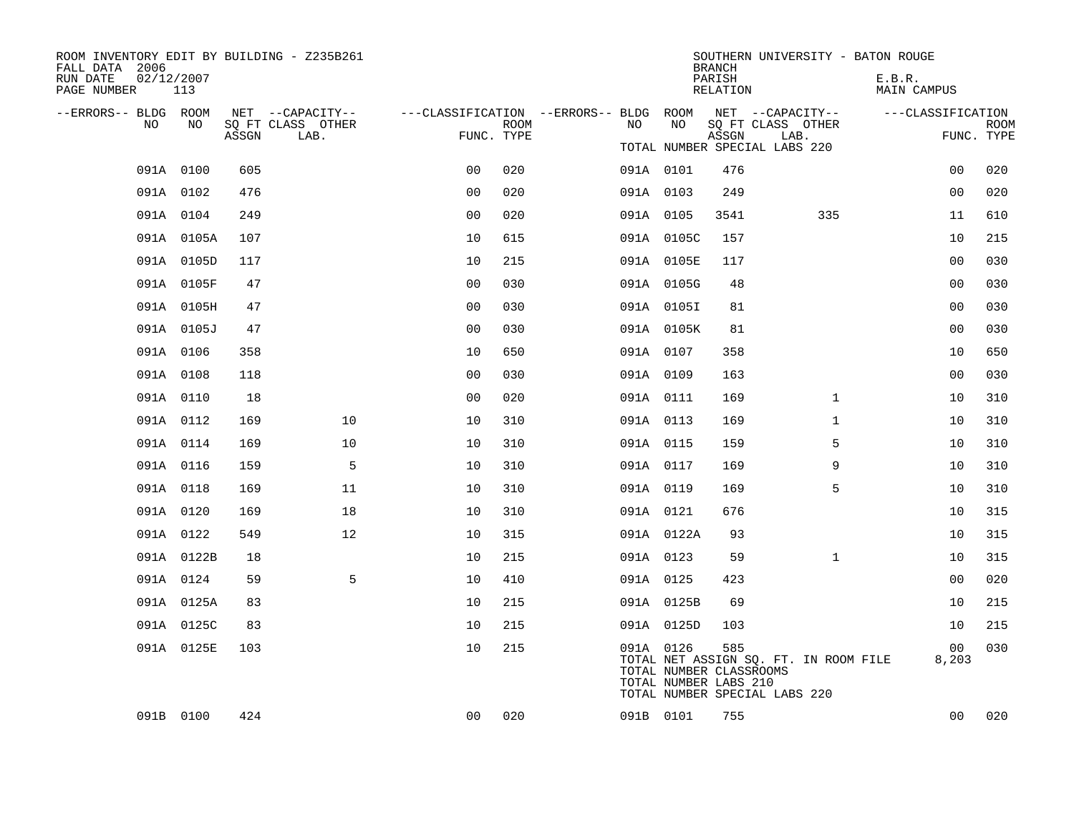| ROOM INVENTORY EDIT BY BUILDING - Z235B261<br>FALL DATA 2006 |                   |       |                           |                                        |             |    |           |            | <b>BRANCH</b>                                    |                                                                        |              | SOUTHERN UNIVERSITY - BATON ROUGE |                |             |
|--------------------------------------------------------------|-------------------|-------|---------------------------|----------------------------------------|-------------|----|-----------|------------|--------------------------------------------------|------------------------------------------------------------------------|--------------|-----------------------------------|----------------|-------------|
| RUN DATE<br>PAGE NUMBER                                      | 02/12/2007<br>113 |       |                           |                                        |             |    |           |            | PARISH<br>RELATION                               |                                                                        |              | E.B.R.<br>MAIN CAMPUS             |                |             |
| --ERRORS-- BLDG ROOM                                         |                   |       | NET --CAPACITY--          | ---CLASSIFICATION --ERRORS-- BLDG ROOM |             |    |           |            |                                                  | NET --CAPACITY--                                                       |              | ---CLASSIFICATION                 |                |             |
| NO                                                           | NO                | ASSGN | SQ FT CLASS OTHER<br>LAB. | FUNC. TYPE                             | <b>ROOM</b> | NO |           | NO         | ASSGN                                            | SQ FT CLASS OTHER<br>LAB.                                              |              |                                   | FUNC. TYPE     | <b>ROOM</b> |
|                                                              |                   |       |                           |                                        |             |    |           |            |                                                  | TOTAL NUMBER SPECIAL LABS 220                                          |              |                                   |                |             |
|                                                              | 091A 0100         | 605   |                           | 0 <sub>0</sub>                         | 020         |    | 091A 0101 |            | 476                                              |                                                                        |              |                                   | 0 <sub>0</sub> | 020         |
|                                                              | 091A 0102         | 476   |                           | 0 <sub>0</sub>                         | 020         |    | 091A 0103 |            | 249                                              |                                                                        |              |                                   | 00             | 020         |
|                                                              | 091A 0104         | 249   |                           | 0 <sub>0</sub>                         | 020         |    | 091A 0105 |            | 3541                                             |                                                                        | 335          |                                   | 11             | 610         |
|                                                              | 091A 0105A        | 107   |                           | 10                                     | 615         |    |           | 091A 0105C | 157                                              |                                                                        |              |                                   | 10             | 215         |
|                                                              | 091A 0105D        | 117   |                           | 10                                     | 215         |    |           | 091A 0105E | 117                                              |                                                                        |              |                                   | 0 <sub>0</sub> | 030         |
|                                                              | 091A 0105F        | 47    |                           | 0 <sub>0</sub>                         | 030         |    |           | 091A 0105G | 48                                               |                                                                        |              |                                   | 00             | 030         |
|                                                              | 091A 0105H        | 47    |                           | 0 <sub>0</sub>                         | 030         |    |           | 091A 0105I | 81                                               |                                                                        |              |                                   | 0 <sub>0</sub> | 030         |
|                                                              | 091A 0105J        | 47    |                           | 0 <sub>0</sub>                         | 030         |    |           | 091A 0105K | 81                                               |                                                                        |              |                                   | 00             | 030         |
|                                                              | 091A 0106         | 358   |                           | 10                                     | 650         |    | 091A 0107 |            | 358                                              |                                                                        |              |                                   | 10             | 650         |
|                                                              | 091A 0108         | 118   |                           | 00                                     | 030         |    | 091A 0109 |            | 163                                              |                                                                        |              |                                   | 00             | 030         |
|                                                              | 091A 0110         | 18    |                           | 0 <sub>0</sub>                         | 020         |    | 091A 0111 |            | 169                                              |                                                                        | $\mathbf{1}$ |                                   | 10             | 310         |
|                                                              | 091A 0112         | 169   | 10                        | 10                                     | 310         |    | 091A 0113 |            | 169                                              |                                                                        | $\mathbf{1}$ |                                   | 10             | 310         |
|                                                              | 091A 0114         | 169   | 10                        | 10                                     | 310         |    | 091A 0115 |            | 159                                              |                                                                        | 5            |                                   | 10             | 310         |
|                                                              | 091A 0116         | 159   | 5                         | 10                                     | 310         |    | 091A 0117 |            | 169                                              |                                                                        | 9            |                                   | 10             | 310         |
|                                                              | 091A 0118         | 169   | 11                        | 10                                     | 310         |    | 091A 0119 |            | 169                                              |                                                                        | 5            |                                   | 10             | 310         |
|                                                              | 091A 0120         | 169   | 18                        | 10                                     | 310         |    | 091A 0121 |            | 676                                              |                                                                        |              |                                   | 10             | 315         |
|                                                              | 091A 0122         | 549   | 12                        | 10                                     | 315         |    |           | 091A 0122A | 93                                               |                                                                        |              |                                   | 10             | 315         |
|                                                              | 091A 0122B        | 18    |                           | 10                                     | 215         |    | 091A 0123 |            | 59                                               |                                                                        | $\mathbf{1}$ |                                   | 10             | 315         |
|                                                              | 091A 0124         | 59    | 5                         | 10                                     | 410         |    | 091A 0125 |            | 423                                              |                                                                        |              |                                   | 0 <sub>0</sub> | 020         |
|                                                              | 091A 0125A        | 83    |                           | 10                                     | 215         |    |           | 091A 0125B | 69                                               |                                                                        |              |                                   | 10             | 215         |
|                                                              | 091A 0125C        | 83    |                           | 10                                     | 215         |    |           | 091A 0125D | 103                                              |                                                                        |              |                                   | 10             | 215         |
|                                                              | 091A 0125E        | 103   |                           | 10                                     | 215         |    | 091A 0126 |            | 585                                              |                                                                        |              |                                   | 00             | 030         |
|                                                              |                   |       |                           |                                        |             |    |           |            | TOTAL NUMBER CLASSROOMS<br>TOTAL NUMBER LABS 210 | TOTAL NET ASSIGN SQ. FT. IN ROOM FILE<br>TOTAL NUMBER SPECIAL LABS 220 |              |                                   | 8,203          |             |
|                                                              | 091B 0100         | 424   |                           | 00                                     | 020         |    | 091B 0101 |            | 755                                              |                                                                        |              |                                   | 0 <sub>0</sub> | 020         |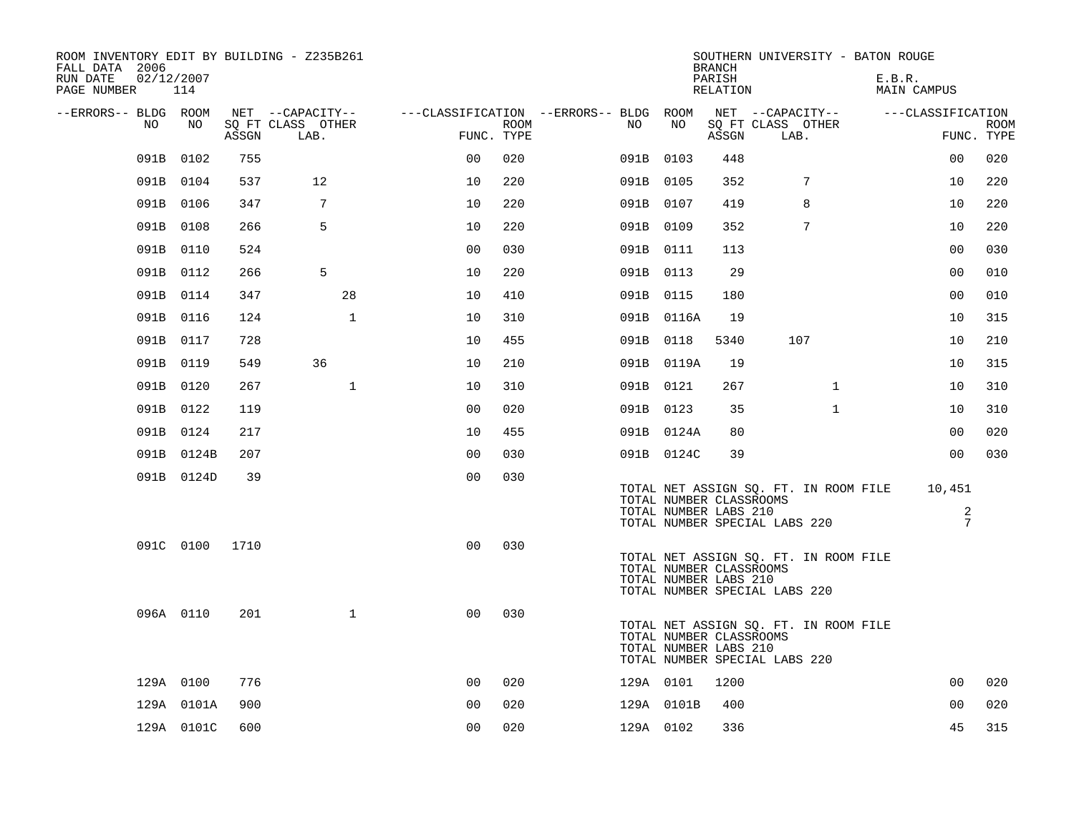| ROOM INVENTORY EDIT BY BUILDING - Z235B261<br>FALL DATA 2006<br>RUN DATE<br>PAGE NUMBER | 02/12/2007<br>114 |       |                           |                                        |      |     |            | <b>BRANCH</b><br>PARISH<br>RELATION              | SOUTHERN UNIVERSITY - BATON ROUGE                                      | E.B.R.<br>MAIN CAMPUS |                |                           |
|-----------------------------------------------------------------------------------------|-------------------|-------|---------------------------|----------------------------------------|------|-----|------------|--------------------------------------------------|------------------------------------------------------------------------|-----------------------|----------------|---------------------------|
| --ERRORS-- BLDG ROOM                                                                    |                   |       | NET --CAPACITY--          | ---CLASSIFICATION --ERRORS-- BLDG ROOM |      |     |            |                                                  | NET --CAPACITY--                                                       | ---CLASSIFICATION     |                |                           |
| NO                                                                                      | NO                | ASSGN | SQ FT CLASS OTHER<br>LAB. | FUNC. TYPE                             | ROOM | NO. | NO         | ASSGN                                            | SQ FT CLASS OTHER<br>LAB.                                              |                       |                | <b>ROOM</b><br>FUNC. TYPE |
| 091B                                                                                    | 0102              | 755   |                           | 0 <sub>0</sub>                         | 020  |     | 091B 0103  | 448                                              |                                                                        |                       | 00             | 020                       |
|                                                                                         | 091B 0104         | 537   | 12                        | 10                                     | 220  |     | 091B 0105  | 352                                              | 7                                                                      |                       | 10             | 220                       |
|                                                                                         | 091B 0106         | 347   | 7                         | 10                                     | 220  |     | 091B 0107  | 419                                              | 8                                                                      |                       | 10             | 220                       |
|                                                                                         | 091B 0108         | 266   | 5                         | 10                                     | 220  |     | 091B 0109  | 352                                              | 7                                                                      |                       | 10             | 220                       |
|                                                                                         | 091B 0110         | 524   |                           | 0 <sub>0</sub>                         | 030  |     | 091B 0111  | 113                                              |                                                                        |                       | 0 <sub>0</sub> | 030                       |
|                                                                                         | 091B 0112         | 266   | 5                         | 10                                     | 220  |     | 091B 0113  | 29                                               |                                                                        |                       | 0 <sub>0</sub> | 010                       |
|                                                                                         | 091B 0114         | 347   | 28                        | 10                                     | 410  |     | 091B 0115  | 180                                              |                                                                        |                       | 0 <sub>0</sub> | 010                       |
|                                                                                         | 091B 0116         | 124   | $\mathbf{1}$              | 10                                     | 310  |     | 091B 0116A | 19                                               |                                                                        |                       | 10             | 315                       |
|                                                                                         | 091B 0117         | 728   |                           | 10                                     | 455  |     | 091B 0118  | 5340                                             | 107                                                                    |                       | 10             | 210                       |
|                                                                                         | 091B 0119         | 549   | 36                        | 10                                     | 210  |     | 091B 0119A | 19                                               |                                                                        |                       | 10             | 315                       |
|                                                                                         | 091B 0120         | 267   | $\mathbf{1}$              | 10                                     | 310  |     | 091B 0121  | 267                                              | $\mathbf{1}$                                                           |                       | 10             | 310                       |
|                                                                                         | 091B 0122         | 119   |                           | 0 <sub>0</sub>                         | 020  |     | 091B 0123  | 35                                               | $\mathbf{1}$                                                           |                       | 10             | 310                       |
|                                                                                         | 091B 0124         | 217   |                           | 10                                     | 455  |     | 091B 0124A | 80                                               |                                                                        |                       | 0 <sub>0</sub> | 020                       |
|                                                                                         | 091B 0124B        | 207   |                           | 0 <sub>0</sub>                         | 030  |     | 091B 0124C | 39                                               |                                                                        |                       | 0 <sub>0</sub> | 030                       |
|                                                                                         | 091B 0124D        | 39    |                           | 0 <sub>0</sub>                         | 030  |     |            | TOTAL NUMBER CLASSROOMS<br>TOTAL NUMBER LABS 210 | TOTAL NET ASSIGN SO. FT. IN ROOM FILE<br>TOTAL NUMBER SPECIAL LABS 220 | 10,451                | 2<br>7         |                           |
|                                                                                         | 091C 0100         | 1710  |                           | 0 <sub>0</sub>                         | 030  |     |            | TOTAL NUMBER CLASSROOMS<br>TOTAL NUMBER LABS 210 | TOTAL NET ASSIGN SQ. FT. IN ROOM FILE<br>TOTAL NUMBER SPECIAL LABS 220 |                       |                |                           |
|                                                                                         | 096A 0110         | 201   | $\mathbf{1}$              | 0 <sub>0</sub>                         | 030  |     |            | TOTAL NUMBER CLASSROOMS<br>TOTAL NUMBER LABS 210 | TOTAL NET ASSIGN SQ. FT. IN ROOM FILE<br>TOTAL NUMBER SPECIAL LABS 220 |                       |                |                           |
|                                                                                         | 129A 0100         | 776   |                           | 0 <sup>0</sup>                         | 020  |     | 129A 0101  | 1200                                             |                                                                        |                       | 0 <sub>0</sub> | 020                       |
|                                                                                         | 129A 0101A        | 900   |                           | 0 <sub>0</sub>                         | 020  |     | 129A 0101B | 400                                              |                                                                        |                       | 00             | 020                       |
|                                                                                         | 129A 0101C        | 600   |                           | 00                                     | 020  |     | 129A 0102  | 336                                              |                                                                        |                       | 45             | 315                       |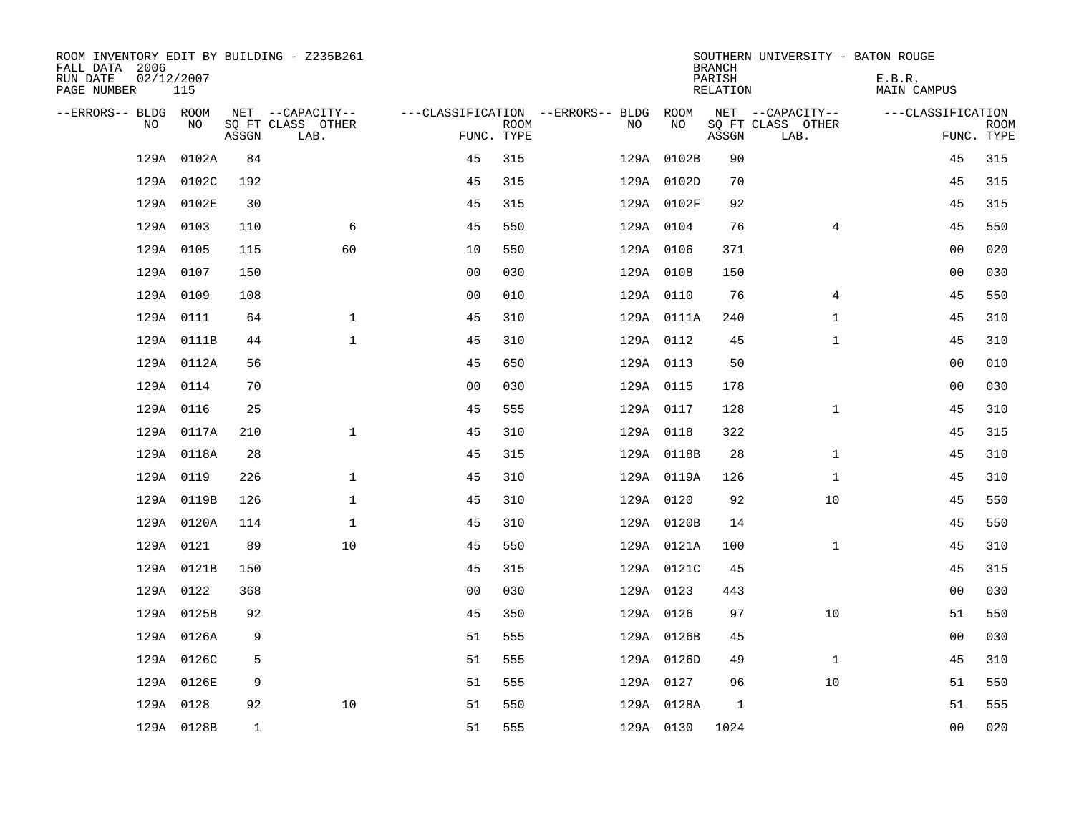| ROOM INVENTORY EDIT BY BUILDING - Z235B261<br>FALL DATA 2006<br>RUN DATE<br>PAGE NUMBER | 02/12/2007<br>115   |              |                                       |                |             |                                              |                          | <b>BRANCH</b><br>PARISH<br><b>RELATION</b> | SOUTHERN UNIVERSITY - BATON ROUGE     | E.B.R.<br><b>MAIN CAMPUS</b> |             |
|-----------------------------------------------------------------------------------------|---------------------|--------------|---------------------------------------|----------------|-------------|----------------------------------------------|--------------------------|--------------------------------------------|---------------------------------------|------------------------------|-------------|
| --ERRORS-- BLDG ROOM<br>NO                                                              | NO                  |              | NET --CAPACITY--<br>SQ FT CLASS OTHER |                | <b>ROOM</b> | ---CLASSIFICATION --ERRORS-- BLDG ROOM<br>NO | NO                       |                                            | NET --CAPACITY--<br>SQ FT CLASS OTHER | ---CLASSIFICATION            | <b>ROOM</b> |
|                                                                                         |                     | ASSGN<br>84  | LAB.                                  | FUNC. TYPE     | 315         |                                              |                          | ASSGN<br>90                                | LAB.                                  | 45                           | FUNC. TYPE  |
| 129A                                                                                    | 0102A<br>129A 0102C | 192          |                                       | 45<br>45       | 315         |                                              | 129A 0102B<br>129A 0102D | 70                                         |                                       | 45                           | 315<br>315  |
|                                                                                         | 129A 0102E          | 30           |                                       | 45             | 315         |                                              | 129A 0102F               | 92                                         |                                       | 45                           | 315         |
|                                                                                         | 129A 0103           | 110          | 6                                     | 45             | 550         |                                              | 129A 0104                | 76                                         | $\overline{4}$                        | 45                           | 550         |
|                                                                                         | 129A 0105           | 115          | 60                                    | 10             | 550         |                                              | 129A 0106                | 371                                        |                                       | 0 <sub>0</sub>               | 020         |
|                                                                                         | 129A 0107           | 150          |                                       | 0 <sub>0</sub> | 030         |                                              | 129A 0108                | 150                                        |                                       | 0 <sub>0</sub>               | 030         |
|                                                                                         | 129A 0109           | 108          |                                       | 0 <sub>0</sub> | 010         |                                              | 129A 0110                | 76                                         | 4                                     | 45                           | 550         |
|                                                                                         | 129A 0111           | 64           | $\mathbf{1}$                          | 45             | 310         |                                              | 129A 0111A               | 240                                        | $\mathbf{1}$                          | 45                           | 310         |
|                                                                                         | 129A 0111B          | 44           | $\mathbf{1}$                          | 45             | 310         |                                              | 129A 0112                | 45                                         | $\mathbf{1}$                          | 45                           | 310         |
|                                                                                         | 129A 0112A          | 56           |                                       | 45             | 650         |                                              | 129A 0113                | 50                                         |                                       | 0 <sub>0</sub>               | 010         |
|                                                                                         | 129A 0114           | 70           |                                       | 0 <sub>0</sub> | 030         |                                              | 129A 0115                | 178                                        |                                       | 0 <sub>0</sub>               | 030         |
|                                                                                         | 129A 0116           | 25           |                                       | 45             | 555         |                                              | 129A 0117                | 128                                        | $\mathbf{1}$                          | 45                           | 310         |
|                                                                                         | 129A 0117A          | 210          | $\mathbf 1$                           | 45             | 310         |                                              | 129A 0118                | 322                                        |                                       | 45                           | 315         |
|                                                                                         | 129A 0118A          | 28           |                                       | 45             | 315         |                                              | 129A 0118B               | 28                                         | $\mathbf{1}$                          | 45                           | 310         |
|                                                                                         | 129A 0119           | 226          | $\mathbf 1$                           | 45             | 310         |                                              | 129A 0119A               | 126                                        | $\mathbf{1}$                          | 45                           | 310         |
|                                                                                         | 129A 0119B          | 126          | $\mathbf{1}$                          | 45             | 310         |                                              | 129A 0120                | 92                                         | 10                                    | 45                           | 550         |
|                                                                                         | 129A 0120A          | 114          | $\mathbf 1$                           | 45             | 310         |                                              | 129A 0120B               | 14                                         |                                       | 45                           | 550         |
|                                                                                         | 129A 0121           | 89           | 10                                    | 45             | 550         |                                              | 129A 0121A               | 100                                        | $\mathbf{1}$                          | 45                           | 310         |
|                                                                                         | 129A 0121B          | 150          |                                       | 45             | 315         |                                              | 129A 0121C               | 45                                         |                                       | 45                           | 315         |
|                                                                                         | 129A 0122           | 368          |                                       | 0 <sub>0</sub> | 030         |                                              | 129A 0123                | 443                                        |                                       | 00                           | 030         |
|                                                                                         | 129A 0125B          | 92           |                                       | 45             | 350         |                                              | 129A 0126                | 97                                         | 10                                    | 51                           | 550         |
|                                                                                         | 129A 0126A          | 9            |                                       | 51             | 555         |                                              | 129A 0126B               | 45                                         |                                       | 00                           | 030         |
|                                                                                         | 129A 0126C          | 5            |                                       | 51             | 555         |                                              | 129A 0126D               | 49                                         | $\mathbf{1}$                          | 45                           | 310         |
|                                                                                         | 129A 0126E          | 9            |                                       | 51             | 555         |                                              | 129A 0127                | 96                                         | 10                                    | 51                           | 550         |
|                                                                                         | 129A 0128           | 92           | 10                                    | 51             | 550         |                                              | 129A 0128A               | 1                                          |                                       | 51                           | 555         |
|                                                                                         | 129A 0128B          | $\mathbf{1}$ |                                       | 51             | 555         |                                              | 129A 0130                | 1024                                       |                                       | 0 <sub>0</sub>               | 020         |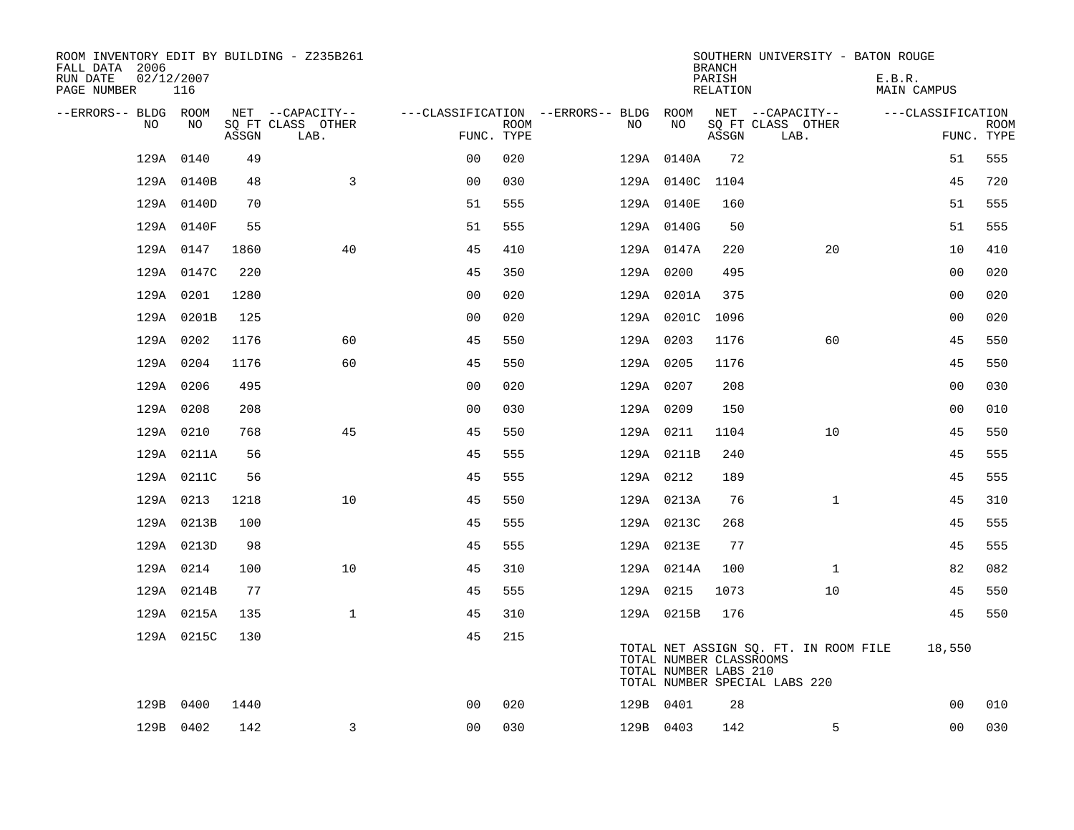| ROOM INVENTORY EDIT BY BUILDING - Z235B261<br>FALL DATA 2006<br>RUN DATE<br>PAGE NUMBER | 02/12/2007<br>116 |       |                           |                |      |                                        |                                                  | <b>BRANCH</b><br>PARISH<br>RELATION | SOUTHERN UNIVERSITY - BATON ROUGE                                      | E.B.R.<br><b>MAIN CAMPUS</b> |             |
|-----------------------------------------------------------------------------------------|-------------------|-------|---------------------------|----------------|------|----------------------------------------|--------------------------------------------------|-------------------------------------|------------------------------------------------------------------------|------------------------------|-------------|
| --ERRORS-- BLDG ROOM                                                                    |                   |       | NET --CAPACITY--          |                |      | ---CLASSIFICATION --ERRORS-- BLDG ROOM |                                                  |                                     | NET --CAPACITY--                                                       | ---CLASSIFICATION            |             |
| NO.                                                                                     | NO.               | ASSGN | SO FT CLASS OTHER<br>LAB. | FUNC. TYPE     | ROOM | NO.                                    | NO                                               | ASSGN                               | SQ FT CLASS OTHER<br>LAB.                                              | FUNC. TYPE                   | <b>ROOM</b> |
| 129A                                                                                    | 0140              | 49    |                           | 0 <sub>0</sub> | 020  |                                        | 129A 0140A                                       | 72                                  |                                                                        | 51                           | 555         |
|                                                                                         | 129A 0140B        | 48    | 3                         | 0 <sub>0</sub> | 030  |                                        | 129A 0140C 1104                                  |                                     |                                                                        | 45                           | 720         |
|                                                                                         | 129A 0140D        | 70    |                           | 51             | 555  |                                        | 129A 0140E                                       | 160                                 |                                                                        | 51                           | 555         |
|                                                                                         | 129A 0140F        | 55    |                           | 51             | 555  |                                        | 129A 0140G                                       | 50                                  |                                                                        | 51                           | 555         |
|                                                                                         | 129A 0147         | 1860  | 40                        | 45             | 410  |                                        | 129A 0147A                                       | 220                                 | 20                                                                     | 10                           | 410         |
|                                                                                         | 129A 0147C        | 220   |                           | 45             | 350  |                                        | 129A 0200                                        | 495                                 |                                                                        | 0 <sub>0</sub>               | 020         |
|                                                                                         | 129A 0201         | 1280  |                           | 0 <sub>0</sub> | 020  |                                        | 129A 0201A                                       | 375                                 |                                                                        | 0 <sub>0</sub>               | 020         |
|                                                                                         | 129A 0201B        | 125   |                           | 0 <sub>0</sub> | 020  |                                        | 129A 0201C 1096                                  |                                     |                                                                        | 0 <sub>0</sub>               | 020         |
|                                                                                         | 129A 0202         | 1176  | 60                        | 45             | 550  |                                        | 129A 0203                                        | 1176                                | 60                                                                     | 45                           | 550         |
|                                                                                         | 129A 0204         | 1176  | 60                        | 45             | 550  |                                        | 129A 0205                                        | 1176                                |                                                                        | 45                           | 550         |
|                                                                                         | 129A 0206         | 495   |                           | 0 <sub>0</sub> | 020  |                                        | 129A 0207                                        | 208                                 |                                                                        | 0 <sub>0</sub>               | 030         |
|                                                                                         | 129A 0208         | 208   |                           | 0 <sub>0</sub> | 030  |                                        | 129A 0209                                        | 150                                 |                                                                        | 0 <sub>0</sub>               | 010         |
|                                                                                         | 129A 0210         | 768   | 45                        | 45             | 550  |                                        | 129A 0211                                        | 1104                                | 10                                                                     | 45                           | 550         |
|                                                                                         | 129A 0211A        | 56    |                           | 45             | 555  |                                        | 129A 0211B                                       | 240                                 |                                                                        | 45                           | 555         |
|                                                                                         | 129A 0211C        | 56    |                           | 45             | 555  |                                        | 129A 0212                                        | 189                                 |                                                                        | 45                           | 555         |
|                                                                                         | 129A 0213         | 1218  | 10                        | 45             | 550  |                                        | 129A 0213A                                       | 76                                  | $\mathbf{1}$                                                           | 45                           | 310         |
|                                                                                         | 129A 0213B        | 100   |                           | 45             | 555  |                                        | 129A 0213C                                       | 268                                 |                                                                        | 45                           | 555         |
|                                                                                         | 129A 0213D        | 98    |                           | 45             | 555  |                                        | 129A 0213E                                       | 77                                  |                                                                        | 45                           | 555         |
|                                                                                         | 129A 0214         | 100   | 10                        | 45             | 310  |                                        | 129A 0214A                                       | 100                                 | $\mathbf{1}$                                                           | 82                           | 082         |
|                                                                                         | 129A 0214B        | 77    |                           | 45             | 555  |                                        | 129A 0215                                        | 1073                                | 10                                                                     | 45                           | 550         |
|                                                                                         | 129A 0215A        | 135   | $\mathbf{1}$              | 45             | 310  |                                        | 129A 0215B                                       | 176                                 |                                                                        | 45                           | 550         |
|                                                                                         | 129A 0215C        | 130   |                           | 45             | 215  |                                        | TOTAL NUMBER CLASSROOMS<br>TOTAL NUMBER LABS 210 |                                     | TOTAL NET ASSIGN SQ. FT. IN ROOM FILE<br>TOTAL NUMBER SPECIAL LABS 220 | 18,550                       |             |
|                                                                                         | 129B 0400         | 1440  |                           | 0 <sub>0</sub> | 020  |                                        | 129B 0401                                        | 28                                  |                                                                        | 0 <sub>0</sub>               | 010         |
|                                                                                         | 129B 0402         | 142   | $\overline{3}$            | 0 <sub>0</sub> | 030  |                                        | 129B 0403                                        | 142                                 | 5                                                                      | 0 <sub>0</sub>               | 030         |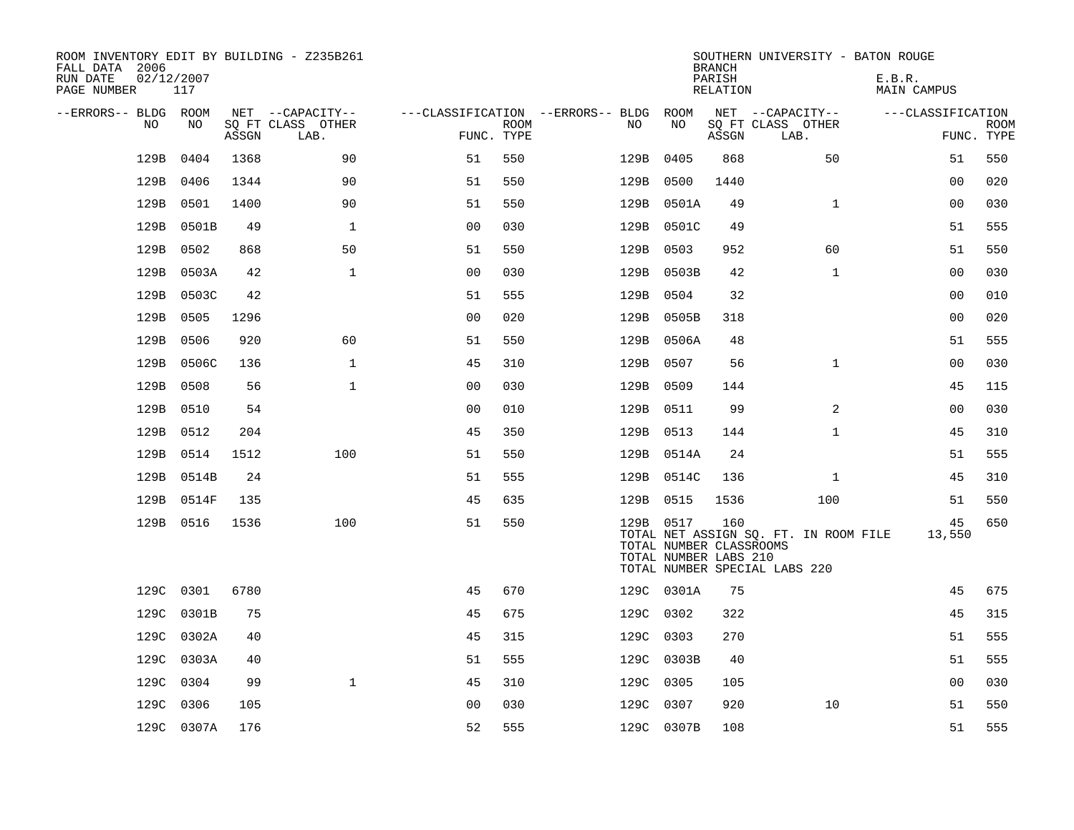| ROOM INVENTORY EDIT BY BUILDING - Z235B261<br>FALL DATA 2006<br>RUN DATE<br>PAGE NUMBER | 02/12/2007<br>117 |       |                           |                |      |                                        |           |            | <b>BRANCH</b><br>PARISH<br>RELATION                     | SOUTHERN UNIVERSITY - BATON ROUGE                                      | E.B.R.<br><b>MAIN CAMPUS</b> |                           |
|-----------------------------------------------------------------------------------------|-------------------|-------|---------------------------|----------------|------|----------------------------------------|-----------|------------|---------------------------------------------------------|------------------------------------------------------------------------|------------------------------|---------------------------|
| --ERRORS-- BLDG ROOM                                                                    |                   |       | NET --CAPACITY--          |                |      | ---CLASSIFICATION --ERRORS-- BLDG ROOM |           |            |                                                         | NET --CAPACITY--                                                       | ---CLASSIFICATION            |                           |
| NO.                                                                                     | NO.               | ASSGN | SO FT CLASS OTHER<br>LAB. | FUNC. TYPE     | ROOM | NO.                                    |           | NO         | ASSGN                                                   | SQ FT CLASS OTHER<br>LAB.                                              |                              | <b>ROOM</b><br>FUNC. TYPE |
| 129B                                                                                    | 0404              | 1368  | 90                        | 51             | 550  | 129B                                   |           | 0405       | 868                                                     | 50                                                                     | 51                           | 550                       |
| 129B                                                                                    | 0406              | 1344  | 90                        | 51             | 550  |                                        | 129B      | 0500       | 1440                                                    |                                                                        | 0 <sub>0</sub>               | 020                       |
| 129B                                                                                    | 0501              | 1400  | 90                        | 51             | 550  |                                        |           | 129B 0501A | 49                                                      | $\mathbf{1}$                                                           | 00                           | 030                       |
| 129B                                                                                    | 0501B             | 49    | $\mathbf{1}$              | 0 <sub>0</sub> | 030  |                                        |           | 129B 0501C | 49                                                      |                                                                        | 51                           | 555                       |
| 129B                                                                                    | 0502              | 868   | 50                        | 51             | 550  |                                        |           | 129B 0503  | 952                                                     | 60                                                                     | 51                           | 550                       |
| 129B                                                                                    | 0503A             | 42    | $\mathbf{1}$              | 0 <sub>0</sub> | 030  |                                        |           | 129B 0503B | 42                                                      | $\mathbf{1}$                                                           | 0 <sub>0</sub>               | 030                       |
| 129B                                                                                    | 0503C             | 42    |                           | 51             | 555  |                                        |           | 129B 0504  | 32                                                      |                                                                        | 00                           | 010                       |
| 129B                                                                                    | 0505              | 1296  |                           | 0 <sub>0</sub> | 020  |                                        |           | 129B 0505B | 318                                                     |                                                                        | 0 <sub>0</sub>               | 020                       |
| 129B                                                                                    | 0506              | 920   | 60                        | 51             | 550  |                                        |           | 129B 0506A | 48                                                      |                                                                        | 51                           | 555                       |
| 129B                                                                                    | 0506C             | 136   | $\mathbf{1}$              | 45             | 310  |                                        |           | 129B 0507  | 56                                                      | $\mathbf{1}$                                                           | 0 <sub>0</sub>               | 030                       |
| 129B                                                                                    | 0508              | 56    | $\mathbf 1$               | 0 <sub>0</sub> | 030  |                                        |           | 129B 0509  | 144                                                     |                                                                        | 45                           | 115                       |
| 129B                                                                                    | 0510              | 54    |                           | 0 <sub>0</sub> | 010  |                                        |           | 129B 0511  | 99                                                      | 2                                                                      | 00                           | 030                       |
| 129B                                                                                    | 0512              | 204   |                           | 45             | 350  |                                        |           | 129B 0513  | 144                                                     | $\mathbf{1}$                                                           | 45                           | 310                       |
| 129B                                                                                    | 0514              | 1512  | 100                       | 51             | 550  |                                        |           | 129B 0514A | 24                                                      |                                                                        | 51                           | 555                       |
| 129B                                                                                    | 0514B             | 24    |                           | 51             | 555  |                                        |           | 129B 0514C | 136                                                     | $\mathbf{1}$                                                           | 45                           | 310                       |
| 129B                                                                                    | 0514F             | 135   |                           | 45             | 635  |                                        |           | 129B 0515  | 1536                                                    | 100                                                                    | 51                           | 550                       |
|                                                                                         | 129B 0516         | 1536  | 100                       | 51             | 550  |                                        |           | 129B 0517  | 160<br>TOTAL NUMBER CLASSROOMS<br>TOTAL NUMBER LABS 210 | TOTAL NET ASSIGN SQ. FT. IN ROOM FILE<br>TOTAL NUMBER SPECIAL LABS 220 | 45<br>13,550                 | 650                       |
|                                                                                         | 129C 0301         | 6780  |                           | 45             | 670  |                                        |           | 129C 0301A | 75                                                      |                                                                        | 45                           | 675                       |
|                                                                                         | 129C 0301B        | 75    |                           | 45             | 675  |                                        |           | 129C 0302  | 322                                                     |                                                                        | 45                           | 315                       |
|                                                                                         | 129C 0302A        | 40    |                           | 45             | 315  |                                        |           | 129C 0303  | 270                                                     |                                                                        | 51                           | 555                       |
| 129C                                                                                    | 0303A             | 40    |                           | 51             | 555  |                                        |           | 129C 0303B | 40                                                      |                                                                        | 51                           | 555                       |
| 129C                                                                                    | 0304              | 99    | $\mathbf{1}$              | 45             | 310  |                                        |           | 129C 0305  | 105                                                     |                                                                        | 00                           | 030                       |
| 129C                                                                                    | 0306              | 105   |                           | 0 <sub>0</sub> | 030  |                                        | 129C 0307 |            | 920                                                     | 10                                                                     | 51                           | 550                       |
|                                                                                         | 129C 0307A        | 176   |                           | 52             | 555  |                                        |           | 129C 0307B | 108                                                     |                                                                        | 51                           | 555                       |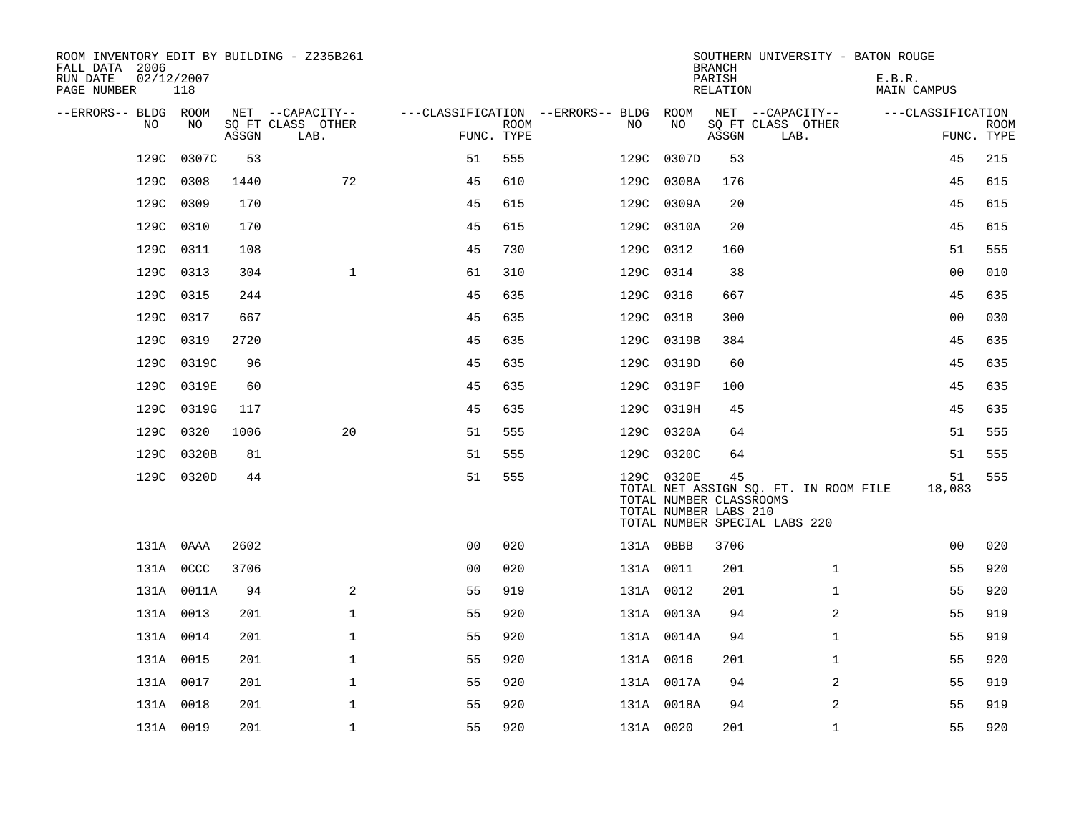| ROOM INVENTORY EDIT BY BUILDING - Z235B261<br>FALL DATA 2006<br>RUN DATE<br>02/12/2007 |            |       |                                       |                |             |                                              |            | <b>BRANCH</b><br>PARISH                                | SOUTHERN UNIVERSITY - BATON ROUGE                                      | E.B.R.            |             |
|----------------------------------------------------------------------------------------|------------|-------|---------------------------------------|----------------|-------------|----------------------------------------------|------------|--------------------------------------------------------|------------------------------------------------------------------------|-------------------|-------------|
| PAGE NUMBER                                                                            | 118        |       |                                       |                |             |                                              |            | RELATION                                               |                                                                        | MAIN CAMPUS       |             |
| --ERRORS-- BLDG ROOM<br>NO                                                             | NO         |       | NET --CAPACITY--<br>SQ FT CLASS OTHER |                | <b>ROOM</b> | ---CLASSIFICATION --ERRORS-- BLDG ROOM<br>NO | NO         |                                                        | NET --CAPACITY--<br>SQ FT CLASS OTHER                                  | ---CLASSIFICATION | <b>ROOM</b> |
|                                                                                        |            | ASSGN | LAB.                                  | FUNC. TYPE     |             |                                              |            | ASSGN                                                  | LAB.                                                                   |                   | FUNC. TYPE  |
| 129C                                                                                   | 0307C      | 53    |                                       | 51             | 555         | 129C                                         | 0307D      | 53                                                     |                                                                        | 45                | 215         |
|                                                                                        | 129C 0308  | 1440  | 72                                    | 45             | 610         |                                              | 129C 0308A | 176                                                    |                                                                        | 45                | 615         |
|                                                                                        | 129C 0309  | 170   |                                       | 45             | 615         |                                              | 129C 0309A | 20                                                     |                                                                        | 45                | 615         |
|                                                                                        | 129C 0310  | 170   |                                       | 45             | 615         |                                              | 129C 0310A | 20                                                     |                                                                        | 45                | 615         |
| 129C                                                                                   | 0311       | 108   |                                       | 45             | 730         |                                              | 129C 0312  | 160                                                    |                                                                        | 51                | 555         |
|                                                                                        | 129C 0313  | 304   | $\mathbf{1}$                          | 61             | 310         |                                              | 129C 0314  | 38                                                     |                                                                        | 0 <sub>0</sub>    | 010         |
|                                                                                        | 129C 0315  | 244   |                                       | 45             | 635         |                                              | 129C 0316  | 667                                                    |                                                                        | 45                | 635         |
|                                                                                        | 129C 0317  | 667   |                                       | 45             | 635         |                                              | 129C 0318  | 300                                                    |                                                                        | 0 <sub>0</sub>    | 030         |
| 129C                                                                                   | 0319       | 2720  |                                       | 45             | 635         |                                              | 129C 0319B | 384                                                    |                                                                        | 45                | 635         |
|                                                                                        | 129C 0319C | 96    |                                       | 45             | 635         |                                              | 129C 0319D | 60                                                     |                                                                        | 45                | 635         |
|                                                                                        | 129C 0319E | 60    |                                       | 45             | 635         |                                              | 129C 0319F | 100                                                    |                                                                        | 45                | 635         |
|                                                                                        | 129C 0319G | 117   |                                       | 45             | 635         |                                              | 129C 0319H | 45                                                     |                                                                        | 45                | 635         |
| 129C                                                                                   | 0320       | 1006  | 20                                    | 51             | 555         |                                              | 129C 0320A | 64                                                     |                                                                        | 51                | 555         |
|                                                                                        | 129C 0320B | 81    |                                       | 51             | 555         |                                              | 129C 0320C | 64                                                     |                                                                        | 51                | 555         |
|                                                                                        | 129C 0320D | 44    |                                       | 51             | 555         |                                              | 129C 0320E | 45<br>TOTAL NUMBER CLASSROOMS<br>TOTAL NUMBER LABS 210 | TOTAL NET ASSIGN SQ. FT. IN ROOM FILE<br>TOTAL NUMBER SPECIAL LABS 220 | 51<br>18,083      | 555         |
|                                                                                        | 131A 0AAA  | 2602  |                                       | 0 <sub>0</sub> | 020         |                                              | 131A OBBB  | 3706                                                   |                                                                        | 0 <sub>0</sub>    | 020         |
|                                                                                        | 131A OCCC  | 3706  |                                       | 0 <sub>0</sub> | 020         |                                              | 131A 0011  | 201                                                    | $\mathbf{1}$                                                           | 55                | 920         |
|                                                                                        | 131A 0011A | 94    | 2                                     | 55             | 919         |                                              | 131A 0012  | 201                                                    | $\mathbf{1}$                                                           | 55                | 920         |
|                                                                                        | 131A 0013  | 201   | $\mathbf{1}$                          | 55             | 920         |                                              | 131A 0013A | 94                                                     | 2                                                                      | 55                | 919         |
|                                                                                        | 131A 0014  | 201   | $\mathbf{1}$                          | 55             | 920         |                                              | 131A 0014A | 94                                                     | $\mathbf{1}$                                                           | 55                | 919         |
|                                                                                        | 131A 0015  | 201   | $\mathbf 1$                           | 55             | 920         |                                              | 131A 0016  | 201                                                    | $\mathbf{1}$                                                           | 55                | 920         |
|                                                                                        | 131A 0017  | 201   | $\mathbf{1}$                          | 55             | 920         |                                              | 131A 0017A | 94                                                     | 2                                                                      | 55                | 919         |
|                                                                                        | 131A 0018  | 201   | $\mathbf 1$                           | 55             | 920         |                                              | 131A 0018A | 94                                                     | 2                                                                      | 55                | 919         |
|                                                                                        | 131A 0019  | 201   | $\mathbf 1$                           | 55             | 920         |                                              | 131A 0020  | 201                                                    | $\mathbf{1}$                                                           | 55                | 920         |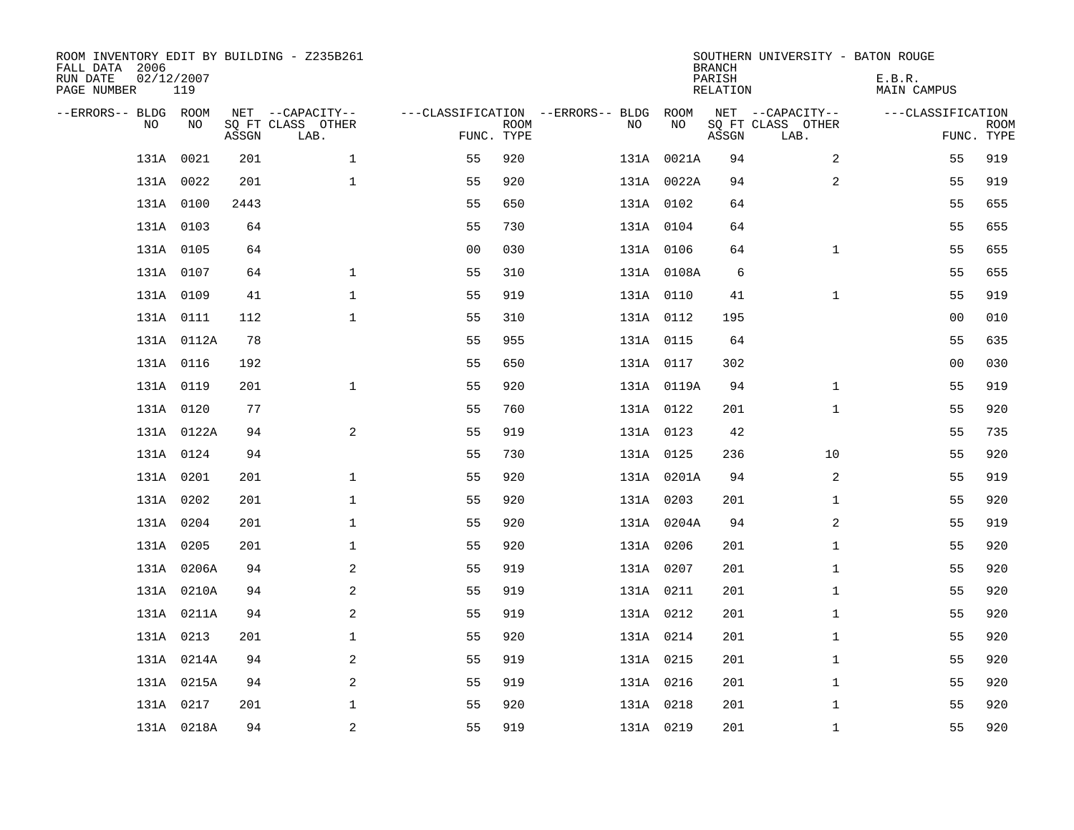| ROOM INVENTORY EDIT BY BUILDING - Z235B261<br>FALL DATA 2006<br>RUN DATE<br>PAGE NUMBER | 02/12/2007<br>119 |       |                                               |                                                 |             |           |            | <b>BRANCH</b><br>PARISH<br><b>RELATION</b> | SOUTHERN UNIVERSITY - BATON ROUGE             | E.B.R.<br><b>MAIN CAMPUS</b> |                           |
|-----------------------------------------------------------------------------------------|-------------------|-------|-----------------------------------------------|-------------------------------------------------|-------------|-----------|------------|--------------------------------------------|-----------------------------------------------|------------------------------|---------------------------|
| --ERRORS-- BLDG ROOM<br>NO.                                                             | NO                | ASSGN | NET --CAPACITY--<br>SQ FT CLASS OTHER<br>LAB. | ---CLASSIFICATION --ERRORS-- BLDG<br>FUNC. TYPE | <b>ROOM</b> | NO        | ROOM<br>NO | ASSGN                                      | NET --CAPACITY--<br>SQ FT CLASS OTHER<br>LAB. | ---CLASSIFICATION            | <b>ROOM</b><br>FUNC. TYPE |
| 131A                                                                                    | 0021              | 201   | $\mathbf 1$                                   | 55                                              | 920         |           | 131A 0021A | 94                                         | 2                                             | 55                           | 919                       |
|                                                                                         | 131A 0022         | 201   | $\mathbf 1$                                   | 55                                              | 920         |           | 131A 0022A | 94                                         | 2                                             | 55                           | 919                       |
|                                                                                         | 131A 0100         | 2443  |                                               | 55                                              | 650         | 131A 0102 |            | 64                                         |                                               | 55                           | 655                       |
|                                                                                         | 131A 0103         | 64    |                                               | 55                                              | 730         | 131A 0104 |            | 64                                         |                                               | 55                           | 655                       |
|                                                                                         | 131A 0105         | 64    |                                               | 0 <sub>0</sub>                                  | 030         | 131A 0106 |            | 64                                         | $\mathbf{1}$                                  | 55                           | 655                       |
|                                                                                         | 131A 0107         | 64    | $\mathbf 1$                                   | 55                                              | 310         |           | 131A 0108A | 6                                          |                                               | 55                           | 655                       |
|                                                                                         | 131A 0109         | 41    | $\mathbf{1}$                                  | 55                                              | 919         | 131A 0110 |            | 41                                         | $\mathbf{1}$                                  | 55                           | 919                       |
|                                                                                         | 131A 0111         | 112   | $\mathbf 1$                                   | 55                                              | 310         | 131A 0112 |            | 195                                        |                                               | 00                           | 010                       |
|                                                                                         | 131A 0112A        | 78    |                                               | 55                                              | 955         | 131A 0115 |            | 64                                         |                                               | 55                           | 635                       |
|                                                                                         | 131A 0116         | 192   |                                               | 55                                              | 650         | 131A 0117 |            | 302                                        |                                               | 00                           | 030                       |
|                                                                                         | 131A 0119         | 201   | $\mathbf{1}$                                  | 55                                              | 920         |           | 131A 0119A | 94                                         | $\mathbf{1}$                                  | 55                           | 919                       |
|                                                                                         | 131A 0120         | 77    |                                               | 55                                              | 760         | 131A 0122 |            | 201                                        | $\mathbf{1}$                                  | 55                           | 920                       |
|                                                                                         | 131A 0122A        | 94    | 2                                             | 55                                              | 919         | 131A 0123 |            | 42                                         |                                               | 55                           | 735                       |
|                                                                                         | 131A 0124         | 94    |                                               | 55                                              | 730         | 131A 0125 |            | 236                                        | 10                                            | 55                           | 920                       |
|                                                                                         | 131A 0201         | 201   | $\mathbf{1}$                                  | 55                                              | 920         |           | 131A 0201A | 94                                         | 2                                             | 55                           | 919                       |
|                                                                                         | 131A 0202         | 201   | $\mathbf{1}$                                  | 55                                              | 920         | 131A 0203 |            | 201                                        | $\mathbf{1}$                                  | 55                           | 920                       |
|                                                                                         | 131A 0204         | 201   | $\mathbf 1$                                   | 55                                              | 920         |           | 131A 0204A | 94                                         | 2                                             | 55                           | 919                       |
|                                                                                         | 131A 0205         | 201   | $\mathbf 1$                                   | 55                                              | 920         | 131A 0206 |            | 201                                        | $\mathbf{1}$                                  | 55                           | 920                       |
|                                                                                         | 131A 0206A        | 94    | 2                                             | 55                                              | 919         | 131A 0207 |            | 201                                        | $\mathbf{1}$                                  | 55                           | 920                       |
|                                                                                         | 131A 0210A        | 94    | 2                                             | 55                                              | 919         | 131A 0211 |            | 201                                        | $\mathbf{1}$                                  | 55                           | 920                       |
|                                                                                         | 131A 0211A        | 94    | 2                                             | 55                                              | 919         | 131A 0212 |            | 201                                        | $\mathbf{1}$                                  | 55                           | 920                       |
|                                                                                         | 131A 0213         | 201   | $\mathbf{1}$                                  | 55                                              | 920         | 131A 0214 |            | 201                                        | $\mathbf{1}$                                  | 55                           | 920                       |
|                                                                                         | 131A 0214A        | 94    | 2                                             | 55                                              | 919         | 131A 0215 |            | 201                                        | $\mathbf{1}$                                  | 55                           | 920                       |
|                                                                                         | 131A 0215A        | 94    | 2                                             | 55                                              | 919         | 131A 0216 |            | 201                                        | $\mathbf{1}$                                  | 55                           | 920                       |
|                                                                                         | 131A 0217         | 201   | $\mathbf 1$                                   | 55                                              | 920         | 131A 0218 |            | 201                                        | $\mathbf{1}$                                  | 55                           | 920                       |
|                                                                                         | 131A 0218A        | 94    | $\overline{a}$                                | 55                                              | 919         | 131A 0219 |            | 201                                        | $\mathbf{1}$                                  | 55                           | 920                       |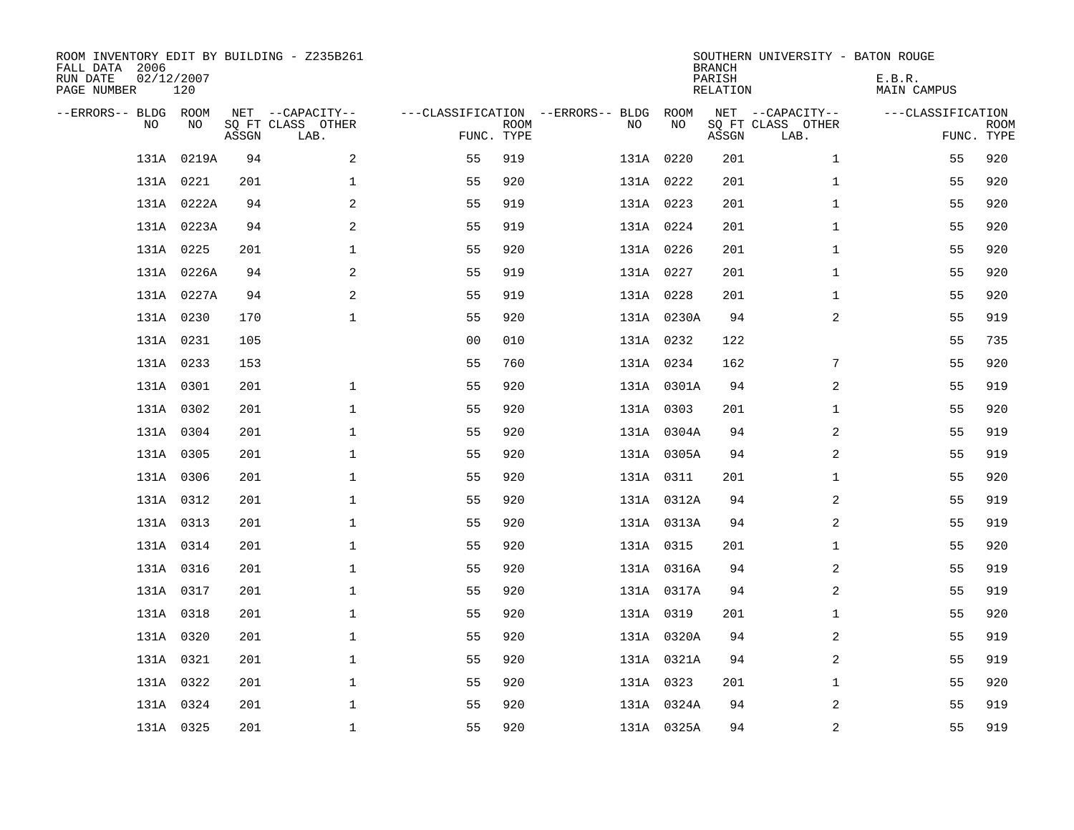| ROOM INVENTORY EDIT BY BUILDING - Z235B261<br>FALL DATA 2006<br>RUN DATE<br>PAGE NUMBER | 02/12/2007<br>120 |       |                                               |                |             |                                              |            | <b>BRANCH</b><br>PARISH<br><b>RELATION</b> | SOUTHERN UNIVERSITY - BATON ROUGE             | E.B.R.<br><b>MAIN CAMPUS</b> |                           |
|-----------------------------------------------------------------------------------------|-------------------|-------|-----------------------------------------------|----------------|-------------|----------------------------------------------|------------|--------------------------------------------|-----------------------------------------------|------------------------------|---------------------------|
| --ERRORS-- BLDG ROOM<br>NO                                                              | NO                | ASSGN | NET --CAPACITY--<br>SQ FT CLASS OTHER<br>LAB. | FUNC. TYPE     | <b>ROOM</b> | ---CLASSIFICATION --ERRORS-- BLDG ROOM<br>NO | NO         | ASSGN                                      | NET --CAPACITY--<br>SQ FT CLASS OTHER<br>LAB. | ---CLASSIFICATION            | <b>ROOM</b><br>FUNC. TYPE |
|                                                                                         | 131A 0219A        | 94    | 2                                             | 55             | 919         |                                              | 131A 0220  | 201                                        | $\mathbf{1}$                                  | 55                           | 920                       |
|                                                                                         | 131A 0221         | 201   | $\mathbf 1$                                   | 55             | 920         |                                              | 131A 0222  | 201                                        | $\mathbf{1}$                                  | 55                           | 920                       |
|                                                                                         | 131A 0222A        | 94    | 2                                             | 55             | 919         |                                              | 131A 0223  | 201                                        | $\mathbf{1}$                                  | 55                           | 920                       |
|                                                                                         | 131A 0223A        | 94    | $\overline{a}$                                | 55             | 919         |                                              | 131A 0224  | 201                                        | $\mathbf{1}$                                  | 55                           | 920                       |
|                                                                                         | 131A 0225         | 201   | $\mathbf 1$                                   | 55             | 920         |                                              | 131A 0226  | 201                                        | $\mathbf{1}$                                  | 55                           | 920                       |
|                                                                                         | 131A 0226A        | 94    | 2                                             | 55             | 919         |                                              | 131A 0227  | 201                                        | $\mathbf{1}$                                  | 55                           | 920                       |
|                                                                                         | 131A 0227A        | 94    | 2                                             | 55             | 919         |                                              | 131A 0228  | 201                                        | $\mathbf{1}$                                  | 55                           | 920                       |
|                                                                                         | 131A 0230         | 170   | $\mathbf{1}$                                  | 55             | 920         |                                              | 131A 0230A | 94                                         | 2                                             | 55                           | 919                       |
|                                                                                         | 131A 0231         | 105   |                                               | 0 <sub>0</sub> | 010         |                                              | 131A 0232  | 122                                        |                                               | 55                           | 735                       |
|                                                                                         | 131A 0233         | 153   |                                               | 55             | 760         |                                              | 131A 0234  | 162                                        | 7                                             | 55                           | 920                       |
|                                                                                         | 131A 0301         | 201   | $\mathbf 1$                                   | 55             | 920         |                                              | 131A 0301A | 94                                         | 2                                             | 55                           | 919                       |
|                                                                                         | 131A 0302         | 201   | $\mathbf 1$                                   | 55             | 920         |                                              | 131A 0303  | 201                                        | $\mathbf{1}$                                  | 55                           | 920                       |
|                                                                                         | 131A 0304         | 201   | $\mathbf 1$                                   | 55             | 920         |                                              | 131A 0304A | 94                                         | 2                                             | 55                           | 919                       |
|                                                                                         | 131A 0305         | 201   | $\mathbf 1$                                   | 55             | 920         |                                              | 131A 0305A | 94                                         | 2                                             | 55                           | 919                       |
|                                                                                         | 131A 0306         | 201   | $\mathbf 1$                                   | 55             | 920         |                                              | 131A 0311  | 201                                        | $\mathbf{1}$                                  | 55                           | 920                       |
|                                                                                         | 131A 0312         | 201   | $\mathbf 1$                                   | 55             | 920         |                                              | 131A 0312A | 94                                         | 2                                             | 55                           | 919                       |
|                                                                                         | 131A 0313         | 201   | $\mathbf{1}$                                  | 55             | 920         |                                              | 131A 0313A | 94                                         | 2                                             | 55                           | 919                       |
|                                                                                         | 131A 0314         | 201   | $\mathbf 1$                                   | 55             | 920         |                                              | 131A 0315  | 201                                        | $\mathbf{1}$                                  | 55                           | 920                       |
|                                                                                         | 131A 0316         | 201   | $\mathbf 1$                                   | 55             | 920         |                                              | 131A 0316A | 94                                         | 2                                             | 55                           | 919                       |
|                                                                                         | 131A 0317         | 201   | $\mathbf 1$                                   | 55             | 920         |                                              | 131A 0317A | 94                                         | 2                                             | 55                           | 919                       |
|                                                                                         | 131A 0318         | 201   | $\mathbf{1}$                                  | 55             | 920         |                                              | 131A 0319  | 201                                        | $\mathbf{1}$                                  | 55                           | 920                       |
|                                                                                         | 131A 0320         | 201   | $\mathbf 1$                                   | 55             | 920         |                                              | 131A 0320A | 94                                         | 2                                             | 55                           | 919                       |
|                                                                                         | 131A 0321         | 201   | $\mathbf 1$                                   | 55             | 920         |                                              | 131A 0321A | 94                                         | 2                                             | 55                           | 919                       |
|                                                                                         | 131A 0322         | 201   | $\mathbf 1$                                   | 55             | 920         |                                              | 131A 0323  | 201                                        | $\mathbf{1}$                                  | 55                           | 920                       |
|                                                                                         | 131A 0324         | 201   | $\mathbf{1}$                                  | 55             | 920         |                                              | 131A 0324A | 94                                         | 2                                             | 55                           | 919                       |
|                                                                                         | 131A 0325         | 201   | $\mathbf{1}$                                  | 55             | 920         |                                              | 131A 0325A | 94                                         | 2                                             | 55                           | 919                       |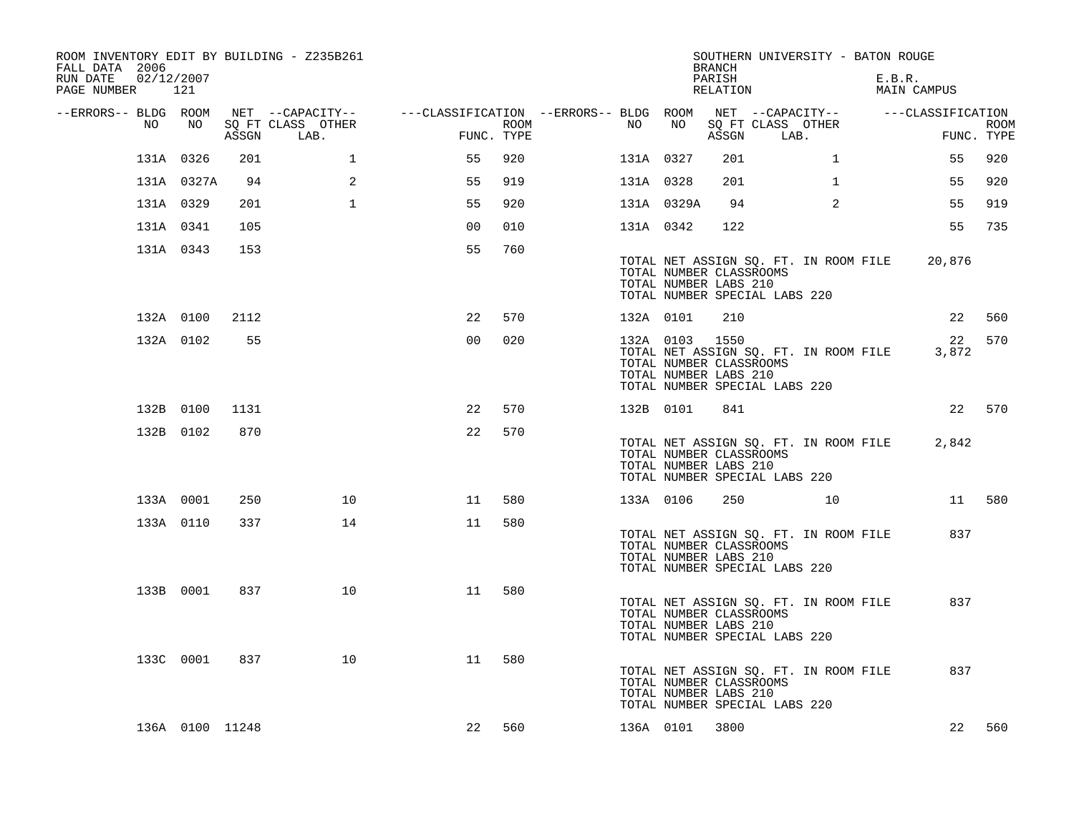| ROOM INVENTORY EDIT BY BUILDING - Z235B261<br>FALL DATA 2006<br>RUN DATE<br>PAGE NUMBER 121 | 02/12/2007      |       |                                                                                                          |                |      |           |                | <b>BRANCH</b><br>PARISH<br>RELATION              | SOUTHERN UNIVERSITY - BATON ROUGE                                      | E.B.R.<br>MAIN CAMPUS |                           |
|---------------------------------------------------------------------------------------------|-----------------|-------|----------------------------------------------------------------------------------------------------------|----------------|------|-----------|----------------|--------------------------------------------------|------------------------------------------------------------------------|-----------------------|---------------------------|
| --ERRORS-- BLDG ROOM<br>NO                                                                  | NO .            | ASSGN | NET --CAPACITY--    ---CLASSIFICATION --ERRORS-- BLDG ROOM NET --CAPACITY--<br>SQ FT CLASS OTHER<br>LAB. | FUNC. TYPE     | ROOM | NO        | NO             | ASSGN                                            | SQ FT CLASS OTHER<br>LAB.                                              | ---CLASSIFICATION     | <b>ROOM</b><br>FUNC. TYPE |
|                                                                                             | 131A 0326       | 201   | 1                                                                                                        | 55             | 920  | 131A 0327 |                | 201                                              | $\mathbf{1}$                                                           | 55                    | 920                       |
|                                                                                             | 131A 0327A      | 94    | 2                                                                                                        | 55             | 919  | 131A 0328 |                | 201                                              | $\mathbf{1}$                                                           | 55                    | 920                       |
|                                                                                             | 131A 0329       | 201   | $\mathbf{1}$                                                                                             | 55             | 920  |           | 131A 0329A     | 94                                               | 2                                                                      | 55                    | 919                       |
|                                                                                             | 131A 0341       | 105   |                                                                                                          | 0 <sub>0</sub> | 010  | 131A 0342 |                | 122                                              |                                                                        | 55                    | 735                       |
|                                                                                             | 131A 0343       | 153   |                                                                                                          | 55             | 760  |           |                | TOTAL NUMBER CLASSROOMS<br>TOTAL NUMBER LABS 210 | TOTAL NET ASSIGN SQ. FT. IN ROOM FILE<br>TOTAL NUMBER SPECIAL LABS 220 | 20,876                |                           |
|                                                                                             | 132A 0100       | 2112  |                                                                                                          | 22             | 570  | 132A 0101 |                | 210                                              |                                                                        | 22                    | 560                       |
|                                                                                             | 132A 0102       | 55    |                                                                                                          | 0 <sub>0</sub> | 020  |           | 132A 0103 1550 | TOTAL NUMBER CLASSROOMS<br>TOTAL NUMBER LABS 210 | TOTAL NET ASSIGN SQ. FT. IN ROOM FILE<br>TOTAL NUMBER SPECIAL LABS 220 | 22<br>3,872           | 570                       |
|                                                                                             | 132B 0100       | 1131  |                                                                                                          | 22             | 570  |           | 132B 0101      | 841                                              |                                                                        |                       | 22 570                    |
|                                                                                             | 132B 0102       | 870   |                                                                                                          | 22             | 570  |           |                | TOTAL NUMBER CLASSROOMS<br>TOTAL NUMBER LABS 210 | TOTAL NET ASSIGN SQ. FT. IN ROOM FILE<br>TOTAL NUMBER SPECIAL LABS 220 | 2,842                 |                           |
|                                                                                             | 133A 0001       | 250   | 10                                                                                                       | 11             | 580  |           | 133A 0106      | 250                                              | 10                                                                     |                       | 11 580                    |
|                                                                                             | 133A 0110       | 337   | 14                                                                                                       | 11             | 580  |           |                | TOTAL NUMBER CLASSROOMS<br>TOTAL NUMBER LABS 210 | TOTAL NET ASSIGN SQ. FT. IN ROOM FILE<br>TOTAL NUMBER SPECIAL LABS 220 | 837                   |                           |
|                                                                                             | 133B 0001       | 837   | 10                                                                                                       | 11             | 580  |           |                | TOTAL NUMBER CLASSROOMS<br>TOTAL NUMBER LABS 210 | TOTAL NET ASSIGN SQ. FT. IN ROOM FILE<br>TOTAL NUMBER SPECIAL LABS 220 | 837                   |                           |
|                                                                                             | 133C 0001       | 837   | 10                                                                                                       | 11             | 580  |           |                | TOTAL NUMBER CLASSROOMS<br>TOTAL NUMBER LABS 210 | TOTAL NET ASSIGN SQ. FT. IN ROOM FILE<br>TOTAL NUMBER SPECIAL LABS 220 | 837                   |                           |
|                                                                                             | 136A 0100 11248 |       |                                                                                                          | 22             | 560  |           | 136A 0101      | 3800                                             |                                                                        | 22                    | 560                       |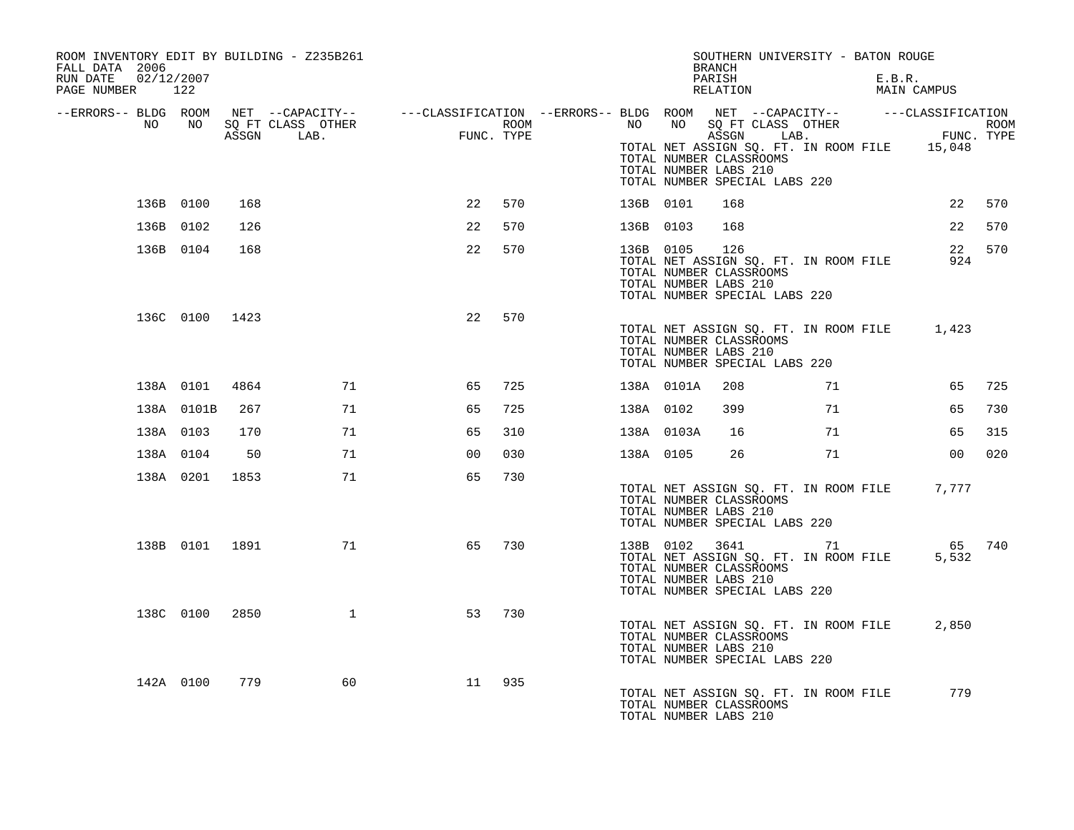| ROOM INVENTORY EDIT BY BUILDING - Z235B261<br>FALL DATA 2006<br>02/12/2007<br>RUN DATE |                 |       |                                                                                                                                         |            |      |           |            | SOUTHERN UNIVERSITY - BATON ROUGE<br>BRANCH<br>PARISH                                                                                           |    | E.B.R.                             |                 |     |
|----------------------------------------------------------------------------------------|-----------------|-------|-----------------------------------------------------------------------------------------------------------------------------------------|------------|------|-----------|------------|-------------------------------------------------------------------------------------------------------------------------------------------------|----|------------------------------------|-----------------|-----|
| PAGE NUMBER 122<br>NO                                                                  | NO <sub>1</sub> |       | --ERRORS-- BLDG ROOM NET --CAPACITY-- ----CLASSIFICATION --ERRORS-- BLDG ROOM NET --CAPACITY-- -----CLASSIFICATION<br>SQ FT CLASS OTHER |            | ROOM | NO        |            | RELATION<br>NO SQ FT CLASS OTHER                                                                                                                |    | MAIN CAMPUS<br>ASS OTHER ROOM ROOM |                 |     |
|                                                                                        |                 | ASSGN | LAB.                                                                                                                                    | FUNC. TYPE |      |           |            | ASSGN<br>TOTAL NET ASSIGN SQ. FT. IN ROOM FILE 15,048<br>TOTAL NUMBER CLASSROOMS<br>TOTAL NUMBER LABS 210<br>TOTAL NUMBER SPECIAL LABS 220      |    |                                    |                 |     |
|                                                                                        | 136B 0100       | 168   |                                                                                                                                         | 22         | 570  | 136B 0101 |            | 168                                                                                                                                             |    |                                    | 22              | 570 |
|                                                                                        | 136B 0102       | 126   |                                                                                                                                         | 22         | 570  | 136B 0103 |            | 168                                                                                                                                             |    |                                    | 22              | 570 |
|                                                                                        | 136B 0104       | 168   |                                                                                                                                         | 22         | 570  |           | 136B 0105  | 126<br>TOTAL NET ASSIGN SQ. FT. IN ROOM FILE<br>TOTAL NUMBER CLASSROOMS<br>TOTAL NUMBER LABS 210<br>TOTAL NUMBER SPECIAL LABS 220               |    |                                    | 22<br>924       | 570 |
|                                                                                        | 136C 0100 1423  |       |                                                                                                                                         | 22         | 570  |           |            | TOTAL NET ASSIGN SQ. FT. IN ROOM FILE 1,423<br>TOTAL NUMBER CLASSROOMS<br>TOTAL NUMBER LABS 210<br>TOTAL NUMBER SPECIAL LABS 220                |    |                                    |                 |     |
|                                                                                        | 138A 0101       | 4864  | 71                                                                                                                                      | 65         | 725  |           | 138A 0101A | 208                                                                                                                                             | 71 |                                    | 65              | 725 |
|                                                                                        | 138A 0101B      | 267   | 71                                                                                                                                      | 65         | 725  | 138A 0102 |            | 399                                                                                                                                             | 71 |                                    | 65              | 730 |
|                                                                                        | 138A 0103       | 170   | 71                                                                                                                                      | 65         | 310  |           | 138A 0103A | 16                                                                                                                                              | 71 |                                    | 65              | 315 |
|                                                                                        | 138A 0104       | 50    | 71                                                                                                                                      | 00         | 030  |           | 138A 0105  | 26                                                                                                                                              | 71 |                                    | 00              | 020 |
|                                                                                        | 138A 0201       | 1853  | 71                                                                                                                                      | 65         | 730  |           |            | TOTAL NET ASSIGN SQ. FT. IN ROOM FILE<br>TOTAL NUMBER CLASSROOMS<br>TOTAL NUMBER LABS 210<br>TOTAL NUMBER SPECIAL LABS 220                      |    |                                    | 7,777           |     |
|                                                                                        | 138B 0101 1891  |       | 71                                                                                                                                      | 65         | 730  |           |            | 138B 0102 3641 71<br>TOTAL NET ASSIGN SQ. FT. IN ROOM FILE<br>TOTAL NUMBER CLASSROOMS<br>TOTAL NUMBER LABS 210<br>TOTAL NUMBER SPECIAL LABS 220 |    |                                    | 65 740<br>5,532 |     |
|                                                                                        | 138C 0100       | 2850  | $\mathbf{1}$                                                                                                                            | 53         | 730  |           |            | TOTAL NET ASSIGN SQ. FT. IN ROOM FILE<br>TOTAL NUMBER CLASSROOMS<br>TOTAL NUMBER LABS 210<br>TOTAL NUMBER SPECIAL LABS 220                      |    |                                    | 2,850           |     |
|                                                                                        | 142A 0100       | 779   | 60                                                                                                                                      | 11         | 935  |           |            | TOTAL NET ASSIGN SQ. FT. IN ROOM FILE<br>TOTAL NUMBER CLASSROOMS<br>TOTAL NUMBER LABS 210                                                       |    |                                    | 779             |     |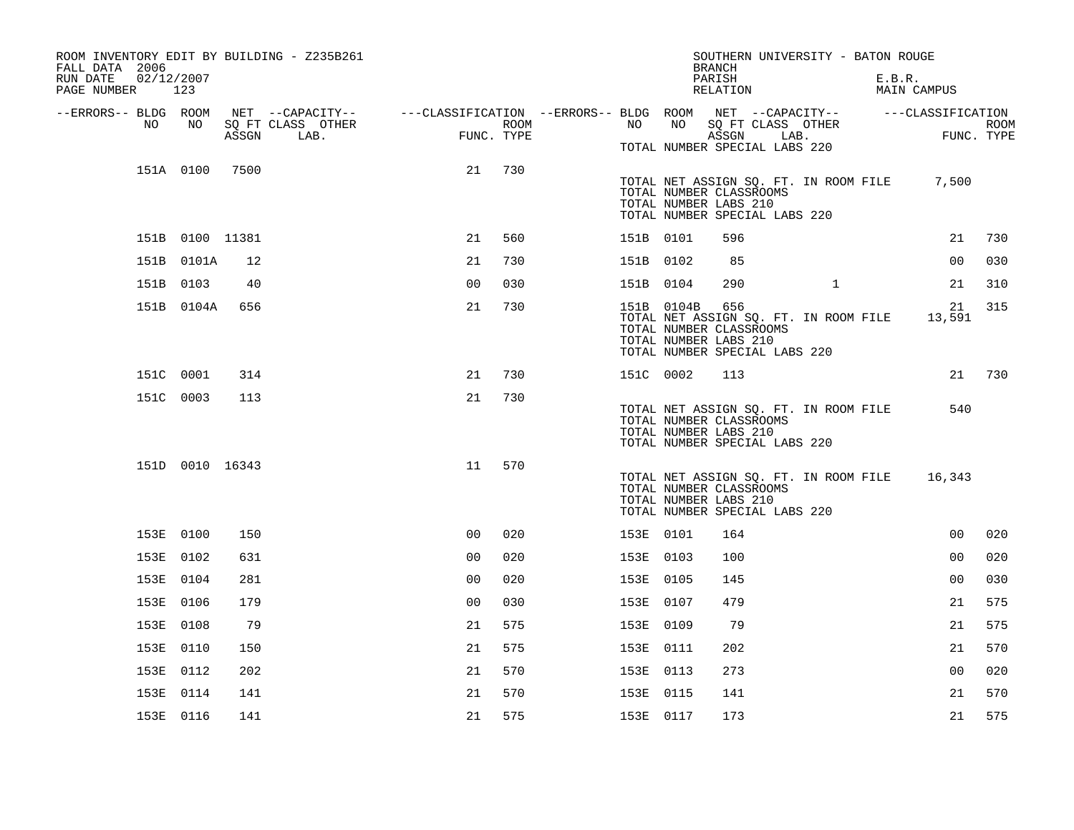| ROOM INVENTORY EDIT BY BUILDING - Z235B261<br>FALL DATA 2006<br>RUN DATE<br>PAGE NUMBER 123 | 02/12/2007      |       |                                                                                                                             |                |                    |           |            | SOUTHERN UNIVERSITY - BATON ROUGE<br><b>BRANCH</b><br>PARISH<br>RELATION                                                          |              | E.B.R.<br><b>MAIN CAMPUS</b> |                    |
|---------------------------------------------------------------------------------------------|-----------------|-------|-----------------------------------------------------------------------------------------------------------------------------|----------------|--------------------|-----------|------------|-----------------------------------------------------------------------------------------------------------------------------------|--------------|------------------------------|--------------------|
| --ERRORS-- BLDG ROOM<br>NO.                                                                 | NO              | ASSGN | NET --CAPACITY-- - ---CLASSIFICATION --ERRORS-- BLDG ROOM NET --CAPACITY-- - ---CLASSIFICATION<br>SQ FT CLASS OTHER<br>LAB. |                | ROOM<br>FUNC. TYPE | NO .      | NO         | SQ FT CLASS OTHER<br>ASSGN<br>TOTAL NUMBER SPECIAL LABS 220                                                                       | LAB.         |                              | ROOM<br>FUNC. TYPE |
|                                                                                             | 151A 0100       | 7500  |                                                                                                                             | 21             | 730                |           |            | TOTAL NET ASSIGN SQ. FT. IN ROOM FILE<br>TOTAL NUMBER CLASSROOMS<br>TOTAL NUMBER LABS 210<br>TOTAL NUMBER SPECIAL LABS 220        |              | 7,500                        |                    |
|                                                                                             | 151B 0100 11381 |       |                                                                                                                             | 21             | 560                | 151B 0101 |            | 596                                                                                                                               |              | 21                           | 730                |
|                                                                                             | 151B 0101A      | 12    |                                                                                                                             | 21             | 730                | 151B 0102 |            | 85                                                                                                                                |              | 0 <sub>0</sub>               | 030                |
|                                                                                             | 151B 0103       | 40    |                                                                                                                             | 0 <sub>0</sub> | 030                | 151B 0104 |            | 290                                                                                                                               | $\mathbf{1}$ | 21                           | 310                |
|                                                                                             | 151B 0104A      | 656   |                                                                                                                             | 21             | 730                |           | 151B 0104B | 656<br>TOTAL NET ASSIGN SQ. FT. IN ROOM FILE<br>TOTAL NUMBER CLASSROOMS<br>TOTAL NUMBER LABS 210<br>TOTAL NUMBER SPECIAL LABS 220 |              | 21<br>13,591                 | 315                |
|                                                                                             | 151C 0001       | 314   |                                                                                                                             | 21             | 730                | 151C 0002 |            | 113                                                                                                                               |              | 21                           | 730                |
|                                                                                             | 151C 0003       | 113   |                                                                                                                             | 21             | 730                |           |            | TOTAL NET ASSIGN SQ. FT. IN ROOM FILE<br>TOTAL NUMBER CLASSROOMS<br>TOTAL NUMBER LABS 210<br>TOTAL NUMBER SPECIAL LABS 220        |              | 540                          |                    |
|                                                                                             | 151D 0010 16343 |       |                                                                                                                             | 11             | 570                |           |            | TOTAL NET ASSIGN SQ. FT. IN ROOM FILE<br>TOTAL NUMBER CLASSROOMS<br>TOTAL NUMBER LABS 210<br>TOTAL NUMBER SPECIAL LABS 220        |              | 16,343                       |                    |
|                                                                                             | 153E 0100       | 150   |                                                                                                                             | 0 <sup>0</sup> | 020                | 153E 0101 |            | 164                                                                                                                               |              | 00                           | 020                |
|                                                                                             | 153E 0102       | 631   |                                                                                                                             | 0 <sub>0</sub> | 020                | 153E 0103 |            | 100                                                                                                                               |              | 0 <sub>0</sub>               | 020                |
|                                                                                             | 153E 0104       | 281   |                                                                                                                             | 0 <sub>0</sub> | 020                | 153E 0105 |            | 145                                                                                                                               |              | 0 <sub>0</sub>               | 030                |
|                                                                                             | 153E 0106       | 179   |                                                                                                                             | 0 <sub>0</sub> | 030                | 153E 0107 |            | 479                                                                                                                               |              | 21                           | 575                |
|                                                                                             | 153E 0108       | 79    |                                                                                                                             | 21             | 575                | 153E 0109 |            | 79                                                                                                                                |              | 21                           | 575                |
|                                                                                             | 153E 0110       | 150   |                                                                                                                             | 21             | 575                | 153E 0111 |            | 202                                                                                                                               |              | 21                           | 570                |
|                                                                                             | 153E 0112       | 202   |                                                                                                                             | 21             | 570                | 153E 0113 |            | 273                                                                                                                               |              | 0 <sub>0</sub>               | 020                |
|                                                                                             | 153E 0114       | 141   |                                                                                                                             | 21             | 570                | 153E 0115 |            | 141                                                                                                                               |              | 21                           | 570                |
|                                                                                             | 153E 0116       | 141   |                                                                                                                             | 21             | 575                | 153E 0117 |            | 173                                                                                                                               |              | 21                           | 575                |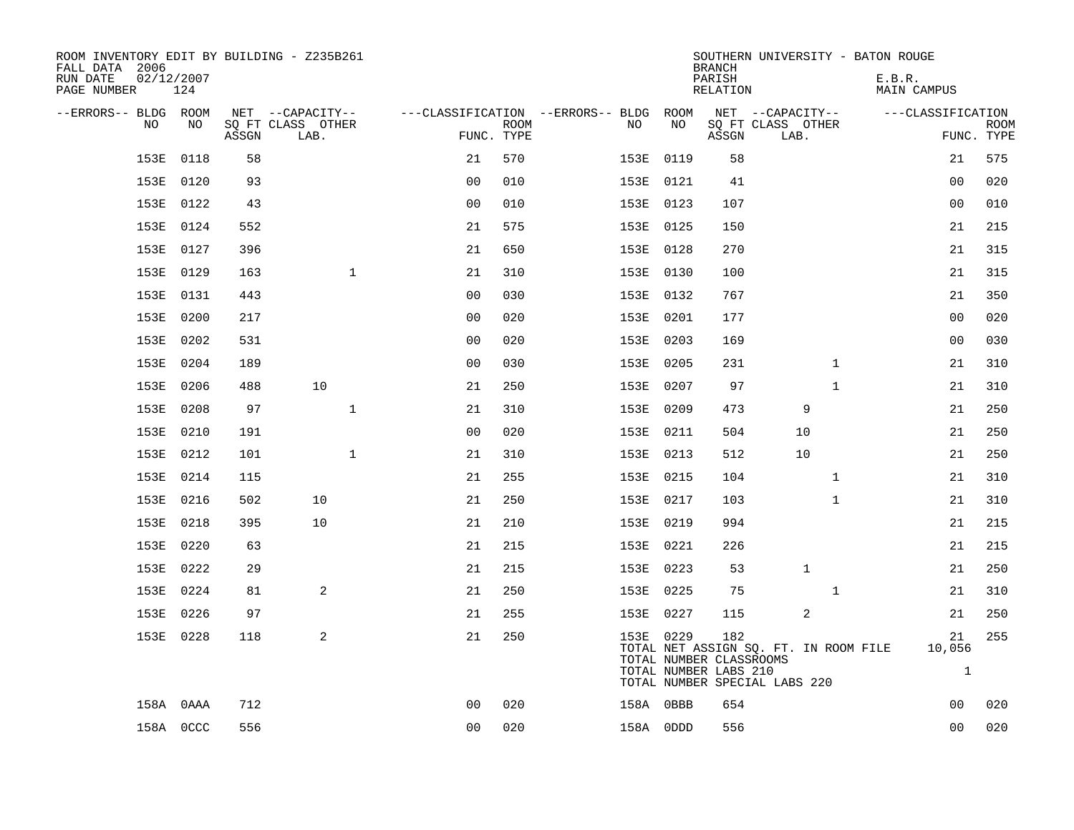| ROOM INVENTORY EDIT BY BUILDING - Z235B261<br>FALL DATA 2006<br>RUN DATE<br>PAGE NUMBER | 02/12/2007<br>124 |       |                           |                |             |                                        |           | <b>BRANCH</b><br>PARISH<br>RELATION                     | SOUTHERN UNIVERSITY - BATON ROUGE                                      | E.B.R.<br><b>MAIN CAMPUS</b> |                              |             |
|-----------------------------------------------------------------------------------------|-------------------|-------|---------------------------|----------------|-------------|----------------------------------------|-----------|---------------------------------------------------------|------------------------------------------------------------------------|------------------------------|------------------------------|-------------|
| --ERRORS-- BLDG ROOM                                                                    |                   |       | NET --CAPACITY--          |                |             | ---CLASSIFICATION --ERRORS-- BLDG ROOM |           |                                                         | NET --CAPACITY--                                                       |                              | ---CLASSIFICATION            |             |
| NO.                                                                                     | NO                | ASSGN | SQ FT CLASS OTHER<br>LAB. | FUNC. TYPE     | <b>ROOM</b> | NO                                     | NO        | ASSGN                                                   | SQ FT CLASS OTHER<br>LAB.                                              |                              | FUNC. TYPE                   | <b>ROOM</b> |
| 153E                                                                                    | 0118              | 58    |                           | 21             | 570         |                                        | 153E 0119 | 58                                                      |                                                                        |                              | 21                           | 575         |
| 153E                                                                                    | 0120              | 93    |                           | 0 <sub>0</sub> | 010         |                                        | 153E 0121 | 41                                                      |                                                                        |                              | 00                           | 020         |
| 153E                                                                                    | 0122              | 43    |                           | 0 <sub>0</sub> | 010         |                                        | 153E 0123 | 107                                                     |                                                                        |                              | 0 <sub>0</sub>               | 010         |
| 153E                                                                                    | 0124              | 552   |                           | 21             | 575         |                                        | 153E 0125 | 150                                                     |                                                                        |                              | 21                           | 215         |
| 153E                                                                                    | 0127              | 396   |                           | 21             | 650         |                                        | 153E 0128 | 270                                                     |                                                                        |                              | 21                           | 315         |
|                                                                                         | 153E 0129         | 163   | $\mathbf{1}$              | 21             | 310         |                                        | 153E 0130 | 100                                                     |                                                                        |                              | 21                           | 315         |
| 153E                                                                                    | 0131              | 443   |                           | 0 <sub>0</sub> | 030         |                                        | 153E 0132 | 767                                                     |                                                                        |                              | 21                           | 350         |
| 153E                                                                                    | 0200              | 217   |                           | 0 <sub>0</sub> | 020         |                                        | 153E 0201 | 177                                                     |                                                                        |                              | 0 <sub>0</sub>               | 020         |
| 153E                                                                                    | 0202              | 531   |                           | 0 <sub>0</sub> | 020         |                                        | 153E 0203 | 169                                                     |                                                                        |                              | 00                           | 030         |
|                                                                                         | 153E 0204         | 189   |                           | 0 <sub>0</sub> | 030         |                                        | 153E 0205 | 231                                                     | $\mathbf{1}$                                                           |                              | 21                           | 310         |
| 153E                                                                                    | 0206              | 488   | 10                        | 21             | 250         |                                        | 153E 0207 | 97                                                      | $\mathbf{1}$                                                           |                              | 21                           | 310         |
| 153E                                                                                    | 0208              | 97    | $\mathbf{1}$              | 21             | 310         |                                        | 153E 0209 | 473                                                     | 9                                                                      |                              | 21                           | 250         |
| 153E                                                                                    | 0210              | 191   |                           | 0 <sub>0</sub> | 020         |                                        | 153E 0211 | 504                                                     | 10                                                                     |                              | 21                           | 250         |
| 153E                                                                                    | 0212              | 101   | $\mathbf{1}$              | 21             | 310         |                                        | 153E 0213 | 512                                                     | 10                                                                     |                              | 21                           | 250         |
|                                                                                         | 153E 0214         | 115   |                           | 21             | 255         |                                        | 153E 0215 | 104                                                     | $\mathbf{1}$                                                           |                              | 21                           | 310         |
| 153E                                                                                    | 0216              | 502   | 10                        | 21             | 250         |                                        | 153E 0217 | 103                                                     | $\mathbf{1}$                                                           |                              | 21                           | 310         |
|                                                                                         | 153E 0218         | 395   | 10                        | 21             | 210         |                                        | 153E 0219 | 994                                                     |                                                                        |                              | 21                           | 215         |
| 153E                                                                                    | 0220              | 63    |                           | 21             | 215         |                                        | 153E 0221 | 226                                                     |                                                                        |                              | 21                           | 215         |
|                                                                                         | 153E 0222         | 29    |                           | 21             | 215         |                                        | 153E 0223 | 53                                                      | $\mathbf{1}$                                                           |                              | 21                           | 250         |
| 153E                                                                                    | 0224              | 81    | 2                         | 21             | 250         |                                        | 153E 0225 | 75                                                      | $\mathbf{1}$                                                           |                              | 21                           | 310         |
|                                                                                         | 153E 0226         | 97    |                           | 21             | 255         |                                        | 153E 0227 | 115                                                     | 2                                                                      |                              | 21                           | 250         |
|                                                                                         | 153E 0228         | 118   | 2                         | 21             | 250         |                                        | 153E 0229 | 182<br>TOTAL NUMBER CLASSROOMS<br>TOTAL NUMBER LABS 210 | TOTAL NET ASSIGN SQ. FT. IN ROOM FILE<br>TOTAL NUMBER SPECIAL LABS 220 |                              | 21<br>10,056<br>$\mathbf{1}$ | 255         |
|                                                                                         | 158A 0AAA         | 712   |                           | 0 <sub>0</sub> | 020         |                                        | 158A OBBB | 654                                                     |                                                                        |                              | 0 <sub>0</sub>               | 020         |
|                                                                                         | 158A OCCC         | 556   |                           | 0 <sub>0</sub> | 020         |                                        | 158A ODDD | 556                                                     |                                                                        |                              | 0 <sub>0</sub>               | 020         |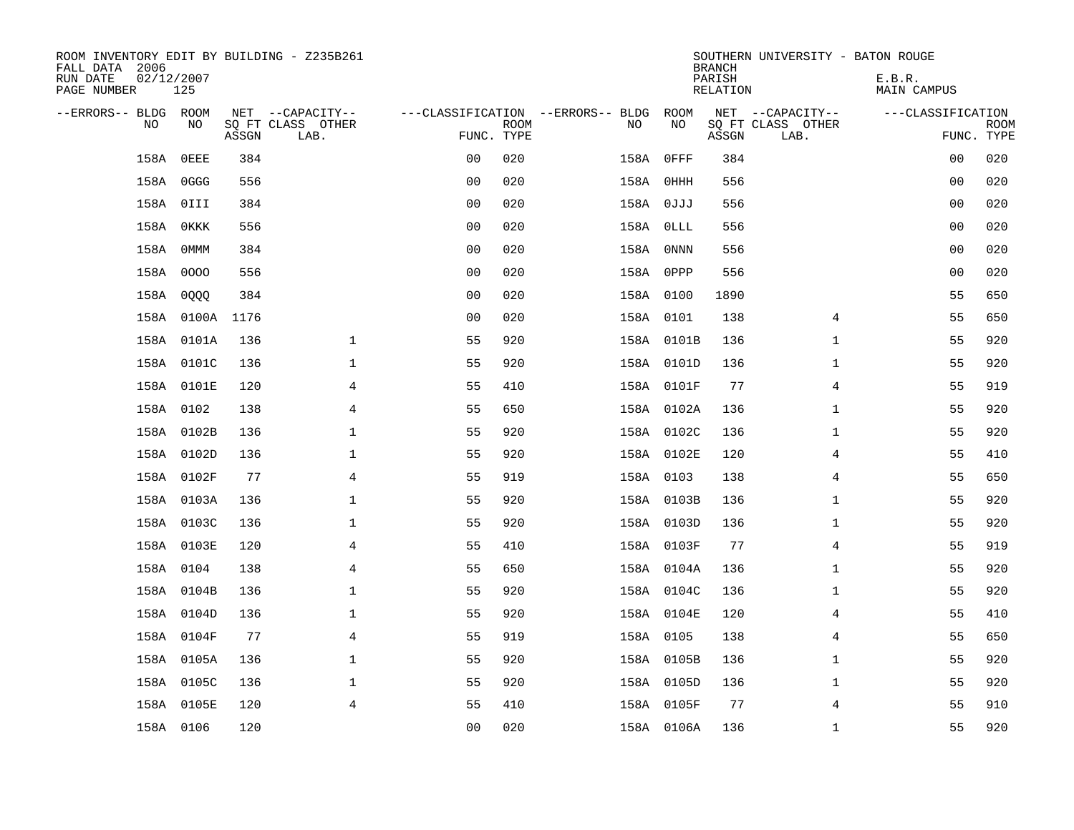| ROOM INVENTORY EDIT BY BUILDING - Z235B261<br>FALL DATA 2006<br>RUN DATE<br>PAGE NUMBER | 02/12/2007<br>125 |       |                                               |                |             |                                         |            | <b>BRANCH</b><br>PARISH<br><b>RELATION</b> | SOUTHERN UNIVERSITY - BATON ROUGE             | E.B.R.<br><b>MAIN CAMPUS</b> |                           |
|-----------------------------------------------------------------------------------------|-------------------|-------|-----------------------------------------------|----------------|-------------|-----------------------------------------|------------|--------------------------------------------|-----------------------------------------------|------------------------------|---------------------------|
| --ERRORS-- BLDG ROOM<br>NO.                                                             | NO                | ASSGN | NET --CAPACITY--<br>SQ FT CLASS OTHER<br>LAB. | FUNC. TYPE     | <b>ROOM</b> | ---CLASSIFICATION --ERRORS-- BLDG<br>NO | ROOM<br>NO | ASSGN                                      | NET --CAPACITY--<br>SQ FT CLASS OTHER<br>LAB. | ---CLASSIFICATION            | <b>ROOM</b><br>FUNC. TYPE |
| 158A                                                                                    | OEEE              | 384   |                                               | 0 <sub>0</sub> | 020         | 158A                                    | $0$ FFF    | 384                                        |                                               | 00                           | 020                       |
|                                                                                         | 158A OGGG         | 556   |                                               | 0 <sub>0</sub> | 020         |                                         | 158A OHHH  | 556                                        |                                               | 00                           | 020                       |
|                                                                                         | 158A OIII         | 384   |                                               | 0 <sub>0</sub> | 020         |                                         | 158A 0JJJ  | 556                                        |                                               | 00                           | 020                       |
| 158A                                                                                    | 0KKK              | 556   |                                               | 0 <sub>0</sub> | 020         |                                         | 158A OLLL  | 556                                        |                                               | 0 <sub>0</sub>               | 020                       |
| 158A                                                                                    | OMMM              | 384   |                                               | 0 <sub>0</sub> | 020         |                                         | 158A ONNN  | 556                                        |                                               | 0 <sub>0</sub>               | 020                       |
|                                                                                         | 158A 0000         | 556   |                                               | 0 <sub>0</sub> | 020         |                                         | 158A OPPP  | 556                                        |                                               | 0 <sub>0</sub>               | 020                       |
|                                                                                         | 158A 0QQQ         | 384   |                                               | 0 <sub>0</sub> | 020         |                                         | 158A 0100  | 1890                                       |                                               | 55                           | 650                       |
|                                                                                         | 158A 0100A 1176   |       |                                               | 0 <sub>0</sub> | 020         |                                         | 158A 0101  | 138                                        | 4                                             | 55                           | 650                       |
|                                                                                         | 158A 0101A        | 136   | $\mathbf{1}$                                  | 55             | 920         |                                         | 158A 0101B | 136                                        | $\mathbf{1}$                                  | 55                           | 920                       |
|                                                                                         | 158A 0101C        | 136   | $\mathbf 1$                                   | 55             | 920         |                                         | 158A 0101D | 136                                        | $\mathbf{1}$                                  | 55                           | 920                       |
|                                                                                         | 158A 0101E        | 120   | 4                                             | 55             | 410         |                                         | 158A 0101F | 77                                         | $\overline{4}$                                | 55                           | 919                       |
|                                                                                         | 158A 0102         | 138   | $\overline{4}$                                | 55             | 650         |                                         | 158A 0102A | 136                                        | $\mathbf{1}$                                  | 55                           | 920                       |
|                                                                                         | 158A 0102B        | 136   | $\mathbf 1$                                   | 55             | 920         |                                         | 158A 0102C | 136                                        | $\mathbf{1}$                                  | 55                           | 920                       |
|                                                                                         | 158A 0102D        | 136   | $\mathbf 1$                                   | 55             | 920         |                                         | 158A 0102E | 120                                        | 4                                             | 55                           | 410                       |
|                                                                                         | 158A 0102F        | 77    | 4                                             | 55             | 919         |                                         | 158A 0103  | 138                                        | 4                                             | 55                           | 650                       |
|                                                                                         | 158A 0103A        | 136   | $\mathbf 1$                                   | 55             | 920         |                                         | 158A 0103B | 136                                        | $\mathbf{1}$                                  | 55                           | 920                       |
|                                                                                         | 158A 0103C        | 136   | $\mathbf 1$                                   | 55             | 920         |                                         | 158A 0103D | 136                                        | $\mathbf{1}$                                  | 55                           | 920                       |
|                                                                                         | 158A 0103E        | 120   | $\overline{4}$                                | 55             | 410         |                                         | 158A 0103F | 77                                         | $\overline{4}$                                | 55                           | 919                       |
|                                                                                         | 158A 0104         | 138   | 4                                             | 55             | 650         |                                         | 158A 0104A | 136                                        | $\mathbf{1}$                                  | 55                           | 920                       |
|                                                                                         | 158A 0104B        | 136   | $\mathbf 1$                                   | 55             | 920         |                                         | 158A 0104C | 136                                        | $\mathbf{1}$                                  | 55                           | 920                       |
|                                                                                         | 158A 0104D        | 136   | $\mathbf 1$                                   | 55             | 920         |                                         | 158A 0104E | 120                                        | 4                                             | 55                           | 410                       |
|                                                                                         | 158A 0104F        | 77    | $\overline{4}$                                | 55             | 919         |                                         | 158A 0105  | 138                                        | $\overline{4}$                                | 55                           | 650                       |
|                                                                                         | 158A 0105A        | 136   | $\mathbf 1$                                   | 55             | 920         |                                         | 158A 0105B | 136                                        | $\mathbf{1}$                                  | 55                           | 920                       |
|                                                                                         | 158A 0105C        | 136   | $\mathbf 1$                                   | 55             | 920         |                                         | 158A 0105D | 136                                        | $\mathbf{1}$                                  | 55                           | 920                       |
|                                                                                         | 158A 0105E        | 120   | $\overline{4}$                                | 55             | 410         |                                         | 158A 0105F | 77                                         | 4                                             | 55                           | 910                       |
|                                                                                         | 158A 0106         | 120   |                                               | 0 <sub>0</sub> | 020         |                                         | 158A 0106A | 136                                        | $\mathbf{1}$                                  | 55                           | 920                       |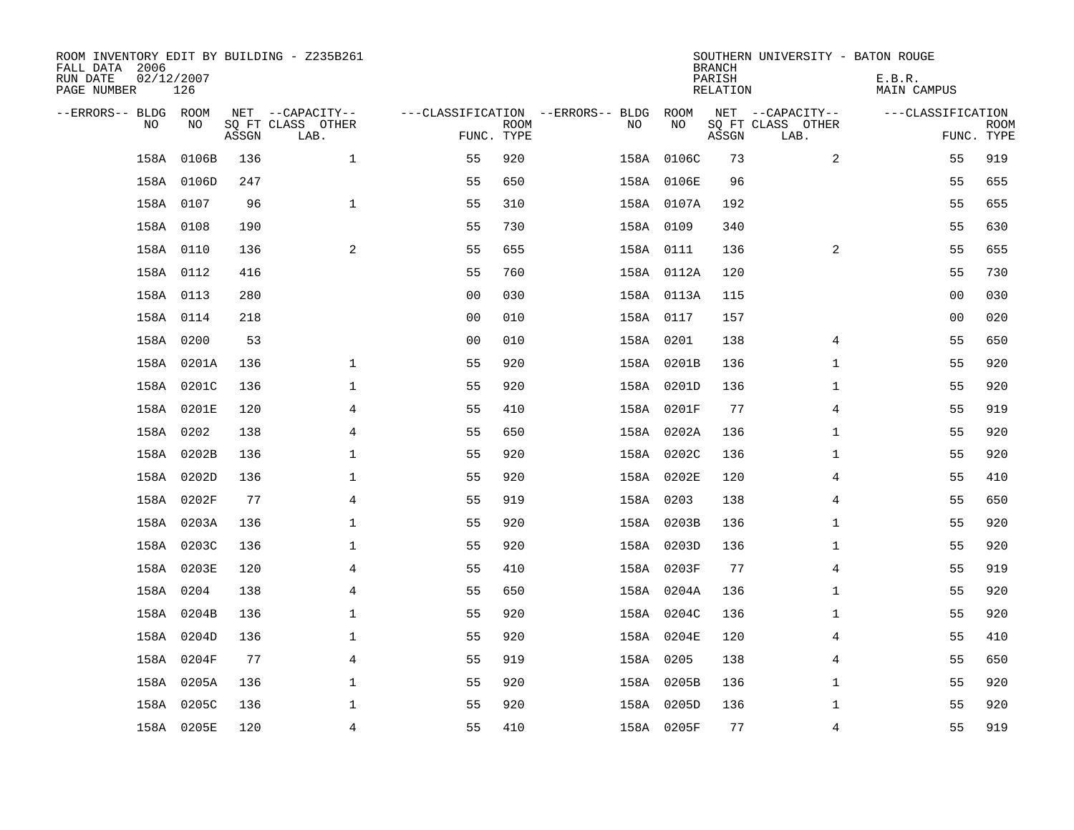| ROOM INVENTORY EDIT BY BUILDING - Z235B261<br>FALL DATA 2006<br>RUN DATE<br>PAGE NUMBER | 02/12/2007<br>126 |       |                           |                |             |                                   |            | <b>BRANCH</b><br>PARISH<br>RELATION | SOUTHERN UNIVERSITY - BATON ROUGE | E.B.R.<br>MAIN CAMPUS |                           |
|-----------------------------------------------------------------------------------------|-------------------|-------|---------------------------|----------------|-------------|-----------------------------------|------------|-------------------------------------|-----------------------------------|-----------------------|---------------------------|
| --ERRORS-- BLDG ROOM                                                                    |                   |       | NET --CAPACITY--          |                |             | ---CLASSIFICATION --ERRORS-- BLDG | ROOM       |                                     | NET --CAPACITY--                  | ---CLASSIFICATION     |                           |
| N <sub>O</sub>                                                                          | NO.               | ASSGN | SO FT CLASS OTHER<br>LAB. | FUNC. TYPE     | <b>ROOM</b> | NO.                               | NO         | ASSGN                               | SQ FT CLASS OTHER<br>LAB.         |                       | <b>ROOM</b><br>FUNC. TYPE |
| 158A                                                                                    | 0106B             | 136   | $\mathbf{1}$              | 55             | 920         |                                   | 158A 0106C | 73                                  | $\overline{2}$                    | 55                    | 919                       |
|                                                                                         | 158A 0106D        | 247   |                           | 55             | 650         |                                   | 158A 0106E | 96                                  |                                   | 55                    | 655                       |
|                                                                                         | 158A 0107         | 96    | $\mathbf 1$               | 55             | 310         |                                   | 158A 0107A | 192                                 |                                   | 55                    | 655                       |
|                                                                                         | 158A 0108         | 190   |                           | 55             | 730         |                                   | 158A 0109  | 340                                 |                                   | 55                    | 630                       |
|                                                                                         | 158A 0110         | 136   | 2                         | 55             | 655         |                                   | 158A 0111  | 136                                 | 2                                 | 55                    | 655                       |
|                                                                                         | 158A 0112         | 416   |                           | 55             | 760         |                                   | 158A 0112A | 120                                 |                                   | 55                    | 730                       |
|                                                                                         | 158A 0113         | 280   |                           | 0 <sub>0</sub> | 030         |                                   | 158A 0113A | 115                                 |                                   | 00                    | 030                       |
|                                                                                         | 158A 0114         | 218   |                           | 0 <sub>0</sub> | 010         |                                   | 158A 0117  | 157                                 |                                   | 0 <sub>0</sub>        | 020                       |
|                                                                                         | 158A 0200         | 53    |                           | 0 <sub>0</sub> | 010         |                                   | 158A 0201  | 138                                 | 4                                 | 55                    | 650                       |
|                                                                                         | 158A 0201A        | 136   | $\mathbf{1}$              | 55             | 920         |                                   | 158A 0201B | 136                                 | $\mathbf{1}$                      | 55                    | 920                       |
|                                                                                         | 158A 0201C        | 136   | $\mathbf 1$               | 55             | 920         |                                   | 158A 0201D | 136                                 | $\mathbf{1}$                      | 55                    | 920                       |
|                                                                                         | 158A 0201E        | 120   | 4                         | 55             | 410         |                                   | 158A 0201F | 77                                  | 4                                 | 55                    | 919                       |
| 158A                                                                                    | 0202              | 138   | 4                         | 55             | 650         |                                   | 158A 0202A | 136                                 | $\mathbf{1}$                      | 55                    | 920                       |
|                                                                                         | 158A 0202B        | 136   | $\mathbf 1$               | 55             | 920         |                                   | 158A 0202C | 136                                 | $\mathbf{1}$                      | 55                    | 920                       |
|                                                                                         | 158A 0202D        | 136   | $\mathbf 1$               | 55             | 920         |                                   | 158A 0202E | 120                                 | 4                                 | 55                    | 410                       |
|                                                                                         | 158A 0202F        | 77    | $\overline{4}$            | 55             | 919         |                                   | 158A 0203  | 138                                 | 4                                 | 55                    | 650                       |
|                                                                                         | 158A 0203A        | 136   | $\mathbf{1}$              | 55             | 920         |                                   | 158A 0203B | 136                                 | $\mathbf{1}$                      | 55                    | 920                       |
| 158A                                                                                    | 0203C             | 136   | $\mathbf{1}$              | 55             | 920         |                                   | 158A 0203D | 136                                 | $\mathbf{1}$                      | 55                    | 920                       |
|                                                                                         | 158A 0203E        | 120   | $\overline{4}$            | 55             | 410         |                                   | 158A 0203F | 77                                  | $\overline{4}$                    | 55                    | 919                       |
|                                                                                         | 158A 0204         | 138   | 4                         | 55             | 650         |                                   | 158A 0204A | 136                                 | $\mathbf{1}$                      | 55                    | 920                       |
|                                                                                         | 158A 0204B        | 136   | $\mathbf{1}$              | 55             | 920         |                                   | 158A 0204C | 136                                 | $\mathbf{1}$                      | 55                    | 920                       |
| 158A                                                                                    | 0204D             | 136   | $\mathbf 1$               | 55             | 920         |                                   | 158A 0204E | 120                                 | $\overline{4}$                    | 55                    | 410                       |
|                                                                                         | 158A 0204F        | 77    | 4                         | 55             | 919         |                                   | 158A 0205  | 138                                 | 4                                 | 55                    | 650                       |
|                                                                                         | 158A 0205A        | 136   | $\mathbf 1$               | 55             | 920         |                                   | 158A 0205B | 136                                 | $\mathbf{1}$                      | 55                    | 920                       |
| 158A                                                                                    | 0205C             | 136   | $\mathbf 1$               | 55             | 920         |                                   | 158A 0205D | 136                                 | $\mathbf{1}$                      | 55                    | 920                       |
|                                                                                         | 158A 0205E        | 120   | $\overline{4}$            | 55             | 410         |                                   | 158A 0205F | 77                                  | $\overline{4}$                    | 55                    | 919                       |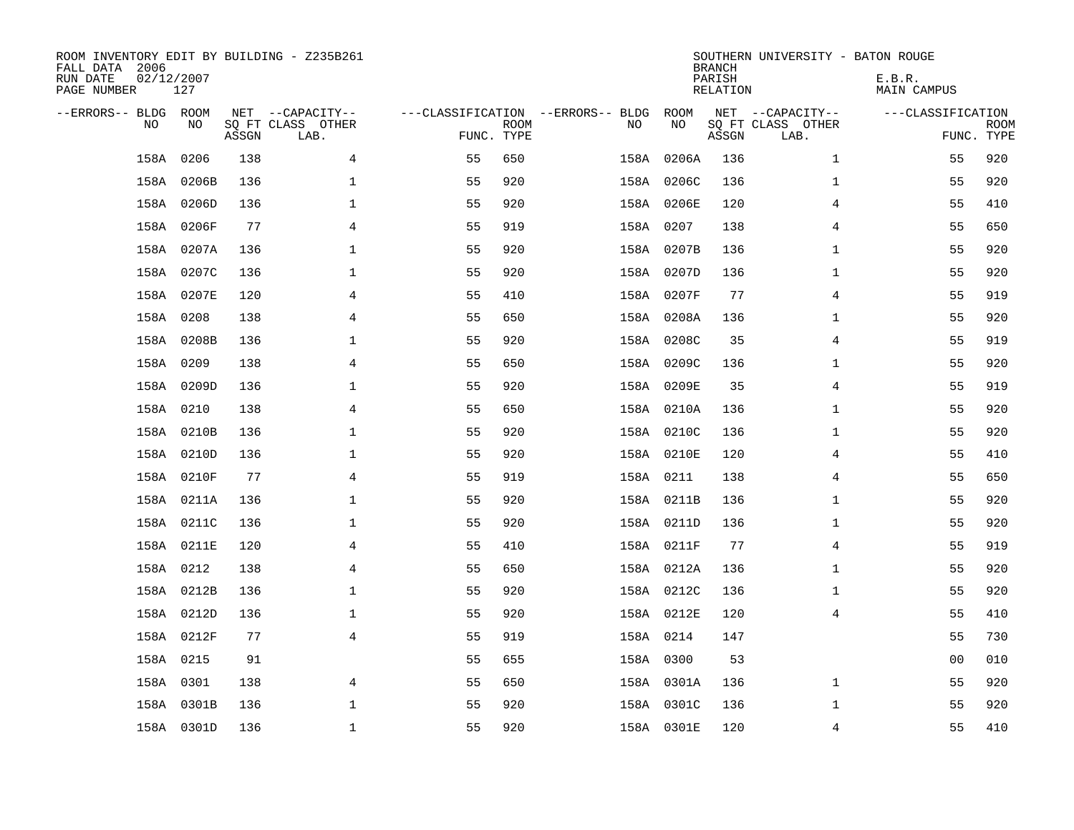| ROOM INVENTORY EDIT BY BUILDING - Z235B261<br>FALL DATA 2006<br>RUN DATE<br>PAGE NUMBER | 02/12/2007<br>127 |       |                                               |                                                 |             |           |            | <b>BRANCH</b><br>PARISH<br><b>RELATION</b> | SOUTHERN UNIVERSITY - BATON ROUGE             | E.B.R.<br><b>MAIN CAMPUS</b> |                           |
|-----------------------------------------------------------------------------------------|-------------------|-------|-----------------------------------------------|-------------------------------------------------|-------------|-----------|------------|--------------------------------------------|-----------------------------------------------|------------------------------|---------------------------|
| --ERRORS-- BLDG ROOM<br>NO                                                              | NO                | ASSGN | NET --CAPACITY--<br>SQ FT CLASS OTHER<br>LAB. | ---CLASSIFICATION --ERRORS-- BLDG<br>FUNC. TYPE | <b>ROOM</b> | NO        | ROOM<br>NO | ASSGN                                      | NET --CAPACITY--<br>SQ FT CLASS OTHER<br>LAB. | ---CLASSIFICATION            | <b>ROOM</b><br>FUNC. TYPE |
| 158A                                                                                    | 0206              | 138   | 4                                             | 55                                              | 650         | 158A      | 0206A      | 136                                        | $\mathbf{1}$                                  | 55                           | 920                       |
| 158A                                                                                    | 0206B             | 136   | $\mathbf 1$                                   | 55                                              | 920         |           | 158A 0206C | 136                                        | $\mathbf{1}$                                  | 55                           | 920                       |
|                                                                                         | 158A 0206D        | 136   | $\mathbf 1$                                   | 55                                              | 920         |           | 158A 0206E | 120                                        | 4                                             | 55                           | 410                       |
|                                                                                         | 158A 0206F        | 77    | $\overline{4}$                                | 55                                              | 919         | 158A 0207 |            | 138                                        | 4                                             | 55                           | 650                       |
|                                                                                         | 158A 0207A        | 136   | $\mathbf 1$                                   | 55                                              | 920         |           | 158A 0207B | 136                                        | $\mathbf{1}$                                  | 55                           | 920                       |
|                                                                                         | 158A 0207C        | 136   | $\mathbf 1$                                   | 55                                              | 920         |           | 158A 0207D | 136                                        | $\mathbf{1}$                                  | 55                           | 920                       |
|                                                                                         | 158A 0207E        | 120   | 4                                             | 55                                              | 410         |           | 158A 0207F | 77                                         | 4                                             | 55                           | 919                       |
|                                                                                         | 158A 0208         | 138   | $\overline{4}$                                | 55                                              | 650         |           | 158A 0208A | 136                                        | $\mathbf{1}$                                  | 55                           | 920                       |
|                                                                                         | 158A 0208B        | 136   | $\mathbf 1$                                   | 55                                              | 920         |           | 158A 0208C | 35                                         | $\overline{4}$                                | 55                           | 919                       |
|                                                                                         | 158A 0209         | 138   | $\overline{4}$                                | 55                                              | 650         |           | 158A 0209C | 136                                        | $\mathbf{1}$                                  | 55                           | 920                       |
|                                                                                         | 158A 0209D        | 136   | $\mathbf 1$                                   | 55                                              | 920         |           | 158A 0209E | 35                                         | 4                                             | 55                           | 919                       |
|                                                                                         | 158A 0210         | 138   | 4                                             | 55                                              | 650         |           | 158A 0210A | 136                                        | $\mathbf{1}$                                  | 55                           | 920                       |
| 158A                                                                                    | 0210B             | 136   | $\mathbf 1$                                   | 55                                              | 920         |           | 158A 0210C | 136                                        | $\mathbf{1}$                                  | 55                           | 920                       |
|                                                                                         | 158A 0210D        | 136   | $\mathbf 1$                                   | 55                                              | 920         |           | 158A 0210E | 120                                        | 4                                             | 55                           | 410                       |
|                                                                                         | 158A 0210F        | 77    | $\overline{4}$                                | 55                                              | 919         | 158A 0211 |            | 138                                        | 4                                             | 55                           | 650                       |
|                                                                                         | 158A 0211A        | 136   | $\mathbf 1$                                   | 55                                              | 920         |           | 158A 0211B | 136                                        | $\mathbf{1}$                                  | 55                           | 920                       |
|                                                                                         | 158A 0211C        | 136   | $\mathbf 1$                                   | 55                                              | 920         |           | 158A 0211D | 136                                        | $\mathbf{1}$                                  | 55                           | 920                       |
|                                                                                         | 158A 0211E        | 120   | $\overline{4}$                                | 55                                              | 410         |           | 158A 0211F | 77                                         | $\overline{4}$                                | 55                           | 919                       |
|                                                                                         | 158A 0212         | 138   | 4                                             | 55                                              | 650         |           | 158A 0212A | 136                                        | $\mathbf{1}$                                  | 55                           | 920                       |
|                                                                                         | 158A 0212B        | 136   | $\mathbf{1}$                                  | 55                                              | 920         |           | 158A 0212C | 136                                        | $\mathbf{1}$                                  | 55                           | 920                       |
|                                                                                         | 158A 0212D        | 136   | $\mathbf{1}$                                  | 55                                              | 920         |           | 158A 0212E | 120                                        | $\overline{4}$                                | 55                           | 410                       |
|                                                                                         | 158A 0212F        | 77    | 4                                             | 55                                              | 919         | 158A 0214 |            | 147                                        |                                               | 55                           | 730                       |
|                                                                                         | 158A 0215         | 91    |                                               | 55                                              | 655         | 158A 0300 |            | 53                                         |                                               | 00                           | 010                       |
|                                                                                         | 158A 0301         | 138   | 4                                             | 55                                              | 650         |           | 158A 0301A | 136                                        | $\mathbf{1}$                                  | 55                           | 920                       |
|                                                                                         | 158A 0301B        | 136   | $\mathbf 1$                                   | 55                                              | 920         |           | 158A 0301C | 136                                        | $\mathbf{1}$                                  | 55                           | 920                       |
|                                                                                         | 158A 0301D        | 136   | $\mathbf{1}$                                  | 55                                              | 920         |           | 158A 0301E | 120                                        | $\overline{4}$                                | 55                           | 410                       |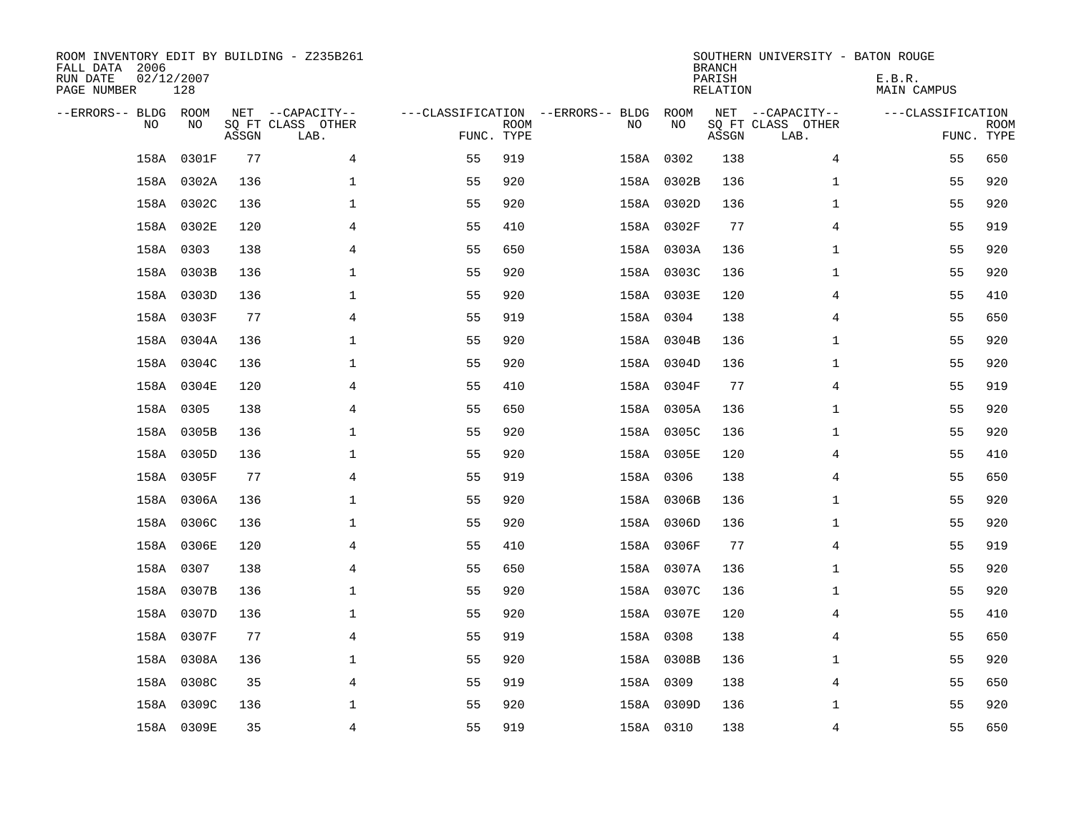| ROOM INVENTORY EDIT BY BUILDING - Z235B261<br>FALL DATA 2006<br>RUN DATE<br>PAGE NUMBER | 02/12/2007<br>128 |       |                                               |            |             |                                         |            | <b>BRANCH</b><br>PARISH<br><b>RELATION</b> | SOUTHERN UNIVERSITY - BATON ROUGE             | E.B.R.<br><b>MAIN CAMPUS</b> |                           |
|-----------------------------------------------------------------------------------------|-------------------|-------|-----------------------------------------------|------------|-------------|-----------------------------------------|------------|--------------------------------------------|-----------------------------------------------|------------------------------|---------------------------|
| --ERRORS-- BLDG ROOM<br>NO.                                                             | NO                | ASSGN | NET --CAPACITY--<br>SQ FT CLASS OTHER<br>LAB. | FUNC. TYPE | <b>ROOM</b> | ---CLASSIFICATION --ERRORS-- BLDG<br>NO | ROOM<br>NO | ASSGN                                      | NET --CAPACITY--<br>SQ FT CLASS OTHER<br>LAB. | ---CLASSIFICATION            | <b>ROOM</b><br>FUNC. TYPE |
| 158A                                                                                    | 0301F             | 77    | 4                                             | 55         | 919         |                                         | 158A 0302  | 138                                        | 4                                             | 55                           | 650                       |
|                                                                                         | 158A 0302A        | 136   | 1                                             | 55         | 920         |                                         | 158A 0302B | 136                                        | $\mathbf{1}$                                  | 55                           | 920                       |
|                                                                                         | 158A 0302C        | 136   | 1                                             | 55         | 920         |                                         | 158A 0302D | 136                                        | $\mathbf{1}$                                  | 55                           | 920                       |
|                                                                                         | 158A 0302E        | 120   | 4                                             | 55         | 410         |                                         | 158A 0302F | 77                                         | 4                                             | 55                           | 919                       |
|                                                                                         | 158A 0303         | 138   | $\overline{4}$                                | 55         | 650         |                                         | 158A 0303A | 136                                        | $\mathbf{1}$                                  | 55                           | 920                       |
|                                                                                         | 158A 0303B        | 136   | $\mathbf 1$                                   | 55         | 920         |                                         | 158A 0303C | 136                                        | $\mathbf{1}$                                  | 55                           | 920                       |
|                                                                                         | 158A 0303D        | 136   | $\mathbf 1$                                   | 55         | 920         |                                         | 158A 0303E | 120                                        | 4                                             | 55                           | 410                       |
|                                                                                         | 158A 0303F        | 77    | $\overline{4}$                                | 55         | 919         |                                         | 158A 0304  | 138                                        | 4                                             | 55                           | 650                       |
|                                                                                         | 158A 0304A        | 136   | $\mathbf 1$                                   | 55         | 920         |                                         | 158A 0304B | 136                                        | $\mathbf{1}$                                  | 55                           | 920                       |
|                                                                                         | 158A 0304C        | 136   | $\mathbf 1$                                   | 55         | 920         |                                         | 158A 0304D | 136                                        | $\mathbf{1}$                                  | 55                           | 920                       |
|                                                                                         | 158A 0304E        | 120   | 4                                             | 55         | 410         |                                         | 158A 0304F | 77                                         | 4                                             | 55                           | 919                       |
|                                                                                         | 158A 0305         | 138   | $\overline{4}$                                | 55         | 650         |                                         | 158A 0305A | 136                                        | $\mathbf{1}$                                  | 55                           | 920                       |
|                                                                                         | 158A 0305B        | 136   | $\mathbf 1$                                   | 55         | 920         |                                         | 158A 0305C | 136                                        | $\mathbf{1}$                                  | 55                           | 920                       |
|                                                                                         | 158A 0305D        | 136   | $\mathbf 1$                                   | 55         | 920         |                                         | 158A 0305E | 120                                        | 4                                             | 55                           | 410                       |
|                                                                                         | 158A 0305F        | 77    | 4                                             | 55         | 919         |                                         | 158A 0306  | 138                                        | 4                                             | 55                           | 650                       |
|                                                                                         | 158A 0306A        | 136   | 1                                             | 55         | 920         |                                         | 158A 0306B | 136                                        | $\mathbf{1}$                                  | 55                           | 920                       |
|                                                                                         | 158A 0306C        | 136   | $\mathbf 1$                                   | 55         | 920         |                                         | 158A 0306D | 136                                        | $\mathbf{1}$                                  | 55                           | 920                       |
|                                                                                         | 158A 0306E        | 120   | $\overline{4}$                                | 55         | 410         |                                         | 158A 0306F | 77                                         | $\overline{4}$                                | 55                           | 919                       |
|                                                                                         | 158A 0307         | 138   | 4                                             | 55         | 650         |                                         | 158A 0307A | 136                                        | $\mathbf{1}$                                  | 55                           | 920                       |
|                                                                                         | 158A 0307B        | 136   | 1                                             | 55         | 920         |                                         | 158A 0307C | 136                                        | $\mathbf{1}$                                  | 55                           | 920                       |
|                                                                                         | 158A 0307D        | 136   | 1                                             | 55         | 920         |                                         | 158A 0307E | 120                                        | 4                                             | 55                           | 410                       |
|                                                                                         | 158A 0307F        | 77    | $\overline{4}$                                | 55         | 919         |                                         | 158A 0308  | 138                                        | 4                                             | 55                           | 650                       |
|                                                                                         | 158A 0308A        | 136   | 1                                             | 55         | 920         |                                         | 158A 0308B | 136                                        | $\mathbf{1}$                                  | 55                           | 920                       |
| 158A                                                                                    | 0308C             | 35    | 4                                             | 55         | 919         |                                         | 158A 0309  | 138                                        | 4                                             | 55                           | 650                       |
| 158A                                                                                    | 0309C             | 136   | $\mathbf 1$                                   | 55         | 920         |                                         | 158A 0309D | 136                                        | $\mathbf{1}$                                  | 55                           | 920                       |
|                                                                                         | 158A 0309E        | 35    | $\overline{4}$                                | 55         | 919         |                                         | 158A 0310  | 138                                        | 4                                             | 55                           | 650                       |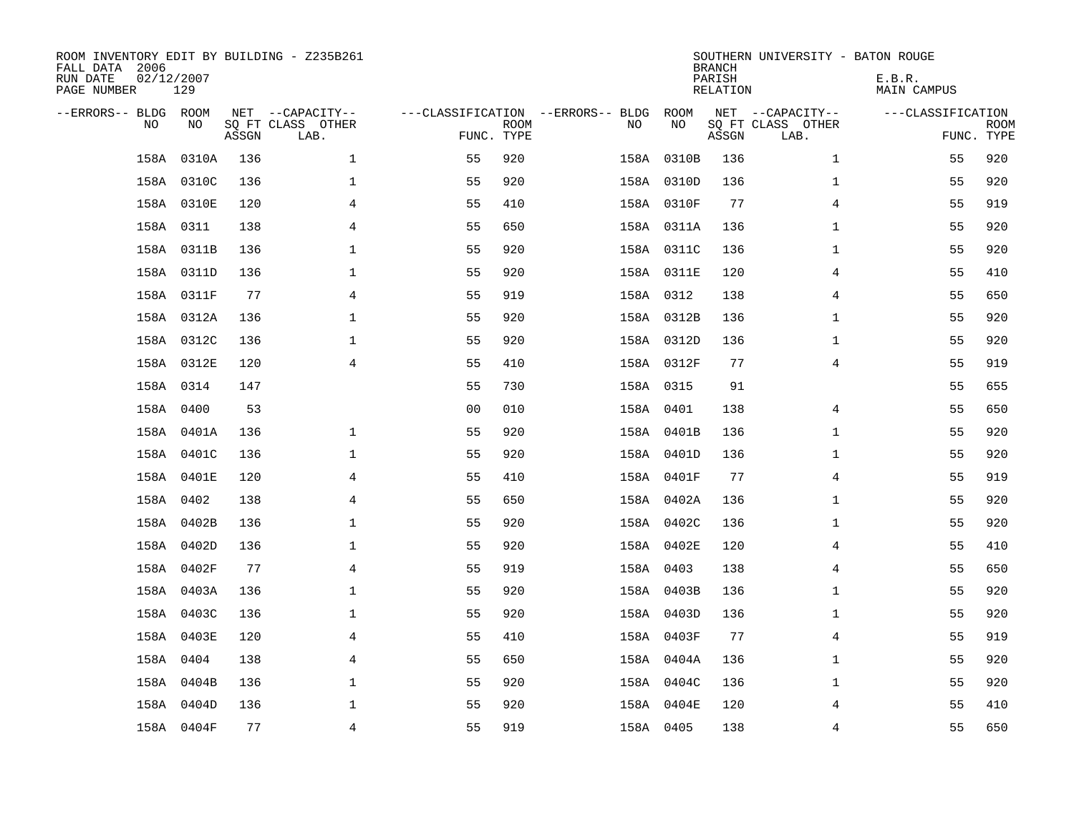| ROOM INVENTORY EDIT BY BUILDING - Z235B261<br>FALL DATA 2006<br>RUN DATE<br>PAGE NUMBER | 02/12/2007<br>129 |       |                                       |                |             |                                   |     |            | <b>BRANCH</b><br>PARISH<br>RELATION | SOUTHERN UNIVERSITY - BATON ROUGE     | E.B.R.<br>MAIN CAMPUS |             |
|-----------------------------------------------------------------------------------------|-------------------|-------|---------------------------------------|----------------|-------------|-----------------------------------|-----|------------|-------------------------------------|---------------------------------------|-----------------------|-------------|
| --ERRORS-- BLDG ROOM<br>N <sub>O</sub>                                                  | NO.               |       | NET --CAPACITY--<br>SO FT CLASS OTHER |                | <b>ROOM</b> | ---CLASSIFICATION --ERRORS-- BLDG | NO. | ROOM<br>NO |                                     | NET --CAPACITY--<br>SQ FT CLASS OTHER | ---CLASSIFICATION     | <b>ROOM</b> |
|                                                                                         |                   | ASSGN | LAB.                                  | FUNC. TYPE     |             |                                   |     |            | ASSGN                               | LAB.                                  |                       | FUNC. TYPE  |
| 158A                                                                                    | 0310A             | 136   | $\mathbf{1}$                          | 55             | 920         |                                   |     | 158A 0310B | 136                                 | $\mathbf{1}$                          | 55                    | 920         |
|                                                                                         | 158A 0310C        | 136   | $\mathbf{1}$                          | 55             | 920         |                                   |     | 158A 0310D | 136                                 | $\mathbf{1}$                          | 55                    | 920         |
|                                                                                         | 158A 0310E        | 120   | 4                                     | 55             | 410         |                                   |     | 158A 0310F | 77                                  | 4                                     | 55                    | 919         |
|                                                                                         | 158A 0311         | 138   | 4                                     | 55             | 650         |                                   |     | 158A 0311A | 136                                 | $\mathbf{1}$                          | 55                    | 920         |
|                                                                                         | 158A 0311B        | 136   | $\mathbf 1$                           | 55             | 920         |                                   |     | 158A 0311C | 136                                 | $\mathbf{1}$                          | 55                    | 920         |
|                                                                                         | 158A 0311D        | 136   | $\mathbf 1$                           | 55             | 920         |                                   |     | 158A 0311E | 120                                 | 4                                     | 55                    | 410         |
|                                                                                         | 158A 0311F        | 77    | $\overline{4}$                        | 55             | 919         |                                   |     | 158A 0312  | 138                                 | $\overline{4}$                        | 55                    | 650         |
|                                                                                         | 158A 0312A        | 136   | $\mathbf{1}$                          | 55             | 920         |                                   |     | 158A 0312B | 136                                 | $\mathbf{1}$                          | 55                    | 920         |
|                                                                                         | 158A 0312C        | 136   | $\mathbf 1$                           | 55             | 920         |                                   |     | 158A 0312D | 136                                 | $\mathbf{1}$                          | 55                    | 920         |
|                                                                                         | 158A 0312E        | 120   | $\overline{4}$                        | 55             | 410         |                                   |     | 158A 0312F | 77                                  | $\overline{4}$                        | 55                    | 919         |
|                                                                                         | 158A 0314         | 147   |                                       | 55             | 730         |                                   |     | 158A 0315  | 91                                  |                                       | 55                    | 655         |
|                                                                                         | 158A 0400         | 53    |                                       | 0 <sub>0</sub> | 010         |                                   |     | 158A 0401  | 138                                 | 4                                     | 55                    | 650         |
|                                                                                         | 158A 0401A        | 136   | $\mathbf 1$                           | 55             | 920         |                                   |     | 158A 0401B | 136                                 | $\mathbf{1}$                          | 55                    | 920         |
|                                                                                         | 158A 0401C        | 136   | $\mathbf 1$                           | 55             | 920         |                                   |     | 158A 0401D | 136                                 | $\mathbf{1}$                          | 55                    | 920         |
|                                                                                         | 158A 0401E        | 120   | 4                                     | 55             | 410         |                                   |     | 158A 0401F | 77                                  | 4                                     | 55                    | 919         |
|                                                                                         | 158A 0402         | 138   | $\overline{4}$                        | 55             | 650         |                                   |     | 158A 0402A | 136                                 | $\mathbf{1}$                          | 55                    | 920         |
|                                                                                         | 158A 0402B        | 136   | $\mathbf{1}$                          | 55             | 920         |                                   |     | 158A 0402C | 136                                 | $\mathbf{1}$                          | 55                    | 920         |
|                                                                                         | 158A 0402D        | 136   | $\mathbf 1$                           | 55             | 920         |                                   |     | 158A 0402E | 120                                 | 4                                     | 55                    | 410         |
|                                                                                         | 158A 0402F        | 77    | 4                                     | 55             | 919         |                                   |     | 158A 0403  | 138                                 | 4                                     | 55                    | 650         |
|                                                                                         | 158A 0403A        | 136   | $\mathbf{1}$                          | 55             | 920         |                                   |     | 158A 0403B | 136                                 | $\mathbf{1}$                          | 55                    | 920         |
|                                                                                         | 158A 0403C        | 136   | $\mathbf 1$                           | 55             | 920         |                                   |     | 158A 0403D | 136                                 | $\mathbf{1}$                          | 55                    | 920         |
|                                                                                         | 158A 0403E        | 120   | 4                                     | 55             | 410         |                                   |     | 158A 0403F | 77                                  | 4                                     | 55                    | 919         |
|                                                                                         | 158A 0404         | 138   | 4                                     | 55             | 650         |                                   |     | 158A 0404A | 136                                 | $\mathbf{1}$                          | 55                    | 920         |
|                                                                                         | 158A 0404B        | 136   | $\mathbf 1$                           | 55             | 920         |                                   |     | 158A 0404C | 136                                 | $\mathbf{1}$                          | 55                    | 920         |
|                                                                                         | 158A 0404D        | 136   | $\mathbf 1$                           | 55             | 920         |                                   |     | 158A 0404E | 120                                 | 4                                     | 55                    | 410         |
|                                                                                         | 158A 0404F        | 77    | $\overline{4}$                        | 55             | 919         |                                   |     | 158A 0405  | 138                                 | $\overline{4}$                        | 55                    | 650         |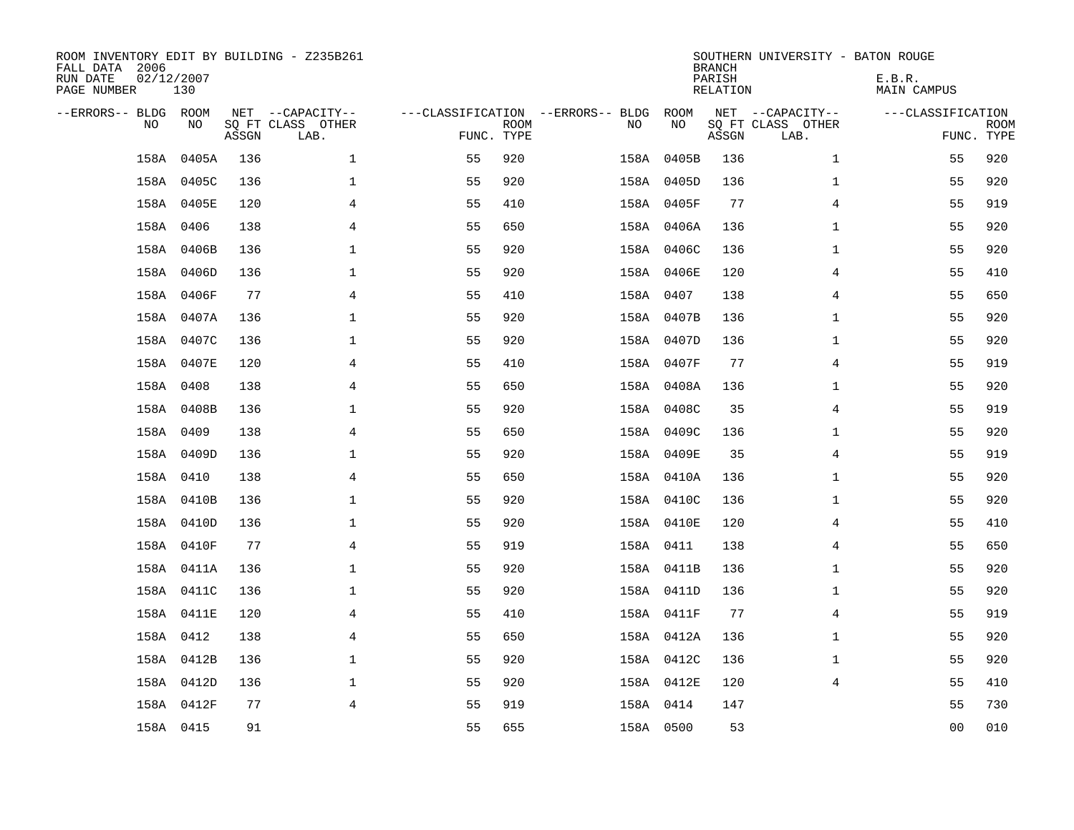| ROOM INVENTORY EDIT BY BUILDING - Z235B261<br>FALL DATA 2006<br>RUN DATE<br>PAGE NUMBER | 02/12/2007<br>130 |       |                                               |            |             |                                         |            | <b>BRANCH</b><br>PARISH<br><b>RELATION</b> | SOUTHERN UNIVERSITY - BATON ROUGE             | E.B.R.<br><b>MAIN CAMPUS</b> |                           |
|-----------------------------------------------------------------------------------------|-------------------|-------|-----------------------------------------------|------------|-------------|-----------------------------------------|------------|--------------------------------------------|-----------------------------------------------|------------------------------|---------------------------|
| --ERRORS-- BLDG ROOM<br>NO                                                              | NO                | ASSGN | NET --CAPACITY--<br>SQ FT CLASS OTHER<br>LAB. | FUNC. TYPE | <b>ROOM</b> | ---CLASSIFICATION --ERRORS-- BLDG<br>NO | ROOM<br>NO | ASSGN                                      | NET --CAPACITY--<br>SQ FT CLASS OTHER<br>LAB. | ---CLASSIFICATION            | <b>ROOM</b><br>FUNC. TYPE |
| 158A                                                                                    | 0405A             | 136   | $\mathbf 1$                                   | 55         | 920         |                                         | 158A 0405B | 136                                        | $\mathbf{1}$                                  | 55                           | 920                       |
|                                                                                         | 158A 0405C        | 136   | $\mathbf 1$                                   | 55         | 920         |                                         | 158A 0405D | 136                                        | $\mathbf{1}$                                  | 55                           | 920                       |
|                                                                                         | 158A 0405E        | 120   | 4                                             | 55         | 410         |                                         | 158A 0405F | 77                                         | 4                                             | 55                           | 919                       |
|                                                                                         | 158A 0406         | 138   | $\overline{4}$                                | 55         | 650         |                                         | 158A 0406A | 136                                        | $\mathbf{1}$                                  | 55                           | 920                       |
|                                                                                         | 158A 0406B        | 136   | $\mathbf{1}$                                  | 55         | 920         |                                         | 158A 0406C | 136                                        | $\mathbf{1}$                                  | 55                           | 920                       |
|                                                                                         | 158A 0406D        | 136   | $\mathbf{1}$                                  | 55         | 920         |                                         | 158A 0406E | 120                                        | $\overline{4}$                                | 55                           | 410                       |
|                                                                                         | 158A 0406F        | 77    | 4                                             | 55         | 410         |                                         | 158A 0407  | 138                                        | 4                                             | 55                           | 650                       |
|                                                                                         | 158A 0407A        | 136   | $\mathbf 1$                                   | 55         | 920         |                                         | 158A 0407B | 136                                        | $\mathbf{1}$                                  | 55                           | 920                       |
|                                                                                         | 158A 0407C        | 136   | $\mathbf 1$                                   | 55         | 920         |                                         | 158A 0407D | 136                                        | $\mathbf{1}$                                  | 55                           | 920                       |
|                                                                                         | 158A 0407E        | 120   | $\overline{4}$                                | 55         | 410         |                                         | 158A 0407F | 77                                         | 4                                             | 55                           | 919                       |
|                                                                                         | 158A 0408         | 138   | 4                                             | 55         | 650         |                                         | 158A 0408A | 136                                        | $\mathbf{1}$                                  | 55                           | 920                       |
|                                                                                         | 158A 0408B        | 136   | $\mathbf{1}$                                  | 55         | 920         |                                         | 158A 0408C | 35                                         | $\overline{4}$                                | 55                           | 919                       |
|                                                                                         | 158A 0409         | 138   | 4                                             | 55         | 650         |                                         | 158A 0409C | 136                                        | $\mathbf{1}$                                  | 55                           | 920                       |
|                                                                                         | 158A 0409D        | 136   | $\mathbf 1$                                   | 55         | 920         |                                         | 158A 0409E | 35                                         | 4                                             | 55                           | 919                       |
|                                                                                         | 158A 0410         | 138   | 4                                             | 55         | 650         |                                         | 158A 0410A | 136                                        | $\mathbf{1}$                                  | 55                           | 920                       |
|                                                                                         | 158A 0410B        | 136   | $\mathbf 1$                                   | 55         | 920         |                                         | 158A 0410C | 136                                        | $\mathbf{1}$                                  | 55                           | 920                       |
|                                                                                         | 158A 0410D        | 136   | $\mathbf 1$                                   | 55         | 920         |                                         | 158A 0410E | 120                                        | 4                                             | 55                           | 410                       |
|                                                                                         | 158A 0410F        | 77    | $\overline{4}$                                | 55         | 919         |                                         | 158A 0411  | 138                                        | $\overline{4}$                                | 55                           | 650                       |
|                                                                                         | 158A 0411A        | 136   | $\mathbf{1}$                                  | 55         | 920         |                                         | 158A 0411B | 136                                        | $\mathbf{1}$                                  | 55                           | 920                       |
|                                                                                         | 158A 0411C        | 136   | $\mathbf 1$                                   | 55         | 920         |                                         | 158A 0411D | 136                                        | $\mathbf{1}$                                  | 55                           | 920                       |
|                                                                                         | 158A 0411E        | 120   | 4                                             | 55         | 410         |                                         | 158A 0411F | 77                                         | 4                                             | 55                           | 919                       |
|                                                                                         | 158A 0412         | 138   | $\overline{4}$                                | 55         | 650         |                                         | 158A 0412A | 136                                        | $\mathbf{1}$                                  | 55                           | 920                       |
|                                                                                         | 158A 0412B        | 136   | $\mathbf 1$                                   | 55         | 920         |                                         | 158A 0412C | 136                                        | $\mathbf{1}$                                  | 55                           | 920                       |
|                                                                                         | 158A 0412D        | 136   | $\mathbf 1$                                   | 55         | 920         |                                         | 158A 0412E | 120                                        | $\overline{4}$                                | 55                           | 410                       |
|                                                                                         | 158A 0412F        | 77    | $\overline{4}$                                | 55         | 919         |                                         | 158A 0414  | 147                                        |                                               | 55                           | 730                       |
|                                                                                         | 158A 0415         | 91    |                                               | 55         | 655         |                                         | 158A 0500  | 53                                         |                                               | 0 <sub>0</sub>               | 010                       |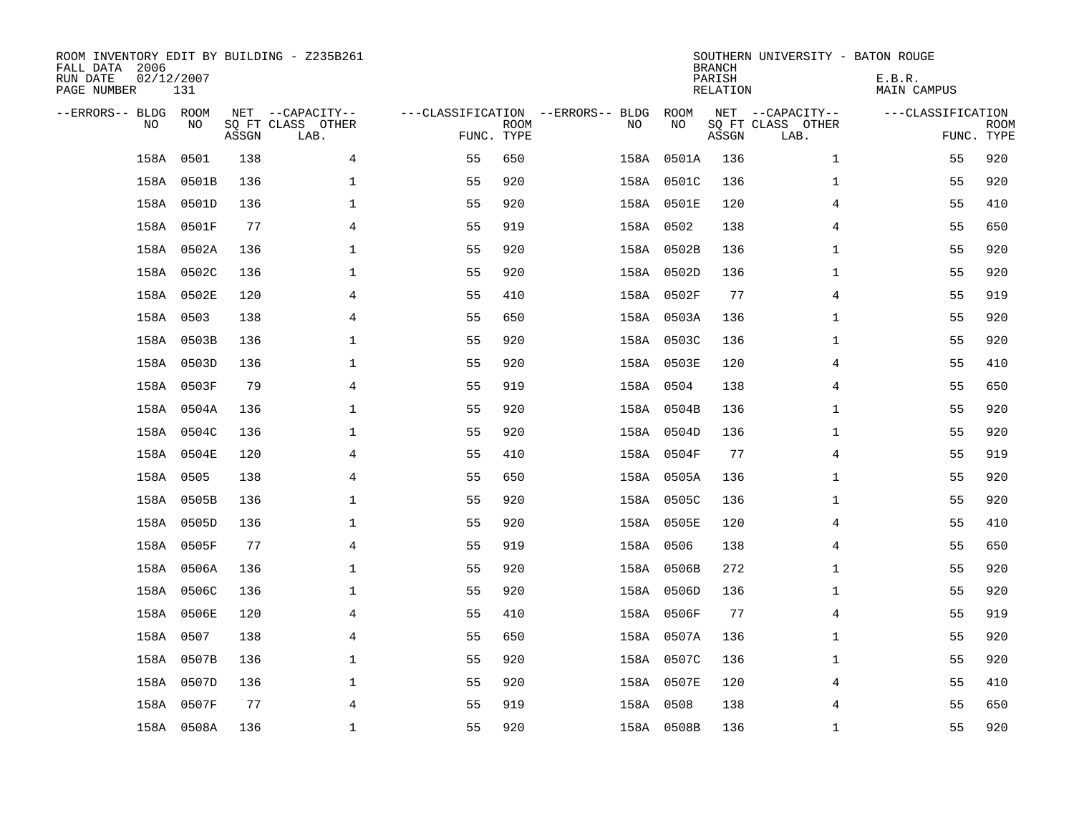| ROOM INVENTORY EDIT BY BUILDING - Z235B261<br>FALL DATA 2006<br>RUN DATE<br>PAGE NUMBER | 02/12/2007<br>131 |       |                                               |                                                 |             |           |            | <b>BRANCH</b><br>PARISH<br><b>RELATION</b> | SOUTHERN UNIVERSITY - BATON ROUGE             | E.B.R.<br><b>MAIN CAMPUS</b> |                           |
|-----------------------------------------------------------------------------------------|-------------------|-------|-----------------------------------------------|-------------------------------------------------|-------------|-----------|------------|--------------------------------------------|-----------------------------------------------|------------------------------|---------------------------|
| --ERRORS-- BLDG ROOM<br>NO                                                              | NO                | ASSGN | NET --CAPACITY--<br>SQ FT CLASS OTHER<br>LAB. | ---CLASSIFICATION --ERRORS-- BLDG<br>FUNC. TYPE | <b>ROOM</b> | NO        | ROOM<br>NO | ASSGN                                      | NET --CAPACITY--<br>SQ FT CLASS OTHER<br>LAB. | ---CLASSIFICATION            | <b>ROOM</b><br>FUNC. TYPE |
| 158A                                                                                    | 0501              | 138   | 4                                             | 55                                              | 650         |           | 158A 0501A | 136                                        | $\mathbf{1}$                                  | 55                           | 920                       |
|                                                                                         | 158A 0501B        | 136   | 1                                             | 55                                              | 920         |           | 158A 0501C | 136                                        | $\mathbf{1}$                                  | 55                           | 920                       |
|                                                                                         | 158A 0501D        | 136   | 1                                             | 55                                              | 920         |           | 158A 0501E | 120                                        | 4                                             | 55                           | 410                       |
|                                                                                         | 158A 0501F        | 77    | $\overline{4}$                                | 55                                              | 919         | 158A 0502 |            | 138                                        | 4                                             | 55                           | 650                       |
|                                                                                         | 158A 0502A        | 136   | $\mathbf{1}$                                  | 55                                              | 920         |           | 158A 0502B | 136                                        | $\mathbf{1}$                                  | 55                           | 920                       |
|                                                                                         | 158A 0502C        | 136   | $\mathbf{1}$                                  | 55                                              | 920         |           | 158A 0502D | 136                                        | $\mathbf{1}$                                  | 55                           | 920                       |
|                                                                                         | 158A 0502E        | 120   | 4                                             | 55                                              | 410         |           | 158A 0502F | 77                                         | 4                                             | 55                           | 919                       |
|                                                                                         | 158A 0503         | 138   | $\overline{4}$                                | 55                                              | 650         |           | 158A 0503A | 136                                        | $\mathbf{1}$                                  | 55                           | 920                       |
|                                                                                         | 158A 0503B        | 136   | $\mathbf 1$                                   | 55                                              | 920         |           | 158A 0503C | 136                                        | $\mathbf{1}$                                  | 55                           | 920                       |
|                                                                                         | 158A 0503D        | 136   | $\mathbf 1$                                   | 55                                              | 920         |           | 158A 0503E | 120                                        | 4                                             | 55                           | 410                       |
|                                                                                         | 158A 0503F        | 79    | $\overline{4}$                                | 55                                              | 919         | 158A 0504 |            | 138                                        | 4                                             | 55                           | 650                       |
|                                                                                         | 158A 0504A        | 136   | $\mathbf{1}$                                  | 55                                              | 920         |           | 158A 0504B | 136                                        | $\mathbf{1}$                                  | 55                           | 920                       |
|                                                                                         | 158A 0504C        | 136   | $\mathbf 1$                                   | 55                                              | 920         |           | 158A 0504D | 136                                        | $\mathbf{1}$                                  | 55                           | 920                       |
|                                                                                         | 158A 0504E        | 120   | 4                                             | 55                                              | 410         |           | 158A 0504F | 77                                         | 4                                             | 55                           | 919                       |
|                                                                                         | 158A 0505         | 138   | 4                                             | 55                                              | 650         |           | 158A 0505A | 136                                        | $\mathbf{1}$                                  | 55                           | 920                       |
|                                                                                         | 158A 0505B        | 136   | 1                                             | 55                                              | 920         |           | 158A 0505C | 136                                        | $\mathbf{1}$                                  | 55                           | 920                       |
|                                                                                         | 158A 0505D        | 136   | $\mathbf 1$                                   | 55                                              | 920         |           | 158A 0505E | 120                                        | 4                                             | 55                           | 410                       |
|                                                                                         | 158A 0505F        | 77    | $\overline{4}$                                | 55                                              | 919         | 158A 0506 |            | 138                                        | $\overline{4}$                                | 55                           | 650                       |
|                                                                                         | 158A 0506A        | 136   | $\mathbf{1}$                                  | 55                                              | 920         |           | 158A 0506B | 272                                        | $\mathbf{1}$                                  | 55                           | 920                       |
|                                                                                         | 158A 0506C        | 136   | $\mathbf 1$                                   | 55                                              | 920         |           | 158A 0506D | 136                                        | $\mathbf{1}$                                  | 55                           | 920                       |
|                                                                                         | 158A 0506E        | 120   | 4                                             | 55                                              | 410         |           | 158A 0506F | 77                                         | 4                                             | 55                           | 919                       |
|                                                                                         | 158A 0507         | 138   | $\overline{4}$                                | 55                                              | 650         |           | 158A 0507A | 136                                        | $\mathbf{1}$                                  | 55                           | 920                       |
|                                                                                         | 158A 0507B        | 136   | $\mathbf 1$                                   | 55                                              | 920         |           | 158A 0507C | 136                                        | $\mathbf{1}$                                  | 55                           | 920                       |
|                                                                                         | 158A 0507D        | 136   | $\mathbf 1$                                   | 55                                              | 920         |           | 158A 0507E | 120                                        | 4                                             | 55                           | 410                       |
|                                                                                         | 158A 0507F        | 77    | 4                                             | 55                                              | 919         | 158A 0508 |            | 138                                        | 4                                             | 55                           | 650                       |
|                                                                                         | 158A 0508A        | 136   | $\mathbf{1}$                                  | 55                                              | 920         |           | 158A 0508B | 136                                        | $\mathbf{1}$                                  | 55                           | 920                       |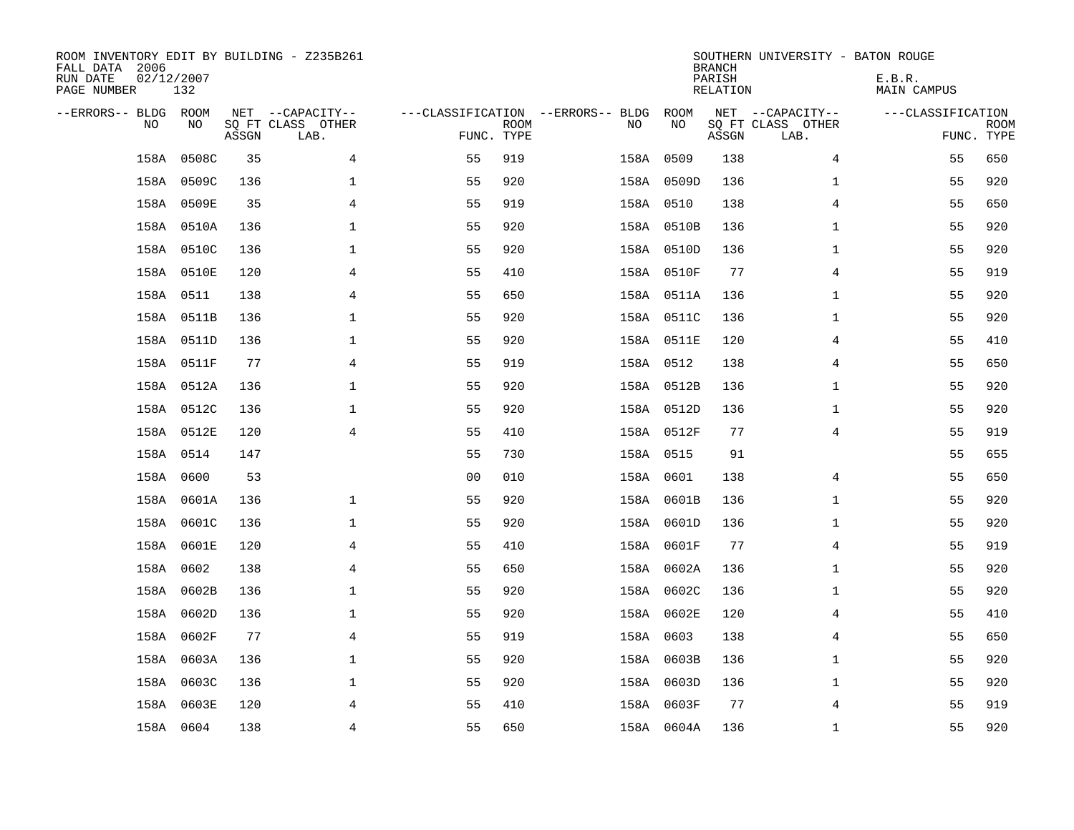| ROOM INVENTORY EDIT BY BUILDING - Z235B261<br>FALL DATA 2006<br>RUN DATE<br>PAGE NUMBER | 02/12/2007<br>132 |       |                           |                |             |                                   |            | <b>BRANCH</b><br>PARISH<br>RELATION | SOUTHERN UNIVERSITY - BATON ROUGE | E.B.R.<br>MAIN CAMPUS |                           |
|-----------------------------------------------------------------------------------------|-------------------|-------|---------------------------|----------------|-------------|-----------------------------------|------------|-------------------------------------|-----------------------------------|-----------------------|---------------------------|
| --ERRORS-- BLDG ROOM                                                                    |                   |       | NET --CAPACITY--          |                |             | ---CLASSIFICATION --ERRORS-- BLDG | ROOM       |                                     | NET --CAPACITY--                  | ---CLASSIFICATION     |                           |
| N <sub>O</sub>                                                                          | NO.               | ASSGN | SO FT CLASS OTHER<br>LAB. | FUNC. TYPE     | <b>ROOM</b> | NO.                               | NO         | ASSGN                               | SQ FT CLASS OTHER<br>LAB.         |                       | <b>ROOM</b><br>FUNC. TYPE |
| 158A                                                                                    | 0508C             | 35    | $\overline{4}$            | 55             | 919         |                                   | 158A 0509  | 138                                 | 4                                 | 55                    | 650                       |
|                                                                                         | 158A 0509C        | 136   | $\mathbf{1}$              | 55             | 920         |                                   | 158A 0509D | 136                                 | $\mathbf{1}$                      | 55                    | 920                       |
|                                                                                         | 158A 0509E        | 35    | 4                         | 55             | 919         |                                   | 158A 0510  | 138                                 | 4                                 | 55                    | 650                       |
|                                                                                         | 158A 0510A        | 136   | $\mathbf 1$               | 55             | 920         |                                   | 158A 0510B | 136                                 | $\mathbf{1}$                      | 55                    | 920                       |
|                                                                                         | 158A 0510C        | 136   | $\mathbf 1$               | 55             | 920         |                                   | 158A 0510D | 136                                 | $\mathbf{1}$                      | 55                    | 920                       |
|                                                                                         | 158A 0510E        | 120   | $\overline{4}$            | 55             | 410         |                                   | 158A 0510F | 77                                  | $\overline{4}$                    | 55                    | 919                       |
|                                                                                         | 158A 0511         | 138   | $\overline{4}$            | 55             | 650         |                                   | 158A 0511A | 136                                 | $\mathbf{1}$                      | 55                    | 920                       |
|                                                                                         | 158A 0511B        | 136   | $\mathbf{1}$              | 55             | 920         |                                   | 158A 0511C | 136                                 | $\mathbf{1}$                      | 55                    | 920                       |
|                                                                                         | 158A 0511D        | 136   | $\mathbf 1$               | 55             | 920         |                                   | 158A 0511E | 120                                 | 4                                 | 55                    | 410                       |
|                                                                                         | 158A 0511F        | 77    | $\overline{4}$            | 55             | 919         |                                   | 158A 0512  | 138                                 | 4                                 | 55                    | 650                       |
|                                                                                         | 158A 0512A        | 136   | $\mathbf 1$               | 55             | 920         |                                   | 158A 0512B | 136                                 | $\mathbf{1}$                      | 55                    | 920                       |
|                                                                                         | 158A 0512C        | 136   | $\mathbf{1}$              | 55             | 920         |                                   | 158A 0512D | 136                                 | $\mathbf{1}$                      | 55                    | 920                       |
|                                                                                         | 158A 0512E        | 120   | 4                         | 55             | 410         |                                   | 158A 0512F | 77                                  | 4                                 | 55                    | 919                       |
|                                                                                         | 158A 0514         | 147   |                           | 55             | 730         |                                   | 158A 0515  | 91                                  |                                   | 55                    | 655                       |
| 158A                                                                                    | 0600              | 53    |                           | 0 <sub>0</sub> | 010         |                                   | 158A 0601  | 138                                 | 4                                 | 55                    | 650                       |
|                                                                                         | 158A 0601A        | 136   | $\mathbf{1}$              | 55             | 920         |                                   | 158A 0601B | 136                                 | $\mathbf{1}$                      | 55                    | 920                       |
|                                                                                         | 158A 0601C        | 136   | $\mathbf{1}$              | 55             | 920         |                                   | 158A 0601D | 136                                 | $\mathbf{1}$                      | 55                    | 920                       |
| 158A                                                                                    | 0601E             | 120   | 4                         | 55             | 410         |                                   | 158A 0601F | 77                                  | 4                                 | 55                    | 919                       |
|                                                                                         | 158A 0602         | 138   | 4                         | 55             | 650         |                                   | 158A 0602A | 136                                 | $\mathbf{1}$                      | 55                    | 920                       |
|                                                                                         | 158A 0602B        | 136   | $\mathbf{1}$              | 55             | 920         |                                   | 158A 0602C | 136                                 | $\mathbf{1}$                      | 55                    | 920                       |
|                                                                                         | 158A 0602D        | 136   | $\mathbf 1$               | 55             | 920         |                                   | 158A 0602E | 120                                 | 4                                 | 55                    | 410                       |
|                                                                                         | 158A 0602F        | 77    | 4                         | 55             | 919         |                                   | 158A 0603  | 138                                 | 4                                 | 55                    | 650                       |
|                                                                                         | 158A 0603A        | 136   | $\mathbf 1$               | 55             | 920         |                                   | 158A 0603B | 136                                 | $\mathbf{1}$                      | 55                    | 920                       |
|                                                                                         | 158A 0603C        | 136   | $\mathbf 1$               | 55             | 920         |                                   | 158A 0603D | 136                                 | $\mathbf{1}$                      | 55                    | 920                       |
|                                                                                         | 158A 0603E        | 120   | 4                         | 55             | 410         |                                   | 158A 0603F | 77                                  | 4                                 | 55                    | 919                       |
|                                                                                         | 158A 0604         | 138   | $\overline{4}$            | 55             | 650         |                                   | 158A 0604A | 136                                 | $\mathbf{1}$                      | 55                    | 920                       |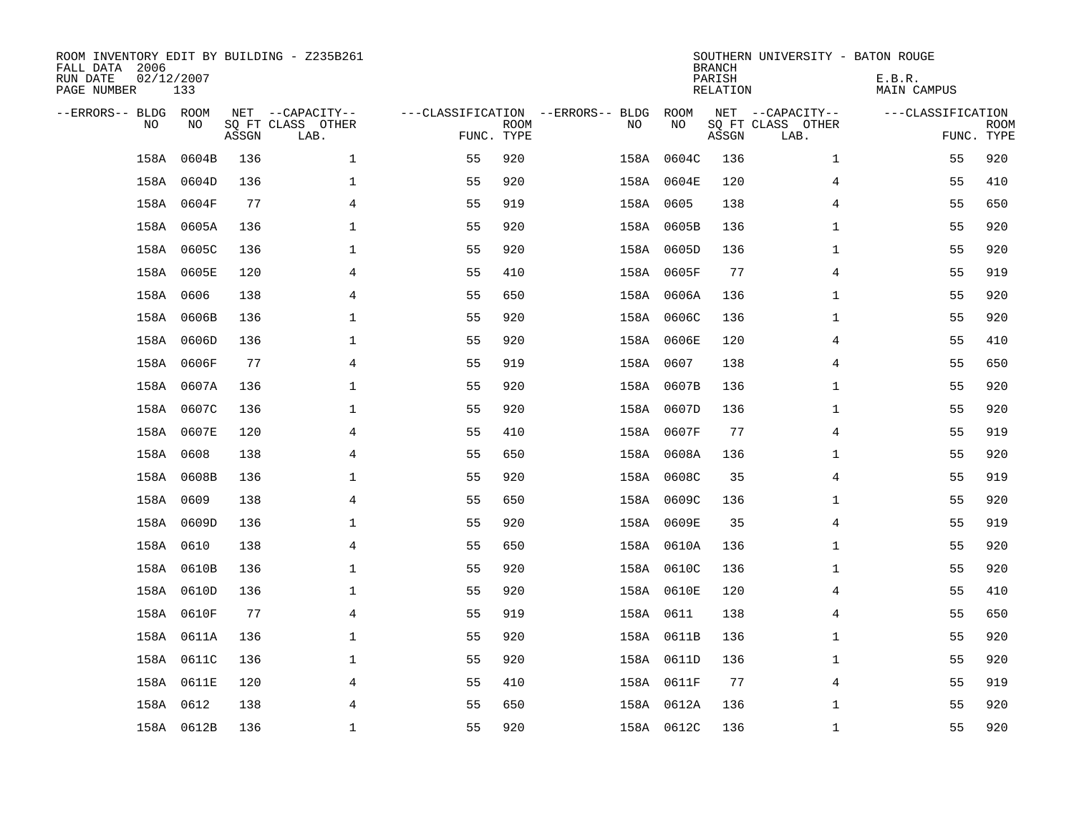| ROOM INVENTORY EDIT BY BUILDING - Z235B261<br>FALL DATA 2006<br>RUN DATE<br>PAGE NUMBER | 02/12/2007<br>133 |       |                                               |                                                 |             |    |            | <b>BRANCH</b><br>PARISH<br><b>RELATION</b> | SOUTHERN UNIVERSITY - BATON ROUGE             | E.B.R.<br><b>MAIN CAMPUS</b> |                           |
|-----------------------------------------------------------------------------------------|-------------------|-------|-----------------------------------------------|-------------------------------------------------|-------------|----|------------|--------------------------------------------|-----------------------------------------------|------------------------------|---------------------------|
| --ERRORS-- BLDG ROOM<br>NO                                                              | NO                | ASSGN | NET --CAPACITY--<br>SQ FT CLASS OTHER<br>LAB. | ---CLASSIFICATION --ERRORS-- BLDG<br>FUNC. TYPE | <b>ROOM</b> | NO | ROOM<br>NO | ASSGN                                      | NET --CAPACITY--<br>SQ FT CLASS OTHER<br>LAB. | ---CLASSIFICATION            | <b>ROOM</b><br>FUNC. TYPE |
| 158A                                                                                    | 0604B             | 136   | $\mathbf 1$                                   | 55                                              | 920         |    | 158A 0604C | 136                                        | $\mathbf{1}$                                  | 55                           | 920                       |
|                                                                                         | 158A 0604D        | 136   | $\mathbf 1$                                   | 55                                              | 920         |    | 158A 0604E | 120                                        | 4                                             | 55                           | 410                       |
|                                                                                         | 158A 0604F        | 77    | 4                                             | 55                                              | 919         |    | 158A 0605  | 138                                        | 4                                             | 55                           | 650                       |
|                                                                                         | 158A 0605A        | 136   | $\mathbf 1$                                   | 55                                              | 920         |    | 158A 0605B | 136                                        | $\mathbf{1}$                                  | 55                           | 920                       |
|                                                                                         | 158A 0605C        | 136   | $\mathbf{1}$                                  | 55                                              | 920         |    | 158A 0605D | 136                                        | $\mathbf{1}$                                  | 55                           | 920                       |
|                                                                                         | 158A 0605E        | 120   | $\overline{4}$                                | 55                                              | 410         |    | 158A 0605F | 77                                         | $\overline{4}$                                | 55                           | 919                       |
|                                                                                         | 158A 0606         | 138   | 4                                             | 55                                              | 650         |    | 158A 0606A | 136                                        | $\mathbf{1}$                                  | 55                           | 920                       |
|                                                                                         | 158A 0606B        | 136   | $\mathbf 1$                                   | 55                                              | 920         |    | 158A 0606C | 136                                        | $\mathbf{1}$                                  | 55                           | 920                       |
|                                                                                         | 158A 0606D        | 136   | $\mathbf 1$                                   | 55                                              | 920         |    | 158A 0606E | 120                                        | 4                                             | 55                           | 410                       |
|                                                                                         | 158A 0606F        | 77    | $\overline{4}$                                | 55                                              | 919         |    | 158A 0607  | 138                                        | 4                                             | 55                           | 650                       |
|                                                                                         | 158A 0607A        | 136   | $\mathbf 1$                                   | 55                                              | 920         |    | 158A 0607B | 136                                        | $\mathbf{1}$                                  | 55                           | 920                       |
|                                                                                         | 158A 0607C        | 136   | $\mathbf{1}$                                  | 55                                              | 920         |    | 158A 0607D | 136                                        | $\mathbf{1}$                                  | 55                           | 920                       |
|                                                                                         | 158A 0607E        | 120   | 4                                             | 55                                              | 410         |    | 158A 0607F | 77                                         | 4                                             | 55                           | 919                       |
|                                                                                         | 158A 0608         | 138   | 4                                             | 55                                              | 650         |    | 158A 0608A | 136                                        | $\mathbf{1}$                                  | 55                           | 920                       |
|                                                                                         | 158A 0608B        | 136   | $\mathbf{1}$                                  | 55                                              | 920         |    | 158A 0608C | 35                                         | 4                                             | 55                           | 919                       |
|                                                                                         | 158A 0609         | 138   | 4                                             | 55                                              | 650         |    | 158A 0609C | 136                                        | $\mathbf{1}$                                  | 55                           | 920                       |
|                                                                                         | 158A 0609D        | 136   | $\mathbf 1$                                   | 55                                              | 920         |    | 158A 0609E | 35                                         | 4                                             | 55                           | 919                       |
| 158A                                                                                    | 0610              | 138   | $\overline{4}$                                | 55                                              | 650         |    | 158A 0610A | 136                                        | $\mathbf{1}$                                  | 55                           | 920                       |
|                                                                                         | 158A 0610B        | 136   | $\mathbf{1}$                                  | 55                                              | 920         |    | 158A 0610C | 136                                        | $\mathbf{1}$                                  | 55                           | 920                       |
|                                                                                         | 158A 0610D        | 136   | $\mathbf 1$                                   | 55                                              | 920         |    | 158A 0610E | 120                                        | 4                                             | 55                           | 410                       |
|                                                                                         | 158A 0610F        | 77    | 4                                             | 55                                              | 919         |    | 158A 0611  | 138                                        | 4                                             | 55                           | 650                       |
|                                                                                         | 158A 0611A        | 136   | $\mathbf 1$                                   | 55                                              | 920         |    | 158A 0611B | 136                                        | $\mathbf{1}$                                  | 55                           | 920                       |
|                                                                                         | 158A 0611C        | 136   | $\mathbf 1$                                   | 55                                              | 920         |    | 158A 0611D | 136                                        | $\mathbf{1}$                                  | 55                           | 920                       |
|                                                                                         | 158A 0611E        | 120   | 4                                             | 55                                              | 410         |    | 158A 0611F | 77                                         | 4                                             | 55                           | 919                       |
|                                                                                         | 158A 0612         | 138   | 4                                             | 55                                              | 650         |    | 158A 0612A | 136                                        | $\mathbf{1}$                                  | 55                           | 920                       |
|                                                                                         | 158A 0612B        | 136   | $\mathbf{1}$                                  | 55                                              | 920         |    | 158A 0612C | 136                                        | $\mathbf{1}$                                  | 55                           | 920                       |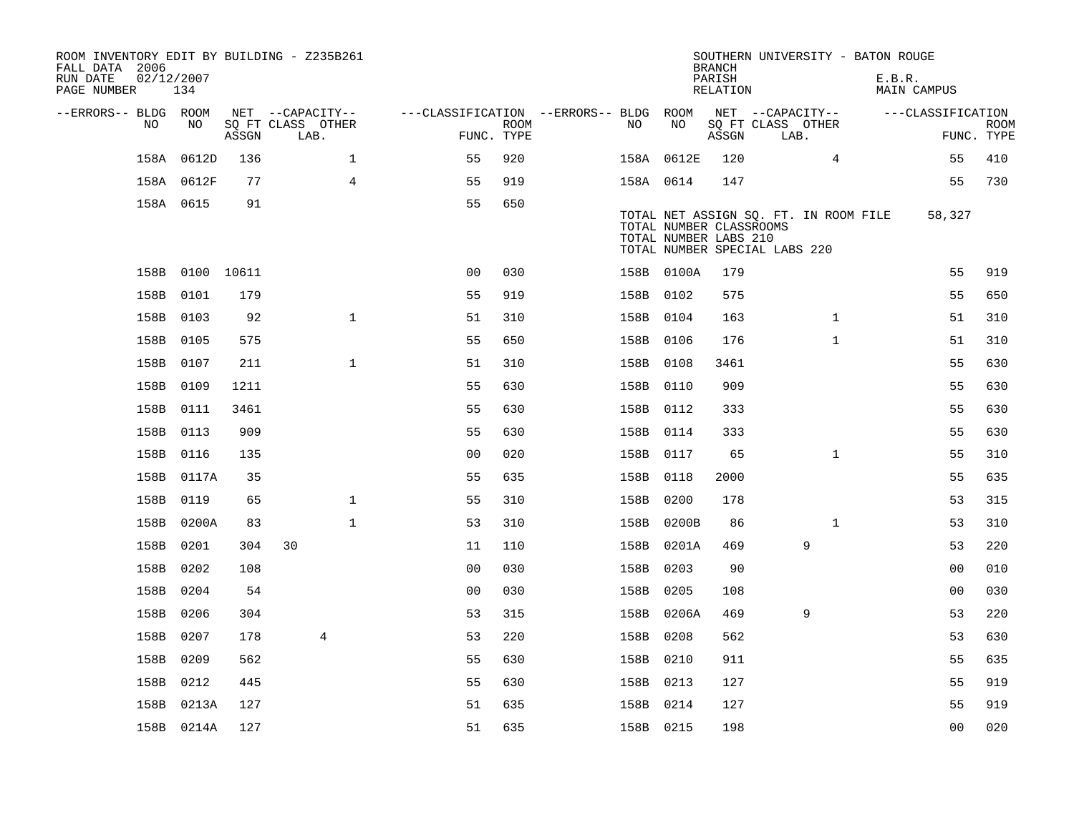| ROOM INVENTORY EDIT BY BUILDING - Z235B261<br>FALL DATA 2006<br>RUN DATE<br>PAGE NUMBER | 02/12/2007<br>134 |       |                           |                                        |      |           |                                                                                   | <b>BRANCH</b><br>PARISH<br>RELATION | SOUTHERN UNIVERSITY - BATON ROUGE     | E.B.R. | MAIN CAMPUS       |                           |
|-----------------------------------------------------------------------------------------|-------------------|-------|---------------------------|----------------------------------------|------|-----------|-----------------------------------------------------------------------------------|-------------------------------------|---------------------------------------|--------|-------------------|---------------------------|
| --ERRORS-- BLDG ROOM                                                                    |                   |       | NET --CAPACITY--          | ---CLASSIFICATION --ERRORS-- BLDG ROOM |      |           |                                                                                   |                                     | NET --CAPACITY--                      |        | ---CLASSIFICATION |                           |
| NO.                                                                                     | NO.               | ASSGN | SQ FT CLASS OTHER<br>LAB. | FUNC. TYPE                             | ROOM | NO.       | NO                                                                                | ASSGN                               | SQ FT CLASS OTHER<br>LAB.             |        |                   | <b>ROOM</b><br>FUNC. TYPE |
| 158A                                                                                    | 0612D             | 136   | $\mathbf{1}$              | 55                                     | 920  |           | 158A 0612E                                                                        | 120                                 | $\overline{4}$                        |        | 55                | 410                       |
|                                                                                         | 158A 0612F        | 77    | $\overline{4}$            | 55                                     | 919  | 158A 0614 |                                                                                   | 147                                 |                                       |        | 55                | 730                       |
|                                                                                         | 158A 0615         | 91    |                           | 55                                     | 650  |           | TOTAL NUMBER CLASSROOMS<br>TOTAL NUMBER LABS 210<br>TOTAL NUMBER SPECIAL LABS 220 |                                     | TOTAL NET ASSIGN SQ. FT. IN ROOM FILE |        | 58,327            |                           |
|                                                                                         | 158B 0100 10611   |       |                           | 0 <sub>0</sub>                         | 030  |           | 158B 0100A                                                                        | 179                                 |                                       |        | 55                | 919                       |
| 158B                                                                                    | 0101              | 179   |                           | 55                                     | 919  | 158B 0102 |                                                                                   | 575                                 |                                       |        | 55                | 650                       |
| 158B                                                                                    | 0103              | 92    | $\mathbf{1}$              | 51                                     | 310  | 158B 0104 |                                                                                   | 163                                 | $\mathbf{1}$                          |        | 51                | 310                       |
|                                                                                         | 158B 0105         | 575   |                           | 55                                     | 650  | 158B 0106 |                                                                                   | 176                                 | $\mathbf{1}$                          |        | 51                | 310                       |
|                                                                                         | 158B 0107         | 211   | $\mathbf{1}$              | 51                                     | 310  | 158B 0108 |                                                                                   | 3461                                |                                       |        | 55                | 630                       |
|                                                                                         | 158B 0109         | 1211  |                           | 55                                     | 630  | 158B 0110 |                                                                                   | 909                                 |                                       |        | 55                | 630                       |
|                                                                                         | 158B 0111         | 3461  |                           | 55                                     | 630  | 158B 0112 |                                                                                   | 333                                 |                                       |        | 55                | 630                       |
|                                                                                         | 158B 0113         | 909   |                           | 55                                     | 630  | 158B 0114 |                                                                                   | 333                                 |                                       |        | 55                | 630                       |
|                                                                                         | 158B 0116         | 135   |                           | 0 <sub>0</sub>                         | 020  | 158B 0117 |                                                                                   | 65                                  | $\mathbf{1}$                          |        | 55                | 310                       |
|                                                                                         | 158B 0117A        | 35    |                           | 55                                     | 635  | 158B 0118 |                                                                                   | 2000                                |                                       |        | 55                | 635                       |
|                                                                                         | 158B 0119         | 65    | $\mathbf{1}$              | 55                                     | 310  | 158B 0200 |                                                                                   | 178                                 |                                       |        | 53                | 315                       |
|                                                                                         | 158B 0200A        | 83    | 1                         | 53                                     | 310  |           | 158B 0200B                                                                        | 86                                  | $\mathbf{1}$                          |        | 53                | 310                       |
| 158B                                                                                    | 0201              | 304   | 30                        | 11                                     | 110  |           | 158B 0201A                                                                        | 469                                 | 9                                     |        | 53                | 220                       |
|                                                                                         | 158B 0202         | 108   |                           | 0 <sub>0</sub>                         | 030  | 158B 0203 |                                                                                   | 90                                  |                                       |        | 00                | 010                       |
|                                                                                         | 158B 0204         | 54    |                           | 0 <sub>0</sub>                         | 030  | 158B 0205 |                                                                                   | 108                                 |                                       |        | 0 <sub>0</sub>    | 030                       |
|                                                                                         | 158B 0206         | 304   |                           | 53                                     | 315  |           | 158B 0206A                                                                        | 469                                 | 9                                     |        | 53                | 220                       |
| 158B                                                                                    | 0207              | 178   | 4                         | 53                                     | 220  | 158B 0208 |                                                                                   | 562                                 |                                       |        | 53                | 630                       |
|                                                                                         | 158B 0209         | 562   |                           | 55                                     | 630  | 158B 0210 |                                                                                   | 911                                 |                                       |        | 55                | 635                       |
|                                                                                         | 158B 0212         | 445   |                           | 55                                     | 630  | 158B 0213 |                                                                                   | 127                                 |                                       |        | 55                | 919                       |
|                                                                                         | 158B 0213A        | 127   |                           | 51                                     | 635  | 158B 0214 |                                                                                   | 127                                 |                                       |        | 55                | 919                       |
|                                                                                         | 158B 0214A        | 127   |                           | 51                                     | 635  | 158B 0215 |                                                                                   | 198                                 |                                       |        | 0 <sub>0</sub>    | 020                       |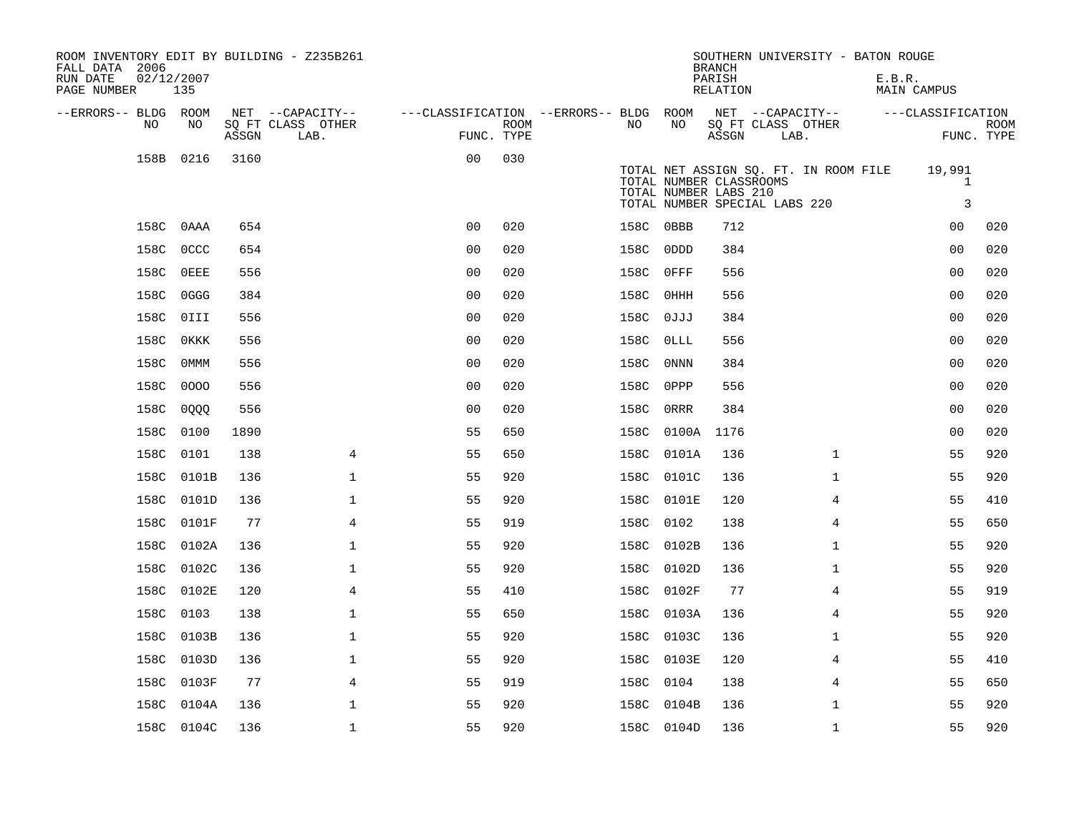| ROOM INVENTORY EDIT BY BUILDING - Z235B261<br>FALL DATA 2006<br>RUN DATE | 02/12/2007  |       |                           |                                        |      |           |             | SOUTHERN UNIVERSITY - BATON ROUGE<br><b>BRANCH</b><br>PARISH                                                               |      |                | E.B.R. |                             |                           |
|--------------------------------------------------------------------------|-------------|-------|---------------------------|----------------------------------------|------|-----------|-------------|----------------------------------------------------------------------------------------------------------------------------|------|----------------|--------|-----------------------------|---------------------------|
| PAGE NUMBER                                                              | 135         |       |                           |                                        |      |           |             | RELATION                                                                                                                   |      |                |        | MAIN CAMPUS                 |                           |
| --ERRORS-- BLDG ROOM                                                     |             |       | NET --CAPACITY--          | ---CLASSIFICATION --ERRORS-- BLDG ROOM |      |           |             | NET --CAPACITY--                                                                                                           |      |                |        | ---CLASSIFICATION           |                           |
| NO                                                                       | NO          | ASSGN | SQ FT CLASS OTHER<br>LAB. | FUNC. TYPE                             | ROOM | NO        | NO          | SQ FT CLASS OTHER<br>ASSGN                                                                                                 | LAB. |                |        |                             | <b>ROOM</b><br>FUNC. TYPE |
| 158B                                                                     | 0216        | 3160  |                           | 0 <sub>0</sub>                         | 030  |           |             | TOTAL NET ASSIGN SQ. FT. IN ROOM FILE<br>TOTAL NUMBER CLASSROOMS<br>TOTAL NUMBER LABS 210<br>TOTAL NUMBER SPECIAL LABS 220 |      |                |        | 19,991<br>$\mathbf{1}$<br>3 |                           |
|                                                                          | 158C OAAA   | 654   |                           | 0 <sub>0</sub>                         | 020  | 158C OBBB |             | 712                                                                                                                        |      |                |        | 0 <sub>0</sub>              | 020                       |
| 158C                                                                     | 0CCC        | 654   |                           | 00                                     | 020  | 158C      | 0DDD        | 384                                                                                                                        |      |                |        | 0 <sub>0</sub>              | 020                       |
| 158C                                                                     | $0$ EEE     | 556   |                           | 0 <sub>0</sub>                         | 020  | 158C      | 0FFF        | 556                                                                                                                        |      |                |        | 0 <sub>0</sub>              | 020                       |
| 158C                                                                     | 0GGG        | 384   |                           | 0 <sub>0</sub>                         | 020  | 158C      | 0HHH        | 556                                                                                                                        |      |                |        | 0 <sub>0</sub>              | 020                       |
| 158C                                                                     | OIII        | 556   |                           | 0 <sub>0</sub>                         | 020  | 158C      | 0JJJ        | 384                                                                                                                        |      |                |        | 0 <sub>0</sub>              | 020                       |
| 158C                                                                     | <b>OKKK</b> | 556   |                           | 0 <sub>0</sub>                         | 020  | 158C      | 0LLL        | 556                                                                                                                        |      |                |        | 0 <sub>0</sub>              | 020                       |
| 158C                                                                     | 0MMM        | 556   |                           | 0 <sub>0</sub>                         | 020  | 158C      | 0NNN        | 384                                                                                                                        |      |                |        | 0 <sub>0</sub>              | 020                       |
| 158C                                                                     | 0000        | 556   |                           | 0 <sub>0</sub>                         | 020  | 158C      | 0PPP        | 556                                                                                                                        |      |                |        | 00                          | 020                       |
|                                                                          | 158C 0QQQ   | 556   |                           | 0 <sub>0</sub>                         | 020  | 158C      | <b>ORRR</b> | 384                                                                                                                        |      |                |        | 00                          | 020                       |
| 158C                                                                     | 0100        | 1890  |                           | 55                                     | 650  | 158C      | 0100A       | 1176                                                                                                                       |      |                |        | 0 <sub>0</sub>              | 020                       |
| 158C                                                                     | 0101        | 138   | $\overline{4}$            | 55                                     | 650  |           | 158C 0101A  | 136                                                                                                                        |      | $\mathbf{1}$   |        | 55                          | 920                       |
|                                                                          | 158C 0101B  | 136   | $\mathbf 1$               | 55                                     | 920  |           | 158C 0101C  | 136                                                                                                                        |      | $\mathbf{1}$   |        | 55                          | 920                       |
|                                                                          | 158C 0101D  | 136   | $\mathbf 1$               | 55                                     | 920  |           | 158C 0101E  | 120                                                                                                                        |      | 4              |        | 55                          | 410                       |
|                                                                          | 158C 0101F  | 77    | $\overline{4}$            | 55                                     | 919  | 158C 0102 |             | 138                                                                                                                        |      | $\overline{4}$ |        | 55                          | 650                       |
| 158C                                                                     | 0102A       | 136   | $\mathbf 1$               | 55                                     | 920  |           | 158C 0102B  | 136                                                                                                                        |      | $\mathbf{1}$   |        | 55                          | 920                       |
|                                                                          | 158C 0102C  | 136   | $\mathbf 1$               | 55                                     | 920  |           | 158C 0102D  | 136                                                                                                                        |      | $\mathbf{1}$   |        | 55                          | 920                       |
|                                                                          | 158C 0102E  | 120   | $\overline{4}$            | 55                                     | 410  |           | 158C 0102F  | 77                                                                                                                         |      | 4              |        | 55                          | 919                       |
| 158C                                                                     | 0103        | 138   | $\mathbf 1$               | 55                                     | 650  |           | 158C 0103A  | 136                                                                                                                        |      | 4              |        | 55                          | 920                       |
| 158C                                                                     | 0103B       | 136   | $\mathbf 1$               | 55                                     | 920  |           | 158C 0103C  | 136                                                                                                                        |      | $\mathbf{1}$   |        | 55                          | 920                       |
| 158C                                                                     | 0103D       | 136   | $\mathbf 1$               | 55                                     | 920  |           | 158C 0103E  | 120                                                                                                                        |      | 4              |        | 55                          | 410                       |
| 158C                                                                     | 0103F       | 77    | $\overline{4}$            | 55                                     | 919  | 158C      | 0104        | 138                                                                                                                        |      | $\overline{4}$ |        | 55                          | 650                       |
| 158C                                                                     | 0104A       | 136   | 1                         | 55                                     | 920  |           | 158C 0104B  | 136                                                                                                                        |      | $\mathbf{1}$   |        | 55                          | 920                       |
|                                                                          | 158C 0104C  | 136   | $\mathbf{1}$              | 55                                     | 920  |           | 158C 0104D  | 136                                                                                                                        |      | $\mathbf{1}$   |        | 55                          | 920                       |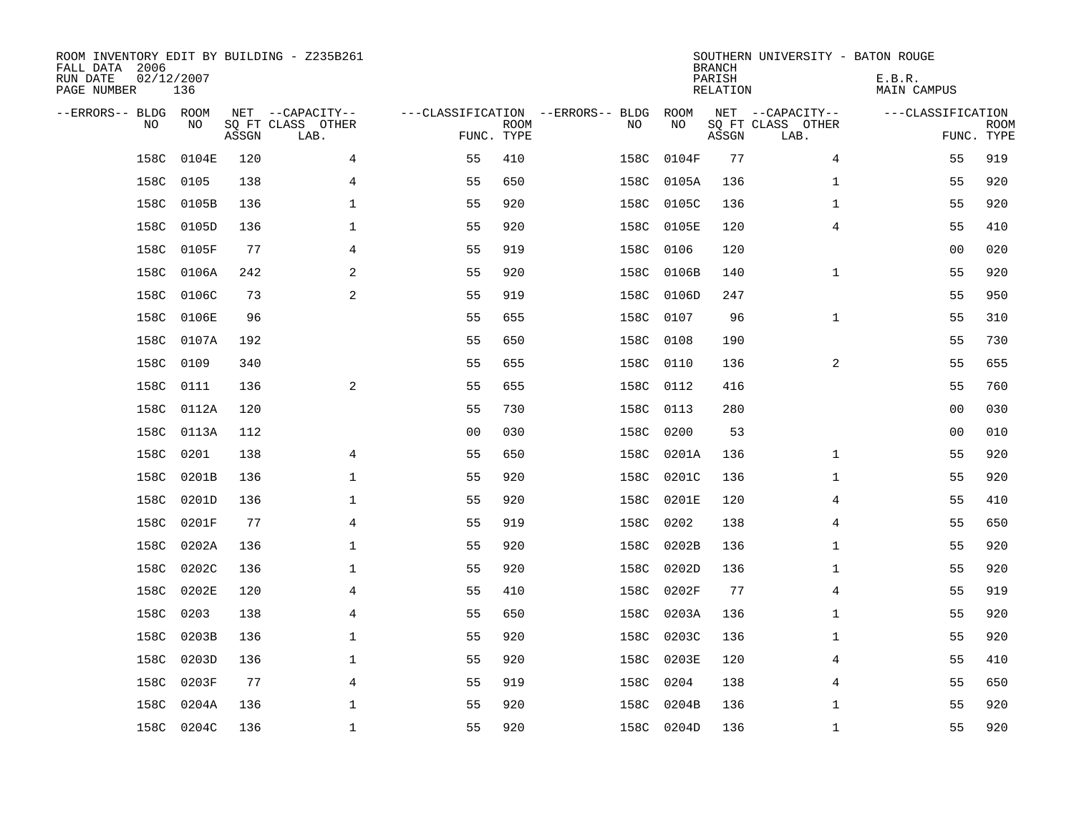| ROOM INVENTORY EDIT BY BUILDING - Z235B261<br>FALL DATA 2006<br>RUN DATE<br>PAGE NUMBER | 02/12/2007<br>136 |       |                                               |                                                 |             |      |            | <b>BRANCH</b><br>PARISH<br><b>RELATION</b> | SOUTHERN UNIVERSITY - BATON ROUGE             | E.B.R.<br><b>MAIN CAMPUS</b> |                           |
|-----------------------------------------------------------------------------------------|-------------------|-------|-----------------------------------------------|-------------------------------------------------|-------------|------|------------|--------------------------------------------|-----------------------------------------------|------------------------------|---------------------------|
| --ERRORS-- BLDG ROOM<br>NO                                                              | NO                | ASSGN | NET --CAPACITY--<br>SQ FT CLASS OTHER<br>LAB. | ---CLASSIFICATION --ERRORS-- BLDG<br>FUNC. TYPE | <b>ROOM</b> | NO   | ROOM<br>NO | ASSGN                                      | NET --CAPACITY--<br>SQ FT CLASS OTHER<br>LAB. | ---CLASSIFICATION            | <b>ROOM</b><br>FUNC. TYPE |
| 158C                                                                                    | 0104E             | 120   | 4                                             | 55                                              | 410         | 158C | 0104F      | 77                                         | 4                                             | 55                           | 919                       |
| 158C                                                                                    | 0105              | 138   | 4                                             | 55                                              | 650         | 158C | 0105A      | 136                                        | $\mathbf{1}$                                  | 55                           | 920                       |
| 158C                                                                                    | 0105B             | 136   | 1                                             | 55                                              | 920         | 158C | 0105C      | 136                                        | $\mathbf{1}$                                  | 55                           | 920                       |
| 158C                                                                                    | 0105D             | 136   | $\mathbf 1$                                   | 55                                              | 920         | 158C | 0105E      | 120                                        | 4                                             | 55                           | 410                       |
| 158C                                                                                    | 0105F             | 77    | 4                                             | 55                                              | 919         | 158C | 0106       | 120                                        |                                               | 0 <sub>0</sub>               | 020                       |
| 158C                                                                                    | 0106A             | 242   | 2                                             | 55                                              | 920         | 158C | 0106B      | 140                                        | $\mathbf{1}$                                  | 55                           | 920                       |
| 158C                                                                                    | 0106C             | 73    | 2                                             | 55                                              | 919         | 158C | 0106D      | 247                                        |                                               | 55                           | 950                       |
| 158C                                                                                    | 0106E             | 96    |                                               | 55                                              | 655         | 158C | 0107       | 96                                         | $\mathbf{1}$                                  | 55                           | 310                       |
| 158C                                                                                    | 0107A             | 192   |                                               | 55                                              | 650         | 158C | 0108       | 190                                        |                                               | 55                           | 730                       |
| 158C                                                                                    | 0109              | 340   |                                               | 55                                              | 655         | 158C | 0110       | 136                                        | 2                                             | 55                           | 655                       |
| 158C                                                                                    | 0111              | 136   | 2                                             | 55                                              | 655         | 158C | 0112       | 416                                        |                                               | 55                           | 760                       |
| 158C                                                                                    | 0112A             | 120   |                                               | 55                                              | 730         | 158C | 0113       | 280                                        |                                               | 00                           | 030                       |
| 158C                                                                                    | 0113A             | 112   |                                               | 0 <sub>0</sub>                                  | 030         | 158C | 0200       | 53                                         |                                               | 00                           | 010                       |
| 158C                                                                                    | 0201              | 138   | 4                                             | 55                                              | 650         | 158C | 0201A      | 136                                        | $\mathbf{1}$                                  | 55                           | 920                       |
| 158C                                                                                    | 0201B             | 136   | $\mathbf 1$                                   | 55                                              | 920         | 158C | 0201C      | 136                                        | $\mathbf{1}$                                  | 55                           | 920                       |
| 158C                                                                                    | 0201D             | 136   | 1                                             | 55                                              | 920         | 158C | 0201E      | 120                                        | 4                                             | 55                           | 410                       |
|                                                                                         | 158C 0201F        | 77    | 4                                             | 55                                              | 919         | 158C | 0202       | 138                                        | 4                                             | 55                           | 650                       |
| 158C                                                                                    | 0202A             | 136   | $\mathbf{1}$                                  | 55                                              | 920         | 158C | 0202B      | 136                                        | $\mathbf{1}$                                  | 55                           | 920                       |
| 158C                                                                                    | 0202C             | 136   | 1                                             | 55                                              | 920         |      | 158C 0202D | 136                                        | $\mathbf{1}$                                  | 55                           | 920                       |
| 158C                                                                                    | 0202E             | 120   | 4                                             | 55                                              | 410         | 158C | 0202F      | 77                                         | $\overline{4}$                                | 55                           | 919                       |
| 158C                                                                                    | 0203              | 138   | $\overline{4}$                                | 55                                              | 650         | 158C | 0203A      | 136                                        | $\mathbf{1}$                                  | 55                           | 920                       |
| 158C                                                                                    | 0203B             | 136   | 1                                             | 55                                              | 920         | 158C | 0203C      | 136                                        | $\mathbf{1}$                                  | 55                           | 920                       |
| 158C                                                                                    | 0203D             | 136   | 1                                             | 55                                              | 920         | 158C | 0203E      | 120                                        | 4                                             | 55                           | 410                       |
| 158C                                                                                    | 0203F             | 77    | 4                                             | 55                                              | 919         | 158C | 0204       | 138                                        | 4                                             | 55                           | 650                       |
| 158C                                                                                    | 0204A             | 136   | $\mathbf 1$                                   | 55                                              | 920         | 158C | 0204B      | 136                                        | $\mathbf{1}$                                  | 55                           | 920                       |
|                                                                                         | 158C 0204C        | 136   | $\mathbf{1}$                                  | 55                                              | 920         |      | 158C 0204D | 136                                        | $\mathbf{1}$                                  | 55                           | 920                       |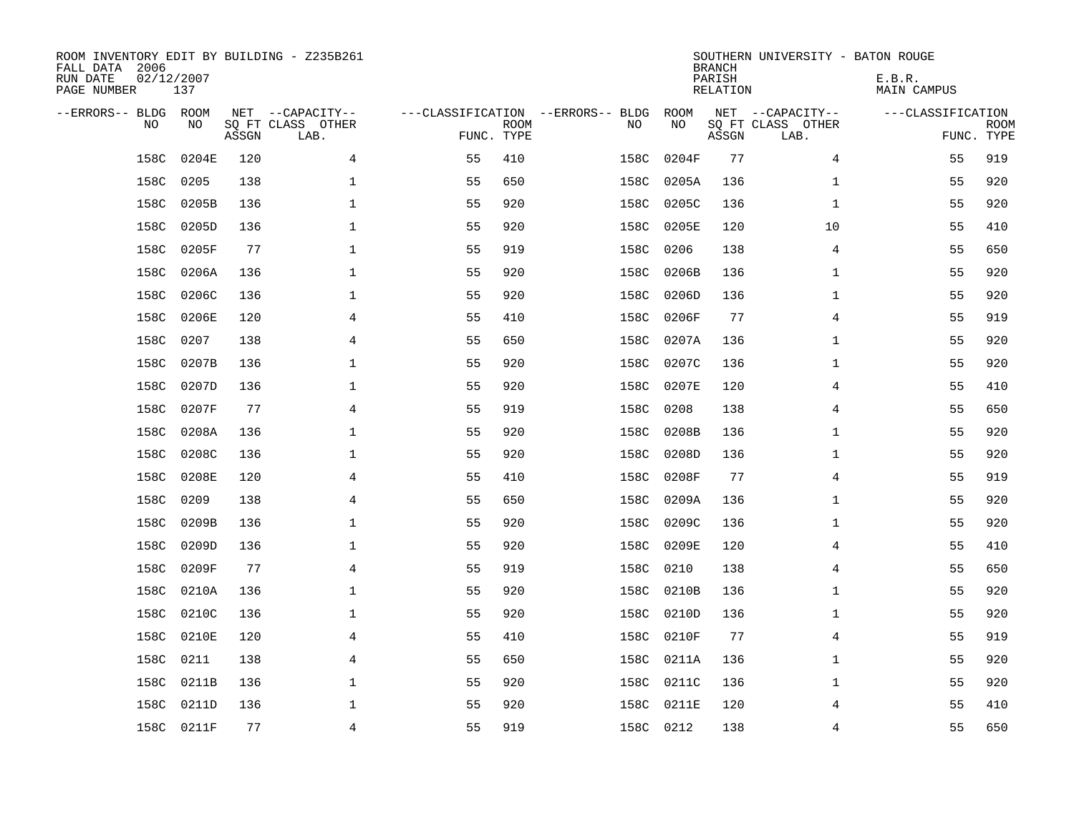| ROOM INVENTORY EDIT BY BUILDING - Z235B261<br>FALL DATA 2006<br>RUN DATE<br>PAGE NUMBER | 02/12/2007<br>137 |       |                                               |                                                 |             |           |            | <b>BRANCH</b><br>PARISH<br><b>RELATION</b> | SOUTHERN UNIVERSITY - BATON ROUGE             | E.B.R.<br><b>MAIN CAMPUS</b> |                           |
|-----------------------------------------------------------------------------------------|-------------------|-------|-----------------------------------------------|-------------------------------------------------|-------------|-----------|------------|--------------------------------------------|-----------------------------------------------|------------------------------|---------------------------|
| --ERRORS-- BLDG ROOM<br>NO                                                              | NO                | ASSGN | NET --CAPACITY--<br>SQ FT CLASS OTHER<br>LAB. | ---CLASSIFICATION --ERRORS-- BLDG<br>FUNC. TYPE | <b>ROOM</b> | NO        | ROOM<br>NO | ASSGN                                      | NET --CAPACITY--<br>SQ FT CLASS OTHER<br>LAB. | ---CLASSIFICATION            | <b>ROOM</b><br>FUNC. TYPE |
| 158C                                                                                    | 0204E             | 120   | 4                                             | 55                                              | 410         | 158C      | 0204F      | 77                                         | 4                                             | 55                           | 919                       |
| 158C                                                                                    | 0205              | 138   | 1                                             | 55                                              | 650         | 158C      | 0205A      | 136                                        | $\mathbf{1}$                                  | 55                           | 920                       |
| 158C                                                                                    | 0205B             | 136   | 1                                             | 55                                              | 920         | 158C      | 0205C      | 136                                        | $\mathbf{1}$                                  | 55                           | 920                       |
| 158C                                                                                    | 0205D             | 136   | $\mathbf 1$                                   | 55                                              | 920         | 158C      | 0205E      | 120                                        | 10                                            | 55                           | 410                       |
| 158C                                                                                    | 0205F             | 77    | $\mathbf{1}$                                  | 55                                              | 919         | 158C      | 0206       | 138                                        | 4                                             | 55                           | 650                       |
| 158C                                                                                    | 0206A             | 136   | $\mathbf 1$                                   | 55                                              | 920         | 158C      | 0206B      | 136                                        | $\mathbf{1}$                                  | 55                           | 920                       |
| 158C                                                                                    | 0206C             | 136   | $\mathbf 1$                                   | 55                                              | 920         | 158C      | 0206D      | 136                                        | $\mathbf{1}$                                  | 55                           | 920                       |
| 158C                                                                                    | 0206E             | 120   | 4                                             | 55                                              | 410         | 158C      | 0206F      | 77                                         | 4                                             | 55                           | 919                       |
| 158C                                                                                    | 0207              | 138   | 4                                             | 55                                              | 650         | 158C      | 0207A      | 136                                        | $\mathbf{1}$                                  | 55                           | 920                       |
| 158C                                                                                    | 0207B             | 136   | $\mathbf 1$                                   | 55                                              | 920         | 158C      | 0207C      | 136                                        | $\mathbf{1}$                                  | 55                           | 920                       |
| 158C                                                                                    | 0207D             | 136   | $\mathbf 1$                                   | 55                                              | 920         | 158C      | 0207E      | 120                                        | 4                                             | 55                           | 410                       |
| 158C                                                                                    | 0207F             | 77    | $\overline{4}$                                | 55                                              | 919         | 158C      | 0208       | 138                                        | 4                                             | 55                           | 650                       |
| 158C                                                                                    | 0208A             | 136   | $\mathbf 1$                                   | 55                                              | 920         | 158C      | 0208B      | 136                                        | $\mathbf{1}$                                  | 55                           | 920                       |
| 158C                                                                                    | 0208C             | 136   | $\mathbf 1$                                   | 55                                              | 920         | 158C      | 0208D      | 136                                        | $\mathbf{1}$                                  | 55                           | 920                       |
| 158C                                                                                    | 0208E             | 120   | 4                                             | 55                                              | 410         | 158C      | 0208F      | 77                                         | 4                                             | 55                           | 919                       |
| 158C                                                                                    | 0209              | 138   | 4                                             | 55                                              | 650         | 158C      | 0209A      | 136                                        | $\mathbf{1}$                                  | 55                           | 920                       |
| 158C                                                                                    | 0209B             | 136   | $\mathbf 1$                                   | 55                                              | 920         | 158C      | 0209C      | 136                                        | $\mathbf{1}$                                  | 55                           | 920                       |
| 158C                                                                                    | 0209D             | 136   | $\mathbf{1}$                                  | 55                                              | 920         | 158C      | 0209E      | 120                                        | 4                                             | 55                           | 410                       |
|                                                                                         | 158C 0209F        | 77    | 4                                             | 55                                              | 919         | 158C      | 0210       | 138                                        | 4                                             | 55                           | 650                       |
| 158C                                                                                    | 0210A             | 136   | $\mathbf 1$                                   | 55                                              | 920         | 158C      | 0210B      | 136                                        | $\mathbf{1}$                                  | 55                           | 920                       |
| 158C                                                                                    | 0210C             | 136   | $\mathbf 1$                                   | 55                                              | 920         |           | 158C 0210D | 136                                        | $\mathbf{1}$                                  | 55                           | 920                       |
| 158C                                                                                    | 0210E             | 120   | 4                                             | 55                                              | 410         | 158C      | 0210F      | 77                                         | 4                                             | 55                           | 919                       |
| 158C                                                                                    | 0211              | 138   | 4                                             | 55                                              | 650         | 158C      | 0211A      | 136                                        | $\mathbf{1}$                                  | 55                           | 920                       |
| 158C                                                                                    | 0211B             | 136   | $\mathbf 1$                                   | 55                                              | 920         |           | 158C 0211C | 136                                        | $\mathbf{1}$                                  | 55                           | 920                       |
| 158C                                                                                    | 0211D             | 136   | $\mathbf 1$                                   | 55                                              | 920         | 158C      | 0211E      | 120                                        | 4                                             | 55                           | 410                       |
|                                                                                         | 158C 0211F        | 77    | 4                                             | 55                                              | 919         | 158C 0212 |            | 138                                        | 4                                             | 55                           | 650                       |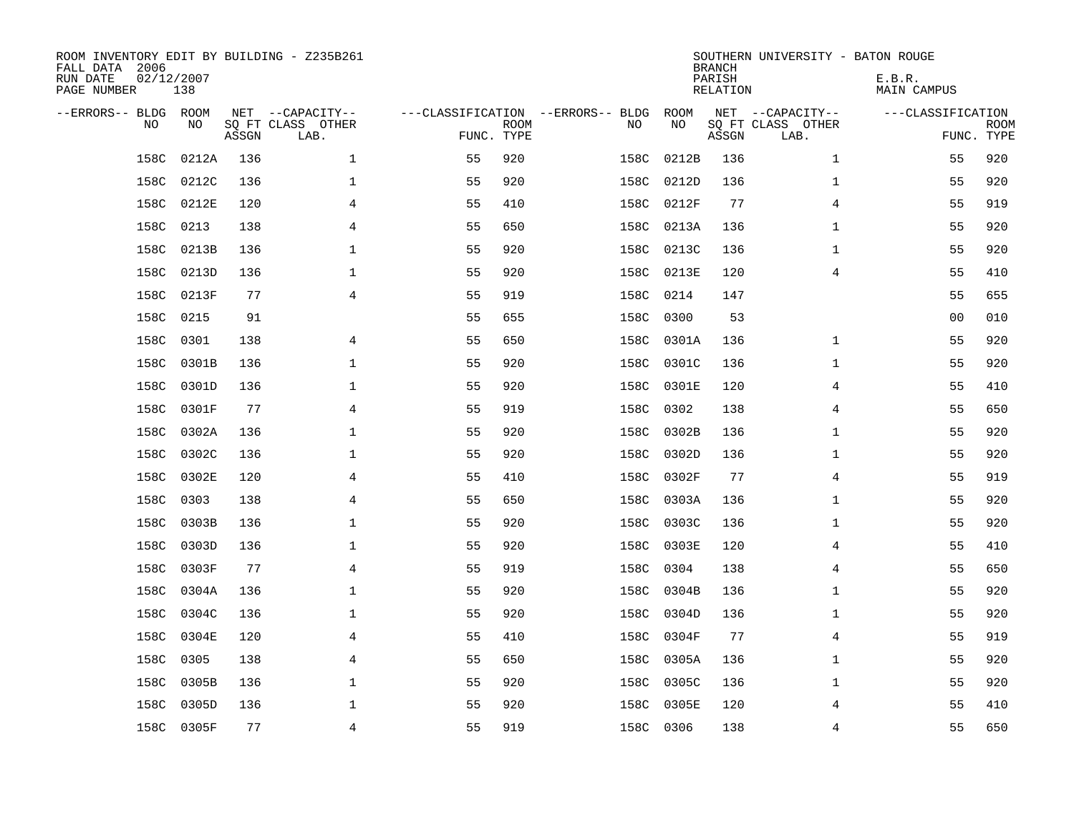| ROOM INVENTORY EDIT BY BUILDING - Z235B261<br>FALL DATA 2006<br>RUN DATE<br>PAGE NUMBER | 02/12/2007<br>138 |       |                           |                                   |             |      |            | <b>BRANCH</b><br>PARISH<br>RELATION | SOUTHERN UNIVERSITY - BATON ROUGE | E.B.R.<br>MAIN CAMPUS |                           |
|-----------------------------------------------------------------------------------------|-------------------|-------|---------------------------|-----------------------------------|-------------|------|------------|-------------------------------------|-----------------------------------|-----------------------|---------------------------|
| --ERRORS-- BLDG ROOM                                                                    |                   |       | NET --CAPACITY--          | ---CLASSIFICATION --ERRORS-- BLDG |             |      | ROOM       |                                     | NET --CAPACITY--                  | ---CLASSIFICATION     |                           |
| N <sub>O</sub>                                                                          | NO.               | ASSGN | SO FT CLASS OTHER<br>LAB. | FUNC. TYPE                        | <b>ROOM</b> | NO.  | NO         | ASSGN                               | SQ FT CLASS OTHER<br>LAB.         |                       | <b>ROOM</b><br>FUNC. TYPE |
| 158C                                                                                    | 0212A             | 136   | $\mathbf 1$               | 55                                | 920         | 158C | 0212B      | 136                                 | $\mathbf{1}$                      | 55                    | 920                       |
| 158C                                                                                    | 0212C             | 136   | $\mathbf{1}$              | 55                                | 920         | 158C | 0212D      | 136                                 | $\mathbf{1}$                      | 55                    | 920                       |
| 158C                                                                                    | 0212E             | 120   | 4                         | 55                                | 410         | 158C | 0212F      | 77                                  | 4                                 | 55                    | 919                       |
| 158C                                                                                    | 0213              | 138   | 4                         | 55                                | 650         | 158C | 0213A      | 136                                 | $\mathbf{1}$                      | 55                    | 920                       |
| 158C                                                                                    | 0213B             | 136   | $\mathbf 1$               | 55                                | 920         | 158C | 0213C      | 136                                 | $\mathbf{1}$                      | 55                    | 920                       |
| 158C                                                                                    | 0213D             | 136   | $\mathbf 1$               | 55                                | 920         |      | 158C 0213E | 120                                 | 4                                 | 55                    | 410                       |
| 158C                                                                                    | 0213F             | 77    | $\overline{4}$            | 55                                | 919         | 158C | 0214       | 147                                 |                                   | 55                    | 655                       |
| 158C                                                                                    | 0215              | 91    |                           | 55                                | 655         | 158C | 0300       | 53                                  |                                   | 0 <sub>0</sub>        | 010                       |
| 158C                                                                                    | 0301              | 138   | 4                         | 55                                | 650         | 158C | 0301A      | 136                                 | $\mathbf{1}$                      | 55                    | 920                       |
| 158C                                                                                    | 0301B             | 136   | $\mathbf 1$               | 55                                | 920         | 158C | 0301C      | 136                                 | $\mathbf{1}$                      | 55                    | 920                       |
| 158C                                                                                    | 0301D             | 136   | $\mathbf 1$               | 55                                | 920         | 158C | 0301E      | 120                                 | 4                                 | 55                    | 410                       |
| 158C                                                                                    | 0301F             | 77    | $\overline{4}$            | 55                                | 919         | 158C | 0302       | 138                                 | 4                                 | 55                    | 650                       |
| 158C                                                                                    | 0302A             | 136   | $\mathbf 1$               | 55                                | 920         | 158C | 0302B      | 136                                 | $\mathbf{1}$                      | 55                    | 920                       |
| 158C                                                                                    | 0302C             | 136   | 1                         | 55                                | 920         | 158C | 0302D      | 136                                 | $\mathbf{1}$                      | 55                    | 920                       |
| 158C                                                                                    | 0302E             | 120   | 4                         | 55                                | 410         | 158C | 0302F      | 77                                  | 4                                 | 55                    | 919                       |
| 158C                                                                                    | 0303              | 138   | $\overline{4}$            | 55                                | 650         | 158C | 0303A      | 136                                 | $\mathbf{1}$                      | 55                    | 920                       |
| 158C                                                                                    | 0303B             | 136   | $\mathbf{1}$              | 55                                | 920         | 158C | 0303C      | 136                                 | $\mathbf{1}$                      | 55                    | 920                       |
| 158C                                                                                    | 0303D             | 136   | 1                         | 55                                | 920         | 158C | 0303E      | 120                                 | 4                                 | 55                    | 410                       |
|                                                                                         | 158C 0303F        | 77    | 4                         | 55                                | 919         | 158C | 0304       | 138                                 | 4                                 | 55                    | 650                       |
| 158C                                                                                    | 0304A             | 136   | $\mathbf 1$               | 55                                | 920         | 158C | 0304B      | 136                                 | $\mathbf{1}$                      | 55                    | 920                       |
| 158C                                                                                    | 0304C             | 136   | $\mathbf 1$               | 55                                | 920         | 158C | 0304D      | 136                                 | $\mathbf{1}$                      | 55                    | 920                       |
| 158C                                                                                    | 0304E             | 120   | 4                         | 55                                | 410         | 158C | 0304F      | 77                                  | 4                                 | 55                    | 919                       |
| 158C                                                                                    | 0305              | 138   | 4                         | 55                                | 650         | 158C | 0305A      | 136                                 | $\mathbf{1}$                      | 55                    | 920                       |
| 158C                                                                                    | 0305B             | 136   | 1                         | 55                                | 920         | 158C | 0305C      | 136                                 | $\mathbf{1}$                      | 55                    | 920                       |
| 158C                                                                                    | 0305D             | 136   | $\mathbf 1$               | 55                                | 920         | 158C | 0305E      | 120                                 | 4                                 | 55                    | 410                       |
|                                                                                         | 158C 0305F        | 77    | $\overline{4}$            | 55                                | 919         |      | 158C 0306  | 138                                 | $\overline{4}$                    | 55                    | 650                       |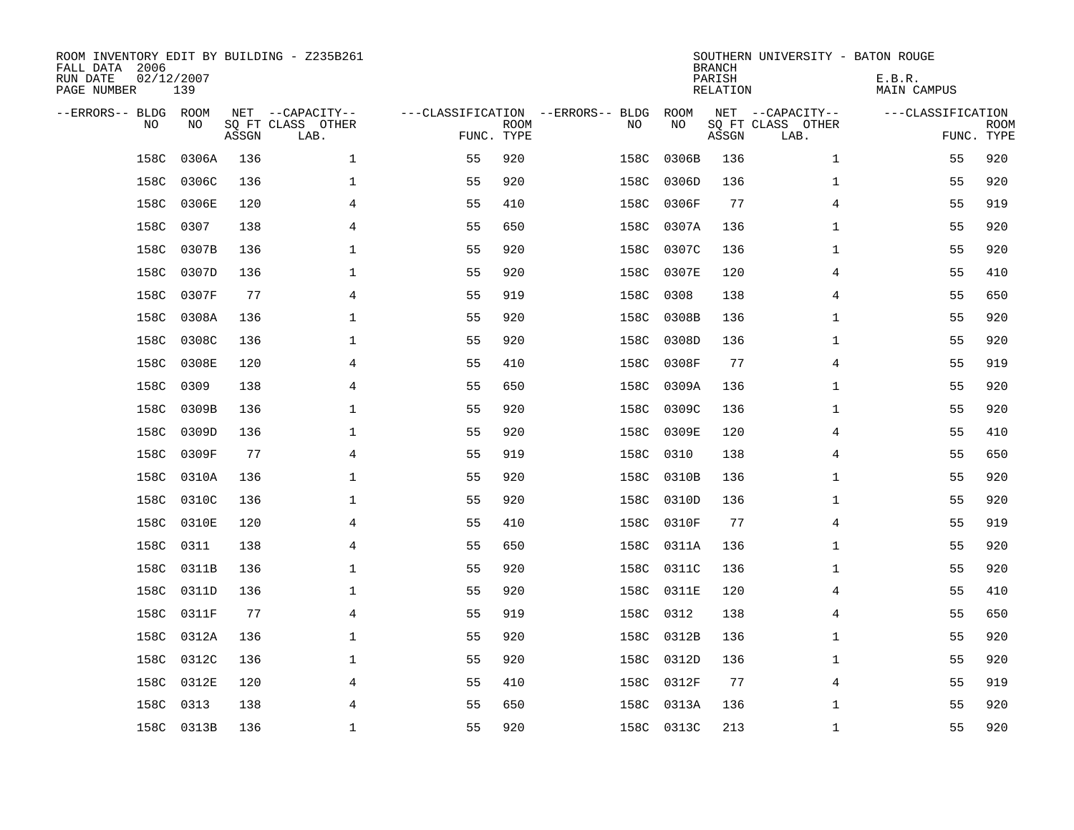| ROOM INVENTORY EDIT BY BUILDING - Z235B261<br>FALL DATA 2006<br>RUN DATE<br>PAGE NUMBER | 02/12/2007<br>139 |       |                                               |                                                 |             |      |            | <b>BRANCH</b><br>PARISH<br><b>RELATION</b> | SOUTHERN UNIVERSITY - BATON ROUGE             | E.B.R.<br><b>MAIN CAMPUS</b> |                           |
|-----------------------------------------------------------------------------------------|-------------------|-------|-----------------------------------------------|-------------------------------------------------|-------------|------|------------|--------------------------------------------|-----------------------------------------------|------------------------------|---------------------------|
| --ERRORS-- BLDG ROOM<br>NO                                                              | NO                | ASSGN | NET --CAPACITY--<br>SQ FT CLASS OTHER<br>LAB. | ---CLASSIFICATION --ERRORS-- BLDG<br>FUNC. TYPE | <b>ROOM</b> | NO   | ROOM<br>NO | ASSGN                                      | NET --CAPACITY--<br>SQ FT CLASS OTHER<br>LAB. | ---CLASSIFICATION            | <b>ROOM</b><br>FUNC. TYPE |
| 158C                                                                                    | 0306A             | 136   | $\mathbf 1$                                   | 55                                              | 920         | 158C | 0306B      | 136                                        | $\mathbf{1}$                                  | 55                           | 920                       |
| 158C                                                                                    | 0306C             | 136   | 1                                             | 55                                              | 920         | 158C | 0306D      | 136                                        | $\mathbf{1}$                                  | 55                           | 920                       |
| 158C                                                                                    | 0306E             | 120   | 4                                             | 55                                              | 410         | 158C | 0306F      | 77                                         | 4                                             | 55                           | 919                       |
| 158C                                                                                    | 0307              | 138   | 4                                             | 55                                              | 650         | 158C | 0307A      | 136                                        | $\mathbf{1}$                                  | 55                           | 920                       |
| 158C                                                                                    | 0307B             | 136   | $\mathbf{1}$                                  | 55                                              | 920         | 158C | 0307C      | 136                                        | $\mathbf{1}$                                  | 55                           | 920                       |
| 158C                                                                                    | 0307D             | 136   | $\mathbf 1$                                   | 55                                              | 920         | 158C | 0307E      | 120                                        | 4                                             | 55                           | 410                       |
| 158C                                                                                    | 0307F             | 77    | 4                                             | 55                                              | 919         | 158C | 0308       | 138                                        | 4                                             | 55                           | 650                       |
| 158C                                                                                    | 0308A             | 136   | $\mathbf 1$                                   | 55                                              | 920         | 158C | 0308B      | 136                                        | $\mathbf{1}$                                  | 55                           | 920                       |
| 158C                                                                                    | 0308C             | 136   | 1                                             | 55                                              | 920         | 158C | 0308D      | 136                                        | $\mathbf{1}$                                  | 55                           | 920                       |
| 158C                                                                                    | 0308E             | 120   | 4                                             | 55                                              | 410         | 158C | 0308F      | 77                                         | 4                                             | 55                           | 919                       |
| 158C                                                                                    | 0309              | 138   | 4                                             | 55                                              | 650         | 158C | 0309A      | 136                                        | $\mathbf{1}$                                  | 55                           | 920                       |
| 158C                                                                                    | 0309B             | 136   | $\mathbf{1}$                                  | 55                                              | 920         | 158C | 0309C      | 136                                        | $\mathbf{1}$                                  | 55                           | 920                       |
| 158C                                                                                    | 0309D             | 136   | $\mathbf 1$                                   | 55                                              | 920         | 158C | 0309E      | 120                                        | 4                                             | 55                           | 410                       |
| 158C                                                                                    | 0309F             | 77    | 4                                             | 55                                              | 919         | 158C | 0310       | 138                                        | 4                                             | 55                           | 650                       |
| 158C                                                                                    | 0310A             | 136   | 1                                             | 55                                              | 920         | 158C | 0310B      | 136                                        | $\mathbf{1}$                                  | 55                           | 920                       |
| 158C                                                                                    | 0310C             | 136   | $\mathbf 1$                                   | 55                                              | 920         | 158C | 0310D      | 136                                        | $\mathbf{1}$                                  | 55                           | 920                       |
| 158C                                                                                    | 0310E             | 120   | 4                                             | 55                                              | 410         | 158C | 0310F      | 77                                         | 4                                             | 55                           | 919                       |
| 158C                                                                                    | 0311              | 138   | $\overline{4}$                                | 55                                              | 650         | 158C | 0311A      | 136                                        | $\mathbf{1}$                                  | 55                           | 920                       |
|                                                                                         | 158C 0311B        | 136   | $\mathbf{1}$                                  | 55                                              | 920         |      | 158C 0311C | 136                                        | $\mathbf{1}$                                  | 55                           | 920                       |
| 158C                                                                                    | 0311D             | 136   | 1                                             | 55                                              | 920         |      | 158C 0311E | 120                                        | 4                                             | 55                           | 410                       |
|                                                                                         | 158C 0311F        | 77    | 4                                             | 55                                              | 919         |      | 158C 0312  | 138                                        | 4                                             | 55                           | 650                       |
| 158C                                                                                    | 0312A             | 136   | 1                                             | 55                                              | 920         | 158C | 0312B      | 136                                        | $\mathbf{1}$                                  | 55                           | 920                       |
| 158C                                                                                    | 0312C             | 136   | 1                                             | 55                                              | 920         |      | 158C 0312D | 136                                        | $\mathbf{1}$                                  | 55                           | 920                       |
| 158C                                                                                    | 0312E             | 120   | 4                                             | 55                                              | 410         |      | 158C 0312F | 77                                         | 4                                             | 55                           | 919                       |
| 158C                                                                                    | 0313              | 138   | 4                                             | 55                                              | 650         | 158C | 0313A      | 136                                        | $\mathbf{1}$                                  | 55                           | 920                       |
|                                                                                         | 158C 0313B        | 136   | $\mathbf{1}$                                  | 55                                              | 920         |      | 158C 0313C | 213                                        | $\mathbf{1}$                                  | 55                           | 920                       |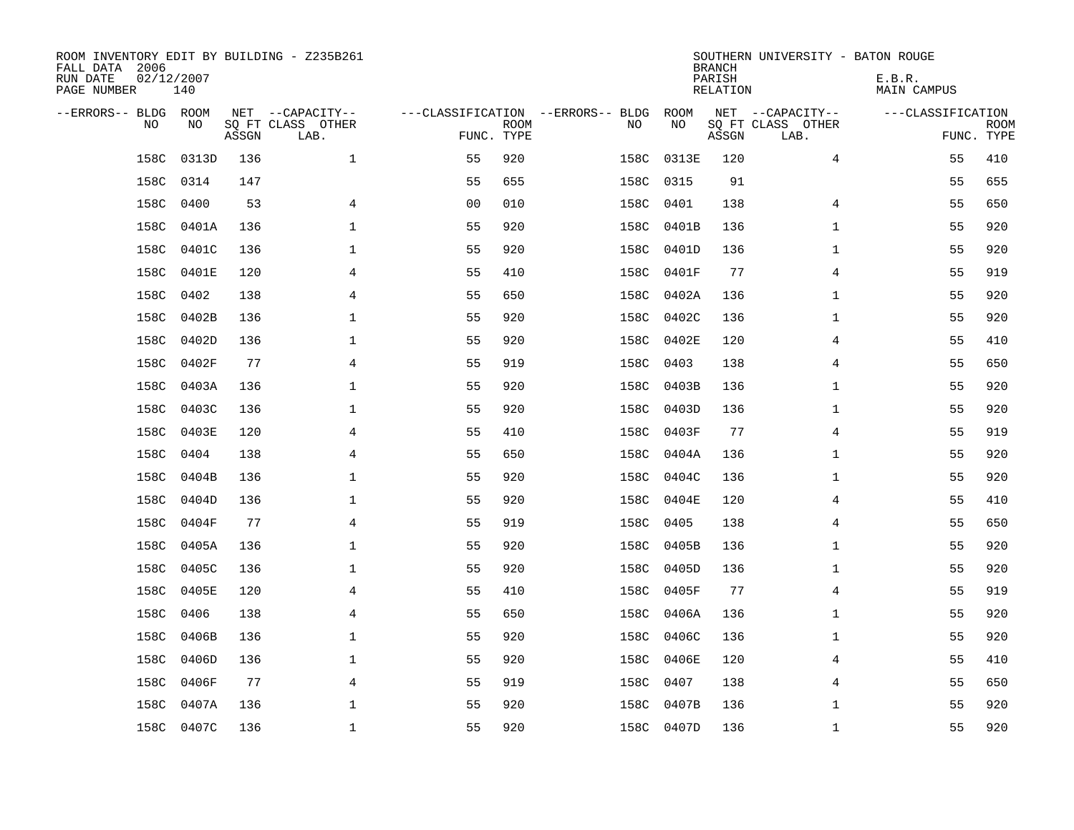| ROOM INVENTORY EDIT BY BUILDING - Z235B261<br>FALL DATA 2006<br>RUN DATE<br>PAGE NUMBER | 02/12/2007<br>140 |       |                           |                |             |                                   |            | <b>BRANCH</b><br>PARISH<br>RELATION | SOUTHERN UNIVERSITY - BATON ROUGE | E.B.R.<br>MAIN CAMPUS |                           |
|-----------------------------------------------------------------------------------------|-------------------|-------|---------------------------|----------------|-------------|-----------------------------------|------------|-------------------------------------|-----------------------------------|-----------------------|---------------------------|
| --ERRORS-- BLDG ROOM                                                                    |                   |       | NET --CAPACITY--          |                |             | ---CLASSIFICATION --ERRORS-- BLDG | ROOM       |                                     | NET --CAPACITY--                  | ---CLASSIFICATION     |                           |
| N <sub>O</sub>                                                                          | NO.               | ASSGN | SO FT CLASS OTHER<br>LAB. | FUNC. TYPE     | <b>ROOM</b> | NO.                               | NO         | ASSGN                               | SQ FT CLASS OTHER<br>LAB.         |                       | <b>ROOM</b><br>FUNC. TYPE |
| 158C                                                                                    | 0313D             | 136   | $\mathbf{1}$              | 55             | 920         | 158C                              | 0313E      | 120                                 | 4                                 | 55                    | 410                       |
| 158C                                                                                    | 0314              | 147   |                           | 55             | 655         | 158C                              | 0315       | 91                                  |                                   | 55                    | 655                       |
| 158C                                                                                    | 0400              | 53    | 4                         | 0 <sub>0</sub> | 010         | 158C                              | 0401       | 138                                 | 4                                 | 55                    | 650                       |
| 158C                                                                                    | 0401A             | 136   | 1                         | 55             | 920         | 158C                              | 0401B      | 136                                 | $\mathbf{1}$                      | 55                    | 920                       |
| 158C                                                                                    | 0401C             | 136   | 1                         | 55             | 920         | 158C                              | 0401D      | 136                                 | $\mathbf{1}$                      | 55                    | 920                       |
| 158C                                                                                    | 0401E             | 120   | 4                         | 55             | 410         |                                   | 158C 0401F | 77                                  | 4                                 | 55                    | 919                       |
| 158C                                                                                    | 0402              | 138   | $\overline{4}$            | 55             | 650         | 158C                              | 0402A      | 136                                 | $\mathbf{1}$                      | 55                    | 920                       |
| 158C                                                                                    | 0402B             | 136   | 1                         | 55             | 920         | 158C                              | 0402C      | 136                                 | $\mathbf{1}$                      | 55                    | 920                       |
| 158C                                                                                    | 0402D             | 136   | 1                         | 55             | 920         | 158C                              | 0402E      | 120                                 | 4                                 | 55                    | 410                       |
| 158C                                                                                    | 0402F             | 77    | $\overline{4}$            | 55             | 919         | 158C                              | 0403       | 138                                 | 4                                 | 55                    | 650                       |
| 158C                                                                                    | 0403A             | 136   | 1                         | 55             | 920         | 158C                              | 0403B      | 136                                 | $\mathbf{1}$                      | 55                    | 920                       |
| 158C                                                                                    | 0403C             | 136   | $\mathbf{1}$              | 55             | 920         | 158C                              | 0403D      | 136                                 | $\mathbf{1}$                      | 55                    | 920                       |
| 158C                                                                                    | 0403E             | 120   | 4                         | 55             | 410         | 158C                              | 0403F      | 77                                  | 4                                 | 55                    | 919                       |
| 158C                                                                                    | 0404              | 138   | 4                         | 55             | 650         | 158C                              | 0404A      | 136                                 | $\mathbf{1}$                      | 55                    | 920                       |
| 158C                                                                                    | 0404B             | 136   | 1                         | 55             | 920         | 158C                              | 0404C      | 136                                 | $\mathbf{1}$                      | 55                    | 920                       |
| 158C                                                                                    | 0404D             | 136   | $\mathbf 1$               | 55             | 920         | 158C                              | 0404E      | 120                                 | 4                                 | 55                    | 410                       |
| 158C                                                                                    | 0404F             | 77    | $\overline{4}$            | 55             | 919         | 158C                              | 0405       | 138                                 | 4                                 | 55                    | 650                       |
| 158C                                                                                    | 0405A             | 136   | 1                         | 55             | 920         | 158C                              | 0405B      | 136                                 | $\mathbf{1}$                      | 55                    | 920                       |
|                                                                                         | 158C 0405C        | 136   | 1                         | 55             | 920         |                                   | 158C 0405D | 136                                 | $\mathbf{1}$                      | 55                    | 920                       |
| 158C                                                                                    | 0405E             | 120   | 4                         | 55             | 410         |                                   | 158C 0405F | 77                                  | 4                                 | 55                    | 919                       |
| 158C                                                                                    | 0406              | 138   | $\overline{4}$            | 55             | 650         |                                   | 158C 0406A | 136                                 | $\mathbf{1}$                      | 55                    | 920                       |
| 158C                                                                                    | 0406B             | 136   | 1                         | 55             | 920         | 158C                              | 0406C      | 136                                 | $\mathbf{1}$                      | 55                    | 920                       |
| 158C                                                                                    | 0406D             | 136   | 1                         | 55             | 920         |                                   | 158C 0406E | 120                                 | 4                                 | 55                    | 410                       |
| 158C                                                                                    | 0406F             | 77    | 4                         | 55             | 919         | 158C                              | 0407       | 138                                 | 4                                 | 55                    | 650                       |
| 158C                                                                                    | 0407A             | 136   | $\mathbf 1$               | 55             | 920         | 158C                              | 0407B      | 136                                 | $\mathbf{1}$                      | 55                    | 920                       |
|                                                                                         | 158C 0407C        | 136   | $\mathbf{1}$              | 55             | 920         |                                   | 158C 0407D | 136                                 | $\mathbf{1}$                      | 55                    | 920                       |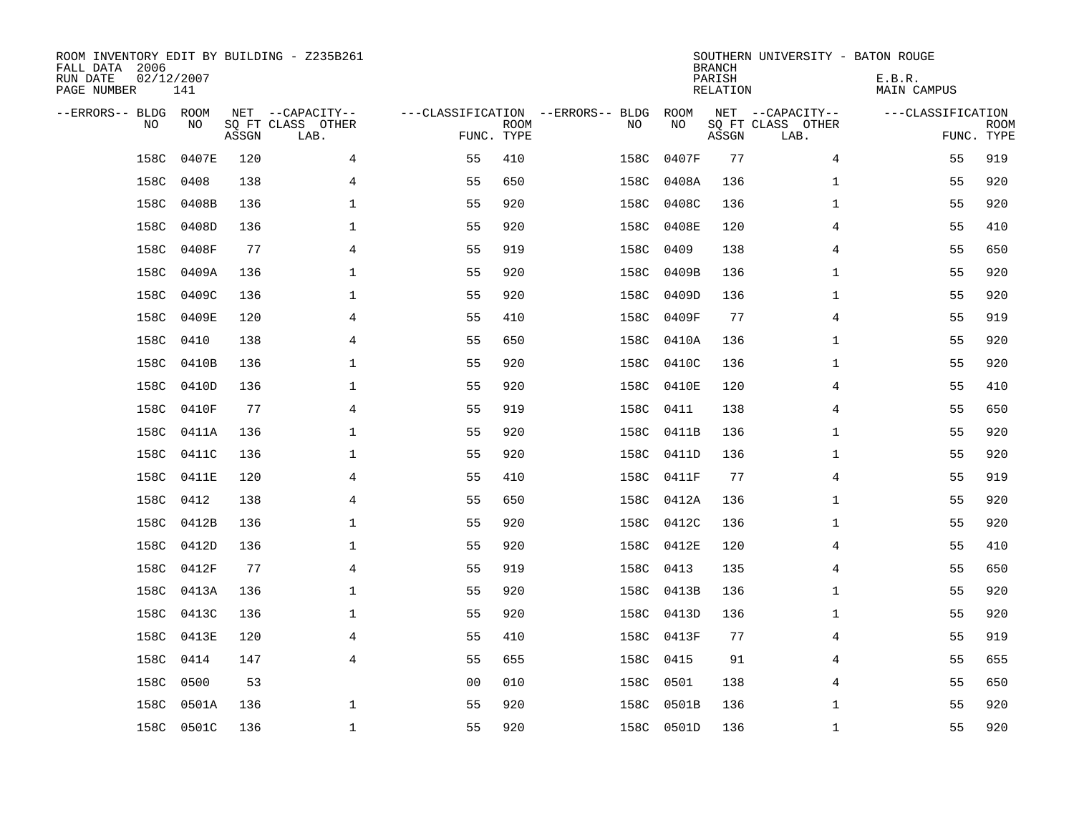| ROOM INVENTORY EDIT BY BUILDING - Z235B261<br>FALL DATA 2006<br>RUN DATE<br>PAGE NUMBER | 02/12/2007<br>141 |       |                                               |                                                 |             |           |            | <b>BRANCH</b><br>PARISH<br><b>RELATION</b> | SOUTHERN UNIVERSITY - BATON ROUGE             | E.B.R.<br><b>MAIN CAMPUS</b> |                           |
|-----------------------------------------------------------------------------------------|-------------------|-------|-----------------------------------------------|-------------------------------------------------|-------------|-----------|------------|--------------------------------------------|-----------------------------------------------|------------------------------|---------------------------|
| --ERRORS-- BLDG ROOM<br>NO                                                              | NO                | ASSGN | NET --CAPACITY--<br>SQ FT CLASS OTHER<br>LAB. | ---CLASSIFICATION --ERRORS-- BLDG<br>FUNC. TYPE | <b>ROOM</b> | NO        | ROOM<br>NO | ASSGN                                      | NET --CAPACITY--<br>SQ FT CLASS OTHER<br>LAB. | ---CLASSIFICATION            | <b>ROOM</b><br>FUNC. TYPE |
| 158C                                                                                    | 0407E             | 120   | 4                                             | 55                                              | 410         | 158C      | 0407F      | 77                                         | 4                                             | 55                           | 919                       |
| 158C                                                                                    | 0408              | 138   | 4                                             | 55                                              | 650         | 158C      | 0408A      | 136                                        | $\mathbf{1}$                                  | 55                           | 920                       |
| 158C                                                                                    | 0408B             | 136   | 1                                             | 55                                              | 920         |           | 158C 0408C | 136                                        | $\mathbf{1}$                                  | 55                           | 920                       |
| 158C                                                                                    | 0408D             | 136   | 1                                             | 55                                              | 920         | 158C      | 0408E      | 120                                        | 4                                             | 55                           | 410                       |
| 158C                                                                                    | 0408F             | 77    | $\overline{4}$                                | 55                                              | 919         | 158C      | 0409       | 138                                        | $\overline{4}$                                | 55                           | 650                       |
| 158C                                                                                    | 0409A             | 136   | $\mathbf 1$                                   | 55                                              | 920         | 158C      | 0409B      | 136                                        | $\mathbf{1}$                                  | 55                           | 920                       |
| 158C                                                                                    | 0409C             | 136   | 1                                             | 55                                              | 920         |           | 158C 0409D | 136                                        | $\mathbf{1}$                                  | 55                           | 920                       |
| 158C                                                                                    | 0409E             | 120   | 4                                             | 55                                              | 410         |           | 158C 0409F | 77                                         | 4                                             | 55                           | 919                       |
| 158C                                                                                    | 0410              | 138   | 4                                             | 55                                              | 650         | 158C      | 0410A      | 136                                        | $\mathbf{1}$                                  | 55                           | 920                       |
| 158C                                                                                    | 0410B             | 136   | $\mathbf 1$                                   | 55                                              | 920         | 158C      | 0410C      | 136                                        | $\mathbf{1}$                                  | 55                           | 920                       |
| 158C                                                                                    | 0410D             | 136   | 1                                             | 55                                              | 920         | 158C      | 0410E      | 120                                        | 4                                             | 55                           | 410                       |
| 158C                                                                                    | 0410F             | 77    | $\overline{4}$                                | 55                                              | 919         | 158C      | 0411       | 138                                        | 4                                             | 55                           | 650                       |
| 158C                                                                                    | 0411A             | 136   | $\mathbf 1$                                   | 55                                              | 920         | 158C      | 0411B      | 136                                        | $\mathbf{1}$                                  | 55                           | 920                       |
| 158C                                                                                    | 0411C             | 136   | 1                                             | 55                                              | 920         | 158C      | 0411D      | 136                                        | $\mathbf{1}$                                  | 55                           | 920                       |
| 158C                                                                                    | 0411E             | 120   | 4                                             | 55                                              | 410         | 158C      | 0411F      | 77                                         | 4                                             | 55                           | 919                       |
| 158C                                                                                    | 0412              | 138   | 4                                             | 55                                              | 650         | 158C      | 0412A      | 136                                        | $\mathbf{1}$                                  | 55                           | 920                       |
| 158C                                                                                    | 0412B             | 136   | 1                                             | 55                                              | 920         | 158C      | 0412C      | 136                                        | $\mathbf{1}$                                  | 55                           | 920                       |
| 158C                                                                                    | 0412D             | 136   | $\mathbf{1}$                                  | 55                                              | 920         |           | 158C 0412E | 120                                        | 4                                             | 55                           | 410                       |
|                                                                                         | 158C 0412F        | 77    | 4                                             | 55                                              | 919         | 158C 0413 |            | 135                                        | 4                                             | 55                           | 650                       |
| 158C                                                                                    | 0413A             | 136   | 1                                             | 55                                              | 920         |           | 158C 0413B | 136                                        | $\mathbf{1}$                                  | 55                           | 920                       |
|                                                                                         | 158C 0413C        | 136   | 1                                             | 55                                              | 920         |           | 158C 0413D | 136                                        | $\mathbf{1}$                                  | 55                           | 920                       |
| 158C                                                                                    | 0413E             | 120   | 4                                             | 55                                              | 410         |           | 158C 0413F | 77                                         | 4                                             | 55                           | 919                       |
| 158C                                                                                    | 0414              | 147   | $\overline{4}$                                | 55                                              | 655         | 158C 0415 |            | 91                                         | 4                                             | 55                           | 655                       |
| 158C                                                                                    | 0500              | 53    |                                               | 0 <sub>0</sub>                                  | 010         | 158C 0501 |            | 138                                        | 4                                             | 55                           | 650                       |
| 158C                                                                                    | 0501A             | 136   | 1                                             | 55                                              | 920         | 158C      | 0501B      | 136                                        | $\mathbf{1}$                                  | 55                           | 920                       |
|                                                                                         | 158C 0501C        | 136   | $\mathbf{1}$                                  | 55                                              | 920         |           | 158C 0501D | 136                                        | $\mathbf{1}$                                  | 55                           | 920                       |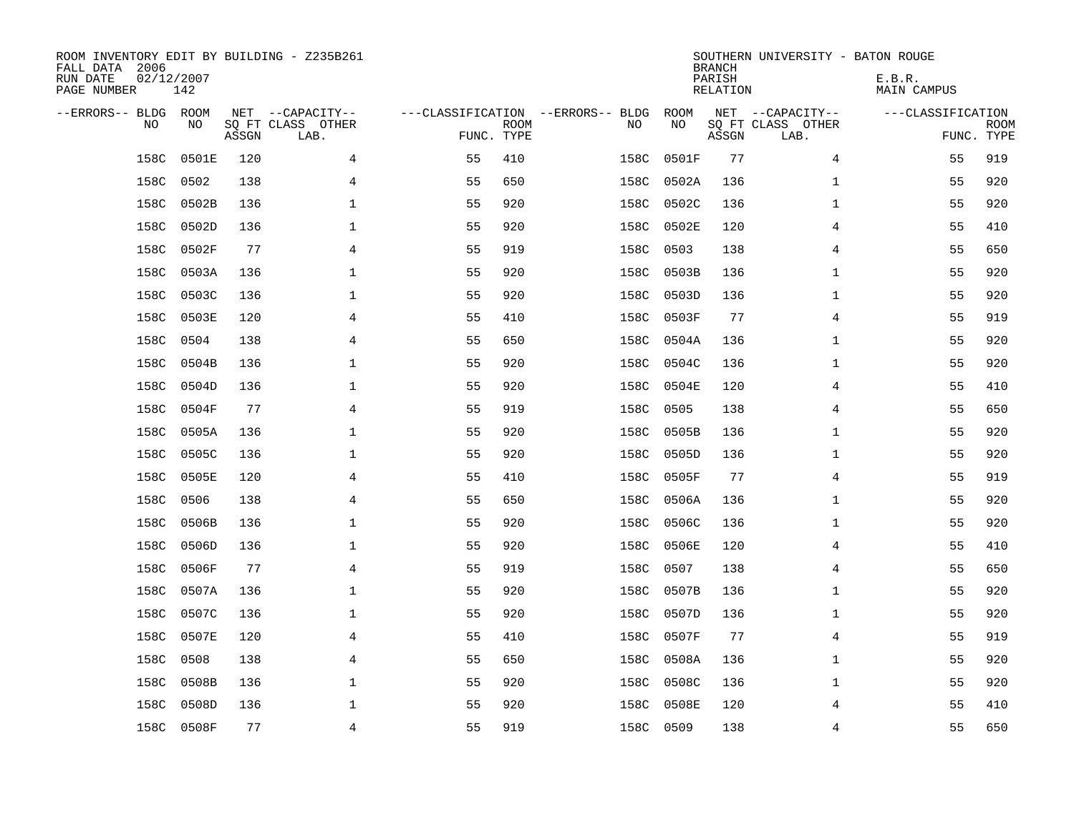| ROOM INVENTORY EDIT BY BUILDING - Z235B261<br>FALL DATA 2006<br>RUN DATE<br>PAGE NUMBER | 02/12/2007<br>142 |       |                                               |                                   |                           |           |            | <b>BRANCH</b><br>PARISH<br><b>RELATION</b> | SOUTHERN UNIVERSITY - BATON ROUGE             | E.B.R.<br><b>MAIN CAMPUS</b> |                           |
|-----------------------------------------------------------------------------------------|-------------------|-------|-----------------------------------------------|-----------------------------------|---------------------------|-----------|------------|--------------------------------------------|-----------------------------------------------|------------------------------|---------------------------|
| --ERRORS-- BLDG ROOM<br>NO                                                              | NO                | ASSGN | NET --CAPACITY--<br>SQ FT CLASS OTHER<br>LAB. | ---CLASSIFICATION --ERRORS-- BLDG | <b>ROOM</b><br>FUNC. TYPE | NO        | ROOM<br>NO | ASSGN                                      | NET --CAPACITY--<br>SQ FT CLASS OTHER<br>LAB. | ---CLASSIFICATION            | <b>ROOM</b><br>FUNC. TYPE |
| 158C                                                                                    | 0501E             | 120   | 4                                             | 55                                | 410                       | 158C      | 0501F      | 77                                         | 4                                             | 55                           | 919                       |
| 158C                                                                                    | 0502              | 138   | 4                                             | 55                                | 650                       | 158C      | 0502A      | 136                                        | $\mathbf{1}$                                  | 55                           | 920                       |
| 158C                                                                                    | 0502B             | 136   | $\mathbf 1$                                   | 55                                | 920                       | 158C      | 0502C      | 136                                        | $\mathbf{1}$                                  | 55                           | 920                       |
| 158C                                                                                    | 0502D             | 136   | $\mathbf 1$                                   | 55                                | 920                       | 158C      | 0502E      | 120                                        | 4                                             | 55                           | 410                       |
| 158C                                                                                    | 0502F             | 77    | 4                                             | 55                                | 919                       | 158C      | 0503       | 138                                        | 4                                             | 55                           | 650                       |
| 158C                                                                                    | 0503A             | 136   | $\mathbf 1$                                   | 55                                | 920                       | 158C      | 0503B      | 136                                        | $\mathbf{1}$                                  | 55                           | 920                       |
| 158C                                                                                    | 0503C             | 136   | $\mathbf{1}$                                  | 55                                | 920                       | 158C      | 0503D      | 136                                        | $\mathbf{1}$                                  | 55                           | 920                       |
| 158C                                                                                    | 0503E             | 120   | 4                                             | 55                                | 410                       | 158C      | 0503F      | 77                                         | 4                                             | 55                           | 919                       |
| 158C                                                                                    | 0504              | 138   | $\overline{4}$                                | 55                                | 650                       | 158C      | 0504A      | 136                                        | $\mathbf{1}$                                  | 55                           | 920                       |
| 158C                                                                                    | 0504B             | 136   | $\mathbf{1}$                                  | 55                                | 920                       | 158C      | 0504C      | 136                                        | $\mathbf{1}$                                  | 55                           | 920                       |
| 158C                                                                                    | 0504D             | 136   | $\mathbf 1$                                   | 55                                | 920                       | 158C      | 0504E      | 120                                        | 4                                             | 55                           | 410                       |
| 158C                                                                                    | 0504F             | 77    | 4                                             | 55                                | 919                       | 158C      | 0505       | 138                                        | 4                                             | 55                           | 650                       |
| 158C                                                                                    | 0505A             | 136   | $\mathbf 1$                                   | 55                                | 920                       | 158C      | 0505B      | 136                                        | $\mathbf{1}$                                  | 55                           | 920                       |
| 158C                                                                                    | 0505C             | 136   | $\mathbf 1$                                   | 55                                | 920                       | 158C      | 0505D      | 136                                        | $\mathbf{1}$                                  | 55                           | 920                       |
| 158C                                                                                    | 0505E             | 120   | 4                                             | 55                                | 410                       | 158C      | 0505F      | 77                                         | 4                                             | 55                           | 919                       |
| 158C                                                                                    | 0506              | 138   | 4                                             | 55                                | 650                       | 158C      | 0506A      | 136                                        | $\mathbf{1}$                                  | 55                           | 920                       |
| 158C                                                                                    | 0506B             | 136   | $\mathbf 1$                                   | 55                                | 920                       | 158C      | 0506C      | 136                                        | $\mathbf{1}$                                  | 55                           | 920                       |
| 158C                                                                                    | 0506D             | 136   | $\mathbf 1$                                   | 55                                | 920                       | 158C      | 0506E      | 120                                        | 4                                             | 55                           | 410                       |
| 158C                                                                                    | 0506F             | 77    | 4                                             | 55                                | 919                       | 158C      | 0507       | 138                                        | 4                                             | 55                           | 650                       |
| 158C                                                                                    | 0507A             | 136   | $\mathbf{1}$                                  | 55                                | 920                       | 158C      | 0507B      | 136                                        | $\mathbf{1}$                                  | 55                           | 920                       |
| 158C                                                                                    | 0507C             | 136   | $\mathbf{1}$                                  | 55                                | 920                       | 158C      | 0507D      | 136                                        | $\mathbf{1}$                                  | 55                           | 920                       |
| 158C                                                                                    | 0507E             | 120   | 4                                             | 55                                | 410                       | 158C      | 0507F      | 77                                         | 4                                             | 55                           | 919                       |
| 158C                                                                                    | 0508              | 138   | 4                                             | 55                                | 650                       | 158C      | 0508A      | 136                                        | $\mathbf{1}$                                  | 55                           | 920                       |
| 158C                                                                                    | 0508B             | 136   | $\mathbf 1$                                   | 55                                | 920                       | 158C      | 0508C      | 136                                        | $\mathbf{1}$                                  | 55                           | 920                       |
| 158C                                                                                    | 0508D             | 136   | $\mathbf 1$                                   | 55                                | 920                       | 158C      | 0508E      | 120                                        | 4                                             | 55                           | 410                       |
|                                                                                         | 158C 0508F        | 77    | $\overline{4}$                                | 55                                | 919                       | 158C 0509 |            | 138                                        | $\overline{4}$                                | 55                           | 650                       |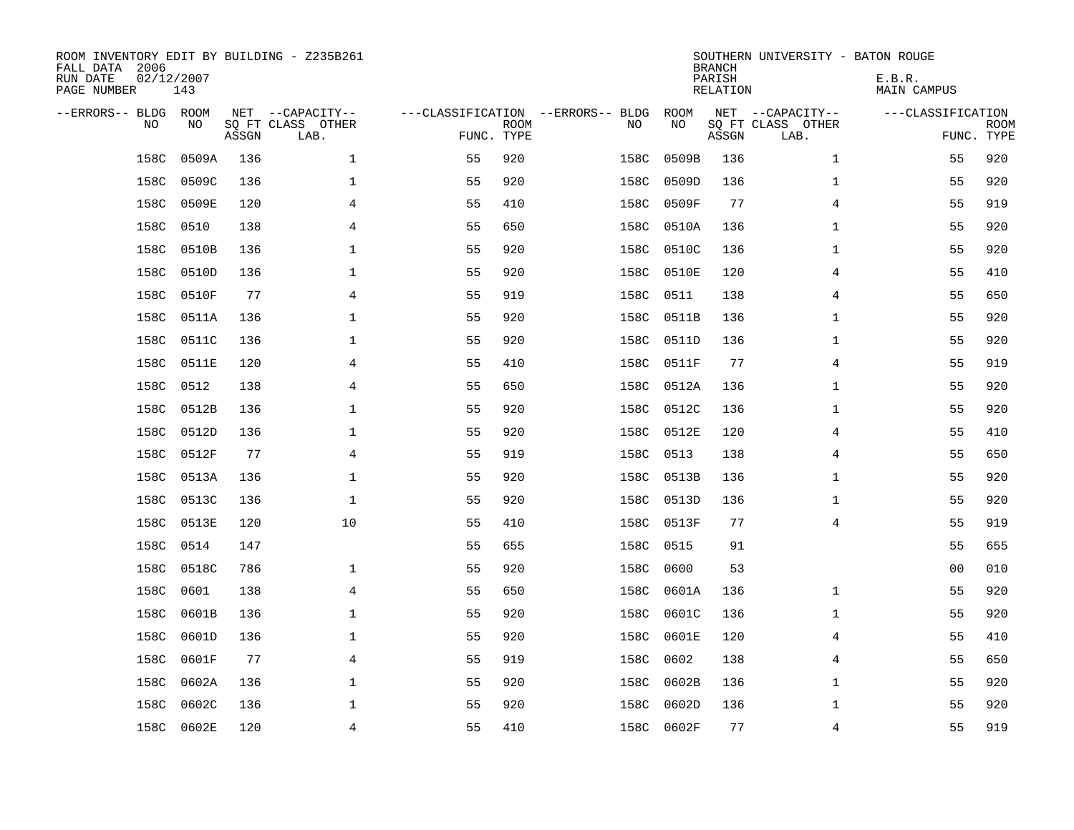| ROOM INVENTORY EDIT BY BUILDING - Z235B261<br>FALL DATA 2006<br>RUN DATE<br>PAGE NUMBER | 02/12/2007<br>143 |       |                                               |            |             |                                         |      |            | <b>BRANCH</b><br>PARISH<br><b>RELATION</b> | SOUTHERN UNIVERSITY - BATON ROUGE             | E.B.R.<br><b>MAIN CAMPUS</b> |                           |
|-----------------------------------------------------------------------------------------|-------------------|-------|-----------------------------------------------|------------|-------------|-----------------------------------------|------|------------|--------------------------------------------|-----------------------------------------------|------------------------------|---------------------------|
| --ERRORS-- BLDG ROOM<br>NO                                                              | NO                | ASSGN | NET --CAPACITY--<br>SQ FT CLASS OTHER<br>LAB. | FUNC. TYPE | <b>ROOM</b> | ---CLASSIFICATION --ERRORS-- BLDG<br>NO |      | ROOM<br>NO | ASSGN                                      | NET --CAPACITY--<br>SQ FT CLASS OTHER<br>LAB. | ---CLASSIFICATION            | <b>ROOM</b><br>FUNC. TYPE |
| 158C                                                                                    | 0509A             | 136   | $\mathbf 1$                                   | 55         | 920         |                                         | 158C | 0509B      | 136                                        | $\mathbf{1}$                                  | 55                           | 920                       |
| 158C                                                                                    | 0509C             | 136   | $\mathbf 1$                                   | 55         | 920         |                                         | 158C | 0509D      | 136                                        | $\mathbf{1}$                                  | 55                           | 920                       |
| 158C                                                                                    | 0509E             | 120   | 4                                             | 55         | 410         |                                         | 158C | 0509F      | 77                                         | 4                                             | 55                           | 919                       |
| 158C                                                                                    | 0510              | 138   | 4                                             | 55         | 650         |                                         | 158C | 0510A      | 136                                        | $\mathbf{1}$                                  | 55                           | 920                       |
| 158C                                                                                    | 0510B             | 136   | $\mathbf{1}$                                  | 55         | 920         |                                         | 158C | 0510C      | 136                                        | $\mathbf{1}$                                  | 55                           | 920                       |
| 158C                                                                                    | 0510D             | 136   | $\mathbf 1$                                   | 55         | 920         |                                         |      | 158C 0510E | 120                                        | 4                                             | 55                           | 410                       |
| 158C                                                                                    | 0510F             | 77    | 4                                             | 55         | 919         |                                         | 158C | 0511       | 138                                        | 4                                             | 55                           | 650                       |
| 158C                                                                                    | 0511A             | 136   | $\mathbf{1}$                                  | 55         | 920         |                                         | 158C | 0511B      | 136                                        | $\mathbf{1}$                                  | 55                           | 920                       |
| 158C                                                                                    | 0511C             | 136   | $\mathbf 1$                                   | 55         | 920         |                                         | 158C | 0511D      | 136                                        | $\mathbf{1}$                                  | 55                           | 920                       |
| 158C                                                                                    | 0511E             | 120   | 4                                             | 55         | 410         |                                         | 158C | 0511F      | 77                                         | 4                                             | 55                           | 919                       |
| 158C                                                                                    | 0512              | 138   | 4                                             | 55         | 650         |                                         | 158C | 0512A      | 136                                        | $\mathbf{1}$                                  | 55                           | 920                       |
| 158C                                                                                    | 0512B             | 136   | $\mathbf{1}$                                  | 55         | 920         |                                         | 158C | 0512C      | 136                                        | $\mathbf{1}$                                  | 55                           | 920                       |
| 158C                                                                                    | 0512D             | 136   | $\mathbf 1$                                   | 55         | 920         |                                         | 158C | 0512E      | 120                                        | 4                                             | 55                           | 410                       |
| 158C                                                                                    | 0512F             | 77    | 4                                             | 55         | 919         |                                         | 158C | 0513       | 138                                        | 4                                             | 55                           | 650                       |
| 158C                                                                                    | 0513A             | 136   | 1                                             | 55         | 920         |                                         | 158C | 0513B      | 136                                        | $\mathbf{1}$                                  | 55                           | 920                       |
| 158C                                                                                    | 0513C             | 136   | $\mathbf{1}$                                  | 55         | 920         |                                         | 158C | 0513D      | 136                                        | $\mathbf{1}$                                  | 55                           | 920                       |
| 158C                                                                                    | 0513E             | 120   | 10                                            | 55         | 410         |                                         | 158C | 0513F      | 77                                         | 4                                             | 55                           | 919                       |
| 158C                                                                                    | 0514              | 147   |                                               | 55         | 655         |                                         | 158C | 0515       | 91                                         |                                               | 55                           | 655                       |
|                                                                                         | 158C 0518C        | 786   | $\mathbf 1$                                   | 55         | 920         |                                         | 158C | 0600       | 53                                         |                                               | 0 <sub>0</sub>               | 010                       |
| 158C                                                                                    | 0601              | 138   | 4                                             | 55         | 650         |                                         | 158C | 0601A      | 136                                        | $\mathbf{1}$                                  | 55                           | 920                       |
| 158C                                                                                    | 0601B             | 136   | $\mathbf 1$                                   | 55         | 920         |                                         | 158C | 0601C      | 136                                        | $\mathbf{1}$                                  | 55                           | 920                       |
| 158C                                                                                    | 0601D             | 136   | $\mathbf 1$                                   | 55         | 920         |                                         | 158C | 0601E      | 120                                        | 4                                             | 55                           | 410                       |
| 158C                                                                                    | 0601F             | 77    | 4                                             | 55         | 919         |                                         | 158C | 0602       | 138                                        | 4                                             | 55                           | 650                       |
| 158C                                                                                    | 0602A             | 136   | $\mathbf 1$                                   | 55         | 920         |                                         | 158C | 0602B      | 136                                        | $\mathbf{1}$                                  | 55                           | 920                       |
| 158C                                                                                    | 0602C             | 136   | $\mathbf 1$                                   | 55         | 920         |                                         | 158C | 0602D      | 136                                        | $\mathbf{1}$                                  | 55                           | 920                       |
|                                                                                         | 158C 0602E        | 120   | 4                                             | 55         | 410         |                                         |      | 158C 0602F | 77                                         | 4                                             | 55                           | 919                       |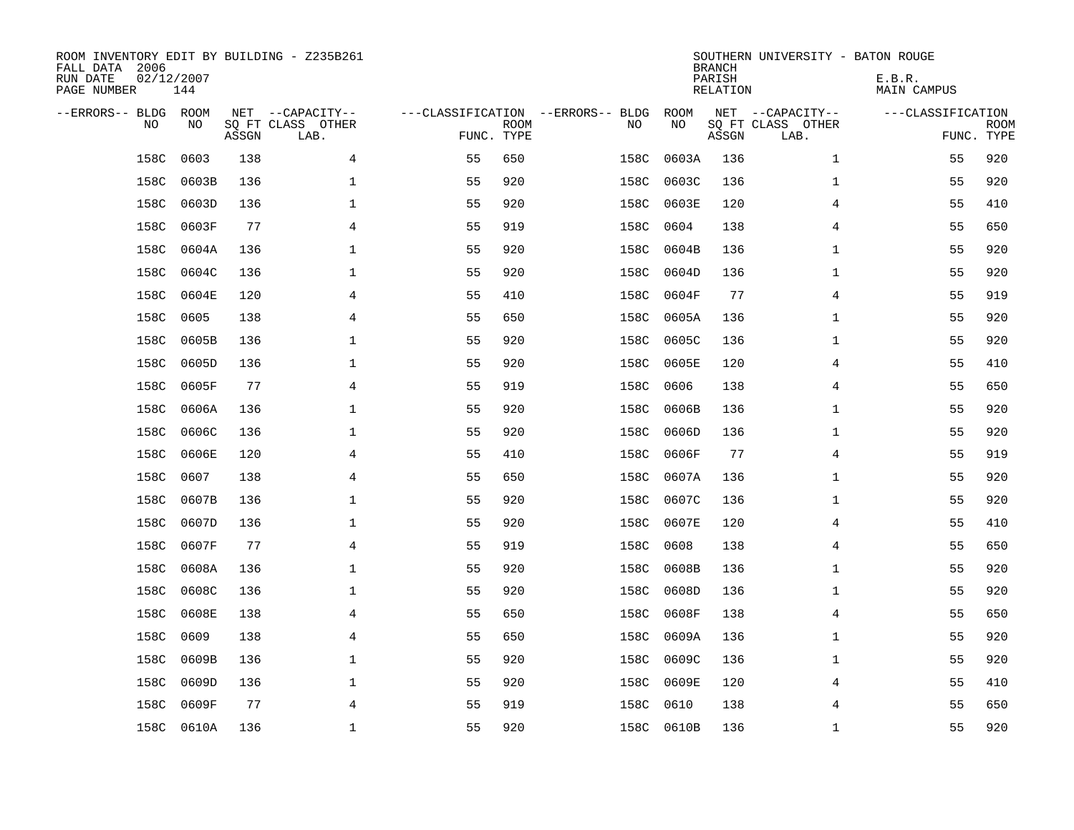| ROOM INVENTORY EDIT BY BUILDING - Z235B261<br>FALL DATA 2006<br>RUN DATE<br>PAGE NUMBER | 02/12/2007<br>144 |       |                                               |                                                 |             |      |            | <b>BRANCH</b><br>PARISH<br><b>RELATION</b> | SOUTHERN UNIVERSITY - BATON ROUGE             | E.B.R.<br><b>MAIN CAMPUS</b> |                           |
|-----------------------------------------------------------------------------------------|-------------------|-------|-----------------------------------------------|-------------------------------------------------|-------------|------|------------|--------------------------------------------|-----------------------------------------------|------------------------------|---------------------------|
| --ERRORS-- BLDG ROOM<br>NO                                                              | NO                | ASSGN | NET --CAPACITY--<br>SQ FT CLASS OTHER<br>LAB. | ---CLASSIFICATION --ERRORS-- BLDG<br>FUNC. TYPE | <b>ROOM</b> | NO   | ROOM<br>NO | ASSGN                                      | NET --CAPACITY--<br>SQ FT CLASS OTHER<br>LAB. | ---CLASSIFICATION            | <b>ROOM</b><br>FUNC. TYPE |
| 158C                                                                                    | 0603              | 138   | 4                                             | 55                                              | 650         | 158C | 0603A      | 136                                        | $\mathbf{1}$                                  | 55                           | 920                       |
| 158C                                                                                    | 0603B             | 136   | 1                                             | 55                                              | 920         | 158C | 0603C      | 136                                        | $\mathbf{1}$                                  | 55                           | 920                       |
| 158C                                                                                    | 0603D             | 136   | 1                                             | 55                                              | 920         | 158C | 0603E      | 120                                        | 4                                             | 55                           | 410                       |
| 158C                                                                                    | 0603F             | 77    | 4                                             | 55                                              | 919         | 158C | 0604       | 138                                        | 4                                             | 55                           | 650                       |
| 158C                                                                                    | 0604A             | 136   | $\mathbf{1}$                                  | 55                                              | 920         | 158C | 0604B      | 136                                        | $\mathbf{1}$                                  | 55                           | 920                       |
| 158C                                                                                    | 0604C             | 136   | $\mathbf 1$                                   | 55                                              | 920         | 158C | 0604D      | 136                                        | $\mathbf{1}$                                  | 55                           | 920                       |
| 158C                                                                                    | 0604E             | 120   | 4                                             | 55                                              | 410         | 158C | 0604F      | 77                                         | 4                                             | 55                           | 919                       |
| 158C                                                                                    | 0605              | 138   | 4                                             | 55                                              | 650         | 158C | 0605A      | 136                                        | $\mathbf{1}$                                  | 55                           | 920                       |
| 158C                                                                                    | 0605B             | 136   | 1                                             | 55                                              | 920         | 158C | 0605C      | 136                                        | $\mathbf{1}$                                  | 55                           | 920                       |
| 158C                                                                                    | 0605D             | 136   | 1                                             | 55                                              | 920         | 158C | 0605E      | 120                                        | 4                                             | 55                           | 410                       |
| 158C                                                                                    | 0605F             | 77    | 4                                             | 55                                              | 919         | 158C | 0606       | 138                                        | 4                                             | 55                           | 650                       |
| 158C                                                                                    | 0606A             | 136   | $\mathbf{1}$                                  | 55                                              | 920         | 158C | 0606B      | 136                                        | $\mathbf{1}$                                  | 55                           | 920                       |
| 158C                                                                                    | 0606C             | 136   | $\mathbf 1$                                   | 55                                              | 920         | 158C | 0606D      | 136                                        | $\mathbf{1}$                                  | 55                           | 920                       |
| 158C                                                                                    | 0606E             | 120   | 4                                             | 55                                              | 410         | 158C | 0606F      | 77                                         | 4                                             | 55                           | 919                       |
| 158C                                                                                    | 0607              | 138   | 4                                             | 55                                              | 650         | 158C | 0607A      | 136                                        | $\mathbf{1}$                                  | 55                           | 920                       |
| 158C                                                                                    | 0607B             | 136   | 1                                             | 55                                              | 920         | 158C | 0607C      | 136                                        | $\mathbf{1}$                                  | 55                           | 920                       |
| 158C                                                                                    | 0607D             | 136   | 1                                             | 55                                              | 920         | 158C | 0607E      | 120                                        | 4                                             | 55                           | 410                       |
| 158C                                                                                    | 0607F             | 77    | $\overline{4}$                                | 55                                              | 919         | 158C | 0608       | 138                                        | 4                                             | 55                           | 650                       |
| 158C                                                                                    | 0608A             | 136   | $\mathbf{1}$                                  | 55                                              | 920         | 158C | 0608B      | 136                                        | $\mathbf{1}$                                  | 55                           | 920                       |
| 158C                                                                                    | 0608C             | 136   | 1                                             | 55                                              | 920         | 158C | 0608D      | 136                                        | $\mathbf{1}$                                  | 55                           | 920                       |
| 158C                                                                                    | 0608E             | 138   | 4                                             | 55                                              | 650         | 158C | 0608F      | 138                                        | 4                                             | 55                           | 650                       |
| 158C                                                                                    | 0609              | 138   | $\overline{4}$                                | 55                                              | 650         | 158C | 0609A      | 136                                        | $\mathbf{1}$                                  | 55                           | 920                       |
| 158C                                                                                    | 0609B             | 136   | 1                                             | 55                                              | 920         | 158C | 0609C      | 136                                        | $\mathbf{1}$                                  | 55                           | 920                       |
| 158C                                                                                    | 0609D             | 136   | $\mathbf 1$                                   | 55                                              | 920         | 158C | 0609E      | 120                                        | 4                                             | 55                           | 410                       |
| 158C                                                                                    | 0609F             | 77    | 4                                             | 55                                              | 919         | 158C | 0610       | 138                                        | 4                                             | 55                           | 650                       |
|                                                                                         | 158C 0610A        | 136   | $\mathbf{1}$                                  | 55                                              | 920         |      | 158C 0610B | 136                                        | $\mathbf{1}$                                  | 55                           | 920                       |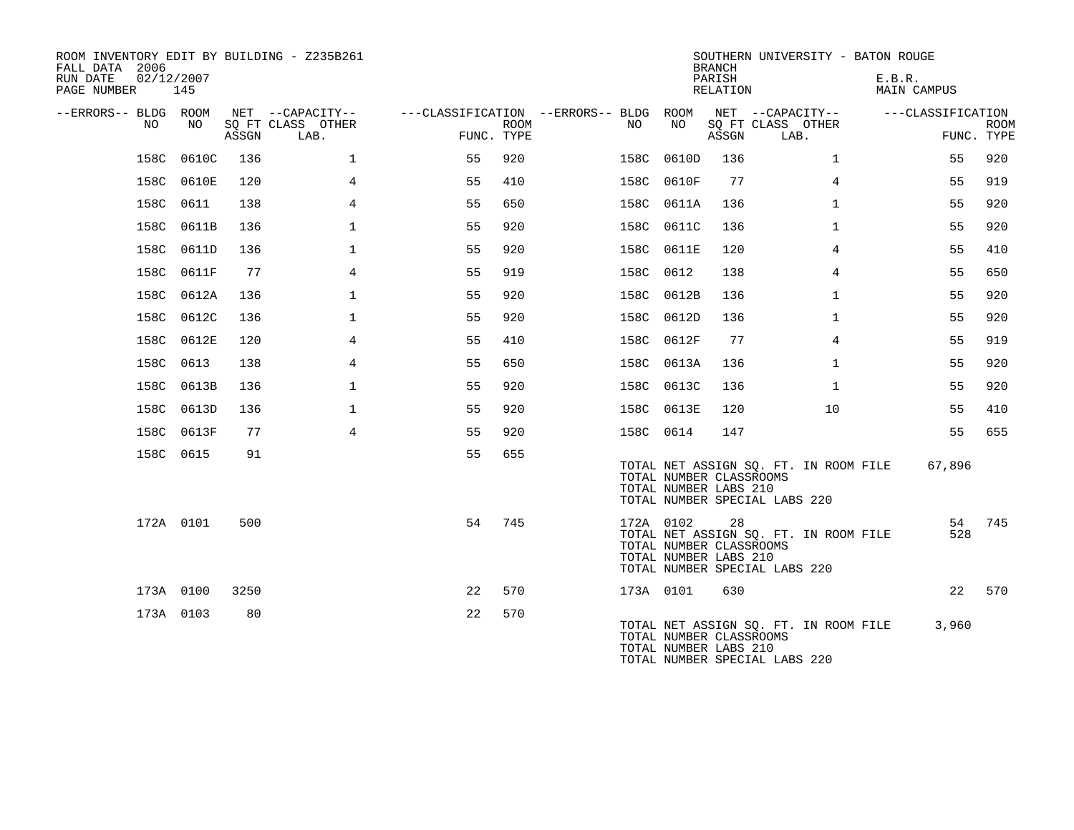| ROOM INVENTORY EDIT BY BUILDING - Z235B261<br>FALL DATA 2006 |            |       |                           |                                        |             |     | <b>BRANCH</b> | SOUTHERN UNIVERSITY - BATON ROUGE                      |                                                                        |                       |                           |
|--------------------------------------------------------------|------------|-------|---------------------------|----------------------------------------|-------------|-----|---------------|--------------------------------------------------------|------------------------------------------------------------------------|-----------------------|---------------------------|
| 02/12/2007<br>RUN DATE<br>PAGE NUMBER                        | 145        |       |                           |                                        |             |     |               | PARISH<br>RELATION                                     |                                                                        | E.B.R.<br>MAIN CAMPUS |                           |
| --ERRORS-- BLDG ROOM                                         |            |       | NET --CAPACITY--          | ---CLASSIFICATION --ERRORS-- BLDG ROOM |             |     |               |                                                        | NET --CAPACITY--                                                       | ---CLASSIFICATION     |                           |
| NO.                                                          | NO.        | ASSGN | SQ FT CLASS OTHER<br>LAB. | FUNC. TYPE                             | <b>ROOM</b> | NO. | NO            | ASSGN                                                  | SQ FT CLASS OTHER<br>LAB.                                              |                       | <b>ROOM</b><br>FUNC. TYPE |
|                                                              | 158C 0610C | 136   | $\mathbf{1}$              | 55                                     | 920         |     | 158C 0610D    | 136                                                    | $\mathbf{1}$                                                           | 55                    | 920                       |
|                                                              | 158C 0610E | 120   | 4                         | 55                                     | 410         |     | 158C 0610F    | 77                                                     | $\overline{4}$                                                         | 55                    | 919                       |
|                                                              | 158C 0611  | 138   | 4                         | 55                                     | 650         |     | 158C 0611A    | 136                                                    | $\mathbf{1}$                                                           | 55                    | 920                       |
|                                                              | 158C 0611B | 136   | $\mathbf 1$               | 55                                     | 920         |     | 158C 0611C    | 136                                                    | $\mathbf{1}$                                                           | 55                    | 920                       |
|                                                              | 158C 0611D | 136   | $\mathbf 1$               | 55                                     | 920         |     | 158C 0611E    | 120                                                    | 4                                                                      | 55                    | 410                       |
|                                                              | 158C 0611F | 77    | 4                         | 55                                     | 919         |     | 158C 0612     | 138                                                    | 4                                                                      | 55                    | 650                       |
|                                                              | 158C 0612A | 136   | $\mathbf 1$               | 55                                     | 920         |     | 158C 0612B    | 136                                                    | $\mathbf{1}$                                                           | 55                    | 920                       |
|                                                              | 158C 0612C | 136   | $\mathbf{1}$              | 55                                     | 920         |     | 158C 0612D    | 136                                                    | $\mathbf{1}$                                                           | 55                    | 920                       |
|                                                              | 158C 0612E | 120   | 4                         | 55                                     | 410         |     | 158C 0612F    | 77                                                     | 4                                                                      | 55                    | 919                       |
|                                                              | 158C 0613  | 138   | $\overline{4}$            | 55                                     | 650         |     | 158C 0613A    | 136                                                    | $\mathbf{1}$                                                           | 55                    | 920                       |
|                                                              | 158C 0613B | 136   | $\mathbf 1$               | 55                                     | 920         |     | 158C 0613C    | 136                                                    | $\mathbf{1}$                                                           | 55                    | 920                       |
|                                                              | 158C 0613D | 136   | $\mathbf{1}$              | 55                                     | 920         |     | 158C 0613E    | 120                                                    | 10                                                                     | 55                    | 410                       |
|                                                              | 158C 0613F | 77    | 4                         | 55                                     | 920         |     | 158C 0614     | 147                                                    |                                                                        | 55                    | 655                       |
|                                                              | 158C 0615  | 91    |                           | 55                                     | 655         |     |               |                                                        |                                                                        |                       |                           |
|                                                              |            |       |                           |                                        |             |     |               | TOTAL NUMBER CLASSROOMS<br>TOTAL NUMBER LABS 210       | TOTAL NET ASSIGN SQ. FT. IN ROOM FILE<br>TOTAL NUMBER SPECIAL LABS 220 | 67,896                |                           |
|                                                              | 172A 0101  | 500   |                           | 54                                     | 745         |     | 172A 0102     | 28<br>TOTAL NUMBER CLASSROOMS<br>TOTAL NUMBER LABS 210 | TOTAL NET ASSIGN SQ. FT. IN ROOM FILE<br>TOTAL NUMBER SPECIAL LABS 220 | 54<br>528             | 745                       |
|                                                              | 173A 0100  | 3250  |                           | 22                                     | 570         |     | 173A 0101     | 630                                                    |                                                                        | 22                    | 570                       |
|                                                              | 173A 0103  | 80    |                           | 22                                     | 570         |     |               | TOTAL NUMBER CLASSROOMS<br>TOTAL NUMBER LABS 210       | TOTAL NET ASSIGN SQ. FT. IN ROOM FILE<br>TOTAL NUMBER SPECIAL LABS 220 | 3,960                 |                           |